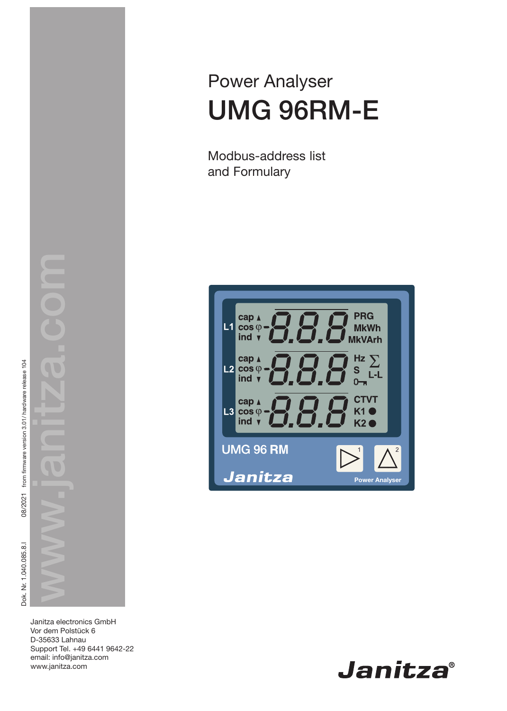Power Analyser UMG 96RM-E

Modbus-address list and Formulary



Janitza electronics GmbH Vor dem Polstück 6 D-35633 Lahnau Support Tel. +49 6441 9642-22 email: info@janitza.com www.janitza.com

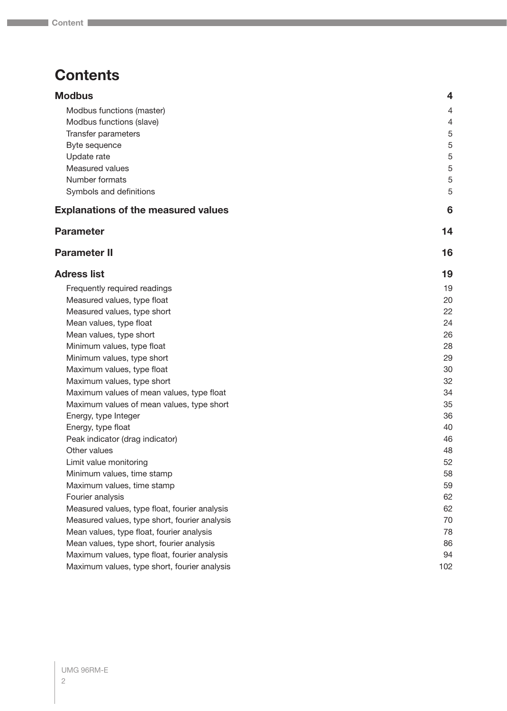# **Contents**

| <b>Modbus</b>                                 | $\overline{\mathbf{4}}$ |
|-----------------------------------------------|-------------------------|
| Modbus functions (master)                     | 4                       |
| Modbus functions (slave)                      | 4                       |
| Transfer parameters                           | 5                       |
| Byte sequence                                 | 5                       |
| Update rate                                   | 5                       |
| Measured values                               | 5                       |
| Number formats                                | 5                       |
| Symbols and definitions                       | 5                       |
| <b>Explanations of the measured values</b>    | 6                       |
| <b>Parameter</b>                              | 14                      |
| <b>Parameter II</b>                           | 16                      |
| <b>Adress list</b>                            | 19                      |
| Frequently required readings                  | 19                      |
| Measured values, type float                   | 20                      |
| Measured values, type short                   | 22                      |
| Mean values, type float                       | 24                      |
| Mean values, type short                       | 26                      |
| Minimum values, type float                    | 28                      |
| Minimum values, type short                    | 29                      |
| Maximum values, type float                    | 30                      |
| Maximum values, type short                    | 32                      |
| Maximum values of mean values, type float     | 34                      |
| Maximum values of mean values, type short     | 35                      |
| Energy, type Integer                          | 36                      |
| Energy, type float                            | 40                      |
| Peak indicator (drag indicator)               | 46                      |
| Other values                                  | 48                      |
| Limit value monitoring                        | 52                      |
| Minimum values, time stamp                    | 58                      |
| Maximum values, time stamp                    | 59                      |
| Fourier analysis                              | 62                      |
| Measured values, type float, fourier analysis | 62                      |
| Measured values, type short, fourier analysis | 70                      |
| Mean values, type float, fourier analysis     | 78                      |
| Mean values, type short, fourier analysis     | 86                      |

[Maximum values, type float, fourier analysis](#page-93-0) 94 [Maximum values, type short, fourier analysis](#page-101-0) 102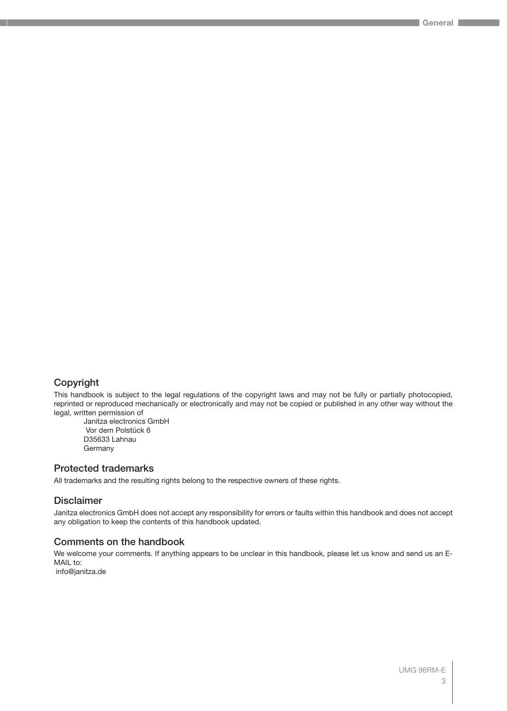# Copyright

This handbook is subject to the legal regulations of the copyright laws and may not be fully or partially photocopied, reprinted or reproduced mechanically or electronically and may not be copied or published in any other way without the legal, written permission of

Janitza electronics GmbH Vor dem Polstück 6 D35633 Lahnau Germany

## Protected trademarks

All trademarks and the resulting rights belong to the respective owners of these rights.

## Disclaimer

Janitza electronics GmbH does not accept any responsibility for errors or faults within this handbook and does not accept any obligation to keep the contents of this handbook updated.

## Comments on the handbook

We welcome your comments. If anything appears to be unclear in this handbook, please let us know and send us an E-MAIL to:

info@janitza.de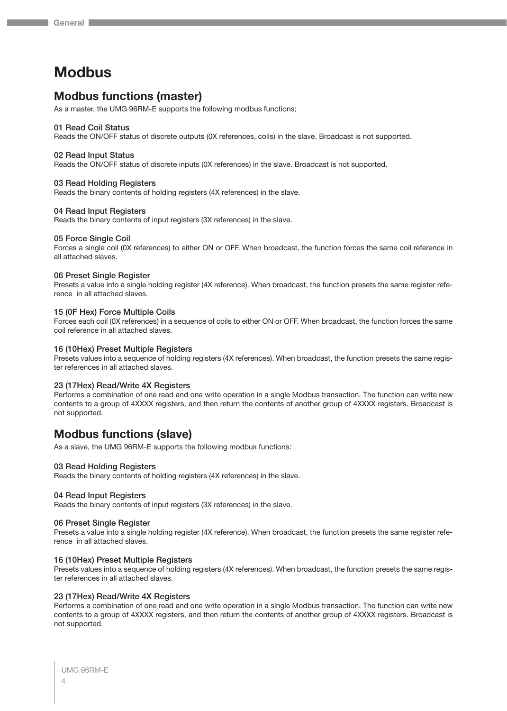# <span id="page-3-0"></span>**Modbus**

# **Modbus functions (master)**

As a master, the UMG 96RM-E supports the following modbus functions;

#### 01 Read Coil Status

Reads the ON/OFF status of discrete outputs (0X references, coils) in the slave. Broadcast is not supported.

#### 02 Read Input Status

Reads the ON/OFF status of discrete inputs (0X references) in the slave. Broadcast is not supported.

#### 03 Read Holding Registers

Reads the binary contents of holding registers (4X references) in the slave.

#### 04 Read Input Registers

Reads the binary contents of input registers (3X references) in the slave.

#### 05 Force Single Coil

Forces a single coil (0X references) to either ON or OFF. When broadcast, the function forces the same coil reference in all attached slaves.

#### 06 Preset Single Register

Presets a value into a single holding register (4X reference). When broadcast, the function presets the same register reference in all attached slaves.

#### 15 (0F Hex) Force Multiple Coils

Forces each coil (0X references) in a sequence of coils to either ON or OFF. When broadcast, the function forces the same coil reference in all attached slaves.

#### 16 (10Hex) Preset Multiple Registers

Presets values into a sequence of holding registers (4X references). When broadcast, the function presets the same register references in all attached slaves.

#### 23 (17Hex) Read/Write 4X Registers

Performs a combination of one read and one write operation in a single Modbus transaction. The function can write new contents to a group of 4XXXX registers, and then return the contents of another group of 4XXXX registers. Broadcast is not supported.

# **Modbus functions (slave)**

As a slave, the UMG 96RM-E supports the following modbus functions:

#### 03 Read Holding Registers

Reads the binary contents of holding registers (4X references) in the slave.

#### 04 Read Input Registers

Reads the binary contents of input registers (3X references) in the slave.

#### 06 Preset Single Register

Presets a value into a single holding register (4X reference). When broadcast, the function presets the same register reference in all attached slaves.

#### 16 (10Hex) Preset Multiple Registers

Presets values into a sequence of holding registers (4X references). When broadcast, the function presets the same register references in all attached slaves.

#### 23 (17Hex) Read/Write 4X Registers

Performs a combination of one read and one write operation in a single Modbus transaction. The function can write new contents to a group of 4XXXX registers, and then return the contents of another group of 4XXXX registers. Broadcast is not supported.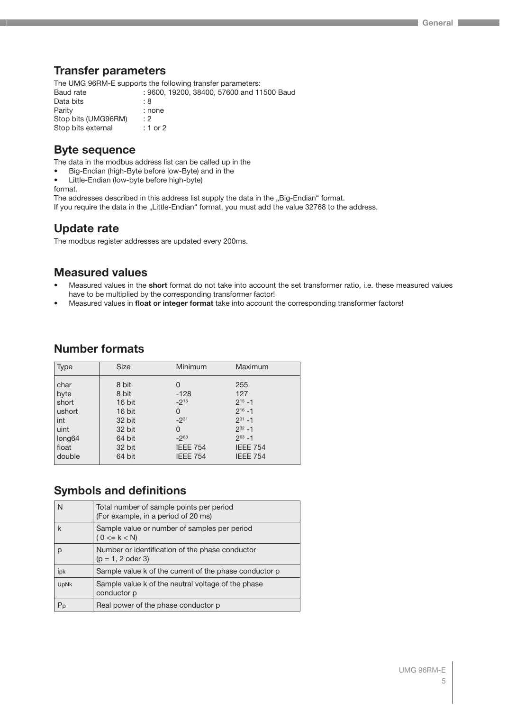# <span id="page-4-0"></span>**Transfer parameters**

The UMG 96RM-E supports the following transfer parameters: Baud rate : 9600, 19200, 38400, 57600 and 11500 Baud Data bits : 8<br>Parity : 10 : none Stop bits (UMG96RM) : 2 Stop bits external : 1 or 2

# **Byte sequence**

The data in the modbus address list can be called up in the

- Big-Endian (high-Byte before low-Byte) and in the
- Little-Endian (low-byte before high-byte)

format.

The addresses described in this address list supply the data in the "Big-Endian" format. If you require the data in the "Little-Endian" format, you must add the value 32768 to the address.

# **Update rate**

The modbus register addresses are updated every 200ms.

# **Measured values**

- Measured values in the **short** format do not take into account the set transformer ratio, i.e. these measured values have to be multiplied by the corresponding transformer factor!
- Measured values in **float or integer format** take into account the corresponding transformer factors!

# **Number formats**

| <b>Type</b>        | <b>Size</b> | Minimum         | Maximum         |
|--------------------|-------------|-----------------|-----------------|
| char               | 8 bit       | 0               | 255             |
| byte               | 8 bit       | $-128$          | 127             |
| short              | 16 bit      | $-2^{15}$       | $2^{15} - 1$    |
| ushort             | 16 bit      | 0               | $2^{16} - 1$    |
| int                | 32 bit      | $-2^{31}$       | $2^{31} - 1$    |
| uint               | 32 bit      | 0               | $2^{32} - 1$    |
| long <sub>64</sub> | 64 bit      | $-2^{63}$       | $2^{63} - 1$    |
| float              | 32 bit      | <b>IEEE 754</b> | <b>IEEE 754</b> |
| double             | 64 bit      | <b>IEEE 754</b> | <b>IEEE 754</b> |

# **Symbols and definitions**

| N           | Total number of sample points per period<br>(For example, in a period of 20 ms) |
|-------------|---------------------------------------------------------------------------------|
| k           | Sample value or number of samples per period<br>$(0 \le k \le N)$               |
| р           | Number or identification of the phase conductor<br>$(p = 1, 2$ oder 3)          |
| ipk         | Sample value k of the current of the phase conductor p                          |
| <b>UpNk</b> | Sample value k of the neutral voltage of the phase<br>conductor p               |
| Pp          | Real power of the phase conductor p                                             |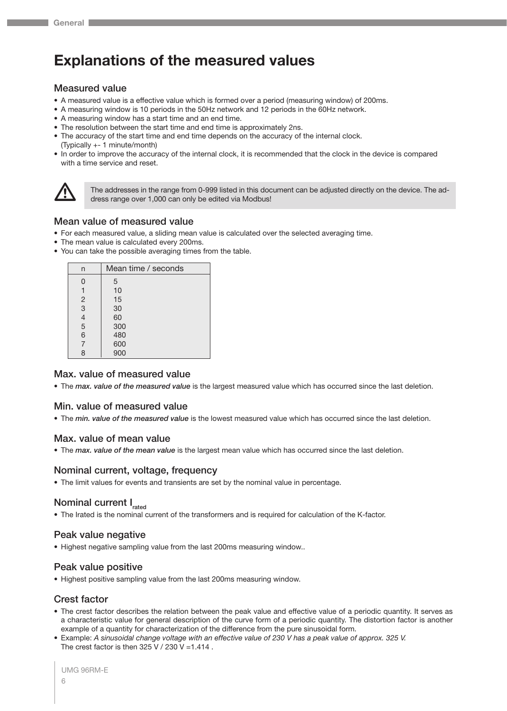# <span id="page-5-0"></span>**Explanations of the measured values**

#### Measured value

- A measured value is a effective value which is formed over a period (measuring window) of 200ms.
- A measuring window is 10 periods in the 50Hz network and 12 periods in the 60Hz network.
- A measuring window has a start time and an end time.
- The resolution between the start time and end time is approximately 2ns.
- The accuracy of the start time and end time depends on the accuracy of the internal clock. (Typically +- 1 minute/month)
- In order to improve the accuracy of the internal clock, it is recommended that the clock in the device is compared with a time service and reset.



The addresses in the range from 0-999 listed in this document can be adjusted directly on the device. The address range over 1,000 can only be edited via Modbus!

# Mean value of measured value

- For each measured value, a sliding mean value is calculated over the selected averaging time.
- The mean value is calculated every 200ms.
- You can take the possible averaging times from the table.

| n              | Mean time / seconds |
|----------------|---------------------|
| 0              | 5                   |
| 1              | 10                  |
| $\overline{c}$ | 15                  |
| $\overline{3}$ | 30                  |
| $\overline{4}$ | 60                  |
| 5              | 300                 |
| 6              | 480                 |
| $\overline{7}$ | 600                 |
| 8              | 900                 |

# Max. value of measured value

• The *max. value of the measured value* is the largest measured value which has occurred since the last deletion.

## Min. value of measured value

• The *min. value of the measured value* is the lowest measured value which has occurred since the last deletion.

## Max. value of mean value

• The *max. value of the mean value* is the largest mean value which has occurred since the last deletion.

## Nominal current, voltage, frequency

• The limit values for events and transients are set by the nominal value in percentage.

# Nominal current I<sub>rated</sub>

• The Irated is the nominal current of the transformers and is required for calculation of the K-factor.

## Peak value negative

• Highest negative sampling value from the last 200ms measuring window..

## Peak value positive

• Highest positive sampling value from the last 200ms measuring window.

# Crest factor

- The crest factor describes the relation between the peak value and effective value of a periodic quantity. It serves as a characteristic value for general description of the curve form of a periodic quantity. The distortion factor is another example of a quantity for characterization of the difference from the pure sinusoidal form.
- Example: *A sinusoidal change voltage with an effective value of 230 V has a peak value of approx. 325 V.* The crest factor is then  $325$  V /  $230$  V = 1.414.

```
UMG 96RM-E
6
```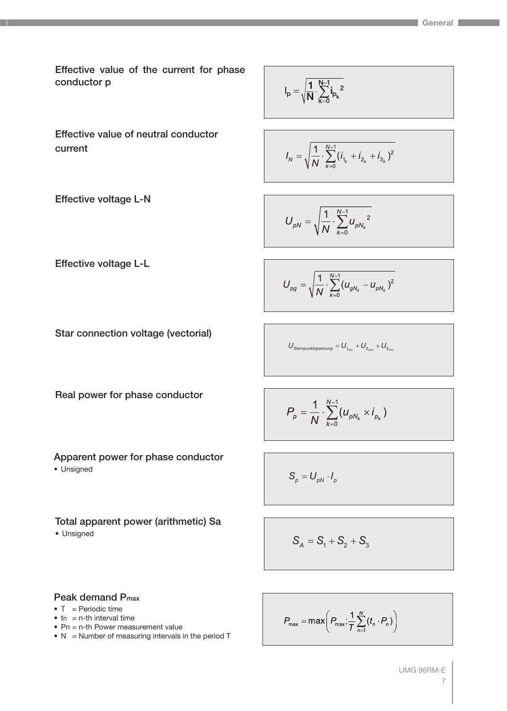Effective value of the current for phase conductor p

Effective value of neutral conductor current

Effective voltage L-N

Effective voltage L-L

$$
I_p=\sqrt{\frac{1}{N}\cdot\sum_{k=0}^{N-1}{i_{p_k}}^2}
$$

$$
I_N = \sqrt{\frac{1}{N} \cdot \sum_{k=0}^{N-1} (i_{1_k} + i_{2_k} + i_{3_k})^2}
$$

$$
U_{\rho N} = \sqrt{\frac{1}{N} \cdot \sum_{k=0}^{N-1} u_{\rho N_k}^2}
$$

$$
U_{pg} = \sqrt{\frac{1}{N} \cdot \sum_{k=0}^{N-1} (u_{gN_k} - u_{pN_k})^2}
$$

Star connection voltage (vectorial)

$$
U_{\text{Sternpunktspannung}} = U_{_{1_{\text{rms}}}} + U_{_{2_{\text{rms}}}} + U_{_{3_{\text{rms}}}}
$$

Real power for phase conductor

$$
P_{p}=\frac{1}{N}\cdot\sum_{k=0}^{N-1}(u_{\rho N_{k}}\times i_{p_{k}})
$$

Apparent power for phase conductor

• Unsigned

# Total apparent power (arithmetic) Sa • Unsigned

$$
\mathcal{L}^{\text{max}}(\mathcal{L}^{\text{max}})
$$

 $S_p = U_{pN} \cdot I_p$ 

$$
S_A = S_1 + S_2 + S_3
$$

# Peak demand Pmax

- $\bullet$  T = Periodic time
- $\bullet$  tn = n-th interval time
- Pn = n-th Power measurement value
- $N =$  Number of measuring intervals in the period T

$$
P_{\max} = \max\left(P_{\max}; \frac{1}{T} \sum_{n=1}^{N} (t_n \cdot P_n)\right)
$$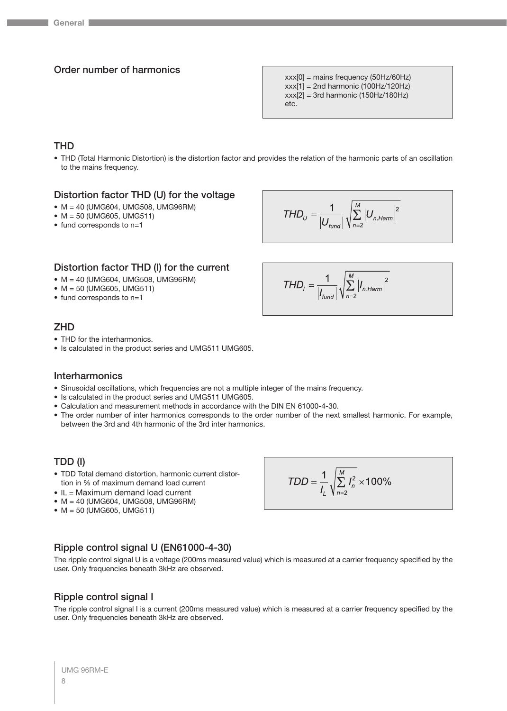# Order number of harmonics

xxx[0] = mains frequency (50Hz/60Hz)  $xxx[1] = 2nd$  harmonic (100Hz/120Hz)  $xxx[2] = 3rd$  harmonic (150Hz/180Hz) etc.

# **THD**

• THD (Total Harmonic Distortion) is the distortion factor and provides the relation of the harmonic parts of an oscillation to the mains frequency.

# Distortion factor THD (U) for the voltage

- M = 40 (UMG604, UMG508, UMG96RM)
- $\bullet$  M = 50 (UMG605, UMG511)
- fund corresponds to n=1

$$
THD_{U} = \frac{1}{|U_{fund}|} \sqrt{\sum_{n=2}^{M} |U_{n.Harm}|^{2}}
$$

 $THD_{1} = \frac{1}{|I_{fund}|} \sqrt{\sum_{n=2}^{M} |I_{n.Harm}|^{2}}$ 

# Distortion factor THD (I) for the current

- M = 40 (UMG604, UMG508, UMG96RM)
- M = 50 (UMG605, UMG511)
- fund corresponds to n=1

# **ZHD**

- THD for the interharmonics.
- Is calculated in the product series and UMG511 UMG605.

## Interharmonics

- Sinusoidal oscillations, which frequencies are not a multiple integer of the mains frequency.
- Is calculated in the product series and UMG511 UMG605.
- Calculation and measurement methods in accordance with the DIN EN 61000-4-30.
- The order number of inter harmonics corresponds to the order number of the next smallest harmonic. For example, between the 3rd and 4th harmonic of the 3rd inter harmonics.

## TDD (I)

- TDD Total demand distortion, harmonic current distortion in % of maximum demand load current
- IL = Maximum demand load current
- M = 40 (UMG604, UMG508, UMG96RM)
- $\bullet$  M = 50 (UMG605, UMG511)

$$
TDD = \frac{1}{I_L} \sqrt{\sum_{n=2}^{M} I_n^2} \times 100\%
$$

# Ripple control signal U (EN61000-4-30)

The ripple control signal U is a voltage (200ms measured value) which is measured at a carrier frequency specified by the user. Only frequencies beneath 3kHz are observed.

## Ripple control signal I

The ripple control signal I is a current (200ms measured value) which is measured at a carrier frequency specified by the user. Only frequencies beneath 3kHz are observed.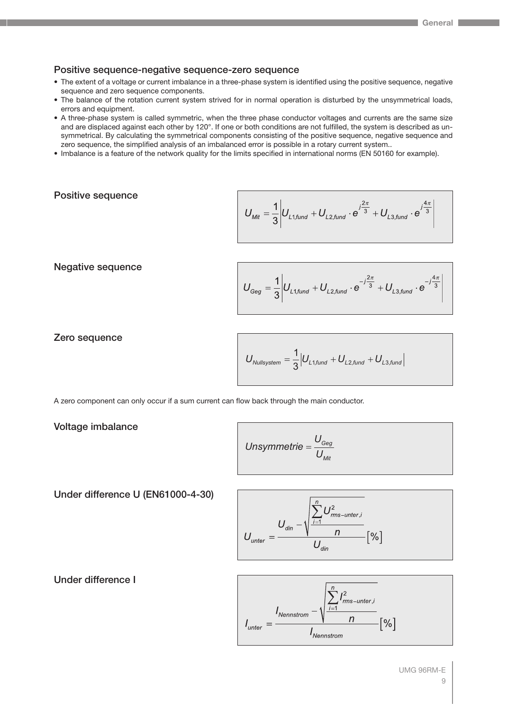# Positive sequence-negative sequence-zero sequence

- The extent of a voltage or current imbalance in a three-phase system is identified using the positive sequence, negative sequence and zero sequence components.
- The balance of the rotation current system strived for in normal operation is disturbed by the unsymmetrical loads, errors and equipment.
- A three-phase system is called symmetric, when the three phase conductor voltages and currents are the same size and are displaced against each other by 120°. If one or both conditions are not fulfilled, the system is described as unsymmetrical. By calculating the symmetrical components consisting of the positive sequence, negative sequence and zero sequence, the simplified analysis of an imbalanced error is possible in a rotary current system..
- Imbalance is a feature of the network quality for the limits specified in international norms (EN 50160 for example).

# Positive sequence

$$
U_{\textit{Mit}} = \frac{1}{3} \left| U_{L1, \textit{fund}} + U_{L2, \textit{fund}} \cdot e^{j\frac{2\pi}{3}} + U_{L3, \textit{fund}} \cdot e^{j\frac{4\pi}{3}} \right|
$$

Negative sequence

$$
U_{Geg} = \frac{1}{3} \left| U_{L1, \text{fund}} + U_{L2, \text{fund}} \cdot e^{-j\frac{2\pi}{3}} + U_{L3, \text{fund}} \cdot e^{-j\frac{4\pi}{3}} \right|
$$

Zero sequence

$$
U_{\text{Nullsystem}} = \frac{1}{3} \Big| U_{\text{L1,fund}} + U_{\text{L2,fund}} + U_{\text{L3,fund}} \Big|
$$

A zero component can only occur if a sum current can flow back through the main conductor.

Voltage imbalance

Unsymmetric = 
$$
\frac{U_{Geg}}{U_{Mit}}
$$

Under difference U (EN61000-4-30)

$$
U_{\text{unter}} = \frac{U_{\text{din}} - \sqrt{\sum_{i=1}^{n} U_{\text{rms-unter},i}^{2}}}{U_{\text{din}}}\left[\% \right]
$$

Under difference I

$$
I_{\text{unter}} = \frac{I_{\text{Nennstrom}} - \sqrt{\frac{\sum_{i=1}^{n} I_{\text{rms-unter},i}^{2}}{n}}}{I_{\text{Nennstrom}}} [ \% ]
$$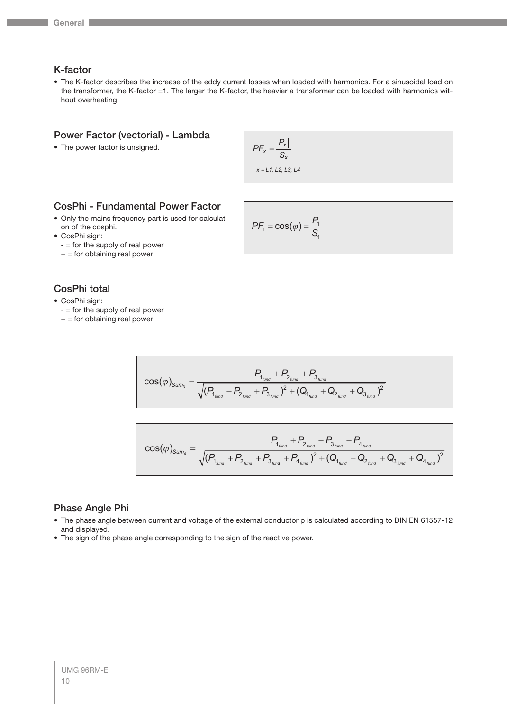# K-factor

• The K-factor describes the increase of the eddy current losses when loaded with harmonics. For a sinusoidal load on the transformer, the K-factor =1. The larger the K-factor, the heavier a transformer can be loaded with harmonics without overheating.

#### Power Factor (vectorial) - Lambda

• The power factor is unsigned.

$$
PF_x = \frac{|P_x|}{S_x}
$$

*x = L1, L2, L3, L4*

# CosPhi - Fundamental Power Factor

- Only the mains frequency part is used for calculation of the cosphi.
- CosPhi sign:
	- = for the supply of real power
	- $+=$  for obtaining real power

# CosPhi total

- CosPhi sign:
	- $-$  = for the supply of real power
	- $+=$  for obtaining real power

$$
PF_1 = \cos(\varphi) = \frac{P_1}{S_1}
$$

$$
\cos(\varphi)_{\text{Sum}_3} = \frac{P_{1_{\text{fund}}} + P_{2_{\text{fund}}} + P_{3_{\text{fund}}}}{\sqrt{(P_{1_{\text{fund}}} + P_{2_{\text{fund}}} + P_{3_{\text{fund}}})^2 + (Q_{1_{\text{fund}}} + Q_{2_{\text{fund}}} + Q_{3_{\text{fund}}})^2}}
$$

$$
\cos(\varphi)_{\text{Sum}_4} = \frac{P_{1_{\text{fund}}} + P_{2_{\text{fund}}} + P_{3_{\text{fund}}} + P_{4_{\text{fund}}}}{\sqrt{(P_{1_{\text{fund}}} + P_{2_{\text{fund}}} + P_{3_{\text{fund}}} + P_{4_{\text{fund}}})^2 + (Q_{1_{\text{fund}}} + Q_{2_{\text{fund}}} + Q_{3_{\text{fund}}} + Q_{4_{\text{fund}}})^2}}
$$

# Phase Angle Phi

- The phase angle between current and voltage of the external conductor p is calculated according to DIN EN 61557-12 and displayed.
- The sign of the phase angle corresponding to the sign of the reactive power.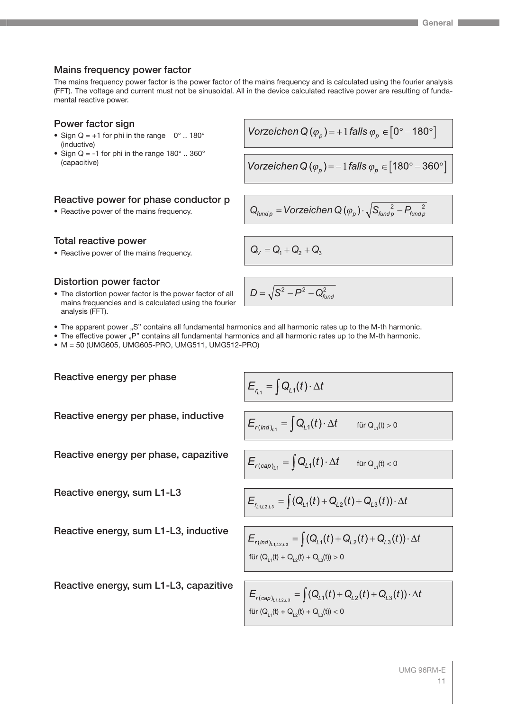# Mains frequency power factor

The mains frequency power factor is the power factor of the mains frequency and is calculated using the fourier analysis (FFT). The voltage and current must not be sinusoidal. All in the device calculated reactive power are resulting of fundamental reactive power.

# Power factor sign

- Sign  $Q = +1$  for phi in the range  $0^\circ$  .. 180° (inductive)
- Sign Q = -1 for phi in the range  $180^\circ$  .. 360° (capacitive)

# Reactive power for phase conductor p

• Reactive power of the mains frequency.

Total reactive power

• Reactive power of the mains frequency.  $Q_V = Q_1 + Q_2 + Q_3$ 

# Distortion power factor

Reactive energy per phase

Reactive energy, sum L1-L3

• The distortion power factor is the power factor of all mains frequencies and is calculated using the fourier analysis (FFT).

Vorzeichen Q
$$
(\varphi_p)
$$
 = + 1 falls  $\varphi_p \in [0^{\circ} - 180^{\circ}]$ 

Vorzeichen Q 
$$
(\varphi_p)
$$
 = -1 falls  $\varphi_p \in [180^\circ - 360^\circ]$ 

$$
\textsf{Q}_{\textit{fund}\,\rho} = \textit{Vorzeichen}\, \textsf{Q}\, (\varphi_{_{\cal{P}}}) \cdot \sqrt{S_{\textit{fund}\,\rho}^{\quad 2} - P_{\textit{fund}\,\rho}^{\quad 2}}
$$

 $D = \sqrt{\mathsf{S}^2-\mathsf{P}^2-\mathsf{Q}_{\textit{funa}}^2}$ 

- The apparent power "S" contains all fundamental harmonics and all harmonic rates up to the M-th harmonic.
- The effective power "P" contains all fundamental harmonics and all harmonic rates up to the M-th harmonic.
- M = 50 (UMG605, UMG605-PRO, UMG511, UMG512-PRO)

Reactive energy per phase, inductive

$$
E_{r_{L1}} = \int Q_{L1}(t) \cdot \Delta t
$$

$$
E_{r(\text{ind})_{L_1}} = \int Q_{L_1}(t) \cdot \Delta t \qquad \text{für } Q_{L_1}(t) > 0
$$

**Reactive energy per phase, capacitive** 
$$
E_{r(cap)_{t_1}} = \int Q_{t_1}(t) \cdot \Delta t
$$

$$
E_{r_{1,1,2,1,3}} = \int (Q_{L1}(t) + Q_{L2}(t) + Q_{L3}(t)) \cdot \Delta t
$$

$$
E_{r(\text{ind})_{L1,L2,L3}} = \int (Q_{L1}(t) + Q_{L2}(t) + Q_{L3}(t)) \cdot \Delta t
$$
  
für  $(Q_{L1}(t) + Q_{L2}(t) + Q_{L3}(t)) > 0$ 

für  $Q_{11}(t) < 0$ 

Reactive energy, sum L1-L3, capazitive

Reactive energy, sum L1-L3, inductive

 $E_{r(cap)_{l+1,2,2,3}} = \int (Q_{L1}(t) + Q_{L2}(t) + Q_{L3}(t)) \cdot \Delta t$ für  $(Q_{L1}(t) + Q_{L2}(t) + Q_{L3}(t)) < 0$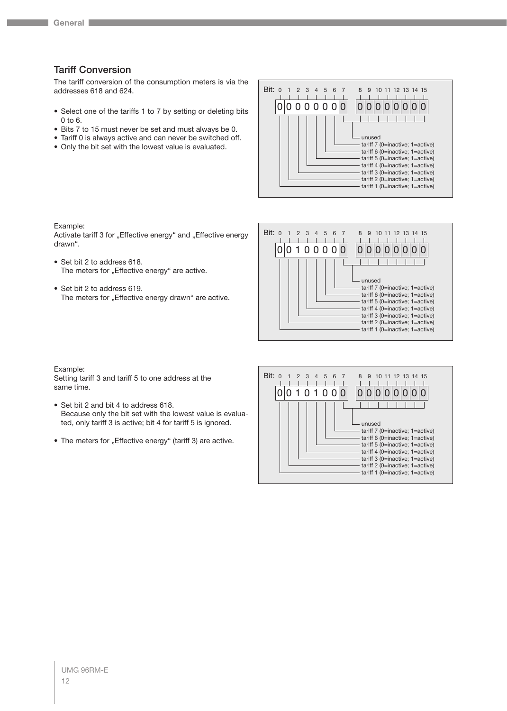# Tariff Conversion

The tariff conversion of the consumption meters is via the addresses 618 and 624.

- Select one of the tariffs 1 to 7 by setting or deleting bits 0 to 6.
- Bits 7 to 15 must never be set and must always be 0.
- Tariff 0 is always active and can never be switched off.
- Only the bit set with the lowest value is evaluated.



Example:

Activate tariff 3 for "Effective energy" and "Effective energy drawn".

- Set bit 2 to address 618. The meters for "Effective energy" are active.
- Set bit 2 to address 619. The meters for "Effective energy drawn" are active.



#### Example:

Setting tariff 3 and tariff 5 to one address at the same time.

- Set bit 2 and bit 4 to address 618. Because only the bit set with the lowest value is evaluated, only tariff 3 is active; bit 4 for tariff 5 is ignored.
- The meters for "Effective energy" (tariff 3) are active.

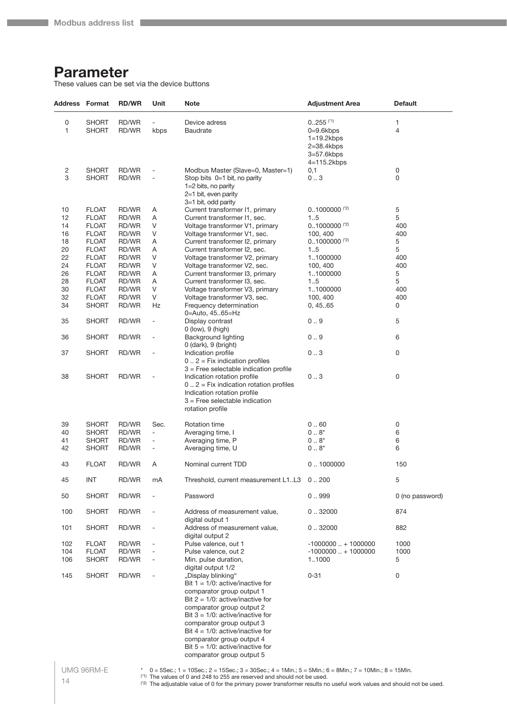# <span id="page-13-0"></span>**Parameter**

These values can be set via the device buttons

| Address Format |              | <b>RD/WR</b> | Unit                         | <b>Note</b>                                | <b>Adjustment Area</b>      | <b>Default</b>  |
|----------------|--------------|--------------|------------------------------|--------------------------------------------|-----------------------------|-----------------|
| 0              | <b>SHORT</b> | RD/WR        |                              | Device adress                              | $0255$ <sup>(*1)</sup>      | 1               |
| 1              | <b>SHORT</b> | RD/WR        |                              |                                            | $0=9.6$ kbps                | 4               |
|                |              |              | kbps                         | <b>Baudrate</b>                            |                             |                 |
|                |              |              |                              |                                            | $1=19.2$ kbps               |                 |
|                |              |              |                              |                                            | $2=38.4kbps$                |                 |
|                |              |              |                              |                                            | $3=57.6$ kbps               |                 |
|                |              |              |                              |                                            | $4=115.2kbps$               |                 |
| 2              | <b>SHORT</b> | RD/WR        |                              | Modbus Master (Slave=0, Master=1)          | 0,1                         | 0               |
| 3              | <b>SHORT</b> | RD/WR        | ÷,                           | Stop bits 0=1 bit, no parity               | 0.3                         | 0               |
|                |              |              |                              | 1=2 bits, no parity                        |                             |                 |
|                |              |              |                              | 2=1 bit, even parity                       |                             |                 |
|                |              |              |                              | 3=1 bit, odd parity                        |                             |                 |
| 10             | <b>FLOAT</b> | RD/WR        | Α                            | Current transformer I1, primary            | $0.1000000$ <sup>(2)</sup>  | $\mathbf 5$     |
| 12             | <b>FLOAT</b> | RD/WR        | Α                            | Current transformer I1, sec.               | 15                          | 5               |
| 14             | <b>FLOAT</b> | RD/WR        | V                            | Voltage transformer V1, primary            | $0.1000000$ <sup>(*2)</sup> | 400             |
| 16             | <b>FLOAT</b> | RD/WR        | V                            | Voltage transformer V1, sec.               | 100, 400                    | 400             |
| 18             | <b>FLOAT</b> | RD/WR        | Α                            | Current transformer I2, primary            | $0.1000000$ <sup>(*2)</sup> | 5               |
| 20             | <b>FLOAT</b> | RD/WR        | Α                            | Current transformer I2, sec.               | 15                          | 5               |
| 22             | <b>FLOAT</b> | RD/WR        | V                            | Voltage transformer V2, primary            | 11000000                    | 400             |
| 24             | <b>FLOAT</b> | RD/WR        | V                            | Voltage transformer V2, sec.               | 100, 400                    | 400             |
| 26             | <b>FLOAT</b> | RD/WR        | Α                            | Current transformer I3, primary            | 11000000                    | 5               |
| 28             | <b>FLOAT</b> | RD/WR        | Α                            | Current transformer I3, sec.               | 15                          | 5               |
| 30             | <b>FLOAT</b> | RD/WR        | V                            | Voltage transformer V3, primary            | 11000000                    | 400             |
| 32             | <b>FLOAT</b> | RD/WR        | V                            | Voltage transformer V3, sec.               | 100, 400                    | 400             |
| 34             | <b>SHORT</b> | RD/WR        | Hz                           | Frequency determination                    | 0, 45.65                    | 0               |
|                |              |              |                              | 0=Auto, 4565=Hz                            |                             |                 |
| 35             | <b>SHORT</b> | RD/WR        | $\overline{a}$               | Display contrast                           | 0.9                         | 5               |
|                |              |              |                              | $0$ (low), $9$ (high)                      |                             |                 |
| 36             | <b>SHORT</b> | RD/WR        | $\overline{a}$               | Background lighting                        | 0.9                         | 6               |
|                |              |              |                              | $0$ (dark), $9$ (bright)                   |                             |                 |
| 37             | <b>SHORT</b> | RD/WR        | ÷,                           | Indication profile                         | 03                          | 0               |
|                |              |              |                              | $0$ $2$ = Fix indication profiles          |                             |                 |
|                |              |              |                              | $3$ = Free selectable indication profile   |                             |                 |
| 38             | <b>SHORT</b> | RD/WR        |                              | Indication rotation profile                | 03                          | 0               |
|                |              |              |                              | $0$ $2$ = Fix indication rotation profiles |                             |                 |
|                |              |              |                              | Indication rotation profile                |                             |                 |
|                |              |              |                              | $3$ = Free selectable indication           |                             |                 |
|                |              |              |                              | rotation profile                           |                             |                 |
|                |              |              |                              |                                            |                             |                 |
| 39             | <b>SHORT</b> | RD/WR        | Sec.                         | <b>Rotation time</b>                       | 0.60                        | 0               |
| 40             | <b>SHORT</b> | RD/WR        | ÷,                           | Averaging time, I                          | $08^{*}$                    | 6               |
| 41             | <b>SHORT</b> | RD/WR        | ÷,                           | Averaging time, P                          | $08^{*}$                    | 6               |
| 42             | <b>SHORT</b> | RD/WR        | $\overline{a}$               | Averaging time, U                          | $08^{*}$                    | 6               |
|                |              |              |                              |                                            |                             |                 |
| 43             | <b>FLOAT</b> | RD/WR        | A                            | Nominal current TDD                        | 0.1000000                   | 150             |
|                |              |              |                              |                                            |                             |                 |
| 45             | INT          | RD/WR        | mA                           | Threshold, current measurement L1L3 0200   |                             | 5               |
|                |              |              |                              |                                            |                             |                 |
| 50             | <b>SHORT</b> | RD/WR        | ÷,                           | Password                                   | 0.999                       | 0 (no password) |
|                |              |              |                              |                                            |                             |                 |
| 100            | <b>SHORT</b> | RD/WR        |                              | Address of measurement value,              | 0.32000                     | 874             |
|                |              |              |                              | digital output 1                           |                             |                 |
| 101            | <b>SHORT</b> | RD/WR        | $\overline{a}$               | Address of measurement value,              | 0.32000                     | 882             |
|                |              |              |                              | digital output 2                           |                             |                 |
| 102            | <b>FLOAT</b> | RD/WR        | $\qquad \qquad \blacksquare$ | Pulse valence, out 1                       | $-1000000+1000000$          | 1000            |
| 104            | <b>FLOAT</b> | RD/WR        | $\overline{a}$               | Pulse valence, out 2                       | $-1000000+1000000$          | 1000            |
| 106            | <b>SHORT</b> | RD/WR        | $\qquad \qquad \blacksquare$ | Min. pulse duration,                       | 11000                       | 5               |
|                |              |              |                              | digital output 1/2                         |                             |                 |
| 145            | <b>SHORT</b> | RD/WR        | $\qquad \qquad \blacksquare$ | "Display blinking"                         | $0 - 31$                    | 0               |
|                |              |              |                              | Bit $1 = 1/0$ : active/inactive for        |                             |                 |
|                |              |              |                              | comparator group output 1                  |                             |                 |
|                |              |              |                              | Bit $2 = 1/0$ : active/inactive for        |                             |                 |
|                |              |              |                              | comparator group output 2                  |                             |                 |
|                |              |              |                              | Bit $3 = 1/0$ : active/inactive for        |                             |                 |
|                |              |              |                              | comparator group output 3                  |                             |                 |
|                |              |              |                              | Bit $4 = 1/0$ : active/inactive for        |                             |                 |
|                |              |              |                              | comparator group output 4                  |                             |                 |
|                |              |              |                              | Bit $5 = 1/0$ : active/inactive for        |                             |                 |
|                |              |              |                              | comparator group output 5                  |                             |                 |
|                |              |              |                              |                                            |                             |                 |

\* 0 = 5Sec.; 1 = 10Sec.; 2 = 15Sec.; 3 = 30Sec.; 4 = 1Min.; 5 = 5Min.; 6 = 8Min.; 7 = 10Min.; 8 = 15Min.

<sup>(\*1)</sup> The values of 0 and 248 to 255 are reserved and should not be used. (\*2) The adjustable value of 0 for the primary power transformer results no useful work values and should not be used.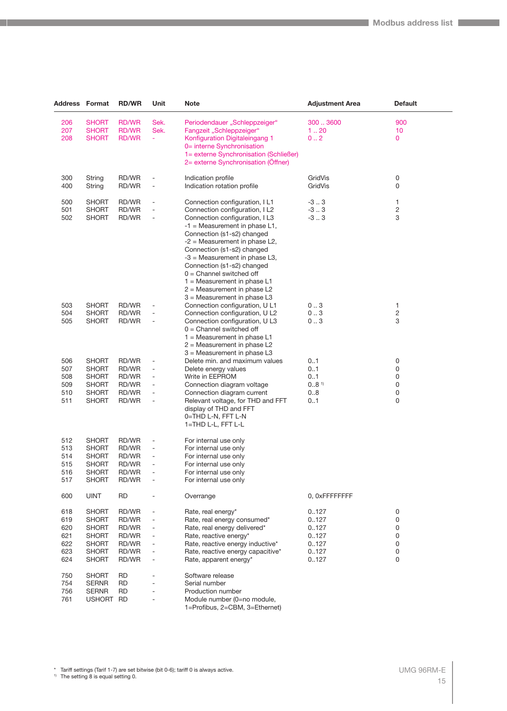| <b>Address Format</b> |                       | <b>RD/WR</b>   | Unit                     | <b>Note</b>                                                    | <b>Adjustment Area</b> | <b>Default</b>          |  |
|-----------------------|-----------------------|----------------|--------------------------|----------------------------------------------------------------|------------------------|-------------------------|--|
| 206                   | <b>SHORT</b>          | RD/WR          | Sek.                     | Periodendauer "Schleppzeiger"                                  | 3003600                | 900                     |  |
| 207                   | <b>SHORT</b>          | RD/WR          | Sek.                     | Fangzeit "Schleppzeiger"                                       | 120                    | 10                      |  |
| 208                   | <b>SHORT</b>          | RD/WR          | ÷.                       | Konfiguration Digitaleingang 1                                 | 0.2                    | $\mathbf{0}$            |  |
|                       |                       |                |                          | 0= interne Synchronisation                                     |                        |                         |  |
|                       |                       |                |                          | 1= externe Synchronisation (Schließer)                         |                        |                         |  |
|                       |                       |                |                          | 2= externe Synchronisation (Offner)                            |                        |                         |  |
| 300                   | String                | RD/WR          | $\overline{a}$           | Indication profile                                             | GridVis                | 0                       |  |
| 400                   | String                | RD/WR          | ÷                        | Indication rotation profile                                    | GridVis                | 0                       |  |
| 500                   | <b>SHORT</b>          | RD/WR          | $\overline{a}$           | Connection configuration, IL1                                  | $-3.0.3$               | 1                       |  |
| 501                   | <b>SHORT</b>          | RD/WR          | $\overline{\phantom{a}}$ | Connection configuration, I L2                                 | $-3.3$                 | $\overline{\mathbf{c}}$ |  |
| 502                   | <b>SHORT</b>          | RD/WR          | $\overline{\phantom{a}}$ | Connection configuration, I L3                                 | $-3.3$                 | 3                       |  |
|                       |                       |                |                          | $-1$ = Measurement in phase L1,                                |                        |                         |  |
|                       |                       |                |                          | Connection (s1-s2) changed                                     |                        |                         |  |
|                       |                       |                |                          | $-2$ = Measurement in phase L2,                                |                        |                         |  |
|                       |                       |                |                          | Connection (s1-s2) changed                                     |                        |                         |  |
|                       |                       |                |                          | $-3$ = Measurement in phase L3,<br>Connection (s1-s2) changed  |                        |                         |  |
|                       |                       |                |                          | $0 =$ Channel switched off                                     |                        |                         |  |
|                       |                       |                |                          | $1 =$ Measurement in phase L1                                  |                        |                         |  |
|                       |                       |                |                          | $2$ = Measurement in phase L2                                  |                        |                         |  |
|                       |                       |                |                          | $3$ = Measurement in phase L3                                  |                        |                         |  |
| 503                   | <b>SHORT</b>          | RD/WR          |                          | Connection configuration, U L1                                 | 03                     | 1                       |  |
| 504                   | <b>SHORT</b>          | RD/WR          |                          | Connection configuration, U L2                                 | 03                     | 2                       |  |
| 505                   | <b>SHORT</b>          | RD/WR          |                          | Connection configuration, U L3                                 | 03                     | 3                       |  |
|                       |                       |                |                          | $0 =$ Channel switched off                                     |                        |                         |  |
|                       |                       |                |                          | $1 =$ Measurement in phase L1                                  |                        |                         |  |
|                       |                       |                |                          | $2$ = Measurement in phase L2<br>$3$ = Measurement in phase L3 |                        |                         |  |
| 506                   | <b>SHORT</b>          | RD/WR          | $\overline{a}$           | Delete min. and maximum values                                 | 01                     | 0                       |  |
| 507                   | <b>SHORT</b>          | RD/WR          | $\overline{\phantom{a}}$ | Delete energy values                                           | 01                     | 0                       |  |
| 508                   | <b>SHORT</b>          | RD/WR          | $\overline{a}$           | Write in EEPROM                                                | 0.1                    | 0                       |  |
| 509                   | <b>SHORT</b>          | RD/WR          | $\overline{\phantom{a}}$ | Connection diagram voltage                                     | $08$ <sup>1)</sup>     | 0                       |  |
| 510                   | <b>SHORT</b>          | RD/WR          | L,                       | Connection diagram current                                     | 08                     | 0                       |  |
| 511                   | <b>SHORT</b>          | RD/WR          | L,                       | Relevant voltage, for THD and FFT                              | 0.1                    | 0                       |  |
|                       |                       |                |                          | display of THD and FFT                                         |                        |                         |  |
|                       |                       |                |                          | 0=THD L-N, FFT L-N<br>1=THD L-L, FFT L-L                       |                        |                         |  |
|                       |                       |                |                          |                                                                |                        |                         |  |
| 512                   | <b>SHORT</b>          | RD/WR          | $\overline{a}$           | For internal use only                                          |                        |                         |  |
| 513                   | <b>SHORT</b>          | RD/WR          |                          | For internal use only                                          |                        |                         |  |
| 514                   | <b>SHORT</b>          | RD/WR          |                          | For internal use only                                          |                        |                         |  |
| 515<br>516            | <b>SHORT</b><br>SHORT | RD/WR<br>RD/WR |                          | For internal use only<br>For internal use only                 |                        |                         |  |
| 517                   | <b>SHORT</b>          | RD/WR          |                          | For internal use only                                          |                        |                         |  |
|                       |                       |                |                          |                                                                |                        |                         |  |
| 600                   | <b>UINT</b>           | <b>RD</b>      |                          | Overrange                                                      | 0, OxFFFFFFFF          |                         |  |
| 618                   | <b>SHORT</b>          | RD/WR          |                          | Rate, real energy*                                             | 0.127                  | 0                       |  |
| 619                   | <b>SHORT</b>          | RD/WR          |                          | Rate, real energy consumed*                                    | 0.127                  | 0                       |  |
| 620                   | <b>SHORT</b>          | RD/WR          |                          | Rate, real energy delivered*                                   | 0.127                  | 0                       |  |
| 621                   | <b>SHORT</b>          | RD/WR          |                          | Rate, reactive energy*                                         | 0.127                  | 0                       |  |
| 622                   | <b>SHORT</b>          | RD/WR          |                          | Rate, reactive energy inductive*                               | 0.127                  | 0                       |  |
| 623                   | <b>SHORT</b>          | RD/WR          |                          | Rate, reactive energy capacitive*                              | 0127                   | 0                       |  |
| 624                   | <b>SHORT</b>          | RD/WR          |                          | Rate, apparent energy*                                         | 0.127                  | 0                       |  |
| 750                   | <b>SHORT</b>          | RD             |                          | Software release                                               |                        |                         |  |
| 754                   | <b>SERNR</b>          | RD             |                          | Serial number                                                  |                        |                         |  |
| 756                   | <b>SERNR</b>          | RD             |                          | Production number                                              |                        |                         |  |
| 761                   | USHORT RD             |                |                          | Module number (0=no module,                                    |                        |                         |  |
|                       |                       |                |                          | 1=Profibus, 2=CBM, 3=Ethernet)                                 |                        |                         |  |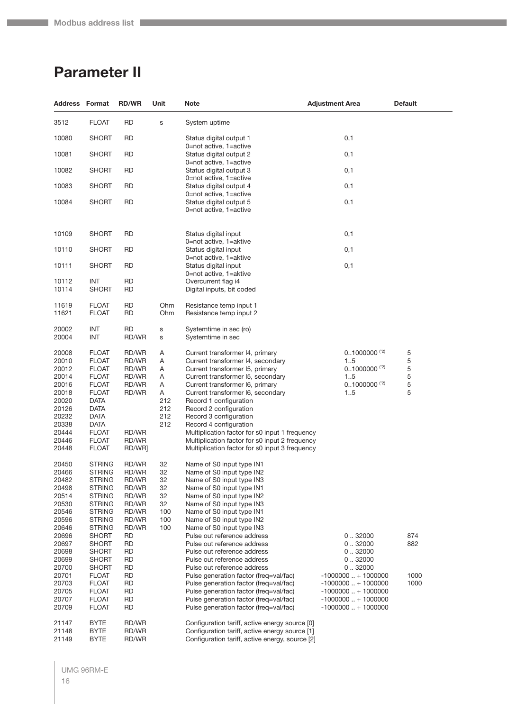# <span id="page-15-0"></span>**Parameter II**

|                                                                                                                   | Address Format                                                                                                                                                                                           | <b>RD/WR</b>                                                                                         | Unit                                                   | Note                                                                                                                                                                                                                                                                                                                                                                                                                                                                               | <b>Adjustment Area</b>                                                                                                                      | <b>Default</b>             |
|-------------------------------------------------------------------------------------------------------------------|----------------------------------------------------------------------------------------------------------------------------------------------------------------------------------------------------------|------------------------------------------------------------------------------------------------------|--------------------------------------------------------|------------------------------------------------------------------------------------------------------------------------------------------------------------------------------------------------------------------------------------------------------------------------------------------------------------------------------------------------------------------------------------------------------------------------------------------------------------------------------------|---------------------------------------------------------------------------------------------------------------------------------------------|----------------------------|
| 3512                                                                                                              | <b>FLOAT</b>                                                                                                                                                                                             | <b>RD</b>                                                                                            | S                                                      | System uptime                                                                                                                                                                                                                                                                                                                                                                                                                                                                      |                                                                                                                                             |                            |
| 10080                                                                                                             | <b>SHORT</b>                                                                                                                                                                                             | RD                                                                                                   |                                                        | Status digital output 1<br>0=not active, 1=active                                                                                                                                                                                                                                                                                                                                                                                                                                  | 0,1                                                                                                                                         |                            |
| 10081                                                                                                             | SHORT                                                                                                                                                                                                    | <b>RD</b>                                                                                            |                                                        | Status digital output 2<br>0=not active, 1=active                                                                                                                                                                                                                                                                                                                                                                                                                                  | 0,1                                                                                                                                         |                            |
| 10082                                                                                                             | <b>SHORT</b>                                                                                                                                                                                             | <b>RD</b>                                                                                            |                                                        | Status digital output 3<br>0=not active, 1=active                                                                                                                                                                                                                                                                                                                                                                                                                                  | 0,1                                                                                                                                         |                            |
| 10083                                                                                                             | <b>SHORT</b>                                                                                                                                                                                             | <b>RD</b>                                                                                            |                                                        | Status digital output 4<br>0=not active, 1=active                                                                                                                                                                                                                                                                                                                                                                                                                                  | 0,1                                                                                                                                         |                            |
| 10084                                                                                                             | <b>SHORT</b>                                                                                                                                                                                             | <b>RD</b>                                                                                            |                                                        | Status digital output 5<br>0=not active, 1=active                                                                                                                                                                                                                                                                                                                                                                                                                                  | 0,1                                                                                                                                         |                            |
| 10109                                                                                                             | <b>SHORT</b>                                                                                                                                                                                             | <b>RD</b>                                                                                            |                                                        | Status digital input<br>0=not active, 1=aktive                                                                                                                                                                                                                                                                                                                                                                                                                                     | 0,1                                                                                                                                         |                            |
| 10110                                                                                                             | <b>SHORT</b>                                                                                                                                                                                             | <b>RD</b>                                                                                            |                                                        | Status digital input<br>0=not active, 1=aktive                                                                                                                                                                                                                                                                                                                                                                                                                                     | 0,1                                                                                                                                         |                            |
| 10111                                                                                                             | <b>SHORT</b>                                                                                                                                                                                             | <b>RD</b>                                                                                            |                                                        | Status digital input<br>0=not active, 1=aktive                                                                                                                                                                                                                                                                                                                                                                                                                                     | 0,1                                                                                                                                         |                            |
| 10112<br>10114                                                                                                    | INT<br><b>SHORT</b>                                                                                                                                                                                      | <b>RD</b><br><b>RD</b>                                                                               |                                                        | Overcurrent flag i4<br>Digital inputs, bit coded                                                                                                                                                                                                                                                                                                                                                                                                                                   |                                                                                                                                             |                            |
| 11619<br>11621                                                                                                    | <b>FLOAT</b><br><b>FLOAT</b>                                                                                                                                                                             | <b>RD</b><br><b>RD</b>                                                                               | Ohm<br>Ohm                                             | Resistance temp input 1<br>Resistance temp input 2                                                                                                                                                                                                                                                                                                                                                                                                                                 |                                                                                                                                             |                            |
| 20002<br>20004                                                                                                    | INT<br><b>INT</b>                                                                                                                                                                                        | RD<br>RD/WR                                                                                          | s<br>S                                                 | Systemtime in sec (ro)<br>Systemtime in sec                                                                                                                                                                                                                                                                                                                                                                                                                                        |                                                                                                                                             |                            |
| 20008<br>20010<br>20012<br>20014<br>20016<br>20018<br>20020<br>20126<br>20232<br>20338<br>20444<br>20446<br>20448 | <b>FLOAT</b><br><b>FLOAT</b><br><b>FLOAT</b><br><b>FLOAT</b><br><b>FLOAT</b><br><b>FLOAT</b><br><b>DATA</b><br><b>DATA</b><br><b>DATA</b><br><b>DATA</b><br><b>FLOAT</b><br><b>FLOAT</b><br><b>FLOAT</b> | RD/WR<br>RD/WR<br>RD/WR<br>RD/WR<br>RD/WR<br>RD/WR<br>RD/WR<br>RD/WR<br>RD/WR]                       | Α<br>Α<br>Α<br>Α<br>Α<br>Α<br>212<br>212<br>212<br>212 | Current transformer I4, primary<br>Current transformer I4, secondary<br>Current transformer I5, primary<br>Current transformer I5, secondary<br>Current transformer I6, primary<br>Current transformer I6, secondary<br>Record 1 configuration<br>Record 2 configuration<br>Record 3 configuration<br>Record 4 configuration<br>Multiplication factor for s0 input 1 frequency<br>Multiplication factor for s0 input 2 frequency<br>Multiplication factor for s0 input 3 frequency | $0.1000000$ <sup>(*2)</sup><br>15<br>$0.1000000$ <sup>(2)</sup><br>15<br>$0.1000000$ <sup>(2)</sup><br>15                                   | 5<br>5<br>5<br>5<br>5<br>5 |
| 20450<br>20466<br>20482<br>20498<br>20514<br>20530<br>20546<br>20596<br>20646<br>20696<br>20697                   | <b>STRING</b><br>STRING<br><b>STRING</b><br><b>STRING</b><br>STRING<br><b>STRING</b><br><b>STRING</b><br>STRING<br><b>STRING</b><br>SHORT<br><b>SHORT</b>                                                | RD/WR<br>RD/WR<br>RD/WR<br>RD/WR<br>RD/WR<br>RD/WR<br>RD/WR<br>RD/WR<br>RD/WR<br>RD<br><b>RD</b>     | 32<br>32<br>32<br>32<br>32<br>32<br>100<br>100<br>100  | Name of S0 input type IN1<br>Name of S0 input type IN2<br>Name of S0 input type IN3<br>Name of S0 input type IN1<br>Name of S0 input type IN2<br>Name of S0 input type IN3<br>Name of S0 input type IN1<br>Name of S0 input type IN2<br>Name of S0 input type IN3<br>Pulse out reference address<br>Pulse out reference address                                                                                                                                                    | 0.32000<br>0.32000                                                                                                                          | 874<br>882                 |
| 20698<br>20699<br>20700<br>20701<br>20703<br>20705<br>20707<br>20709                                              | SHORT<br>SHORT<br><b>SHORT</b><br><b>FLOAT</b><br><b>FLOAT</b><br><b>FLOAT</b><br><b>FLOAT</b><br><b>FLOAT</b>                                                                                           | <b>RD</b><br><b>RD</b><br><b>RD</b><br><b>RD</b><br><b>RD</b><br><b>RD</b><br><b>RD</b><br><b>RD</b> |                                                        | Pulse out reference address<br>Pulse out reference address<br>Pulse out reference address<br>Pulse generation factor (freg=val/fac)<br>Pulse generation factor (freq=val/fac)<br>Pulse generation factor (freq=val/fac)<br>Pulse generation factor (freq=val/fac)<br>Pulse generation factor (freq=val/fac)                                                                                                                                                                        | 0.32000<br>0.32000<br>0.32000<br>$-1000000+1000000$<br>$-1000000+1000000$<br>$-1000000+1000000$<br>$-1000000+1000000$<br>$-1000000+1000000$ | 1000<br>1000               |
| 21147<br>21148<br>21149                                                                                           | <b>BYTE</b><br><b>BYTE</b><br><b>BYTE</b>                                                                                                                                                                | RD/WR<br>RD/WR<br>RD/WR                                                                              |                                                        | Configuration tariff, active energy source [0]<br>Configuration tariff, active energy source [1]<br>Configuration tariff, active energy, source [2]                                                                                                                                                                                                                                                                                                                                |                                                                                                                                             |                            |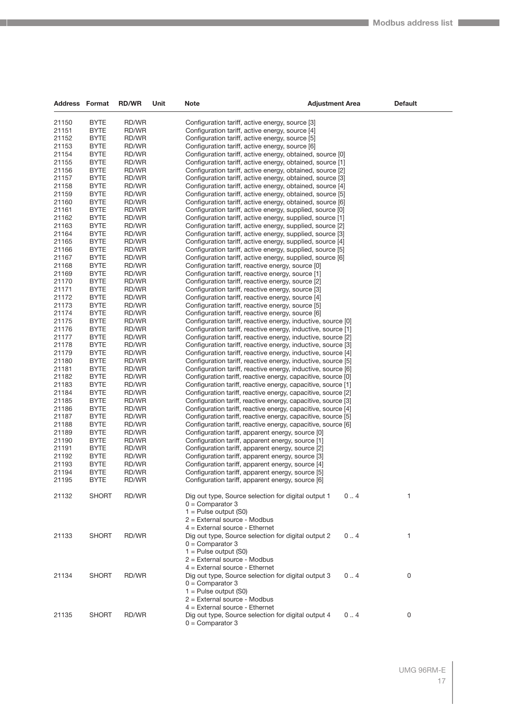| <b>Address Format</b> |                            | <b>RD/WR</b>   | Unit | Note                                                                                                                           | Adjustment Area | <b>Default</b> |
|-----------------------|----------------------------|----------------|------|--------------------------------------------------------------------------------------------------------------------------------|-----------------|----------------|
| 21150                 | <b>BYTE</b>                | RD/WR          |      | Configuration tariff, active energy, source [3]                                                                                |                 |                |
| 21151                 | <b>BYTE</b>                | RD/WR          |      | Configuration tariff, active energy, source [4]                                                                                |                 |                |
| 21152                 | <b>BYTE</b>                | RD/WR          |      | Configuration tariff, active energy, source [5]                                                                                |                 |                |
| 21153                 | <b>BYTE</b>                | RD/WR          |      | Configuration tariff, active energy, source [6]                                                                                |                 |                |
| 21154                 | <b>BYTE</b>                | RD/WR          |      | Configuration tariff, active energy, obtained, source [0]                                                                      |                 |                |
| 21155                 | <b>BYTE</b>                | RD/WR          |      | Configuration tariff, active energy, obtained, source [1]                                                                      |                 |                |
| 21156                 | <b>BYTE</b>                | RD/WR          |      | Configuration tariff, active energy, obtained, source [2]                                                                      |                 |                |
| 21157                 | <b>BYTE</b>                | RD/WR          |      | Configuration tariff, active energy, obtained, source [3]                                                                      |                 |                |
| 21158                 | <b>BYTE</b>                | RD/WR          |      | Configuration tariff, active energy, obtained, source [4]                                                                      |                 |                |
| 21159                 | <b>BYTE</b>                | RD/WR          |      | Configuration tariff, active energy, obtained, source [5]                                                                      |                 |                |
| 21160                 | <b>BYTE</b>                | RD/WR          |      | Configuration tariff, active energy, obtained, source [6]                                                                      |                 |                |
| 21161                 | <b>BYTE</b>                | RD/WR          |      | Configuration tariff, active energy, supplied, source [0]                                                                      |                 |                |
| 21162                 | <b>BYTE</b>                | RD/WR          |      | Configuration tariff, active energy, supplied, source [1]                                                                      |                 |                |
| 21163                 | <b>BYTE</b>                | RD/WR          |      | Configuration tariff, active energy, supplied, source [2]                                                                      |                 |                |
| 21164<br>21165        | <b>BYTE</b><br><b>BYTE</b> | RD/WR<br>RD/WR |      | Configuration tariff, active energy, supplied, source [3]                                                                      |                 |                |
| 21166                 | <b>BYTE</b>                | RD/WR          |      | Configuration tariff, active energy, supplied, source [4]<br>Configuration tariff, active energy, supplied, source [5]         |                 |                |
| 21167                 | <b>BYTE</b>                | RD/WR          |      | Configuration tariff, active energy, supplied, source [6]                                                                      |                 |                |
| 21168                 | <b>BYTE</b>                | RD/WR          |      | Configuration tariff, reactive energy, source [0]                                                                              |                 |                |
| 21169                 | <b>BYTE</b>                | RD/WR          |      | Configuration tariff, reactive energy, source [1]                                                                              |                 |                |
| 21170                 | <b>BYTE</b>                | RD/WR          |      | Configuration tariff, reactive energy, source [2]                                                                              |                 |                |
| 21171                 | <b>BYTE</b>                | RD/WR          |      | Configuration tariff, reactive energy, source [3]                                                                              |                 |                |
| 21172                 | <b>BYTE</b>                | RD/WR          |      | Configuration tariff, reactive energy, source [4]                                                                              |                 |                |
| 21173                 | <b>BYTE</b>                | RD/WR          |      | Configuration tariff, reactive energy, source [5]                                                                              |                 |                |
| 21174                 | <b>BYTE</b>                | RD/WR          |      | Configuration tariff, reactive energy, source [6]                                                                              |                 |                |
| 21175                 | <b>BYTE</b>                | RD/WR          |      | Configuration tariff, reactive energy, inductive, source [0]                                                                   |                 |                |
| 21176                 | <b>BYTE</b>                | RD/WR          |      | Configuration tariff, reactive energy, inductive, source [1]                                                                   |                 |                |
| 21177                 | <b>BYTE</b>                | RD/WR          |      | Configuration tariff, reactive energy, inductive, source [2]                                                                   |                 |                |
| 21178                 | <b>BYTE</b>                | RD/WR          |      | Configuration tariff, reactive energy, inductive, source [3]                                                                   |                 |                |
| 21179                 | <b>BYTE</b>                | RD/WR          |      | Configuration tariff, reactive energy, inductive, source [4]                                                                   |                 |                |
| 21180                 | <b>BYTE</b>                | RD/WR          |      | Configuration tariff, reactive energy, inductive, source [5]                                                                   |                 |                |
| 21181                 | <b>BYTE</b>                | RD/WR          |      | Configuration tariff, reactive energy, inductive, source [6]                                                                   |                 |                |
| 21182<br>21183        | <b>BYTE</b><br><b>BYTE</b> | RD/WR<br>RD/WR |      | Configuration tariff, reactive energy, capacitive, source [0]                                                                  |                 |                |
| 21184                 | <b>BYTE</b>                | RD/WR          |      | Configuration tariff, reactive energy, capacitive, source [1]<br>Configuration tariff, reactive energy, capacitive, source [2] |                 |                |
| 21185                 | <b>BYTE</b>                | RD/WR          |      | Configuration tariff, reactive energy, capacitive, source [3]                                                                  |                 |                |
| 21186                 | <b>BYTE</b>                | RD/WR          |      | Configuration tariff, reactive energy, capacitive, source [4]                                                                  |                 |                |
| 21187                 | <b>BYTE</b>                | RD/WR          |      | Configuration tariff, reactive energy, capacitive, source [5]                                                                  |                 |                |
| 21188                 | <b>BYTE</b>                | RD/WR          |      | Configuration tariff, reactive energy, capacitive, source [6]                                                                  |                 |                |
| 21189                 | <b>BYTE</b>                | RD/WR          |      | Configuration tariff, apparent energy, source [0]                                                                              |                 |                |
| 21190                 | <b>BYTE</b>                | RD/WR          |      | Configuration tariff, apparent energy, source [1]                                                                              |                 |                |
| 21191                 | <b>BYTE</b>                | RD/WR          |      | Configuration tariff, apparent energy, source [2]                                                                              |                 |                |
| 21192                 | <b>BYTE</b>                | RD/WR          |      | Configuration tariff, apparent energy, source [3]                                                                              |                 |                |
| 21193                 | <b>BYTE</b>                | RD/WR          |      | Configuration tariff, apparent energy, source [4]                                                                              |                 |                |
| 21194                 | <b>BYTE</b>                | RD/WR          |      | Configuration tariff, apparent energy, source [5]                                                                              |                 |                |
| 21195                 | <b>BYTE</b>                | RD/WR          |      | Configuration tariff, apparent energy, source [6]                                                                              |                 |                |
| 21132                 | <b>SHORT</b>               | RD/WR          |      | Dig out type, Source selection for digital output 1<br>$0 =$ Comparator 3                                                      | 0.4             | 1              |
|                       |                            |                |      | $1 =$ Pulse output (S0)                                                                                                        |                 |                |
|                       |                            |                |      | $2$ = External source - Modbus                                                                                                 |                 |                |
|                       |                            |                |      | $4$ = External source - Ethernet                                                                                               |                 |                |
| 21133                 | <b>SHORT</b>               | RD/WR          |      | Dig out type, Source selection for digital output 2                                                                            | 0.4             | 1              |
|                       |                            |                |      | $0 =$ Comparator 3                                                                                                             |                 |                |
|                       |                            |                |      | $1 =$ Pulse output (S0)                                                                                                        |                 |                |
|                       |                            |                |      | $2$ = External source - Modbus                                                                                                 |                 |                |
|                       |                            |                |      | $4$ = External source - Ethernet                                                                                               |                 |                |
| 21134                 | <b>SHORT</b>               | RD/WR          |      | Dig out type, Source selection for digital output 3                                                                            | 0.4             | 0              |
|                       |                            |                |      | $0 =$ Comparator 3                                                                                                             |                 |                |
|                       |                            |                |      | $1 =$ Pulse output (S0)                                                                                                        |                 |                |
|                       |                            |                |      | $2$ = External source - Modbus                                                                                                 |                 |                |
|                       |                            |                |      | $4$ = External source - Ethernet                                                                                               |                 |                |
| 21135                 | <b>SHORT</b>               | RD/WR          |      | Dig out type, Source selection for digital output 4                                                                            | 0.4             | 0              |
|                       |                            |                |      | $0 =$ Comparator 3                                                                                                             |                 |                |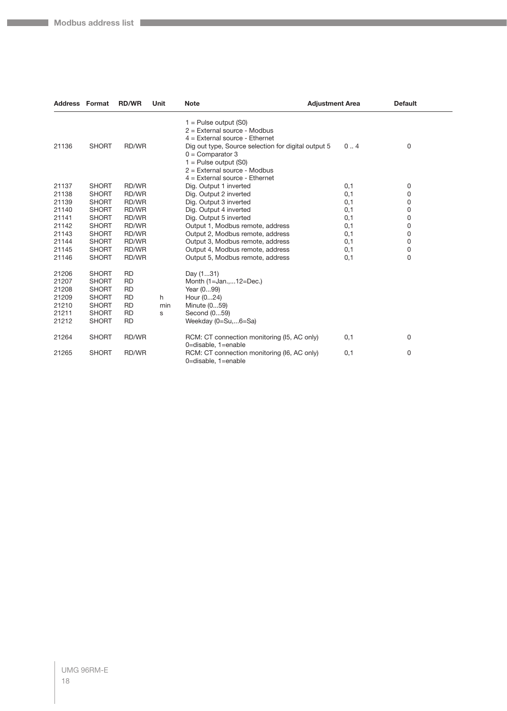**Company** 

| <b>Address Format</b>                                       |                                                                                                              | <b>RD/WR</b>                                                                            | Unit          | <b>Note</b>                                                                                                                                                                | <b>Adjustment Area</b> | <b>Default</b> |
|-------------------------------------------------------------|--------------------------------------------------------------------------------------------------------------|-----------------------------------------------------------------------------------------|---------------|----------------------------------------------------------------------------------------------------------------------------------------------------------------------------|------------------------|----------------|
|                                                             |                                                                                                              |                                                                                         |               | $1 =$ Pulse output (S0)<br>$2$ = External source - Modbus<br>$4$ = External source - Ethernet                                                                              |                        |                |
| 21136                                                       | <b>SHORT</b>                                                                                                 | RD/WR                                                                                   |               | Dig out type, Source selection for digital output 5<br>$0 =$ Comparator 3<br>$1 =$ Pulse output (S0)<br>$2$ = External source - Modbus<br>$4$ = External source - Ethernet | 0.4                    | 0              |
| 21137                                                       | <b>SHORT</b>                                                                                                 | RD/WR                                                                                   |               | Dig. Output 1 inverted                                                                                                                                                     | 0,1                    | 0              |
| 21138                                                       | <b>SHORT</b>                                                                                                 | RD/WR                                                                                   |               | Dig. Output 2 inverted                                                                                                                                                     | 0,1                    | 0              |
| 21139                                                       | <b>SHORT</b>                                                                                                 | RD/WR                                                                                   |               | Dig. Output 3 inverted                                                                                                                                                     | 0,1                    | 0              |
| 21140                                                       | <b>SHORT</b>                                                                                                 | RD/WR                                                                                   |               | Dig. Output 4 inverted                                                                                                                                                     | 0,1                    | 0              |
| 21141                                                       | <b>SHORT</b>                                                                                                 | RD/WR                                                                                   |               | Dig. Output 5 inverted                                                                                                                                                     | 0,1                    | 0              |
| 21142                                                       | <b>SHORT</b>                                                                                                 | RD/WR                                                                                   |               | Output 1, Modbus remote, address                                                                                                                                           | 0,1                    | 0              |
| 21143                                                       | <b>SHORT</b>                                                                                                 | RD/WR                                                                                   |               | Output 2, Modbus remote, address                                                                                                                                           | 0,1                    | 0              |
| 21144                                                       | <b>SHORT</b>                                                                                                 | RD/WR                                                                                   |               | Output 3, Modbus remote, address                                                                                                                                           | 0,1                    | 0              |
| 21145                                                       | <b>SHORT</b>                                                                                                 | RD/WR                                                                                   |               | Output 4, Modbus remote, address                                                                                                                                           | 0,1                    | 0              |
| 21146                                                       | <b>SHORT</b>                                                                                                 | RD/WR                                                                                   |               | Output 5, Modbus remote, address                                                                                                                                           | 0,1                    | $\mathbf 0$    |
| 21206<br>21207<br>21208<br>21209<br>21210<br>21211<br>21212 | <b>SHORT</b><br><b>SHORT</b><br><b>SHORT</b><br><b>SHORT</b><br><b>SHORT</b><br><b>SHORT</b><br><b>SHORT</b> | <b>RD</b><br><b>RD</b><br><b>RD</b><br><b>RD</b><br><b>RD</b><br><b>RD</b><br><b>RD</b> | h<br>min<br>s | Day (131)<br>Month (1=Jan.,12=Dec.)<br>Year (099)<br>Hour (024)<br>Minute (059)<br>Second (059)<br>Weekday (0=Su,6=Sa)                                                     |                        |                |
| 21264                                                       | <b>SHORT</b>                                                                                                 | RD/WR                                                                                   |               | RCM: CT connection monitoring (I5, AC only)<br>0=disable, 1=enable                                                                                                         | 0,1                    | 0              |
| 21265                                                       | <b>SHORT</b>                                                                                                 | RD/WR                                                                                   |               | RCM: CT connection monitoring (16, AC only)<br>0=disable, 1=enable                                                                                                         | 0,1                    | 0              |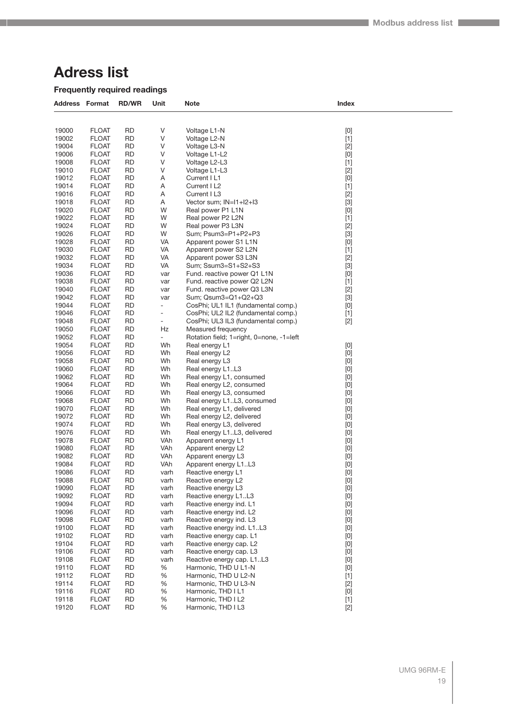# <span id="page-18-0"></span>**Adress list**

# **Frequently required readings**

| <b>Address Format</b> |                              | <b>RD/WR</b>           | Unit                     | <b>Note</b>                                          | Index                                                                                                                                                                                                                                                                                                                                                                                                                                                                                                                                                                                                                                                      |  |
|-----------------------|------------------------------|------------------------|--------------------------|------------------------------------------------------|------------------------------------------------------------------------------------------------------------------------------------------------------------------------------------------------------------------------------------------------------------------------------------------------------------------------------------------------------------------------------------------------------------------------------------------------------------------------------------------------------------------------------------------------------------------------------------------------------------------------------------------------------------|--|
|                       |                              |                        |                          |                                                      |                                                                                                                                                                                                                                                                                                                                                                                                                                                                                                                                                                                                                                                            |  |
| 19000                 | <b>FLOAT</b>                 | <b>RD</b>              | V                        | Voltage L1-N                                         | $[0] % \begin{center} % \includegraphics[width=\linewidth]{imagesSupplemental_3.png} % \end{center} % \caption { % Our method is used for the method. % Note that the \emph{exponent} and \emph{exponent} is used for the \emph{exponent} and \emph{exponent} is used for the \emph{exponent} and \emph{exponent} is used for the \emph{exponent} and \emph{exponent} is used for the \emph{exponent} and \emph{exponent} is used for the \emph{exponent} and \emph{exponent} is used for the \emph{exponent} and \emph{exponent} is used for the \emph{exponent} and \emph{exponent} is used for the \emph{exponent} and \emph{exponent} is used for the$ |  |
| 19002                 | <b>FLOAT</b>                 | <b>RD</b>              | ٧                        | Voltage L2-N                                         | $[1]$                                                                                                                                                                                                                                                                                                                                                                                                                                                                                                                                                                                                                                                      |  |
| 19004                 | <b>FLOAT</b>                 | <b>RD</b>              | ٧                        | Voltage L3-N                                         | $[2]$                                                                                                                                                                                                                                                                                                                                                                                                                                                                                                                                                                                                                                                      |  |
| 19006                 | <b>FLOAT</b>                 | <b>RD</b>              | ٧                        | Voltage L1-L2                                        | [0]                                                                                                                                                                                                                                                                                                                                                                                                                                                                                                                                                                                                                                                        |  |
| 19008                 | <b>FLOAT</b>                 | <b>RD</b>              | V                        | Voltage L2-L3                                        | $[1]$                                                                                                                                                                                                                                                                                                                                                                                                                                                                                                                                                                                                                                                      |  |
| 19010                 | <b>FLOAT</b>                 | <b>RD</b>              | V                        | Voltage L1-L3                                        | $[2]$                                                                                                                                                                                                                                                                                                                                                                                                                                                                                                                                                                                                                                                      |  |
| 19012<br>19014        | <b>FLOAT</b>                 | <b>RD</b><br><b>RD</b> | Α<br>Α                   | Current I L1                                         | [0]                                                                                                                                                                                                                                                                                                                                                                                                                                                                                                                                                                                                                                                        |  |
| 19016                 | <b>FLOAT</b><br><b>FLOAT</b> | <b>RD</b>              |                          | Current I L2<br>Current I L3                         | $[1]$                                                                                                                                                                                                                                                                                                                                                                                                                                                                                                                                                                                                                                                      |  |
| 19018                 | <b>FLOAT</b>                 | <b>RD</b>              | Α<br>Α                   | Vector sum; IN=I1+I2+I3                              | $[2]$<br>$[3]$                                                                                                                                                                                                                                                                                                                                                                                                                                                                                                                                                                                                                                             |  |
| 19020                 | <b>FLOAT</b>                 | <b>RD</b>              | W                        | Real power P1 L1N                                    | [0]                                                                                                                                                                                                                                                                                                                                                                                                                                                                                                                                                                                                                                                        |  |
| 19022                 | <b>FLOAT</b>                 | <b>RD</b>              | W                        | Real power P2 L2N                                    | $[1]$                                                                                                                                                                                                                                                                                                                                                                                                                                                                                                                                                                                                                                                      |  |
| 19024                 | <b>FLOAT</b>                 | <b>RD</b>              | W                        | Real power P3 L3N                                    | $[2]$                                                                                                                                                                                                                                                                                                                                                                                                                                                                                                                                                                                                                                                      |  |
| 19026                 | <b>FLOAT</b>                 | RD                     | W                        | Sum; Psum3=P1+P2+P3                                  | $[3]$                                                                                                                                                                                                                                                                                                                                                                                                                                                                                                                                                                                                                                                      |  |
| 19028                 | <b>FLOAT</b>                 | <b>RD</b>              | VA                       | Apparent power S1 L1N                                | $[0]$                                                                                                                                                                                                                                                                                                                                                                                                                                                                                                                                                                                                                                                      |  |
| 19030                 | <b>FLOAT</b>                 | <b>RD</b>              | VA                       | Apparent power S2 L2N                                | $[1]$                                                                                                                                                                                                                                                                                                                                                                                                                                                                                                                                                                                                                                                      |  |
| 19032                 | <b>FLOAT</b>                 | <b>RD</b>              | VA                       | Apparent power S3 L3N                                | $[2]$                                                                                                                                                                                                                                                                                                                                                                                                                                                                                                                                                                                                                                                      |  |
| 19034                 | <b>FLOAT</b>                 | <b>RD</b>              | VA                       | Sum; Ssum3=S1+S2+S3                                  | $[3]$                                                                                                                                                                                                                                                                                                                                                                                                                                                                                                                                                                                                                                                      |  |
| 19036                 | <b>FLOAT</b>                 | <b>RD</b>              | var                      | Fund. reactive power Q1 L1N                          | [0]                                                                                                                                                                                                                                                                                                                                                                                                                                                                                                                                                                                                                                                        |  |
| 19038                 | <b>FLOAT</b>                 | <b>RD</b>              | var                      | Fund. reactive power Q2 L2N                          | $[1]$                                                                                                                                                                                                                                                                                                                                                                                                                                                                                                                                                                                                                                                      |  |
| 19040                 | <b>FLOAT</b>                 | <b>RD</b>              | var                      | Fund. reactive power Q3 L3N                          | $[2]$                                                                                                                                                                                                                                                                                                                                                                                                                                                                                                                                                                                                                                                      |  |
| 19042                 | <b>FLOAT</b>                 | <b>RD</b>              | var                      | Sum; Qsum3=Q1+Q2+Q3                                  | $[3]$                                                                                                                                                                                                                                                                                                                                                                                                                                                                                                                                                                                                                                                      |  |
| 19044                 | <b>FLOAT</b>                 | <b>RD</b>              | $\overline{\phantom{a}}$ | CosPhi; UL1 IL1 (fundamental comp.)                  | [0]                                                                                                                                                                                                                                                                                                                                                                                                                                                                                                                                                                                                                                                        |  |
| 19046                 | <b>FLOAT</b>                 | <b>RD</b>              | $\overline{\phantom{a}}$ | CosPhi; UL2 IL2 (fundamental comp.)                  | $[1]$                                                                                                                                                                                                                                                                                                                                                                                                                                                                                                                                                                                                                                                      |  |
| 19048                 | <b>FLOAT</b>                 | <b>RD</b>              | $\overline{\phantom{a}}$ | CosPhi; UL3 IL3 (fundamental comp.)                  | $[2]$                                                                                                                                                                                                                                                                                                                                                                                                                                                                                                                                                                                                                                                      |  |
| 19050                 | <b>FLOAT</b>                 | <b>RD</b>              | Hz                       | Measured frequency                                   |                                                                                                                                                                                                                                                                                                                                                                                                                                                                                                                                                                                                                                                            |  |
| 19052                 | <b>FLOAT</b>                 | <b>RD</b>              | $\blacksquare$           | Rotation field; 1=right, 0=none, -1=left             |                                                                                                                                                                                                                                                                                                                                                                                                                                                                                                                                                                                                                                                            |  |
| 19054                 | <b>FLOAT</b>                 | <b>RD</b>              | Wh                       | Real energy L1                                       | [0]                                                                                                                                                                                                                                                                                                                                                                                                                                                                                                                                                                                                                                                        |  |
| 19056                 | <b>FLOAT</b>                 | <b>RD</b>              | Wh                       | Real energy L2                                       | [0]                                                                                                                                                                                                                                                                                                                                                                                                                                                                                                                                                                                                                                                        |  |
| 19058                 | <b>FLOAT</b>                 | <b>RD</b>              | Wh                       | Real energy L3                                       | $[0]$                                                                                                                                                                                                                                                                                                                                                                                                                                                                                                                                                                                                                                                      |  |
| 19060                 | <b>FLOAT</b>                 | <b>RD</b>              | Wh                       | Real energy L1L3                                     | [0]                                                                                                                                                                                                                                                                                                                                                                                                                                                                                                                                                                                                                                                        |  |
| 19062                 | <b>FLOAT</b>                 | <b>RD</b>              | Wh                       | Real energy L1, consumed                             | [0]                                                                                                                                                                                                                                                                                                                                                                                                                                                                                                                                                                                                                                                        |  |
| 19064                 | <b>FLOAT</b>                 | <b>RD</b>              | Wh                       | Real energy L2, consumed                             | [0]                                                                                                                                                                                                                                                                                                                                                                                                                                                                                                                                                                                                                                                        |  |
| 19066                 | <b>FLOAT</b>                 | <b>RD</b>              | Wh                       | Real energy L3, consumed                             | [0]                                                                                                                                                                                                                                                                                                                                                                                                                                                                                                                                                                                                                                                        |  |
| 19068                 | <b>FLOAT</b>                 | <b>RD</b>              | Wh                       | Real energy L1L3, consumed                           | $[0]$                                                                                                                                                                                                                                                                                                                                                                                                                                                                                                                                                                                                                                                      |  |
| 19070                 | <b>FLOAT</b>                 | <b>RD</b>              | Wh                       | Real energy L1, delivered                            | [0]                                                                                                                                                                                                                                                                                                                                                                                                                                                                                                                                                                                                                                                        |  |
| 19072                 | <b>FLOAT</b>                 | <b>RD</b>              | Wh                       | Real energy L2, delivered                            | [0]                                                                                                                                                                                                                                                                                                                                                                                                                                                                                                                                                                                                                                                        |  |
| 19074                 | <b>FLOAT</b>                 | <b>RD</b>              | Wh                       | Real energy L3, delivered                            | [0]                                                                                                                                                                                                                                                                                                                                                                                                                                                                                                                                                                                                                                                        |  |
| 19076                 | <b>FLOAT</b>                 | <b>RD</b>              | Wh                       | Real energy L1L3, delivered                          | [0]                                                                                                                                                                                                                                                                                                                                                                                                                                                                                                                                                                                                                                                        |  |
| 19078                 | <b>FLOAT</b>                 | <b>RD</b>              | VAh                      | Apparent energy L1                                   | $[0]$                                                                                                                                                                                                                                                                                                                                                                                                                                                                                                                                                                                                                                                      |  |
| 19080                 | <b>FLOAT</b>                 | <b>RD</b>              | VAh                      | Apparent energy L2                                   | [0]                                                                                                                                                                                                                                                                                                                                                                                                                                                                                                                                                                                                                                                        |  |
| 19082                 | <b>FLOAT</b>                 | <b>RD</b>              | VAh                      | Apparent energy L3                                   | [0]                                                                                                                                                                                                                                                                                                                                                                                                                                                                                                                                                                                                                                                        |  |
| 19084                 | <b>FLOAT</b>                 | RD                     | VAh                      | Apparent energy L1L3                                 | [0]                                                                                                                                                                                                                                                                                                                                                                                                                                                                                                                                                                                                                                                        |  |
| 19086                 | <b>FLOAT</b>                 | <b>RD</b>              | varh                     | Reactive energy L1                                   | $[0] % \begin{center} % \includegraphics[width=\linewidth]{imagesSupplemental_3.png} % \end{center} % \caption { % Our method can be used for the use of the image. % Note that the \emph{DefNet}~\cite{bib30} as a function of the \emph{DefNet}~\cite{bib30} as a function of the \emph{DefNet}~\cite{bib30} as a function of the \emph{DefNet}~\cite{bib30} as a function of the \emph{DefNet}~\cite{bib30} as a function of the \emph{DefNet}~\cite{bib30} as a function of the \emph{DefNet}~\cite{bib30} as a function of the \emph{DefNet}~\cite{bib30} as a function of the \emph{DefNet}$                                                         |  |
| 19088                 | <b>FLOAT</b>                 | <b>RD</b>              | varh                     | Reactive energy L2                                   | $[0] % \begin{center} % \includegraphics[width=\linewidth]{imagesSupplemental_3.png} % \end{center} % \caption { % Our method can be used for the use of the image. % Note that the \emph{DefNet}~\cite{bib66} as a function of the \emph{DefNet}~\cite{bib66} as a function of the \emph{DefNet}~\cite{bib66} as a function of the \emph{DefNet}~\cite{bib66} as a function of the \emph{DefNet}~\cite{bib66} as a function of the \emph{DefNet}~\cite{bib66} as a function of the \emph{DefNet}~\cite{bib66} as a function of the \emph{DefNet}~\cite{bib66} as a function of the \emph{DefNet}$                                                         |  |
| 19090                 | <b>FLOAT</b>                 | <b>RD</b>              | varh                     | Reactive energy L3                                   | $[0] % \begin{center} % \includegraphics[width=\linewidth]{imagesSupplemental_3.png} % \end{center} % \caption { % Our method can be used for the use of the image. % Note that the \emph{DefNet}~\cite{bib66} as a function of the \emph{DefNet}~\cite{bib66} as a function of the \emph{DefNet}~\cite{bib66} as a function of the \emph{DefNet}~\cite{bib66} as a function of the \emph{DefNet}~\cite{bib66} as a function of the \emph{DefNet}~\cite{bib66} as a function of the \emph{DefNet}~\cite{bib66} as a function of the \emph{DefNet}~\cite{bib66} as a function of the \emph{DefNet}$                                                         |  |
| 19092                 | <b>FLOAT</b>                 | <b>RD</b>              | varh                     | Reactive energy L1L3                                 | $[0]$                                                                                                                                                                                                                                                                                                                                                                                                                                                                                                                                                                                                                                                      |  |
| 19094                 | <b>FLOAT</b>                 | <b>RD</b>              | varh                     | Reactive energy ind. L1                              | $[0] % \begin{center} % \includegraphics[width=\linewidth]{imagesSupplemental_3.png} % \end{center} % \caption { % Our method can be used for the use of the image. % Note that the \emph{DefNet}~\cite{bib66} as a function of the \emph{DefNet}~\cite{bib66} as a function of the \emph{DefNet}~\cite{bib66} as a function of the \emph{DefNet}~\cite{bib66} as a function of the \emph{DefNet}~\cite{bib66} as a function of the \emph{DefNet}~\cite{bib66} as a function of the \emph{DefNet}~\cite{bib66} as a function of the \emph{DefNet}~\cite{bib66} as a function of the \emph{DefNet}$                                                         |  |
| 19096                 | <b>FLOAT</b>                 | <b>RD</b>              | varh                     | Reactive energy ind. L2                              | $[0] % \begin{center} % \includegraphics[width=\linewidth]{imagesSupplemental_3.png} % \end{center} % \caption { % Our method can be used for the use of the image. % Note that the \emph{DefNet}~\cite{bib66} as a function of the \emph{DefNet}~\cite{bib66} as a function of the \emph{DefNet}~\cite{bib66} as a function of the \emph{DefNet}~\cite{bib66} as a function of the \emph{DefNet}~\cite{bib66} as a function of the \emph{DefNet}~\cite{bib66} as a function of the \emph{DefNet}~\cite{bib66} as a function of the \emph{DefNet}~\cite{bib66} as a function of the \emph{DefNet}$                                                         |  |
| 19098                 | <b>FLOAT</b>                 | RD                     | varh                     | Reactive energy ind. L3                              | $[0]$                                                                                                                                                                                                                                                                                                                                                                                                                                                                                                                                                                                                                                                      |  |
| 19100                 | <b>FLOAT</b>                 | <b>RD</b>              | varh                     | Reactive energy ind. L1L3                            | $[0] % \begin{center} % \includegraphics[width=\linewidth]{imagesSupplemental_3.png} % \end{center} % \caption { % Our method can be used for the use of the image. % Note that the \emph{DefNet}~\cite{bib66} as a function of the \emph{DefNet}~\cite{bib66} as a function of the \emph{DefNet}~\cite{bib66} as a function of the \emph{DefNet}~\cite{bib66} as a function of the \emph{DefNet}~\cite{bib66} as a function of the \emph{DefNet}~\cite{bib66} as a function of the \emph{DefNet}~\cite{bib66} as a function of the \emph{DefNet}~\cite{bib66} as a function of the \emph{DefNet}$                                                         |  |
| 19102                 | <b>FLOAT</b>                 | <b>RD</b>              | varh                     | Reactive energy cap. L1                              | $[0]$                                                                                                                                                                                                                                                                                                                                                                                                                                                                                                                                                                                                                                                      |  |
| 19104<br>19106        | <b>FLOAT</b><br><b>FLOAT</b> | <b>RD</b><br><b>RD</b> | varh                     | Reactive energy cap. L2                              | $[0]$                                                                                                                                                                                                                                                                                                                                                                                                                                                                                                                                                                                                                                                      |  |
| 19108                 | <b>FLOAT</b>                 | <b>RD</b>              | varh                     | Reactive energy cap. L3<br>Reactive energy cap. L1L3 | $[0] % \begin{center} % \includegraphics[width=\linewidth]{imagesSupplemental_3.png} % \end{center} % \caption { % Our method can be used for the use of the image. % Note that the \emph{DefNet}~\cite{bib66} as a function of the \emph{DefNet}~\cite{bib66} as a function of the \emph{DefNet}~\cite{bib66} as a function of the \emph{DefNet}~\cite{bib66} as a function of the \emph{DefNet}~\cite{bib66} as a function of the \emph{DefNet}~\cite{bib66} as a function of the \emph{DefNet}~\cite{bib66} as a function of the \emph{DefNet}~\cite{bib66} as a function of the \emph{DefNet}$                                                         |  |
| 19110                 | <b>FLOAT</b>                 | <b>RD</b>              | varh<br>$\%$             | Harmonic, THD U L1-N                                 | $[0]$                                                                                                                                                                                                                                                                                                                                                                                                                                                                                                                                                                                                                                                      |  |
| 19112                 | <b>FLOAT</b>                 | <b>RD</b>              | $\%$                     | Harmonic, THD U L2-N                                 | $[0] % \begin{center} % \includegraphics[width=\linewidth]{imagesSupplemental_3.png} % \end{center} % \caption { % Our method can be used for the use of the image. % Note that the \emph{DefNet}~\cite{bib66} as a function of the \emph{DefNet}~\cite{bib66} as a function of the \emph{DefNet}~\cite{bib66} as a function of the \emph{DefNet}~\cite{bib66} as a function of the \emph{DefNet}~\cite{bib66} as a function of the \emph{DefNet}~\cite{bib66} as a function of the \emph{DefNet}~\cite{bib66} as a function of the \emph{DefNet}~\cite{bib66} as a function of the \emph{DefNet}$<br>$[1]$                                                |  |
| 19114                 | <b>FLOAT</b>                 | <b>RD</b>              | $\%$                     | Harmonic, THD U L3-N                                 | $[2]$                                                                                                                                                                                                                                                                                                                                                                                                                                                                                                                                                                                                                                                      |  |
| 19116                 | <b>FLOAT</b>                 | <b>RD</b>              | $\%$                     | Harmonic, THD I L1                                   | $[0] % \begin{center} % \includegraphics[width=\linewidth]{imagesSupplemental_3.png} % \end{center} % \caption { % Our method is used for the method. % Note that the \emph{exponent} and \emph{exponent} is used for the \emph{exponent} and \emph{exponent} is used for the \emph{exponent} and \emph{exponent} is used for the \emph{exponent} and \emph{exponent} is used for the \emph{exponent} and \emph{exponent} is used for the \emph{exponent} and \emph{exponent} is used for the \emph{exponent} and \emph{exponent} is used for the \emph{exponent} and \emph{exponent} is used for the \emph{exponent} and \emph{exponent} is used for the$ |  |
| 19118                 | <b>FLOAT</b>                 | RD                     | $\%$                     | Harmonic, THD I L2                                   | $[1]$                                                                                                                                                                                                                                                                                                                                                                                                                                                                                                                                                                                                                                                      |  |
| 19120                 | <b>FLOAT</b>                 | <b>RD</b>              | $\%$                     | Harmonic, THD I L3                                   | $[2]$                                                                                                                                                                                                                                                                                                                                                                                                                                                                                                                                                                                                                                                      |  |
|                       |                              |                        |                          |                                                      |                                                                                                                                                                                                                                                                                                                                                                                                                                                                                                                                                                                                                                                            |  |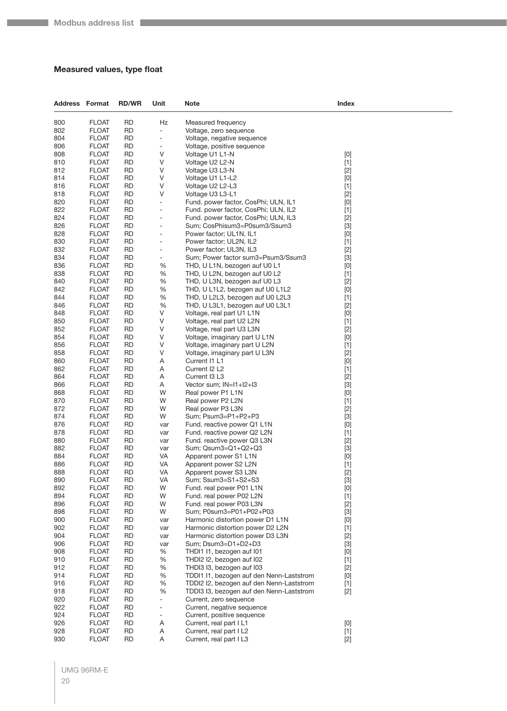## <span id="page-19-0"></span>**Measured values, type float**

| <b>Address Format</b> |                              | <b>RD/WR</b>           | Unit                     | Note                                                  | Index                                                                                                                                                                                                                                                                                                                                                                                                                                                                                                                                                                                                                                                      |  |
|-----------------------|------------------------------|------------------------|--------------------------|-------------------------------------------------------|------------------------------------------------------------------------------------------------------------------------------------------------------------------------------------------------------------------------------------------------------------------------------------------------------------------------------------------------------------------------------------------------------------------------------------------------------------------------------------------------------------------------------------------------------------------------------------------------------------------------------------------------------------|--|
| 800                   | <b>FLOAT</b>                 | <b>RD</b>              | Hz                       | Measured frequency                                    |                                                                                                                                                                                                                                                                                                                                                                                                                                                                                                                                                                                                                                                            |  |
| 802                   | <b>FLOAT</b>                 | <b>RD</b>              | ÷,                       | Voltage, zero sequence                                |                                                                                                                                                                                                                                                                                                                                                                                                                                                                                                                                                                                                                                                            |  |
| 804                   | <b>FLOAT</b>                 | RD                     | ÷,                       | Voltage, negative sequence                            |                                                                                                                                                                                                                                                                                                                                                                                                                                                                                                                                                                                                                                                            |  |
| 806                   | <b>FLOAT</b>                 | <b>RD</b>              | -                        | Voltage, positive sequence                            |                                                                                                                                                                                                                                                                                                                                                                                                                                                                                                                                                                                                                                                            |  |
| 808                   | <b>FLOAT</b>                 | <b>RD</b>              | V                        | Voltage U1 L1-N                                       | $[0] % \begin{center} % \includegraphics[width=\linewidth]{imagesSupplemental_3.png} % \end{center} % \caption { % Our method can be used for the use of the image. % Note that the \emph{DefNet}~\cite{bib66} as a function of the \emph{DefNet}~\cite{bib66} as a function of the \emph{DefNet}~\cite{bib66} as a function of the \emph{DefNet}~\cite{bib66} as a function of the \emph{DefNet}~\cite{bib66} as a function of the \emph{DefNet}~\cite{bib66} as a function of the \emph{DefNet}~\cite{bib66} as a function of the \emph{DefNet}~\cite{bib66} as a function of the \emph{DefNet}$                                                         |  |
| 810                   | <b>FLOAT</b>                 | RD                     | V                        | Voltage U2 L2-N                                       | $[1]$                                                                                                                                                                                                                                                                                                                                                                                                                                                                                                                                                                                                                                                      |  |
| 812                   | <b>FLOAT</b>                 | <b>RD</b>              | V                        | Voltage U3 L3-N                                       | $[2]$                                                                                                                                                                                                                                                                                                                                                                                                                                                                                                                                                                                                                                                      |  |
| 814                   | <b>FLOAT</b>                 | <b>RD</b>              | V                        | Voltage U1 L1-L2                                      | $[0] % \begin{center} % \includegraphics[width=\linewidth]{imagesSupplemental_3.png} % \end{center} % \caption { % Our method can be used for the use of the image. % Note that the \emph{DefNet}~\cite{bib66} as a function of the \emph{DefNet}~\cite{bib66} as a function of the \emph{DefNet}~\cite{bib66} as a function of the \emph{DefNet}~\cite{bib66} as a function of the \emph{DefNet}~\cite{bib66} as a function of the \emph{DefNet}~\cite{bib66} as a function of the \emph{DefNet}~\cite{bib66} as a function of the \emph{DefNet}~\cite{bib66} as a function of the \emph{DefNet}$                                                         |  |
| 816                   | <b>FLOAT</b>                 | <b>RD</b>              | V                        | Voltage U2 L2-L3                                      | $[1]$                                                                                                                                                                                                                                                                                                                                                                                                                                                                                                                                                                                                                                                      |  |
| 818                   | <b>FLOAT</b>                 | <b>RD</b>              | V                        | Voltage U3 L3-L1                                      | $[2]$                                                                                                                                                                                                                                                                                                                                                                                                                                                                                                                                                                                                                                                      |  |
| 820                   | <b>FLOAT</b>                 | RD                     | ÷                        | Fund. power factor, CosPhi; ULN, IL1                  | [0]                                                                                                                                                                                                                                                                                                                                                                                                                                                                                                                                                                                                                                                        |  |
| 822                   | <b>FLOAT</b>                 | <b>RD</b>              | -                        | Fund. power factor, CosPhi; ULN, IL2                  | $[1]$                                                                                                                                                                                                                                                                                                                                                                                                                                                                                                                                                                                                                                                      |  |
| 824                   | <b>FLOAT</b>                 | <b>RD</b>              | $\overline{a}$           | Fund. power factor, CosPhi; ULN, IL3                  | $[2]$                                                                                                                                                                                                                                                                                                                                                                                                                                                                                                                                                                                                                                                      |  |
| 826                   | <b>FLOAT</b>                 | <b>RD</b>              | ÷,                       | Sum; CosPhisum3=P0sum3/Ssum3                          | $[3]$                                                                                                                                                                                                                                                                                                                                                                                                                                                                                                                                                                                                                                                      |  |
| 828                   | <b>FLOAT</b>                 | <b>RD</b><br><b>RD</b> | ÷,                       | Power factor; UL1N, IL1                               | [0]                                                                                                                                                                                                                                                                                                                                                                                                                                                                                                                                                                                                                                                        |  |
| 830<br>832            | <b>FLOAT</b><br><b>FLOAT</b> | <b>RD</b>              | -<br>-                   | Power factor; UL2N, IL2<br>Power factor; UL3N, IL3    | $[1]$<br>$[2]$                                                                                                                                                                                                                                                                                                                                                                                                                                                                                                                                                                                                                                             |  |
| 834                   | <b>FLOAT</b>                 | <b>RD</b>              | -                        | Sum; Power factor sum3=Psum3/Ssum3                    | $[3]$                                                                                                                                                                                                                                                                                                                                                                                                                                                                                                                                                                                                                                                      |  |
| 836                   | <b>FLOAT</b>                 | <b>RD</b>              | %                        | THD, U L1N, bezogen auf U0 L1                         | [0]                                                                                                                                                                                                                                                                                                                                                                                                                                                                                                                                                                                                                                                        |  |
| 838                   | <b>FLOAT</b>                 | <b>RD</b>              | %                        | THD, U L2N, bezogen auf U0 L2                         | $[1]$                                                                                                                                                                                                                                                                                                                                                                                                                                                                                                                                                                                                                                                      |  |
| 840                   | <b>FLOAT</b>                 | <b>RD</b>              | %                        | THD, U L3N, bezogen auf U0 L3                         | $[2]$                                                                                                                                                                                                                                                                                                                                                                                                                                                                                                                                                                                                                                                      |  |
| 842                   | <b>FLOAT</b>                 | <b>RD</b>              | %                        | THD, U L1L2, bezogen auf U0 L1L2                      | $[0] % \begin{center} % \includegraphics[width=\linewidth]{imagesSupplemental_3.png} % \end{center} % \caption { % Our method can be used for the use of the image. % Note that the \emph{DefNet}~\cite{bib66} as a function of the \emph{DefNet}~\cite{bib66} as a function of the \emph{DefNet}~\cite{bib66} as a function of the \emph{DefNet}~\cite{bib66} as a function of the \emph{DefNet}~\cite{bib66} as a function of the \emph{DefNet}~\cite{bib66} as a function of the \emph{DefNet}~\cite{bib66} as a function of the \emph{DefNet}~\cite{bib66} as a function of the \emph{DefNet}$                                                         |  |
| 844                   | <b>FLOAT</b>                 | <b>RD</b>              | %                        | THD, U L2L3, bezogen auf U0 L2L3                      | $[1]$                                                                                                                                                                                                                                                                                                                                                                                                                                                                                                                                                                                                                                                      |  |
| 846                   | <b>FLOAT</b>                 | RD                     | %                        | THD, U L3L1, bezogen auf U0 L3L1                      | $[2]$                                                                                                                                                                                                                                                                                                                                                                                                                                                                                                                                                                                                                                                      |  |
| 848                   | <b>FLOAT</b>                 | <b>RD</b>              | V                        | Voltage, real part U1 L1N                             | [0]                                                                                                                                                                                                                                                                                                                                                                                                                                                                                                                                                                                                                                                        |  |
| 850                   | <b>FLOAT</b>                 | <b>RD</b>              | V                        | Voltage, real part U2 L2N                             | $[1]$                                                                                                                                                                                                                                                                                                                                                                                                                                                                                                                                                                                                                                                      |  |
| 852                   | <b>FLOAT</b>                 | <b>RD</b>              | V                        | Voltage, real part U3 L3N                             | $[2]$                                                                                                                                                                                                                                                                                                                                                                                                                                                                                                                                                                                                                                                      |  |
| 854                   | <b>FLOAT</b>                 | <b>RD</b>              | V                        | Voltage, imaginary part U L1N                         | $[0]$                                                                                                                                                                                                                                                                                                                                                                                                                                                                                                                                                                                                                                                      |  |
| 856                   | <b>FLOAT</b>                 | RD                     | V                        | Voltage, imaginary part U L2N                         | $[1]$                                                                                                                                                                                                                                                                                                                                                                                                                                                                                                                                                                                                                                                      |  |
| 858                   | <b>FLOAT</b>                 | <b>RD</b>              | V                        | Voltage, imaginary part U L3N                         | $[2]$                                                                                                                                                                                                                                                                                                                                                                                                                                                                                                                                                                                                                                                      |  |
| 860                   | <b>FLOAT</b>                 | <b>RD</b>              | Α                        | Current I1 L1                                         | [0]                                                                                                                                                                                                                                                                                                                                                                                                                                                                                                                                                                                                                                                        |  |
| 862                   | <b>FLOAT</b>                 | <b>RD</b>              | Α                        | Current I2 L2                                         | $[1]$                                                                                                                                                                                                                                                                                                                                                                                                                                                                                                                                                                                                                                                      |  |
| 864                   | <b>FLOAT</b>                 | <b>RD</b>              | Α                        | Current I3 L3                                         | $[2]$                                                                                                                                                                                                                                                                                                                                                                                                                                                                                                                                                                                                                                                      |  |
| 866                   | <b>FLOAT</b>                 | RD                     | Α                        | Vector sum; IN=I1+I2+I3                               | $[3]$                                                                                                                                                                                                                                                                                                                                                                                                                                                                                                                                                                                                                                                      |  |
| 868                   | <b>FLOAT</b>                 | <b>RD</b>              | W                        | Real power P1 L1N                                     | [0]                                                                                                                                                                                                                                                                                                                                                                                                                                                                                                                                                                                                                                                        |  |
| 870                   | <b>FLOAT</b>                 | <b>RD</b>              | W                        | Real power P2 L2N                                     | $[1]$                                                                                                                                                                                                                                                                                                                                                                                                                                                                                                                                                                                                                                                      |  |
| 872                   | <b>FLOAT</b>                 | <b>RD</b>              | W                        | Real power P3 L3N                                     | $[2]$                                                                                                                                                                                                                                                                                                                                                                                                                                                                                                                                                                                                                                                      |  |
| 874                   | <b>FLOAT</b>                 | <b>RD</b>              | W                        | Sum; Psum3=P1+P2+P3                                   | $[3]$                                                                                                                                                                                                                                                                                                                                                                                                                                                                                                                                                                                                                                                      |  |
| 876                   | <b>FLOAT</b>                 | RD                     | var                      | Fund. reactive power Q1 L1N                           | [0]                                                                                                                                                                                                                                                                                                                                                                                                                                                                                                                                                                                                                                                        |  |
| 878                   | <b>FLOAT</b>                 | <b>RD</b><br><b>RD</b> | var                      | Fund. reactive power Q2 L2N                           | $[1]$                                                                                                                                                                                                                                                                                                                                                                                                                                                                                                                                                                                                                                                      |  |
| 880<br>882            | <b>FLOAT</b><br><b>FLOAT</b> | <b>RD</b>              | var<br>var               | Fund. reactive power Q3 L3N<br>Sum; Qsum3=Q1+Q2+Q3    | $[2]$<br>$[3]$                                                                                                                                                                                                                                                                                                                                                                                                                                                                                                                                                                                                                                             |  |
| 884                   | <b>FLOAT</b>                 | <b>RD</b>              | VA                       | Apparent power S1 L1N                                 | [0]                                                                                                                                                                                                                                                                                                                                                                                                                                                                                                                                                                                                                                                        |  |
| 886                   | <b>FLOAT</b>                 | <b>RD</b>              | VA                       | Apparent power S2 L2N                                 | $[1]$                                                                                                                                                                                                                                                                                                                                                                                                                                                                                                                                                                                                                                                      |  |
| 888                   | <b>FLOAT</b>                 | <b>RD</b>              | VA                       | Apparent power S3 L3N                                 | $[2]$                                                                                                                                                                                                                                                                                                                                                                                                                                                                                                                                                                                                                                                      |  |
| 890                   | <b>FLOAT</b>                 | <b>RD</b>              | VA                       | Sum; Ssum3=S1+S2+S3                                   | $[3]$                                                                                                                                                                                                                                                                                                                                                                                                                                                                                                                                                                                                                                                      |  |
| 892                   | <b>FLOAT</b>                 | <b>RD</b>              | W                        | Fund. real power P01 L1N                              | $[0] % \begin{center} % \includegraphics[width=\linewidth]{imagesSupplemental_3.png} % \end{center} % \caption { % Our method can be used for the use of the image. % Note that the \emph{DefNet}~\cite{bib66} as a function of the \emph{DefNet}~\cite{bib66} as a function of the \emph{DefNet}~\cite{bib66} as a function of the \emph{DefNet}~\cite{bib66} as a function of the \emph{DefNet}~\cite{bib66} as a function of the \emph{DefNet}~\cite{bib66} as a function of the \emph{DefNet}~\cite{bib66} as a function of the \emph{DefNet}~\cite{bib66} as a function of the \emph{DefNet}$                                                         |  |
| 894                   | <b>FLOAT</b>                 | <b>RD</b>              | W                        | Fund. real power P02 L2N                              | $[1]$                                                                                                                                                                                                                                                                                                                                                                                                                                                                                                                                                                                                                                                      |  |
| 896                   | <b>FLOAT</b>                 | <b>RD</b>              | W                        | Fund. real power P03 L3N                              | $[2]$                                                                                                                                                                                                                                                                                                                                                                                                                                                                                                                                                                                                                                                      |  |
| 898                   | <b>FLOAT</b>                 | <b>RD</b>              | W                        | Sum; P0sum3=P01+P02+P03                               | $[3]$                                                                                                                                                                                                                                                                                                                                                                                                                                                                                                                                                                                                                                                      |  |
| 900                   | <b>FLOAT</b>                 | <b>RD</b>              | var                      | Harmonic distortion power D1 L1N                      | [0]                                                                                                                                                                                                                                                                                                                                                                                                                                                                                                                                                                                                                                                        |  |
| 902                   | <b>FLOAT</b>                 | <b>RD</b>              | var                      | Harmonic distortion power D2 L2N                      | $[1]$                                                                                                                                                                                                                                                                                                                                                                                                                                                                                                                                                                                                                                                      |  |
| 904                   | <b>FLOAT</b>                 | <b>RD</b>              | var                      | Harmonic distortion power D3 L3N                      | $[2]$                                                                                                                                                                                                                                                                                                                                                                                                                                                                                                                                                                                                                                                      |  |
| 906                   | <b>FLOAT</b>                 | <b>RD</b>              | var                      | Sum; Dsum3=D1+D2+D3                                   | $[3]$                                                                                                                                                                                                                                                                                                                                                                                                                                                                                                                                                                                                                                                      |  |
| 908                   | <b>FLOAT</b>                 | <b>RD</b>              | %                        | THDI1 I1, bezogen auf I01                             | $[0] % \begin{center} % \includegraphics[width=\linewidth]{imagesSupplemental_3.png} % \end{center} % \caption { % Our method is used for the method. % Note that the \emph{exponent} and \emph{exponent} is used for the \emph{exponent} and \emph{exponent} is used for the \emph{exponent} and \emph{exponent} is used for the \emph{exponent} and \emph{exponent} is used for the \emph{exponent} and \emph{exponent} is used for the \emph{exponent} and \emph{exponent} is used for the \emph{exponent} and \emph{exponent} is used for the \emph{exponent} and \emph{exponent} is used for the \emph{exponent} and \emph{exponent} is used for the$ |  |
| 910                   | <b>FLOAT</b>                 | <b>RD</b>              | %                        | THDI2 I2, bezogen auf I02                             | $[1]$                                                                                                                                                                                                                                                                                                                                                                                                                                                                                                                                                                                                                                                      |  |
| 912                   | <b>FLOAT</b>                 | <b>RD</b>              | %                        | THDI3 I3, bezogen auf I03                             | $[2]$                                                                                                                                                                                                                                                                                                                                                                                                                                                                                                                                                                                                                                                      |  |
| 914                   | <b>FLOAT</b>                 | <b>RD</b>              | %                        | TDDI1 I1, bezogen auf den Nenn-Laststrom              | $[0] % \begin{center} % \includegraphics[width=\linewidth]{imagesSupplemental_3.png} % \end{center} % \caption { % Our method can be used for the use of the image. % Note that the \emph{DefNet}~\cite{bib66} as a function of the \emph{DefNet}~\cite{bib66} as a function of the \emph{DefNet}~\cite{bib66} as a function of the \emph{DefNet}~\cite{bib66} as a function of the \emph{DefNet}~\cite{bib66} as a function of the \emph{DefNet}~\cite{bib66} as a function of the \emph{DefNet}~\cite{bib66} as a function of the \emph{DefNet}~\cite{bib66} as a function of the \emph{DefNet}$                                                         |  |
| 916                   | <b>FLOAT</b>                 | <b>RD</b>              | %                        | TDDI2 I2, bezogen auf den Nenn-Laststrom              | $[1]$                                                                                                                                                                                                                                                                                                                                                                                                                                                                                                                                                                                                                                                      |  |
| 918                   | <b>FLOAT</b>                 | <b>RD</b>              | %                        | TDDI3 I3, bezogen auf den Nenn-Laststrom              | $[2]$                                                                                                                                                                                                                                                                                                                                                                                                                                                                                                                                                                                                                                                      |  |
| 920                   | <b>FLOAT</b>                 | <b>RD</b>              | ÷                        | Current, zero sequence                                |                                                                                                                                                                                                                                                                                                                                                                                                                                                                                                                                                                                                                                                            |  |
| 922                   | <b>FLOAT</b>                 | <b>RD</b>              | $\overline{\phantom{0}}$ | Current, negative sequence                            |                                                                                                                                                                                                                                                                                                                                                                                                                                                                                                                                                                                                                                                            |  |
| 924<br>926            | <b>FLOAT</b><br><b>FLOAT</b> | <b>RD</b><br><b>RD</b> | $\overline{\phantom{0}}$ | Current, positive sequence<br>Current, real part I L1 |                                                                                                                                                                                                                                                                                                                                                                                                                                                                                                                                                                                                                                                            |  |
| 928                   | <b>FLOAT</b>                 | <b>RD</b>              | Α<br>Α                   | Current, real part I L2                               | $[0] % \begin{center} % \includegraphics[width=\linewidth]{imagesSupplemental_3.png} % \end{center} % \caption { % Our method can be used for the use of the image. % Note that the \emph{Def}(i) and the \emph{Def}(i) are the same and the \emph{Def}(i) and the \emph{Def}(i) are the same. % } % \label{fig:Defin_3} %$<br>$[1]$                                                                                                                                                                                                                                                                                                                       |  |
| 930                   | <b>FLOAT</b>                 | <b>RD</b>              | Α                        | Current, real part I L3                               | $[2]$                                                                                                                                                                                                                                                                                                                                                                                                                                                                                                                                                                                                                                                      |  |
|                       |                              |                        |                          |                                                       |                                                                                                                                                                                                                                                                                                                                                                                                                                                                                                                                                                                                                                                            |  |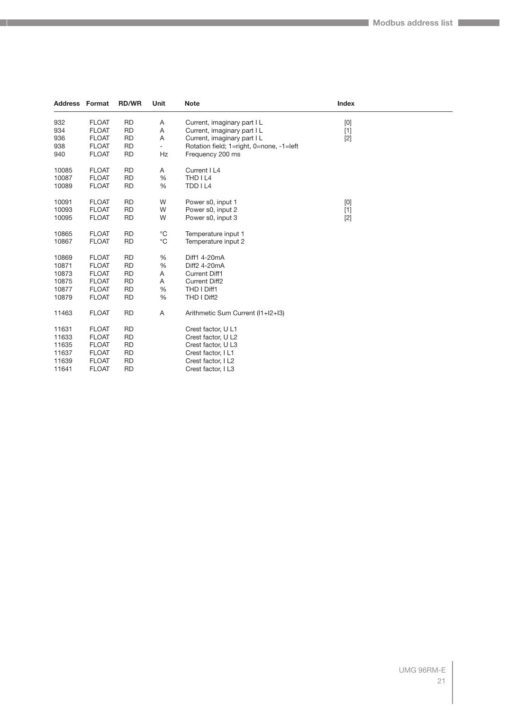| <b>Address Format</b> |              | <b>RD/WR</b> | Unit                     | <b>Note</b>                              | Index                                                                                                                                                                                                                                                                                                                                                                                                                                                                                                                                                                                              |  |
|-----------------------|--------------|--------------|--------------------------|------------------------------------------|----------------------------------------------------------------------------------------------------------------------------------------------------------------------------------------------------------------------------------------------------------------------------------------------------------------------------------------------------------------------------------------------------------------------------------------------------------------------------------------------------------------------------------------------------------------------------------------------------|--|
| 932                   | <b>FLOAT</b> | <b>RD</b>    | Α                        | Current, imaginary part I L              | $[0] % \begin{center} % \includegraphics[width=\linewidth]{imagesSupplemental_3.png} % \end{center} % \caption { % Our method can be used for the use of the image. % Note that the \emph{DefNet}~\cite{bib66} as a function of the \emph{DefNet}~\cite{bib66} as a function of the \emph{DefNet}~\cite{bib66} as a function of the \emph{DefNet}~\cite{bib66} as a function of the \emph{DefNet}~\cite{bib66} as a function of the \emph{DefNet}~\cite{bib66} as a function of the \emph{DefNet}~\cite{bib66} as a function of the \emph{DefNet}~\cite{bib66} as a function of the \emph{DefNet}$ |  |
| 934                   | <b>FLOAT</b> | <b>RD</b>    | A                        | Current, imaginary part I L              | $[1]$                                                                                                                                                                                                                                                                                                                                                                                                                                                                                                                                                                                              |  |
| 936                   | <b>FLOAT</b> | <b>RD</b>    | Α                        | Current, imaginary part I L              | $[2]$                                                                                                                                                                                                                                                                                                                                                                                                                                                                                                                                                                                              |  |
| 938                   | <b>FLOAT</b> | <b>RD</b>    | $\overline{\phantom{a}}$ | Rotation field; 1=right, 0=none, -1=left |                                                                                                                                                                                                                                                                                                                                                                                                                                                                                                                                                                                                    |  |
| 940                   | <b>FLOAT</b> | <b>RD</b>    | Hz                       | Frequency 200 ms                         |                                                                                                                                                                                                                                                                                                                                                                                                                                                                                                                                                                                                    |  |
| 10085                 | <b>FLOAT</b> | <b>RD</b>    | Α                        | Current   L4                             |                                                                                                                                                                                                                                                                                                                                                                                                                                                                                                                                                                                                    |  |
| 10087                 | <b>FLOAT</b> | <b>RD</b>    | %                        | THD I L4                                 |                                                                                                                                                                                                                                                                                                                                                                                                                                                                                                                                                                                                    |  |
| 10089                 | <b>FLOAT</b> | <b>RD</b>    | %                        | TDD I L4                                 |                                                                                                                                                                                                                                                                                                                                                                                                                                                                                                                                                                                                    |  |
| 10091                 | <b>FLOAT</b> | <b>RD</b>    | W                        | Power s0, input 1                        | $[0] % \begin{center} % \includegraphics[width=\linewidth]{imagesSupplemental_3.png} % \end{center} % \caption { % Our method can be used for the use of the image. % Note that the \emph{DefNet}~\cite{bib66} as a function of the \emph{DefNet}~\cite{bib66} as a function of the \emph{DefNet}~\cite{bib66} as a function of the \emph{DefNet}~\cite{bib66} as a function of the \emph{DefNet}~\cite{bib66} as a function of the \emph{DefNet}~\cite{bib66} as a function of the \emph{DefNet}~\cite{bib66} as a function of the \emph{DefNet}~\cite{bib66} as a function of the \emph{DefNet}$ |  |
| 10093                 | <b>FLOAT</b> | <b>RD</b>    | W                        | Power s0, input 2                        | $[1]$                                                                                                                                                                                                                                                                                                                                                                                                                                                                                                                                                                                              |  |
| 10095                 | <b>FLOAT</b> | <b>RD</b>    | W                        | Power s0, input 3                        | $[2]$                                                                                                                                                                                                                                                                                                                                                                                                                                                                                                                                                                                              |  |
| 10865                 | <b>FLOAT</b> | <b>RD</b>    | $^{\circ}C$              | Temperature input 1                      |                                                                                                                                                                                                                                                                                                                                                                                                                                                                                                                                                                                                    |  |
| 10867                 | <b>FLOAT</b> | <b>RD</b>    | $^{\circ}C$              | Temperature input 2                      |                                                                                                                                                                                                                                                                                                                                                                                                                                                                                                                                                                                                    |  |
| 10869                 | <b>FLOAT</b> | <b>RD</b>    | %                        | Diff1 4-20mA                             |                                                                                                                                                                                                                                                                                                                                                                                                                                                                                                                                                                                                    |  |
| 10871                 | <b>FLOAT</b> | <b>RD</b>    | %                        | Diff2 4-20mA                             |                                                                                                                                                                                                                                                                                                                                                                                                                                                                                                                                                                                                    |  |
| 10873                 | <b>FLOAT</b> | <b>RD</b>    | Α                        | <b>Current Diff1</b>                     |                                                                                                                                                                                                                                                                                                                                                                                                                                                                                                                                                                                                    |  |
| 10875                 | <b>FLOAT</b> | <b>RD</b>    | Α                        | <b>Current Diff2</b>                     |                                                                                                                                                                                                                                                                                                                                                                                                                                                                                                                                                                                                    |  |
| 10877                 | <b>FLOAT</b> | <b>RD</b>    | %                        | THD I Diff1                              |                                                                                                                                                                                                                                                                                                                                                                                                                                                                                                                                                                                                    |  |
| 10879                 | <b>FLOAT</b> | <b>RD</b>    | %                        | THD I Diff2                              |                                                                                                                                                                                                                                                                                                                                                                                                                                                                                                                                                                                                    |  |
| 11463                 | <b>FLOAT</b> | <b>RD</b>    | A                        | Arithmetic Sum Current (I1+I2+I3)        |                                                                                                                                                                                                                                                                                                                                                                                                                                                                                                                                                                                                    |  |
| 11631                 | <b>FLOAT</b> | <b>RD</b>    |                          | Crest factor, U L1                       |                                                                                                                                                                                                                                                                                                                                                                                                                                                                                                                                                                                                    |  |
| 11633                 | <b>FLOAT</b> | <b>RD</b>    |                          | Crest factor, U L2                       |                                                                                                                                                                                                                                                                                                                                                                                                                                                                                                                                                                                                    |  |
| 11635                 | <b>FLOAT</b> | <b>RD</b>    |                          | Crest factor, U L3                       |                                                                                                                                                                                                                                                                                                                                                                                                                                                                                                                                                                                                    |  |
| 11637                 | <b>FLOAT</b> | <b>RD</b>    |                          | Crest factor, I L1                       |                                                                                                                                                                                                                                                                                                                                                                                                                                                                                                                                                                                                    |  |
| 11639                 | <b>FLOAT</b> | <b>RD</b>    |                          | Crest factor, I L2                       |                                                                                                                                                                                                                                                                                                                                                                                                                                                                                                                                                                                                    |  |
| 11641                 | <b>FLOAT</b> | <b>RD</b>    |                          | Crest factor, I L3                       |                                                                                                                                                                                                                                                                                                                                                                                                                                                                                                                                                                                                    |  |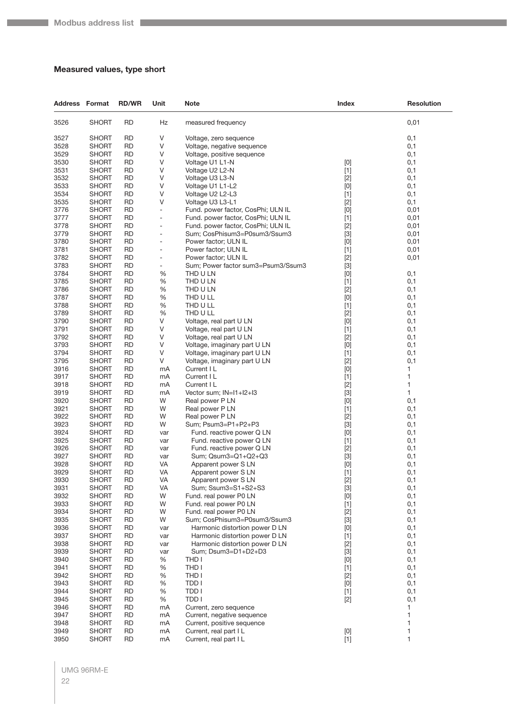## <span id="page-21-0"></span>**Measured values, type short**

| <b>Address Format</b> |              | <b>RD/WR</b> | Unit                         | <b>Note</b>                        | Index                                                                                                                                                                                                                                                                                                                       | <b>Resolution</b> |
|-----------------------|--------------|--------------|------------------------------|------------------------------------|-----------------------------------------------------------------------------------------------------------------------------------------------------------------------------------------------------------------------------------------------------------------------------------------------------------------------------|-------------------|
| 3526                  | <b>SHORT</b> | <b>RD</b>    | Hz                           | measured frequency                 |                                                                                                                                                                                                                                                                                                                             | 0,01              |
| 3527                  | <b>SHORT</b> | <b>RD</b>    | V                            | Voltage, zero sequence             |                                                                                                                                                                                                                                                                                                                             | 0,1               |
| 3528                  | SHORT        | <b>RD</b>    | V                            | Voltage, negative sequence         |                                                                                                                                                                                                                                                                                                                             | 0,1               |
| 3529                  | SHORT        | RD           | V                            | Voltage, positive sequence         |                                                                                                                                                                                                                                                                                                                             | 0,1               |
| 3530                  | SHORT        | RD           | V                            | Voltage U1 L1-N                    | [0]                                                                                                                                                                                                                                                                                                                         | 0,1               |
| 3531                  | SHORT        | <b>RD</b>    | V                            | Voltage U2 L2-N                    | $[1]$                                                                                                                                                                                                                                                                                                                       | 0,1               |
| 3532                  | SHORT        | <b>RD</b>    | V                            | Voltage U3 L3-N                    | $[2]$                                                                                                                                                                                                                                                                                                                       | 0,1               |
| 3533                  | SHORT        | <b>RD</b>    | V                            | Voltage U1 L1-L2                   | [0]                                                                                                                                                                                                                                                                                                                         | 0,1               |
| 3534                  | <b>SHORT</b> | RD           | V                            | Voltage U2 L2-L3                   | $[1]$                                                                                                                                                                                                                                                                                                                       | 0,1               |
| 3535                  | SHORT        | RD           | ٧                            | Voltage U3 L3-L1                   | $[2]$                                                                                                                                                                                                                                                                                                                       | 0,1               |
| 3776                  | <b>SHORT</b> | <b>RD</b>    | $\blacksquare$               | Fund. power factor, CosPhi; ULN IL | [0]                                                                                                                                                                                                                                                                                                                         | 0,01              |
| 3777                  | SHORT        | <b>RD</b>    | $\overline{\phantom{0}}$     | Fund. power factor, CosPhi; ULN IL | $[1]$                                                                                                                                                                                                                                                                                                                       | 0,01              |
| 3778                  | SHORT        | <b>RD</b>    | ÷,                           | Fund. power factor, CosPhi; ULN IL | $[2]$                                                                                                                                                                                                                                                                                                                       | 0,01              |
| 3779                  | SHORT        | RD           | $\qquad \qquad \blacksquare$ | Sum; CosPhisum3=P0sum3/Ssum3       | $[3]$                                                                                                                                                                                                                                                                                                                       | 0,01              |
| 3780                  | SHORT        | <b>RD</b>    | $\overline{a}$               | Power factor; ULN IL               | [0]                                                                                                                                                                                                                                                                                                                         | 0,01              |
| 3781                  | SHORT        | <b>RD</b>    | $\overline{\phantom{m}}$     | Power factor; ULN IL               | $[1]$                                                                                                                                                                                                                                                                                                                       | 0,01              |
| 3782                  | SHORT        | <b>RD</b>    | $\overline{\phantom{0}}$     | Power factor; ULN IL               | $[2]$                                                                                                                                                                                                                                                                                                                       | 0,01              |
| 3783                  | <b>SHORT</b> | <b>RD</b>    | -                            | Sum; Power factor sum3=Psum3/Ssum3 | $[3]$                                                                                                                                                                                                                                                                                                                       |                   |
| 3784                  |              | <b>RD</b>    |                              | THD U LN                           |                                                                                                                                                                                                                                                                                                                             |                   |
|                       | SHORT        |              | %                            |                                    | [0]                                                                                                                                                                                                                                                                                                                         | 0,1               |
| 3785                  | <b>SHORT</b> | <b>RD</b>    | $\%$                         | THD U LN                           | $[1]$                                                                                                                                                                                                                                                                                                                       | 0,1               |
| 3786                  | SHORT        | <b>RD</b>    | $\%$                         | THD U LN                           | $[2]$                                                                                                                                                                                                                                                                                                                       | 0,1               |
| 3787                  | SHORT        | <b>RD</b>    | %                            | THD U LL                           | [0]                                                                                                                                                                                                                                                                                                                         | 0,1               |
| 3788                  | SHORT        | <b>RD</b>    | $\%$                         | THD U LL                           | $[1]$                                                                                                                                                                                                                                                                                                                       | 0,1               |
| 3789                  | SHORT        | RD           | %                            | THD U LL                           | $[2]$                                                                                                                                                                                                                                                                                                                       | 0,1               |
| 3790                  | <b>SHORT</b> | <b>RD</b>    | ٧                            | Voltage, real part U LN            | [0]                                                                                                                                                                                                                                                                                                                         | 0,1               |
| 3791                  | SHORT        | <b>RD</b>    | V                            | Voltage, real part U LN            | $[1]$                                                                                                                                                                                                                                                                                                                       | 0,1               |
| 3792                  | SHORT        | <b>RD</b>    | V                            | Voltage, real part U LN            | $[2]$                                                                                                                                                                                                                                                                                                                       | 0,1               |
| 3793                  | SHORT        | <b>RD</b>    | V                            | Voltage, imaginary part U LN       | [0]                                                                                                                                                                                                                                                                                                                         | 0,1               |
| 3794                  | SHORT        | RD           | V                            | Voltage, imaginary part U LN       | $[1]$                                                                                                                                                                                                                                                                                                                       | 0,1               |
| 3795                  | <b>SHORT</b> | <b>RD</b>    | V                            | Voltage, imaginary part U LN       | $[2]$                                                                                                                                                                                                                                                                                                                       | 0,1               |
| 3916                  | SHORT        | <b>RD</b>    | mA                           | Current I L                        | [0]                                                                                                                                                                                                                                                                                                                         | 1                 |
| 3917                  | SHORT        | <b>RD</b>    | mA                           | Current I L                        | $[1]$                                                                                                                                                                                                                                                                                                                       | 1                 |
| 3918                  | SHORT        | <b>RD</b>    | mA                           | Current I L                        | $[2]$                                                                                                                                                                                                                                                                                                                       | 1                 |
| 3919                  | SHORT        | RD           | mA                           | Vector sum; IN=I1+I2+I3            | $[3]$                                                                                                                                                                                                                                                                                                                       | 1                 |
| 3920                  | <b>SHORT</b> | <b>RD</b>    | W                            | Real power P LN                    | [0]                                                                                                                                                                                                                                                                                                                         | 0,1               |
| 3921                  | SHORT        | <b>RD</b>    | W                            | Real power P LN                    | $[1]$                                                                                                                                                                                                                                                                                                                       | 0,1               |
| 3922                  | SHORT        | <b>RD</b>    | W                            | Real power P LN                    | $[2]$                                                                                                                                                                                                                                                                                                                       | 0,1               |
| 3923                  | SHORT        | <b>RD</b>    | W                            | Sum; Psum3=P1+P2+P3                | $[3]$                                                                                                                                                                                                                                                                                                                       | 0,1               |
| 3924                  | SHORT        | RD           | var                          | Fund. reactive power Q LN          | [0]                                                                                                                                                                                                                                                                                                                         | 0,1               |
| 3925                  | SHORT        | <b>RD</b>    | var                          | Fund. reactive power Q LN          | $[1]$                                                                                                                                                                                                                                                                                                                       | 0,1               |
| 3926                  | SHORT        | <b>RD</b>    | var                          | Fund. reactive power Q LN          | $[2]$                                                                                                                                                                                                                                                                                                                       | 0,1               |
| 3927                  | <b>SHORT</b> | <b>RD</b>    | var                          | Sum; Qsum3=Q1+Q2+Q3                | $[3]$                                                                                                                                                                                                                                                                                                                       | 0,1               |
| 3928                  | SHORT        | <b>RD</b>    | VA                           | Apparent power S LN                | [0]                                                                                                                                                                                                                                                                                                                         | 0,1               |
| 3929                  | <b>SHORT</b> | RD           | VA                           | Apparent power S LN                | $[1]$                                                                                                                                                                                                                                                                                                                       | 0,1               |
| 3930                  | <b>SHORT</b> | <b>RD</b>    | VA                           | Apparent power S LN                | $[2]$                                                                                                                                                                                                                                                                                                                       | 0,1               |
| 3931                  | <b>SHORT</b> | <b>RD</b>    | VA                           | Sum; Ssum3=S1+S2+S3                | $[3]$                                                                                                                                                                                                                                                                                                                       | 0,1               |
| 3932                  | SHORT        | <b>RD</b>    | W                            | Fund. real power P0 LN             | [0]                                                                                                                                                                                                                                                                                                                         | 0,1               |
| 3933                  | <b>SHORT</b> | <b>RD</b>    | W                            | Fund. real power P0 LN             | $[1]$                                                                                                                                                                                                                                                                                                                       | 0,1               |
| 3934                  | <b>SHORT</b> | <b>RD</b>    | W                            | Fund. real power P0 LN             | $[2]$                                                                                                                                                                                                                                                                                                                       | 0,1               |
| 3935                  | <b>SHORT</b> | <b>RD</b>    | W                            | Sum; CosPhisum3=P0sum3/Ssum3       | $[3]$                                                                                                                                                                                                                                                                                                                       | 0,1               |
| 3936                  | SHORT        | <b>RD</b>    | var                          | Harmonic distortion power D LN     | $[0] % \begin{center} % \includegraphics[width=\linewidth]{imagesSupplemental_3.png} % \end{center} % \caption { % Our method can be used for the use of the image. % Note that the \emph{Def}(i) and the \emph{Def}(i) are the same and the \emph{Def}(i) and the \emph{Def}(i) are the same. % } % \label{fig:Defin_3} %$ | 0,1               |
| 3937                  | <b>SHORT</b> | <b>RD</b>    | var                          | Harmonic distortion power D LN     | $[1]$                                                                                                                                                                                                                                                                                                                       | 0,1               |
| 3938                  | <b>SHORT</b> | <b>RD</b>    | var                          | Harmonic distortion power D LN     | $[2]$                                                                                                                                                                                                                                                                                                                       | 0,1               |
| 3939                  | SHORT        | <b>RD</b>    | var                          | Sum; Dsum3=D1+D2+D3                | $[3]$                                                                                                                                                                                                                                                                                                                       | 0,1               |
| 3940                  | <b>SHORT</b> | <b>RD</b>    | %                            | THD I                              | [0]                                                                                                                                                                                                                                                                                                                         | 0,1               |
| 3941                  | <b>SHORT</b> | <b>RD</b>    | $\%$                         | THD I                              | $[1]$                                                                                                                                                                                                                                                                                                                       | 0,1               |
| 3942                  | <b>SHORT</b> | <b>RD</b>    | $\%$                         | THD I                              | $[2]$                                                                                                                                                                                                                                                                                                                       | 0,1               |
| 3943                  | <b>SHORT</b> | <b>RD</b>    | $\%$                         | TDD I                              | [0]                                                                                                                                                                                                                                                                                                                         | 0,1               |
| 3944                  | SHORT        | <b>RD</b>    | $\%$                         | TDD I                              | $[1]$                                                                                                                                                                                                                                                                                                                       | 0,1               |
| 3945                  | <b>SHORT</b> | <b>RD</b>    | %                            | TDD I                              | $[2]$                                                                                                                                                                                                                                                                                                                       | 0,1               |
| 3946                  | <b>SHORT</b> | <b>RD</b>    | mA                           | Current, zero sequence             |                                                                                                                                                                                                                                                                                                                             | 1                 |
| 3947                  | SHORT        | <b>RD</b>    | mA                           | Current, negative sequence         |                                                                                                                                                                                                                                                                                                                             | 1                 |
| 3948                  | <b>SHORT</b> | <b>RD</b>    | mA                           | Current, positive sequence         |                                                                                                                                                                                                                                                                                                                             | 1                 |
| 3949                  | <b>SHORT</b> | <b>RD</b>    | mA                           | Current, real part I L             | $[0] % \begin{center} % \includegraphics[width=\linewidth]{imagesSupplemental_3.png} % \end{center} % \caption { % Our method can be used for the use of the image. % Note that the \emph{Def}(i) and the \emph{Def}(i) are the same and the \emph{Def}(i) and the \emph{Def}(i) are the same. % } % \label{fig:Defin_3} %$ | 1                 |
| 3950                  | <b>SHORT</b> | <b>RD</b>    | mA                           | Current, real part I L             | [1]                                                                                                                                                                                                                                                                                                                         | 1                 |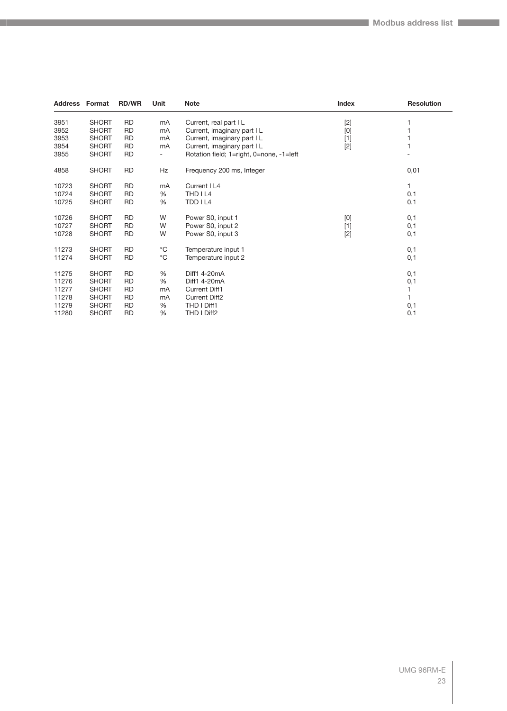| <b>Address Format</b> |              | <b>RD/WR</b> | Unit                     | <b>Note</b>                              | Index | <b>Resolution</b> |
|-----------------------|--------------|--------------|--------------------------|------------------------------------------|-------|-------------------|
| 3951                  | <b>SHORT</b> | <b>RD</b>    | mA                       | Current, real part I L                   | $[2]$ |                   |
| 3952                  | <b>SHORT</b> | <b>RD</b>    | mA                       | Current, imaginary part I L              | [0]   |                   |
| 3953                  | <b>SHORT</b> | <b>RD</b>    | mA                       | Current, imaginary part I L              | $[1]$ |                   |
| 3954                  | <b>SHORT</b> | <b>RD</b>    | mA                       | Current, imaginary part I L              | $[2]$ |                   |
| 3955                  | <b>SHORT</b> | RD           | $\overline{\phantom{a}}$ | Rotation field; 1=right, 0=none, -1=left |       |                   |
| 4858                  | <b>SHORT</b> | <b>RD</b>    | Hz                       | Frequency 200 ms, Integer                |       | 0,01              |
| 10723                 | <b>SHORT</b> | <b>RD</b>    | mA                       | Current I L4                             |       | 1                 |
| 10724                 | <b>SHORT</b> | <b>RD</b>    | %                        | THD I L4                                 |       | 0,1               |
| 10725                 | <b>SHORT</b> | <b>RD</b>    | %                        | TDD I L4                                 |       | 0,1               |
| 10726                 | <b>SHORT</b> | <b>RD</b>    | W                        | Power S0, input 1                        | [0]   | 0,1               |
| 10727                 | <b>SHORT</b> | <b>RD</b>    | W                        | Power S0, input 2                        | $[1]$ | 0,1               |
| 10728                 | <b>SHORT</b> | <b>RD</b>    | W                        | Power S0, input 3                        | $[2]$ | 0,1               |
| 11273                 | <b>SHORT</b> | <b>RD</b>    | $^{\circ}C$              | Temperature input 1                      |       | 0,1               |
| 11274                 | <b>SHORT</b> | <b>RD</b>    | $^{\circ}C$              | Temperature input 2                      |       | 0,1               |
| 11275                 | <b>SHORT</b> | <b>RD</b>    | %                        | Diff1 4-20mA                             |       | 0,1               |
| 11276                 | <b>SHORT</b> | <b>RD</b>    | %                        | Diff1 4-20mA                             |       | 0,1               |
| 11277                 | <b>SHORT</b> | <b>RD</b>    | mA                       | <b>Current Diff1</b>                     |       |                   |
| 11278                 | <b>SHORT</b> | <b>RD</b>    | mA                       | <b>Current Diff2</b>                     |       |                   |
| 11279                 | <b>SHORT</b> | <b>RD</b>    | %                        | THD I Diff1                              |       | 0,1               |
| 11280                 | <b>SHORT</b> | RD           | %                        | THD I Diff2                              |       | 0,1               |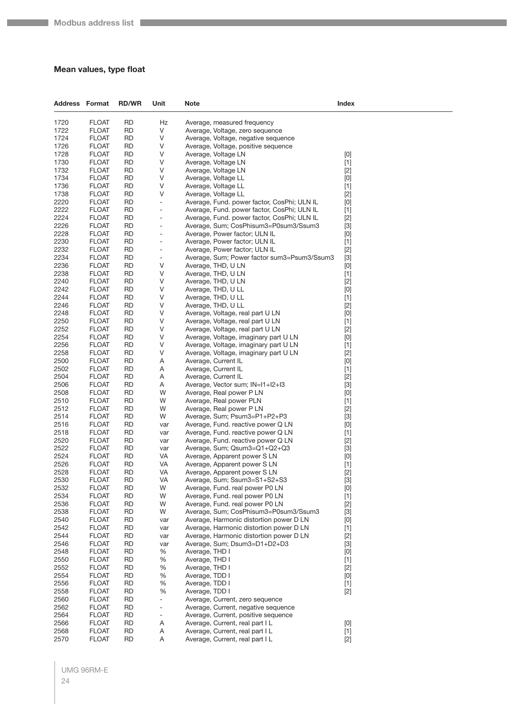## <span id="page-23-0"></span>**Mean values, type float**

| <b>Address Format</b> |                              | <b>RD/WR</b>           | Unit                         | <b>Note</b>                      |                                                                    | Index                                                                                                                                                                                                                                                                                                                                                                                                                                                                                                                                                                                                                                                                                                                                               |
|-----------------------|------------------------------|------------------------|------------------------------|----------------------------------|--------------------------------------------------------------------|-----------------------------------------------------------------------------------------------------------------------------------------------------------------------------------------------------------------------------------------------------------------------------------------------------------------------------------------------------------------------------------------------------------------------------------------------------------------------------------------------------------------------------------------------------------------------------------------------------------------------------------------------------------------------------------------------------------------------------------------------------|
| 1720                  | <b>FLOAT</b>                 | <b>RD</b>              | Hz                           |                                  | Average, measured frequency                                        |                                                                                                                                                                                                                                                                                                                                                                                                                                                                                                                                                                                                                                                                                                                                                     |
| 1722                  | <b>FLOAT</b>                 | RD                     | V                            |                                  | Average, Voltage, zero sequence                                    |                                                                                                                                                                                                                                                                                                                                                                                                                                                                                                                                                                                                                                                                                                                                                     |
| 1724                  | <b>FLOAT</b>                 | RD                     | V                            |                                  | Average, Voltage, negative sequence                                |                                                                                                                                                                                                                                                                                                                                                                                                                                                                                                                                                                                                                                                                                                                                                     |
| 1726                  | <b>FLOAT</b>                 | RD                     | V                            |                                  | Average, Voltage, positive sequence                                |                                                                                                                                                                                                                                                                                                                                                                                                                                                                                                                                                                                                                                                                                                                                                     |
| 1728                  | <b>FLOAT</b>                 | RD                     | V                            |                                  | Average, Voltage LN                                                | [0]                                                                                                                                                                                                                                                                                                                                                                                                                                                                                                                                                                                                                                                                                                                                                 |
| 1730                  | <b>FLOAT</b>                 | <b>RD</b>              | V                            |                                  | Average, Voltage LN                                                | $[1]$                                                                                                                                                                                                                                                                                                                                                                                                                                                                                                                                                                                                                                                                                                                                               |
| 1732                  | <b>FLOAT</b>                 | RD                     | V                            |                                  | Average, Voltage LN                                                | $[2]$                                                                                                                                                                                                                                                                                                                                                                                                                                                                                                                                                                                                                                                                                                                                               |
| 1734                  | <b>FLOAT</b>                 | RD                     | V                            |                                  | Average, Voltage LL                                                | [0]                                                                                                                                                                                                                                                                                                                                                                                                                                                                                                                                                                                                                                                                                                                                                 |
| 1736                  | <b>FLOAT</b>                 | RD                     | V                            |                                  | Average, Voltage LL                                                | $[1]$                                                                                                                                                                                                                                                                                                                                                                                                                                                                                                                                                                                                                                                                                                                                               |
| 1738<br>2220          | <b>FLOAT</b><br><b>FLOAT</b> | RD<br><b>RD</b>        | V<br>$\Box$                  |                                  | Average, Voltage LL<br>Average, Fund. power factor, CosPhi; ULN IL | $[2]$<br>$[0] % \begin{center} % \includegraphics[width=\linewidth]{imagesSupplemental_3.png} % \end{center} % \caption { % Our method can be used for the use of the image. % Note that the \emph{DefNet}~\cite{bib66} as a function of the \emph{DefNet}~\cite{bib66} as a function of the \emph{DefNet}~\cite{bib66} as a function of the \emph{DefNet}~\cite{bib66} as a function of the \emph{DefNet}~\cite{bib66} as a function of the \emph{DefNet}~\cite{bib66} as a function of the \emph{DefNet}~\cite{bib66} as a function of the \emph{DefNet}~\cite{bib66} as a function of the \emph{DefNet}$                                                                                                                                         |
| 2222                  | <b>FLOAT</b>                 | RD                     | $\overline{\phantom{a}}$     |                                  | Average, Fund. power factor, CosPhi; ULN IL                        | $[1]$                                                                                                                                                                                                                                                                                                                                                                                                                                                                                                                                                                                                                                                                                                                                               |
| 2224                  | <b>FLOAT</b>                 | RD                     | $\qquad \qquad \blacksquare$ |                                  | Average, Fund. power factor, CosPhi; ULN IL                        | $[2]$                                                                                                                                                                                                                                                                                                                                                                                                                                                                                                                                                                                                                                                                                                                                               |
| 2226                  | <b>FLOAT</b>                 | RD                     | $\overline{a}$               |                                  | Average, Sum; CosPhisum3=P0sum3/Ssum3                              | $[3]$                                                                                                                                                                                                                                                                                                                                                                                                                                                                                                                                                                                                                                                                                                                                               |
| 2228                  | <b>FLOAT</b>                 | RD                     | ÷,                           |                                  | Average, Power factor; ULN IL                                      | [0]                                                                                                                                                                                                                                                                                                                                                                                                                                                                                                                                                                                                                                                                                                                                                 |
| 2230                  | <b>FLOAT</b>                 | <b>RD</b>              | $\qquad \qquad \blacksquare$ |                                  | Average, Power factor; ULN IL                                      | $[1]$                                                                                                                                                                                                                                                                                                                                                                                                                                                                                                                                                                                                                                                                                                                                               |
| 2232                  | <b>FLOAT</b>                 | RD                     | $\overline{\phantom{a}}$     |                                  | Average, Power factor; ULN IL                                      | $[2]$                                                                                                                                                                                                                                                                                                                                                                                                                                                                                                                                                                                                                                                                                                                                               |
| 2234                  | <b>FLOAT</b>                 | RD                     | $\overline{\phantom{a}}$     |                                  | Average, Sum; Power factor sum3=Psum3/Ssum3                        | $[3]$                                                                                                                                                                                                                                                                                                                                                                                                                                                                                                                                                                                                                                                                                                                                               |
| 2236                  | <b>FLOAT</b>                 | RD                     | V                            |                                  | Average, THD, U LN                                                 | $[0] % \begin{center} % \includegraphics[width=\linewidth]{imagesSupplemental_3.png} % \end{center} % \caption { % Our method can be used for the use of the image. % Note that the \emph{DefNet}~\cite{bib66} as a function of the \emph{DefNet}~\cite{bib66} as a function of the \emph{DefNet}~\cite{bib66} as a function of the \emph{DefNet}~\cite{bib66} as a function of the \emph{DefNet}~\cite{bib66} as a function of the \emph{DefNet}~\cite{bib66} as a function of the \emph{DefNet}~\cite{bib66} as a function of the \emph{DefNet}~\cite{bib66} as a function of the \emph{DefNet}$                                                                                                                                                  |
| 2238                  | <b>FLOAT</b>                 | RD                     | V                            |                                  | Average, THD, U LN                                                 | $[1]$                                                                                                                                                                                                                                                                                                                                                                                                                                                                                                                                                                                                                                                                                                                                               |
| 2240                  | <b>FLOAT</b>                 | RD                     | V                            |                                  | Average, THD, U LN                                                 | $[2]$                                                                                                                                                                                                                                                                                                                                                                                                                                                                                                                                                                                                                                                                                                                                               |
| 2242                  | <b>FLOAT</b>                 | RD                     | V                            |                                  | Average, THD, U LL                                                 | [0]                                                                                                                                                                                                                                                                                                                                                                                                                                                                                                                                                                                                                                                                                                                                                 |
| 2244<br>2246          | <b>FLOAT</b><br><b>FLOAT</b> | RD<br>RD               | V<br>V                       |                                  | Average, THD, U LL<br>Average, THD, U LL                           | $[1]$                                                                                                                                                                                                                                                                                                                                                                                                                                                                                                                                                                                                                                                                                                                                               |
| 2248                  | <b>FLOAT</b>                 | RD                     | V                            |                                  | Average, Voltage, real part U LN                                   | $[2]$<br>[0]                                                                                                                                                                                                                                                                                                                                                                                                                                                                                                                                                                                                                                                                                                                                        |
| 2250                  | <b>FLOAT</b>                 | RD                     | V                            |                                  | Average, Voltage, real part U LN                                   | $[1]$                                                                                                                                                                                                                                                                                                                                                                                                                                                                                                                                                                                                                                                                                                                                               |
| 2252                  | <b>FLOAT</b>                 | RD                     | V                            |                                  | Average, Voltage, real part U LN                                   | $[2]$                                                                                                                                                                                                                                                                                                                                                                                                                                                                                                                                                                                                                                                                                                                                               |
| 2254                  | <b>FLOAT</b>                 | RD                     | V                            |                                  | Average, Voltage, imaginary part U LN                              | [0]                                                                                                                                                                                                                                                                                                                                                                                                                                                                                                                                                                                                                                                                                                                                                 |
| 2256                  | <b>FLOAT</b>                 | RD                     | V                            |                                  | Average, Voltage, imaginary part U LN                              | $[1]$                                                                                                                                                                                                                                                                                                                                                                                                                                                                                                                                                                                                                                                                                                                                               |
| 2258                  | <b>FLOAT</b>                 | RD                     | V                            |                                  | Average, Voltage, imaginary part U LN                              | $[2]$                                                                                                                                                                                                                                                                                                                                                                                                                                                                                                                                                                                                                                                                                                                                               |
| 2500                  | <b>FLOAT</b>                 | RD                     | Α                            |                                  | Average, Current IL                                                | [0]                                                                                                                                                                                                                                                                                                                                                                                                                                                                                                                                                                                                                                                                                                                                                 |
| 2502                  | <b>FLOAT</b>                 | RD                     | Α                            |                                  | Average, Current IL                                                | $[1]$                                                                                                                                                                                                                                                                                                                                                                                                                                                                                                                                                                                                                                                                                                                                               |
| 2504                  | <b>FLOAT</b>                 | RD                     | Α                            |                                  | Average, Current IL                                                | $[2]$                                                                                                                                                                                                                                                                                                                                                                                                                                                                                                                                                                                                                                                                                                                                               |
| 2506                  | <b>FLOAT</b>                 | <b>RD</b>              | Α                            |                                  | Average, Vector sum; IN=I1+I2+I3                                   | $[3]$                                                                                                                                                                                                                                                                                                                                                                                                                                                                                                                                                                                                                                                                                                                                               |
| 2508                  | <b>FLOAT</b>                 | RD                     | W                            |                                  | Average, Real power P LN                                           | [0]                                                                                                                                                                                                                                                                                                                                                                                                                                                                                                                                                                                                                                                                                                                                                 |
| 2510<br>2512          | <b>FLOAT</b><br><b>FLOAT</b> | RD<br>RD               | W<br>W                       |                                  | Average, Real power PLN<br>Average, Real power P LN                | $[1]$                                                                                                                                                                                                                                                                                                                                                                                                                                                                                                                                                                                                                                                                                                                                               |
| 2514                  | <b>FLOAT</b>                 | RD                     | W                            |                                  | Average, Sum; Psum3=P1+P2+P3                                       | $[2]$<br>$[3]$                                                                                                                                                                                                                                                                                                                                                                                                                                                                                                                                                                                                                                                                                                                                      |
| 2516                  | <b>FLOAT</b>                 | <b>RD</b>              | var                          |                                  | Average, Fund. reactive power Q LN                                 | [0]                                                                                                                                                                                                                                                                                                                                                                                                                                                                                                                                                                                                                                                                                                                                                 |
| 2518                  | <b>FLOAT</b>                 | RD                     | var                          |                                  | Average, Fund. reactive power Q LN                                 | $[1]$                                                                                                                                                                                                                                                                                                                                                                                                                                                                                                                                                                                                                                                                                                                                               |
| 2520                  | <b>FLOAT</b>                 | RD                     | var                          |                                  | Average, Fund. reactive power Q LN                                 | $[2]$                                                                                                                                                                                                                                                                                                                                                                                                                                                                                                                                                                                                                                                                                                                                               |
| 2522                  | <b>FLOAT</b>                 | RD                     | var                          |                                  | Average, Sum; Qsum3=Q1+Q2+Q3                                       | $[3]$                                                                                                                                                                                                                                                                                                                                                                                                                                                                                                                                                                                                                                                                                                                                               |
| 2524                  | <b>FLOAT</b>                 | RD                     | VA                           |                                  | Average, Apparent power SLN                                        | [0]                                                                                                                                                                                                                                                                                                                                                                                                                                                                                                                                                                                                                                                                                                                                                 |
| 2526                  | <b>FLOAT</b>                 | <b>RD</b>              | VA                           |                                  | Average, Apparent power SLN                                        | $[1]$                                                                                                                                                                                                                                                                                                                                                                                                                                                                                                                                                                                                                                                                                                                                               |
| 2528                  | <b>FLOAT</b>                 | RD                     | VA                           |                                  | Average, Apparent power S LN                                       | $[2]$                                                                                                                                                                                                                                                                                                                                                                                                                                                                                                                                                                                                                                                                                                                                               |
| 2530                  | <b>FLOAT</b>                 | <b>RD</b>              | VA                           |                                  | Average, Sum; Ssum3=S1+S2+S3                                       | $[3]$                                                                                                                                                                                                                                                                                                                                                                                                                                                                                                                                                                                                                                                                                                                                               |
| 2532<br>2534          | <b>FLOAT</b><br><b>FLOAT</b> | RD<br><b>RD</b>        | W<br>W                       |                                  | Average, Fund. real power P0 LN<br>Average, Fund. real power P0 LN | $[0] % \begin{center} % \includegraphics[width=\linewidth]{imagesSupplemental_3.png} % \end{center} % \caption { % Our method can be used for the proposed method. % Note that the \emph{exponent} is used to be used in the image. % Note that the \emph{exponent} is used in the image. % Note that the \emph{exponent} is used to be used in the image. % Note that the \emph{exponent} is used in the image. % Note that the \emph{exponent} is used in the image. % Note that the \emph{exponent} is used in the image. % Note that the \emph{exportector} is used in the image. % Note that the \emph{exportector} is used in the image. % Note that the \emph{exportector} is used in the image. % Note that the \emph{exportector$<br>$[1]$ |
| 2536                  | <b>FLOAT</b>                 | <b>RD</b>              | W                            |                                  | Average, Fund. real power P0 LN                                    | $[2]$                                                                                                                                                                                                                                                                                                                                                                                                                                                                                                                                                                                                                                                                                                                                               |
| 2538                  | <b>FLOAT</b>                 | <b>RD</b>              | W                            |                                  | Average, Sum; CosPhisum3=P0sum3/Ssum3                              | $[3]$                                                                                                                                                                                                                                                                                                                                                                                                                                                                                                                                                                                                                                                                                                                                               |
| 2540                  | <b>FLOAT</b>                 | <b>RD</b>              | var                          |                                  | Average, Harmonic distortion power D LN                            | [0]                                                                                                                                                                                                                                                                                                                                                                                                                                                                                                                                                                                                                                                                                                                                                 |
| 2542                  | <b>FLOAT</b>                 | RD                     | var                          |                                  | Average, Harmonic distortion power D LN                            | $[1]$                                                                                                                                                                                                                                                                                                                                                                                                                                                                                                                                                                                                                                                                                                                                               |
| 2544                  | <b>FLOAT</b>                 | <b>RD</b>              | var                          |                                  | Average, Harmonic distortion power D LN                            | $[2]$                                                                                                                                                                                                                                                                                                                                                                                                                                                                                                                                                                                                                                                                                                                                               |
| 2546                  | <b>FLOAT</b>                 | <b>RD</b>              | var                          |                                  | Average, Sum; Dsum3=D1+D2+D3                                       | $[3]$                                                                                                                                                                                                                                                                                                                                                                                                                                                                                                                                                                                                                                                                                                                                               |
| 2548                  | <b>FLOAT</b>                 | <b>RD</b>              | $\%$                         | Average, THD I                   |                                                                    | [0]                                                                                                                                                                                                                                                                                                                                                                                                                                                                                                                                                                                                                                                                                                                                                 |
| 2550                  | <b>FLOAT</b>                 | <b>RD</b>              | $\%$                         | Average, THD I                   |                                                                    | $[1]$                                                                                                                                                                                                                                                                                                                                                                                                                                                                                                                                                                                                                                                                                                                                               |
| 2552                  | <b>FLOAT</b>                 | RD                     | %                            | Average, THD I                   |                                                                    | $[2]$                                                                                                                                                                                                                                                                                                                                                                                                                                                                                                                                                                                                                                                                                                                                               |
| 2554                  | <b>FLOAT</b>                 | <b>RD</b>              | $\%$                         | Average, TDD I                   |                                                                    | $[0] % \begin{center} % \includegraphics[width=\linewidth]{imagesSupplemental_3.png} % \end{center} % \caption { % Our method can be used for the use of the image. % Note that the \emph{Def}(i) and the \emph{Def}(i) are the same and the \emph{Def}(i) and the \emph{Def}(i) are the same. % } % \label{fig:Defin_3} %$                                                                                                                                                                                                                                                                                                                                                                                                                         |
| 2556<br>2558          | <b>FLOAT</b><br><b>FLOAT</b> | <b>RD</b><br><b>RD</b> | $\%$<br>$\%$                 | Average, TDD I<br>Average, TDD I |                                                                    | $[1]$<br>$[2]$                                                                                                                                                                                                                                                                                                                                                                                                                                                                                                                                                                                                                                                                                                                                      |
| 2560                  | <b>FLOAT</b>                 | RD                     | $\overline{\phantom{a}}$     |                                  | Average, Current, zero sequence                                    |                                                                                                                                                                                                                                                                                                                                                                                                                                                                                                                                                                                                                                                                                                                                                     |
| 2562                  | <b>FLOAT</b>                 | RD                     | $\Box$                       |                                  | Average, Current, negative sequence                                |                                                                                                                                                                                                                                                                                                                                                                                                                                                                                                                                                                                                                                                                                                                                                     |
| 2564                  | <b>FLOAT</b>                 | <b>RD</b>              | $\overline{\phantom{a}}$     |                                  | Average, Current, positive sequence                                |                                                                                                                                                                                                                                                                                                                                                                                                                                                                                                                                                                                                                                                                                                                                                     |
| 2566                  | <b>FLOAT</b>                 | <b>RD</b>              | Α                            |                                  | Average, Current, real part I L                                    | [0]                                                                                                                                                                                                                                                                                                                                                                                                                                                                                                                                                                                                                                                                                                                                                 |
| 2568                  | <b>FLOAT</b>                 | <b>RD</b>              | Α                            |                                  | Average, Current, real part I L                                    | $[1]$                                                                                                                                                                                                                                                                                                                                                                                                                                                                                                                                                                                                                                                                                                                                               |
| 2570                  | <b>FLOAT</b>                 | <b>RD</b>              | A                            |                                  | Average, Current, real part I L                                    | $[2]$                                                                                                                                                                                                                                                                                                                                                                                                                                                                                                                                                                                                                                                                                                                                               |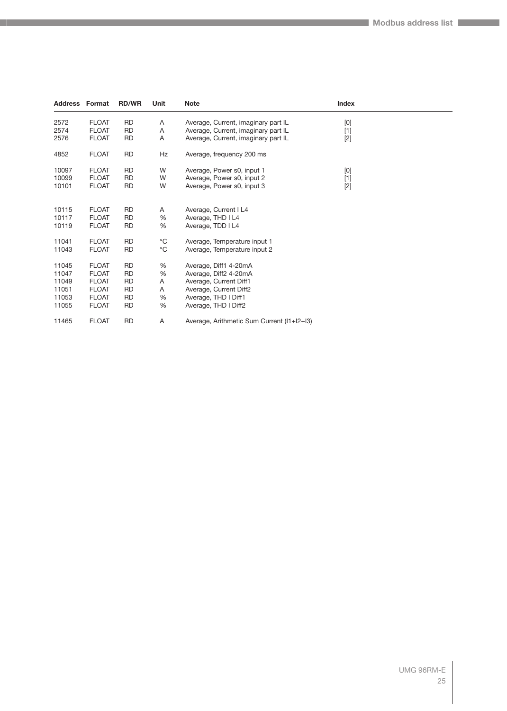| Address | Format       | <b>RD/WR</b> | Unit        | <b>Note</b>                                | Index                                                                                                                                                                                                                                                                                                                       |  |
|---------|--------------|--------------|-------------|--------------------------------------------|-----------------------------------------------------------------------------------------------------------------------------------------------------------------------------------------------------------------------------------------------------------------------------------------------------------------------------|--|
| 2572    | <b>FLOAT</b> | <b>RD</b>    | Α           | Average, Current, imaginary part IL        | $[0] % \begin{center} % \includegraphics[width=\linewidth]{imagesSupplemental_3.png} % \end{center} % \caption { % Our method can be used for the use of the image. % Note that the \emph{Def}(i) and the \emph{Def}(i) are the same and the \emph{Def}(i) and the \emph{Def}(i) are the same. % } % \label{fig:Defin_3} %$ |  |
| 2574    | <b>FLOAT</b> | <b>RD</b>    | Α           | Average, Current, imaginary part IL        | $[1]$                                                                                                                                                                                                                                                                                                                       |  |
| 2576    | <b>FLOAT</b> | <b>RD</b>    | Α           | Average, Current, imaginary part IL        | $[2]$                                                                                                                                                                                                                                                                                                                       |  |
| 4852    | <b>FLOAT</b> | <b>RD</b>    | Hz          | Average, frequency 200 ms                  |                                                                                                                                                                                                                                                                                                                             |  |
| 10097   | <b>FLOAT</b> | <b>RD</b>    | W           | Average, Power s0, input 1                 | $[0] % \begin{center} % \includegraphics[width=\linewidth]{imagesSupplemental_3.png} % \end{center} % \caption { % Our method can be used for the use of the image. % Note that the \emph{Def}(i) and the \emph{Def}(i) are the same and the \emph{Def}(i) and the \emph{Def}(i) are the same. % } % \label{fig:Defin_3} %$ |  |
| 10099   | <b>FLOAT</b> | RD           | W           | Average, Power s0, input 2                 | $[1]$                                                                                                                                                                                                                                                                                                                       |  |
| 10101   | <b>FLOAT</b> | <b>RD</b>    | W           | Average, Power s0, input 3                 | $[2]$                                                                                                                                                                                                                                                                                                                       |  |
| 10115   | <b>FLOAT</b> | <b>RD</b>    | Α           | Average, Current I L4                      |                                                                                                                                                                                                                                                                                                                             |  |
| 10117   | <b>FLOAT</b> | <b>RD</b>    | %           | Average, THD I L4                          |                                                                                                                                                                                                                                                                                                                             |  |
| 10119   | <b>FLOAT</b> | <b>RD</b>    | %           | Average, TDD I L4                          |                                                                                                                                                                                                                                                                                                                             |  |
| 11041   | <b>FLOAT</b> | <b>RD</b>    | $^{\circ}C$ | Average, Temperature input 1               |                                                                                                                                                                                                                                                                                                                             |  |
| 11043   | <b>FLOAT</b> | <b>RD</b>    | $^{\circ}C$ | Average, Temperature input 2               |                                                                                                                                                                                                                                                                                                                             |  |
| 11045   | <b>FLOAT</b> | <b>RD</b>    | %           | Average, Diff1 4-20mA                      |                                                                                                                                                                                                                                                                                                                             |  |
| 11047   | <b>FLOAT</b> | RD           | %           | Average, Diff2 4-20mA                      |                                                                                                                                                                                                                                                                                                                             |  |
| 11049   | <b>FLOAT</b> | RD           | Α           | Average, Current Diff1                     |                                                                                                                                                                                                                                                                                                                             |  |
| 11051   | <b>FLOAT</b> | <b>RD</b>    | Α           | Average, Current Diff2                     |                                                                                                                                                                                                                                                                                                                             |  |
| 11053   | <b>FLOAT</b> | <b>RD</b>    | %           | Average, THD I Diff1                       |                                                                                                                                                                                                                                                                                                                             |  |
| 11055   | <b>FLOAT</b> | RD           | %           | Average, THD I Diff2                       |                                                                                                                                                                                                                                                                                                                             |  |
| 11465   | <b>FLOAT</b> | <b>RD</b>    | Α           | Average, Arithmetic Sum Current (11+12+13) |                                                                                                                                                                                                                                                                                                                             |  |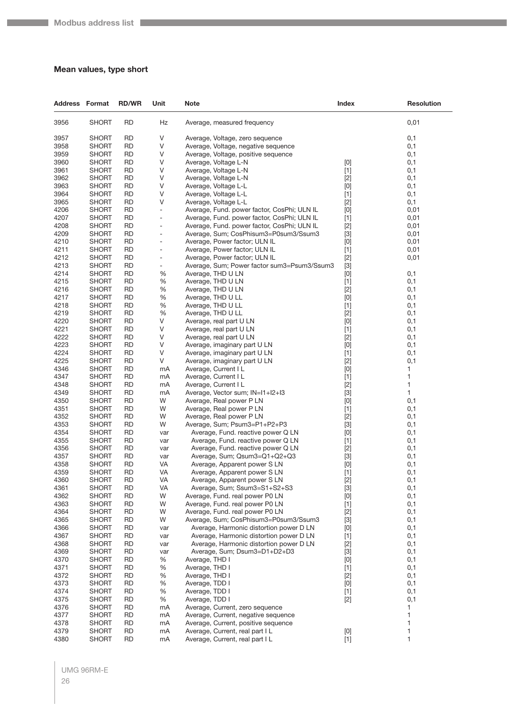## <span id="page-25-0"></span>**Mean values, type short**

| <b>Address Format</b> |                              | <b>RD/WR</b>           | Unit                     | Note                                                                               | <b>Index</b>                                                                                                                                                                                                                                                                                                                                                                                                                                                                                                                                                                                                                                               | <b>Resolution</b> |
|-----------------------|------------------------------|------------------------|--------------------------|------------------------------------------------------------------------------------|------------------------------------------------------------------------------------------------------------------------------------------------------------------------------------------------------------------------------------------------------------------------------------------------------------------------------------------------------------------------------------------------------------------------------------------------------------------------------------------------------------------------------------------------------------------------------------------------------------------------------------------------------------|-------------------|
| 3956                  | <b>SHORT</b>                 | <b>RD</b>              | Hz                       | Average, measured frequency                                                        |                                                                                                                                                                                                                                                                                                                                                                                                                                                                                                                                                                                                                                                            | 0,01              |
| 3957                  | <b>SHORT</b>                 | <b>RD</b>              | V                        | Average, Voltage, zero sequence                                                    |                                                                                                                                                                                                                                                                                                                                                                                                                                                                                                                                                                                                                                                            | 0,1               |
| 3958                  | <b>SHORT</b>                 | <b>RD</b>              | V                        | Average, Voltage, negative sequence                                                |                                                                                                                                                                                                                                                                                                                                                                                                                                                                                                                                                                                                                                                            | 0,1               |
| 3959                  | <b>SHORT</b>                 | <b>RD</b>              | V                        | Average, Voltage, positive sequence                                                |                                                                                                                                                                                                                                                                                                                                                                                                                                                                                                                                                                                                                                                            | 0,1               |
| 3960                  | <b>SHORT</b>                 | RD                     | V                        | Average, Voltage L-N                                                               | [0]                                                                                                                                                                                                                                                                                                                                                                                                                                                                                                                                                                                                                                                        | 0,1               |
| 3961                  | <b>SHORT</b>                 | <b>RD</b>              | V                        | Average, Voltage L-N                                                               | $[1]$                                                                                                                                                                                                                                                                                                                                                                                                                                                                                                                                                                                                                                                      | 0,1               |
| 3962                  | <b>SHORT</b>                 | <b>RD</b>              | V                        | Average, Voltage L-N                                                               | $[2]$                                                                                                                                                                                                                                                                                                                                                                                                                                                                                                                                                                                                                                                      | 0,1               |
| 3963                  | <b>SHORT</b>                 | <b>RD</b>              | V                        | Average, Voltage L-L                                                               | [0]                                                                                                                                                                                                                                                                                                                                                                                                                                                                                                                                                                                                                                                        | 0,1               |
| 3964                  | <b>SHORT</b>                 | <b>RD</b>              | V                        | Average, Voltage L-L                                                               | $[1]$                                                                                                                                                                                                                                                                                                                                                                                                                                                                                                                                                                                                                                                      | 0,1               |
| 3965                  | <b>SHORT</b>                 | RD                     | V                        | Average, Voltage L-L                                                               | $[2]$                                                                                                                                                                                                                                                                                                                                                                                                                                                                                                                                                                                                                                                      | 0,1               |
| 4206                  | <b>SHORT</b>                 | <b>RD</b>              | $\overline{\phantom{a}}$ | Average, Fund. power factor, CosPhi; ULN IL                                        | $[0]$                                                                                                                                                                                                                                                                                                                                                                                                                                                                                                                                                                                                                                                      | 0,01              |
| 4207                  | <b>SHORT</b>                 | <b>RD</b>              | $\overline{a}$           | Average, Fund. power factor, CosPhi; ULN IL                                        | $[1]$                                                                                                                                                                                                                                                                                                                                                                                                                                                                                                                                                                                                                                                      | 0,01              |
| 4208                  | <b>SHORT</b>                 | <b>RD</b>              | $\overline{a}$           | Average, Fund. power factor, CosPhi; ULN IL                                        | $[2]$                                                                                                                                                                                                                                                                                                                                                                                                                                                                                                                                                                                                                                                      | 0,01              |
| 4209                  | <b>SHORT</b>                 | <b>RD</b>              | $\overline{a}$           | Average, Sum; CosPhisum3=P0sum3/Ssum3                                              | $[3]$                                                                                                                                                                                                                                                                                                                                                                                                                                                                                                                                                                                                                                                      | 0,01              |
| 4210                  | <b>SHORT</b>                 | RD                     | ٠                        | Average, Power factor; ULN IL                                                      | $[0]$                                                                                                                                                                                                                                                                                                                                                                                                                                                                                                                                                                                                                                                      | 0,01              |
| 4211                  | <b>SHORT</b>                 | <b>RD</b>              | $\overline{a}$           | Average, Power factor; ULN IL                                                      | $[1]$                                                                                                                                                                                                                                                                                                                                                                                                                                                                                                                                                                                                                                                      | 0,01              |
| 4212                  | <b>SHORT</b>                 | <b>RD</b>              | $\overline{a}$           | Average, Power factor; ULN IL                                                      | $[2]$                                                                                                                                                                                                                                                                                                                                                                                                                                                                                                                                                                                                                                                      | 0,01              |
| 4213                  | <b>SHORT</b>                 | <b>RD</b>              | $\overline{a}$           | Average, Sum; Power factor sum3=Psum3/Ssum3                                        | $[3]$                                                                                                                                                                                                                                                                                                                                                                                                                                                                                                                                                                                                                                                      |                   |
| 4214                  | <b>SHORT</b>                 | <b>RD</b>              | %                        | Average, THD U LN                                                                  | $[0]$                                                                                                                                                                                                                                                                                                                                                                                                                                                                                                                                                                                                                                                      | 0,1               |
| 4215                  | <b>SHORT</b>                 | <b>RD</b>              | %                        | Average, THD U LN                                                                  | $[1]$                                                                                                                                                                                                                                                                                                                                                                                                                                                                                                                                                                                                                                                      | 0,1               |
| 4216                  | <b>SHORT</b>                 | <b>RD</b>              | %                        | Average, THD U LN                                                                  | $[2]$                                                                                                                                                                                                                                                                                                                                                                                                                                                                                                                                                                                                                                                      | 0,1               |
| 4217                  | <b>SHORT</b>                 | <b>RD</b>              | %                        | Average, THD U LL                                                                  | $[0]$                                                                                                                                                                                                                                                                                                                                                                                                                                                                                                                                                                                                                                                      | 0,1               |
| 4218                  | <b>SHORT</b>                 | RD                     | %                        | Average, THD U LL                                                                  | $[1]$                                                                                                                                                                                                                                                                                                                                                                                                                                                                                                                                                                                                                                                      | 0,1               |
| 4219                  | <b>SHORT</b>                 | <b>RD</b>              | %                        | Average, THD U LL                                                                  | $[2]$                                                                                                                                                                                                                                                                                                                                                                                                                                                                                                                                                                                                                                                      | 0,1               |
| 4220                  | <b>SHORT</b>                 | <b>RD</b>              | V                        | Average, real part U LN                                                            | $[0]$                                                                                                                                                                                                                                                                                                                                                                                                                                                                                                                                                                                                                                                      | 0,1               |
| 4221                  | <b>SHORT</b>                 | <b>RD</b>              | V                        | Average, real part U LN                                                            | $[1]$                                                                                                                                                                                                                                                                                                                                                                                                                                                                                                                                                                                                                                                      | 0,1               |
| 4222                  | <b>SHORT</b>                 | <b>RD</b>              | V                        | Average, real part U LN                                                            | $[2]$                                                                                                                                                                                                                                                                                                                                                                                                                                                                                                                                                                                                                                                      | 0,1               |
| 4223                  | <b>SHORT</b>                 | RD                     | V                        | Average, imaginary part U LN                                                       | [0]                                                                                                                                                                                                                                                                                                                                                                                                                                                                                                                                                                                                                                                        | 0,1               |
| 4224                  | <b>SHORT</b>                 | <b>RD</b>              | V                        | Average, imaginary part U LN                                                       | $[1]$                                                                                                                                                                                                                                                                                                                                                                                                                                                                                                                                                                                                                                                      | 0,1               |
| 4225                  | <b>SHORT</b>                 | <b>RD</b>              | V                        | Average, imaginary part U LN                                                       | $[2]$                                                                                                                                                                                                                                                                                                                                                                                                                                                                                                                                                                                                                                                      | 0,1               |
| 4346                  | <b>SHORT</b>                 | <b>RD</b>              | mA                       | Average, Current I L                                                               | $[0]$                                                                                                                                                                                                                                                                                                                                                                                                                                                                                                                                                                                                                                                      | 1                 |
| 4347                  | <b>SHORT</b>                 | RD                     | mA                       | Average, Current I L                                                               | $[1]$                                                                                                                                                                                                                                                                                                                                                                                                                                                                                                                                                                                                                                                      | 1                 |
| 4348                  | <b>SHORT</b>                 | RD                     | mA                       | Average, Current I L                                                               | $[2]$                                                                                                                                                                                                                                                                                                                                                                                                                                                                                                                                                                                                                                                      | 1                 |
| 4349                  | <b>SHORT</b>                 | <b>RD</b>              | mA                       | Average, Vector sum; IN=I1+I2+I3                                                   | $[3]$                                                                                                                                                                                                                                                                                                                                                                                                                                                                                                                                                                                                                                                      | 1                 |
| 4350                  | <b>SHORT</b>                 | <b>RD</b>              | W                        | Average, Real power P LN                                                           | $[0]$                                                                                                                                                                                                                                                                                                                                                                                                                                                                                                                                                                                                                                                      | 0,1               |
| 4351                  | <b>SHORT</b>                 | <b>RD</b>              | W                        | Average, Real power P LN                                                           | $[1]$                                                                                                                                                                                                                                                                                                                                                                                                                                                                                                                                                                                                                                                      | 0,1               |
| 4352                  | <b>SHORT</b>                 | <b>RD</b>              | W                        | Average, Real power P LN                                                           | $[2]$                                                                                                                                                                                                                                                                                                                                                                                                                                                                                                                                                                                                                                                      | 0,1               |
| 4353                  | <b>SHORT</b>                 | RD                     | W                        | Average, Sum; Psum3=P1+P2+P3                                                       | $[3]$                                                                                                                                                                                                                                                                                                                                                                                                                                                                                                                                                                                                                                                      | 0,1               |
| 4354                  | <b>SHORT</b>                 | <b>RD</b>              | var                      | Average, Fund. reactive power Q LN                                                 | [0]                                                                                                                                                                                                                                                                                                                                                                                                                                                                                                                                                                                                                                                        | 0,1               |
| 4355                  | <b>SHORT</b>                 | <b>RD</b>              | var                      | Average, Fund. reactive power Q LN                                                 | $[1]$                                                                                                                                                                                                                                                                                                                                                                                                                                                                                                                                                                                                                                                      | 0,1               |
| 4356                  | <b>SHORT</b>                 | <b>RD</b>              | var                      | Average, Fund. reactive power Q LN                                                 | $[2]$                                                                                                                                                                                                                                                                                                                                                                                                                                                                                                                                                                                                                                                      | 0,1               |
| 4357                  | <b>SHORT</b>                 | <b>RD</b>              | var                      | Average, Sum; Qsum3=Q1+Q2+Q3                                                       | $[3]$                                                                                                                                                                                                                                                                                                                                                                                                                                                                                                                                                                                                                                                      | 0,1               |
| 4358                  | <b>SHORT</b>                 | <b>RD</b>              | VA                       | Average, Apparent power SLN                                                        | [0]                                                                                                                                                                                                                                                                                                                                                                                                                                                                                                                                                                                                                                                        | 0,1               |
| 4359                  | <b>SHORT</b>                 | <b>RD</b>              | VA                       | Average, Apparent power S LN                                                       | $[1]$                                                                                                                                                                                                                                                                                                                                                                                                                                                                                                                                                                                                                                                      | 0,1               |
| 4360                  | <b>SHORT</b>                 | <b>RD</b>              | VA                       | Average, Apparent power S LN                                                       | $[2]$                                                                                                                                                                                                                                                                                                                                                                                                                                                                                                                                                                                                                                                      | 0,1               |
| 4361                  | <b>SHORT</b>                 | <b>RD</b>              | VA                       | Average, Sum; Ssum3=S1+S2+S3                                                       | $[3]$                                                                                                                                                                                                                                                                                                                                                                                                                                                                                                                                                                                                                                                      | 0,1               |
| 4362                  | <b>SHORT</b>                 | <b>RD</b>              | W                        | Average, Fund. real power P0 LN                                                    | $[0]$                                                                                                                                                                                                                                                                                                                                                                                                                                                                                                                                                                                                                                                      | 0,1               |
| 4363                  | <b>SHORT</b>                 | <b>RD</b>              | W                        | Average, Fund. real power P0 LN                                                    | $[1]$                                                                                                                                                                                                                                                                                                                                                                                                                                                                                                                                                                                                                                                      | 0,1               |
| 4364                  | <b>SHORT</b>                 | <b>RD</b>              | W                        | Average, Fund. real power P0 LN                                                    | $[2]$                                                                                                                                                                                                                                                                                                                                                                                                                                                                                                                                                                                                                                                      | 0,1               |
| 4365                  | <b>SHORT</b><br><b>SHORT</b> | <b>RD</b>              | W                        | Average, Sum; CosPhisum3=P0sum3/Ssum3                                              | $[3]$                                                                                                                                                                                                                                                                                                                                                                                                                                                                                                                                                                                                                                                      | 0,1               |
| 4366                  |                              | <b>RD</b>              | var                      | Average, Harmonic distortion power D LN                                            | $[0]$                                                                                                                                                                                                                                                                                                                                                                                                                                                                                                                                                                                                                                                      | 0,1               |
| 4367<br>4368          | <b>SHORT</b><br><b>SHORT</b> | <b>RD</b><br><b>RD</b> | var                      | Average, Harmonic distortion power D LN<br>Average, Harmonic distortion power D LN | $[1]$                                                                                                                                                                                                                                                                                                                                                                                                                                                                                                                                                                                                                                                      | 0,1               |
| 4369                  | <b>SHORT</b>                 | <b>RD</b>              | var                      | Average, Sum; Dsum3=D1+D2+D3                                                       | $[2]$                                                                                                                                                                                                                                                                                                                                                                                                                                                                                                                                                                                                                                                      | 0,1               |
| 4370                  |                              | <b>RD</b>              | var<br>%                 | Average, THD I                                                                     | $[3]$                                                                                                                                                                                                                                                                                                                                                                                                                                                                                                                                                                                                                                                      | 0,1               |
| 4371                  | <b>SHORT</b><br><b>SHORT</b> | <b>RD</b>              | %                        | Average, THD I                                                                     | [0]<br>$[1]$                                                                                                                                                                                                                                                                                                                                                                                                                                                                                                                                                                                                                                               | 0,1<br>0,1        |
|                       |                              | <b>RD</b>              | %                        | Average, THD I                                                                     |                                                                                                                                                                                                                                                                                                                                                                                                                                                                                                                                                                                                                                                            |                   |
| 4372                  | <b>SHORT</b>                 |                        |                          |                                                                                    | $[2]$                                                                                                                                                                                                                                                                                                                                                                                                                                                                                                                                                                                                                                                      | 0,1               |
| 4373<br>4374          | <b>SHORT</b><br><b>SHORT</b> | <b>RD</b><br><b>RD</b> | $\%$<br>$\%$             | Average, TDD I<br>Average, TDD I                                                   | [0]                                                                                                                                                                                                                                                                                                                                                                                                                                                                                                                                                                                                                                                        | 0,1<br>0,1        |
| 4375                  |                              | <b>RD</b>              | %                        | Average, TDD I                                                                     | $[1]$                                                                                                                                                                                                                                                                                                                                                                                                                                                                                                                                                                                                                                                      |                   |
| 4376                  | <b>SHORT</b><br><b>SHORT</b> | <b>RD</b>              | mA                       | Average, Current, zero sequence                                                    | $[2]$                                                                                                                                                                                                                                                                                                                                                                                                                                                                                                                                                                                                                                                      | 0,1<br>1          |
| 4377                  | <b>SHORT</b>                 | <b>RD</b>              | mA                       | Average, Current, negative sequence                                                |                                                                                                                                                                                                                                                                                                                                                                                                                                                                                                                                                                                                                                                            | 1                 |
| 4378                  | <b>SHORT</b>                 | <b>RD</b>              | mA                       | Average, Current, positive sequence                                                |                                                                                                                                                                                                                                                                                                                                                                                                                                                                                                                                                                                                                                                            | 1                 |
| 4379                  | <b>SHORT</b>                 | <b>RD</b>              | mA                       | Average, Current, real part I L                                                    | $[0] % \begin{center} % \includegraphics[width=\linewidth]{imagesSupplemental_3.png} % \end{center} % \caption { % Our method is used for the method. % Note that the \emph{exponent} and \emph{exponent} is used for the \emph{exponent} and \emph{exponent} is used for the \emph{exponent} and \emph{exponent} is used for the \emph{exponent} and \emph{exponent} is used for the \emph{exponent} and \emph{exponent} is used for the \emph{exponent} and \emph{exponent} is used for the \emph{exponent} and \emph{exponent} is used for the \emph{exponent} and \emph{exponent} is used for the \emph{exponent} and \emph{exponent} is used for the$ | 1                 |
| 4380                  | <b>SHORT</b>                 | <b>RD</b>              | mA                       | Average, Current, real part I L                                                    | [1]                                                                                                                                                                                                                                                                                                                                                                                                                                                                                                                                                                                                                                                        | $\mathbf{1}$      |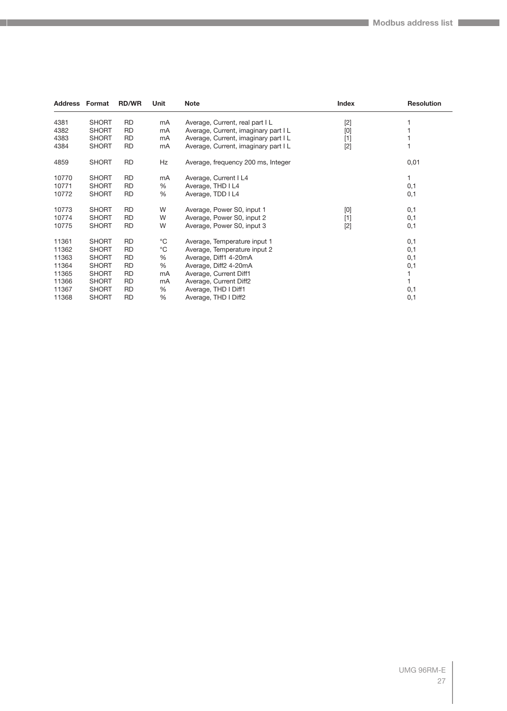| <b>Address Format</b> |              | <b>RD/WR</b> | Unit        | <b>Note</b>                          | Index | <b>Resolution</b> |
|-----------------------|--------------|--------------|-------------|--------------------------------------|-------|-------------------|
| 4381                  | <b>SHORT</b> | <b>RD</b>    | mA          | Average, Current, real part I L      | $[2]$ |                   |
| 4382                  | <b>SHORT</b> | RD           | mA          | Average, Current, imaginary part I L | [0]   |                   |
| 4383                  | <b>SHORT</b> | RD           | mA          | Average, Current, imaginary part I L | $[1]$ |                   |
| 4384                  | <b>SHORT</b> | RD           | mA          | Average, Current, imaginary part I L | $[2]$ |                   |
| 4859                  | <b>SHORT</b> | <b>RD</b>    | Hz          | Average, frequency 200 ms, Integer   |       | 0,01              |
| 10770                 | <b>SHORT</b> | <b>RD</b>    | mA          | Average, Current I L4                |       |                   |
| 10771                 | <b>SHORT</b> | <b>RD</b>    | %           | Average, THD I L4                    |       | 0,1               |
| 10772                 | <b>SHORT</b> | <b>RD</b>    | %           | Average, TDD I L4                    |       | 0,1               |
| 10773                 | <b>SHORT</b> | <b>RD</b>    | W           | Average, Power S0, input 1           | [0]   | 0,1               |
| 10774                 | <b>SHORT</b> | <b>RD</b>    | W           | Average, Power S0, input 2           | $[1]$ | 0,1               |
| 10775                 | <b>SHORT</b> | <b>RD</b>    | W           | Average, Power S0, input 3           | $[2]$ | 0,1               |
| 11361                 | <b>SHORT</b> | <b>RD</b>    | °C          | Average, Temperature input 1         |       | 0,1               |
| 11362                 | <b>SHORT</b> | <b>RD</b>    | $^{\circ}C$ | Average, Temperature input 2         |       | 0,1               |
| 11363                 | <b>SHORT</b> | <b>RD</b>    | %           | Average, Diff1 4-20mA                |       | 0,1               |
| 11364                 | <b>SHORT</b> | RD           | %           | Average, Diff2 4-20mA                |       | 0,1               |
| 11365                 | <b>SHORT</b> | RD           | mA          | Average, Current Diff1               |       |                   |
| 11366                 | <b>SHORT</b> | RD           | mA          | Average, Current Diff2               |       |                   |
| 11367                 | <b>SHORT</b> | <b>RD</b>    | %           | Average, THD I Diff1                 |       | 0,1               |
| 11368                 | <b>SHORT</b> | <b>RD</b>    | %           | Average, THD I Diff2                 |       | 0,1               |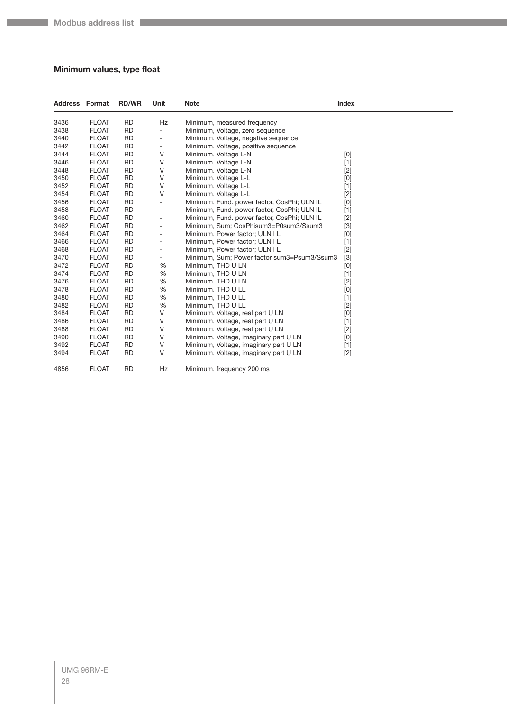## <span id="page-27-0"></span>**Minimum values, type float**

| <b>Address Format</b> |              | <b>RD/WR</b> | Unit                     | <b>Note</b>                                 | Index |  |
|-----------------------|--------------|--------------|--------------------------|---------------------------------------------|-------|--|
| 3436                  | <b>FLOAT</b> | <b>RD</b>    | Hz                       | Minimum, measured frequency                 |       |  |
| 3438                  | <b>FLOAT</b> | <b>RD</b>    | ÷,                       | Minimum, Voltage, zero sequence             |       |  |
| 3440                  | <b>FLOAT</b> | <b>RD</b>    | $\overline{\phantom{a}}$ | Minimum, Voltage, negative sequence         |       |  |
| 3442                  | <b>FLOAT</b> | <b>RD</b>    | ۰                        | Minimum, Voltage, positive sequence         |       |  |
| 3444                  | <b>FLOAT</b> | <b>RD</b>    | $\vee$                   | Minimum, Voltage L-N                        | [0]   |  |
| 3446                  | <b>FLOAT</b> | <b>RD</b>    | $\vee$                   | Minimum, Voltage L-N                        | $[1]$ |  |
| 3448                  | <b>FLOAT</b> | <b>RD</b>    | V                        | Minimum, Voltage L-N                        | $[2]$ |  |
| 3450                  | <b>FLOAT</b> | <b>RD</b>    | V                        | Minimum, Voltage L-L                        | [0]   |  |
| 3452                  | <b>FLOAT</b> | <b>RD</b>    | V                        | Minimum, Voltage L-L                        | $[1]$ |  |
| 3454                  | <b>FLOAT</b> | <b>RD</b>    | $\vee$                   | Minimum, Voltage L-L                        | $[2]$ |  |
| 3456                  | <b>FLOAT</b> | <b>RD</b>    | $\overline{\phantom{a}}$ | Minimum, Fund. power factor, CosPhi; ULN IL | [0]   |  |
| 3458                  | <b>FLOAT</b> | <b>RD</b>    | $\overline{\phantom{a}}$ | Minimum, Fund. power factor, CosPhi; ULN IL | $[1]$ |  |
| 3460                  | <b>FLOAT</b> | <b>RD</b>    | $\overline{\phantom{a}}$ | Minimum, Fund. power factor, CosPhi; ULN IL | $[2]$ |  |
| 3462                  | <b>FLOAT</b> | <b>RD</b>    | ÷                        | Minimum, Sum; CosPhisum3=P0sum3/Ssum3       | $[3]$ |  |
| 3464                  | <b>FLOAT</b> | <b>RD</b>    | ÷                        | Minimum, Power factor; ULN I L              | [0]   |  |
| 3466                  | <b>FLOAT</b> | <b>RD</b>    | ۰                        | Minimum, Power factor; ULN I L              | $[1]$ |  |
| 3468                  | <b>FLOAT</b> | <b>RD</b>    | $\overline{\phantom{a}}$ | Minimum, Power factor; ULN I L              | $[2]$ |  |
| 3470                  | <b>FLOAT</b> | <b>RD</b>    | $\overline{\phantom{a}}$ | Minimum, Sum; Power factor sum3=Psum3/Ssum3 | $[3]$ |  |
| 3472                  | <b>FLOAT</b> | <b>RD</b>    | %                        | Minimum, THD U LN                           | [0]   |  |
| 3474                  | <b>FLOAT</b> | <b>RD</b>    | %                        | Minimum, THD U LN                           | $[1]$ |  |
| 3476                  | <b>FLOAT</b> | <b>RD</b>    | %                        | Minimum, THD U LN                           | $[2]$ |  |
| 3478                  | <b>FLOAT</b> | <b>RD</b>    | %                        | Minimum, THD U LL                           | [0]   |  |
| 3480                  | <b>FLOAT</b> | <b>RD</b>    | %                        | Minimum, THD U LL                           | $[1]$ |  |
| 3482                  | <b>FLOAT</b> | <b>RD</b>    | %                        | Minimum, THD U LL                           | $[2]$ |  |
| 3484                  | <b>FLOAT</b> | <b>RD</b>    | $\vee$                   | Minimum, Voltage, real part U LN            | [0]   |  |
| 3486                  | <b>FLOAT</b> | <b>RD</b>    | V                        | Minimum, Voltage, real part U LN            | $[1]$ |  |
| 3488                  | <b>FLOAT</b> | <b>RD</b>    | $\vee$                   | Minimum, Voltage, real part U LN            | $[2]$ |  |
| 3490                  | <b>FLOAT</b> | <b>RD</b>    | $\vee$                   | Minimum, Voltage, imaginary part U LN       | [0]   |  |
| 3492                  | <b>FLOAT</b> | <b>RD</b>    | V                        | Minimum, Voltage, imaginary part U LN       | $[1]$ |  |
| 3494                  | <b>FLOAT</b> | <b>RD</b>    | V                        | Minimum, Voltage, imaginary part U LN       | $[2]$ |  |
| 4856                  | <b>FLOAT</b> | <b>RD</b>    | Hz                       | Minimum, frequency 200 ms                   |       |  |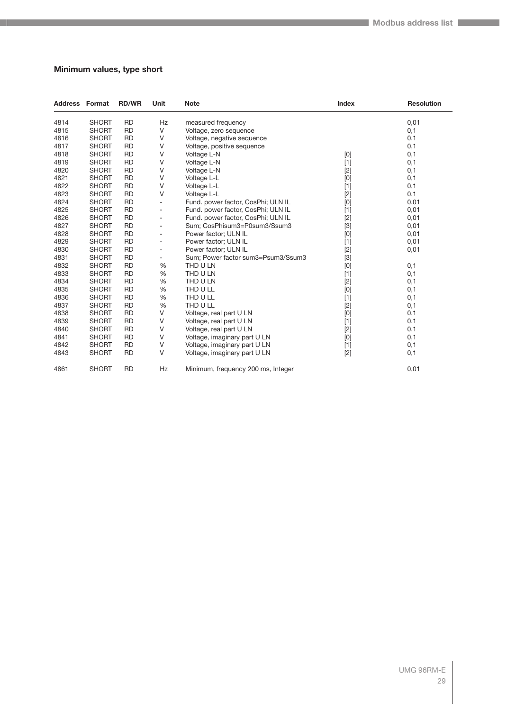## <span id="page-28-0"></span>**Minimum values, type short**

| <b>Address Format</b> |              | <b>RD/WR</b> | Unit                     | <b>Note</b>                        | <b>Index</b>                                                                                                                                                                                                                                                                                                                                                                                                                                                                                                                                                                                       | <b>Resolution</b> |
|-----------------------|--------------|--------------|--------------------------|------------------------------------|----------------------------------------------------------------------------------------------------------------------------------------------------------------------------------------------------------------------------------------------------------------------------------------------------------------------------------------------------------------------------------------------------------------------------------------------------------------------------------------------------------------------------------------------------------------------------------------------------|-------------------|
| 4814                  | <b>SHORT</b> | <b>RD</b>    | Hz                       | measured frequency                 |                                                                                                                                                                                                                                                                                                                                                                                                                                                                                                                                                                                                    | 0,01              |
| 4815                  | <b>SHORT</b> | <b>RD</b>    | V                        | Voltage, zero sequence             |                                                                                                                                                                                                                                                                                                                                                                                                                                                                                                                                                                                                    | 0,1               |
| 4816                  | <b>SHORT</b> | <b>RD</b>    | V                        | Voltage, negative sequence         |                                                                                                                                                                                                                                                                                                                                                                                                                                                                                                                                                                                                    | 0,1               |
| 4817                  | <b>SHORT</b> | <b>RD</b>    | V                        | Voltage, positive sequence         |                                                                                                                                                                                                                                                                                                                                                                                                                                                                                                                                                                                                    | 0,1               |
| 4818                  | <b>SHORT</b> | <b>RD</b>    | V                        | Voltage L-N                        | $[0] % \begin{center} % \includegraphics[width=\linewidth]{imagesSupplemental_3.png} % \end{center} % \caption { % Our method can be used for the use of the image. % Note that the \emph{DefNet}~\cite{bib66} as a function of the \emph{DefNet}~\cite{bib66} as a function of the \emph{DefNet}~\cite{bib66} as a function of the \emph{DefNet}~\cite{bib66} as a function of the \emph{DefNet}~\cite{bib66} as a function of the \emph{DefNet}~\cite{bib66} as a function of the \emph{DefNet}~\cite{bib66} as a function of the \emph{DefNet}~\cite{bib66} as a function of the \emph{DefNet}$ | 0,1               |
| 4819                  | <b>SHORT</b> | <b>RD</b>    | V                        | Voltage L-N                        | $[1]$                                                                                                                                                                                                                                                                                                                                                                                                                                                                                                                                                                                              | 0,1               |
| 4820                  | <b>SHORT</b> | <b>RD</b>    | V                        | Voltage L-N                        | $[2]$                                                                                                                                                                                                                                                                                                                                                                                                                                                                                                                                                                                              | 0,1               |
| 4821                  | <b>SHORT</b> | <b>RD</b>    | V                        | Voltage L-L                        | [0]                                                                                                                                                                                                                                                                                                                                                                                                                                                                                                                                                                                                | 0,1               |
| 4822                  | <b>SHORT</b> | <b>RD</b>    | V                        | Voltage L-L                        | $[1]$                                                                                                                                                                                                                                                                                                                                                                                                                                                                                                                                                                                              | 0,1               |
| 4823                  | <b>SHORT</b> | <b>RD</b>    | V                        | Voltage L-L                        | $[2]$                                                                                                                                                                                                                                                                                                                                                                                                                                                                                                                                                                                              | 0,1               |
| 4824                  | <b>SHORT</b> | <b>RD</b>    | $\overline{\phantom{a}}$ | Fund. power factor, CosPhi; ULN IL | [0]                                                                                                                                                                                                                                                                                                                                                                                                                                                                                                                                                                                                | 0,01              |
| 4825                  | <b>SHORT</b> | <b>RD</b>    | $\overline{\phantom{a}}$ | Fund. power factor, CosPhi; ULN IL | $[1]$                                                                                                                                                                                                                                                                                                                                                                                                                                                                                                                                                                                              | 0,01              |
| 4826                  | <b>SHORT</b> | <b>RD</b>    | $\overline{\phantom{a}}$ | Fund. power factor, CosPhi; ULN IL | $[2]$                                                                                                                                                                                                                                                                                                                                                                                                                                                                                                                                                                                              | 0,01              |
| 4827                  | <b>SHORT</b> | <b>RD</b>    | $\overline{\phantom{a}}$ | Sum; CosPhisum3=P0sum3/Ssum3       | $[3]$                                                                                                                                                                                                                                                                                                                                                                                                                                                                                                                                                                                              | 0,01              |
| 4828                  | <b>SHORT</b> | <b>RD</b>    | $\overline{\phantom{a}}$ | Power factor; ULN IL               | $[0] % \begin{center} % \includegraphics[width=\linewidth]{imagesSupplemental_3.png} % \end{center} % \caption { % Our method can be used for the use of the image. % Note that the \emph{DefNet}~\cite{bib66} as a function of the \emph{DefNet}~\cite{bib66} as a function of the \emph{DefNet}~\cite{bib66} as a function of the \emph{DefNet}~\cite{bib66} as a function of the \emph{DefNet}~\cite{bib66} as a function of the \emph{DefNet}~\cite{bib66} as a function of the \emph{DefNet}~\cite{bib66} as a function of the \emph{DefNet}~\cite{bib66} as a function of the \emph{DefNet}$ | 0,01              |
| 4829                  | <b>SHORT</b> | <b>RD</b>    | $\overline{\phantom{a}}$ | Power factor; ULN IL               | $[1]$                                                                                                                                                                                                                                                                                                                                                                                                                                                                                                                                                                                              | 0,01              |
| 4830                  | <b>SHORT</b> | <b>RD</b>    | $\overline{\phantom{a}}$ | Power factor; ULN IL               | $[2]$                                                                                                                                                                                                                                                                                                                                                                                                                                                                                                                                                                                              | 0,01              |
| 4831                  | <b>SHORT</b> | <b>RD</b>    | $\overline{\phantom{0}}$ | Sum; Power factor sum3=Psum3/Ssum3 | $[3]$                                                                                                                                                                                                                                                                                                                                                                                                                                                                                                                                                                                              |                   |
| 4832                  | <b>SHORT</b> | <b>RD</b>    | %                        | THD U LN                           | [0]                                                                                                                                                                                                                                                                                                                                                                                                                                                                                                                                                                                                | 0,1               |
| 4833                  | <b>SHORT</b> | <b>RD</b>    | %                        | THD U LN                           | $[1]$                                                                                                                                                                                                                                                                                                                                                                                                                                                                                                                                                                                              | 0,1               |
| 4834                  | <b>SHORT</b> | <b>RD</b>    | %                        | THD U LN                           | $[2]$                                                                                                                                                                                                                                                                                                                                                                                                                                                                                                                                                                                              | 0,1               |
| 4835                  | <b>SHORT</b> | <b>RD</b>    | %                        | THD U LL                           | [0]                                                                                                                                                                                                                                                                                                                                                                                                                                                                                                                                                                                                | 0,1               |
| 4836                  | <b>SHORT</b> | <b>RD</b>    | %                        | THD U LL                           | $[1]$                                                                                                                                                                                                                                                                                                                                                                                                                                                                                                                                                                                              | 0,1               |
| 4837                  | <b>SHORT</b> | <b>RD</b>    | $\%$                     | THD U LL                           | $[2]$                                                                                                                                                                                                                                                                                                                                                                                                                                                                                                                                                                                              | 0,1               |
| 4838                  | <b>SHORT</b> | <b>RD</b>    | V                        | Voltage, real part U LN            | [0]                                                                                                                                                                                                                                                                                                                                                                                                                                                                                                                                                                                                | 0,1               |
| 4839                  | <b>SHORT</b> | <b>RD</b>    | $\vee$                   | Voltage, real part U LN            | $[1]$                                                                                                                                                                                                                                                                                                                                                                                                                                                                                                                                                                                              | 0,1               |
| 4840                  | <b>SHORT</b> | <b>RD</b>    | V                        | Voltage, real part U LN            | $[2]$                                                                                                                                                                                                                                                                                                                                                                                                                                                                                                                                                                                              | 0,1               |
| 4841                  | <b>SHORT</b> | <b>RD</b>    | V                        | Voltage, imaginary part U LN       | [0]                                                                                                                                                                                                                                                                                                                                                                                                                                                                                                                                                                                                | 0,1               |
| 4842                  | <b>SHORT</b> | <b>RD</b>    | V                        | Voltage, imaginary part U LN       | $[1]$                                                                                                                                                                                                                                                                                                                                                                                                                                                                                                                                                                                              | 0,1               |
| 4843                  | <b>SHORT</b> | <b>RD</b>    | $\vee$                   | Voltage, imaginary part U LN       | $[2]$                                                                                                                                                                                                                                                                                                                                                                                                                                                                                                                                                                                              | 0,1               |
| 4861                  | <b>SHORT</b> | <b>RD</b>    | Hz                       | Minimum, frequency 200 ms, Integer |                                                                                                                                                                                                                                                                                                                                                                                                                                                                                                                                                                                                    | 0,01              |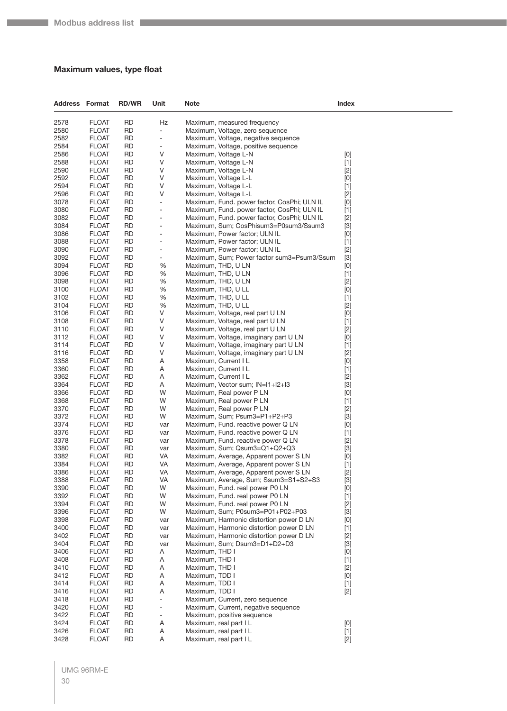## <span id="page-29-0"></span>**Maximum values, type float**

| <b>Address Format</b> |                              | <b>RD/WR</b>           | Unit                           | Note                                                                                       | Index                                                                                                                                                                                                                                                                                                                                                                                                                                                                                                                                                                                              |
|-----------------------|------------------------------|------------------------|--------------------------------|--------------------------------------------------------------------------------------------|----------------------------------------------------------------------------------------------------------------------------------------------------------------------------------------------------------------------------------------------------------------------------------------------------------------------------------------------------------------------------------------------------------------------------------------------------------------------------------------------------------------------------------------------------------------------------------------------------|
| 2578                  | <b>FLOAT</b>                 | <b>RD</b>              | Hz                             | Maximum, measured frequency                                                                |                                                                                                                                                                                                                                                                                                                                                                                                                                                                                                                                                                                                    |
| 2580                  | <b>FLOAT</b>                 | <b>RD</b>              | $\blacksquare$                 | Maximum, Voltage, zero sequence                                                            |                                                                                                                                                                                                                                                                                                                                                                                                                                                                                                                                                                                                    |
| 2582                  | <b>FLOAT</b>                 | <b>RD</b>              | $\overline{\phantom{a}}$       | Maximum, Voltage, negative sequence                                                        |                                                                                                                                                                                                                                                                                                                                                                                                                                                                                                                                                                                                    |
| 2584                  | <b>FLOAT</b>                 | <b>RD</b>              | $\overline{\phantom{a}}$       | Maximum, Voltage, positive sequence                                                        |                                                                                                                                                                                                                                                                                                                                                                                                                                                                                                                                                                                                    |
| 2586                  | <b>FLOAT</b>                 | <b>RD</b>              | V                              | Maximum, Voltage L-N                                                                       | [0]                                                                                                                                                                                                                                                                                                                                                                                                                                                                                                                                                                                                |
| 2588                  | <b>FLOAT</b>                 | <b>RD</b>              | V                              | Maximum, Voltage L-N                                                                       | $[1]$                                                                                                                                                                                                                                                                                                                                                                                                                                                                                                                                                                                              |
| 2590                  | <b>FLOAT</b>                 | <b>RD</b>              | V                              | Maximum, Voltage L-N                                                                       | $[2]$                                                                                                                                                                                                                                                                                                                                                                                                                                                                                                                                                                                              |
| 2592                  | <b>FLOAT</b>                 | <b>RD</b>              | V                              | Maximum, Voltage L-L                                                                       | $[0]$                                                                                                                                                                                                                                                                                                                                                                                                                                                                                                                                                                                              |
| 2594                  | <b>FLOAT</b>                 | <b>RD</b>              | V                              | Maximum, Voltage L-L                                                                       | $[1]$                                                                                                                                                                                                                                                                                                                                                                                                                                                                                                                                                                                              |
| 2596                  | <b>FLOAT</b>                 | <b>RD</b>              | V                              | Maximum, Voltage L-L                                                                       | $[2]$                                                                                                                                                                                                                                                                                                                                                                                                                                                                                                                                                                                              |
| 3078                  | <b>FLOAT</b>                 | <b>RD</b>              | $\blacksquare$                 | Maximum, Fund. power factor, CosPhi; ULN IL                                                | $[0]$                                                                                                                                                                                                                                                                                                                                                                                                                                                                                                                                                                                              |
| 3080<br>3082          | <b>FLOAT</b><br><b>FLOAT</b> | <b>RD</b><br><b>RD</b> | $\overline{\phantom{a}}$<br>÷, | Maximum, Fund. power factor, CosPhi; ULN IL<br>Maximum, Fund. power factor, CosPhi; ULN IL | $[1]$<br>$[2]$                                                                                                                                                                                                                                                                                                                                                                                                                                                                                                                                                                                     |
| 3084                  | <b>FLOAT</b>                 | <b>RD</b>              | $\overline{\phantom{a}}$       | Maximum, Sum; CosPhisum3=P0sum3/Ssum3                                                      | $[3]$                                                                                                                                                                                                                                                                                                                                                                                                                                                                                                                                                                                              |
| 3086                  | <b>FLOAT</b>                 | <b>RD</b>              | $\blacksquare$                 | Maximum, Power factor; ULN IL                                                              | [0]                                                                                                                                                                                                                                                                                                                                                                                                                                                                                                                                                                                                |
| 3088                  | <b>FLOAT</b>                 | <b>RD</b>              | $\overline{\phantom{a}}$       | Maximum, Power factor; ULN IL                                                              | $[1]$                                                                                                                                                                                                                                                                                                                                                                                                                                                                                                                                                                                              |
| 3090                  | <b>FLOAT</b>                 | <b>RD</b>              | $\blacksquare$                 | Maximum, Power factor; ULN IL                                                              | $[2]$                                                                                                                                                                                                                                                                                                                                                                                                                                                                                                                                                                                              |
| 3092                  | <b>FLOAT</b>                 | <b>RD</b>              | $\overline{\phantom{a}}$       | Maximum, Sum; Power factor sum3=Psum3/Ssum                                                 | $[3]$                                                                                                                                                                                                                                                                                                                                                                                                                                                                                                                                                                                              |
| 3094                  | <b>FLOAT</b>                 | <b>RD</b>              | $\%$                           | Maximum, THD, U LN                                                                         | $[0]$                                                                                                                                                                                                                                                                                                                                                                                                                                                                                                                                                                                              |
| 3096                  | <b>FLOAT</b>                 | <b>RD</b>              | %                              | Maximum, THD, U LN                                                                         | $[1]$                                                                                                                                                                                                                                                                                                                                                                                                                                                                                                                                                                                              |
| 3098                  | <b>FLOAT</b>                 | <b>RD</b>              | %                              | Maximum, THD, U LN                                                                         | $[2]$                                                                                                                                                                                                                                                                                                                                                                                                                                                                                                                                                                                              |
| 3100                  | <b>FLOAT</b>                 | <b>RD</b>              | %                              | Maximum, THD, U LL                                                                         | $[0]$                                                                                                                                                                                                                                                                                                                                                                                                                                                                                                                                                                                              |
| 3102                  | <b>FLOAT</b>                 | <b>RD</b>              | $\%$                           | Maximum, THD, U LL                                                                         | $[1]$                                                                                                                                                                                                                                                                                                                                                                                                                                                                                                                                                                                              |
| 3104                  | <b>FLOAT</b>                 | <b>RD</b>              | $\%$                           | Maximum, THD, U LL                                                                         | $[2]$                                                                                                                                                                                                                                                                                                                                                                                                                                                                                                                                                                                              |
| 3106                  | <b>FLOAT</b>                 | <b>RD</b>              | V<br>V                         | Maximum, Voltage, real part U LN                                                           | $[0]$                                                                                                                                                                                                                                                                                                                                                                                                                                                                                                                                                                                              |
| 3108<br>3110          | <b>FLOAT</b><br><b>FLOAT</b> | <b>RD</b><br><b>RD</b> | V                              | Maximum, Voltage, real part U LN<br>Maximum, Voltage, real part U LN                       | $[1]$<br>$[2]$                                                                                                                                                                                                                                                                                                                                                                                                                                                                                                                                                                                     |
| 3112                  | <b>FLOAT</b>                 | <b>RD</b>              | V                              | Maximum, Voltage, imaginary part U LN                                                      | [0]                                                                                                                                                                                                                                                                                                                                                                                                                                                                                                                                                                                                |
| 3114                  | <b>FLOAT</b>                 | <b>RD</b>              | V                              | Maximum, Voltage, imaginary part U LN                                                      | $[1]$                                                                                                                                                                                                                                                                                                                                                                                                                                                                                                                                                                                              |
| 3116                  | <b>FLOAT</b>                 | <b>RD</b>              | V                              | Maximum, Voltage, imaginary part U LN                                                      | $[2]$                                                                                                                                                                                                                                                                                                                                                                                                                                                                                                                                                                                              |
| 3358                  | <b>FLOAT</b>                 | <b>RD</b>              | Α                              | Maximum, Current I L                                                                       | [0]                                                                                                                                                                                                                                                                                                                                                                                                                                                                                                                                                                                                |
| 3360                  | <b>FLOAT</b>                 | <b>RD</b>              | Α                              | Maximum, Current I L                                                                       | $[1]$                                                                                                                                                                                                                                                                                                                                                                                                                                                                                                                                                                                              |
| 3362                  | <b>FLOAT</b>                 | <b>RD</b>              | A                              | Maximum, Current I L                                                                       | $[2]$                                                                                                                                                                                                                                                                                                                                                                                                                                                                                                                                                                                              |
| 3364                  | <b>FLOAT</b>                 | <b>RD</b>              | Α                              | Maximum, Vector sum; IN=I1+I2+I3                                                           | $[3]$                                                                                                                                                                                                                                                                                                                                                                                                                                                                                                                                                                                              |
| 3366                  | <b>FLOAT</b>                 | <b>RD</b>              | W                              | Maximum, Real power P LN                                                                   | $[0]$                                                                                                                                                                                                                                                                                                                                                                                                                                                                                                                                                                                              |
| 3368                  | <b>FLOAT</b>                 | <b>RD</b>              | W                              | Maximum, Real power P LN                                                                   | $[1]$                                                                                                                                                                                                                                                                                                                                                                                                                                                                                                                                                                                              |
| 3370                  | <b>FLOAT</b>                 | <b>RD</b>              | W                              | Maximum, Real power P LN                                                                   | $[2]$                                                                                                                                                                                                                                                                                                                                                                                                                                                                                                                                                                                              |
| 3372                  | <b>FLOAT</b>                 | <b>RD</b>              | W                              | Maximum, Sum; Psum3=P1+P2+P3                                                               | $[3]$                                                                                                                                                                                                                                                                                                                                                                                                                                                                                                                                                                                              |
| 3374<br>3376          | <b>FLOAT</b><br><b>FLOAT</b> | <b>RD</b><br><b>RD</b> | var                            | Maximum, Fund. reactive power Q LN<br>Maximum, Fund. reactive power Q LN                   | $[0]$                                                                                                                                                                                                                                                                                                                                                                                                                                                                                                                                                                                              |
| 3378                  | <b>FLOAT</b>                 | <b>RD</b>              | var<br>var                     | Maximum, Fund. reactive power Q LN                                                         | $[1]$<br>$[2]$                                                                                                                                                                                                                                                                                                                                                                                                                                                                                                                                                                                     |
| 3380                  | <b>FLOAT</b>                 | <b>RD</b>              | var                            | Maximum, Sum; Qsum3=Q1+Q2+Q3                                                               | $[3]$                                                                                                                                                                                                                                                                                                                                                                                                                                                                                                                                                                                              |
| 3382                  | <b>FLOAT</b>                 | <b>RD</b>              | VA                             | Maximum, Average, Apparent power S LN                                                      | [0]                                                                                                                                                                                                                                                                                                                                                                                                                                                                                                                                                                                                |
| 3384                  | <b>FLOAT</b>                 | <b>RD</b>              | VA                             | Maximum, Average, Apparent power SLN                                                       | $[1]$                                                                                                                                                                                                                                                                                                                                                                                                                                                                                                                                                                                              |
| 3386                  | <b>FLOAT</b>                 | RD.                    | VA                             | Maximum, Average, Apparent power S LN                                                      | $[2]$                                                                                                                                                                                                                                                                                                                                                                                                                                                                                                                                                                                              |
| 3388                  | <b>FLOAT</b>                 | <b>RD</b>              | VA                             | Maximum, Average, Sum; Ssum3=S1+S2+S3                                                      | $[3]$                                                                                                                                                                                                                                                                                                                                                                                                                                                                                                                                                                                              |
| 3390                  | <b>FLOAT</b>                 | <b>RD</b>              | W                              | Maximum, Fund. real power P0 LN                                                            | [0]                                                                                                                                                                                                                                                                                                                                                                                                                                                                                                                                                                                                |
| 3392                  | <b>FLOAT</b>                 | <b>RD</b>              | W                              | Maximum, Fund. real power P0 LN                                                            | $[1]$                                                                                                                                                                                                                                                                                                                                                                                                                                                                                                                                                                                              |
| 3394                  | <b>FLOAT</b>                 | <b>RD</b>              | W                              | Maximum, Fund. real power P0 LN                                                            | $[2]$                                                                                                                                                                                                                                                                                                                                                                                                                                                                                                                                                                                              |
| 3396                  | <b>FLOAT</b>                 | RD                     | W                              | Maximum, Sum; P0sum3=P01+P02+P03                                                           | $[3]$                                                                                                                                                                                                                                                                                                                                                                                                                                                                                                                                                                                              |
| 3398                  | <b>FLOAT</b>                 | <b>RD</b>              | var                            | Maximum, Harmonic distortion power D LN                                                    | [0]                                                                                                                                                                                                                                                                                                                                                                                                                                                                                                                                                                                                |
| 3400<br>3402          | <b>FLOAT</b><br><b>FLOAT</b> | <b>RD</b><br><b>RD</b> | var                            | Maximum, Harmonic distortion power D LN<br>Maximum, Harmonic distortion power D LN         | $[1]$                                                                                                                                                                                                                                                                                                                                                                                                                                                                                                                                                                                              |
| 3404                  | <b>FLOAT</b>                 | <b>RD</b>              | var<br>var                     | Maximum, Sum; Dsum3=D1+D2+D3                                                               | $[2]$<br>$[3]$                                                                                                                                                                                                                                                                                                                                                                                                                                                                                                                                                                                     |
| 3406                  | <b>FLOAT</b>                 | RD                     | Α                              | Maximum, THD I                                                                             | [0]                                                                                                                                                                                                                                                                                                                                                                                                                                                                                                                                                                                                |
| 3408                  | <b>FLOAT</b>                 | <b>RD</b>              | A                              | Maximum, THD I                                                                             | $[1]$                                                                                                                                                                                                                                                                                                                                                                                                                                                                                                                                                                                              |
| 3410                  | <b>FLOAT</b>                 | RD                     | Α                              | Maximum, THD I                                                                             | $[2]$                                                                                                                                                                                                                                                                                                                                                                                                                                                                                                                                                                                              |
| 3412                  | <b>FLOAT</b>                 | <b>RD</b>              | A                              | Maximum, TDD I                                                                             | $[0] % \begin{center} % \includegraphics[width=\linewidth]{imagesSupplemental_3.png} % \end{center} % \caption { % Our method can be used for the use of the image. % Note that the \emph{DefNet}~\cite{bib66} as a function of the \emph{DefNet}~\cite{bib66} as a function of the \emph{DefNet}~\cite{bib66} as a function of the \emph{DefNet}~\cite{bib66} as a function of the \emph{DefNet}~\cite{bib66} as a function of the \emph{DefNet}~\cite{bib66} as a function of the \emph{DefNet}~\cite{bib66} as a function of the \emph{DefNet}~\cite{bib66} as a function of the \emph{DefNet}$ |
| 3414                  | <b>FLOAT</b>                 | <b>RD</b>              | A                              | Maximum, TDD I                                                                             | $[1]$                                                                                                                                                                                                                                                                                                                                                                                                                                                                                                                                                                                              |
| 3416                  | <b>FLOAT</b>                 | <b>RD</b>              | A                              | Maximum, TDD I                                                                             | $[2]$                                                                                                                                                                                                                                                                                                                                                                                                                                                                                                                                                                                              |
| 3418                  | <b>FLOAT</b>                 | <b>RD</b>              | $\blacksquare$                 | Maximum, Current, zero sequence                                                            |                                                                                                                                                                                                                                                                                                                                                                                                                                                                                                                                                                                                    |
| 3420                  | <b>FLOAT</b>                 | <b>RD</b>              | $\overline{\phantom{a}}$       | Maximum, Current, negative sequence                                                        |                                                                                                                                                                                                                                                                                                                                                                                                                                                                                                                                                                                                    |
| 3422                  | <b>FLOAT</b>                 | <b>RD</b>              | $\overline{\phantom{a}}$       | Maximum, positive sequence                                                                 |                                                                                                                                                                                                                                                                                                                                                                                                                                                                                                                                                                                                    |
| 3424                  | <b>FLOAT</b>                 | <b>RD</b>              | A                              | Maximum, real part I L                                                                     | $[0]$                                                                                                                                                                                                                                                                                                                                                                                                                                                                                                                                                                                              |
| 3426                  | <b>FLOAT</b>                 | <b>RD</b>              | Α                              | Maximum, real part I L                                                                     | $[1]$                                                                                                                                                                                                                                                                                                                                                                                                                                                                                                                                                                                              |
| 3428                  | <b>FLOAT</b>                 | <b>RD</b>              | Α                              | Maximum, real part I L                                                                     | $[2]$                                                                                                                                                                                                                                                                                                                                                                                                                                                                                                                                                                                              |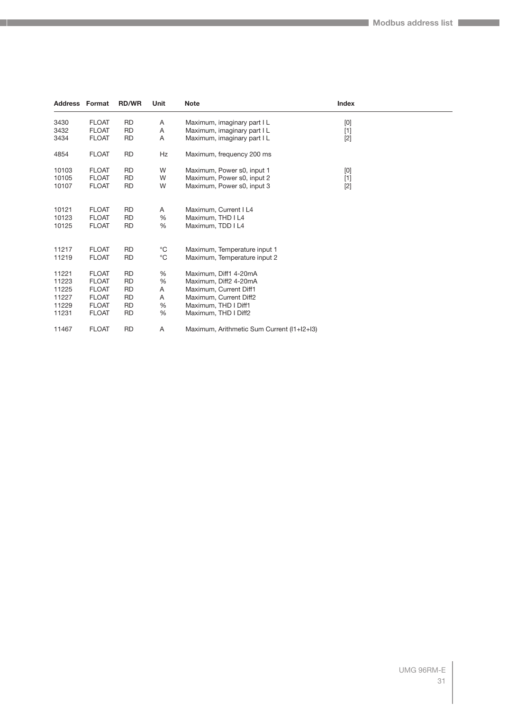| <b>Address Format</b> |              | <b>RD/WR</b> | Unit         | <b>Note</b>                                | Index                                                                                                                                                                                                                                                                                                                                                                                                                                                                                                                                                                                              |  |
|-----------------------|--------------|--------------|--------------|--------------------------------------------|----------------------------------------------------------------------------------------------------------------------------------------------------------------------------------------------------------------------------------------------------------------------------------------------------------------------------------------------------------------------------------------------------------------------------------------------------------------------------------------------------------------------------------------------------------------------------------------------------|--|
| 3430                  | <b>FLOAT</b> | <b>RD</b>    | Α            | Maximum, imaginary part I L                | $[0]$                                                                                                                                                                                                                                                                                                                                                                                                                                                                                                                                                                                              |  |
| 3432                  | <b>FLOAT</b> | <b>RD</b>    | Α            | Maximum, imaginary part I L                | $[1]$                                                                                                                                                                                                                                                                                                                                                                                                                                                                                                                                                                                              |  |
| 3434                  | <b>FLOAT</b> | <b>RD</b>    | Α            | Maximum, imaginary part I L                | $[2]$                                                                                                                                                                                                                                                                                                                                                                                                                                                                                                                                                                                              |  |
| 4854                  | <b>FLOAT</b> | <b>RD</b>    | Hz           | Maximum, frequency 200 ms                  |                                                                                                                                                                                                                                                                                                                                                                                                                                                                                                                                                                                                    |  |
| 10103                 | <b>FLOAT</b> | <b>RD</b>    | W            | Maximum, Power s0, input 1                 | $[0] % \begin{center} % \includegraphics[width=\linewidth]{imagesSupplemental_3.png} % \end{center} % \caption { % Our method can be used for the use of the image. % Note that the \emph{DefNet}~\cite{bib66} as a function of the \emph{DefNet}~\cite{bib66} as a function of the \emph{DefNet}~\cite{bib66} as a function of the \emph{DefNet}~\cite{bib66} as a function of the \emph{DefNet}~\cite{bib66} as a function of the \emph{DefNet}~\cite{bib66} as a function of the \emph{DefNet}~\cite{bib66} as a function of the \emph{DefNet}~\cite{bib66} as a function of the \emph{DefNet}$ |  |
| 10105                 | <b>FLOAT</b> | <b>RD</b>    | W            | Maximum, Power s0, input 2                 | $[1]$                                                                                                                                                                                                                                                                                                                                                                                                                                                                                                                                                                                              |  |
| 10107                 | <b>FLOAT</b> | <b>RD</b>    | W            | Maximum, Power s0, input 3                 | $[2]$                                                                                                                                                                                                                                                                                                                                                                                                                                                                                                                                                                                              |  |
| 10121                 | <b>FLOAT</b> | <b>RD</b>    | A            | Maximum, Current I L4                      |                                                                                                                                                                                                                                                                                                                                                                                                                                                                                                                                                                                                    |  |
| 10123                 | <b>FLOAT</b> | <b>RD</b>    | %            | Maximum, THD I L4                          |                                                                                                                                                                                                                                                                                                                                                                                                                                                                                                                                                                                                    |  |
| 10125                 | <b>FLOAT</b> | <b>RD</b>    | %            | Maximum, TDD I L4                          |                                                                                                                                                                                                                                                                                                                                                                                                                                                                                                                                                                                                    |  |
| 11217                 | <b>FLOAT</b> | <b>RD</b>    | $^{\circ}$ C | Maximum, Temperature input 1               |                                                                                                                                                                                                                                                                                                                                                                                                                                                                                                                                                                                                    |  |
| 11219                 | <b>FLOAT</b> | <b>RD</b>    | $^{\circ}$ C | Maximum, Temperature input 2               |                                                                                                                                                                                                                                                                                                                                                                                                                                                                                                                                                                                                    |  |
| 11221                 | <b>FLOAT</b> | <b>RD</b>    | %            | Maximum, Diff1 4-20mA                      |                                                                                                                                                                                                                                                                                                                                                                                                                                                                                                                                                                                                    |  |
| 11223                 | <b>FLOAT</b> | <b>RD</b>    | %            | Maximum, Diff2 4-20mA                      |                                                                                                                                                                                                                                                                                                                                                                                                                                                                                                                                                                                                    |  |
| 11225                 | <b>FLOAT</b> | <b>RD</b>    | Α            | Maximum, Current Diff1                     |                                                                                                                                                                                                                                                                                                                                                                                                                                                                                                                                                                                                    |  |
| 11227                 | <b>FLOAT</b> | <b>RD</b>    | Α            | Maximum, Current Diff2                     |                                                                                                                                                                                                                                                                                                                                                                                                                                                                                                                                                                                                    |  |
| 11229                 | <b>FLOAT</b> | <b>RD</b>    | %            | Maximum, THD I Diff1                       |                                                                                                                                                                                                                                                                                                                                                                                                                                                                                                                                                                                                    |  |
| 11231                 | <b>FLOAT</b> | <b>RD</b>    | %            | Maximum, THD I Diff2                       |                                                                                                                                                                                                                                                                                                                                                                                                                                                                                                                                                                                                    |  |
| 11467                 | <b>FLOAT</b> | <b>RD</b>    | Α            | Maximum, Arithmetic Sum Current (I1+I2+I3) |                                                                                                                                                                                                                                                                                                                                                                                                                                                                                                                                                                                                    |  |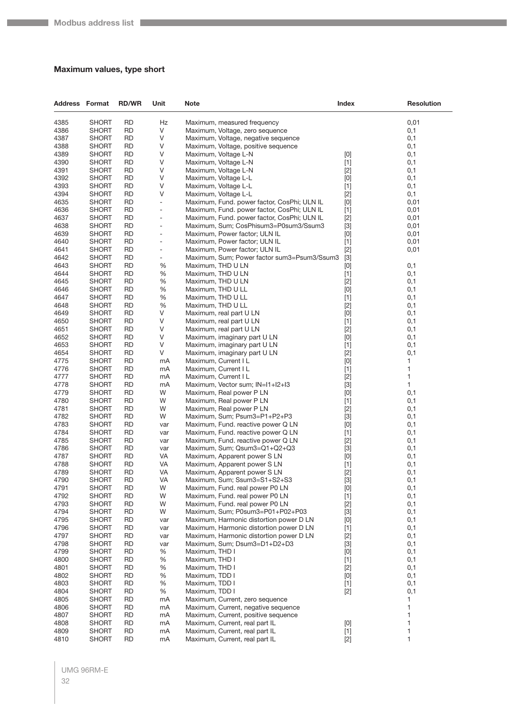## <span id="page-31-0"></span>**Maximum values, type short**

| <b>Address Format</b> |                              | <b>RD/WR</b>           | Unit                                                 | <b>Note</b>                                                                                | <b>Index</b>   | <b>Resolution</b> |
|-----------------------|------------------------------|------------------------|------------------------------------------------------|--------------------------------------------------------------------------------------------|----------------|-------------------|
| 4385                  | <b>SHORT</b>                 | <b>RD</b>              | Hz                                                   | Maximum, measured frequency                                                                |                | 0,01              |
| 4386                  | <b>SHORT</b>                 | <b>RD</b>              | $\vee$                                               | Maximum, Voltage, zero sequence                                                            |                | 0,1               |
| 4387                  | SHORT                        | <b>RD</b>              | V                                                    | Maximum, Voltage, negative sequence                                                        |                | 0,1               |
| 4388                  | SHORT                        | <b>RD</b>              | V                                                    | Maximum, Voltage, positive sequence                                                        |                | 0,1               |
| 4389                  | SHORT                        | <b>RD</b>              | V                                                    | Maximum, Voltage L-N                                                                       | [0]            | 0,1               |
| 4390                  | SHORT                        | <b>RD</b>              | V                                                    | Maximum, Voltage L-N                                                                       | $[1]$          | 0,1               |
| 4391                  | <b>SHORT</b>                 | <b>RD</b>              | V                                                    | Maximum, Voltage L-N                                                                       | $[2]$          | 0,1               |
| 4392                  | SHORT                        | <b>RD</b>              | V                                                    | Maximum, Voltage L-L                                                                       | $[0]$          | 0,1               |
| 4393                  | SHORT                        | <b>RD</b>              | V                                                    | Maximum, Voltage L-L                                                                       | $[1]$          | 0,1               |
| 4394                  | SHORT                        | <b>RD</b>              | V                                                    | Maximum, Voltage L-L                                                                       | $[2]$          | 0,1               |
| 4635<br>4636          | SHORT<br><b>SHORT</b>        | <b>RD</b><br><b>RD</b> | $\overline{\phantom{0}}$<br>$\overline{\phantom{a}}$ | Maximum, Fund. power factor, CosPhi; ULN IL<br>Maximum, Fund. power factor, CosPhi; ULN IL | [0]<br>$[1]$   | 0,01<br>0,01      |
| 4637                  | SHORT                        | <b>RD</b>              | -                                                    | Maximum, Fund. power factor, CosPhi; ULN IL                                                | $[2]$          | 0,01              |
| 4638                  | SHORT                        | <b>RD</b>              | $\overline{\phantom{m}}$                             | Maximum, Sum; CosPhisum3=P0sum3/Ssum3                                                      | $[3]$          | 0,01              |
| 4639                  | SHORT                        | <b>RD</b>              | $\overline{\phantom{a}}$                             | Maximum, Power factor; ULN IL                                                              | $[0]$          | 0,01              |
| 4640                  | SHORT                        | <b>RD</b>              | ۰                                                    | Maximum, Power factor; ULN IL                                                              | $[1]$          | 0,01              |
| 4641                  | <b>SHORT</b>                 | <b>RD</b>              | $\overline{\phantom{a}}$                             | Maximum, Power factor; ULN IL                                                              | $[2]$          | 0,01              |
| 4642                  | SHORT                        | <b>RD</b>              | $\overline{\phantom{0}}$                             | Maximum, Sum; Power factor sum3=Psum3/Ssum3                                                | $[3]$          |                   |
| 4643                  | SHORT                        | <b>RD</b>              | %                                                    | Maximum, THD U LN                                                                          | [0]            | 0,1               |
| 4644                  | SHORT                        | <b>RD</b>              | $\%$                                                 | Maximum, THD U LN                                                                          | $[1]$          | 0,1               |
| 4645                  | <b>SHORT</b>                 | <b>RD</b>              | %                                                    | Maximum, THD U LN                                                                          | $[2]$          | 0,1               |
| 4646                  | <b>SHORT</b>                 | <b>RD</b>              | $\%$                                                 | Maximum, THD U LL                                                                          | $[0]$          | 0,1               |
| 4647                  | SHORT                        | <b>RD</b>              | $\%$                                                 | Maximum, THD U LL                                                                          | $[1]$          | 0,1               |
| 4648                  | SHORT                        | <b>RD</b>              | %                                                    | Maximum, THD U LL                                                                          | $[2]$          | 0,1               |
| 4649                  | SHORT                        | <b>RD</b>              | V                                                    | Maximum, real part U LN                                                                    | [0]            | 0,1               |
| 4650<br>4651          | <b>SHORT</b><br><b>SHORT</b> | <b>RD</b><br><b>RD</b> | V<br>V                                               | Maximum, real part U LN                                                                    | $[1]$          | 0,1               |
| 4652                  | <b>SHORT</b>                 | <b>RD</b>              | V                                                    | Maximum, real part U LN<br>Maximum, imaginary part U LN                                    | $[2]$<br>[0]   | 0,1<br>0,1        |
| 4653                  | SHORT                        | <b>RD</b>              | V                                                    | Maximum, imaginary part U LN                                                               | $[1]$          | 0,1               |
| 4654                  | SHORT                        | <b>RD</b>              | V                                                    | Maximum, imaginary part U LN                                                               | $[2]$          | 0,1               |
| 4775                  | <b>SHORT</b>                 | <b>RD</b>              | mA                                                   | Maximum, Current I L                                                                       | [0]            | 1                 |
| 4776                  | <b>SHORT</b>                 | <b>RD</b>              | mA                                                   | Maximum, Current I L                                                                       | $[1]$          | 1                 |
| 4777                  | SHORT                        | <b>RD</b>              | mA                                                   | Maximum, Current I L                                                                       | $[2]$          | 1                 |
| 4778                  | SHORT                        | <b>RD</b>              | mA                                                   | Maximum, Vector sum; IN=I1+I2+I3                                                           | $[3]$          | 1                 |
| 4779                  | SHORT                        | <b>RD</b>              | W                                                    | Maximum, Real power P LN                                                                   | $[0]$          | 0,1               |
| 4780                  | <b>SHORT</b>                 | <b>RD</b>              | W                                                    | Maximum, Real power P LN                                                                   | $[1]$          | 0,1               |
| 4781                  | <b>SHORT</b>                 | <b>RD</b>              | W                                                    | Maximum, Real power P LN                                                                   | $[2]$          | 0,1               |
| 4782<br>4783          | SHORT                        | <b>RD</b><br><b>RD</b> | W                                                    | Maximum, Sum; Psum3=P1+P2+P3                                                               | $[3]$          | 0,1               |
| 4784                  | SHORT<br>SHORT               | <b>RD</b>              | var<br>var                                           | Maximum, Fund. reactive power Q LN<br>Maximum, Fund. reactive power Q LN                   | $[0]$<br>$[1]$ | 0,1<br>0,1        |
| 4785                  | <b>SHORT</b>                 | <b>RD</b>              | var                                                  | Maximum, Fund. reactive power Q LN                                                         | $[2]$          | 0,1               |
| 4786                  | <b>SHORT</b>                 | <b>RD</b>              | var                                                  | Maximum, Sum; Qsum3=Q1+Q2+Q3                                                               | $[3]$          | 0,1               |
| 4787                  | SHORT                        | RD                     | VA                                                   | Maximum, Apparent power SLN                                                                | $[0]$          | 0,1               |
| 4788                  | SHORT                        | <b>RD</b>              | VA                                                   | Maximum, Apparent power S LN                                                               | $[1]$          | 0,1               |
| 4789                  | <b>SHORT</b>                 | <b>RD</b>              | VA                                                   | Maximum, Apparent power S LN                                                               | $[2]$          | 0,1               |
| 4790                  | <b>SHORT</b>                 | <b>RD</b>              | VA                                                   | Maximum, Sum; Ssum3=S1+S2+S3                                                               | $[3]$          | 0,1               |
| 4791                  | <b>SHORT</b>                 | <b>RD</b>              | W                                                    | Maximum, Fund. real power P0 LN                                                            | $[0]$          | 0,1               |
| 4792                  | <b>SHORT</b>                 | <b>RD</b>              | W                                                    | Maximum, Fund. real power P0 LN                                                            | $[1]$          | 0,1               |
| 4793                  | <b>SHORT</b>                 | <b>RD</b>              | W                                                    | Maximum, Fund. real power P0 LN                                                            | $[2]$          | 0,1               |
| 4794                  | SHORT                        | <b>RD</b>              | W                                                    | Maximum, Sum; P0sum3=P01+P02+P03                                                           | $[3]$          | 0,1               |
| 4795<br>4796          | <b>SHORT</b><br><b>SHORT</b> | <b>RD</b><br><b>RD</b> | var                                                  | Maximum, Harmonic distortion power D LN                                                    | $[0]$          | 0,1               |
| 4797                  | <b>SHORT</b>                 | <b>RD</b>              | var<br>var                                           | Maximum, Harmonic distortion power D LN<br>Maximum, Harmonic distortion power D LN         | $[1]$<br>$[2]$ | 0,1<br>0,1        |
| 4798                  | <b>SHORT</b>                 | <b>RD</b>              | var                                                  | Maximum, Sum; Dsum3=D1+D2+D3                                                               | $[3]$          | 0,1               |
| 4799                  | SHORT                        | <b>RD</b>              | %                                                    | Maximum, THD I                                                                             | $[0]$          | 0,1               |
| 4800                  | <b>SHORT</b>                 | <b>RD</b>              | %                                                    | Maximum, THD I                                                                             | $[1]$          | 0,1               |
| 4801                  | <b>SHORT</b>                 | <b>RD</b>              | %                                                    | Maximum, THD I                                                                             | $[2]$          | 0,1               |
| 4802                  | SHORT                        | <b>RD</b>              | %                                                    | Maximum, TDD I                                                                             | $[0]$          | 0,1               |
| 4803                  | <b>SHORT</b>                 | <b>RD</b>              | %                                                    | Maximum, TDD I                                                                             | $[1]$          | 0,1               |
| 4804                  | SHORT                        | <b>RD</b>              | %                                                    | Maximum, TDD I                                                                             | $[2]$          | 0,1               |
| 4805                  | <b>SHORT</b>                 | <b>RD</b>              | mA                                                   | Maximum, Current, zero sequence                                                            |                | 1                 |
| 4806                  | <b>SHORT</b>                 | <b>RD</b>              | mA                                                   | Maximum, Current, negative sequence                                                        |                | 1                 |
| 4807                  | <b>SHORT</b>                 | <b>RD</b>              | mA                                                   | Maximum, Current, positive sequence                                                        |                | 1                 |
| 4808                  | <b>SHORT</b>                 | <b>RD</b>              | mA                                                   | Maximum, Current, real part IL                                                             | $[0]$          | 1                 |
| 4809                  | <b>SHORT</b>                 | <b>RD</b>              | mA                                                   | Maximum, Current, real part IL                                                             | $[1]$          | 1                 |
| 4810                  | <b>SHORT</b>                 | <b>RD</b>              | mA                                                   | Maximum, Current, real part IL                                                             | $[2]$          | $\mathbf{1}$      |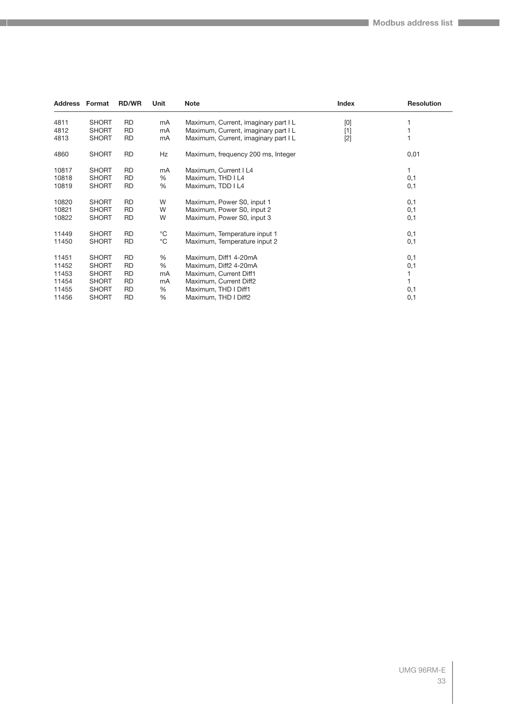| <b>Address Format</b> |              | <b>RD/WR</b> | Unit         | <b>Note</b>                          | Index | <b>Resolution</b> |
|-----------------------|--------------|--------------|--------------|--------------------------------------|-------|-------------------|
| 4811                  | <b>SHORT</b> | <b>RD</b>    | mA           | Maximum, Current, imaginary part I L | [0]   |                   |
| 4812                  | <b>SHORT</b> | <b>RD</b>    | mA           | Maximum, Current, imaginary part IL  | $[1]$ |                   |
| 4813                  | <b>SHORT</b> | <b>RD</b>    | mA           | Maximum, Current, imaginary part IL  | $[2]$ |                   |
| 4860                  | <b>SHORT</b> | <b>RD</b>    | Hz           | Maximum, frequency 200 ms, Integer   |       | 0,01              |
| 10817                 | <b>SHORT</b> | <b>RD</b>    | mA           | Maximum, Current I L4                |       |                   |
| 10818                 | <b>SHORT</b> | <b>RD</b>    | %            | Maximum, THD I L4                    |       | 0,1               |
| 10819                 | <b>SHORT</b> | <b>RD</b>    | %            | Maximum, TDD I L4                    |       | 0,1               |
| 10820                 | <b>SHORT</b> | <b>RD</b>    | W            | Maximum, Power S0, input 1           |       | 0,1               |
| 10821                 | <b>SHORT</b> | <b>RD</b>    | W            | Maximum, Power S0, input 2           |       | 0,1               |
| 10822                 | <b>SHORT</b> | <b>RD</b>    | W            | Maximum, Power S0, input 3           |       | 0,1               |
| 11449                 | <b>SHORT</b> | <b>RD</b>    | $^{\circ}C$  | Maximum, Temperature input 1         |       | 0,1               |
| 11450                 | <b>SHORT</b> | <b>RD</b>    | $^{\circ}$ C | Maximum, Temperature input 2         |       | 0,1               |
| 11451                 | <b>SHORT</b> | <b>RD</b>    | %            | Maximum, Diff1 4-20mA                |       | 0,1               |
| 11452                 | <b>SHORT</b> | RD           | %            | Maximum, Diff2 4-20mA                |       | 0,1               |
| 11453                 | <b>SHORT</b> | RD           | mA           | Maximum, Current Diff1               |       |                   |
| 11454                 | <b>SHORT</b> | RD           | mA           | Maximum, Current Diff2               |       |                   |
| 11455                 | <b>SHORT</b> | <b>RD</b>    | %            | Maximum, THD I Diff1                 |       | 0,1               |
| 11456                 | <b>SHORT</b> | <b>RD</b>    | %            | Maximum, THD I Diff2                 |       | 0,1               |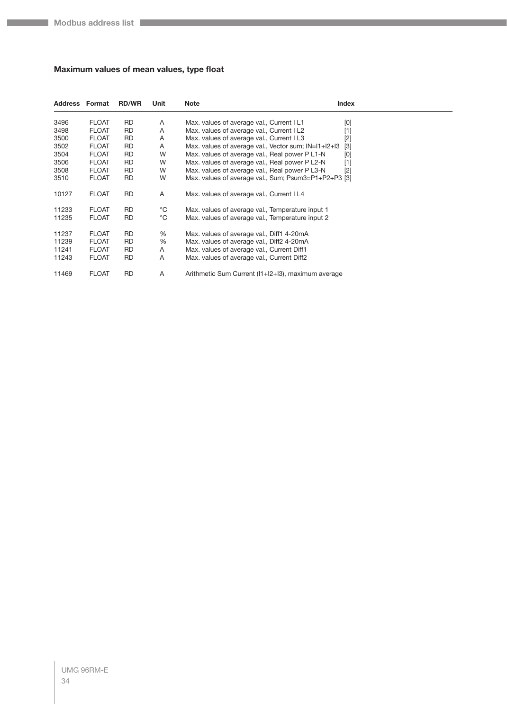## <span id="page-33-0"></span>**Maximum values of mean values, type float**

| <b>Address Format</b> |              | <b>RD/WR</b> | Unit         | <b>Note</b>                                          | Index |
|-----------------------|--------------|--------------|--------------|------------------------------------------------------|-------|
| 3496                  | <b>FLOAT</b> | <b>RD</b>    | Α            | Max. values of average val., Current I L1            | [0]   |
| 3498                  | <b>FLOAT</b> | <b>RD</b>    | A            | Max. values of average val., Current I L2            | $[1]$ |
| 3500                  | <b>FLOAT</b> | <b>RD</b>    | A            | Max. values of average val., Current I L3            | $[2]$ |
| 3502                  | <b>FLOAT</b> | <b>RD</b>    | Α            | Max. values of average val., Vector sum; IN=I1+I2+I3 | $[3]$ |
| 3504                  | <b>FLOAT</b> | <b>RD</b>    | W            | Max. values of average val., Real power P L1-N       | [0]   |
| 3506                  | <b>FLOAT</b> | <b>RD</b>    | W            | Max. values of average val., Real power P L2-N       | [1]   |
| 3508                  | <b>FLOAT</b> | RD           | W            | Max. values of average val., Real power P L3-N       | $[2]$ |
| 3510                  | <b>FLOAT</b> | <b>RD</b>    | W            | Max. values of average val., Sum; Psum3=P1+P2+P3 [3] |       |
| 10127                 | <b>FLOAT</b> | <b>RD</b>    | A            | Max. values of average val., Current I L4            |       |
| 11233                 | <b>FLOAT</b> | RD           | °C           | Max. values of average val., Temperature input 1     |       |
| 11235                 | <b>FLOAT</b> | <b>RD</b>    | $^{\circ}$ C | Max. values of average val., Temperature input 2     |       |
| 11237                 | <b>FLOAT</b> | RD           | $\%$         | Max. values of average val., Diff1 4-20mA            |       |
| 11239                 | <b>FLOAT</b> | RD           | %            | Max. values of average val., Diff2 4-20mA            |       |
| 11241                 | <b>FLOAT</b> | RD           | Α            | Max. values of average val., Current Diff1           |       |
| 11243                 | <b>FLOAT</b> | RD           | A            | Max. values of average val., Current Diff2           |       |
| 11469                 | <b>FLOAT</b> | RD           | Α            | Arithmetic Sum Current (I1+I2+I3), maximum average   |       |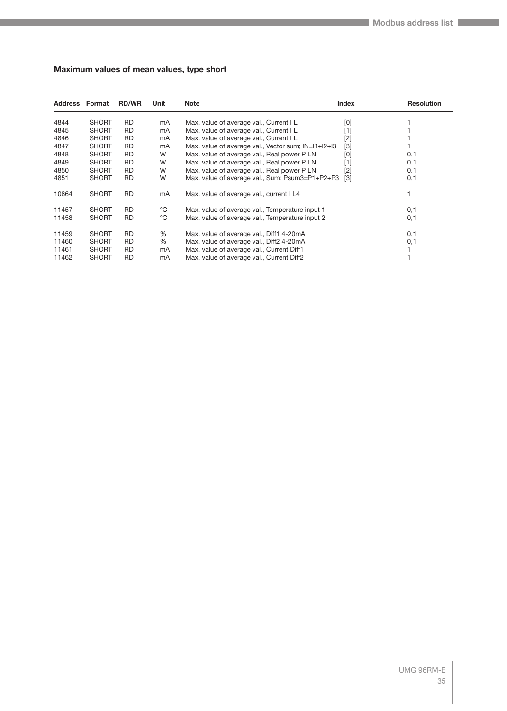## <span id="page-34-0"></span>**Maximum values of mean values, type short**

| Address | Format       | <b>RD/WR</b> | Unit         | <b>Note</b>                                         | <b>Index</b>      | <b>Resolution</b> |
|---------|--------------|--------------|--------------|-----------------------------------------------------|-------------------|-------------------|
| 4844    | <b>SHORT</b> | <b>RD</b>    | mA           | Max. value of average val., Current I L             | [0]               |                   |
| 4845    | <b>SHORT</b> | <b>RD</b>    | mA           | Max. value of average val., Current I L             | [1]               |                   |
| 4846    | <b>SHORT</b> | RD           | mA           | Max. value of average val., Current I L             | $[2]$             |                   |
| 4847    | <b>SHORT</b> | RD           | mA           | Max. value of average val., Vector sum; IN=11+12+13 | $[3]$             |                   |
| 4848    | <b>SHORT</b> | <b>RD</b>    | W            | Max. value of average val., Real power P LN         | [0]               | 0,1               |
| 4849    | <b>SHORT</b> | RD           | W            | Max. value of average val., Real power P LN         | [1]               | 0,1               |
| 4850    | <b>SHORT</b> | RD           | W            | Max. value of average val., Real power P LN         | $[2]$             | 0,1               |
| 4851    | <b>SHORT</b> | <b>RD</b>    | W            | Max. value of average val., Sum; Psum3=P1+P2+P3     | $\lceil 3 \rceil$ | 0,1               |
| 10864   | <b>SHORT</b> | <b>RD</b>    | mA           | Max. value of average val., current I L4            |                   |                   |
| 11457   | <b>SHORT</b> | <b>RD</b>    | °C           | Max. value of average val., Temperature input 1     |                   | 0,1               |
| 11458   | <b>SHORT</b> | <b>RD</b>    | $^{\circ}$ C | Max. value of average val., Temperature input 2     |                   | 0,1               |
| 11459   | <b>SHORT</b> | <b>RD</b>    | %            | Max. value of average val., Diff1 4-20mA            |                   | 0,1               |
| 11460   | <b>SHORT</b> | <b>RD</b>    | %            | Max. value of average val., Diff2 4-20mA            |                   | 0,1               |
| 11461   | <b>SHORT</b> | RD           | mA           | Max. value of average val., Current Diff1           |                   |                   |
| 11462   | <b>SHORT</b> | <b>RD</b>    | mA           | Max. value of average val., Current Diff2           |                   |                   |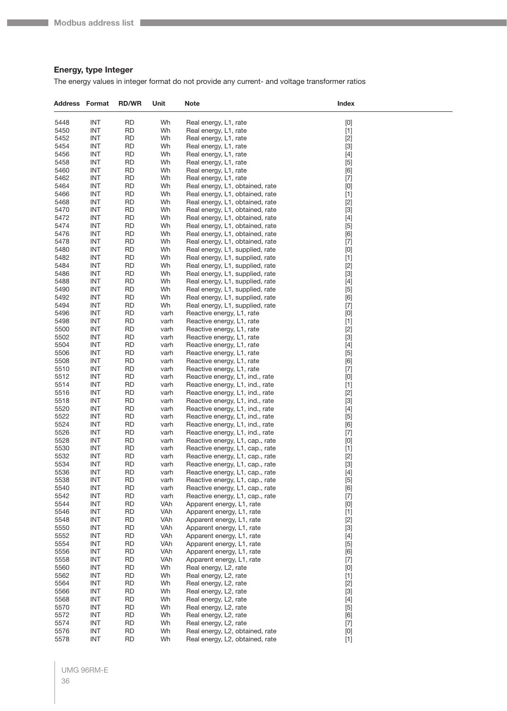## <span id="page-35-0"></span>**Energy, type Integer**

The energy values in integer format do not provide any current- and voltage transformer ratios

| <b>Address Format</b> |                          | <b>RD/WR</b>           | Unit         | Note                                                               | Index                                                                                                                                                                                                                                                                                                                                                                                                                                                                                                                                                                                                                                                                                                                                    |
|-----------------------|--------------------------|------------------------|--------------|--------------------------------------------------------------------|------------------------------------------------------------------------------------------------------------------------------------------------------------------------------------------------------------------------------------------------------------------------------------------------------------------------------------------------------------------------------------------------------------------------------------------------------------------------------------------------------------------------------------------------------------------------------------------------------------------------------------------------------------------------------------------------------------------------------------------|
| 5448                  | <b>INT</b>               | <b>RD</b>              | Wh           | Real energy, L1, rate                                              | [0]                                                                                                                                                                                                                                                                                                                                                                                                                                                                                                                                                                                                                                                                                                                                      |
| 5450                  | <b>INT</b>               | <b>RD</b>              | Wh           | Real energy, L1, rate                                              | $[1]$                                                                                                                                                                                                                                                                                                                                                                                                                                                                                                                                                                                                                                                                                                                                    |
| 5452                  | <b>INT</b>               | RD                     | Wh           | Real energy, L1, rate                                              | $[2]$                                                                                                                                                                                                                                                                                                                                                                                                                                                                                                                                                                                                                                                                                                                                    |
| 5454                  | <b>INT</b>               | <b>RD</b>              | Wh           | Real energy, L1, rate                                              | $[3]$                                                                                                                                                                                                                                                                                                                                                                                                                                                                                                                                                                                                                                                                                                                                    |
| 5456                  | <b>INT</b>               | RD                     | Wh           | Real energy, L1, rate                                              | $[4]$                                                                                                                                                                                                                                                                                                                                                                                                                                                                                                                                                                                                                                                                                                                                    |
| 5458                  | <b>INT</b>               | RD                     | Wh           | Real energy, L1, rate                                              | $[5]$                                                                                                                                                                                                                                                                                                                                                                                                                                                                                                                                                                                                                                                                                                                                    |
| 5460                  | <b>INT</b>               | <b>RD</b>              | Wh           | Real energy, L1, rate                                              | [6]                                                                                                                                                                                                                                                                                                                                                                                                                                                                                                                                                                                                                                                                                                                                      |
| 5462                  | <b>INT</b>               | <b>RD</b>              | Wh           | Real energy, L1, rate                                              | $[7]$                                                                                                                                                                                                                                                                                                                                                                                                                                                                                                                                                                                                                                                                                                                                    |
| 5464                  | <b>INT</b>               | <b>RD</b>              | Wh           | Real energy, L1, obtained, rate                                    | $[0] % \begin{center} % \includegraphics[width=\linewidth]{imagesSupplemental_3.png} % \end{center} % \caption { % Our method can be used for the proposed method. % Note that the \emph{exponent} is used to be used for the \emph{exponent} and the \emph{exponent} is used for the \emph{exponent} and the \emph{exponent} is used for the \emph{exponent} and the \emph{exponent} is used for the \emph{exponent} and the \emph{exponent} is used for the \emph{exponent} and the \emph{exponent} is used for the \emph{exponent} and the \emph{exponent} is used for the \emph{exponent} and the \emph{exponent} is used for the \emph{exponent} and the \emph{exponent$                                                            |
| 5466<br>5468          | <b>INT</b><br><b>INT</b> | RD<br>RD               | Wh<br>Wh     | Real energy, L1, obtained, rate<br>Real energy, L1, obtained, rate | $[1]$<br>$[2]$                                                                                                                                                                                                                                                                                                                                                                                                                                                                                                                                                                                                                                                                                                                           |
| 5470                  | <b>INT</b>               | <b>RD</b>              | Wh           | Real energy, L1, obtained, rate                                    | $[3]$                                                                                                                                                                                                                                                                                                                                                                                                                                                                                                                                                                                                                                                                                                                                    |
| 5472                  | <b>INT</b>               | <b>RD</b>              | Wh           | Real energy, L1, obtained, rate                                    | $[4]$                                                                                                                                                                                                                                                                                                                                                                                                                                                                                                                                                                                                                                                                                                                                    |
| 5474                  | <b>INT</b>               | <b>RD</b>              | Wh           | Real energy, L1, obtained, rate                                    | $[5]$                                                                                                                                                                                                                                                                                                                                                                                                                                                                                                                                                                                                                                                                                                                                    |
| 5476                  | <b>INT</b>               | <b>RD</b>              | Wh           | Real energy, L1, obtained, rate                                    | [6]                                                                                                                                                                                                                                                                                                                                                                                                                                                                                                                                                                                                                                                                                                                                      |
| 5478                  | <b>INT</b>               | RD                     | Wh           | Real energy, L1, obtained, rate                                    | $[7] \centering% \includegraphics[width=1\textwidth]{images/TransY.pdf} \caption{The first two different values of $d=3$ and $d=4$ (left) and $d=5$ (right) and $d=6$ (right). The first two different values of $d=2$ (right) and $d=6$ (right).} \label{fig:class}$                                                                                                                                                                                                                                                                                                                                                                                                                                                                    |
| 5480                  | INT                      | <b>RD</b>              | Wh           | Real energy, L1, supplied, rate                                    | $[0] % \begin{center} % \includegraphics[width=\linewidth]{imagesSupplemental_3.png} % \end{center} % \caption { % Our method can be used for the proposed method. % Note that the \emph{exponent} is used to be used for the \emph{exponent} and the \emph{exponent} is used for the \emph{exponent} and the \emph{exponent} is used for the \emph{exponent} and the \emph{exponent} is used for the \emph{exponent} and the \emph{exponent} is used for the \emph{exponent} and the \emph{exponent} is used for the \emph{exponent} and the \emph{exponent} is used for the \emph{exponent} and the \emph{exponent} is used for the \emph{exponent} and the \emph{exponent$                                                            |
| 5482                  | <b>INT</b>               | <b>RD</b>              | Wh           | Real energy, L1, supplied, rate                                    | $[1]$                                                                                                                                                                                                                                                                                                                                                                                                                                                                                                                                                                                                                                                                                                                                    |
| 5484                  | <b>INT</b>               | <b>RD</b>              | Wh           | Real energy, L1, supplied, rate                                    | $[2]$                                                                                                                                                                                                                                                                                                                                                                                                                                                                                                                                                                                                                                                                                                                                    |
| 5486                  | <b>INT</b>               | <b>RD</b>              | Wh           | Real energy, L1, supplied, rate                                    | $[3]$                                                                                                                                                                                                                                                                                                                                                                                                                                                                                                                                                                                                                                                                                                                                    |
| 5488                  | <b>INT</b>               | <b>RD</b>              | Wh           | Real energy, L1, supplied, rate                                    | $[4] % \begin{center} \includegraphics[width=\linewidth]{imagesSupplemental/Imetad-Architecture.png} \end{center} \caption{The image shows the image shows a single number of times, and the image shows a single number of times, and the image shows a single number of times.} \label{fig:limal}$                                                                                                                                                                                                                                                                                                                                                                                                                                     |
| 5490                  | <b>INT</b>               | <b>RD</b>              | Wh           | Real energy, L1, supplied, rate                                    | $[5]$                                                                                                                                                                                                                                                                                                                                                                                                                                                                                                                                                                                                                                                                                                                                    |
| 5492                  | <b>INT</b>               | <b>RD</b>              | Wh           | Real energy, L1, supplied, rate                                    | [6]                                                                                                                                                                                                                                                                                                                                                                                                                                                                                                                                                                                                                                                                                                                                      |
| 5494                  | <b>INT</b>               | <b>RD</b>              | Wh           | Real energy, L1, supplied, rate                                    | $[7]$                                                                                                                                                                                                                                                                                                                                                                                                                                                                                                                                                                                                                                                                                                                                    |
| 5496                  | <b>INT</b>               | RD                     | varh         | Reactive energy, L1, rate                                          | [0]                                                                                                                                                                                                                                                                                                                                                                                                                                                                                                                                                                                                                                                                                                                                      |
| 5498<br>5500          | <b>INT</b><br><b>INT</b> | <b>RD</b><br><b>RD</b> | varh<br>varh | Reactive energy, L1, rate<br>Reactive energy, L1, rate             | $[1]$<br>$[2]$                                                                                                                                                                                                                                                                                                                                                                                                                                                                                                                                                                                                                                                                                                                           |
| 5502                  | <b>INT</b>               | <b>RD</b>              | varh         | Reactive energy, L1, rate                                          | $[3]$                                                                                                                                                                                                                                                                                                                                                                                                                                                                                                                                                                                                                                                                                                                                    |
| 5504                  | <b>INT</b>               | <b>RD</b>              | varh         | Reactive energy, L1, rate                                          | $[4]$                                                                                                                                                                                                                                                                                                                                                                                                                                                                                                                                                                                                                                                                                                                                    |
| 5506                  | <b>INT</b>               | <b>RD</b>              | varh         | Reactive energy, L1, rate                                          | $[5]$                                                                                                                                                                                                                                                                                                                                                                                                                                                                                                                                                                                                                                                                                                                                    |
| 5508                  | <b>INT</b>               | <b>RD</b>              | varh         | Reactive energy, L1, rate                                          | [6]                                                                                                                                                                                                                                                                                                                                                                                                                                                                                                                                                                                                                                                                                                                                      |
| 5510                  | <b>INT</b>               | <b>RD</b>              | varh         | Reactive energy, L1, rate                                          | $[7]$                                                                                                                                                                                                                                                                                                                                                                                                                                                                                                                                                                                                                                                                                                                                    |
| 5512                  | <b>INT</b>               | <b>RD</b>              | varh         | Reactive energy, L1, ind., rate                                    | $[0] % \begin{center} % \includegraphics[width=\linewidth]{imagesSupplemental_3.png} % \end{center} % \caption { % Our method can be used for the proposed method. % Note that the \emph{Def}(i) and the \emph{Def}(i) are the same as a function of the \emph{Def}(i) and the \emph{Def}(i) are the same as a function of the \emph{Def}(i) and the \emph{Def}(i) are the same as a function of the \emph{Def}(i) and the \emph{Def}(i) are the same as a function of the \emph{Def}(i) and the \emph{Def}(i) are the same as a function of the \emph{Def}(i) and the \emph{Def}(i) are the same as a function of the \emph{Def}(i) and the \emph$                                                                                      |
| 5514                  | <b>INT</b>               | <b>RD</b>              | varh         | Reactive energy, L1, ind., rate                                    | $[1]$                                                                                                                                                                                                                                                                                                                                                                                                                                                                                                                                                                                                                                                                                                                                    |
| 5516                  | <b>INT</b>               | RD                     | varh         | Reactive energy, L1, ind., rate                                    | $[2]$                                                                                                                                                                                                                                                                                                                                                                                                                                                                                                                                                                                                                                                                                                                                    |
| 5518                  | <b>INT</b>               | <b>RD</b>              | varh         | Reactive energy, L1, ind., rate                                    | $[3]$                                                                                                                                                                                                                                                                                                                                                                                                                                                                                                                                                                                                                                                                                                                                    |
| 5520                  | <b>INT</b>               | <b>RD</b>              | varh         | Reactive energy, L1, ind., rate                                    | $[4]$                                                                                                                                                                                                                                                                                                                                                                                                                                                                                                                                                                                                                                                                                                                                    |
| 5522                  | <b>INT</b>               | <b>RD</b>              | varh         | Reactive energy, L1, ind., rate                                    | $[5]$                                                                                                                                                                                                                                                                                                                                                                                                                                                                                                                                                                                                                                                                                                                                    |
| 5524                  | <b>INT</b>               | <b>RD</b>              | varh         | Reactive energy, L1, ind., rate                                    | [6]                                                                                                                                                                                                                                                                                                                                                                                                                                                                                                                                                                                                                                                                                                                                      |
| 5526<br>5528          | <b>INT</b><br><b>INT</b> | RD<br><b>RD</b>        | varh         | Reactive energy, L1, ind., rate<br>Reactive energy, L1, cap., rate | $[7]$                                                                                                                                                                                                                                                                                                                                                                                                                                                                                                                                                                                                                                                                                                                                    |
| 5530                  | <b>INT</b>               | <b>RD</b>              | varh<br>varh | Reactive energy, L1, cap., rate                                    | [0]<br>$[1]$                                                                                                                                                                                                                                                                                                                                                                                                                                                                                                                                                                                                                                                                                                                             |
| 5532                  | INT                      | RD                     | varh         | Reactive energy, L1, cap., rate                                    | $[2]$                                                                                                                                                                                                                                                                                                                                                                                                                                                                                                                                                                                                                                                                                                                                    |
| 5534                  | INT                      | RD                     | varh         | Reactive energy, L1, cap., rate                                    | $[3]$                                                                                                                                                                                                                                                                                                                                                                                                                                                                                                                                                                                                                                                                                                                                    |
| 5536                  | <b>INT</b>               | <b>RD</b>              | varh         | Reactive energy, L1, cap., rate                                    | $[4]$                                                                                                                                                                                                                                                                                                                                                                                                                                                                                                                                                                                                                                                                                                                                    |
| 5538                  | <b>INT</b>               | <b>RD</b>              | varh         | Reactive energy, L1, cap., rate                                    | $[5]$                                                                                                                                                                                                                                                                                                                                                                                                                                                                                                                                                                                                                                                                                                                                    |
| 5540                  | <b>INT</b>               | <b>RD</b>              | varh         | Reactive energy, L1, cap., rate                                    | [6]                                                                                                                                                                                                                                                                                                                                                                                                                                                                                                                                                                                                                                                                                                                                      |
| 5542                  | <b>INT</b>               | <b>RD</b>              | varh         | Reactive energy, L1, cap., rate                                    | $[7]$                                                                                                                                                                                                                                                                                                                                                                                                                                                                                                                                                                                                                                                                                                                                    |
| 5544                  | <b>INT</b>               | <b>RD</b>              | VAh          | Apparent energy, L1, rate                                          | $[0] % \begin{center} % \includegraphics[width=\linewidth]{imagesSupplemental_3.png} % \end{center} % \caption { % Our method can be used for the proposed method. % Note that the \emph{Def}(i) and the \emph{Def}(i) are the same as a function of the \emph{Def}(i) and the \emph{Def}(i) are the same as a function of the \emph{Def}(i) and the \emph{Def}(i) are the same as a function of the \emph{Def}(i) and the \emph{Def}(i) are the same as a function of the \emph{Def}(i) and the \emph{Def}(i) are the same as a function of the \emph{Def}(i) and the \emph{Def}(i) are the same as a function of the \emph{Def}(i) and the \emph$                                                                                      |
| 5546                  | <b>INT</b>               | <b>RD</b>              | VAh          | Apparent energy, L1, rate                                          | $[1]$                                                                                                                                                                                                                                                                                                                                                                                                                                                                                                                                                                                                                                                                                                                                    |
| 5548                  | <b>INT</b>               | <b>RD</b>              | VAh          | Apparent energy, L1, rate                                          | $[2]$                                                                                                                                                                                                                                                                                                                                                                                                                                                                                                                                                                                                                                                                                                                                    |
| 5550                  | <b>INT</b>               | <b>RD</b>              | VAh          | Apparent energy, L1, rate                                          | $[3]$                                                                                                                                                                                                                                                                                                                                                                                                                                                                                                                                                                                                                                                                                                                                    |
| 5552                  | <b>INT</b>               | <b>RD</b>              | VAh          | Apparent energy, L1, rate                                          | $[4]$                                                                                                                                                                                                                                                                                                                                                                                                                                                                                                                                                                                                                                                                                                                                    |
| 5554<br>5556          | <b>INT</b><br><b>INT</b> | <b>RD</b><br><b>RD</b> | VAh<br>VAh   | Apparent energy, L1, rate<br>Apparent energy, L1, rate             | $[5]$<br>[6]                                                                                                                                                                                                                                                                                                                                                                                                                                                                                                                                                                                                                                                                                                                             |
| 5558                  | <b>INT</b>               | <b>RD</b>              | VAh          | Apparent energy, L1, rate                                          | $[7]$                                                                                                                                                                                                                                                                                                                                                                                                                                                                                                                                                                                                                                                                                                                                    |
| 5560                  | <b>INT</b>               | <b>RD</b>              | Wh           | Real energy, L2, rate                                              | $[0] % \begin{center} % \includegraphics[width=\linewidth]{imagesSupplemental_3.png} % \end{center} % \caption { % Our method can be used for the use of the image. % Note that the \emph{Def}(i) and the \emph{Def}(i) are the same and the \emph{Def}(i) and the \emph{Def}(i) are the same. % } % \label{fig:Defin_3} %$                                                                                                                                                                                                                                                                                                                                                                                                              |
| 5562                  | <b>INT</b>               | <b>RD</b>              | Wh           | Real energy, L2, rate                                              | $[1]$                                                                                                                                                                                                                                                                                                                                                                                                                                                                                                                                                                                                                                                                                                                                    |
| 5564                  | <b>INT</b>               | <b>RD</b>              | Wh           | Real energy, L2, rate                                              | $[2]$                                                                                                                                                                                                                                                                                                                                                                                                                                                                                                                                                                                                                                                                                                                                    |
| 5566                  | <b>INT</b>               | <b>RD</b>              | Wh           | Real energy, L2, rate                                              | $[3]$                                                                                                                                                                                                                                                                                                                                                                                                                                                                                                                                                                                                                                                                                                                                    |
| 5568                  | <b>INT</b>               | <b>RD</b>              | Wh           | Real energy, L2, rate                                              | $[4]$                                                                                                                                                                                                                                                                                                                                                                                                                                                                                                                                                                                                                                                                                                                                    |
| 5570                  | INT                      | <b>RD</b>              | Wh           | Real energy, L2, rate                                              | $[5]$                                                                                                                                                                                                                                                                                                                                                                                                                                                                                                                                                                                                                                                                                                                                    |
| 5572                  | <b>INT</b>               | <b>RD</b>              | Wh           | Real energy, L2, rate                                              | [6]                                                                                                                                                                                                                                                                                                                                                                                                                                                                                                                                                                                                                                                                                                                                      |
| 5574                  | INT                      | <b>RD</b>              | Wh           | Real energy, L2, rate                                              | $[7]$                                                                                                                                                                                                                                                                                                                                                                                                                                                                                                                                                                                                                                                                                                                                    |
| 5576                  | <b>INT</b>               | <b>RD</b>              | Wh           | Real energy, L2, obtained, rate                                    | $[0] % \begin{center} % \includegraphics[width=\linewidth]{imagesSupplemental_3.png} % \end{center} % \caption { % Our method can be used for the proposed method. % Note that the \emph{exponent} is used to be used in the image. % Note that the \emph{exponent} is used in the image. % Note that the \emph{exponent} is used to be used in the image. % Note that the \emph{exponent} is used in the image. % Note that the \emph{exponent} is used in the image. % Note that the \emph{exportector} is used in the image. % Note that the \emph{exportector} is used in the image. % Note that the \emph{exportector} is used in the image. % Note that the \emph{exportector} is used in the image. % Note that the \emph{export$ |
| 5578                  | <b>INT</b>               | <b>RD</b>              | Wh           | Real energy, L2, obtained, rate                                    | $[1]$                                                                                                                                                                                                                                                                                                                                                                                                                                                                                                                                                                                                                                                                                                                                    |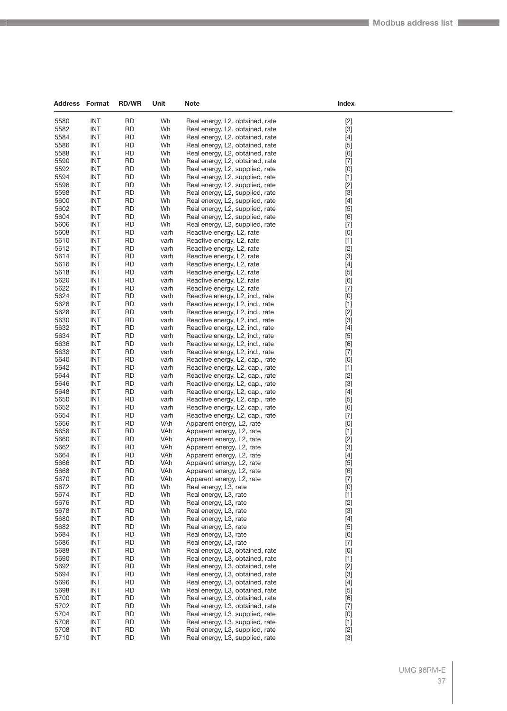| <b>Address Format</b> |                          | <b>RD/WR</b>           | Unit         | <b>Note</b>                                                        | Index                                                                                                                                                                                                                                                                                                                                                                                                                                                                                                                                                                                                                                                                                                                                                                                                                                                                                                                                                                                                                                                                                                                                                                                             |
|-----------------------|--------------------------|------------------------|--------------|--------------------------------------------------------------------|---------------------------------------------------------------------------------------------------------------------------------------------------------------------------------------------------------------------------------------------------------------------------------------------------------------------------------------------------------------------------------------------------------------------------------------------------------------------------------------------------------------------------------------------------------------------------------------------------------------------------------------------------------------------------------------------------------------------------------------------------------------------------------------------------------------------------------------------------------------------------------------------------------------------------------------------------------------------------------------------------------------------------------------------------------------------------------------------------------------------------------------------------------------------------------------------------|
|                       |                          |                        |              |                                                                    |                                                                                                                                                                                                                                                                                                                                                                                                                                                                                                                                                                                                                                                                                                                                                                                                                                                                                                                                                                                                                                                                                                                                                                                                   |
| 5580<br>5582          | <b>INT</b><br><b>INT</b> | <b>RD</b><br><b>RD</b> | Wh<br>Wh     | Real energy, L2, obtained, rate<br>Real energy, L2, obtained, rate | $[2]$<br>$[3]$                                                                                                                                                                                                                                                                                                                                                                                                                                                                                                                                                                                                                                                                                                                                                                                                                                                                                                                                                                                                                                                                                                                                                                                    |
| 5584                  | <b>INT</b>               | <b>RD</b>              | Wh           | Real energy, L2, obtained, rate                                    | $[4]$                                                                                                                                                                                                                                                                                                                                                                                                                                                                                                                                                                                                                                                                                                                                                                                                                                                                                                                                                                                                                                                                                                                                                                                             |
| 5586                  | <b>INT</b>               | <b>RD</b>              | Wh           | Real energy, L2, obtained, rate                                    | $[5]$                                                                                                                                                                                                                                                                                                                                                                                                                                                                                                                                                                                                                                                                                                                                                                                                                                                                                                                                                                                                                                                                                                                                                                                             |
| 5588                  | <b>INT</b>               | <b>RD</b>              | Wh           | Real energy, L2, obtained, rate                                    | [6]                                                                                                                                                                                                                                                                                                                                                                                                                                                                                                                                                                                                                                                                                                                                                                                                                                                                                                                                                                                                                                                                                                                                                                                               |
| 5590                  | INT                      | <b>RD</b>              | Wh           | Real energy, L2, obtained, rate                                    | $[7]$                                                                                                                                                                                                                                                                                                                                                                                                                                                                                                                                                                                                                                                                                                                                                                                                                                                                                                                                                                                                                                                                                                                                                                                             |
| 5592                  | <b>INT</b>               | <b>RD</b>              | Wh           | Real energy, L2, supplied, rate                                    | $[0] % \begin{center} % \includegraphics[width=\linewidth]{imagesSupplemental_3.png} % \end{center} % \caption { % Our method can be used for the use of the image. % Note that the \emph{DefNet}~\cite{bib66} as a function of the \emph{DefNet}~\cite{bib66} as a function of the \emph{DefNet}~\cite{bib66} as a function of the \emph{DefNet}~\cite{bib66} as a function of the \emph{DefNet}~\cite{bib66} as a function of the \emph{DefNet}~\cite{bib66} as a function of the \emph{DefNet}~\cite{bib66} as a function of the \emph{DefNet}~\cite{bib66} as a function of the \emph{DefNet}$                                                                                                                                                                                                                                                                                                                                                                                                                                                                                                                                                                                                |
| 5594                  | <b>INT</b>               | <b>RD</b>              | Wh           | Real energy, L2, supplied, rate                                    | $[1]$                                                                                                                                                                                                                                                                                                                                                                                                                                                                                                                                                                                                                                                                                                                                                                                                                                                                                                                                                                                                                                                                                                                                                                                             |
| 5596                  | <b>INT</b>               | <b>RD</b>              | Wh           | Real energy, L2, supplied, rate                                    | $[2]$                                                                                                                                                                                                                                                                                                                                                                                                                                                                                                                                                                                                                                                                                                                                                                                                                                                                                                                                                                                                                                                                                                                                                                                             |
| 5598                  | <b>INT</b>               | <b>RD</b>              | Wh           | Real energy, L2, supplied, rate                                    | $[3]$                                                                                                                                                                                                                                                                                                                                                                                                                                                                                                                                                                                                                                                                                                                                                                                                                                                                                                                                                                                                                                                                                                                                                                                             |
| 5600                  | INT                      | <b>RD</b>              | Wh           | Real energy, L2, supplied, rate                                    | $[4]$                                                                                                                                                                                                                                                                                                                                                                                                                                                                                                                                                                                                                                                                                                                                                                                                                                                                                                                                                                                                                                                                                                                                                                                             |
| 5602                  | <b>INT</b>               | <b>RD</b>              | Wh           | Real energy, L2, supplied, rate                                    | $[5]$                                                                                                                                                                                                                                                                                                                                                                                                                                                                                                                                                                                                                                                                                                                                                                                                                                                                                                                                                                                                                                                                                                                                                                                             |
| 5604                  | <b>INT</b>               | <b>RD</b>              | Wh           | Real energy, L2, supplied, rate                                    | [6]                                                                                                                                                                                                                                                                                                                                                                                                                                                                                                                                                                                                                                                                                                                                                                                                                                                                                                                                                                                                                                                                                                                                                                                               |
| 5606                  | <b>INT</b>               | <b>RD</b>              | Wh           | Real energy, L2, supplied, rate                                    | $[7]$                                                                                                                                                                                                                                                                                                                                                                                                                                                                                                                                                                                                                                                                                                                                                                                                                                                                                                                                                                                                                                                                                                                                                                                             |
| 5608                  | <b>INT</b>               | <b>RD</b>              | varh         | Reactive energy, L2, rate                                          | $[0] % \begin{center} % \includegraphics[width=\linewidth]{imagesSupplemental_3.png} % \end{center} % \caption { % Our method can be used for the proposed method. % Note that the \emph{exponent} is used to be used in the image. % Note that the \emph{exponent} is used in the image. % Note that the \emph{exponent} is used to be used in the image. % Note that the \emph{exponent} is used in the image. % Note that the \emph{exponent} is used in the image. % Note that the \emph{exponent} is used in the image. % Note that the \emph{exportector} is used in the image. % Note that the \emph{exportector} is used in the image. % Note that the \emph{exportector} is used in the image. % Note that the \emph{exportector$                                                                                                                                                                                                                                                                                                                                                                                                                                                        |
| 5610                  | INT                      | <b>RD</b>              | varh         | Reactive energy, L2, rate                                          | $[1]$                                                                                                                                                                                                                                                                                                                                                                                                                                                                                                                                                                                                                                                                                                                                                                                                                                                                                                                                                                                                                                                                                                                                                                                             |
| 5612                  | <b>INT</b>               | <b>RD</b>              | varh         | Reactive energy, L2, rate                                          | $[2]$                                                                                                                                                                                                                                                                                                                                                                                                                                                                                                                                                                                                                                                                                                                                                                                                                                                                                                                                                                                                                                                                                                                                                                                             |
| 5614                  | <b>INT</b>               | RD                     | varh         | Reactive energy, L2, rate                                          | $[3]$                                                                                                                                                                                                                                                                                                                                                                                                                                                                                                                                                                                                                                                                                                                                                                                                                                                                                                                                                                                                                                                                                                                                                                                             |
| 5616                  | <b>INT</b>               | <b>RD</b>              | varh         | Reactive energy, L2, rate                                          | $[4]$                                                                                                                                                                                                                                                                                                                                                                                                                                                                                                                                                                                                                                                                                                                                                                                                                                                                                                                                                                                                                                                                                                                                                                                             |
| 5618<br>5620          | <b>INT</b><br>INT        | <b>RD</b><br><b>RD</b> | varh         | Reactive energy, L2, rate                                          | $[5]$<br>[6]                                                                                                                                                                                                                                                                                                                                                                                                                                                                                                                                                                                                                                                                                                                                                                                                                                                                                                                                                                                                                                                                                                                                                                                      |
| 5622                  | <b>INT</b>               | <b>RD</b>              | varh<br>varh | Reactive energy, L2, rate<br>Reactive energy, L2, rate             | $[7]$                                                                                                                                                                                                                                                                                                                                                                                                                                                                                                                                                                                                                                                                                                                                                                                                                                                                                                                                                                                                                                                                                                                                                                                             |
| 5624                  | <b>INT</b>               | RD                     | varh         | Reactive energy, L2, ind., rate                                    | [0]                                                                                                                                                                                                                                                                                                                                                                                                                                                                                                                                                                                                                                                                                                                                                                                                                                                                                                                                                                                                                                                                                                                                                                                               |
| 5626                  | <b>INT</b>               | <b>RD</b>              | varh         | Reactive energy, L2, ind., rate                                    | $[1]$                                                                                                                                                                                                                                                                                                                                                                                                                                                                                                                                                                                                                                                                                                                                                                                                                                                                                                                                                                                                                                                                                                                                                                                             |
| 5628                  | <b>INT</b>               | <b>RD</b>              | varh         | Reactive energy, L2, ind., rate                                    | $[2]$                                                                                                                                                                                                                                                                                                                                                                                                                                                                                                                                                                                                                                                                                                                                                                                                                                                                                                                                                                                                                                                                                                                                                                                             |
| 5630                  | INT                      | <b>RD</b>              | varh         | Reactive energy, L2, ind., rate                                    | $[3]$                                                                                                                                                                                                                                                                                                                                                                                                                                                                                                                                                                                                                                                                                                                                                                                                                                                                                                                                                                                                                                                                                                                                                                                             |
| 5632                  | <b>INT</b>               | <b>RD</b>              | varh         | Reactive energy, L2, ind., rate                                    | $[4]$                                                                                                                                                                                                                                                                                                                                                                                                                                                                                                                                                                                                                                                                                                                                                                                                                                                                                                                                                                                                                                                                                                                                                                                             |
| 5634                  | <b>INT</b>               | <b>RD</b>              | varh         | Reactive energy, L2, ind., rate                                    | [5]                                                                                                                                                                                                                                                                                                                                                                                                                                                                                                                                                                                                                                                                                                                                                                                                                                                                                                                                                                                                                                                                                                                                                                                               |
| 5636                  | <b>INT</b>               | <b>RD</b>              | varh         | Reactive energy, L2, ind., rate                                    | [6]                                                                                                                                                                                                                                                                                                                                                                                                                                                                                                                                                                                                                                                                                                                                                                                                                                                                                                                                                                                                                                                                                                                                                                                               |
| 5638                  | <b>INT</b>               | <b>RD</b>              | varh         | Reactive energy, L2, ind., rate                                    | $[7]$                                                                                                                                                                                                                                                                                                                                                                                                                                                                                                                                                                                                                                                                                                                                                                                                                                                                                                                                                                                                                                                                                                                                                                                             |
| 5640                  | <b>INT</b>               | <b>RD</b>              | varh         | Reactive energy, L2, cap., rate                                    | [0]                                                                                                                                                                                                                                                                                                                                                                                                                                                                                                                                                                                                                                                                                                                                                                                                                                                                                                                                                                                                                                                                                                                                                                                               |
| 5642                  | <b>INT</b>               | <b>RD</b>              | varh         | Reactive energy, L2, cap., rate                                    | $[1]$                                                                                                                                                                                                                                                                                                                                                                                                                                                                                                                                                                                                                                                                                                                                                                                                                                                                                                                                                                                                                                                                                                                                                                                             |
| 5644                  | <b>INT</b>               | <b>RD</b>              | varh         | Reactive energy, L2, cap., rate                                    | $[2]$                                                                                                                                                                                                                                                                                                                                                                                                                                                                                                                                                                                                                                                                                                                                                                                                                                                                                                                                                                                                                                                                                                                                                                                             |
| 5646                  | <b>INT</b>               | <b>RD</b>              | varh         | Reactive energy, L2, cap., rate                                    | $[3]$                                                                                                                                                                                                                                                                                                                                                                                                                                                                                                                                                                                                                                                                                                                                                                                                                                                                                                                                                                                                                                                                                                                                                                                             |
| 5648                  | <b>INT</b>               | <b>RD</b>              | varh         | Reactive energy, L2, cap., rate                                    | $[4]$                                                                                                                                                                                                                                                                                                                                                                                                                                                                                                                                                                                                                                                                                                                                                                                                                                                                                                                                                                                                                                                                                                                                                                                             |
| 5650<br>5652          | <b>INT</b><br><b>INT</b> | <b>RD</b><br><b>RD</b> | varh<br>varh | Reactive energy, L2, cap., rate<br>Reactive energy, L2, cap., rate | $[5]$<br>[6]                                                                                                                                                                                                                                                                                                                                                                                                                                                                                                                                                                                                                                                                                                                                                                                                                                                                                                                                                                                                                                                                                                                                                                                      |
| 5654                  | <b>INT</b>               | <b>RD</b>              | varh         | Reactive energy, L2, cap., rate                                    | $[7]$                                                                                                                                                                                                                                                                                                                                                                                                                                                                                                                                                                                                                                                                                                                                                                                                                                                                                                                                                                                                                                                                                                                                                                                             |
| 5656                  | <b>INT</b>               | <b>RD</b>              | VAh          | Apparent energy, L2, rate                                          | [0]                                                                                                                                                                                                                                                                                                                                                                                                                                                                                                                                                                                                                                                                                                                                                                                                                                                                                                                                                                                                                                                                                                                                                                                               |
| 5658                  | <b>INT</b>               | <b>RD</b>              | VAh          | Apparent energy, L2, rate                                          | $[1]$                                                                                                                                                                                                                                                                                                                                                                                                                                                                                                                                                                                                                                                                                                                                                                                                                                                                                                                                                                                                                                                                                                                                                                                             |
| 5660                  | <b>INT</b>               | <b>RD</b>              | VAh          | Apparent energy, L2, rate                                          | $[2]$                                                                                                                                                                                                                                                                                                                                                                                                                                                                                                                                                                                                                                                                                                                                                                                                                                                                                                                                                                                                                                                                                                                                                                                             |
| 5662                  | <b>INT</b>               | <b>RD</b>              | VAh          | Apparent energy, L2, rate                                          | $[3]$                                                                                                                                                                                                                                                                                                                                                                                                                                                                                                                                                                                                                                                                                                                                                                                                                                                                                                                                                                                                                                                                                                                                                                                             |
| 5664                  | <b>INT</b>               | <b>RD</b>              | VAh          | Apparent energy, L2, rate                                          | $[4]$                                                                                                                                                                                                                                                                                                                                                                                                                                                                                                                                                                                                                                                                                                                                                                                                                                                                                                                                                                                                                                                                                                                                                                                             |
| 5666                  | INT                      | <b>RD</b>              | VAh          | Apparent energy, L2, rate                                          | [5]                                                                                                                                                                                                                                                                                                                                                                                                                                                                                                                                                                                                                                                                                                                                                                                                                                                                                                                                                                                                                                                                                                                                                                                               |
| 5668                  | INT                      | RD                     | VAh          | Apparent energy, L2, rate                                          | $[6] \centering% \includegraphics[width=1.0\textwidth]{figs/fig_03.pdf} \includegraphics[width=1.0\textwidth]{figs/fig_03.pdf} \includegraphics[width=1.0\textwidth]{figs/fig_03.pdf} \includegraphics[width=1.0\textwidth]{figs/fig_03.pdf} \includegraphics[width=1.0\textwidth]{figs/fig_03.pdf} \includegraphics[width=1.0\textwidth]{figs/fig_03.pdf} \includegraphics[width=1.0\textwidth]{figs/fig_03.pdf} \includegraphics[width=1.0\textwidth]{figs/fig_03.pdf} \includegraphics[width=1.0\textwidth]{figs/fig_03.pdf} \includegraphics[width=1.0\textwidth]{figs$                                                                                                                                                                                                                                                                                                                                                                                                                                                                                                                                                                                                                       |
| 5670                  | <b>INT</b>               | <b>RD</b>              | VAh          | Apparent energy, L2, rate                                          | $[7]$                                                                                                                                                                                                                                                                                                                                                                                                                                                                                                                                                                                                                                                                                                                                                                                                                                                                                                                                                                                                                                                                                                                                                                                             |
| 5672                  | <b>INT</b>               | <b>RD</b>              | Wh           | Real energy, L3, rate                                              | $[0] % \begin{center} % \includegraphics[width=\linewidth]{imagesSupplemental_3.png} % \end{center} % \caption { % Our method shows the proposed method. % We have a single number of the first two different values of the first two different values of the first two different values of the second two different values of the second two different values of the second two different values of the second two different values of the second two different values of the second two different values of the second two different values of the second two different values of the second two different values of the second two different values of the second two different values of the second two different values of the second two different values of the second two different values of the second two different values of the third two different values of the third two different values of the third two different values of the third two different values of the third two different values of the third two different values of the third two different values of the third two different values of the third two different values of the third two different values of the$ |
| 5674                  | INT                      | <b>RD</b>              | Wh           | Real energy, L3, rate                                              | $[1]$                                                                                                                                                                                                                                                                                                                                                                                                                                                                                                                                                                                                                                                                                                                                                                                                                                                                                                                                                                                                                                                                                                                                                                                             |
| 5676                  | <b>INT</b>               | <b>RD</b>              | Wh           | Real energy, L3, rate                                              | $[2]$                                                                                                                                                                                                                                                                                                                                                                                                                                                                                                                                                                                                                                                                                                                                                                                                                                                                                                                                                                                                                                                                                                                                                                                             |
| 5678                  | <b>INT</b>               | <b>RD</b>              | Wh           | Real energy, L3, rate                                              | $[3]$                                                                                                                                                                                                                                                                                                                                                                                                                                                                                                                                                                                                                                                                                                                                                                                                                                                                                                                                                                                                                                                                                                                                                                                             |
| 5680<br>5682          | <b>INT</b><br><b>INT</b> | <b>RD</b><br><b>RD</b> | Wh<br>Wh     | Real energy, L3, rate                                              | $[4]$                                                                                                                                                                                                                                                                                                                                                                                                                                                                                                                                                                                                                                                                                                                                                                                                                                                                                                                                                                                                                                                                                                                                                                                             |
| 5684                  | INT                      | RD                     | Wh           | Real energy, L3, rate<br>Real energy, L3, rate                     | $[5]$<br>[6]                                                                                                                                                                                                                                                                                                                                                                                                                                                                                                                                                                                                                                                                                                                                                                                                                                                                                                                                                                                                                                                                                                                                                                                      |
| 5686                  | <b>INT</b>               | <b>RD</b>              | Wh           | Real energy, L3, rate                                              | $[7]$                                                                                                                                                                                                                                                                                                                                                                                                                                                                                                                                                                                                                                                                                                                                                                                                                                                                                                                                                                                                                                                                                                                                                                                             |
| 5688                  | <b>INT</b>               | <b>RD</b>              | Wh           | Real energy, L3, obtained, rate                                    | [0]                                                                                                                                                                                                                                                                                                                                                                                                                                                                                                                                                                                                                                                                                                                                                                                                                                                                                                                                                                                                                                                                                                                                                                                               |
| 5690                  | <b>INT</b>               | <b>RD</b>              | Wh           | Real energy, L3, obtained, rate                                    | $[1]$                                                                                                                                                                                                                                                                                                                                                                                                                                                                                                                                                                                                                                                                                                                                                                                                                                                                                                                                                                                                                                                                                                                                                                                             |
| 5692                  | <b>INT</b>               | <b>RD</b>              | Wh           | Real energy, L3, obtained, rate                                    | $[2]$                                                                                                                                                                                                                                                                                                                                                                                                                                                                                                                                                                                                                                                                                                                                                                                                                                                                                                                                                                                                                                                                                                                                                                                             |
| 5694                  | INT                      | RD                     | Wh           | Real energy, L3, obtained, rate                                    | $[3]$                                                                                                                                                                                                                                                                                                                                                                                                                                                                                                                                                                                                                                                                                                                                                                                                                                                                                                                                                                                                                                                                                                                                                                                             |
| 5696                  | <b>INT</b>               | <b>RD</b>              | Wh           | Real energy, L3, obtained, rate                                    | $[4]$                                                                                                                                                                                                                                                                                                                                                                                                                                                                                                                                                                                                                                                                                                                                                                                                                                                                                                                                                                                                                                                                                                                                                                                             |
| 5698                  | <b>INT</b>               | <b>RD</b>              | Wh           | Real energy, L3, obtained, rate                                    | $[5]$                                                                                                                                                                                                                                                                                                                                                                                                                                                                                                                                                                                                                                                                                                                                                                                                                                                                                                                                                                                                                                                                                                                                                                                             |
| 5700                  | <b>INT</b>               | <b>RD</b>              | Wh           | Real energy, L3, obtained, rate                                    | [6]                                                                                                                                                                                                                                                                                                                                                                                                                                                                                                                                                                                                                                                                                                                                                                                                                                                                                                                                                                                                                                                                                                                                                                                               |
| 5702                  | <b>INT</b>               | <b>RD</b>              | Wh           | Real energy, L3, obtained, rate                                    | $[7]$                                                                                                                                                                                                                                                                                                                                                                                                                                                                                                                                                                                                                                                                                                                                                                                                                                                                                                                                                                                                                                                                                                                                                                                             |
| 5704                  | INT                      | RD                     | Wh           | Real energy, L3, supplied, rate                                    | [0]                                                                                                                                                                                                                                                                                                                                                                                                                                                                                                                                                                                                                                                                                                                                                                                                                                                                                                                                                                                                                                                                                                                                                                                               |
| 5706                  | <b>INT</b>               | <b>RD</b>              | Wh           | Real energy, L3, supplied, rate                                    | $[1]$                                                                                                                                                                                                                                                                                                                                                                                                                                                                                                                                                                                                                                                                                                                                                                                                                                                                                                                                                                                                                                                                                                                                                                                             |
| 5708                  | INT                      | <b>RD</b>              | Wh           | Real energy, L3, supplied, rate                                    | $[2]$                                                                                                                                                                                                                                                                                                                                                                                                                                                                                                                                                                                                                                                                                                                                                                                                                                                                                                                                                                                                                                                                                                                                                                                             |
| 5710                  | <b>INT</b>               | <b>RD</b>              | Wh           | Real energy, L3, supplied, rate                                    | $[3]$                                                                                                                                                                                                                                                                                                                                                                                                                                                                                                                                                                                                                                                                                                                                                                                                                                                                                                                                                                                                                                                                                                                                                                                             |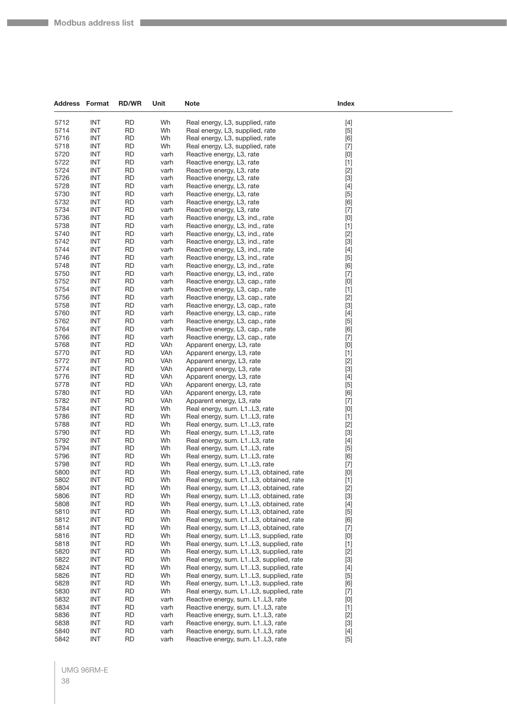$\sim$ 

| <b>Address Format</b> |            | <b>RD/WR</b> | Unit         | <b>Note</b>                                                  | Index                                                                                                                                                                                                                                                                                                                                                                                                                                                                                                                                                                                                                                                                    |  |
|-----------------------|------------|--------------|--------------|--------------------------------------------------------------|--------------------------------------------------------------------------------------------------------------------------------------------------------------------------------------------------------------------------------------------------------------------------------------------------------------------------------------------------------------------------------------------------------------------------------------------------------------------------------------------------------------------------------------------------------------------------------------------------------------------------------------------------------------------------|--|
| 5712                  | <b>INT</b> | <b>RD</b>    | Wh           | Real energy, L3, supplied, rate                              | $[4]$                                                                                                                                                                                                                                                                                                                                                                                                                                                                                                                                                                                                                                                                    |  |
| 5714                  | <b>INT</b> | <b>RD</b>    | Wh           | Real energy, L3, supplied, rate                              | $[5]$                                                                                                                                                                                                                                                                                                                                                                                                                                                                                                                                                                                                                                                                    |  |
| 5716                  | <b>INT</b> | <b>RD</b>    | Wh           | Real energy, L3, supplied, rate                              | [6]                                                                                                                                                                                                                                                                                                                                                                                                                                                                                                                                                                                                                                                                      |  |
| 5718                  | <b>INT</b> | <b>RD</b>    | Wh           | Real energy, L3, supplied, rate                              | $[7]$                                                                                                                                                                                                                                                                                                                                                                                                                                                                                                                                                                                                                                                                    |  |
| 5720                  | <b>INT</b> | <b>RD</b>    | varh         | Reactive energy, L3, rate                                    | [0]                                                                                                                                                                                                                                                                                                                                                                                                                                                                                                                                                                                                                                                                      |  |
| 5722                  | <b>INT</b> | <b>RD</b>    | varh         | Reactive energy, L3, rate                                    | $[1]$                                                                                                                                                                                                                                                                                                                                                                                                                                                                                                                                                                                                                                                                    |  |
| 5724                  | <b>INT</b> | <b>RD</b>    | varh         | Reactive energy, L3, rate                                    | $[2]$                                                                                                                                                                                                                                                                                                                                                                                                                                                                                                                                                                                                                                                                    |  |
| 5726                  | <b>INT</b> | <b>RD</b>    | varh         | Reactive energy, L3, rate                                    | $[3]$                                                                                                                                                                                                                                                                                                                                                                                                                                                                                                                                                                                                                                                                    |  |
| 5728                  | <b>INT</b> | <b>RD</b>    | varh         | Reactive energy, L3, rate                                    | $[4] % \begin{center} \includegraphics[width=\linewidth]{imagesSupplemental/Imetad-Architecture.png} \end{center} \caption{The image shows the image shows a single number of times, and the image shows a single number of times.} \label{fig:limal}$                                                                                                                                                                                                                                                                                                                                                                                                                   |  |
| 5730                  | INT        | <b>RD</b>    | varh         | Reactive energy, L3, rate                                    | $[5]$                                                                                                                                                                                                                                                                                                                                                                                                                                                                                                                                                                                                                                                                    |  |
| 5732                  | <b>INT</b> | <b>RD</b>    | varh         | Reactive energy, L3, rate                                    | [6]                                                                                                                                                                                                                                                                                                                                                                                                                                                                                                                                                                                                                                                                      |  |
| 5734                  | <b>INT</b> | <b>RD</b>    | varh         | Reactive energy, L3, rate                                    | $[7] \centering% \includegraphics[width=1\textwidth]{images/TransY.pdf} \caption{The first two different values of $d=3$ and $d=4$ (left) and $d=5$ (right) and $d=6$ (right). The first two different values of $d=2$ (right).} \label{fig:class}$                                                                                                                                                                                                                                                                                                                                                                                                                      |  |
| 5736                  | INT        | <b>RD</b>    | varh         | Reactive energy, L3, ind., rate                              | [0]                                                                                                                                                                                                                                                                                                                                                                                                                                                                                                                                                                                                                                                                      |  |
| 5738                  | <b>INT</b> | <b>RD</b>    | varh         | Reactive energy, L3, ind., rate                              | $[1]$                                                                                                                                                                                                                                                                                                                                                                                                                                                                                                                                                                                                                                                                    |  |
| 5740                  | <b>INT</b> | <b>RD</b>    | varh         | Reactive energy, L3, ind., rate                              | $[2]$                                                                                                                                                                                                                                                                                                                                                                                                                                                                                                                                                                                                                                                                    |  |
| 5742                  | <b>INT</b> | <b>RD</b>    | varh         | Reactive energy, L3, ind., rate                              | $[3]$                                                                                                                                                                                                                                                                                                                                                                                                                                                                                                                                                                                                                                                                    |  |
| 5744                  | <b>INT</b> | <b>RD</b>    | varh         | Reactive energy, L3, ind., rate                              | $[4]$                                                                                                                                                                                                                                                                                                                                                                                                                                                                                                                                                                                                                                                                    |  |
| 5746                  | <b>INT</b> | <b>RD</b>    | varh         | Reactive energy, L3, ind., rate                              | $[5]$                                                                                                                                                                                                                                                                                                                                                                                                                                                                                                                                                                                                                                                                    |  |
| 5748                  | <b>INT</b> | <b>RD</b>    | varh         | Reactive energy, L3, ind., rate                              | [6]                                                                                                                                                                                                                                                                                                                                                                                                                                                                                                                                                                                                                                                                      |  |
| 5750                  | <b>INT</b> | <b>RD</b>    | varh         | Reactive energy, L3, ind., rate                              | $[7]$                                                                                                                                                                                                                                                                                                                                                                                                                                                                                                                                                                                                                                                                    |  |
| 5752                  | <b>INT</b> | <b>RD</b>    | varh         | Reactive energy, L3, cap., rate                              | [0]                                                                                                                                                                                                                                                                                                                                                                                                                                                                                                                                                                                                                                                                      |  |
| 5754                  | <b>INT</b> | <b>RD</b>    | varh         | Reactive energy, L3, cap., rate                              | $[1]$                                                                                                                                                                                                                                                                                                                                                                                                                                                                                                                                                                                                                                                                    |  |
| 5756                  | <b>INT</b> | <b>RD</b>    | varh         | Reactive energy, L3, cap., rate                              | $[2]$                                                                                                                                                                                                                                                                                                                                                                                                                                                                                                                                                                                                                                                                    |  |
| 5758                  | <b>INT</b> | <b>RD</b>    | varh         | Reactive energy, L3, cap., rate                              | $[3]$                                                                                                                                                                                                                                                                                                                                                                                                                                                                                                                                                                                                                                                                    |  |
| 5760                  | <b>INT</b> | <b>RD</b>    | varh         | Reactive energy, L3, cap., rate                              | $[4]$                                                                                                                                                                                                                                                                                                                                                                                                                                                                                                                                                                                                                                                                    |  |
| 5762                  | <b>INT</b> | <b>RD</b>    |              | Reactive energy, L3, cap., rate                              |                                                                                                                                                                                                                                                                                                                                                                                                                                                                                                                                                                                                                                                                          |  |
| 5764                  | <b>INT</b> | <b>RD</b>    | varh<br>varh | Reactive energy, L3, cap., rate                              | $[5]$<br>[6]                                                                                                                                                                                                                                                                                                                                                                                                                                                                                                                                                                                                                                                             |  |
| 5766                  | <b>INT</b> | <b>RD</b>    | varh         | Reactive energy, L3, cap., rate                              |                                                                                                                                                                                                                                                                                                                                                                                                                                                                                                                                                                                                                                                                          |  |
| 5768                  | <b>INT</b> | <b>RD</b>    | VAh          | Apparent energy, L3, rate                                    | $[7] \centering% \includegraphics[width=1\textwidth]{images/TransY.pdf} \caption{The first two different values of $d=3$ and $d=4$ (left) and $d=5$ (right) and $d=6$ (right). The first two different values of $d=2$ (right).} \label{fig:class}$<br>[0]                                                                                                                                                                                                                                                                                                                                                                                                               |  |
| 5770                  | <b>INT</b> | <b>RD</b>    | VAh          | Apparent energy, L3, rate                                    | $[1]$                                                                                                                                                                                                                                                                                                                                                                                                                                                                                                                                                                                                                                                                    |  |
| 5772                  | <b>INT</b> | <b>RD</b>    | VAh          |                                                              |                                                                                                                                                                                                                                                                                                                                                                                                                                                                                                                                                                                                                                                                          |  |
| 5774                  | <b>INT</b> | <b>RD</b>    | VAh          | Apparent energy, L3, rate<br>Apparent energy, L3, rate       | $[2]$<br>$[3]$                                                                                                                                                                                                                                                                                                                                                                                                                                                                                                                                                                                                                                                           |  |
| 5776                  | <b>INT</b> | <b>RD</b>    | VAh          |                                                              |                                                                                                                                                                                                                                                                                                                                                                                                                                                                                                                                                                                                                                                                          |  |
| 5778                  | <b>INT</b> | <b>RD</b>    | VAh          | Apparent energy, L3, rate                                    | $[4]$                                                                                                                                                                                                                                                                                                                                                                                                                                                                                                                                                                                                                                                                    |  |
| 5780                  | <b>INT</b> | <b>RD</b>    | VAh          | Apparent energy, L3, rate                                    | $[5]$                                                                                                                                                                                                                                                                                                                                                                                                                                                                                                                                                                                                                                                                    |  |
| 5782                  | <b>INT</b> | <b>RD</b>    | VAh          | Apparent energy, L3, rate                                    | [6]                                                                                                                                                                                                                                                                                                                                                                                                                                                                                                                                                                                                                                                                      |  |
| 5784                  | <b>INT</b> | <b>RD</b>    | Wh           | Apparent energy, L3, rate                                    | $[7] \centering% \includegraphics[width=1\textwidth]{images/TransY.pdf} \caption{The first two different values of $d=3$ and $d=4$ (left) and $d=5$ (right) and $d=6$ (right). The first two different values of $d=2$ (right).} \label{fig:class}$<br>[0]                                                                                                                                                                                                                                                                                                                                                                                                               |  |
| 5786                  | <b>INT</b> | <b>RD</b>    | Wh           | Real energy, sum. L1L3, rate                                 |                                                                                                                                                                                                                                                                                                                                                                                                                                                                                                                                                                                                                                                                          |  |
| 5788                  | <b>INT</b> | <b>RD</b>    | Wh           | Real energy, sum. L1L3, rate                                 | $[1]$                                                                                                                                                                                                                                                                                                                                                                                                                                                                                                                                                                                                                                                                    |  |
| 5790                  | <b>INT</b> | <b>RD</b>    | Wh           | Real energy, sum. L1L3, rate<br>Real energy, sum. L1L3, rate | $[2]$<br>$[3]$                                                                                                                                                                                                                                                                                                                                                                                                                                                                                                                                                                                                                                                           |  |
| 5792                  | <b>INT</b> | <b>RD</b>    | Wh           | Real energy, sum. L1L3, rate                                 |                                                                                                                                                                                                                                                                                                                                                                                                                                                                                                                                                                                                                                                                          |  |
| 5794                  | <b>INT</b> | <b>RD</b>    | Wh           |                                                              | $[4]$                                                                                                                                                                                                                                                                                                                                                                                                                                                                                                                                                                                                                                                                    |  |
| 5796                  | <b>INT</b> | <b>RD</b>    | Wh           | Real energy, sum. L1L3, rate<br>Real energy, sum. L1L3, rate | $[5]$                                                                                                                                                                                                                                                                                                                                                                                                                                                                                                                                                                                                                                                                    |  |
| 5798                  | <b>INT</b> | <b>RD</b>    | Wh           | Real energy, sum. L1L3, rate                                 | [6]<br>$[7]$                                                                                                                                                                                                                                                                                                                                                                                                                                                                                                                                                                                                                                                             |  |
| 5800                  | <b>INT</b> | ${\sf RD}$   | Wh           | Real energy, sum. L1L3, obtained, rate                       | $[0] % \begin{center} % \includegraphics[width=\linewidth]{imagesSupplemental_3.png} % \end{center} % \caption { % Our method can be used for the use of the image. % Note that the \emph{Def}(i) and the \emph{Def}(i) are the same as a function of the image. % Note that the \emph{Def}(i) and the \emph{Def}(i) are the same as a function of the image. % Note that the \emph{Def}(i) and the \emph{Def}(i) are the same as a function of the image. % } % \label{fig:Def}(i) and the \emph{Def}(i) are the same as a function of the image. % Note that the \emph{Def}(i) and the \emph{Def}(i) are the same as a function of the image. % } % \label{fig:Def}(i$ |  |
| 5802                  | <b>INT</b> | <b>RD</b>    | Wh           | Real energy, sum. L1L3, obtained, rate                       | $[1]$                                                                                                                                                                                                                                                                                                                                                                                                                                                                                                                                                                                                                                                                    |  |
| 5804                  | <b>INT</b> | <b>RD</b>    | Wh           | Real energy, sum. L1L3, obtained, rate                       | $[2]$                                                                                                                                                                                                                                                                                                                                                                                                                                                                                                                                                                                                                                                                    |  |
| 5806                  | <b>INT</b> | <b>RD</b>    | Wh           | Real energy, sum. L1L3, obtained, rate                       | $[3]$                                                                                                                                                                                                                                                                                                                                                                                                                                                                                                                                                                                                                                                                    |  |
| 5808                  | <b>INT</b> | <b>RD</b>    | Wh           | Real energy, sum. L1L3, obtained, rate                       | [4]                                                                                                                                                                                                                                                                                                                                                                                                                                                                                                                                                                                                                                                                      |  |
| 5810                  | <b>INT</b> | <b>RD</b>    | Wh           | Real energy, sum. L1L3, obtained, rate                       | $[5]$                                                                                                                                                                                                                                                                                                                                                                                                                                                                                                                                                                                                                                                                    |  |
| 5812                  | <b>INT</b> | <b>RD</b>    | Wh           | Real energy, sum. L1L3, obtained, rate                       | [6]                                                                                                                                                                                                                                                                                                                                                                                                                                                                                                                                                                                                                                                                      |  |
| 5814                  | INT        | <b>RD</b>    | Wh           | Real energy, sum. L1L3, obtained, rate                       | $[7]$                                                                                                                                                                                                                                                                                                                                                                                                                                                                                                                                                                                                                                                                    |  |
| 5816                  | <b>INT</b> | <b>RD</b>    | Wh           | Real energy, sum. L1L3, supplied, rate                       | [0]                                                                                                                                                                                                                                                                                                                                                                                                                                                                                                                                                                                                                                                                      |  |
| 5818                  | <b>INT</b> | <b>RD</b>    | Wh           | Real energy, sum. L1L3, supplied, rate                       | $[1]$                                                                                                                                                                                                                                                                                                                                                                                                                                                                                                                                                                                                                                                                    |  |
| 5820                  | <b>INT</b> | <b>RD</b>    | Wh           | Real energy, sum. L1L3, supplied, rate                       | $[2]$                                                                                                                                                                                                                                                                                                                                                                                                                                                                                                                                                                                                                                                                    |  |
| 5822                  | <b>INT</b> | <b>RD</b>    | Wh           | Real energy, sum. L1L3, supplied, rate                       | $[3]$                                                                                                                                                                                                                                                                                                                                                                                                                                                                                                                                                                                                                                                                    |  |
| 5824                  | INT        | <b>RD</b>    | Wh           | Real energy, sum. L1L3, supplied, rate                       | $[4] % \begin{center} \includegraphics[width=\linewidth]{imagesSupplemental/Imetad-Architecture.png} \end{center} \caption{The image shows the image shows a single number of times, and the image shows a single number of times.} \label{fig:limal}$                                                                                                                                                                                                                                                                                                                                                                                                                   |  |
| 5826                  | <b>INT</b> | <b>RD</b>    | Wh           | Real energy, sum. L1L3, supplied, rate                       |                                                                                                                                                                                                                                                                                                                                                                                                                                                                                                                                                                                                                                                                          |  |
| 5828                  | <b>INT</b> | <b>RD</b>    | Wh           | Real energy, sum. L1L3, supplied, rate                       | $[5]$                                                                                                                                                                                                                                                                                                                                                                                                                                                                                                                                                                                                                                                                    |  |
| 5830                  | <b>INT</b> | <b>RD</b>    | Wh           | Real energy, sum. L1L3, supplied, rate                       | [6]<br>$[7] % \begin{minipage}[b]{0.4\linewidth} \centering \includegraphics[width=\textwidth]{figs/fig_4.pdf} \caption{The figure shows the number of times on the right.} \label{fig:fig_4} \end{minipage} \vspace{0.05in} \begin{minipage}[b]{0.45\linewidth} \centering \includegraphics[width=\textwidth]{figs/fig_4.pdf} \caption{The figure shows the number of times on the right.} \label{fig:fig_4} \end{minipage} \vspace{0.05in} \begin{minipage}[b]{0.45in} \centering \includegraphics[width=\textwidth]{figs/fig_4.pdf} \caption{The figure shows the number of times on the right.} \label{fig:fig_4} \end{min$                                          |  |
| 5832                  | <b>INT</b> | <b>RD</b>    | varh         | Reactive energy, sum. L1L3, rate                             | [0]                                                                                                                                                                                                                                                                                                                                                                                                                                                                                                                                                                                                                                                                      |  |
| 5834                  | <b>INT</b> | <b>RD</b>    | varh         | Reactive energy, sum. L1L3, rate                             | $[1]$                                                                                                                                                                                                                                                                                                                                                                                                                                                                                                                                                                                                                                                                    |  |
| 5836                  | <b>INT</b> | <b>RD</b>    | varh         | Reactive energy, sum. L1L3, rate                             |                                                                                                                                                                                                                                                                                                                                                                                                                                                                                                                                                                                                                                                                          |  |
| 5838                  | <b>INT</b> | <b>RD</b>    | varh         | Reactive energy, sum. L1L3, rate                             | $[2]$<br>$[3]$                                                                                                                                                                                                                                                                                                                                                                                                                                                                                                                                                                                                                                                           |  |
| 5840                  | <b>INT</b> | <b>RD</b>    | varh         | Reactive energy, sum. L1L3, rate                             |                                                                                                                                                                                                                                                                                                                                                                                                                                                                                                                                                                                                                                                                          |  |
|                       |            |              |              |                                                              | $[4]$                                                                                                                                                                                                                                                                                                                                                                                                                                                                                                                                                                                                                                                                    |  |
| 5842                  | <b>INT</b> | <b>RD</b>    | varh         | Reactive energy, sum. L1L3, rate                             | $[5]$                                                                                                                                                                                                                                                                                                                                                                                                                                                                                                                                                                                                                                                                    |  |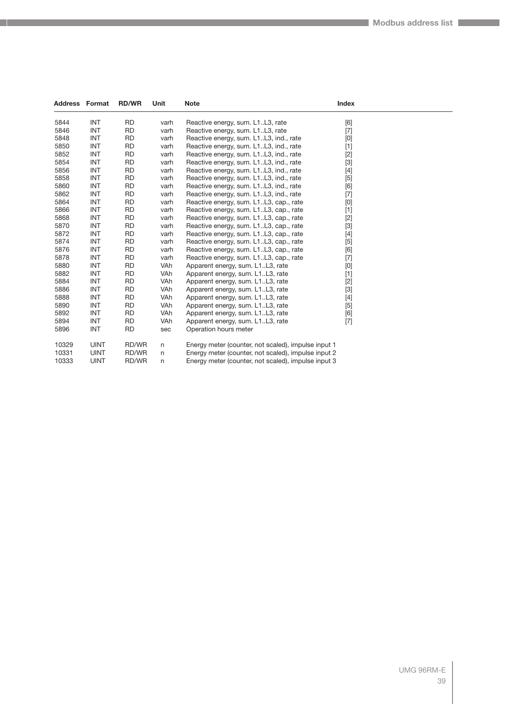| <b>Address Format</b> |             | <b>RD/WR</b> | Unit       | <b>Note</b>                                         | Index |  |
|-----------------------|-------------|--------------|------------|-----------------------------------------------------|-------|--|
| 5844                  | <b>INT</b>  | <b>RD</b>    | varh       | Reactive energy, sum. L1L3, rate                    | [6]   |  |
| 5846                  | <b>INT</b>  | <b>RD</b>    | varh       | Reactive energy, sum. L1L3, rate                    | $[7]$ |  |
| 5848                  | <b>INT</b>  | <b>RD</b>    | varh       | Reactive energy, sum. L1L3, ind., rate              | [0]   |  |
| 5850                  | <b>INT</b>  | <b>RD</b>    | varh       | Reactive energy, sum. L1L3, ind., rate              | $[1]$ |  |
| 5852                  | <b>INT</b>  | <b>RD</b>    | varh       | Reactive energy, sum. L1L3, ind., rate              | $[2]$ |  |
| 5854                  | <b>INT</b>  | <b>RD</b>    | varh       | Reactive energy, sum. L1L3, ind., rate              | $[3]$ |  |
| 5856                  | <b>INT</b>  | <b>RD</b>    | varh       | Reactive energy, sum. L1L3, ind., rate              | $[4]$ |  |
| 5858                  | <b>INT</b>  | <b>RD</b>    | varh       | Reactive energy, sum. L1L3, ind., rate              | $[5]$ |  |
| 5860                  | <b>INT</b>  | <b>RD</b>    | varh       | Reactive energy, sum. L1L3, ind., rate              | [6]   |  |
| 5862                  | <b>INT</b>  | <b>RD</b>    | varh       | Reactive energy, sum. L1L3, ind., rate              | $[7]$ |  |
| 5864                  | <b>INT</b>  | <b>RD</b>    | varh       | Reactive energy, sum. L1L3, cap., rate              | [0]   |  |
| 5866                  | <b>INT</b>  | <b>RD</b>    | varh       | Reactive energy, sum. L1L3, cap., rate              | $[1]$ |  |
| 5868                  | <b>INT</b>  | <b>RD</b>    | varh       | Reactive energy, sum. L1L3, cap., rate              | $[2]$ |  |
| 5870                  | <b>INT</b>  | <b>RD</b>    | varh       | Reactive energy, sum. L1L3, cap., rate              | $[3]$ |  |
| 5872                  | <b>INT</b>  | <b>RD</b>    | varh       | Reactive energy, sum. L1L3, cap., rate              | $[4]$ |  |
| 5874                  | <b>INT</b>  | <b>RD</b>    | varh       | Reactive energy, sum. L1L3, cap., rate              | [5]   |  |
| 5876                  | <b>INT</b>  | <b>RD</b>    | varh       | Reactive energy, sum. L1L3, cap., rate              | [6]   |  |
| 5878                  | <b>INT</b>  | <b>RD</b>    | varh       | Reactive energy, sum. L1L3, cap., rate              | $[7]$ |  |
| 5880                  | <b>INT</b>  | <b>RD</b>    | VAh        | Apparent energy, sum. L1L3, rate                    | [0]   |  |
| 5882                  | <b>INT</b>  | <b>RD</b>    | <b>VAh</b> | Apparent energy, sum. L1L3, rate                    | $[1]$ |  |
| 5884                  | <b>INT</b>  | <b>RD</b>    | VAh        | Apparent energy, sum. L1L3, rate                    | $[2]$ |  |
| 5886                  | <b>INT</b>  | <b>RD</b>    | VAh        | Apparent energy, sum. L1L3, rate                    | $[3]$ |  |
| 5888                  | <b>INT</b>  | <b>RD</b>    | <b>VAh</b> | Apparent energy, sum. L1L3, rate                    | $[4]$ |  |
| 5890                  | <b>INT</b>  | <b>RD</b>    | VAh        | Apparent energy, sum. L1L3, rate                    | $[5]$ |  |
| 5892                  | <b>INT</b>  | <b>RD</b>    | <b>VAh</b> | Apparent energy, sum. L1L3, rate                    | [6]   |  |
| 5894                  | <b>INT</b>  | <b>RD</b>    | VAh        | Apparent energy, sum. L1L3, rate                    | $[7]$ |  |
| 5896                  | <b>INT</b>  | <b>RD</b>    | sec        | Operation hours meter                               |       |  |
| 10329                 | <b>UINT</b> | RD/WR        | n          | Energy meter (counter, not scaled), impulse input 1 |       |  |
| 10331                 | <b>UINT</b> | RD/WR        | n          | Energy meter (counter, not scaled), impulse input 2 |       |  |
| 10333                 | <b>UINT</b> | RD/WR        | n          | Energy meter (counter, not scaled), impulse input 3 |       |  |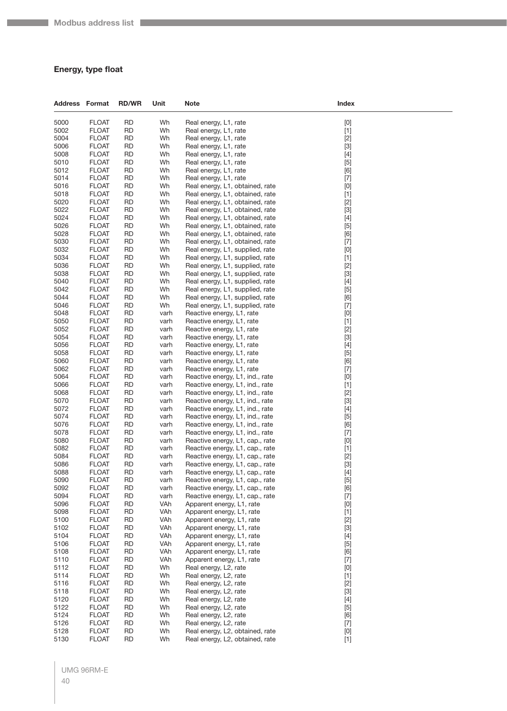#### **Energy, type float**

| Address Format |                              | <b>RD/WR</b>           | Unit         | Note                                                               | Index                                                                                                                                                                                                                                                                                                                                                                                                                                                                                                                                                                                                                                                                    |
|----------------|------------------------------|------------------------|--------------|--------------------------------------------------------------------|--------------------------------------------------------------------------------------------------------------------------------------------------------------------------------------------------------------------------------------------------------------------------------------------------------------------------------------------------------------------------------------------------------------------------------------------------------------------------------------------------------------------------------------------------------------------------------------------------------------------------------------------------------------------------|
| 5000           | <b>FLOAT</b>                 | <b>RD</b>              | Wh           | Real energy, L1, rate                                              | $[0] % \begin{center} % \includegraphics[width=\linewidth]{imagesSupplemental_3.png} % \end{center} % \caption { % Our method can be used for the use of the image. % Note that the \emph{DefNet}~\cite{bib66} as a function of the \emph{DefNet}~\cite{bib66} as a function of the \emph{DefNet}~\cite{bib66} as a function of the \emph{DefNet}~\cite{bib66} as a function of the \emph{DefNet}~\cite{bib66} as a function of the \emph{DefNet}~\cite{bib66} as a function of the \emph{DefNet}~\cite{bib66} as a function of the \emph{DefNet}~\cite{bib66} as a function of the \emph{DefNet}$                                                                       |
| 5002           | <b>FLOAT</b>                 | <b>RD</b>              | Wh           | Real energy, L1, rate                                              | $[1]$                                                                                                                                                                                                                                                                                                                                                                                                                                                                                                                                                                                                                                                                    |
| 5004           | <b>FLOAT</b>                 | <b>RD</b>              | Wh           | Real energy, L1, rate                                              | $[2]$                                                                                                                                                                                                                                                                                                                                                                                                                                                                                                                                                                                                                                                                    |
| 5006           | <b>FLOAT</b>                 | <b>RD</b>              | Wh           | Real energy, L1, rate                                              | $[3]$                                                                                                                                                                                                                                                                                                                                                                                                                                                                                                                                                                                                                                                                    |
| 5008           | <b>FLOAT</b>                 | <b>RD</b>              | Wh           | Real energy, L1, rate                                              | $[4]$                                                                                                                                                                                                                                                                                                                                                                                                                                                                                                                                                                                                                                                                    |
| 5010           | <b>FLOAT</b>                 | <b>RD</b>              | Wh           | Real energy, L1, rate                                              | $[5]$                                                                                                                                                                                                                                                                                                                                                                                                                                                                                                                                                                                                                                                                    |
| 5012<br>5014   | <b>FLOAT</b><br><b>FLOAT</b> | <b>RD</b><br><b>RD</b> | Wh<br>Wh     | Real energy, L1, rate<br>Real energy, L1, rate                     | [6]                                                                                                                                                                                                                                                                                                                                                                                                                                                                                                                                                                                                                                                                      |
| 5016           | <b>FLOAT</b>                 | <b>RD</b>              | Wh           | Real energy, L1, obtained, rate                                    | $[7]$<br>$[0] % \begin{center} % \includegraphics[width=\linewidth]{imagesSupplemental_3.png} % \end{center} % \caption { % Our method can be used for the use of the image. % Note that the \emph{Def}(i) and the \emph{Def}(i) are the same and the \emph{Def}(i) and the \emph{Def}(i) are the same. % } % \label{fig:Defin_3} %$                                                                                                                                                                                                                                                                                                                                     |
| 5018           | <b>FLOAT</b>                 | <b>RD</b>              | Wh           | Real energy, L1, obtained, rate                                    | $[1]$                                                                                                                                                                                                                                                                                                                                                                                                                                                                                                                                                                                                                                                                    |
| 5020           | <b>FLOAT</b>                 | <b>RD</b>              | Wh           | Real energy, L1, obtained, rate                                    | $[2]$                                                                                                                                                                                                                                                                                                                                                                                                                                                                                                                                                                                                                                                                    |
| 5022           | <b>FLOAT</b>                 | <b>RD</b>              | Wh           | Real energy, L1, obtained, rate                                    | $[3]$                                                                                                                                                                                                                                                                                                                                                                                                                                                                                                                                                                                                                                                                    |
| 5024           | <b>FLOAT</b>                 | <b>RD</b>              | Wh           | Real energy, L1, obtained, rate                                    | $[4]$                                                                                                                                                                                                                                                                                                                                                                                                                                                                                                                                                                                                                                                                    |
| 5026           | <b>FLOAT</b>                 | <b>RD</b>              | Wh           | Real energy, L1, obtained, rate                                    | $[5]$                                                                                                                                                                                                                                                                                                                                                                                                                                                                                                                                                                                                                                                                    |
| 5028           | <b>FLOAT</b>                 | <b>RD</b>              | Wh           | Real energy, L1, obtained, rate                                    | [6]                                                                                                                                                                                                                                                                                                                                                                                                                                                                                                                                                                                                                                                                      |
| 5030           | <b>FLOAT</b>                 | <b>RD</b>              | Wh           | Real energy, L1, obtained, rate                                    | $[7]$                                                                                                                                                                                                                                                                                                                                                                                                                                                                                                                                                                                                                                                                    |
| 5032<br>5034   | <b>FLOAT</b><br><b>FLOAT</b> | <b>RD</b><br><b>RD</b> | Wh<br>Wh     | Real energy, L1, supplied, rate<br>Real energy, L1, supplied, rate | $[0] % \begin{center} % \includegraphics[width=\linewidth]{imagesSupplemental_3.png} % \end{center} % \caption { % Our method can be used for the use of the image. % Note that the \emph{DefNet}~\cite{bib66} as a function of the \emph{DefNet}~\cite{bib66} as a function of the \emph{DefNet}~\cite{bib66} as a function of the \emph{DefNet}~\cite{bib66} as a function of the \emph{DefNet}~\cite{bib66} as a function of the \emph{DefNet}~\cite{bib66} as a function of the \emph{DefNet}~\cite{bib66} as a function of the \emph{DefNet}~\cite{bib66} as a function of the \emph{DefNet}$                                                                       |
| 5036           | <b>FLOAT</b>                 | <b>RD</b>              | Wh           | Real energy, L1, supplied, rate                                    | $[1]$<br>$[2]$                                                                                                                                                                                                                                                                                                                                                                                                                                                                                                                                                                                                                                                           |
| 5038           | <b>FLOAT</b>                 | <b>RD</b>              | Wh           | Real energy, L1, supplied, rate                                    | $[3]$                                                                                                                                                                                                                                                                                                                                                                                                                                                                                                                                                                                                                                                                    |
| 5040           | <b>FLOAT</b>                 | <b>RD</b>              | Wh           | Real energy, L1, supplied, rate                                    | $[4]$                                                                                                                                                                                                                                                                                                                                                                                                                                                                                                                                                                                                                                                                    |
| 5042           | <b>FLOAT</b>                 | <b>RD</b>              | Wh           | Real energy, L1, supplied, rate                                    | $[5]$                                                                                                                                                                                                                                                                                                                                                                                                                                                                                                                                                                                                                                                                    |
| 5044           | <b>FLOAT</b>                 | <b>RD</b>              | Wh           | Real energy, L1, supplied, rate                                    | [6]                                                                                                                                                                                                                                                                                                                                                                                                                                                                                                                                                                                                                                                                      |
| 5046           | <b>FLOAT</b>                 | <b>RD</b>              | Wh           | Real energy, L1, supplied, rate                                    | $[7] \centering% \includegraphics[width=1.0\textwidth]{images/TrDiC-Architecture.png} \caption{The 3D (top) and the 4D (bottom) of the 3D (bottom) and the 4D (bottom) of the 3D (bottom) and the 4D (bottom) of the 3D (bottom) and the 4D (bottom) of the 3D (bottom).} \label{TrDiC-Architecture}$                                                                                                                                                                                                                                                                                                                                                                    |
| 5048           | <b>FLOAT</b>                 | <b>RD</b>              | varh         | Reactive energy, L1, rate                                          | $[0] % \begin{center} % \includegraphics[width=\linewidth]{imagesSupplemental_3.png} % \end{center} % \caption { % Our method can be used for the use of the image. % Note that the \emph{DefNet}~\cite{bib66} as a function of the \emph{DefNet}~\cite{bib66} as a function of the \emph{DefNet}~\cite{bib66} as a function of the \emph{DefNet}~\cite{bib66} as a function of the \emph{DefNet}~\cite{bib66} as a function of the \emph{DefNet}~\cite{bib66} as a function of the \emph{DefNet}~\cite{bib66} as a function of the \emph{DefNet}~\cite{bib66} as a function of the \emph{DefNet}$                                                                       |
| 5050           | <b>FLOAT</b>                 | <b>RD</b>              | varh         | Reactive energy, L1, rate                                          | $[1]$                                                                                                                                                                                                                                                                                                                                                                                                                                                                                                                                                                                                                                                                    |
| 5052<br>5054   | <b>FLOAT</b>                 | <b>RD</b><br><b>RD</b> | varh         | Reactive energy, L1, rate<br>Reactive energy, L1, rate             | $[2]$                                                                                                                                                                                                                                                                                                                                                                                                                                                                                                                                                                                                                                                                    |
| 5056           | <b>FLOAT</b><br><b>FLOAT</b> | <b>RD</b>              | varh<br>varh | Reactive energy, L1, rate                                          | $[3]$<br>$[4]$                                                                                                                                                                                                                                                                                                                                                                                                                                                                                                                                                                                                                                                           |
| 5058           | <b>FLOAT</b>                 | <b>RD</b>              | varh         | Reactive energy, L1, rate                                          | $[5]$                                                                                                                                                                                                                                                                                                                                                                                                                                                                                                                                                                                                                                                                    |
| 5060           | <b>FLOAT</b>                 | <b>RD</b>              | varh         | Reactive energy, L1, rate                                          | [6]                                                                                                                                                                                                                                                                                                                                                                                                                                                                                                                                                                                                                                                                      |
| 5062           | <b>FLOAT</b>                 | <b>RD</b>              | varh         | Reactive energy, L1, rate                                          | $[7] \centering% \includegraphics[width=1.0\textwidth]{images/TrDiC-Architecture.png} \caption{The 3D (top) and the 4D (bottom) of the 3D (bottom) and the 4D (bottom) of the 3D (bottom) and the 4D (bottom) of the 3D (bottom) and the 4D (bottom) of the 3D (bottom).} \label{TrDiC-Architecture}$                                                                                                                                                                                                                                                                                                                                                                    |
| 5064           | <b>FLOAT</b>                 | <b>RD</b>              | varh         | Reactive energy, L1, ind., rate                                    | [0]                                                                                                                                                                                                                                                                                                                                                                                                                                                                                                                                                                                                                                                                      |
| 5066           | <b>FLOAT</b>                 | <b>RD</b>              | varh         | Reactive energy, L1, ind., rate                                    | $[1]$                                                                                                                                                                                                                                                                                                                                                                                                                                                                                                                                                                                                                                                                    |
| 5068           | <b>FLOAT</b>                 | <b>RD</b>              | varh         | Reactive energy, L1, ind., rate                                    | $[2]$                                                                                                                                                                                                                                                                                                                                                                                                                                                                                                                                                                                                                                                                    |
| 5070           | <b>FLOAT</b>                 | <b>RD</b>              | varh         | Reactive energy, L1, ind., rate                                    | $[3]$                                                                                                                                                                                                                                                                                                                                                                                                                                                                                                                                                                                                                                                                    |
| 5072<br>5074   | <b>FLOAT</b><br><b>FLOAT</b> | <b>RD</b><br><b>RD</b> | varh<br>varh | Reactive energy, L1, ind., rate<br>Reactive energy, L1, ind., rate | $[4]$                                                                                                                                                                                                                                                                                                                                                                                                                                                                                                                                                                                                                                                                    |
| 5076           | <b>FLOAT</b>                 | RD                     | varh         | Reactive energy, L1, ind., rate                                    | $[5]$<br>[6]                                                                                                                                                                                                                                                                                                                                                                                                                                                                                                                                                                                                                                                             |
| 5078           | <b>FLOAT</b>                 | <b>RD</b>              | varh         | Reactive energy, L1, ind., rate                                    | $[7]$                                                                                                                                                                                                                                                                                                                                                                                                                                                                                                                                                                                                                                                                    |
| 5080           | <b>FLOAT</b>                 | <b>RD</b>              | varh         | Reactive energy, L1, cap., rate                                    | [0]                                                                                                                                                                                                                                                                                                                                                                                                                                                                                                                                                                                                                                                                      |
| 5082           | <b>FLOAT</b>                 | <b>RD</b>              | varh         | Reactive energy, L1, cap., rate                                    | $[1]$                                                                                                                                                                                                                                                                                                                                                                                                                                                                                                                                                                                                                                                                    |
| 5084           | <b>FLOAT</b>                 | <b>RD</b>              | varh         | Reactive energy, L1, cap., rate                                    | $[2]$                                                                                                                                                                                                                                                                                                                                                                                                                                                                                                                                                                                                                                                                    |
| 5086           | <b>FLOAT</b>                 | RD                     | varh         | Reactive energy, L1, cap., rate                                    | $[3]$                                                                                                                                                                                                                                                                                                                                                                                                                                                                                                                                                                                                                                                                    |
| 5088           | <b>FLOAT</b>                 | <b>RD</b>              | varh         | Reactive energy, L1, cap., rate                                    | $[4]$                                                                                                                                                                                                                                                                                                                                                                                                                                                                                                                                                                                                                                                                    |
| 5090<br>5092   | <b>FLOAT</b><br><b>FLOAT</b> | <b>RD</b><br><b>RD</b> | varh<br>varh | Reactive energy, L1, cap., rate<br>Reactive energy, L1, cap., rate | $[5]$<br>[6]                                                                                                                                                                                                                                                                                                                                                                                                                                                                                                                                                                                                                                                             |
| 5094           | <b>FLOAT</b>                 | <b>RD</b>              | varh         | Reactive energy, L1, cap., rate                                    | $[7] % \begin{minipage}[b]{0.5\linewidth} \centering \includegraphics[width=\textwidth]{figs/fig_4.pdf} \caption{The figure shows the number of times on the right.} \label{fig:fig_4} \end{minipage} \vspace{0.05in} \begin{minipage}[b]{0.45\linewidth} \centering \includegraphics[width=\textwidth]{figs/fig_4.pdf} \caption{The figure shows the number of times on the right.} \label{fig:fig_4} \end{minipage} \vspace{0.05in} \begin{minipage}[b]{0.45in} \centering \includegraphics[width=\textwidth]{figs/fig_4.pdf} \caption{The figure shows the number of times on the right.} \label{fig:fig_4} \end{min$                                                 |
| 5096           | <b>FLOAT</b>                 | <b>RD</b>              | VAh          | Apparent energy, L1, rate                                          | $[0] % \begin{center} % \includegraphics[width=\linewidth]{imagesSupplemental_3.png} % \end{center} % \caption { % Our method can be used for the use of the image. % Note that the \emph{Def}(i) and the \emph{Def}(i) are the same as a function of the image. % Note that the \emph{Def}(i) and the \emph{Def}(i) are the same as a function of the image. % Note that the \emph{Def}(i) and the \emph{Def}(i) are the same as a function of the image. % } % \label{fig:Def}(i) and the \emph{Def}(i) are the same as a function of the image. % Note that the \emph{Def}(i) and the \emph{Def}(i) are the same as a function of the image. % } % \label{fig:Def}(i$ |
| 5098           | <b>FLOAT</b>                 | <b>RD</b>              | VAh          | Apparent energy, L1, rate                                          | $[1]$                                                                                                                                                                                                                                                                                                                                                                                                                                                                                                                                                                                                                                                                    |
| 5100           | <b>FLOAT</b>                 | <b>RD</b>              | VAh          | Apparent energy, L1, rate                                          | $[2]$                                                                                                                                                                                                                                                                                                                                                                                                                                                                                                                                                                                                                                                                    |
| 5102           | <b>FLOAT</b>                 | <b>RD</b>              | VAh          | Apparent energy, L1, rate                                          | $[3]$                                                                                                                                                                                                                                                                                                                                                                                                                                                                                                                                                                                                                                                                    |
| 5104           | <b>FLOAT</b>                 | <b>RD</b>              | VAh          | Apparent energy, L1, rate                                          | $[4]$                                                                                                                                                                                                                                                                                                                                                                                                                                                                                                                                                                                                                                                                    |
| 5106           | <b>FLOAT</b>                 | <b>RD</b>              | VAh          | Apparent energy, L1, rate                                          | $[5]$                                                                                                                                                                                                                                                                                                                                                                                                                                                                                                                                                                                                                                                                    |
| 5108           | <b>FLOAT</b>                 | <b>RD</b>              | VAh          | Apparent energy, L1, rate                                          | [6]                                                                                                                                                                                                                                                                                                                                                                                                                                                                                                                                                                                                                                                                      |
| 5110           | <b>FLOAT</b><br><b>FLOAT</b> | <b>RD</b><br><b>RD</b> | VAh<br>Wh    | Apparent energy, L1, rate                                          | $[7]$                                                                                                                                                                                                                                                                                                                                                                                                                                                                                                                                                                                                                                                                    |
| 5112<br>5114   | <b>FLOAT</b>                 | <b>RD</b>              | Wh           | Real energy, L2, rate<br>Real energy, L2, rate                     | $[0] % \begin{center} % \includegraphics[width=\linewidth]{imagesSupplemental_3.png} % \end{center} % \caption { % Our method can be used for the use of the image. % Note that the \emph{Def}(i) and the \emph{Def}(i) are the same and the \emph{Def}(i) and the \emph{Def}(i) are the same. % } % \label{fig:Defin_3} %$<br>$[1]$                                                                                                                                                                                                                                                                                                                                     |
| 5116           | <b>FLOAT</b>                 | <b>RD</b>              | Wh           | Real energy, L2, rate                                              | $[2]$                                                                                                                                                                                                                                                                                                                                                                                                                                                                                                                                                                                                                                                                    |
| 5118           | <b>FLOAT</b>                 | <b>RD</b>              | Wh           | Real energy, L2, rate                                              | $[3]$                                                                                                                                                                                                                                                                                                                                                                                                                                                                                                                                                                                                                                                                    |
| 5120           | <b>FLOAT</b>                 | <b>RD</b>              | Wh           | Real energy, L2, rate                                              | $[4]$                                                                                                                                                                                                                                                                                                                                                                                                                                                                                                                                                                                                                                                                    |
| 5122           | <b>FLOAT</b>                 | <b>RD</b>              | Wh           | Real energy, L2, rate                                              | $[5]$                                                                                                                                                                                                                                                                                                                                                                                                                                                                                                                                                                                                                                                                    |
| 5124           | <b>FLOAT</b>                 | <b>RD</b>              | Wh           | Real energy, L2, rate                                              | [6]                                                                                                                                                                                                                                                                                                                                                                                                                                                                                                                                                                                                                                                                      |
| 5126           | <b>FLOAT</b>                 | <b>RD</b>              | Wh           | Real energy, L2, rate                                              | $[7]$                                                                                                                                                                                                                                                                                                                                                                                                                                                                                                                                                                                                                                                                    |
| 5128           | <b>FLOAT</b>                 | <b>RD</b>              | Wh           | Real energy, L2, obtained, rate                                    | $[0] % \begin{center} % \includegraphics[width=\linewidth]{imagesSupplemental_3.png} % \end{center} % \caption { % Our method can be used for the use of the image. % Note that the \emph{Def}(i) and the \emph{Def}(i) are the same and the \emph{Def}(i) and the \emph{Def}(i) are the same. % } % \label{fig:Defin_3} %$                                                                                                                                                                                                                                                                                                                                              |
| 5130           | <b>FLOAT</b>                 | <b>RD</b>              | Wh           | Real energy, L2, obtained, rate                                    | $[1]$                                                                                                                                                                                                                                                                                                                                                                                                                                                                                                                                                                                                                                                                    |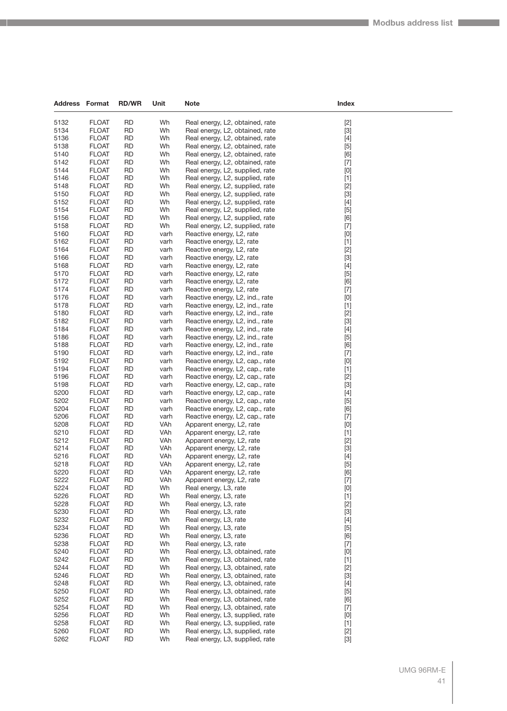| 5132<br><b>FLOAT</b><br><b>RD</b><br>Wh<br>$[2]$<br>Real energy, L2, obtained, rate<br>5134<br><b>FLOAT</b><br><b>RD</b><br>Wh<br>$[3]$<br>Real energy, L2, obtained, rate<br>5136<br><b>FLOAT</b><br><b>RD</b><br>Wh<br>$[4]$<br>Real energy, L2, obtained, rate<br>5138<br><b>FLOAT</b><br>RD<br>Wh<br>Real energy, L2, obtained, rate<br>$[5]$<br><b>FLOAT</b><br><b>RD</b><br>Wh<br>5140<br>Real energy, L2, obtained, rate<br>[6]<br>5142<br><b>FLOAT</b><br><b>RD</b><br>Wh<br>$[7]$<br>Real energy, L2, obtained, rate<br>5144<br><b>FLOAT</b><br><b>RD</b><br>Wh<br>$[0]$<br>Real energy, L2, supplied, rate<br>5146<br><b>FLOAT</b><br><b>RD</b><br>Wh<br>$[1]$<br>Real energy, L2, supplied, rate<br>5148<br><b>FLOAT</b><br>RD<br>Wh<br>Real energy, L2, supplied, rate<br>$[2]$<br>5150<br><b>FLOAT</b><br><b>RD</b><br>Wh<br>$[3]$<br>Real energy, L2, supplied, rate<br>5152<br><b>RD</b><br>Wh<br>$[4]$<br><b>FLOAT</b><br>Real energy, L2, supplied, rate<br>5154<br><b>FLOAT</b><br><b>RD</b><br>Wh<br>$[5]$<br>Real energy, L2, supplied, rate<br>5156<br><b>FLOAT</b><br><b>RD</b><br>[6]<br>Wh<br>Real energy, L2, supplied, rate<br>5158<br><b>FLOAT</b><br>RD<br>Wh<br>Real energy, L2, supplied, rate<br>$[7]$<br>5160<br><b>FLOAT</b><br><b>RD</b><br>$[0]$<br>Reactive energy, L2, rate<br>varh<br>5162<br><b>FLOAT</b><br><b>RD</b><br>$[1]$<br>varh<br>Reactive energy, L2, rate<br>5164<br><b>FLOAT</b><br><b>RD</b><br>$[2]$<br>varh<br>Reactive energy, L2, rate<br>5166<br><b>RD</b><br>$[3]$<br><b>FLOAT</b><br>Reactive energy, L2, rate<br>varh<br>5168<br><b>FLOAT</b><br>RD<br>varh<br>$[4]$<br>Reactive energy, L2, rate<br>5170<br><b>FLOAT</b><br><b>RD</b><br>$[5]$<br>Reactive energy, L2, rate<br>varh<br>5172<br><b>FLOAT</b><br><b>RD</b><br>[6]<br>varh<br>Reactive energy, L2, rate<br>5174<br><b>FLOAT</b><br><b>RD</b><br>$[7]$<br>varh<br>Reactive energy, L2, rate<br>5176<br><b>FLOAT</b><br><b>RD</b><br>$[0]$<br>Reactive energy, L2, ind., rate<br>varh<br>5178<br><b>FLOAT</b><br>RD<br>varh<br>$[1]$<br>Reactive energy, L2, ind., rate<br>5180<br><b>FLOAT</b><br><b>RD</b><br>$[2]$<br>varh<br>Reactive energy, L2, ind., rate<br>$[3]$<br>5182<br><b>FLOAT</b><br><b>RD</b><br>varh<br>Reactive energy, L2, ind., rate<br>5184<br><b>FLOAT</b><br><b>RD</b><br>$[4]$<br>varh<br>Reactive energy, L2, ind., rate<br>5186<br><b>RD</b><br><b>FLOAT</b><br>$[5]$<br>varh<br>Reactive energy, L2, ind., rate<br>5188<br><b>FLOAT</b><br>RD<br>varh<br>[6]<br>Reactive energy, L2, ind., rate<br>5190<br><b>FLOAT</b><br><b>RD</b><br>Reactive energy, L2, ind., rate<br>$[7]$<br>varh<br>5192<br><b>FLOAT</b><br><b>RD</b><br>$[0]$<br>varh<br>Reactive energy, L2, cap., rate<br>5194<br><b>FLOAT</b><br><b>RD</b><br>$[1]$<br>varh<br>Reactive energy, L2, cap., rate<br>5196<br><b>RD</b><br>$[2]$<br><b>FLOAT</b><br>varh<br>Reactive energy, L2, cap., rate<br>5198<br><b>FLOAT</b><br>RD<br>varh<br>$[3]$<br>Reactive energy, L2, cap., rate<br>5200<br><b>FLOAT</b><br><b>RD</b><br>varh<br>Reactive energy, L2, cap., rate<br>$[4]$<br>5202<br><b>FLOAT</b><br><b>RD</b><br>$[5]$<br>varh<br>Reactive energy, L2, cap., rate<br>5204<br><b>FLOAT</b><br><b>RD</b><br>varh<br>[6]<br>Reactive energy, L2, cap., rate<br>5206<br><b>RD</b><br><b>FLOAT</b><br>$[7]$<br>varh<br>Reactive energy, L2, cap., rate<br>5208<br><b>FLOAT</b><br>RD<br>VAh<br>$[0]$<br>Apparent energy, L2, rate<br>5210<br><b>FLOAT</b><br><b>RD</b><br>VAh<br>$[1]$<br>Apparent energy, L2, rate<br>$[2]$<br>5212<br><b>FLOAT</b><br><b>RD</b><br>VAh<br>Apparent energy, L2, rate<br>5214<br><b>FLOAT</b><br><b>RD</b><br>VAh<br>$[3]$<br>Apparent energy, L2, rate<br><b>FLOAT</b><br><b>RD</b><br>VAh<br>$[4]$<br>5216<br>Apparent energy, L2, rate<br>VAh<br>5218<br><b>FLOAT</b><br>RD<br>$[5]$<br>Apparent energy, L2, rate<br>5220<br><b>FLOAT</b><br><b>RD</b><br>VAh<br>Apparent energy, L2, rate<br>$[6] % \begin{center} \includegraphics[width=\linewidth]{imagesSupplemental/Imit} \caption{The image shows the image shows a single number of times.} \label{fig:limal} \end{center}$<br>$[7]$<br>5222<br><b>FLOAT</b><br><b>RD</b><br>VAh<br>Apparent energy, L2, rate<br>5224<br><b>FLOAT</b><br><b>RD</b><br>Wh<br>$[0] % \begin{center} % \includegraphics[width=\linewidth]{imagesSupplemental_3.png} % \end{center} % \caption { % Our method can be used for the use of the image. % Note that the \emph{DefNet}~\cite{bib66} as a function of the \emph{DefNet}~\cite{bib66} as a function of the \emph{DefNet}~\cite{bib66} as a function of the \emph{DefNet}~\cite{bib66} as a function of the \emph{DefNet}~\cite{bib66} as a function of the \emph{DefNet}~\cite{bib66} as a function of the \emph{DefNet}~\cite{bib66} as a function of the \emph{DefNet}~\cite{bib66} as a function of the \emph{DefNet}$<br>Real energy, L3, rate<br>$[1]$<br>5226<br><b>FLOAT</b><br><b>RD</b><br>Wh<br>Real energy, L3, rate<br>5228<br><b>FLOAT</b><br><b>RD</b><br>Wh<br>Real energy, L3, rate<br>$[2]$<br>5230<br><b>FLOAT</b><br><b>RD</b><br>Wh<br>$[3]$<br>Real energy, L3, rate<br>$[4]$<br>5232<br><b>FLOAT</b><br><b>RD</b><br>Wh<br>Real energy, L3, rate<br>5234<br><b>FLOAT</b><br><b>RD</b><br>Wh<br>$[5]$<br>Real energy, L3, rate<br>5236<br><b>FLOAT</b><br><b>RD</b><br>Wh<br>[6]<br>Real energy, L3, rate<br>5238<br><b>FLOAT</b><br><b>RD</b><br>Wh<br>Real energy, L3, rate<br>$[7]$<br>5240<br><b>FLOAT</b><br><b>RD</b><br>Wh<br>$[0]$<br>Real energy, L3, obtained, rate<br>5242<br><b>FLOAT</b><br><b>RD</b><br>Wh<br>Real energy, L3, obtained, rate<br>$[1]$<br>5244<br><b>FLOAT</b><br><b>RD</b><br>Wh<br>$[2]$<br>Real energy, L3, obtained, rate<br>5246<br><b>FLOAT</b><br><b>RD</b><br>Wh<br>$[3]$<br>Real energy, L3, obtained, rate<br>5248<br><b>FLOAT</b><br><b>RD</b><br>Wh<br>Real energy, L3, obtained, rate<br>$[4]$<br>5250<br><b>FLOAT</b><br><b>RD</b><br>Wh<br>$[5]$<br>Real energy, L3, obtained, rate<br>5252<br><b>RD</b><br>Wh<br>[6]<br><b>FLOAT</b><br>Real energy, L3, obtained, rate<br>5254<br><b>FLOAT</b><br><b>RD</b><br>Wh<br>$[7]$<br>Real energy, L3, obtained, rate<br>5256<br><b>FLOAT</b><br><b>RD</b><br>Wh<br>$[0]$<br>Real energy, L3, supplied, rate<br>5258<br><b>FLOAT</b><br><b>RD</b><br>Wh<br>Real energy, L3, supplied, rate<br>$[1]$<br>5260<br><b>FLOAT</b><br><b>RD</b><br>Wh<br>Real energy, L3, supplied, rate<br>$[2]$<br>$[3]$<br>5262<br><b>FLOAT</b><br><b>RD</b><br>Wh<br>Real energy, L3, supplied, rate | <b>Address Format</b> | <b>RD/WR</b> | Unit | <b>Note</b> | Index |
|----------------------------------------------------------------------------------------------------------------------------------------------------------------------------------------------------------------------------------------------------------------------------------------------------------------------------------------------------------------------------------------------------------------------------------------------------------------------------------------------------------------------------------------------------------------------------------------------------------------------------------------------------------------------------------------------------------------------------------------------------------------------------------------------------------------------------------------------------------------------------------------------------------------------------------------------------------------------------------------------------------------------------------------------------------------------------------------------------------------------------------------------------------------------------------------------------------------------------------------------------------------------------------------------------------------------------------------------------------------------------------------------------------------------------------------------------------------------------------------------------------------------------------------------------------------------------------------------------------------------------------------------------------------------------------------------------------------------------------------------------------------------------------------------------------------------------------------------------------------------------------------------------------------------------------------------------------------------------------------------------------------------------------------------------------------------------------------------------------------------------------------------------------------------------------------------------------------------------------------------------------------------------------------------------------------------------------------------------------------------------------------------------------------------------------------------------------------------------------------------------------------------------------------------------------------------------------------------------------------------------------------------------------------------------------------------------------------------------------------------------------------------------------------------------------------------------------------------------------------------------------------------------------------------------------------------------------------------------------------------------------------------------------------------------------------------------------------------------------------------------------------------------------------------------------------------------------------------------------------------------------------------------------------------------------------------------------------------------------------------------------------------------------------------------------------------------------------------------------------------------------------------------------------------------------------------------------------------------------------------------------------------------------------------------------------------------------------------------------------------------------------------------------------------------------------------------------------------------------------------------------------------------------------------------------------------------------------------------------------------------------------------------------------------------------------------------------------------------------------------------------------------------------------------------------------------------------------------------------------------------------------------------------------------------------------------------------------------------------------------------------------------------------------------------------------------------------------------------------------------------------------------------------------------------------------------------------------------------------------------------------------------------------------------------------------------------------------------------------------------------------------------------------------------------------------------------------------------------------------------------------------------------------------------------------------------------------------------------------------------------------------------------------------------------------------------------------------------------------------------------------------------------------------------------------------------------------------------------------------------------------------------------------------------------------------------------------------------------------------------------------------------------------------------------------------------------------------------------------------------------------------------------------------------------------------------------------------------------------------------------------------------------------------------------------------------------------------------------------------------------------------------------------------------------------------------------------------------------------------------------------------------------------------------------------------------------------------------------------------------------------------------------------------------------------------------------------------------------------------------------------------------------------------------------------------------------------------------------------------------------------------------------------------------------------------------------------------------------------------------------------------------------------------------------------------------------------------------------------------------------------------------------------------------------|-----------------------|--------------|------|-------------|-------|
|                                                                                                                                                                                                                                                                                                                                                                                                                                                                                                                                                                                                                                                                                                                                                                                                                                                                                                                                                                                                                                                                                                                                                                                                                                                                                                                                                                                                                                                                                                                                                                                                                                                                                                                                                                                                                                                                                                                                                                                                                                                                                                                                                                                                                                                                                                                                                                                                                                                                                                                                                                                                                                                                                                                                                                                                                                                                                                                                                                                                                                                                                                                                                                                                                                                                                                                                                                                                                                                                                                                                                                                                                                                                                                                                                                                                                                                                                                                                                                                                                                                                                                                                                                                                                                                                                                                                                                                                                                                                                                                                                                                                                                                                                                                                                                                                                                                                                                                                                                                                                                                                                                                                                                                                                                                                                                                                                                                                                                                                                                                                                                                                                                                                                                                                                                                                                                                                                                                                                                                                                                                                                                                                                                                                                                                                                                                                                                                                                                                                                                                                                    |                       |              |      |             |       |
|                                                                                                                                                                                                                                                                                                                                                                                                                                                                                                                                                                                                                                                                                                                                                                                                                                                                                                                                                                                                                                                                                                                                                                                                                                                                                                                                                                                                                                                                                                                                                                                                                                                                                                                                                                                                                                                                                                                                                                                                                                                                                                                                                                                                                                                                                                                                                                                                                                                                                                                                                                                                                                                                                                                                                                                                                                                                                                                                                                                                                                                                                                                                                                                                                                                                                                                                                                                                                                                                                                                                                                                                                                                                                                                                                                                                                                                                                                                                                                                                                                                                                                                                                                                                                                                                                                                                                                                                                                                                                                                                                                                                                                                                                                                                                                                                                                                                                                                                                                                                                                                                                                                                                                                                                                                                                                                                                                                                                                                                                                                                                                                                                                                                                                                                                                                                                                                                                                                                                                                                                                                                                                                                                                                                                                                                                                                                                                                                                                                                                                                                                    |                       |              |      |             |       |
|                                                                                                                                                                                                                                                                                                                                                                                                                                                                                                                                                                                                                                                                                                                                                                                                                                                                                                                                                                                                                                                                                                                                                                                                                                                                                                                                                                                                                                                                                                                                                                                                                                                                                                                                                                                                                                                                                                                                                                                                                                                                                                                                                                                                                                                                                                                                                                                                                                                                                                                                                                                                                                                                                                                                                                                                                                                                                                                                                                                                                                                                                                                                                                                                                                                                                                                                                                                                                                                                                                                                                                                                                                                                                                                                                                                                                                                                                                                                                                                                                                                                                                                                                                                                                                                                                                                                                                                                                                                                                                                                                                                                                                                                                                                                                                                                                                                                                                                                                                                                                                                                                                                                                                                                                                                                                                                                                                                                                                                                                                                                                                                                                                                                                                                                                                                                                                                                                                                                                                                                                                                                                                                                                                                                                                                                                                                                                                                                                                                                                                                                                    |                       |              |      |             |       |
|                                                                                                                                                                                                                                                                                                                                                                                                                                                                                                                                                                                                                                                                                                                                                                                                                                                                                                                                                                                                                                                                                                                                                                                                                                                                                                                                                                                                                                                                                                                                                                                                                                                                                                                                                                                                                                                                                                                                                                                                                                                                                                                                                                                                                                                                                                                                                                                                                                                                                                                                                                                                                                                                                                                                                                                                                                                                                                                                                                                                                                                                                                                                                                                                                                                                                                                                                                                                                                                                                                                                                                                                                                                                                                                                                                                                                                                                                                                                                                                                                                                                                                                                                                                                                                                                                                                                                                                                                                                                                                                                                                                                                                                                                                                                                                                                                                                                                                                                                                                                                                                                                                                                                                                                                                                                                                                                                                                                                                                                                                                                                                                                                                                                                                                                                                                                                                                                                                                                                                                                                                                                                                                                                                                                                                                                                                                                                                                                                                                                                                                                                    |                       |              |      |             |       |
|                                                                                                                                                                                                                                                                                                                                                                                                                                                                                                                                                                                                                                                                                                                                                                                                                                                                                                                                                                                                                                                                                                                                                                                                                                                                                                                                                                                                                                                                                                                                                                                                                                                                                                                                                                                                                                                                                                                                                                                                                                                                                                                                                                                                                                                                                                                                                                                                                                                                                                                                                                                                                                                                                                                                                                                                                                                                                                                                                                                                                                                                                                                                                                                                                                                                                                                                                                                                                                                                                                                                                                                                                                                                                                                                                                                                                                                                                                                                                                                                                                                                                                                                                                                                                                                                                                                                                                                                                                                                                                                                                                                                                                                                                                                                                                                                                                                                                                                                                                                                                                                                                                                                                                                                                                                                                                                                                                                                                                                                                                                                                                                                                                                                                                                                                                                                                                                                                                                                                                                                                                                                                                                                                                                                                                                                                                                                                                                                                                                                                                                                                    |                       |              |      |             |       |
|                                                                                                                                                                                                                                                                                                                                                                                                                                                                                                                                                                                                                                                                                                                                                                                                                                                                                                                                                                                                                                                                                                                                                                                                                                                                                                                                                                                                                                                                                                                                                                                                                                                                                                                                                                                                                                                                                                                                                                                                                                                                                                                                                                                                                                                                                                                                                                                                                                                                                                                                                                                                                                                                                                                                                                                                                                                                                                                                                                                                                                                                                                                                                                                                                                                                                                                                                                                                                                                                                                                                                                                                                                                                                                                                                                                                                                                                                                                                                                                                                                                                                                                                                                                                                                                                                                                                                                                                                                                                                                                                                                                                                                                                                                                                                                                                                                                                                                                                                                                                                                                                                                                                                                                                                                                                                                                                                                                                                                                                                                                                                                                                                                                                                                                                                                                                                                                                                                                                                                                                                                                                                                                                                                                                                                                                                                                                                                                                                                                                                                                                                    |                       |              |      |             |       |
|                                                                                                                                                                                                                                                                                                                                                                                                                                                                                                                                                                                                                                                                                                                                                                                                                                                                                                                                                                                                                                                                                                                                                                                                                                                                                                                                                                                                                                                                                                                                                                                                                                                                                                                                                                                                                                                                                                                                                                                                                                                                                                                                                                                                                                                                                                                                                                                                                                                                                                                                                                                                                                                                                                                                                                                                                                                                                                                                                                                                                                                                                                                                                                                                                                                                                                                                                                                                                                                                                                                                                                                                                                                                                                                                                                                                                                                                                                                                                                                                                                                                                                                                                                                                                                                                                                                                                                                                                                                                                                                                                                                                                                                                                                                                                                                                                                                                                                                                                                                                                                                                                                                                                                                                                                                                                                                                                                                                                                                                                                                                                                                                                                                                                                                                                                                                                                                                                                                                                                                                                                                                                                                                                                                                                                                                                                                                                                                                                                                                                                                                                    |                       |              |      |             |       |
|                                                                                                                                                                                                                                                                                                                                                                                                                                                                                                                                                                                                                                                                                                                                                                                                                                                                                                                                                                                                                                                                                                                                                                                                                                                                                                                                                                                                                                                                                                                                                                                                                                                                                                                                                                                                                                                                                                                                                                                                                                                                                                                                                                                                                                                                                                                                                                                                                                                                                                                                                                                                                                                                                                                                                                                                                                                                                                                                                                                                                                                                                                                                                                                                                                                                                                                                                                                                                                                                                                                                                                                                                                                                                                                                                                                                                                                                                                                                                                                                                                                                                                                                                                                                                                                                                                                                                                                                                                                                                                                                                                                                                                                                                                                                                                                                                                                                                                                                                                                                                                                                                                                                                                                                                                                                                                                                                                                                                                                                                                                                                                                                                                                                                                                                                                                                                                                                                                                                                                                                                                                                                                                                                                                                                                                                                                                                                                                                                                                                                                                                                    |                       |              |      |             |       |
|                                                                                                                                                                                                                                                                                                                                                                                                                                                                                                                                                                                                                                                                                                                                                                                                                                                                                                                                                                                                                                                                                                                                                                                                                                                                                                                                                                                                                                                                                                                                                                                                                                                                                                                                                                                                                                                                                                                                                                                                                                                                                                                                                                                                                                                                                                                                                                                                                                                                                                                                                                                                                                                                                                                                                                                                                                                                                                                                                                                                                                                                                                                                                                                                                                                                                                                                                                                                                                                                                                                                                                                                                                                                                                                                                                                                                                                                                                                                                                                                                                                                                                                                                                                                                                                                                                                                                                                                                                                                                                                                                                                                                                                                                                                                                                                                                                                                                                                                                                                                                                                                                                                                                                                                                                                                                                                                                                                                                                                                                                                                                                                                                                                                                                                                                                                                                                                                                                                                                                                                                                                                                                                                                                                                                                                                                                                                                                                                                                                                                                                                                    |                       |              |      |             |       |
|                                                                                                                                                                                                                                                                                                                                                                                                                                                                                                                                                                                                                                                                                                                                                                                                                                                                                                                                                                                                                                                                                                                                                                                                                                                                                                                                                                                                                                                                                                                                                                                                                                                                                                                                                                                                                                                                                                                                                                                                                                                                                                                                                                                                                                                                                                                                                                                                                                                                                                                                                                                                                                                                                                                                                                                                                                                                                                                                                                                                                                                                                                                                                                                                                                                                                                                                                                                                                                                                                                                                                                                                                                                                                                                                                                                                                                                                                                                                                                                                                                                                                                                                                                                                                                                                                                                                                                                                                                                                                                                                                                                                                                                                                                                                                                                                                                                                                                                                                                                                                                                                                                                                                                                                                                                                                                                                                                                                                                                                                                                                                                                                                                                                                                                                                                                                                                                                                                                                                                                                                                                                                                                                                                                                                                                                                                                                                                                                                                                                                                                                                    |                       |              |      |             |       |
|                                                                                                                                                                                                                                                                                                                                                                                                                                                                                                                                                                                                                                                                                                                                                                                                                                                                                                                                                                                                                                                                                                                                                                                                                                                                                                                                                                                                                                                                                                                                                                                                                                                                                                                                                                                                                                                                                                                                                                                                                                                                                                                                                                                                                                                                                                                                                                                                                                                                                                                                                                                                                                                                                                                                                                                                                                                                                                                                                                                                                                                                                                                                                                                                                                                                                                                                                                                                                                                                                                                                                                                                                                                                                                                                                                                                                                                                                                                                                                                                                                                                                                                                                                                                                                                                                                                                                                                                                                                                                                                                                                                                                                                                                                                                                                                                                                                                                                                                                                                                                                                                                                                                                                                                                                                                                                                                                                                                                                                                                                                                                                                                                                                                                                                                                                                                                                                                                                                                                                                                                                                                                                                                                                                                                                                                                                                                                                                                                                                                                                                                                    |                       |              |      |             |       |
|                                                                                                                                                                                                                                                                                                                                                                                                                                                                                                                                                                                                                                                                                                                                                                                                                                                                                                                                                                                                                                                                                                                                                                                                                                                                                                                                                                                                                                                                                                                                                                                                                                                                                                                                                                                                                                                                                                                                                                                                                                                                                                                                                                                                                                                                                                                                                                                                                                                                                                                                                                                                                                                                                                                                                                                                                                                                                                                                                                                                                                                                                                                                                                                                                                                                                                                                                                                                                                                                                                                                                                                                                                                                                                                                                                                                                                                                                                                                                                                                                                                                                                                                                                                                                                                                                                                                                                                                                                                                                                                                                                                                                                                                                                                                                                                                                                                                                                                                                                                                                                                                                                                                                                                                                                                                                                                                                                                                                                                                                                                                                                                                                                                                                                                                                                                                                                                                                                                                                                                                                                                                                                                                                                                                                                                                                                                                                                                                                                                                                                                                                    |                       |              |      |             |       |
|                                                                                                                                                                                                                                                                                                                                                                                                                                                                                                                                                                                                                                                                                                                                                                                                                                                                                                                                                                                                                                                                                                                                                                                                                                                                                                                                                                                                                                                                                                                                                                                                                                                                                                                                                                                                                                                                                                                                                                                                                                                                                                                                                                                                                                                                                                                                                                                                                                                                                                                                                                                                                                                                                                                                                                                                                                                                                                                                                                                                                                                                                                                                                                                                                                                                                                                                                                                                                                                                                                                                                                                                                                                                                                                                                                                                                                                                                                                                                                                                                                                                                                                                                                                                                                                                                                                                                                                                                                                                                                                                                                                                                                                                                                                                                                                                                                                                                                                                                                                                                                                                                                                                                                                                                                                                                                                                                                                                                                                                                                                                                                                                                                                                                                                                                                                                                                                                                                                                                                                                                                                                                                                                                                                                                                                                                                                                                                                                                                                                                                                                                    |                       |              |      |             |       |
|                                                                                                                                                                                                                                                                                                                                                                                                                                                                                                                                                                                                                                                                                                                                                                                                                                                                                                                                                                                                                                                                                                                                                                                                                                                                                                                                                                                                                                                                                                                                                                                                                                                                                                                                                                                                                                                                                                                                                                                                                                                                                                                                                                                                                                                                                                                                                                                                                                                                                                                                                                                                                                                                                                                                                                                                                                                                                                                                                                                                                                                                                                                                                                                                                                                                                                                                                                                                                                                                                                                                                                                                                                                                                                                                                                                                                                                                                                                                                                                                                                                                                                                                                                                                                                                                                                                                                                                                                                                                                                                                                                                                                                                                                                                                                                                                                                                                                                                                                                                                                                                                                                                                                                                                                                                                                                                                                                                                                                                                                                                                                                                                                                                                                                                                                                                                                                                                                                                                                                                                                                                                                                                                                                                                                                                                                                                                                                                                                                                                                                                                                    |                       |              |      |             |       |
|                                                                                                                                                                                                                                                                                                                                                                                                                                                                                                                                                                                                                                                                                                                                                                                                                                                                                                                                                                                                                                                                                                                                                                                                                                                                                                                                                                                                                                                                                                                                                                                                                                                                                                                                                                                                                                                                                                                                                                                                                                                                                                                                                                                                                                                                                                                                                                                                                                                                                                                                                                                                                                                                                                                                                                                                                                                                                                                                                                                                                                                                                                                                                                                                                                                                                                                                                                                                                                                                                                                                                                                                                                                                                                                                                                                                                                                                                                                                                                                                                                                                                                                                                                                                                                                                                                                                                                                                                                                                                                                                                                                                                                                                                                                                                                                                                                                                                                                                                                                                                                                                                                                                                                                                                                                                                                                                                                                                                                                                                                                                                                                                                                                                                                                                                                                                                                                                                                                                                                                                                                                                                                                                                                                                                                                                                                                                                                                                                                                                                                                                                    |                       |              |      |             |       |
|                                                                                                                                                                                                                                                                                                                                                                                                                                                                                                                                                                                                                                                                                                                                                                                                                                                                                                                                                                                                                                                                                                                                                                                                                                                                                                                                                                                                                                                                                                                                                                                                                                                                                                                                                                                                                                                                                                                                                                                                                                                                                                                                                                                                                                                                                                                                                                                                                                                                                                                                                                                                                                                                                                                                                                                                                                                                                                                                                                                                                                                                                                                                                                                                                                                                                                                                                                                                                                                                                                                                                                                                                                                                                                                                                                                                                                                                                                                                                                                                                                                                                                                                                                                                                                                                                                                                                                                                                                                                                                                                                                                                                                                                                                                                                                                                                                                                                                                                                                                                                                                                                                                                                                                                                                                                                                                                                                                                                                                                                                                                                                                                                                                                                                                                                                                                                                                                                                                                                                                                                                                                                                                                                                                                                                                                                                                                                                                                                                                                                                                                                    |                       |              |      |             |       |
|                                                                                                                                                                                                                                                                                                                                                                                                                                                                                                                                                                                                                                                                                                                                                                                                                                                                                                                                                                                                                                                                                                                                                                                                                                                                                                                                                                                                                                                                                                                                                                                                                                                                                                                                                                                                                                                                                                                                                                                                                                                                                                                                                                                                                                                                                                                                                                                                                                                                                                                                                                                                                                                                                                                                                                                                                                                                                                                                                                                                                                                                                                                                                                                                                                                                                                                                                                                                                                                                                                                                                                                                                                                                                                                                                                                                                                                                                                                                                                                                                                                                                                                                                                                                                                                                                                                                                                                                                                                                                                                                                                                                                                                                                                                                                                                                                                                                                                                                                                                                                                                                                                                                                                                                                                                                                                                                                                                                                                                                                                                                                                                                                                                                                                                                                                                                                                                                                                                                                                                                                                                                                                                                                                                                                                                                                                                                                                                                                                                                                                                                                    |                       |              |      |             |       |
|                                                                                                                                                                                                                                                                                                                                                                                                                                                                                                                                                                                                                                                                                                                                                                                                                                                                                                                                                                                                                                                                                                                                                                                                                                                                                                                                                                                                                                                                                                                                                                                                                                                                                                                                                                                                                                                                                                                                                                                                                                                                                                                                                                                                                                                                                                                                                                                                                                                                                                                                                                                                                                                                                                                                                                                                                                                                                                                                                                                                                                                                                                                                                                                                                                                                                                                                                                                                                                                                                                                                                                                                                                                                                                                                                                                                                                                                                                                                                                                                                                                                                                                                                                                                                                                                                                                                                                                                                                                                                                                                                                                                                                                                                                                                                                                                                                                                                                                                                                                                                                                                                                                                                                                                                                                                                                                                                                                                                                                                                                                                                                                                                                                                                                                                                                                                                                                                                                                                                                                                                                                                                                                                                                                                                                                                                                                                                                                                                                                                                                                                                    |                       |              |      |             |       |
|                                                                                                                                                                                                                                                                                                                                                                                                                                                                                                                                                                                                                                                                                                                                                                                                                                                                                                                                                                                                                                                                                                                                                                                                                                                                                                                                                                                                                                                                                                                                                                                                                                                                                                                                                                                                                                                                                                                                                                                                                                                                                                                                                                                                                                                                                                                                                                                                                                                                                                                                                                                                                                                                                                                                                                                                                                                                                                                                                                                                                                                                                                                                                                                                                                                                                                                                                                                                                                                                                                                                                                                                                                                                                                                                                                                                                                                                                                                                                                                                                                                                                                                                                                                                                                                                                                                                                                                                                                                                                                                                                                                                                                                                                                                                                                                                                                                                                                                                                                                                                                                                                                                                                                                                                                                                                                                                                                                                                                                                                                                                                                                                                                                                                                                                                                                                                                                                                                                                                                                                                                                                                                                                                                                                                                                                                                                                                                                                                                                                                                                                                    |                       |              |      |             |       |
|                                                                                                                                                                                                                                                                                                                                                                                                                                                                                                                                                                                                                                                                                                                                                                                                                                                                                                                                                                                                                                                                                                                                                                                                                                                                                                                                                                                                                                                                                                                                                                                                                                                                                                                                                                                                                                                                                                                                                                                                                                                                                                                                                                                                                                                                                                                                                                                                                                                                                                                                                                                                                                                                                                                                                                                                                                                                                                                                                                                                                                                                                                                                                                                                                                                                                                                                                                                                                                                                                                                                                                                                                                                                                                                                                                                                                                                                                                                                                                                                                                                                                                                                                                                                                                                                                                                                                                                                                                                                                                                                                                                                                                                                                                                                                                                                                                                                                                                                                                                                                                                                                                                                                                                                                                                                                                                                                                                                                                                                                                                                                                                                                                                                                                                                                                                                                                                                                                                                                                                                                                                                                                                                                                                                                                                                                                                                                                                                                                                                                                                                                    |                       |              |      |             |       |
|                                                                                                                                                                                                                                                                                                                                                                                                                                                                                                                                                                                                                                                                                                                                                                                                                                                                                                                                                                                                                                                                                                                                                                                                                                                                                                                                                                                                                                                                                                                                                                                                                                                                                                                                                                                                                                                                                                                                                                                                                                                                                                                                                                                                                                                                                                                                                                                                                                                                                                                                                                                                                                                                                                                                                                                                                                                                                                                                                                                                                                                                                                                                                                                                                                                                                                                                                                                                                                                                                                                                                                                                                                                                                                                                                                                                                                                                                                                                                                                                                                                                                                                                                                                                                                                                                                                                                                                                                                                                                                                                                                                                                                                                                                                                                                                                                                                                                                                                                                                                                                                                                                                                                                                                                                                                                                                                                                                                                                                                                                                                                                                                                                                                                                                                                                                                                                                                                                                                                                                                                                                                                                                                                                                                                                                                                                                                                                                                                                                                                                                                                    |                       |              |      |             |       |
|                                                                                                                                                                                                                                                                                                                                                                                                                                                                                                                                                                                                                                                                                                                                                                                                                                                                                                                                                                                                                                                                                                                                                                                                                                                                                                                                                                                                                                                                                                                                                                                                                                                                                                                                                                                                                                                                                                                                                                                                                                                                                                                                                                                                                                                                                                                                                                                                                                                                                                                                                                                                                                                                                                                                                                                                                                                                                                                                                                                                                                                                                                                                                                                                                                                                                                                                                                                                                                                                                                                                                                                                                                                                                                                                                                                                                                                                                                                                                                                                                                                                                                                                                                                                                                                                                                                                                                                                                                                                                                                                                                                                                                                                                                                                                                                                                                                                                                                                                                                                                                                                                                                                                                                                                                                                                                                                                                                                                                                                                                                                                                                                                                                                                                                                                                                                                                                                                                                                                                                                                                                                                                                                                                                                                                                                                                                                                                                                                                                                                                                                                    |                       |              |      |             |       |
|                                                                                                                                                                                                                                                                                                                                                                                                                                                                                                                                                                                                                                                                                                                                                                                                                                                                                                                                                                                                                                                                                                                                                                                                                                                                                                                                                                                                                                                                                                                                                                                                                                                                                                                                                                                                                                                                                                                                                                                                                                                                                                                                                                                                                                                                                                                                                                                                                                                                                                                                                                                                                                                                                                                                                                                                                                                                                                                                                                                                                                                                                                                                                                                                                                                                                                                                                                                                                                                                                                                                                                                                                                                                                                                                                                                                                                                                                                                                                                                                                                                                                                                                                                                                                                                                                                                                                                                                                                                                                                                                                                                                                                                                                                                                                                                                                                                                                                                                                                                                                                                                                                                                                                                                                                                                                                                                                                                                                                                                                                                                                                                                                                                                                                                                                                                                                                                                                                                                                                                                                                                                                                                                                                                                                                                                                                                                                                                                                                                                                                                                                    |                       |              |      |             |       |
|                                                                                                                                                                                                                                                                                                                                                                                                                                                                                                                                                                                                                                                                                                                                                                                                                                                                                                                                                                                                                                                                                                                                                                                                                                                                                                                                                                                                                                                                                                                                                                                                                                                                                                                                                                                                                                                                                                                                                                                                                                                                                                                                                                                                                                                                                                                                                                                                                                                                                                                                                                                                                                                                                                                                                                                                                                                                                                                                                                                                                                                                                                                                                                                                                                                                                                                                                                                                                                                                                                                                                                                                                                                                                                                                                                                                                                                                                                                                                                                                                                                                                                                                                                                                                                                                                                                                                                                                                                                                                                                                                                                                                                                                                                                                                                                                                                                                                                                                                                                                                                                                                                                                                                                                                                                                                                                                                                                                                                                                                                                                                                                                                                                                                                                                                                                                                                                                                                                                                                                                                                                                                                                                                                                                                                                                                                                                                                                                                                                                                                                                                    |                       |              |      |             |       |
|                                                                                                                                                                                                                                                                                                                                                                                                                                                                                                                                                                                                                                                                                                                                                                                                                                                                                                                                                                                                                                                                                                                                                                                                                                                                                                                                                                                                                                                                                                                                                                                                                                                                                                                                                                                                                                                                                                                                                                                                                                                                                                                                                                                                                                                                                                                                                                                                                                                                                                                                                                                                                                                                                                                                                                                                                                                                                                                                                                                                                                                                                                                                                                                                                                                                                                                                                                                                                                                                                                                                                                                                                                                                                                                                                                                                                                                                                                                                                                                                                                                                                                                                                                                                                                                                                                                                                                                                                                                                                                                                                                                                                                                                                                                                                                                                                                                                                                                                                                                                                                                                                                                                                                                                                                                                                                                                                                                                                                                                                                                                                                                                                                                                                                                                                                                                                                                                                                                                                                                                                                                                                                                                                                                                                                                                                                                                                                                                                                                                                                                                                    |                       |              |      |             |       |
|                                                                                                                                                                                                                                                                                                                                                                                                                                                                                                                                                                                                                                                                                                                                                                                                                                                                                                                                                                                                                                                                                                                                                                                                                                                                                                                                                                                                                                                                                                                                                                                                                                                                                                                                                                                                                                                                                                                                                                                                                                                                                                                                                                                                                                                                                                                                                                                                                                                                                                                                                                                                                                                                                                                                                                                                                                                                                                                                                                                                                                                                                                                                                                                                                                                                                                                                                                                                                                                                                                                                                                                                                                                                                                                                                                                                                                                                                                                                                                                                                                                                                                                                                                                                                                                                                                                                                                                                                                                                                                                                                                                                                                                                                                                                                                                                                                                                                                                                                                                                                                                                                                                                                                                                                                                                                                                                                                                                                                                                                                                                                                                                                                                                                                                                                                                                                                                                                                                                                                                                                                                                                                                                                                                                                                                                                                                                                                                                                                                                                                                                                    |                       |              |      |             |       |
|                                                                                                                                                                                                                                                                                                                                                                                                                                                                                                                                                                                                                                                                                                                                                                                                                                                                                                                                                                                                                                                                                                                                                                                                                                                                                                                                                                                                                                                                                                                                                                                                                                                                                                                                                                                                                                                                                                                                                                                                                                                                                                                                                                                                                                                                                                                                                                                                                                                                                                                                                                                                                                                                                                                                                                                                                                                                                                                                                                                                                                                                                                                                                                                                                                                                                                                                                                                                                                                                                                                                                                                                                                                                                                                                                                                                                                                                                                                                                                                                                                                                                                                                                                                                                                                                                                                                                                                                                                                                                                                                                                                                                                                                                                                                                                                                                                                                                                                                                                                                                                                                                                                                                                                                                                                                                                                                                                                                                                                                                                                                                                                                                                                                                                                                                                                                                                                                                                                                                                                                                                                                                                                                                                                                                                                                                                                                                                                                                                                                                                                                                    |                       |              |      |             |       |
|                                                                                                                                                                                                                                                                                                                                                                                                                                                                                                                                                                                                                                                                                                                                                                                                                                                                                                                                                                                                                                                                                                                                                                                                                                                                                                                                                                                                                                                                                                                                                                                                                                                                                                                                                                                                                                                                                                                                                                                                                                                                                                                                                                                                                                                                                                                                                                                                                                                                                                                                                                                                                                                                                                                                                                                                                                                                                                                                                                                                                                                                                                                                                                                                                                                                                                                                                                                                                                                                                                                                                                                                                                                                                                                                                                                                                                                                                                                                                                                                                                                                                                                                                                                                                                                                                                                                                                                                                                                                                                                                                                                                                                                                                                                                                                                                                                                                                                                                                                                                                                                                                                                                                                                                                                                                                                                                                                                                                                                                                                                                                                                                                                                                                                                                                                                                                                                                                                                                                                                                                                                                                                                                                                                                                                                                                                                                                                                                                                                                                                                                                    |                       |              |      |             |       |
|                                                                                                                                                                                                                                                                                                                                                                                                                                                                                                                                                                                                                                                                                                                                                                                                                                                                                                                                                                                                                                                                                                                                                                                                                                                                                                                                                                                                                                                                                                                                                                                                                                                                                                                                                                                                                                                                                                                                                                                                                                                                                                                                                                                                                                                                                                                                                                                                                                                                                                                                                                                                                                                                                                                                                                                                                                                                                                                                                                                                                                                                                                                                                                                                                                                                                                                                                                                                                                                                                                                                                                                                                                                                                                                                                                                                                                                                                                                                                                                                                                                                                                                                                                                                                                                                                                                                                                                                                                                                                                                                                                                                                                                                                                                                                                                                                                                                                                                                                                                                                                                                                                                                                                                                                                                                                                                                                                                                                                                                                                                                                                                                                                                                                                                                                                                                                                                                                                                                                                                                                                                                                                                                                                                                                                                                                                                                                                                                                                                                                                                                                    |                       |              |      |             |       |
|                                                                                                                                                                                                                                                                                                                                                                                                                                                                                                                                                                                                                                                                                                                                                                                                                                                                                                                                                                                                                                                                                                                                                                                                                                                                                                                                                                                                                                                                                                                                                                                                                                                                                                                                                                                                                                                                                                                                                                                                                                                                                                                                                                                                                                                                                                                                                                                                                                                                                                                                                                                                                                                                                                                                                                                                                                                                                                                                                                                                                                                                                                                                                                                                                                                                                                                                                                                                                                                                                                                                                                                                                                                                                                                                                                                                                                                                                                                                                                                                                                                                                                                                                                                                                                                                                                                                                                                                                                                                                                                                                                                                                                                                                                                                                                                                                                                                                                                                                                                                                                                                                                                                                                                                                                                                                                                                                                                                                                                                                                                                                                                                                                                                                                                                                                                                                                                                                                                                                                                                                                                                                                                                                                                                                                                                                                                                                                                                                                                                                                                                                    |                       |              |      |             |       |
|                                                                                                                                                                                                                                                                                                                                                                                                                                                                                                                                                                                                                                                                                                                                                                                                                                                                                                                                                                                                                                                                                                                                                                                                                                                                                                                                                                                                                                                                                                                                                                                                                                                                                                                                                                                                                                                                                                                                                                                                                                                                                                                                                                                                                                                                                                                                                                                                                                                                                                                                                                                                                                                                                                                                                                                                                                                                                                                                                                                                                                                                                                                                                                                                                                                                                                                                                                                                                                                                                                                                                                                                                                                                                                                                                                                                                                                                                                                                                                                                                                                                                                                                                                                                                                                                                                                                                                                                                                                                                                                                                                                                                                                                                                                                                                                                                                                                                                                                                                                                                                                                                                                                                                                                                                                                                                                                                                                                                                                                                                                                                                                                                                                                                                                                                                                                                                                                                                                                                                                                                                                                                                                                                                                                                                                                                                                                                                                                                                                                                                                                                    |                       |              |      |             |       |
|                                                                                                                                                                                                                                                                                                                                                                                                                                                                                                                                                                                                                                                                                                                                                                                                                                                                                                                                                                                                                                                                                                                                                                                                                                                                                                                                                                                                                                                                                                                                                                                                                                                                                                                                                                                                                                                                                                                                                                                                                                                                                                                                                                                                                                                                                                                                                                                                                                                                                                                                                                                                                                                                                                                                                                                                                                                                                                                                                                                                                                                                                                                                                                                                                                                                                                                                                                                                                                                                                                                                                                                                                                                                                                                                                                                                                                                                                                                                                                                                                                                                                                                                                                                                                                                                                                                                                                                                                                                                                                                                                                                                                                                                                                                                                                                                                                                                                                                                                                                                                                                                                                                                                                                                                                                                                                                                                                                                                                                                                                                                                                                                                                                                                                                                                                                                                                                                                                                                                                                                                                                                                                                                                                                                                                                                                                                                                                                                                                                                                                                                                    |                       |              |      |             |       |
|                                                                                                                                                                                                                                                                                                                                                                                                                                                                                                                                                                                                                                                                                                                                                                                                                                                                                                                                                                                                                                                                                                                                                                                                                                                                                                                                                                                                                                                                                                                                                                                                                                                                                                                                                                                                                                                                                                                                                                                                                                                                                                                                                                                                                                                                                                                                                                                                                                                                                                                                                                                                                                                                                                                                                                                                                                                                                                                                                                                                                                                                                                                                                                                                                                                                                                                                                                                                                                                                                                                                                                                                                                                                                                                                                                                                                                                                                                                                                                                                                                                                                                                                                                                                                                                                                                                                                                                                                                                                                                                                                                                                                                                                                                                                                                                                                                                                                                                                                                                                                                                                                                                                                                                                                                                                                                                                                                                                                                                                                                                                                                                                                                                                                                                                                                                                                                                                                                                                                                                                                                                                                                                                                                                                                                                                                                                                                                                                                                                                                                                                                    |                       |              |      |             |       |
|                                                                                                                                                                                                                                                                                                                                                                                                                                                                                                                                                                                                                                                                                                                                                                                                                                                                                                                                                                                                                                                                                                                                                                                                                                                                                                                                                                                                                                                                                                                                                                                                                                                                                                                                                                                                                                                                                                                                                                                                                                                                                                                                                                                                                                                                                                                                                                                                                                                                                                                                                                                                                                                                                                                                                                                                                                                                                                                                                                                                                                                                                                                                                                                                                                                                                                                                                                                                                                                                                                                                                                                                                                                                                                                                                                                                                                                                                                                                                                                                                                                                                                                                                                                                                                                                                                                                                                                                                                                                                                                                                                                                                                                                                                                                                                                                                                                                                                                                                                                                                                                                                                                                                                                                                                                                                                                                                                                                                                                                                                                                                                                                                                                                                                                                                                                                                                                                                                                                                                                                                                                                                                                                                                                                                                                                                                                                                                                                                                                                                                                                                    |                       |              |      |             |       |
|                                                                                                                                                                                                                                                                                                                                                                                                                                                                                                                                                                                                                                                                                                                                                                                                                                                                                                                                                                                                                                                                                                                                                                                                                                                                                                                                                                                                                                                                                                                                                                                                                                                                                                                                                                                                                                                                                                                                                                                                                                                                                                                                                                                                                                                                                                                                                                                                                                                                                                                                                                                                                                                                                                                                                                                                                                                                                                                                                                                                                                                                                                                                                                                                                                                                                                                                                                                                                                                                                                                                                                                                                                                                                                                                                                                                                                                                                                                                                                                                                                                                                                                                                                                                                                                                                                                                                                                                                                                                                                                                                                                                                                                                                                                                                                                                                                                                                                                                                                                                                                                                                                                                                                                                                                                                                                                                                                                                                                                                                                                                                                                                                                                                                                                                                                                                                                                                                                                                                                                                                                                                                                                                                                                                                                                                                                                                                                                                                                                                                                                                                    |                       |              |      |             |       |
|                                                                                                                                                                                                                                                                                                                                                                                                                                                                                                                                                                                                                                                                                                                                                                                                                                                                                                                                                                                                                                                                                                                                                                                                                                                                                                                                                                                                                                                                                                                                                                                                                                                                                                                                                                                                                                                                                                                                                                                                                                                                                                                                                                                                                                                                                                                                                                                                                                                                                                                                                                                                                                                                                                                                                                                                                                                                                                                                                                                                                                                                                                                                                                                                                                                                                                                                                                                                                                                                                                                                                                                                                                                                                                                                                                                                                                                                                                                                                                                                                                                                                                                                                                                                                                                                                                                                                                                                                                                                                                                                                                                                                                                                                                                                                                                                                                                                                                                                                                                                                                                                                                                                                                                                                                                                                                                                                                                                                                                                                                                                                                                                                                                                                                                                                                                                                                                                                                                                                                                                                                                                                                                                                                                                                                                                                                                                                                                                                                                                                                                                                    |                       |              |      |             |       |
|                                                                                                                                                                                                                                                                                                                                                                                                                                                                                                                                                                                                                                                                                                                                                                                                                                                                                                                                                                                                                                                                                                                                                                                                                                                                                                                                                                                                                                                                                                                                                                                                                                                                                                                                                                                                                                                                                                                                                                                                                                                                                                                                                                                                                                                                                                                                                                                                                                                                                                                                                                                                                                                                                                                                                                                                                                                                                                                                                                                                                                                                                                                                                                                                                                                                                                                                                                                                                                                                                                                                                                                                                                                                                                                                                                                                                                                                                                                                                                                                                                                                                                                                                                                                                                                                                                                                                                                                                                                                                                                                                                                                                                                                                                                                                                                                                                                                                                                                                                                                                                                                                                                                                                                                                                                                                                                                                                                                                                                                                                                                                                                                                                                                                                                                                                                                                                                                                                                                                                                                                                                                                                                                                                                                                                                                                                                                                                                                                                                                                                                                                    |                       |              |      |             |       |
|                                                                                                                                                                                                                                                                                                                                                                                                                                                                                                                                                                                                                                                                                                                                                                                                                                                                                                                                                                                                                                                                                                                                                                                                                                                                                                                                                                                                                                                                                                                                                                                                                                                                                                                                                                                                                                                                                                                                                                                                                                                                                                                                                                                                                                                                                                                                                                                                                                                                                                                                                                                                                                                                                                                                                                                                                                                                                                                                                                                                                                                                                                                                                                                                                                                                                                                                                                                                                                                                                                                                                                                                                                                                                                                                                                                                                                                                                                                                                                                                                                                                                                                                                                                                                                                                                                                                                                                                                                                                                                                                                                                                                                                                                                                                                                                                                                                                                                                                                                                                                                                                                                                                                                                                                                                                                                                                                                                                                                                                                                                                                                                                                                                                                                                                                                                                                                                                                                                                                                                                                                                                                                                                                                                                                                                                                                                                                                                                                                                                                                                                                    |                       |              |      |             |       |
|                                                                                                                                                                                                                                                                                                                                                                                                                                                                                                                                                                                                                                                                                                                                                                                                                                                                                                                                                                                                                                                                                                                                                                                                                                                                                                                                                                                                                                                                                                                                                                                                                                                                                                                                                                                                                                                                                                                                                                                                                                                                                                                                                                                                                                                                                                                                                                                                                                                                                                                                                                                                                                                                                                                                                                                                                                                                                                                                                                                                                                                                                                                                                                                                                                                                                                                                                                                                                                                                                                                                                                                                                                                                                                                                                                                                                                                                                                                                                                                                                                                                                                                                                                                                                                                                                                                                                                                                                                                                                                                                                                                                                                                                                                                                                                                                                                                                                                                                                                                                                                                                                                                                                                                                                                                                                                                                                                                                                                                                                                                                                                                                                                                                                                                                                                                                                                                                                                                                                                                                                                                                                                                                                                                                                                                                                                                                                                                                                                                                                                                                                    |                       |              |      |             |       |
|                                                                                                                                                                                                                                                                                                                                                                                                                                                                                                                                                                                                                                                                                                                                                                                                                                                                                                                                                                                                                                                                                                                                                                                                                                                                                                                                                                                                                                                                                                                                                                                                                                                                                                                                                                                                                                                                                                                                                                                                                                                                                                                                                                                                                                                                                                                                                                                                                                                                                                                                                                                                                                                                                                                                                                                                                                                                                                                                                                                                                                                                                                                                                                                                                                                                                                                                                                                                                                                                                                                                                                                                                                                                                                                                                                                                                                                                                                                                                                                                                                                                                                                                                                                                                                                                                                                                                                                                                                                                                                                                                                                                                                                                                                                                                                                                                                                                                                                                                                                                                                                                                                                                                                                                                                                                                                                                                                                                                                                                                                                                                                                                                                                                                                                                                                                                                                                                                                                                                                                                                                                                                                                                                                                                                                                                                                                                                                                                                                                                                                                                                    |                       |              |      |             |       |
|                                                                                                                                                                                                                                                                                                                                                                                                                                                                                                                                                                                                                                                                                                                                                                                                                                                                                                                                                                                                                                                                                                                                                                                                                                                                                                                                                                                                                                                                                                                                                                                                                                                                                                                                                                                                                                                                                                                                                                                                                                                                                                                                                                                                                                                                                                                                                                                                                                                                                                                                                                                                                                                                                                                                                                                                                                                                                                                                                                                                                                                                                                                                                                                                                                                                                                                                                                                                                                                                                                                                                                                                                                                                                                                                                                                                                                                                                                                                                                                                                                                                                                                                                                                                                                                                                                                                                                                                                                                                                                                                                                                                                                                                                                                                                                                                                                                                                                                                                                                                                                                                                                                                                                                                                                                                                                                                                                                                                                                                                                                                                                                                                                                                                                                                                                                                                                                                                                                                                                                                                                                                                                                                                                                                                                                                                                                                                                                                                                                                                                                                                    |                       |              |      |             |       |
|                                                                                                                                                                                                                                                                                                                                                                                                                                                                                                                                                                                                                                                                                                                                                                                                                                                                                                                                                                                                                                                                                                                                                                                                                                                                                                                                                                                                                                                                                                                                                                                                                                                                                                                                                                                                                                                                                                                                                                                                                                                                                                                                                                                                                                                                                                                                                                                                                                                                                                                                                                                                                                                                                                                                                                                                                                                                                                                                                                                                                                                                                                                                                                                                                                                                                                                                                                                                                                                                                                                                                                                                                                                                                                                                                                                                                                                                                                                                                                                                                                                                                                                                                                                                                                                                                                                                                                                                                                                                                                                                                                                                                                                                                                                                                                                                                                                                                                                                                                                                                                                                                                                                                                                                                                                                                                                                                                                                                                                                                                                                                                                                                                                                                                                                                                                                                                                                                                                                                                                                                                                                                                                                                                                                                                                                                                                                                                                                                                                                                                                                                    |                       |              |      |             |       |
|                                                                                                                                                                                                                                                                                                                                                                                                                                                                                                                                                                                                                                                                                                                                                                                                                                                                                                                                                                                                                                                                                                                                                                                                                                                                                                                                                                                                                                                                                                                                                                                                                                                                                                                                                                                                                                                                                                                                                                                                                                                                                                                                                                                                                                                                                                                                                                                                                                                                                                                                                                                                                                                                                                                                                                                                                                                                                                                                                                                                                                                                                                                                                                                                                                                                                                                                                                                                                                                                                                                                                                                                                                                                                                                                                                                                                                                                                                                                                                                                                                                                                                                                                                                                                                                                                                                                                                                                                                                                                                                                                                                                                                                                                                                                                                                                                                                                                                                                                                                                                                                                                                                                                                                                                                                                                                                                                                                                                                                                                                                                                                                                                                                                                                                                                                                                                                                                                                                                                                                                                                                                                                                                                                                                                                                                                                                                                                                                                                                                                                                                                    |                       |              |      |             |       |
|                                                                                                                                                                                                                                                                                                                                                                                                                                                                                                                                                                                                                                                                                                                                                                                                                                                                                                                                                                                                                                                                                                                                                                                                                                                                                                                                                                                                                                                                                                                                                                                                                                                                                                                                                                                                                                                                                                                                                                                                                                                                                                                                                                                                                                                                                                                                                                                                                                                                                                                                                                                                                                                                                                                                                                                                                                                                                                                                                                                                                                                                                                                                                                                                                                                                                                                                                                                                                                                                                                                                                                                                                                                                                                                                                                                                                                                                                                                                                                                                                                                                                                                                                                                                                                                                                                                                                                                                                                                                                                                                                                                                                                                                                                                                                                                                                                                                                                                                                                                                                                                                                                                                                                                                                                                                                                                                                                                                                                                                                                                                                                                                                                                                                                                                                                                                                                                                                                                                                                                                                                                                                                                                                                                                                                                                                                                                                                                                                                                                                                                                                    |                       |              |      |             |       |
|                                                                                                                                                                                                                                                                                                                                                                                                                                                                                                                                                                                                                                                                                                                                                                                                                                                                                                                                                                                                                                                                                                                                                                                                                                                                                                                                                                                                                                                                                                                                                                                                                                                                                                                                                                                                                                                                                                                                                                                                                                                                                                                                                                                                                                                                                                                                                                                                                                                                                                                                                                                                                                                                                                                                                                                                                                                                                                                                                                                                                                                                                                                                                                                                                                                                                                                                                                                                                                                                                                                                                                                                                                                                                                                                                                                                                                                                                                                                                                                                                                                                                                                                                                                                                                                                                                                                                                                                                                                                                                                                                                                                                                                                                                                                                                                                                                                                                                                                                                                                                                                                                                                                                                                                                                                                                                                                                                                                                                                                                                                                                                                                                                                                                                                                                                                                                                                                                                                                                                                                                                                                                                                                                                                                                                                                                                                                                                                                                                                                                                                                                    |                       |              |      |             |       |
|                                                                                                                                                                                                                                                                                                                                                                                                                                                                                                                                                                                                                                                                                                                                                                                                                                                                                                                                                                                                                                                                                                                                                                                                                                                                                                                                                                                                                                                                                                                                                                                                                                                                                                                                                                                                                                                                                                                                                                                                                                                                                                                                                                                                                                                                                                                                                                                                                                                                                                                                                                                                                                                                                                                                                                                                                                                                                                                                                                                                                                                                                                                                                                                                                                                                                                                                                                                                                                                                                                                                                                                                                                                                                                                                                                                                                                                                                                                                                                                                                                                                                                                                                                                                                                                                                                                                                                                                                                                                                                                                                                                                                                                                                                                                                                                                                                                                                                                                                                                                                                                                                                                                                                                                                                                                                                                                                                                                                                                                                                                                                                                                                                                                                                                                                                                                                                                                                                                                                                                                                                                                                                                                                                                                                                                                                                                                                                                                                                                                                                                                                    |                       |              |      |             |       |
|                                                                                                                                                                                                                                                                                                                                                                                                                                                                                                                                                                                                                                                                                                                                                                                                                                                                                                                                                                                                                                                                                                                                                                                                                                                                                                                                                                                                                                                                                                                                                                                                                                                                                                                                                                                                                                                                                                                                                                                                                                                                                                                                                                                                                                                                                                                                                                                                                                                                                                                                                                                                                                                                                                                                                                                                                                                                                                                                                                                                                                                                                                                                                                                                                                                                                                                                                                                                                                                                                                                                                                                                                                                                                                                                                                                                                                                                                                                                                                                                                                                                                                                                                                                                                                                                                                                                                                                                                                                                                                                                                                                                                                                                                                                                                                                                                                                                                                                                                                                                                                                                                                                                                                                                                                                                                                                                                                                                                                                                                                                                                                                                                                                                                                                                                                                                                                                                                                                                                                                                                                                                                                                                                                                                                                                                                                                                                                                                                                                                                                                                                    |                       |              |      |             |       |
|                                                                                                                                                                                                                                                                                                                                                                                                                                                                                                                                                                                                                                                                                                                                                                                                                                                                                                                                                                                                                                                                                                                                                                                                                                                                                                                                                                                                                                                                                                                                                                                                                                                                                                                                                                                                                                                                                                                                                                                                                                                                                                                                                                                                                                                                                                                                                                                                                                                                                                                                                                                                                                                                                                                                                                                                                                                                                                                                                                                                                                                                                                                                                                                                                                                                                                                                                                                                                                                                                                                                                                                                                                                                                                                                                                                                                                                                                                                                                                                                                                                                                                                                                                                                                                                                                                                                                                                                                                                                                                                                                                                                                                                                                                                                                                                                                                                                                                                                                                                                                                                                                                                                                                                                                                                                                                                                                                                                                                                                                                                                                                                                                                                                                                                                                                                                                                                                                                                                                                                                                                                                                                                                                                                                                                                                                                                                                                                                                                                                                                                                                    |                       |              |      |             |       |
|                                                                                                                                                                                                                                                                                                                                                                                                                                                                                                                                                                                                                                                                                                                                                                                                                                                                                                                                                                                                                                                                                                                                                                                                                                                                                                                                                                                                                                                                                                                                                                                                                                                                                                                                                                                                                                                                                                                                                                                                                                                                                                                                                                                                                                                                                                                                                                                                                                                                                                                                                                                                                                                                                                                                                                                                                                                                                                                                                                                                                                                                                                                                                                                                                                                                                                                                                                                                                                                                                                                                                                                                                                                                                                                                                                                                                                                                                                                                                                                                                                                                                                                                                                                                                                                                                                                                                                                                                                                                                                                                                                                                                                                                                                                                                                                                                                                                                                                                                                                                                                                                                                                                                                                                                                                                                                                                                                                                                                                                                                                                                                                                                                                                                                                                                                                                                                                                                                                                                                                                                                                                                                                                                                                                                                                                                                                                                                                                                                                                                                                                                    |                       |              |      |             |       |
|                                                                                                                                                                                                                                                                                                                                                                                                                                                                                                                                                                                                                                                                                                                                                                                                                                                                                                                                                                                                                                                                                                                                                                                                                                                                                                                                                                                                                                                                                                                                                                                                                                                                                                                                                                                                                                                                                                                                                                                                                                                                                                                                                                                                                                                                                                                                                                                                                                                                                                                                                                                                                                                                                                                                                                                                                                                                                                                                                                                                                                                                                                                                                                                                                                                                                                                                                                                                                                                                                                                                                                                                                                                                                                                                                                                                                                                                                                                                                                                                                                                                                                                                                                                                                                                                                                                                                                                                                                                                                                                                                                                                                                                                                                                                                                                                                                                                                                                                                                                                                                                                                                                                                                                                                                                                                                                                                                                                                                                                                                                                                                                                                                                                                                                                                                                                                                                                                                                                                                                                                                                                                                                                                                                                                                                                                                                                                                                                                                                                                                                                                    |                       |              |      |             |       |
|                                                                                                                                                                                                                                                                                                                                                                                                                                                                                                                                                                                                                                                                                                                                                                                                                                                                                                                                                                                                                                                                                                                                                                                                                                                                                                                                                                                                                                                                                                                                                                                                                                                                                                                                                                                                                                                                                                                                                                                                                                                                                                                                                                                                                                                                                                                                                                                                                                                                                                                                                                                                                                                                                                                                                                                                                                                                                                                                                                                                                                                                                                                                                                                                                                                                                                                                                                                                                                                                                                                                                                                                                                                                                                                                                                                                                                                                                                                                                                                                                                                                                                                                                                                                                                                                                                                                                                                                                                                                                                                                                                                                                                                                                                                                                                                                                                                                                                                                                                                                                                                                                                                                                                                                                                                                                                                                                                                                                                                                                                                                                                                                                                                                                                                                                                                                                                                                                                                                                                                                                                                                                                                                                                                                                                                                                                                                                                                                                                                                                                                                                    |                       |              |      |             |       |
|                                                                                                                                                                                                                                                                                                                                                                                                                                                                                                                                                                                                                                                                                                                                                                                                                                                                                                                                                                                                                                                                                                                                                                                                                                                                                                                                                                                                                                                                                                                                                                                                                                                                                                                                                                                                                                                                                                                                                                                                                                                                                                                                                                                                                                                                                                                                                                                                                                                                                                                                                                                                                                                                                                                                                                                                                                                                                                                                                                                                                                                                                                                                                                                                                                                                                                                                                                                                                                                                                                                                                                                                                                                                                                                                                                                                                                                                                                                                                                                                                                                                                                                                                                                                                                                                                                                                                                                                                                                                                                                                                                                                                                                                                                                                                                                                                                                                                                                                                                                                                                                                                                                                                                                                                                                                                                                                                                                                                                                                                                                                                                                                                                                                                                                                                                                                                                                                                                                                                                                                                                                                                                                                                                                                                                                                                                                                                                                                                                                                                                                                                    |                       |              |      |             |       |
|                                                                                                                                                                                                                                                                                                                                                                                                                                                                                                                                                                                                                                                                                                                                                                                                                                                                                                                                                                                                                                                                                                                                                                                                                                                                                                                                                                                                                                                                                                                                                                                                                                                                                                                                                                                                                                                                                                                                                                                                                                                                                                                                                                                                                                                                                                                                                                                                                                                                                                                                                                                                                                                                                                                                                                                                                                                                                                                                                                                                                                                                                                                                                                                                                                                                                                                                                                                                                                                                                                                                                                                                                                                                                                                                                                                                                                                                                                                                                                                                                                                                                                                                                                                                                                                                                                                                                                                                                                                                                                                                                                                                                                                                                                                                                                                                                                                                                                                                                                                                                                                                                                                                                                                                                                                                                                                                                                                                                                                                                                                                                                                                                                                                                                                                                                                                                                                                                                                                                                                                                                                                                                                                                                                                                                                                                                                                                                                                                                                                                                                                                    |                       |              |      |             |       |
|                                                                                                                                                                                                                                                                                                                                                                                                                                                                                                                                                                                                                                                                                                                                                                                                                                                                                                                                                                                                                                                                                                                                                                                                                                                                                                                                                                                                                                                                                                                                                                                                                                                                                                                                                                                                                                                                                                                                                                                                                                                                                                                                                                                                                                                                                                                                                                                                                                                                                                                                                                                                                                                                                                                                                                                                                                                                                                                                                                                                                                                                                                                                                                                                                                                                                                                                                                                                                                                                                                                                                                                                                                                                                                                                                                                                                                                                                                                                                                                                                                                                                                                                                                                                                                                                                                                                                                                                                                                                                                                                                                                                                                                                                                                                                                                                                                                                                                                                                                                                                                                                                                                                                                                                                                                                                                                                                                                                                                                                                                                                                                                                                                                                                                                                                                                                                                                                                                                                                                                                                                                                                                                                                                                                                                                                                                                                                                                                                                                                                                                                                    |                       |              |      |             |       |
|                                                                                                                                                                                                                                                                                                                                                                                                                                                                                                                                                                                                                                                                                                                                                                                                                                                                                                                                                                                                                                                                                                                                                                                                                                                                                                                                                                                                                                                                                                                                                                                                                                                                                                                                                                                                                                                                                                                                                                                                                                                                                                                                                                                                                                                                                                                                                                                                                                                                                                                                                                                                                                                                                                                                                                                                                                                                                                                                                                                                                                                                                                                                                                                                                                                                                                                                                                                                                                                                                                                                                                                                                                                                                                                                                                                                                                                                                                                                                                                                                                                                                                                                                                                                                                                                                                                                                                                                                                                                                                                                                                                                                                                                                                                                                                                                                                                                                                                                                                                                                                                                                                                                                                                                                                                                                                                                                                                                                                                                                                                                                                                                                                                                                                                                                                                                                                                                                                                                                                                                                                                                                                                                                                                                                                                                                                                                                                                                                                                                                                                                                    |                       |              |      |             |       |
|                                                                                                                                                                                                                                                                                                                                                                                                                                                                                                                                                                                                                                                                                                                                                                                                                                                                                                                                                                                                                                                                                                                                                                                                                                                                                                                                                                                                                                                                                                                                                                                                                                                                                                                                                                                                                                                                                                                                                                                                                                                                                                                                                                                                                                                                                                                                                                                                                                                                                                                                                                                                                                                                                                                                                                                                                                                                                                                                                                                                                                                                                                                                                                                                                                                                                                                                                                                                                                                                                                                                                                                                                                                                                                                                                                                                                                                                                                                                                                                                                                                                                                                                                                                                                                                                                                                                                                                                                                                                                                                                                                                                                                                                                                                                                                                                                                                                                                                                                                                                                                                                                                                                                                                                                                                                                                                                                                                                                                                                                                                                                                                                                                                                                                                                                                                                                                                                                                                                                                                                                                                                                                                                                                                                                                                                                                                                                                                                                                                                                                                                                    |                       |              |      |             |       |
|                                                                                                                                                                                                                                                                                                                                                                                                                                                                                                                                                                                                                                                                                                                                                                                                                                                                                                                                                                                                                                                                                                                                                                                                                                                                                                                                                                                                                                                                                                                                                                                                                                                                                                                                                                                                                                                                                                                                                                                                                                                                                                                                                                                                                                                                                                                                                                                                                                                                                                                                                                                                                                                                                                                                                                                                                                                                                                                                                                                                                                                                                                                                                                                                                                                                                                                                                                                                                                                                                                                                                                                                                                                                                                                                                                                                                                                                                                                                                                                                                                                                                                                                                                                                                                                                                                                                                                                                                                                                                                                                                                                                                                                                                                                                                                                                                                                                                                                                                                                                                                                                                                                                                                                                                                                                                                                                                                                                                                                                                                                                                                                                                                                                                                                                                                                                                                                                                                                                                                                                                                                                                                                                                                                                                                                                                                                                                                                                                                                                                                                                                    |                       |              |      |             |       |
|                                                                                                                                                                                                                                                                                                                                                                                                                                                                                                                                                                                                                                                                                                                                                                                                                                                                                                                                                                                                                                                                                                                                                                                                                                                                                                                                                                                                                                                                                                                                                                                                                                                                                                                                                                                                                                                                                                                                                                                                                                                                                                                                                                                                                                                                                                                                                                                                                                                                                                                                                                                                                                                                                                                                                                                                                                                                                                                                                                                                                                                                                                                                                                                                                                                                                                                                                                                                                                                                                                                                                                                                                                                                                                                                                                                                                                                                                                                                                                                                                                                                                                                                                                                                                                                                                                                                                                                                                                                                                                                                                                                                                                                                                                                                                                                                                                                                                                                                                                                                                                                                                                                                                                                                                                                                                                                                                                                                                                                                                                                                                                                                                                                                                                                                                                                                                                                                                                                                                                                                                                                                                                                                                                                                                                                                                                                                                                                                                                                                                                                                                    |                       |              |      |             |       |
|                                                                                                                                                                                                                                                                                                                                                                                                                                                                                                                                                                                                                                                                                                                                                                                                                                                                                                                                                                                                                                                                                                                                                                                                                                                                                                                                                                                                                                                                                                                                                                                                                                                                                                                                                                                                                                                                                                                                                                                                                                                                                                                                                                                                                                                                                                                                                                                                                                                                                                                                                                                                                                                                                                                                                                                                                                                                                                                                                                                                                                                                                                                                                                                                                                                                                                                                                                                                                                                                                                                                                                                                                                                                                                                                                                                                                                                                                                                                                                                                                                                                                                                                                                                                                                                                                                                                                                                                                                                                                                                                                                                                                                                                                                                                                                                                                                                                                                                                                                                                                                                                                                                                                                                                                                                                                                                                                                                                                                                                                                                                                                                                                                                                                                                                                                                                                                                                                                                                                                                                                                                                                                                                                                                                                                                                                                                                                                                                                                                                                                                                                    |                       |              |      |             |       |
|                                                                                                                                                                                                                                                                                                                                                                                                                                                                                                                                                                                                                                                                                                                                                                                                                                                                                                                                                                                                                                                                                                                                                                                                                                                                                                                                                                                                                                                                                                                                                                                                                                                                                                                                                                                                                                                                                                                                                                                                                                                                                                                                                                                                                                                                                                                                                                                                                                                                                                                                                                                                                                                                                                                                                                                                                                                                                                                                                                                                                                                                                                                                                                                                                                                                                                                                                                                                                                                                                                                                                                                                                                                                                                                                                                                                                                                                                                                                                                                                                                                                                                                                                                                                                                                                                                                                                                                                                                                                                                                                                                                                                                                                                                                                                                                                                                                                                                                                                                                                                                                                                                                                                                                                                                                                                                                                                                                                                                                                                                                                                                                                                                                                                                                                                                                                                                                                                                                                                                                                                                                                                                                                                                                                                                                                                                                                                                                                                                                                                                                                                    |                       |              |      |             |       |
|                                                                                                                                                                                                                                                                                                                                                                                                                                                                                                                                                                                                                                                                                                                                                                                                                                                                                                                                                                                                                                                                                                                                                                                                                                                                                                                                                                                                                                                                                                                                                                                                                                                                                                                                                                                                                                                                                                                                                                                                                                                                                                                                                                                                                                                                                                                                                                                                                                                                                                                                                                                                                                                                                                                                                                                                                                                                                                                                                                                                                                                                                                                                                                                                                                                                                                                                                                                                                                                                                                                                                                                                                                                                                                                                                                                                                                                                                                                                                                                                                                                                                                                                                                                                                                                                                                                                                                                                                                                                                                                                                                                                                                                                                                                                                                                                                                                                                                                                                                                                                                                                                                                                                                                                                                                                                                                                                                                                                                                                                                                                                                                                                                                                                                                                                                                                                                                                                                                                                                                                                                                                                                                                                                                                                                                                                                                                                                                                                                                                                                                                                    |                       |              |      |             |       |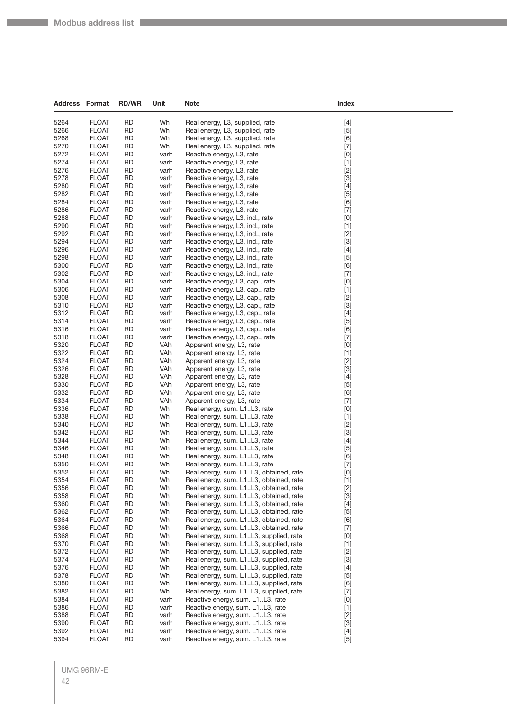$\sim$ 

| <b>Address Format</b> |                              | <b>RD/WR</b>           | Unit         | <b>Note</b>                                                                      | Index                                                                                                                                                                                                                                                                                                                       |  |
|-----------------------|------------------------------|------------------------|--------------|----------------------------------------------------------------------------------|-----------------------------------------------------------------------------------------------------------------------------------------------------------------------------------------------------------------------------------------------------------------------------------------------------------------------------|--|
| 5264                  | <b>FLOAT</b>                 | <b>RD</b>              | Wh           | Real energy, L3, supplied, rate                                                  | $[4]$                                                                                                                                                                                                                                                                                                                       |  |
| 5266                  | <b>FLOAT</b>                 | <b>RD</b>              | Wh           | Real energy, L3, supplied, rate                                                  | $[5]$                                                                                                                                                                                                                                                                                                                       |  |
| 5268                  | <b>FLOAT</b>                 | <b>RD</b>              | Wh           | Real energy, L3, supplied, rate                                                  | [6]                                                                                                                                                                                                                                                                                                                         |  |
| 5270                  | <b>FLOAT</b>                 | RD                     | Wh           | Real energy, L3, supplied, rate                                                  | $[7]$                                                                                                                                                                                                                                                                                                                       |  |
| 5272                  | <b>FLOAT</b>                 | <b>RD</b>              | varh         | Reactive energy, L3, rate                                                        | [0]                                                                                                                                                                                                                                                                                                                         |  |
| 5274                  | <b>FLOAT</b>                 | <b>RD</b>              | varh         | Reactive energy, L3, rate                                                        | $[1]$                                                                                                                                                                                                                                                                                                                       |  |
| 5276                  | <b>FLOAT</b>                 | <b>RD</b>              | varh         | Reactive energy, L3, rate                                                        | $[2]$                                                                                                                                                                                                                                                                                                                       |  |
| 5278                  | <b>FLOAT</b>                 | <b>RD</b>              | varh         | Reactive energy, L3, rate                                                        | $[3]$                                                                                                                                                                                                                                                                                                                       |  |
| 5280                  | <b>FLOAT</b>                 | RD                     | varh         | Reactive energy, L3, rate                                                        | $[4]$                                                                                                                                                                                                                                                                                                                       |  |
| 5282                  | <b>FLOAT</b>                 | <b>RD</b>              | varh         | Reactive energy, L3, rate                                                        | $[5]$                                                                                                                                                                                                                                                                                                                       |  |
| 5284                  | <b>FLOAT</b>                 | RD                     | varh         | Reactive energy, L3, rate                                                        | [6]                                                                                                                                                                                                                                                                                                                         |  |
| 5286                  | <b>FLOAT</b>                 | <b>RD</b>              | varh         | Reactive energy, L3, rate                                                        | $[7]$                                                                                                                                                                                                                                                                                                                       |  |
| 5288                  | <b>FLOAT</b>                 | <b>RD</b>              | varh         | Reactive energy, L3, ind., rate                                                  | [0]                                                                                                                                                                                                                                                                                                                         |  |
| 5290                  | <b>FLOAT</b>                 | RD                     | varh         | Reactive energy, L3, ind., rate                                                  | $[1]$                                                                                                                                                                                                                                                                                                                       |  |
| 5292                  | <b>FLOAT</b>                 | <b>RD</b>              | varh         | Reactive energy, L3, ind., rate                                                  | $[2]$                                                                                                                                                                                                                                                                                                                       |  |
| 5294                  | <b>FLOAT</b>                 | <b>RD</b>              | varh         | Reactive energy, L3, ind., rate                                                  | $[3]$                                                                                                                                                                                                                                                                                                                       |  |
| 5296                  | <b>FLOAT</b>                 | <b>RD</b>              | varh         | Reactive energy, L3, ind., rate                                                  | $[4]$                                                                                                                                                                                                                                                                                                                       |  |
| 5298<br>5300          | <b>FLOAT</b><br><b>FLOAT</b> | <b>RD</b><br>RD        | varh         | Reactive energy, L3, ind., rate                                                  | $[5]$                                                                                                                                                                                                                                                                                                                       |  |
| 5302                  | <b>FLOAT</b>                 | <b>RD</b>              | varh<br>varh | Reactive energy, L3, ind., rate<br>Reactive energy, L3, ind., rate               | [6]                                                                                                                                                                                                                                                                                                                         |  |
| 5304                  | <b>FLOAT</b>                 | RD                     | varh         | Reactive energy, L3, cap., rate                                                  | $[7]$<br>[0]                                                                                                                                                                                                                                                                                                                |  |
| 5306                  | <b>FLOAT</b>                 | <b>RD</b>              | varh         | Reactive energy, L3, cap., rate                                                  | $[1]$                                                                                                                                                                                                                                                                                                                       |  |
| 5308                  | <b>FLOAT</b>                 | <b>RD</b>              | varh         | Reactive energy, L3, cap., rate                                                  | $[2]$                                                                                                                                                                                                                                                                                                                       |  |
| 5310                  | <b>FLOAT</b>                 | RD                     | varh         | Reactive energy, L3, cap., rate                                                  | $[3]$                                                                                                                                                                                                                                                                                                                       |  |
| 5312                  | <b>FLOAT</b>                 | <b>RD</b>              | varh         | Reactive energy, L3, cap., rate                                                  | $[4]$                                                                                                                                                                                                                                                                                                                       |  |
| 5314                  | <b>FLOAT</b>                 | <b>RD</b>              | varh         | Reactive energy, L3, cap., rate                                                  | $[5]$                                                                                                                                                                                                                                                                                                                       |  |
| 5316                  | <b>FLOAT</b>                 | <b>RD</b>              | varh         | Reactive energy, L3, cap., rate                                                  | [6]                                                                                                                                                                                                                                                                                                                         |  |
| 5318                  | <b>FLOAT</b>                 | <b>RD</b>              | varh         | Reactive energy, L3, cap., rate                                                  | $[7]$                                                                                                                                                                                                                                                                                                                       |  |
| 5320                  | <b>FLOAT</b>                 | RD                     | VAh          | Apparent energy, L3, rate                                                        | [0]                                                                                                                                                                                                                                                                                                                         |  |
| 5322                  | <b>FLOAT</b>                 | <b>RD</b>              | VAh          | Apparent energy, L3, rate                                                        | $[1]$                                                                                                                                                                                                                                                                                                                       |  |
| 5324                  | <b>FLOAT</b>                 | RD                     | VAh          | Apparent energy, L3, rate                                                        | $[2]$                                                                                                                                                                                                                                                                                                                       |  |
| 5326                  | <b>FLOAT</b>                 | <b>RD</b>              | VAh          | Apparent energy, L3, rate                                                        | $[3]$                                                                                                                                                                                                                                                                                                                       |  |
| 5328                  | <b>FLOAT</b>                 | <b>RD</b>              | VAh          | Apparent energy, L3, rate                                                        | $[4]$                                                                                                                                                                                                                                                                                                                       |  |
| 5330                  | <b>FLOAT</b>                 | RD                     | VAh          | Apparent energy, L3, rate                                                        | $[5]$                                                                                                                                                                                                                                                                                                                       |  |
| 5332                  | <b>FLOAT</b>                 | <b>RD</b>              | VAh          | Apparent energy, L3, rate                                                        | [6]                                                                                                                                                                                                                                                                                                                         |  |
| 5334                  | <b>FLOAT</b>                 | <b>RD</b>              | VAh          | Apparent energy, L3, rate                                                        | $[7]$                                                                                                                                                                                                                                                                                                                       |  |
| 5336                  | <b>FLOAT</b>                 | <b>RD</b>              | Wh           | Real energy, sum. L1L3, rate                                                     | [0]                                                                                                                                                                                                                                                                                                                         |  |
| 5338<br>5340          | <b>FLOAT</b><br><b>FLOAT</b> | <b>RD</b><br>RD        | Wh<br>Wh     | Real energy, sum. L1L3, rate                                                     | $[1]$                                                                                                                                                                                                                                                                                                                       |  |
| 5342                  | <b>FLOAT</b>                 | <b>RD</b>              | Wh           | Real energy, sum. L1L3, rate<br>Real energy, sum. L1L3, rate                     | $[2]$<br>$[3]$                                                                                                                                                                                                                                                                                                              |  |
| 5344                  | <b>FLOAT</b>                 | RD                     | Wh           | Real energy, sum. L1L3, rate                                                     | $[4]$                                                                                                                                                                                                                                                                                                                       |  |
| 5346                  | <b>FLOAT</b>                 | <b>RD</b>              | Wh           | Real energy, sum. L1L3, rate                                                     | $[5]$                                                                                                                                                                                                                                                                                                                       |  |
| 5348                  | <b>FLOAT</b>                 | <b>RD</b>              | Wh           | Real energy, sum. L1L3, rate                                                     | [6]                                                                                                                                                                                                                                                                                                                         |  |
| 5350                  | <b>FLOAT</b>                 | RD                     | Wh           | Real energy, sum. L1L3, rate                                                     | $[7]$                                                                                                                                                                                                                                                                                                                       |  |
| 5352                  | <b>FLOAT</b>                 | <b>RD</b>              | Wh           | Real energy, sum. L1L3, obtained, rate                                           | $[0] % \begin{center} % \includegraphics[width=\linewidth]{imagesSupplemental_3.png} % \end{center} % \caption { % Our method can be used for the use of the image. % Note that the \emph{Def}(i) and the \emph{Def}(i) are the same and the \emph{Def}(i) and the \emph{Def}(i) are the same. % } % \label{fig:Defin_3} %$ |  |
| 5354                  | FLOAT                        | RD                     | Wh           | Real energy, sum. L1L3, obtained, rate                                           | $[1]$                                                                                                                                                                                                                                                                                                                       |  |
| 5356                  | <b>FLOAT</b>                 | <b>RD</b>              | Wh           | Real energy, sum. L1L3, obtained, rate                                           | $[2]$                                                                                                                                                                                                                                                                                                                       |  |
| 5358                  | <b>FLOAT</b>                 | <b>RD</b>              | Wh           | Real energy, sum. L1L3, obtained, rate                                           | $[3]$                                                                                                                                                                                                                                                                                                                       |  |
| 5360                  | <b>FLOAT</b>                 | <b>RD</b>              | Wh           | Real energy, sum. L1L3, obtained, rate                                           | $[4]$                                                                                                                                                                                                                                                                                                                       |  |
| 5362                  | <b>FLOAT</b>                 | <b>RD</b>              | Wh           | Real energy, sum. L1L3, obtained, rate                                           | $[5]$                                                                                                                                                                                                                                                                                                                       |  |
| 5364                  | <b>FLOAT</b>                 | RD                     | Wh           | Real energy, sum. L1L3, obtained, rate                                           | [6]                                                                                                                                                                                                                                                                                                                         |  |
| 5366                  | <b>FLOAT</b>                 | <b>RD</b>              | Wh           | Real energy, sum. L1L3, obtained, rate                                           | $[7]$                                                                                                                                                                                                                                                                                                                       |  |
| 5368                  | <b>FLOAT</b>                 | <b>RD</b>              | Wh           | Real energy, sum. L1L3, supplied, rate                                           | [0]                                                                                                                                                                                                                                                                                                                         |  |
| 5370                  | <b>FLOAT</b>                 | RD                     | Wh           | Real energy, sum. L1L3, supplied, rate                                           | $[1]$                                                                                                                                                                                                                                                                                                                       |  |
| 5372                  | <b>FLOAT</b>                 | <b>RD</b>              | Wh           | Real energy, sum. L1L3, supplied, rate                                           | $[2]$                                                                                                                                                                                                                                                                                                                       |  |
| 5374                  | <b>FLOAT</b>                 | RD                     | Wh           | Real energy, sum. L1L3, supplied, rate                                           | $[3]$                                                                                                                                                                                                                                                                                                                       |  |
| 5376<br>5378          | <b>FLOAT</b><br><b>FLOAT</b> | <b>RD</b><br><b>RD</b> | Wh<br>Wh     | Real energy, sum. L1L3, supplied, rate<br>Real energy, sum. L1L3, supplied, rate | $[4]$                                                                                                                                                                                                                                                                                                                       |  |
| 5380                  | <b>FLOAT</b>                 | <b>RD</b>              | Wh           | Real energy, sum. L1L3, supplied, rate                                           | $[5]$<br>[6]                                                                                                                                                                                                                                                                                                                |  |
| 5382                  | <b>FLOAT</b>                 | <b>RD</b>              | Wh           | Real energy, sum. L1L3, supplied, rate                                           | $[7]$                                                                                                                                                                                                                                                                                                                       |  |
| 5384                  | <b>FLOAT</b>                 | RD                     | varh         | Reactive energy, sum. L1L3, rate                                                 | [0]                                                                                                                                                                                                                                                                                                                         |  |
| 5386                  | <b>FLOAT</b>                 | <b>RD</b>              | varh         | Reactive energy, sum. L1L3, rate                                                 | $[1]$                                                                                                                                                                                                                                                                                                                       |  |
| 5388                  | <b>FLOAT</b>                 | <b>RD</b>              | varh         | Reactive energy, sum. L1L3, rate                                                 | $[2]$                                                                                                                                                                                                                                                                                                                       |  |
| 5390                  | <b>FLOAT</b>                 | RD                     | varh         | Reactive energy, sum. L1L3, rate                                                 | $[3]$                                                                                                                                                                                                                                                                                                                       |  |
| 5392                  | <b>FLOAT</b>                 | <b>RD</b>              | varh         | Reactive energy, sum. L1L3, rate                                                 | $[4] % \begin{center} \includegraphics[width=\linewidth]{imagesSupplemental/Imetad-Architecture.png} \end{center} \caption{The image shows the method of the method of the method. The left-hand side is the right side (in the left) of the method.} \label{fig:limal}$                                                    |  |
| 5394                  | <b>FLOAT</b>                 | RD                     | varh         | Reactive energy, sum. L1L3, rate                                                 | $[5]$                                                                                                                                                                                                                                                                                                                       |  |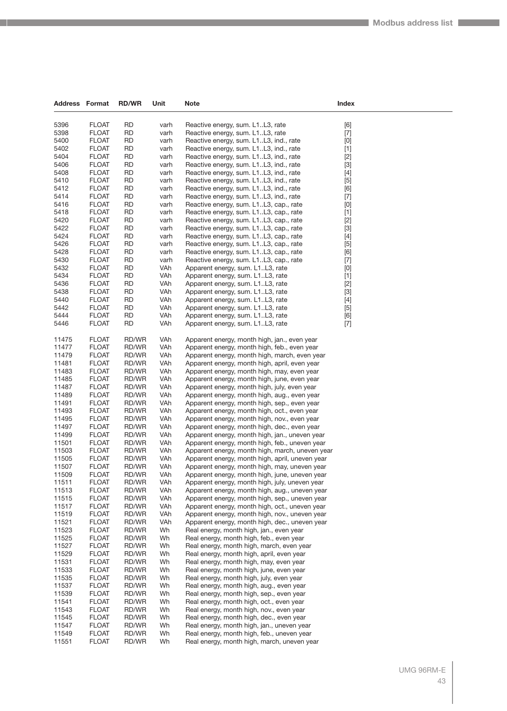| <b>Address Format</b> |                              | <b>RD/WR</b>    | Unit         | Note                                                                                            | Index                                                                                                                                                                                                                                               |
|-----------------------|------------------------------|-----------------|--------------|-------------------------------------------------------------------------------------------------|-----------------------------------------------------------------------------------------------------------------------------------------------------------------------------------------------------------------------------------------------------|
| 5396                  | <b>FLOAT</b>                 | <b>RD</b>       |              |                                                                                                 |                                                                                                                                                                                                                                                     |
| 5398                  | <b>FLOAT</b>                 | <b>RD</b>       | varh<br>varh | Reactive energy, sum. L1L3, rate<br>Reactive energy, sum. L1L3, rate                            | [6]<br>$[7]$                                                                                                                                                                                                                                        |
| 5400                  | <b>FLOAT</b>                 | RD              | varh         | Reactive energy, sum. L1L3, ind., rate                                                          | [0]                                                                                                                                                                                                                                                 |
| 5402                  | <b>FLOAT</b>                 | RD              | varh         | Reactive energy, sum. L1L3, ind., rate                                                          | $[1] % \centering \includegraphics[width=0.9\columnwidth]{figures/fig_10.pdf} \caption{The figure shows the number of times on the right.} \label{fig:time} %$                                                                                      |
| 5404                  | <b>FLOAT</b>                 | <b>RD</b>       | varh         | Reactive energy, sum. L1L3, ind., rate                                                          | $[2]$                                                                                                                                                                                                                                               |
| 5406                  | <b>FLOAT</b>                 | <b>RD</b>       | varh         | Reactive energy, sum. L1L3, ind., rate                                                          | $[3]$                                                                                                                                                                                                                                               |
| 5408                  | <b>FLOAT</b>                 | <b>RD</b>       | varh         | Reactive energy, sum. L1L3, ind., rate                                                          | $[4]$                                                                                                                                                                                                                                               |
| 5410                  | <b>FLOAT</b>                 | <b>RD</b>       | varh         | Reactive energy, sum. L1L3, ind., rate                                                          | $[5]$                                                                                                                                                                                                                                               |
| 5412                  | <b>FLOAT</b>                 | RD              | varh         | Reactive energy, sum. L1L3, ind., rate                                                          | [6]                                                                                                                                                                                                                                                 |
| 5414                  | <b>FLOAT</b>                 | <b>RD</b>       | varh         | Reactive energy, sum. L1L3, ind., rate                                                          | $[7] \centering% \includegraphics[width=1\textwidth]{images/TransY.pdf} \caption{The first two different values of $d=3$ and $d=4$ (left) and $d=5$ (right) and $d=6$ (right). The first two different values of $d=2$ (right).} \label{fig:class}$ |
| 5416                  | <b>FLOAT</b>                 | <b>RD</b>       | varh         | Reactive energy, sum. L1L3, cap., rate                                                          | [0]                                                                                                                                                                                                                                                 |
| 5418                  | <b>FLOAT</b>                 | <b>RD</b>       | varh         | Reactive energy, sum. L1L3, cap., rate                                                          | $[1]$                                                                                                                                                                                                                                               |
| 5420                  | <b>FLOAT</b>                 | <b>RD</b>       | varh         | Reactive energy, sum. L1L3, cap., rate                                                          | $[2]$                                                                                                                                                                                                                                               |
| 5422<br>5424          | <b>FLOAT</b>                 | RD<br><b>RD</b> | varh         | Reactive energy, sum. L1L3, cap., rate                                                          | $[3]$                                                                                                                                                                                                                                               |
| 5426                  | <b>FLOAT</b><br><b>FLOAT</b> | <b>RD</b>       | varh<br>varh | Reactive energy, sum. L1L3, cap., rate<br>Reactive energy, sum. L1L3, cap., rate                | $[4]$<br>$[5]$                                                                                                                                                                                                                                      |
| 5428                  | <b>FLOAT</b>                 | <b>RD</b>       | varh         | Reactive energy, sum. L1L3, cap., rate                                                          | [6]                                                                                                                                                                                                                                                 |
| 5430                  | <b>FLOAT</b>                 | <b>RD</b>       | varh         | Reactive energy, sum. L1L3, cap., rate                                                          | $[7] \centering% \includegraphics[width=1\textwidth]{images/TransY.pdf} \caption{The first two different values of $d=3$ and $d=4$ (left) and $d=5$ (right) and $d=6$ (right). The first two different values of $d=2$ (right).} \label{fig:class}$ |
| 5432                  | <b>FLOAT</b>                 | RD              | VAh          | Apparent energy, sum. L1L3, rate                                                                | [0]                                                                                                                                                                                                                                                 |
| 5434                  | <b>FLOAT</b>                 | RD              | VAh          | Apparent energy, sum. L1L3, rate                                                                | $[1]$                                                                                                                                                                                                                                               |
| 5436                  | <b>FLOAT</b>                 | RD              | VAh          | Apparent energy, sum. L1L3, rate                                                                | $[2]$                                                                                                                                                                                                                                               |
| 5438                  | <b>FLOAT</b>                 | <b>RD</b>       | VAh          | Apparent energy, sum. L1L3, rate                                                                | $[3]$                                                                                                                                                                                                                                               |
| 5440                  | <b>FLOAT</b>                 | RD              | VAh          | Apparent energy, sum. L1L3, rate                                                                | $[4]$                                                                                                                                                                                                                                               |
| 5442                  | <b>FLOAT</b>                 | RD              | VAh          | Apparent energy, sum. L1L3, rate                                                                | $[5]$                                                                                                                                                                                                                                               |
| 5444                  | <b>FLOAT</b>                 | <b>RD</b>       | VAh          | Apparent energy, sum. L1L3, rate                                                                | [6]                                                                                                                                                                                                                                                 |
| 5446                  | <b>FLOAT</b>                 | <b>RD</b>       | VAh          | Apparent energy, sum. L1L3, rate                                                                | $[7]$                                                                                                                                                                                                                                               |
| 11475                 | <b>FLOAT</b>                 | RD/WR           | VAh          | Apparent energy, month high, jan., even year                                                    |                                                                                                                                                                                                                                                     |
| 11477                 | <b>FLOAT</b>                 | RD/WR           | VAh          | Apparent energy, month high, feb., even year                                                    |                                                                                                                                                                                                                                                     |
| 11479                 | <b>FLOAT</b>                 | RD/WR           | VAh          | Apparent energy, month high, march, even year                                                   |                                                                                                                                                                                                                                                     |
| 11481                 | <b>FLOAT</b>                 | RD/WR           | VAh          | Apparent energy, month high, april, even year                                                   |                                                                                                                                                                                                                                                     |
| 11483                 | <b>FLOAT</b><br><b>FLOAT</b> | RD/WR           | VAh<br>VAh   | Apparent energy, month high, may, even year                                                     |                                                                                                                                                                                                                                                     |
| 11485<br>11487        | <b>FLOAT</b>                 | RD/WR<br>RD/WR  | VAh          | Apparent energy, month high, june, even year<br>Apparent energy, month high, july, even year    |                                                                                                                                                                                                                                                     |
| 11489                 | <b>FLOAT</b>                 | RD/WR           | VAh          | Apparent energy, month high, aug., even year                                                    |                                                                                                                                                                                                                                                     |
| 11491                 | <b>FLOAT</b>                 | RD/WR           | VAh          | Apparent energy, month high, sep., even year                                                    |                                                                                                                                                                                                                                                     |
| 11493                 | <b>FLOAT</b>                 | RD/WR           | VAh          | Apparent energy, month high, oct., even year                                                    |                                                                                                                                                                                                                                                     |
| 11495                 | <b>FLOAT</b>                 | RD/WR           | VAh          | Apparent energy, month high, nov., even year                                                    |                                                                                                                                                                                                                                                     |
| 11497                 | <b>FLOAT</b>                 | RD/WR           | VAh          | Apparent energy, month high, dec., even year                                                    |                                                                                                                                                                                                                                                     |
| 11499                 | <b>FLOAT</b>                 | RD/WR           | VAh          | Apparent energy, month high, jan., uneven year                                                  |                                                                                                                                                                                                                                                     |
| 11501                 | <b>FLOAT</b>                 | RD/WR           | VAh          | Apparent energy, month high, feb., uneven year                                                  |                                                                                                                                                                                                                                                     |
| 11503                 | <b>FLOAT</b>                 | RD/WR           | VAh          | Apparent energy, month high, march, uneven year                                                 |                                                                                                                                                                                                                                                     |
| 11505                 | <b>FLOAT</b>                 | RD/WR           | VAh          | Apparent energy, month high, april, uneven year                                                 |                                                                                                                                                                                                                                                     |
| 11507<br>11509        | <b>FLOAT</b><br><b>FLOAT</b> | RD/WR<br>RD/WR  | VAh<br>VAh   | Apparent energy, month high, may, uneven year<br>Apparent energy, month high, june, uneven year |                                                                                                                                                                                                                                                     |
| 11511                 | <b>FLOAT</b>                 | RD/WR           | VAh          | Apparent energy, month high, july, uneven year                                                  |                                                                                                                                                                                                                                                     |
| 11513                 | <b>FLOAT</b>                 | RD/WR           | VAh          | Apparent energy, month high, aug., uneven year                                                  |                                                                                                                                                                                                                                                     |
| 11515                 | <b>FLOAT</b>                 | RD/WR           | VAh          | Apparent energy, month high, sep., uneven year                                                  |                                                                                                                                                                                                                                                     |
| 11517                 | <b>FLOAT</b>                 | RD/WR           | VAh          | Apparent energy, month high, oct., uneven year                                                  |                                                                                                                                                                                                                                                     |
| 11519                 | <b>FLOAT</b>                 | RD/WR           | VAh          | Apparent energy, month high, nov., uneven year                                                  |                                                                                                                                                                                                                                                     |
| 11521                 | <b>FLOAT</b>                 | RD/WR           | VAh          | Apparent energy, month high, dec., uneven year                                                  |                                                                                                                                                                                                                                                     |
| 11523                 | <b>FLOAT</b>                 | RD/WR           | Wh           | Real energy, month high, jan., even year                                                        |                                                                                                                                                                                                                                                     |
| 11525                 | <b>FLOAT</b>                 | RD/WR           | Wh           | Real energy, month high, feb., even year                                                        |                                                                                                                                                                                                                                                     |
| 11527                 | <b>FLOAT</b>                 | RD/WR           | Wh           | Real energy, month high, march, even year                                                       |                                                                                                                                                                                                                                                     |
| 11529                 | <b>FLOAT</b>                 | RD/WR           | Wh           | Real energy, month high, april, even year                                                       |                                                                                                                                                                                                                                                     |
| 11531<br>11533        | <b>FLOAT</b><br><b>FLOAT</b> | RD/WR           | Wh           | Real energy, month high, may, even year                                                         |                                                                                                                                                                                                                                                     |
| 11535                 | <b>FLOAT</b>                 | RD/WR<br>RD/WR  | Wh<br>Wh     | Real energy, month high, june, even year<br>Real energy, month high, july, even year            |                                                                                                                                                                                                                                                     |
| 11537                 | <b>FLOAT</b>                 | RD/WR           | Wh           | Real energy, month high, aug., even year                                                        |                                                                                                                                                                                                                                                     |
| 11539                 | <b>FLOAT</b>                 | RD/WR           | Wh           | Real energy, month high, sep., even year                                                        |                                                                                                                                                                                                                                                     |
| 11541                 | <b>FLOAT</b>                 | RD/WR           | Wh           | Real energy, month high, oct., even year                                                        |                                                                                                                                                                                                                                                     |
| 11543                 | <b>FLOAT</b>                 | RD/WR           | Wh           | Real energy, month high, nov., even year                                                        |                                                                                                                                                                                                                                                     |
| 11545                 | <b>FLOAT</b>                 | RD/WR           | Wh           | Real energy, month high, dec., even year                                                        |                                                                                                                                                                                                                                                     |
| 11547                 | <b>FLOAT</b>                 | RD/WR           | Wh           | Real energy, month high, jan., uneven year                                                      |                                                                                                                                                                                                                                                     |
| 11549                 | <b>FLOAT</b>                 | RD/WR           | Wh           | Real energy, month high, feb., uneven year                                                      |                                                                                                                                                                                                                                                     |
| 11551                 | <b>FLOAT</b>                 | RD/WR           | Wh           | Real energy, month high, march, uneven year                                                     |                                                                                                                                                                                                                                                     |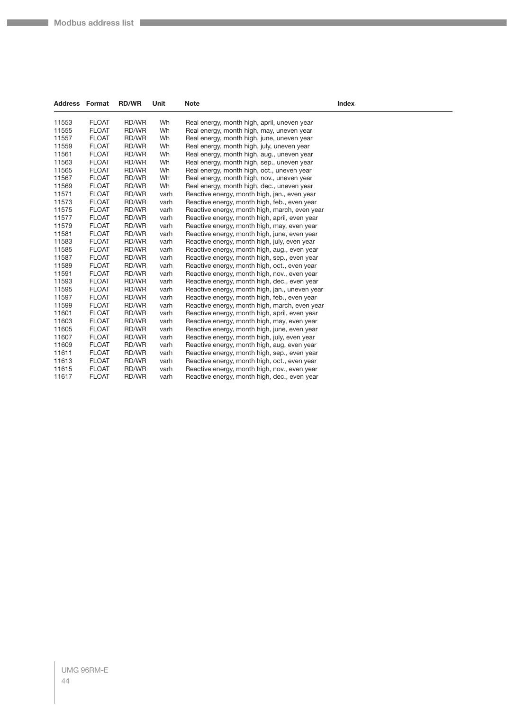| Address | Format       | <b>RD/WR</b> | Unit | <b>Note</b>                                    | Index |
|---------|--------------|--------------|------|------------------------------------------------|-------|
| 11553   | <b>FLOAT</b> | RD/WR        | Wh   | Real energy, month high, april, uneven year    |       |
| 11555   | <b>FLOAT</b> | RD/WR        | Wh   | Real energy, month high, may, uneven year      |       |
| 11557   | <b>FLOAT</b> | RD/WR        | Wh   | Real energy, month high, june, uneven year     |       |
| 11559   | <b>FLOAT</b> | RD/WR        | Wh   | Real energy, month high, july, uneven year     |       |
| 11561   | <b>FLOAT</b> | RD/WR        | Wh   | Real energy, month high, aug., uneven year     |       |
| 11563   | <b>FLOAT</b> | RD/WR        | Wh   | Real energy, month high, sep., uneven year     |       |
| 11565   | <b>FLOAT</b> | RD/WR        | Wh   | Real energy, month high, oct., uneven year     |       |
| 11567   | <b>FLOAT</b> | RD/WR        | Wh   | Real energy, month high, nov., uneven year     |       |
| 11569   | <b>FLOAT</b> | RD/WR        | Wh   | Real energy, month high, dec., uneven year     |       |
| 11571   | <b>FLOAT</b> | RD/WR        | varh | Reactive energy, month high, jan., even year   |       |
| 11573   | <b>FLOAT</b> | RD/WR        | varh | Reactive energy, month high, feb., even year   |       |
| 11575   | <b>FLOAT</b> | RD/WR        | varh | Reactive energy, month high, march, even year  |       |
| 11577   | <b>FLOAT</b> | RD/WR        | varh | Reactive energy, month high, april, even year  |       |
| 11579   | <b>FLOAT</b> | RD/WR        | varh | Reactive energy, month high, may, even year    |       |
| 11581   | <b>FLOAT</b> | RD/WR        | varh | Reactive energy, month high, june, even year   |       |
| 11583   | <b>FLOAT</b> | RD/WR        | varh | Reactive energy, month high, july, even year   |       |
| 11585   | <b>FLOAT</b> | RD/WR        | varh | Reactive energy, month high, aug., even year   |       |
| 11587   | <b>FLOAT</b> | RD/WR        | varh | Reactive energy, month high, sep., even year   |       |
| 11589   | <b>FLOAT</b> | RD/WR        | varh | Reactive energy, month high, oct., even year   |       |
| 11591   | <b>FLOAT</b> | RD/WR        | varh | Reactive energy, month high, nov., even year   |       |
| 11593   | <b>FLOAT</b> | RD/WR        | varh | Reactive energy, month high, dec., even year   |       |
| 11595   | <b>FLOAT</b> | RD/WR        | varh | Reactive energy, month high, jan., uneven year |       |
| 11597   | <b>FLOAT</b> | RD/WR        | varh | Reactive energy, month high, feb., even year   |       |
| 11599   | <b>FLOAT</b> | RD/WR        | varh | Reactive energy, month high, march, even year  |       |
| 11601   | <b>FLOAT</b> | RD/WR        | varh | Reactive energy, month high, april, even year  |       |
| 11603   | <b>FLOAT</b> | RD/WR        | varh | Reactive energy, month high, may, even year    |       |
| 11605   | <b>FLOAT</b> | RD/WR        | varh | Reactive energy, month high, june, even year   |       |
| 11607   | <b>FLOAT</b> | RD/WR        | varh | Reactive energy, month high, july, even year   |       |
| 11609   | <b>FLOAT</b> | RD/WR        | varh | Reactive energy, month high, aug, even year    |       |
| 11611   | <b>FLOAT</b> | RD/WR        | varh | Reactive energy, month high, sep., even year   |       |
| 11613   | <b>FLOAT</b> | RD/WR        | varh | Reactive energy, month high, oct., even year   |       |
| 11615   | <b>FLOAT</b> | RD/WR        | varh | Reactive energy, month high, nov., even year   |       |
| 11617   | <b>FLOAT</b> | RD/WR        | varh | Reactive energy, month high, dec., even year   |       |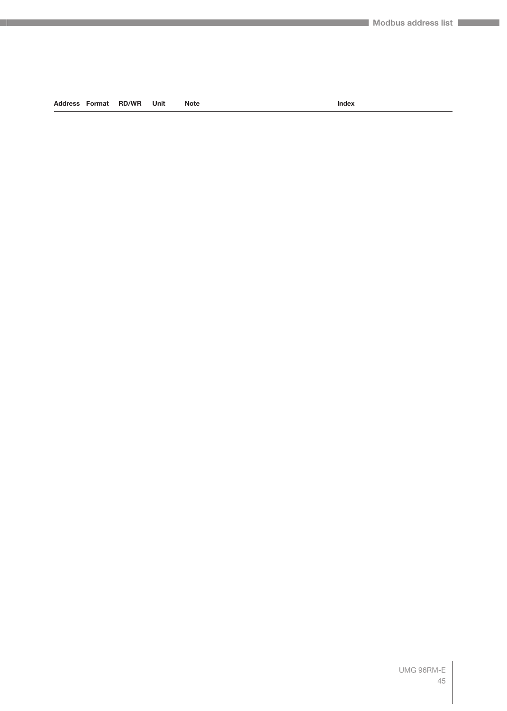#### **Address Format RD/WR Unit Note Index**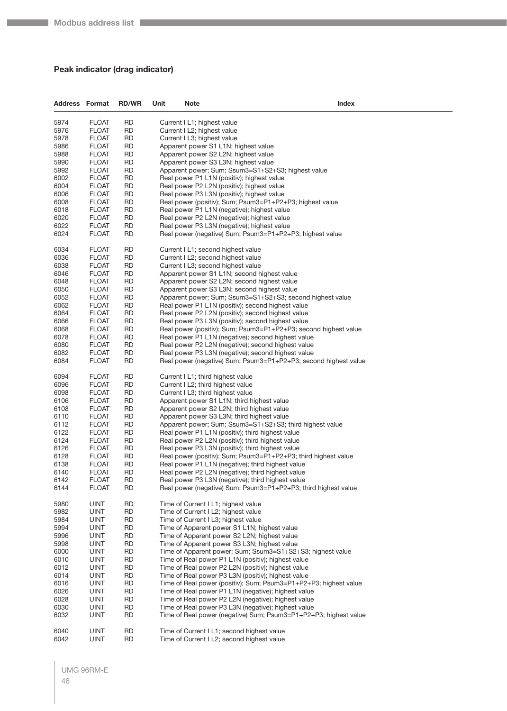#### **Peak indicator (drag indicator)**

| <b>Address Format</b> |                              | <b>RD/WR</b> | Unit | <b>Note</b>                         | Index                                                                                                  |
|-----------------------|------------------------------|--------------|------|-------------------------------------|--------------------------------------------------------------------------------------------------------|
| 5974                  | <b>FLOAT</b>                 | RD           |      | Current I L1; highest value         |                                                                                                        |
| 5976                  | <b>FLOAT</b>                 | <b>RD</b>    |      | Current I L2; highest value         |                                                                                                        |
| 5978                  | <b>FLOAT</b>                 | RD           |      | Current I L3; highest value         |                                                                                                        |
| 5986                  | FLOAT                        | RD           |      |                                     | Apparent power S1 L1N; highest value                                                                   |
| 5988                  | FLOAT                        | RD           |      |                                     | Apparent power S2 L2N; highest value                                                                   |
| 5990                  | <b>FLOAT</b>                 | RD           |      |                                     | Apparent power S3 L3N; highest value                                                                   |
| 5992                  |                              | <b>RD</b>    |      |                                     |                                                                                                        |
|                       | <b>FLOAT</b>                 |              |      |                                     | Apparent power; Sum; Ssum3=S1+S2+S3; highest value                                                     |
| 6002                  | <b>FLOAT</b>                 | RD           |      |                                     | Real power P1 L1N (positiv); highest value                                                             |
| 6004                  | FLOAT                        | RD           |      |                                     | Real power P2 L2N (positiv); highest value                                                             |
| 6006                  | FLOAT                        | <b>RD</b>    |      |                                     | Real power P3 L3N (positiv); highest value<br>Real power (positiv); Sum; Psum3=P1+P2+P3; highest value |
| 6008                  | <b>FLOAT</b>                 | RD           |      |                                     |                                                                                                        |
| 6018                  | <b>FLOAT</b><br><b>FLOAT</b> | <b>RD</b>    |      |                                     | Real power P1 L1N (negative); highest value                                                            |
| 6020                  |                              | RD           |      |                                     | Real power P2 L2N (negative); highest value                                                            |
| 6022                  | FLOAT                        | RD           |      |                                     | Real power P3 L3N (negative); highest value                                                            |
| 6024                  | FLOAT                        | RD           |      |                                     | Real power (negative) Sum; Psum3=P1+P2+P3; highest value                                               |
| 6034                  | <b>FLOAT</b>                 | RD           |      | Current I L1; second highest value  |                                                                                                        |
| 6036                  | <b>FLOAT</b>                 | RD           |      | Current I L2; second highest value  |                                                                                                        |
| 6038                  | <b>FLOAT</b>                 | RD           |      | Current I L3; second highest value  |                                                                                                        |
| 6046                  | FLOAT                        | <b>RD</b>    |      |                                     | Apparent power S1 L1N; second highest value                                                            |
| 6048                  | <b>FLOAT</b>                 | RD           |      |                                     | Apparent power S2 L2N; second highest value                                                            |
| 6050                  | <b>FLOAT</b>                 | RD           |      |                                     | Apparent power S3 L3N; second highest value                                                            |
| 6052                  | FLOAT                        | RD           |      |                                     | Apparent power; Sum; Ssum3=S1+S2+S3; second highest value                                              |
| 6062                  | <b>FLOAT</b>                 | RD           |      |                                     | Real power P1 L1N (positiv); second highest value                                                      |
| 6064                  | FLOAT                        | <b>RD</b>    |      |                                     | Real power P2 L2N (positiv); second highest value                                                      |
| 6066                  | <b>FLOAT</b>                 | RD           |      |                                     | Real power P3 L3N (positiv); second highest value                                                      |
| 6068                  | <b>FLOAT</b>                 | <b>RD</b>    |      |                                     | Real power (positiv); Sum; Psum3=P1+P2+P3; second highest value                                        |
| 6078                  | <b>FLOAT</b>                 | RD           |      |                                     | Real power P1 L1N (negative); second highest value                                                     |
| 6080                  | FLOAT                        | RD           |      |                                     | Real power P2 L2N (negative); second highest value                                                     |
| 6082                  | FLOAT                        | RD           |      |                                     | Real power P3 L3N (negative); second highest value                                                     |
| 6084                  | FLOAT                        | RD           |      |                                     | Real power (negative) Sum; Psum3=P1+P2+P3; second highest value                                        |
| 6094                  | FLOAT                        | RD           |      | Current I L1; third highest value   |                                                                                                        |
| 6096                  | FLOAT                        | RD           |      | Current I L2; third highest value   |                                                                                                        |
| 6098                  | FLOAT                        | <b>RD</b>    |      | Current I L3; third highest value   |                                                                                                        |
| 6106                  | <b>FLOAT</b>                 | RD           |      |                                     | Apparent power S1 L1N; third highest value                                                             |
| 6108                  | <b>FLOAT</b>                 | RD           |      |                                     | Apparent power S2 L2N; third highest value                                                             |
| 6110                  | FLOAT                        | RD           |      |                                     | Apparent power S3 L3N; third highest value                                                             |
| 6112                  | <b>FLOAT</b>                 | RD           |      |                                     | Apparent power; Sum; Ssum3=S1+S2+S3; third highest value                                               |
| 6122                  | <b>FLOAT</b>                 | <b>RD</b>    |      |                                     | Real power P1 L1N (positiv); third highest value                                                       |
| 6124                  | <b>FLOAT</b>                 | RD           |      |                                     | Real power P2 L2N (positiv); third highest value                                                       |
| 6126                  | <b>FLOAT</b>                 | RD           |      |                                     | Real power P3 L3N (positiv); third highest value                                                       |
| 6128                  | FLOAT                        | RD           |      |                                     | Real power (positiv); Sum; Psum3=P1+P2+P3; third highest value                                         |
| 6138                  | <b>FLOAT</b>                 | RD           |      |                                     | Real power P1 L1N (negative); third highest value                                                      |
| 6140                  | <b>FLOAT</b>                 | RD           |      |                                     | Real power P2 L2N (negative); third highest value                                                      |
| 6142                  | FLOAT                        | RD           |      |                                     | Real power P3 L3N (negative); third highest value                                                      |
| 6144                  | <b>FLOAT</b>                 | <b>RD</b>    |      |                                     | Real power (negative) Sum; Psum3=P1+P2+P3; third highest value                                         |
| 5980                  | <b>UINT</b>                  | <b>RD</b>    |      | Time of Current I L1; highest value |                                                                                                        |
| 5982                  | <b>UINT</b>                  | <b>RD</b>    |      | Time of Current I L2; highest value |                                                                                                        |
| 5984                  | UINT                         | <b>RD</b>    |      | Time of Current I L3; highest value |                                                                                                        |
| 5994                  | UINT                         | <b>RD</b>    |      |                                     | Time of Apparent power S1 L1N; highest value                                                           |
| 5996                  | UINT                         | <b>RD</b>    |      |                                     | Time of Apparent power S2 L2N; highest value                                                           |
| 5998                  | UINT                         | <b>RD</b>    |      |                                     | Time of Apparent power S3 L3N; highest value                                                           |
| 6000                  | UINT                         | <b>RD</b>    |      |                                     | Time of Apparent power; Sum; Ssum3=S1+S2+S3; highest value                                             |
| 6010                  | UINT                         | RD           |      |                                     | Time of Real power P1 L1N (positiv); highest value                                                     |
| 6012                  | UINT                         | <b>RD</b>    |      |                                     | Time of Real power P2 L2N (positiv); highest value                                                     |
| 6014                  | UINT                         | <b>RD</b>    |      |                                     | Time of Real power P3 L3N (positiv); highest value                                                     |
| 6016                  | UINT                         | <b>RD</b>    |      |                                     | Time of Real power (positiv); Sum; Psum3=P1+P2+P3; highest value                                       |
| 6026                  | UINT                         | <b>RD</b>    |      |                                     | Time of Real power P1 L1N (negative); highest value                                                    |
| 6028                  | UINT                         | RD           |      |                                     | Time of Real power P2 L2N (negative); highest value                                                    |
| 6030                  | UINT                         | <b>RD</b>    |      |                                     | Time of Real power P3 L3N (negative); highest value                                                    |
| 6032                  | UINT                         | <b>RD</b>    |      |                                     | Time of Real power (negative) Sum; Psum3=P1+P2+P3; highest value                                       |
| 6040                  | UINT                         | RD           |      |                                     | Time of Current I L1; second highest value                                                             |
| 6042                  | UINT                         | <b>RD</b>    |      |                                     | Time of Current I L2; second highest value                                                             |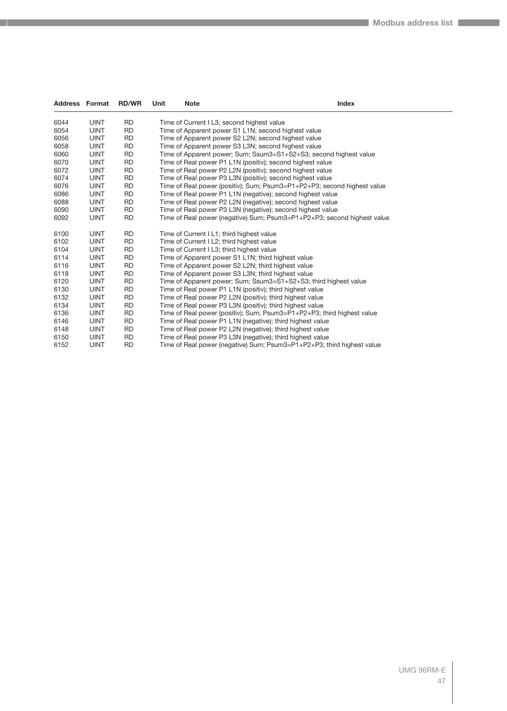| <b>Address Format</b> |             | <b>RD/WR</b> | Unit | <b>Note</b> | Index                                                                   |
|-----------------------|-------------|--------------|------|-------------|-------------------------------------------------------------------------|
| 6044                  | <b>UINT</b> | <b>RD</b>    |      |             | Time of Current I L3; second highest value                              |
| 6054                  | <b>UINT</b> | <b>RD</b>    |      |             | Time of Apparent power S1 L1N; second highest value                     |
| 6056                  | <b>UINT</b> | <b>RD</b>    |      |             | Time of Apparent power S2 L2N; second highest value                     |
| 6058                  | <b>UINT</b> | <b>RD</b>    |      |             | Time of Apparent power S3 L3N; second highest value                     |
| 6060                  | <b>UINT</b> | <b>RD</b>    |      |             | Time of Apparent power; Sum; Ssum3=S1+S2+S3; second highest value       |
| 6070                  | <b>UINT</b> | <b>RD</b>    |      |             | Time of Real power P1 L1N (positiv); second highest value               |
| 6072                  | <b>UINT</b> | <b>RD</b>    |      |             | Time of Real power P2 L2N (positiv); second highest value               |
| 6074                  | <b>UINT</b> | <b>RD</b>    |      |             | Time of Real power P3 L3N (positiv); second highest value               |
| 6076                  | <b>UINT</b> | <b>RD</b>    |      |             | Time of Real power (positiv); Sum; Psum3=P1+P2+P3; second highest value |
| 6086                  | <b>UINT</b> | <b>RD</b>    |      |             | Time of Real power P1 L1N (negative); second highest value              |
| 6088                  | <b>UINT</b> | <b>RD</b>    |      |             | Time of Real power P2 L2N (negative); second highest value              |
| 6090                  | <b>UINT</b> | <b>RD</b>    |      |             | Time of Real power P3 L3N (negative); second highest value              |
| 6092                  | <b>UINT</b> | <b>RD</b>    |      |             | Time of Real power (negative) Sum; Psum3=P1+P2+P3; second highest value |
| 6100                  | <b>UINT</b> | <b>RD</b>    |      |             | Time of Current I L1; third highest value                               |
| 6102                  | <b>UINT</b> | <b>RD</b>    |      |             | Time of Current I L2; third highest value                               |
| 6104                  | <b>UINT</b> | <b>RD</b>    |      |             | Time of Current I L3; third highest value                               |
| 6114                  | <b>UINT</b> | <b>RD</b>    |      |             | Time of Apparent power S1 L1N; third highest value                      |
| 6116                  | <b>UINT</b> | <b>RD</b>    |      |             | Time of Apparent power S2 L2N; third highest value                      |
| 6118                  | <b>UINT</b> | <b>RD</b>    |      |             | Time of Apparent power S3 L3N; third highest value                      |
| 6120                  | <b>UINT</b> | <b>RD</b>    |      |             | Time of Apparent power; Sum; Ssum3=S1+S2+S3; third highest value        |
| 6130                  | <b>UINT</b> | <b>RD</b>    |      |             | Time of Real power P1 L1N (positiv); third highest value                |
| 6132                  | <b>UINT</b> | <b>RD</b>    |      |             | Time of Real power P2 L2N (positiv); third highest value                |
| 6134                  | <b>UINT</b> | <b>RD</b>    |      |             | Time of Real power P3 L3N (positiv); third highest value                |
| 6136                  | <b>UINT</b> | <b>RD</b>    |      |             | Time of Real power (positiv); Sum; Psum3=P1+P2+P3; third highest value  |
| 6146                  | <b>UINT</b> | <b>RD</b>    |      |             | Time of Real power P1 L1N (negative); third highest value               |
| 6148                  | <b>UINT</b> | <b>RD</b>    |      |             | Time of Real power P2 L2N (negative); third highest value               |
| 6150                  | <b>UINT</b> | <b>RD</b>    |      |             | Time of Real power P3 L3N (negative); third highest value               |
| 6152                  | <b>UINT</b> | <b>RD</b>    |      |             | Time of Real power (negative) Sum; Psum3=P1+P2+P3; third highest value  |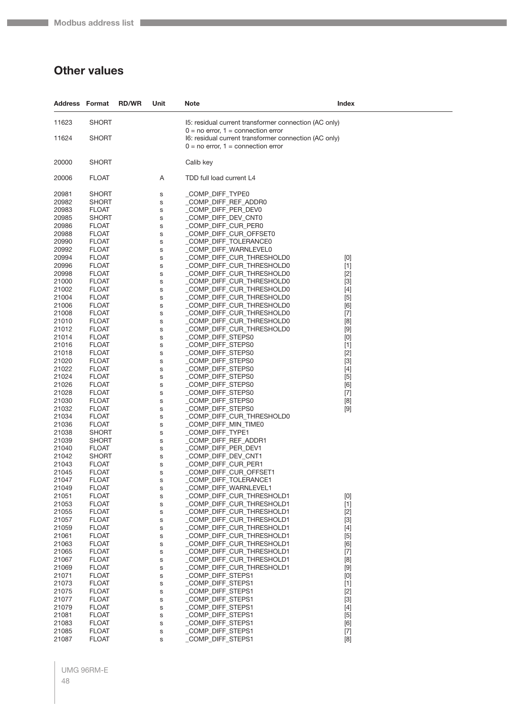## **Other values**

| <b>Address Format</b> |                              | <b>RD/WR</b> | Unit   | Note                                                                                            | Index                                                                                                                                                                                                                                                                                                                                                                                                                                                                                                                                                                                                                                                                    |
|-----------------------|------------------------------|--------------|--------|-------------------------------------------------------------------------------------------------|--------------------------------------------------------------------------------------------------------------------------------------------------------------------------------------------------------------------------------------------------------------------------------------------------------------------------------------------------------------------------------------------------------------------------------------------------------------------------------------------------------------------------------------------------------------------------------------------------------------------------------------------------------------------------|
| 11623                 | <b>SHORT</b>                 |              |        | 15: residual current transformer connection (AC only)<br>$0 = no$ error, $1 =$ connection error |                                                                                                                                                                                                                                                                                                                                                                                                                                                                                                                                                                                                                                                                          |
| 11624                 | SHORT                        |              |        | I6: residual current transformer connection (AC only)<br>$0 = no$ error, $1 =$ connection error |                                                                                                                                                                                                                                                                                                                                                                                                                                                                                                                                                                                                                                                                          |
| 20000                 | SHORT                        |              |        | Calib key                                                                                       |                                                                                                                                                                                                                                                                                                                                                                                                                                                                                                                                                                                                                                                                          |
| 20006                 | <b>FLOAT</b>                 |              | Α      | TDD full load current L4                                                                        |                                                                                                                                                                                                                                                                                                                                                                                                                                                                                                                                                                                                                                                                          |
| 20981                 | <b>SHORT</b>                 |              | S      | _COMP_DIFF_TYPE0                                                                                |                                                                                                                                                                                                                                                                                                                                                                                                                                                                                                                                                                                                                                                                          |
| 20982                 | SHORT                        |              | S      | _COMP_DIFF_REF_ADDR0                                                                            |                                                                                                                                                                                                                                                                                                                                                                                                                                                                                                                                                                                                                                                                          |
| 20983                 | <b>FLOAT</b>                 |              | s      | _COMP_DIFF_PER_DEV0                                                                             |                                                                                                                                                                                                                                                                                                                                                                                                                                                                                                                                                                                                                                                                          |
| 20985<br>20986        | SHORT<br><b>FLOAT</b>        |              | S<br>S | _COMP_DIFF_DEV_CNT0<br>_COMP_DIFF_CUR_PER0                                                      |                                                                                                                                                                                                                                                                                                                                                                                                                                                                                                                                                                                                                                                                          |
| 20988                 | <b>FLOAT</b>                 |              | s      | _COMP_DIFF_CUR_OFFSET0                                                                          |                                                                                                                                                                                                                                                                                                                                                                                                                                                                                                                                                                                                                                                                          |
| 20990                 | <b>FLOAT</b>                 |              | S      | _COMP_DIFF_TOLERANCE0                                                                           |                                                                                                                                                                                                                                                                                                                                                                                                                                                                                                                                                                                                                                                                          |
| 20992                 | <b>FLOAT</b>                 |              | S      | _COMP_DIFF_WARNLEVEL0                                                                           |                                                                                                                                                                                                                                                                                                                                                                                                                                                                                                                                                                                                                                                                          |
| 20994                 | <b>FLOAT</b>                 |              | S      | _COMP_DIFF_CUR_THRESHOLD0                                                                       | [0]                                                                                                                                                                                                                                                                                                                                                                                                                                                                                                                                                                                                                                                                      |
| 20996                 | <b>FLOAT</b>                 |              | S      | _COMP_DIFF_CUR_THRESHOLD0                                                                       | $[1]$                                                                                                                                                                                                                                                                                                                                                                                                                                                                                                                                                                                                                                                                    |
| 20998                 | <b>FLOAT</b>                 |              | s      | _COMP_DIFF_CUR_THRESHOLD0                                                                       | $[2]$                                                                                                                                                                                                                                                                                                                                                                                                                                                                                                                                                                                                                                                                    |
| 21000<br>21002        | <b>FLOAT</b><br><b>FLOAT</b> |              | S      | _COMP_DIFF_CUR_THRESHOLD0<br>_COMP_DIFF_CUR_THRESHOLD0                                          | $[3]$<br>$[4]$                                                                                                                                                                                                                                                                                                                                                                                                                                                                                                                                                                                                                                                           |
| 21004                 | <b>FLOAT</b>                 |              | S<br>S | COMP DIFF CUR THRESHOLD0                                                                        | $[5]$                                                                                                                                                                                                                                                                                                                                                                                                                                                                                                                                                                                                                                                                    |
| 21006                 | <b>FLOAT</b>                 |              | S      | _COMP_DIFF_CUR_THRESHOLD0                                                                       | [6]                                                                                                                                                                                                                                                                                                                                                                                                                                                                                                                                                                                                                                                                      |
| 21008                 | <b>FLOAT</b>                 |              | S      | _COMP_DIFF_CUR_THRESHOLD0                                                                       | $[7]$                                                                                                                                                                                                                                                                                                                                                                                                                                                                                                                                                                                                                                                                    |
| 21010                 | <b>FLOAT</b>                 |              | S      | _COMP_DIFF_CUR_THRESHOLD0                                                                       | [8]                                                                                                                                                                                                                                                                                                                                                                                                                                                                                                                                                                                                                                                                      |
| 21012                 | <b>FLOAT</b>                 |              | s      | _COMP_DIFF_CUR_THRESHOLD0                                                                       | $[9]$                                                                                                                                                                                                                                                                                                                                                                                                                                                                                                                                                                                                                                                                    |
| 21014                 | <b>FLOAT</b>                 |              | S      | COMP_DIFF_STEPS0                                                                                | [0]                                                                                                                                                                                                                                                                                                                                                                                                                                                                                                                                                                                                                                                                      |
| 21016<br>21018        | <b>FLOAT</b><br><b>FLOAT</b> |              | S<br>S | _COMP_DIFF_STEPS0<br>_COMP_DIFF_STEPS0                                                          | $[1]$<br>$[2]$                                                                                                                                                                                                                                                                                                                                                                                                                                                                                                                                                                                                                                                           |
| 21020                 | <b>FLOAT</b>                 |              | S      | _COMP_DIFF_STEPS0                                                                               | $[3]$                                                                                                                                                                                                                                                                                                                                                                                                                                                                                                                                                                                                                                                                    |
| 21022                 | <b>FLOAT</b>                 |              | s      | _COMP_DIFF_STEPS0                                                                               | $[4]$                                                                                                                                                                                                                                                                                                                                                                                                                                                                                                                                                                                                                                                                    |
| 21024                 | <b>FLOAT</b>                 |              | S      | COMP_DIFF_STEPS0                                                                                | $[5]$                                                                                                                                                                                                                                                                                                                                                                                                                                                                                                                                                                                                                                                                    |
| 21026                 | <b>FLOAT</b>                 |              | S      | _COMP_DIFF_STEPS0                                                                               | [6]                                                                                                                                                                                                                                                                                                                                                                                                                                                                                                                                                                                                                                                                      |
| 21028                 | <b>FLOAT</b>                 |              | S      | _COMP_DIFF_STEPS0                                                                               | $[7]$                                                                                                                                                                                                                                                                                                                                                                                                                                                                                                                                                                                                                                                                    |
| 21030<br>21032        | <b>FLOAT</b>                 |              | S      | COMP_DIFF_STEPS0<br>_COMP_DIFF_STEPS0                                                           | [8]                                                                                                                                                                                                                                                                                                                                                                                                                                                                                                                                                                                                                                                                      |
| 21034                 | <b>FLOAT</b><br><b>FLOAT</b> |              | s<br>S | _COMP_DIFF_CUR_THRESHOLD0                                                                       | $[9]$                                                                                                                                                                                                                                                                                                                                                                                                                                                                                                                                                                                                                                                                    |
| 21036                 | <b>FLOAT</b>                 |              | S      | _COMP_DIFF_MIN_TIME0                                                                            |                                                                                                                                                                                                                                                                                                                                                                                                                                                                                                                                                                                                                                                                          |
| 21038                 | <b>SHORT</b>                 |              | S      | _COMP_DIFF_TYPE1                                                                                |                                                                                                                                                                                                                                                                                                                                                                                                                                                                                                                                                                                                                                                                          |
| 21039                 | SHORT                        |              | S      | COMP_DIFF_REF_ADDR1                                                                             |                                                                                                                                                                                                                                                                                                                                                                                                                                                                                                                                                                                                                                                                          |
| 21040                 | <b>FLOAT</b>                 |              | s      | _COMP_DIFF_PER_DEV1                                                                             |                                                                                                                                                                                                                                                                                                                                                                                                                                                                                                                                                                                                                                                                          |
| 21042<br>21043        | SHORT<br><b>FLOAT</b>        |              | S      | COMP_DIFF_DEV_CNT1<br>COMP DIFF CUR PER1                                                        |                                                                                                                                                                                                                                                                                                                                                                                                                                                                                                                                                                                                                                                                          |
| 21045                 | <b>FLOAT</b>                 |              | S<br>s | _COMP_DIFF_CUR_OFFSET1                                                                          |                                                                                                                                                                                                                                                                                                                                                                                                                                                                                                                                                                                                                                                                          |
| 21047                 | <b>FLOAT</b>                 |              | S      | _COMP_DIFF_TOLERANCE1                                                                           |                                                                                                                                                                                                                                                                                                                                                                                                                                                                                                                                                                                                                                                                          |
| 21049                 | <b>FLOAT</b>                 |              | S      | _COMP_DIFF_WARNLEVEL1                                                                           |                                                                                                                                                                                                                                                                                                                                                                                                                                                                                                                                                                                                                                                                          |
| 21051                 | <b>FLOAT</b>                 |              | S      | COMP DIFF CUR THRESHOLD1                                                                        | $[0] % \begin{center} % \includegraphics[width=\linewidth]{imagesSupplemental_3.png} % \end{center} % \caption { % Our method can be used for the use of the image. % Note that the \emph{Def}(i) and the \emph{Def}(i) are the same and the \emph{Def}(i) and the \emph{Def}(i) are the same. % } % \label{fig:Defin_3} %$                                                                                                                                                                                                                                                                                                                                              |
| 21053                 | <b>FLOAT</b>                 |              | S      | COMP DIFF CUR THRESHOLD1                                                                        | $[1]$                                                                                                                                                                                                                                                                                                                                                                                                                                                                                                                                                                                                                                                                    |
| 21055                 | <b>FLOAT</b>                 |              | S      | _COMP_DIFF_CUR_THRESHOLD1                                                                       | $[2]$                                                                                                                                                                                                                                                                                                                                                                                                                                                                                                                                                                                                                                                                    |
| 21057<br>21059        | <b>FLOAT</b><br><b>FLOAT</b> |              | S<br>S | _COMP_DIFF_CUR_THRESHOLD1<br>_COMP_DIFF_CUR_THRESHOLD1                                          | $[3]$<br>$[4]$                                                                                                                                                                                                                                                                                                                                                                                                                                                                                                                                                                                                                                                           |
| 21061                 | <b>FLOAT</b>                 |              | S      | COMP DIFF CUR THRESHOLD1                                                                        | $[5]$                                                                                                                                                                                                                                                                                                                                                                                                                                                                                                                                                                                                                                                                    |
| 21063                 | <b>FLOAT</b>                 |              | S      | _COMP_DIFF_CUR_THRESHOLD1                                                                       | [6]                                                                                                                                                                                                                                                                                                                                                                                                                                                                                                                                                                                                                                                                      |
| 21065                 | <b>FLOAT</b>                 |              | S      | _COMP_DIFF_CUR_THRESHOLD1                                                                       | $[7]$                                                                                                                                                                                                                                                                                                                                                                                                                                                                                                                                                                                                                                                                    |
| 21067                 | <b>FLOAT</b>                 |              | S      | COMP_DIFF_CUR_THRESHOLD1                                                                        | $[8] % \begin{center} \includegraphics[width=\linewidth]{imagesSupplemental/Imetad2D.pdf} \end{center} % \vspace{-1em} \caption{The image shows the number of parameters in the left and right.} \label{fig:limsub}$                                                                                                                                                                                                                                                                                                                                                                                                                                                     |
| 21069                 | <b>FLOAT</b>                 |              | S      | _COMP_DIFF_CUR_THRESHOLD1                                                                       | $[9] % \begin{center} \includegraphics[width=\linewidth]{imagesSupplemental/Imers.png} \end{center} % \vspace{-1em} \caption{The image shows the number of parameters of the estimators in the left and right.} \label{fig:limall}$                                                                                                                                                                                                                                                                                                                                                                                                                                      |
| 21071<br>21073        | <b>FLOAT</b><br><b>FLOAT</b> |              | S      | COMP_DIFF_STEPS1<br>_COMP_DIFF_STEPS1                                                           | $[0] % \begin{center} % \includegraphics[width=\linewidth]{imagesSupplemental_3.png} % \end{center} % \caption { % Our method can be used for the use of the image. % Note that the \emph{Def}(i) and the \emph{Def}(i) are the same as a function of the image. % Note that the \emph{Def}(i) and the \emph{Def}(i) are the same as a function of the image. % Note that the \emph{Def}(i) and the \emph{Def}(i) are the same as a function of the image. % } % \label{fig:Def}(i) and the \emph{Def}(i) are the same as a function of the image. % Note that the \emph{Def}(i) and the \emph{Def}(i) are the same as a function of the image. % } % \label{fig:Def}(i$ |
| 21075                 | <b>FLOAT</b>                 |              | S<br>S | _COMP_DIFF_STEPS1                                                                               | $[1]$<br>$[2]$                                                                                                                                                                                                                                                                                                                                                                                                                                                                                                                                                                                                                                                           |
| 21077                 | <b>FLOAT</b>                 |              | S      | _COMP_DIFF_STEPS1                                                                               | $[3]$                                                                                                                                                                                                                                                                                                                                                                                                                                                                                                                                                                                                                                                                    |
| 21079                 | <b>FLOAT</b>                 |              | S      | _COMP_DIFF_STEPS1                                                                               | $[4]$                                                                                                                                                                                                                                                                                                                                                                                                                                                                                                                                                                                                                                                                    |
| 21081                 | <b>FLOAT</b>                 |              | S      | COMP_DIFF_STEPS1                                                                                | $[5]$                                                                                                                                                                                                                                                                                                                                                                                                                                                                                                                                                                                                                                                                    |
| 21083                 | <b>FLOAT</b>                 |              | S      | _COMP_DIFF_STEPS1                                                                               | [6]                                                                                                                                                                                                                                                                                                                                                                                                                                                                                                                                                                                                                                                                      |
| 21085                 | <b>FLOAT</b>                 |              | S      | _COMP_DIFF_STEPS1                                                                               | $[7]$                                                                                                                                                                                                                                                                                                                                                                                                                                                                                                                                                                                                                                                                    |
| 21087                 | <b>FLOAT</b>                 |              | S      | COMP_DIFF_STEPS1                                                                                | [8]                                                                                                                                                                                                                                                                                                                                                                                                                                                                                                                                                                                                                                                                      |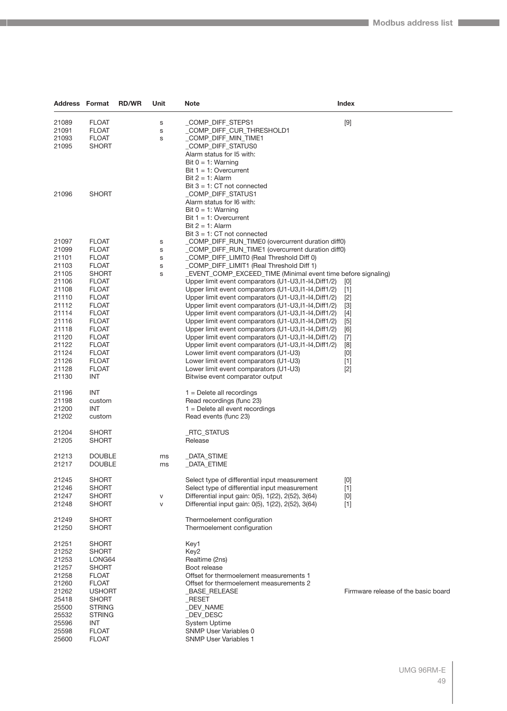| <b>Address Format</b>                                                                                                                                          |                                                                                                                                                                                                                                                                                     | <b>RD/WR</b> | Unit                  | <b>Note</b>                                                                                                                                                                                                                                                                                                                                                                                                                                                                                                                                                                                                                                                                                                                                                                                                                                                                                                                                                                                        | <b>Index</b>                                                                                   |
|----------------------------------------------------------------------------------------------------------------------------------------------------------------|-------------------------------------------------------------------------------------------------------------------------------------------------------------------------------------------------------------------------------------------------------------------------------------|--------------|-----------------------|----------------------------------------------------------------------------------------------------------------------------------------------------------------------------------------------------------------------------------------------------------------------------------------------------------------------------------------------------------------------------------------------------------------------------------------------------------------------------------------------------------------------------------------------------------------------------------------------------------------------------------------------------------------------------------------------------------------------------------------------------------------------------------------------------------------------------------------------------------------------------------------------------------------------------------------------------------------------------------------------------|------------------------------------------------------------------------------------------------|
| 21089<br>21091<br>21093<br>21095                                                                                                                               | <b>FLOAT</b><br><b>FLOAT</b><br><b>FLOAT</b><br><b>SHORT</b>                                                                                                                                                                                                                        |              | S<br>s<br>S           | _COMP_DIFF_STEPS1<br>COMP_DIFF_CUR_THRESHOLD1<br>COMP_DIFF_MIN_TIME1<br>COMP DIFF STATUS0<br>Alarm status for 15 with:<br>Bit $0 = 1$ : Warning<br>Bit $1 = 1$ : Overcurrent                                                                                                                                                                                                                                                                                                                                                                                                                                                                                                                                                                                                                                                                                                                                                                                                                       | $[9]$                                                                                          |
| 21096                                                                                                                                                          | <b>SHORT</b>                                                                                                                                                                                                                                                                        |              |                       | Bit $2 = 1$ : Alarm<br>Bit $3 = 1$ : CT not connected<br>COMP DIFF STATUS1<br>Alarm status for 16 with:<br>Bit $0 = 1$ : Warning<br>Bit $1 = 1$ : Overcurrent<br>Bit $2 = 1$ : Alarm                                                                                                                                                                                                                                                                                                                                                                                                                                                                                                                                                                                                                                                                                                                                                                                                               |                                                                                                |
| 21097<br>21099<br>21101<br>21103<br>21105<br>21106<br>21108<br>21110<br>21112<br>21114<br>21116<br>21118<br>21120<br>21122<br>21124<br>21126<br>21128<br>21130 | <b>FLOAT</b><br><b>FLOAT</b><br><b>FLOAT</b><br><b>FLOAT</b><br><b>SHORT</b><br><b>FLOAT</b><br><b>FLOAT</b><br><b>FLOAT</b><br><b>FLOAT</b><br><b>FLOAT</b><br><b>FLOAT</b><br><b>FLOAT</b><br><b>FLOAT</b><br><b>FLOAT</b><br><b>FLOAT</b><br><b>FLOAT</b><br><b>FLOAT</b><br>INT |              | s<br>s<br>s<br>S<br>S | Bit $3 = 1$ : CT not connected<br>_COMP_DIFF_RUN_TIME0 (overcurrent duration diff0)<br>_COMP_DIFF_RUN_TIME1 (overcurrent duration diff0)<br>_COMP_DIFF_LIMIT0 (Real Threshold Diff 0)<br>_COMP_DIFF_LIMIT1 (Real Threshold Diff 1)<br>_EVENT_COMP_EXCEED_TIME (Minimal event time before signaling)<br>Upper limit event comparators (U1-U3, I1-I4, Diff1/2)<br>Upper limit event comparators (U1-U3, I1-I4, Diff1/2)<br>Upper limit event comparators (U1-U3, I1-I4, Diff1/2)<br>Upper limit event comparators (U1-U3, I1-I4, Diff1/2)<br>Upper limit event comparators (U1-U3, 11-14, Diff1/2)<br>Upper limit event comparators (U1-U3, I1-I4, Diff1/2)<br>Upper limit event comparators (U1-U3, I1-I4, Diff1/2)<br>Upper limit event comparators (U1-U3, I1-I4, Diff1/2)<br>Upper limit event comparators (U1-U3, I1-I4, Diff1/2)<br>Lower limit event comparators (U1-U3)<br>Lower limit event comparators (U1-U3)<br>Lower limit event comparators (U1-U3)<br>Bitwise event comparator output | [0]<br>$[1]$<br>$[2]$<br>$[3]$<br>$[4]$<br>[5]<br>[6]<br>$[7]$<br>[8]<br>[0]<br>$[1]$<br>$[2]$ |
| 21196<br>21198<br>21200<br>21202                                                                                                                               | INT<br>custom<br>INT<br>custom                                                                                                                                                                                                                                                      |              |                       | $1 =$ Delete all recordings<br>Read recordings (func 23)<br>$1 =$ Delete all event recordings<br>Read events (func 23)                                                                                                                                                                                                                                                                                                                                                                                                                                                                                                                                                                                                                                                                                                                                                                                                                                                                             |                                                                                                |
| 21204<br>21205                                                                                                                                                 | <b>SHORT</b><br><b>SHORT</b>                                                                                                                                                                                                                                                        |              |                       | _RTC_STATUS<br>Release                                                                                                                                                                                                                                                                                                                                                                                                                                                                                                                                                                                                                                                                                                                                                                                                                                                                                                                                                                             |                                                                                                |
| 21213<br>21217                                                                                                                                                 | <b>DOUBLE</b><br><b>DOUBLE</b>                                                                                                                                                                                                                                                      |              | ms<br>ms              | _DATA_STIME<br>_DATA_ETIME                                                                                                                                                                                                                                                                                                                                                                                                                                                                                                                                                                                                                                                                                                                                                                                                                                                                                                                                                                         |                                                                                                |
| 21245<br>21246<br>21247<br>21248                                                                                                                               | <b>SHORT</b><br><b>SHORT</b><br><b>SHORT</b><br><b>SHORT</b>                                                                                                                                                                                                                        |              | V<br>$\mathsf{V}$     | Select type of differential input measurement<br>Select type of differential input measurement<br>Differential input gain: 0(5), 1(22), 2(52), 3(64)<br>Differential input gain: 0(5), 1(22), 2(52), 3(64)                                                                                                                                                                                                                                                                                                                                                                                                                                                                                                                                                                                                                                                                                                                                                                                         | [0]<br>$[1]$<br>[0]<br>$[1]$                                                                   |
| 21249<br>21250                                                                                                                                                 | <b>SHORT</b><br><b>SHORT</b>                                                                                                                                                                                                                                                        |              |                       | Thermoelement configuration<br>Thermoelement configuration                                                                                                                                                                                                                                                                                                                                                                                                                                                                                                                                                                                                                                                                                                                                                                                                                                                                                                                                         |                                                                                                |
| 21251<br>21252<br>21253<br>21257<br>21258<br>21260<br>21262<br>25418<br>25500<br>25532<br>25596<br>25598<br>25600                                              | <b>SHORT</b><br><b>SHORT</b><br>LONG64<br><b>SHORT</b><br><b>FLOAT</b><br><b>FLOAT</b><br><b>USHORT</b><br><b>SHORT</b><br><b>STRING</b><br><b>STRING</b><br><b>INT</b><br><b>FLOAT</b><br><b>FLOAT</b>                                                                             |              |                       | Key1<br>Key2<br>Realtime (2ns)<br>Boot release<br>Offset for thermoelement measurements 1<br>Offset for thermoelement measurements 2<br>_BASE_RELEASE<br>_RESET<br>_DEV_NAME<br>_DEV_DESC<br><b>System Uptime</b><br><b>SNMP User Variables 0</b><br><b>SNMP User Variables 1</b>                                                                                                                                                                                                                                                                                                                                                                                                                                                                                                                                                                                                                                                                                                                  | Firmware release of the basic board                                                            |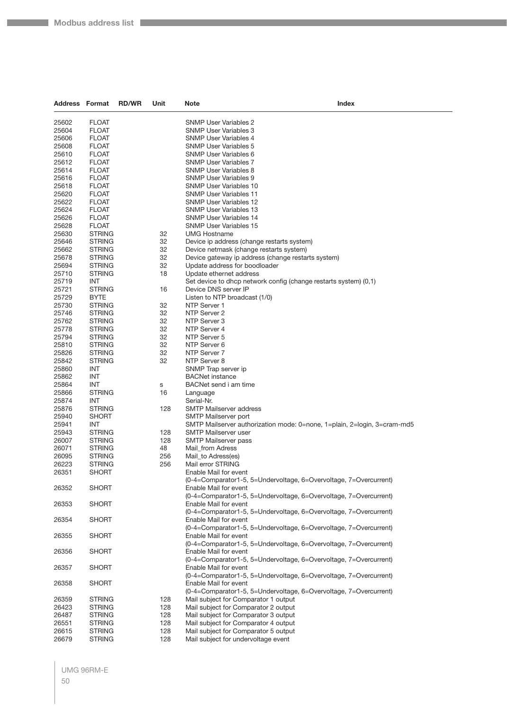**The State** 

| <b>Address Format</b> |                                | <b>RD/WR</b> | Unit      | <b>Note</b>                                                    | Index                                                                    |
|-----------------------|--------------------------------|--------------|-----------|----------------------------------------------------------------|--------------------------------------------------------------------------|
| 25602                 | <b>FLOAT</b>                   |              |           | <b>SNMP User Variables 2</b>                                   |                                                                          |
| 25604                 | <b>FLOAT</b>                   |              |           | SNMP User Variables 3                                          |                                                                          |
| 25606                 | <b>FLOAT</b>                   |              |           | <b>SNMP User Variables 4</b>                                   |                                                                          |
| 25608                 | <b>FLOAT</b>                   |              |           | <b>SNMP User Variables 5</b>                                   |                                                                          |
| 25610                 | <b>FLOAT</b>                   |              |           | <b>SNMP User Variables 6</b>                                   |                                                                          |
| 25612                 | <b>FLOAT</b>                   |              |           | <b>SNMP User Variables 7</b>                                   |                                                                          |
| 25614                 | <b>FLOAT</b>                   |              |           | <b>SNMP User Variables 8</b>                                   |                                                                          |
| 25616                 | <b>FLOAT</b>                   |              |           | <b>SNMP User Variables 9</b>                                   |                                                                          |
| 25618                 | <b>FLOAT</b>                   |              |           | <b>SNMP User Variables 10</b>                                  |                                                                          |
| 25620                 | <b>FLOAT</b>                   |              |           | <b>SNMP User Variables 11</b>                                  |                                                                          |
| 25622                 | <b>FLOAT</b>                   |              |           | SNMP User Variables 12                                         |                                                                          |
| 25624                 | <b>FLOAT</b><br><b>FLOAT</b>   |              |           | <b>SNMP User Variables 13</b><br><b>SNMP User Variables 14</b> |                                                                          |
| 25626<br>25628        | <b>FLOAT</b>                   |              |           | <b>SNMP User Variables 15</b>                                  |                                                                          |
| 25630                 | <b>STRING</b>                  |              | 32        | <b>UMG Hostname</b>                                            |                                                                          |
| 25646                 | <b>STRING</b>                  |              | 32        |                                                                | Device ip address (change restarts system)                               |
| 25662                 | <b>STRING</b>                  |              | 32        |                                                                | Device netmask (change restarts system)                                  |
| 25678                 | <b>STRING</b>                  |              | 32        |                                                                | Device gateway ip address (change restarts system)                       |
| 25694                 | <b>STRING</b>                  |              | 32        | Update address for boodloader                                  |                                                                          |
| 25710                 | <b>STRING</b>                  |              | 18        | Update ethernet address                                        |                                                                          |
| 25719                 | <b>INT</b>                     |              |           |                                                                | Set device to dhcp network config (change restarts system) (0,1)         |
| 25721                 | <b>STRING</b>                  |              | 16        | Device DNS server IP                                           |                                                                          |
| 25729                 | BYTE                           |              |           | Listen to NTP broadcast (1/0)                                  |                                                                          |
| 25730                 | <b>STRING</b>                  |              | 32        | NTP Server 1                                                   |                                                                          |
| 25746                 | <b>STRING</b>                  |              | 32        | NTP Server 2                                                   |                                                                          |
| 25762                 | <b>STRING</b>                  |              | 32        | NTP Server 3                                                   |                                                                          |
| 25778                 | <b>STRING</b>                  |              | 32        | NTP Server 4                                                   |                                                                          |
| 25794<br>25810        | <b>STRING</b><br><b>STRING</b> |              | 32<br>32  | NTP Server 5<br>NTP Server 6                                   |                                                                          |
| 25826                 | <b>STRING</b>                  |              | 32        | NTP Server 7                                                   |                                                                          |
| 25842                 | <b>STRING</b>                  |              | 32        | NTP Server 8                                                   |                                                                          |
| 25860                 | INT                            |              |           | SNMP Trap server ip                                            |                                                                          |
| 25862                 | INT                            |              |           | <b>BACNet instance</b>                                         |                                                                          |
| 25864                 | INT                            |              | s         | BACNet send i am time                                          |                                                                          |
| 25866                 | <b>STRING</b>                  |              | 16        | Language                                                       |                                                                          |
| 25874                 | <b>INT</b>                     |              |           | Serial-Nr.                                                     |                                                                          |
| 25876                 | <b>STRING</b>                  |              | 128       | <b>SMTP Mailserver address</b>                                 |                                                                          |
| 25940                 | SHORT                          |              |           | SMTP Mailserver port                                           |                                                                          |
| 25941                 | INT                            |              |           |                                                                | SMTP Mailserver authorization mode: 0=none, 1=plain, 2=login, 3=cram-md5 |
| 25943                 | <b>STRING</b>                  |              | 128       | <b>SMTP Mailserver user</b>                                    |                                                                          |
| 26007                 | <b>STRING</b>                  |              | 128<br>48 | <b>SMTP Mailserver pass</b>                                    |                                                                          |
| 26071<br>26095        | <b>STRING</b><br><b>STRING</b> |              | 256       | Mail_from Adress<br>Mail to Adress(es)                         |                                                                          |
| 26223                 | <b>STRING</b>                  |              | 256       | Mail error STRING                                              |                                                                          |
| 26351                 | <b>SHORT</b>                   |              |           | Enable Mail for event                                          |                                                                          |
|                       |                                |              |           |                                                                | (0-4=Comparator1-5, 5=Undervoltage, 6=Overvoltage, 7=Overcurrent)        |
| 26352                 | <b>SHORT</b>                   |              |           | Enable Mail for event                                          |                                                                          |
|                       |                                |              |           |                                                                | (0-4=Comparator1-5, 5=Undervoltage, 6=Overvoltage, 7=Overcurrent)        |
| 26353                 | <b>SHORT</b>                   |              |           | Enable Mail for event                                          |                                                                          |
|                       |                                |              |           |                                                                | (0-4=Comparator1-5, 5=Undervoltage, 6=Overvoltage, 7=Overcurrent)        |
| 26354                 | <b>SHORT</b>                   |              |           | Enable Mail for event                                          |                                                                          |
|                       |                                |              |           |                                                                | (0-4=Comparator1-5, 5=Undervoltage, 6=Overvoltage, 7=Overcurrent)        |
| 26355                 | <b>SHORT</b>                   |              |           | Enable Mail for event                                          |                                                                          |
| 26356                 | <b>SHORT</b>                   |              |           | Enable Mail for event                                          | (0-4=Comparator1-5, 5=Undervoltage, 6=Overvoltage, 7=Overcurrent)        |
|                       |                                |              |           |                                                                | (0-4=Comparator1-5, 5=Undervoltage, 6=Overvoltage, 7=Overcurrent)        |
| 26357                 | <b>SHORT</b>                   |              |           | Enable Mail for event                                          |                                                                          |
|                       |                                |              |           |                                                                | (0-4=Comparator1-5, 5=Undervoltage, 6=Overvoltage, 7=Overcurrent)        |
| 26358                 | <b>SHORT</b>                   |              |           | Enable Mail for event                                          |                                                                          |
|                       |                                |              |           |                                                                | (0-4=Comparator1-5, 5=Undervoltage, 6=Overvoltage, 7=Overcurrent)        |
| 26359                 | <b>STRING</b>                  |              | 128       | Mail subject for Comparator 1 output                           |                                                                          |
| 26423                 | <b>STRING</b>                  |              | 128       | Mail subject for Comparator 2 output                           |                                                                          |
| 26487                 | <b>STRING</b>                  |              | 128       | Mail subject for Comparator 3 output                           |                                                                          |
| 26551                 | <b>STRING</b>                  |              | 128       | Mail subject for Comparator 4 output                           |                                                                          |
| 26615                 | <b>STRING</b>                  |              | 128       | Mail subject for Comparator 5 output                           |                                                                          |
| 26679                 | <b>STRING</b>                  |              | 128       | Mail subject for undervoltage event                            |                                                                          |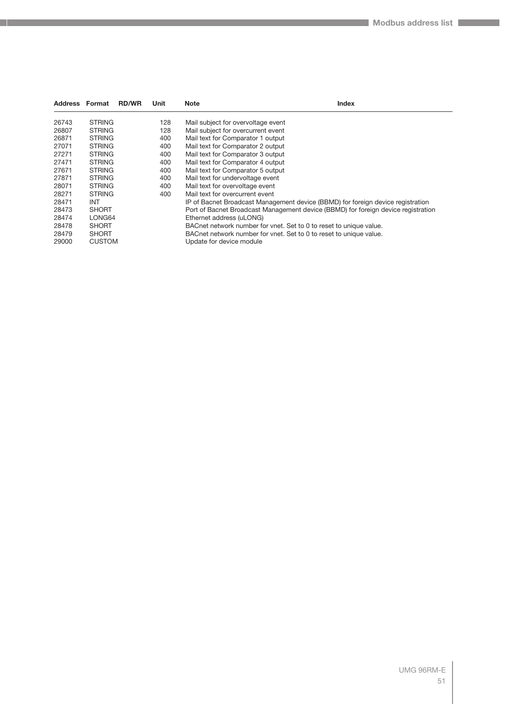| Address Format |               | <b>RD/WR</b> | Unit | <b>Note</b><br><b>Index</b>                                                       |
|----------------|---------------|--------------|------|-----------------------------------------------------------------------------------|
| 26743          | <b>STRING</b> |              | 128  | Mail subject for overvoltage event                                                |
| 26807          | <b>STRING</b> |              | 128  | Mail subject for overcurrent event                                                |
| 26871          | <b>STRING</b> |              | 400  | Mail text for Comparator 1 output                                                 |
| 27071          | <b>STRING</b> |              | 400  | Mail text for Comparator 2 output                                                 |
| 27271          | <b>STRING</b> |              | 400  | Mail text for Comparator 3 output                                                 |
| 27471          | <b>STRING</b> |              | 400  | Mail text for Comparator 4 output                                                 |
| 27671          | <b>STRING</b> |              | 400  | Mail text for Comparator 5 output                                                 |
| 27871          | <b>STRING</b> |              | 400  | Mail text for undervoltage event                                                  |
| 28071          | <b>STRING</b> |              | 400  | Mail text for overvoltage event                                                   |
| 28271          | <b>STRING</b> |              | 400  | Mail text for overcurrent event                                                   |
| 28471          | <b>INT</b>    |              |      | IP of Bacnet Broadcast Management device (BBMD) for foreign device registration   |
| 28473          | <b>SHORT</b>  |              |      | Port of Bacnet Broadcast Management device (BBMD) for foreign device registration |
| 28474          | LONG64        |              |      | Ethernet address (uLONG)                                                          |
| 28478          | <b>SHORT</b>  |              |      | BACnet network number for vnet. Set to 0 to reset to unique value.                |
| 28479          | <b>SHORT</b>  |              |      | BACnet network number for vnet. Set to 0 to reset to unique value.                |
| 29000          | <b>CUSTOM</b> |              |      | Update for device module                                                          |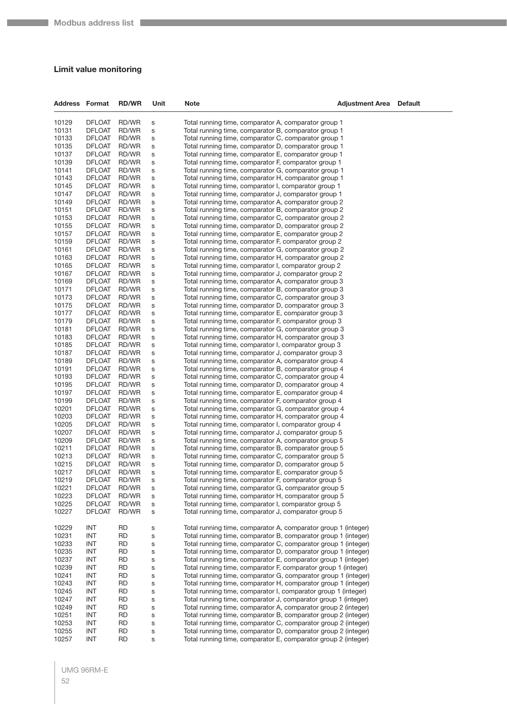#### **Limit value monitoring**

| 10129<br><b>DFLOAT</b><br>RD/WR<br>$\mathbf S$<br>Total running time, comparator A, comparator group 1<br>10131<br><b>DFLOAT</b><br>RD/WR<br>Total running time, comparator B, comparator group 1<br>S<br>10133<br><b>DFLOAT</b><br>RD/WR<br>Total running time, comparator C, comparator group 1<br>S<br>10135<br><b>DFLOAT</b><br>RD/WR<br>Total running time, comparator D, comparator group 1<br>s<br>10137<br><b>DFLOAT</b><br>RD/WR<br>Total running time, comparator E, comparator group 1<br>S<br>10139<br><b>DFLOAT</b><br>RD/WR<br>S<br>Total running time, comparator F, comparator group 1<br>10141<br><b>DFLOAT</b><br>RD/WR<br>Total running time, comparator G, comparator group 1<br>S<br>10143<br><b>DFLOAT</b><br>RD/WR<br>Total running time, comparator H, comparator group 1<br>S<br>10145<br><b>DFLOAT</b><br>RD/WR<br>Total running time, comparator I, comparator group 1<br>S<br>10147<br><b>DFLOAT</b><br>RD/WR<br>Total running time, comparator J, comparator group 1<br>S<br>10149<br><b>DFLOAT</b><br>RD/WR<br>S<br>Total running time, comparator A, comparator group 2<br>10151<br><b>DFLOAT</b><br>RD/WR<br>S<br>Total running time, comparator B, comparator group 2<br>10153<br><b>DFLOAT</b><br>RD/WR<br>Total running time, comparator C, comparator group 2<br>S<br>10155<br><b>DFLOAT</b><br>RD/WR<br>Total running time, comparator D, comparator group 2<br>S<br>10157<br><b>DFLOAT</b><br>RD/WR<br>Total running time, comparator E, comparator group 2<br>S<br>10159<br><b>DFLOAT</b><br>RD/WR<br>S<br>Total running time, comparator F, comparator group 2<br>10161<br><b>DFLOAT</b><br>RD/WR<br>S<br>Total running time, comparator G, comparator group 2<br>10163<br><b>DFLOAT</b><br>RD/WR<br>Total running time, comparator H, comparator group 2<br>S<br>10165<br><b>DFLOAT</b><br>RD/WR<br>S<br>Total running time, comparator I, comparator group 2<br>10167<br><b>DFLOAT</b><br>RD/WR<br>Total running time, comparator J, comparator group 2<br>S<br>10169<br><b>DFLOAT</b><br>RD/WR<br>Total running time, comparator A, comparator group 3<br>S<br>10171<br><b>DFLOAT</b><br>RD/WR<br>S<br>Total running time, comparator B, comparator group 3<br>10173<br><b>DFLOAT</b><br>RD/WR<br>Total running time, comparator C, comparator group 3<br>S<br>10175<br><b>DFLOAT</b><br>RD/WR<br>S<br>Total running time, comparator D, comparator group 3<br>10177<br><b>DFLOAT</b><br>RD/WR<br>Total running time, comparator E, comparator group 3<br>S<br>10179<br><b>DFLOAT</b><br>RD/WR<br>Total running time, comparator F, comparator group 3<br>S<br>10181<br><b>DFLOAT</b><br>RD/WR<br>S<br>Total running time, comparator G, comparator group 3<br>10183<br><b>DFLOAT</b><br>RD/WR<br>Total running time, comparator H, comparator group 3<br>s<br>10185<br><b>DFLOAT</b><br>RD/WR<br>Total running time, comparator I, comparator group 3<br>s<br>10187<br><b>DFLOAT</b><br>RD/WR<br>Total running time, comparator J, comparator group 3<br>S<br>10189<br><b>DFLOAT</b><br>RD/WR<br>Total running time, comparator A, comparator group 4<br>S<br>10191<br><b>DFLOAT</b><br>RD/WR<br>S<br>Total running time, comparator B, comparator group 4<br>10193<br><b>DFLOAT</b><br>RD/WR<br>Total running time, comparator C, comparator group 4<br>S<br>10195<br><b>DFLOAT</b><br>RD/WR<br>S<br>Total running time, comparator D, comparator group 4<br>10197<br><b>DFLOAT</b><br>RD/WR<br>Total running time, comparator E, comparator group 4<br>S<br>10199<br><b>DFLOAT</b><br>RD/WR<br>Total running time, comparator F, comparator group 4<br>S<br>10201<br><b>DFLOAT</b><br>RD/WR<br>S<br>Total running time, comparator G, comparator group 4<br>10203<br><b>DFLOAT</b><br>RD/WR<br>Total running time, comparator H, comparator group 4<br>S<br>10205<br><b>DFLOAT</b><br>RD/WR<br>S<br>Total running time, comparator I, comparator group 4<br>10207<br><b>DFLOAT</b><br>RD/WR<br>Total running time, comparator J, comparator group 5<br>S<br>10209<br><b>DFLOAT</b><br>RD/WR<br>Total running time, comparator A, comparator group 5<br>S<br>10211<br><b>DFLOAT</b><br>RD/WR<br>S<br>Total running time, comparator B, comparator group 5<br>10213<br><b>DFLOAT</b><br>RD/WR<br>Total running time, comparator C, comparator group 5<br>S<br>10215<br><b>DFLOAT</b><br>RD/WR<br>S<br>Total running time, comparator D, comparator group 5<br>10217<br><b>DFLOAT</b><br>RD/WR<br>Total running time, comparator E, comparator group 5<br>s<br>10219<br><b>DFLOAT</b><br>RD/WR<br>Total running time, comparator F, comparator group 5<br>S<br>10221<br>RD/WR | <b>Default</b> |
|--------------------------------------------------------------------------------------------------------------------------------------------------------------------------------------------------------------------------------------------------------------------------------------------------------------------------------------------------------------------------------------------------------------------------------------------------------------------------------------------------------------------------------------------------------------------------------------------------------------------------------------------------------------------------------------------------------------------------------------------------------------------------------------------------------------------------------------------------------------------------------------------------------------------------------------------------------------------------------------------------------------------------------------------------------------------------------------------------------------------------------------------------------------------------------------------------------------------------------------------------------------------------------------------------------------------------------------------------------------------------------------------------------------------------------------------------------------------------------------------------------------------------------------------------------------------------------------------------------------------------------------------------------------------------------------------------------------------------------------------------------------------------------------------------------------------------------------------------------------------------------------------------------------------------------------------------------------------------------------------------------------------------------------------------------------------------------------------------------------------------------------------------------------------------------------------------------------------------------------------------------------------------------------------------------------------------------------------------------------------------------------------------------------------------------------------------------------------------------------------------------------------------------------------------------------------------------------------------------------------------------------------------------------------------------------------------------------------------------------------------------------------------------------------------------------------------------------------------------------------------------------------------------------------------------------------------------------------------------------------------------------------------------------------------------------------------------------------------------------------------------------------------------------------------------------------------------------------------------------------------------------------------------------------------------------------------------------------------------------------------------------------------------------------------------------------------------------------------------------------------------------------------------------------------------------------------------------------------------------------------------------------------------------------------------------------------------------------------------------------------------------------------------------------------------------------------------------------------------------------------------------------------------------------------------------------------------------------------------------------------------------------------------------------------------------------------------------------------------------------------------------------------------------------------------------------------------------------------------------------------------------------------------------------------------------------------------------------------------------------------------------------------------------------------------------------------------------------------------------------------------------------------------------------------------------------------------------------------------------------------|----------------|
|                                                                                                                                                                                                                                                                                                                                                                                                                                                                                                                                                                                                                                                                                                                                                                                                                                                                                                                                                                                                                                                                                                                                                                                                                                                                                                                                                                                                                                                                                                                                                                                                                                                                                                                                                                                                                                                                                                                                                                                                                                                                                                                                                                                                                                                                                                                                                                                                                                                                                                                                                                                                                                                                                                                                                                                                                                                                                                                                                                                                                                                                                                                                                                                                                                                                                                                                                                                                                                                                                                                                                                                                                                                                                                                                                                                                                                                                                                                                                                                                                                                                                                                                                                                                                                                                                                                                                                                                                                                                                                                                                                                                                          |                |
|                                                                                                                                                                                                                                                                                                                                                                                                                                                                                                                                                                                                                                                                                                                                                                                                                                                                                                                                                                                                                                                                                                                                                                                                                                                                                                                                                                                                                                                                                                                                                                                                                                                                                                                                                                                                                                                                                                                                                                                                                                                                                                                                                                                                                                                                                                                                                                                                                                                                                                                                                                                                                                                                                                                                                                                                                                                                                                                                                                                                                                                                                                                                                                                                                                                                                                                                                                                                                                                                                                                                                                                                                                                                                                                                                                                                                                                                                                                                                                                                                                                                                                                                                                                                                                                                                                                                                                                                                                                                                                                                                                                                                          |                |
|                                                                                                                                                                                                                                                                                                                                                                                                                                                                                                                                                                                                                                                                                                                                                                                                                                                                                                                                                                                                                                                                                                                                                                                                                                                                                                                                                                                                                                                                                                                                                                                                                                                                                                                                                                                                                                                                                                                                                                                                                                                                                                                                                                                                                                                                                                                                                                                                                                                                                                                                                                                                                                                                                                                                                                                                                                                                                                                                                                                                                                                                                                                                                                                                                                                                                                                                                                                                                                                                                                                                                                                                                                                                                                                                                                                                                                                                                                                                                                                                                                                                                                                                                                                                                                                                                                                                                                                                                                                                                                                                                                                                                          |                |
|                                                                                                                                                                                                                                                                                                                                                                                                                                                                                                                                                                                                                                                                                                                                                                                                                                                                                                                                                                                                                                                                                                                                                                                                                                                                                                                                                                                                                                                                                                                                                                                                                                                                                                                                                                                                                                                                                                                                                                                                                                                                                                                                                                                                                                                                                                                                                                                                                                                                                                                                                                                                                                                                                                                                                                                                                                                                                                                                                                                                                                                                                                                                                                                                                                                                                                                                                                                                                                                                                                                                                                                                                                                                                                                                                                                                                                                                                                                                                                                                                                                                                                                                                                                                                                                                                                                                                                                                                                                                                                                                                                                                                          |                |
|                                                                                                                                                                                                                                                                                                                                                                                                                                                                                                                                                                                                                                                                                                                                                                                                                                                                                                                                                                                                                                                                                                                                                                                                                                                                                                                                                                                                                                                                                                                                                                                                                                                                                                                                                                                                                                                                                                                                                                                                                                                                                                                                                                                                                                                                                                                                                                                                                                                                                                                                                                                                                                                                                                                                                                                                                                                                                                                                                                                                                                                                                                                                                                                                                                                                                                                                                                                                                                                                                                                                                                                                                                                                                                                                                                                                                                                                                                                                                                                                                                                                                                                                                                                                                                                                                                                                                                                                                                                                                                                                                                                                                          |                |
|                                                                                                                                                                                                                                                                                                                                                                                                                                                                                                                                                                                                                                                                                                                                                                                                                                                                                                                                                                                                                                                                                                                                                                                                                                                                                                                                                                                                                                                                                                                                                                                                                                                                                                                                                                                                                                                                                                                                                                                                                                                                                                                                                                                                                                                                                                                                                                                                                                                                                                                                                                                                                                                                                                                                                                                                                                                                                                                                                                                                                                                                                                                                                                                                                                                                                                                                                                                                                                                                                                                                                                                                                                                                                                                                                                                                                                                                                                                                                                                                                                                                                                                                                                                                                                                                                                                                                                                                                                                                                                                                                                                                                          |                |
|                                                                                                                                                                                                                                                                                                                                                                                                                                                                                                                                                                                                                                                                                                                                                                                                                                                                                                                                                                                                                                                                                                                                                                                                                                                                                                                                                                                                                                                                                                                                                                                                                                                                                                                                                                                                                                                                                                                                                                                                                                                                                                                                                                                                                                                                                                                                                                                                                                                                                                                                                                                                                                                                                                                                                                                                                                                                                                                                                                                                                                                                                                                                                                                                                                                                                                                                                                                                                                                                                                                                                                                                                                                                                                                                                                                                                                                                                                                                                                                                                                                                                                                                                                                                                                                                                                                                                                                                                                                                                                                                                                                                                          |                |
|                                                                                                                                                                                                                                                                                                                                                                                                                                                                                                                                                                                                                                                                                                                                                                                                                                                                                                                                                                                                                                                                                                                                                                                                                                                                                                                                                                                                                                                                                                                                                                                                                                                                                                                                                                                                                                                                                                                                                                                                                                                                                                                                                                                                                                                                                                                                                                                                                                                                                                                                                                                                                                                                                                                                                                                                                                                                                                                                                                                                                                                                                                                                                                                                                                                                                                                                                                                                                                                                                                                                                                                                                                                                                                                                                                                                                                                                                                                                                                                                                                                                                                                                                                                                                                                                                                                                                                                                                                                                                                                                                                                                                          |                |
|                                                                                                                                                                                                                                                                                                                                                                                                                                                                                                                                                                                                                                                                                                                                                                                                                                                                                                                                                                                                                                                                                                                                                                                                                                                                                                                                                                                                                                                                                                                                                                                                                                                                                                                                                                                                                                                                                                                                                                                                                                                                                                                                                                                                                                                                                                                                                                                                                                                                                                                                                                                                                                                                                                                                                                                                                                                                                                                                                                                                                                                                                                                                                                                                                                                                                                                                                                                                                                                                                                                                                                                                                                                                                                                                                                                                                                                                                                                                                                                                                                                                                                                                                                                                                                                                                                                                                                                                                                                                                                                                                                                                                          |                |
|                                                                                                                                                                                                                                                                                                                                                                                                                                                                                                                                                                                                                                                                                                                                                                                                                                                                                                                                                                                                                                                                                                                                                                                                                                                                                                                                                                                                                                                                                                                                                                                                                                                                                                                                                                                                                                                                                                                                                                                                                                                                                                                                                                                                                                                                                                                                                                                                                                                                                                                                                                                                                                                                                                                                                                                                                                                                                                                                                                                                                                                                                                                                                                                                                                                                                                                                                                                                                                                                                                                                                                                                                                                                                                                                                                                                                                                                                                                                                                                                                                                                                                                                                                                                                                                                                                                                                                                                                                                                                                                                                                                                                          |                |
|                                                                                                                                                                                                                                                                                                                                                                                                                                                                                                                                                                                                                                                                                                                                                                                                                                                                                                                                                                                                                                                                                                                                                                                                                                                                                                                                                                                                                                                                                                                                                                                                                                                                                                                                                                                                                                                                                                                                                                                                                                                                                                                                                                                                                                                                                                                                                                                                                                                                                                                                                                                                                                                                                                                                                                                                                                                                                                                                                                                                                                                                                                                                                                                                                                                                                                                                                                                                                                                                                                                                                                                                                                                                                                                                                                                                                                                                                                                                                                                                                                                                                                                                                                                                                                                                                                                                                                                                                                                                                                                                                                                                                          |                |
|                                                                                                                                                                                                                                                                                                                                                                                                                                                                                                                                                                                                                                                                                                                                                                                                                                                                                                                                                                                                                                                                                                                                                                                                                                                                                                                                                                                                                                                                                                                                                                                                                                                                                                                                                                                                                                                                                                                                                                                                                                                                                                                                                                                                                                                                                                                                                                                                                                                                                                                                                                                                                                                                                                                                                                                                                                                                                                                                                                                                                                                                                                                                                                                                                                                                                                                                                                                                                                                                                                                                                                                                                                                                                                                                                                                                                                                                                                                                                                                                                                                                                                                                                                                                                                                                                                                                                                                                                                                                                                                                                                                                                          |                |
|                                                                                                                                                                                                                                                                                                                                                                                                                                                                                                                                                                                                                                                                                                                                                                                                                                                                                                                                                                                                                                                                                                                                                                                                                                                                                                                                                                                                                                                                                                                                                                                                                                                                                                                                                                                                                                                                                                                                                                                                                                                                                                                                                                                                                                                                                                                                                                                                                                                                                                                                                                                                                                                                                                                                                                                                                                                                                                                                                                                                                                                                                                                                                                                                                                                                                                                                                                                                                                                                                                                                                                                                                                                                                                                                                                                                                                                                                                                                                                                                                                                                                                                                                                                                                                                                                                                                                                                                                                                                                                                                                                                                                          |                |
|                                                                                                                                                                                                                                                                                                                                                                                                                                                                                                                                                                                                                                                                                                                                                                                                                                                                                                                                                                                                                                                                                                                                                                                                                                                                                                                                                                                                                                                                                                                                                                                                                                                                                                                                                                                                                                                                                                                                                                                                                                                                                                                                                                                                                                                                                                                                                                                                                                                                                                                                                                                                                                                                                                                                                                                                                                                                                                                                                                                                                                                                                                                                                                                                                                                                                                                                                                                                                                                                                                                                                                                                                                                                                                                                                                                                                                                                                                                                                                                                                                                                                                                                                                                                                                                                                                                                                                                                                                                                                                                                                                                                                          |                |
|                                                                                                                                                                                                                                                                                                                                                                                                                                                                                                                                                                                                                                                                                                                                                                                                                                                                                                                                                                                                                                                                                                                                                                                                                                                                                                                                                                                                                                                                                                                                                                                                                                                                                                                                                                                                                                                                                                                                                                                                                                                                                                                                                                                                                                                                                                                                                                                                                                                                                                                                                                                                                                                                                                                                                                                                                                                                                                                                                                                                                                                                                                                                                                                                                                                                                                                                                                                                                                                                                                                                                                                                                                                                                                                                                                                                                                                                                                                                                                                                                                                                                                                                                                                                                                                                                                                                                                                                                                                                                                                                                                                                                          |                |
|                                                                                                                                                                                                                                                                                                                                                                                                                                                                                                                                                                                                                                                                                                                                                                                                                                                                                                                                                                                                                                                                                                                                                                                                                                                                                                                                                                                                                                                                                                                                                                                                                                                                                                                                                                                                                                                                                                                                                                                                                                                                                                                                                                                                                                                                                                                                                                                                                                                                                                                                                                                                                                                                                                                                                                                                                                                                                                                                                                                                                                                                                                                                                                                                                                                                                                                                                                                                                                                                                                                                                                                                                                                                                                                                                                                                                                                                                                                                                                                                                                                                                                                                                                                                                                                                                                                                                                                                                                                                                                                                                                                                                          |                |
|                                                                                                                                                                                                                                                                                                                                                                                                                                                                                                                                                                                                                                                                                                                                                                                                                                                                                                                                                                                                                                                                                                                                                                                                                                                                                                                                                                                                                                                                                                                                                                                                                                                                                                                                                                                                                                                                                                                                                                                                                                                                                                                                                                                                                                                                                                                                                                                                                                                                                                                                                                                                                                                                                                                                                                                                                                                                                                                                                                                                                                                                                                                                                                                                                                                                                                                                                                                                                                                                                                                                                                                                                                                                                                                                                                                                                                                                                                                                                                                                                                                                                                                                                                                                                                                                                                                                                                                                                                                                                                                                                                                                                          |                |
|                                                                                                                                                                                                                                                                                                                                                                                                                                                                                                                                                                                                                                                                                                                                                                                                                                                                                                                                                                                                                                                                                                                                                                                                                                                                                                                                                                                                                                                                                                                                                                                                                                                                                                                                                                                                                                                                                                                                                                                                                                                                                                                                                                                                                                                                                                                                                                                                                                                                                                                                                                                                                                                                                                                                                                                                                                                                                                                                                                                                                                                                                                                                                                                                                                                                                                                                                                                                                                                                                                                                                                                                                                                                                                                                                                                                                                                                                                                                                                                                                                                                                                                                                                                                                                                                                                                                                                                                                                                                                                                                                                                                                          |                |
|                                                                                                                                                                                                                                                                                                                                                                                                                                                                                                                                                                                                                                                                                                                                                                                                                                                                                                                                                                                                                                                                                                                                                                                                                                                                                                                                                                                                                                                                                                                                                                                                                                                                                                                                                                                                                                                                                                                                                                                                                                                                                                                                                                                                                                                                                                                                                                                                                                                                                                                                                                                                                                                                                                                                                                                                                                                                                                                                                                                                                                                                                                                                                                                                                                                                                                                                                                                                                                                                                                                                                                                                                                                                                                                                                                                                                                                                                                                                                                                                                                                                                                                                                                                                                                                                                                                                                                                                                                                                                                                                                                                                                          |                |
|                                                                                                                                                                                                                                                                                                                                                                                                                                                                                                                                                                                                                                                                                                                                                                                                                                                                                                                                                                                                                                                                                                                                                                                                                                                                                                                                                                                                                                                                                                                                                                                                                                                                                                                                                                                                                                                                                                                                                                                                                                                                                                                                                                                                                                                                                                                                                                                                                                                                                                                                                                                                                                                                                                                                                                                                                                                                                                                                                                                                                                                                                                                                                                                                                                                                                                                                                                                                                                                                                                                                                                                                                                                                                                                                                                                                                                                                                                                                                                                                                                                                                                                                                                                                                                                                                                                                                                                                                                                                                                                                                                                                                          |                |
|                                                                                                                                                                                                                                                                                                                                                                                                                                                                                                                                                                                                                                                                                                                                                                                                                                                                                                                                                                                                                                                                                                                                                                                                                                                                                                                                                                                                                                                                                                                                                                                                                                                                                                                                                                                                                                                                                                                                                                                                                                                                                                                                                                                                                                                                                                                                                                                                                                                                                                                                                                                                                                                                                                                                                                                                                                                                                                                                                                                                                                                                                                                                                                                                                                                                                                                                                                                                                                                                                                                                                                                                                                                                                                                                                                                                                                                                                                                                                                                                                                                                                                                                                                                                                                                                                                                                                                                                                                                                                                                                                                                                                          |                |
|                                                                                                                                                                                                                                                                                                                                                                                                                                                                                                                                                                                                                                                                                                                                                                                                                                                                                                                                                                                                                                                                                                                                                                                                                                                                                                                                                                                                                                                                                                                                                                                                                                                                                                                                                                                                                                                                                                                                                                                                                                                                                                                                                                                                                                                                                                                                                                                                                                                                                                                                                                                                                                                                                                                                                                                                                                                                                                                                                                                                                                                                                                                                                                                                                                                                                                                                                                                                                                                                                                                                                                                                                                                                                                                                                                                                                                                                                                                                                                                                                                                                                                                                                                                                                                                                                                                                                                                                                                                                                                                                                                                                                          |                |
|                                                                                                                                                                                                                                                                                                                                                                                                                                                                                                                                                                                                                                                                                                                                                                                                                                                                                                                                                                                                                                                                                                                                                                                                                                                                                                                                                                                                                                                                                                                                                                                                                                                                                                                                                                                                                                                                                                                                                                                                                                                                                                                                                                                                                                                                                                                                                                                                                                                                                                                                                                                                                                                                                                                                                                                                                                                                                                                                                                                                                                                                                                                                                                                                                                                                                                                                                                                                                                                                                                                                                                                                                                                                                                                                                                                                                                                                                                                                                                                                                                                                                                                                                                                                                                                                                                                                                                                                                                                                                                                                                                                                                          |                |
|                                                                                                                                                                                                                                                                                                                                                                                                                                                                                                                                                                                                                                                                                                                                                                                                                                                                                                                                                                                                                                                                                                                                                                                                                                                                                                                                                                                                                                                                                                                                                                                                                                                                                                                                                                                                                                                                                                                                                                                                                                                                                                                                                                                                                                                                                                                                                                                                                                                                                                                                                                                                                                                                                                                                                                                                                                                                                                                                                                                                                                                                                                                                                                                                                                                                                                                                                                                                                                                                                                                                                                                                                                                                                                                                                                                                                                                                                                                                                                                                                                                                                                                                                                                                                                                                                                                                                                                                                                                                                                                                                                                                                          |                |
|                                                                                                                                                                                                                                                                                                                                                                                                                                                                                                                                                                                                                                                                                                                                                                                                                                                                                                                                                                                                                                                                                                                                                                                                                                                                                                                                                                                                                                                                                                                                                                                                                                                                                                                                                                                                                                                                                                                                                                                                                                                                                                                                                                                                                                                                                                                                                                                                                                                                                                                                                                                                                                                                                                                                                                                                                                                                                                                                                                                                                                                                                                                                                                                                                                                                                                                                                                                                                                                                                                                                                                                                                                                                                                                                                                                                                                                                                                                                                                                                                                                                                                                                                                                                                                                                                                                                                                                                                                                                                                                                                                                                                          |                |
|                                                                                                                                                                                                                                                                                                                                                                                                                                                                                                                                                                                                                                                                                                                                                                                                                                                                                                                                                                                                                                                                                                                                                                                                                                                                                                                                                                                                                                                                                                                                                                                                                                                                                                                                                                                                                                                                                                                                                                                                                                                                                                                                                                                                                                                                                                                                                                                                                                                                                                                                                                                                                                                                                                                                                                                                                                                                                                                                                                                                                                                                                                                                                                                                                                                                                                                                                                                                                                                                                                                                                                                                                                                                                                                                                                                                                                                                                                                                                                                                                                                                                                                                                                                                                                                                                                                                                                                                                                                                                                                                                                                                                          |                |
|                                                                                                                                                                                                                                                                                                                                                                                                                                                                                                                                                                                                                                                                                                                                                                                                                                                                                                                                                                                                                                                                                                                                                                                                                                                                                                                                                                                                                                                                                                                                                                                                                                                                                                                                                                                                                                                                                                                                                                                                                                                                                                                                                                                                                                                                                                                                                                                                                                                                                                                                                                                                                                                                                                                                                                                                                                                                                                                                                                                                                                                                                                                                                                                                                                                                                                                                                                                                                                                                                                                                                                                                                                                                                                                                                                                                                                                                                                                                                                                                                                                                                                                                                                                                                                                                                                                                                                                                                                                                                                                                                                                                                          |                |
|                                                                                                                                                                                                                                                                                                                                                                                                                                                                                                                                                                                                                                                                                                                                                                                                                                                                                                                                                                                                                                                                                                                                                                                                                                                                                                                                                                                                                                                                                                                                                                                                                                                                                                                                                                                                                                                                                                                                                                                                                                                                                                                                                                                                                                                                                                                                                                                                                                                                                                                                                                                                                                                                                                                                                                                                                                                                                                                                                                                                                                                                                                                                                                                                                                                                                                                                                                                                                                                                                                                                                                                                                                                                                                                                                                                                                                                                                                                                                                                                                                                                                                                                                                                                                                                                                                                                                                                                                                                                                                                                                                                                                          |                |
|                                                                                                                                                                                                                                                                                                                                                                                                                                                                                                                                                                                                                                                                                                                                                                                                                                                                                                                                                                                                                                                                                                                                                                                                                                                                                                                                                                                                                                                                                                                                                                                                                                                                                                                                                                                                                                                                                                                                                                                                                                                                                                                                                                                                                                                                                                                                                                                                                                                                                                                                                                                                                                                                                                                                                                                                                                                                                                                                                                                                                                                                                                                                                                                                                                                                                                                                                                                                                                                                                                                                                                                                                                                                                                                                                                                                                                                                                                                                                                                                                                                                                                                                                                                                                                                                                                                                                                                                                                                                                                                                                                                                                          |                |
|                                                                                                                                                                                                                                                                                                                                                                                                                                                                                                                                                                                                                                                                                                                                                                                                                                                                                                                                                                                                                                                                                                                                                                                                                                                                                                                                                                                                                                                                                                                                                                                                                                                                                                                                                                                                                                                                                                                                                                                                                                                                                                                                                                                                                                                                                                                                                                                                                                                                                                                                                                                                                                                                                                                                                                                                                                                                                                                                                                                                                                                                                                                                                                                                                                                                                                                                                                                                                                                                                                                                                                                                                                                                                                                                                                                                                                                                                                                                                                                                                                                                                                                                                                                                                                                                                                                                                                                                                                                                                                                                                                                                                          |                |
|                                                                                                                                                                                                                                                                                                                                                                                                                                                                                                                                                                                                                                                                                                                                                                                                                                                                                                                                                                                                                                                                                                                                                                                                                                                                                                                                                                                                                                                                                                                                                                                                                                                                                                                                                                                                                                                                                                                                                                                                                                                                                                                                                                                                                                                                                                                                                                                                                                                                                                                                                                                                                                                                                                                                                                                                                                                                                                                                                                                                                                                                                                                                                                                                                                                                                                                                                                                                                                                                                                                                                                                                                                                                                                                                                                                                                                                                                                                                                                                                                                                                                                                                                                                                                                                                                                                                                                                                                                                                                                                                                                                                                          |                |
|                                                                                                                                                                                                                                                                                                                                                                                                                                                                                                                                                                                                                                                                                                                                                                                                                                                                                                                                                                                                                                                                                                                                                                                                                                                                                                                                                                                                                                                                                                                                                                                                                                                                                                                                                                                                                                                                                                                                                                                                                                                                                                                                                                                                                                                                                                                                                                                                                                                                                                                                                                                                                                                                                                                                                                                                                                                                                                                                                                                                                                                                                                                                                                                                                                                                                                                                                                                                                                                                                                                                                                                                                                                                                                                                                                                                                                                                                                                                                                                                                                                                                                                                                                                                                                                                                                                                                                                                                                                                                                                                                                                                                          |                |
|                                                                                                                                                                                                                                                                                                                                                                                                                                                                                                                                                                                                                                                                                                                                                                                                                                                                                                                                                                                                                                                                                                                                                                                                                                                                                                                                                                                                                                                                                                                                                                                                                                                                                                                                                                                                                                                                                                                                                                                                                                                                                                                                                                                                                                                                                                                                                                                                                                                                                                                                                                                                                                                                                                                                                                                                                                                                                                                                                                                                                                                                                                                                                                                                                                                                                                                                                                                                                                                                                                                                                                                                                                                                                                                                                                                                                                                                                                                                                                                                                                                                                                                                                                                                                                                                                                                                                                                                                                                                                                                                                                                                                          |                |
|                                                                                                                                                                                                                                                                                                                                                                                                                                                                                                                                                                                                                                                                                                                                                                                                                                                                                                                                                                                                                                                                                                                                                                                                                                                                                                                                                                                                                                                                                                                                                                                                                                                                                                                                                                                                                                                                                                                                                                                                                                                                                                                                                                                                                                                                                                                                                                                                                                                                                                                                                                                                                                                                                                                                                                                                                                                                                                                                                                                                                                                                                                                                                                                                                                                                                                                                                                                                                                                                                                                                                                                                                                                                                                                                                                                                                                                                                                                                                                                                                                                                                                                                                                                                                                                                                                                                                                                                                                                                                                                                                                                                                          |                |
|                                                                                                                                                                                                                                                                                                                                                                                                                                                                                                                                                                                                                                                                                                                                                                                                                                                                                                                                                                                                                                                                                                                                                                                                                                                                                                                                                                                                                                                                                                                                                                                                                                                                                                                                                                                                                                                                                                                                                                                                                                                                                                                                                                                                                                                                                                                                                                                                                                                                                                                                                                                                                                                                                                                                                                                                                                                                                                                                                                                                                                                                                                                                                                                                                                                                                                                                                                                                                                                                                                                                                                                                                                                                                                                                                                                                                                                                                                                                                                                                                                                                                                                                                                                                                                                                                                                                                                                                                                                                                                                                                                                                                          |                |
|                                                                                                                                                                                                                                                                                                                                                                                                                                                                                                                                                                                                                                                                                                                                                                                                                                                                                                                                                                                                                                                                                                                                                                                                                                                                                                                                                                                                                                                                                                                                                                                                                                                                                                                                                                                                                                                                                                                                                                                                                                                                                                                                                                                                                                                                                                                                                                                                                                                                                                                                                                                                                                                                                                                                                                                                                                                                                                                                                                                                                                                                                                                                                                                                                                                                                                                                                                                                                                                                                                                                                                                                                                                                                                                                                                                                                                                                                                                                                                                                                                                                                                                                                                                                                                                                                                                                                                                                                                                                                                                                                                                                                          |                |
|                                                                                                                                                                                                                                                                                                                                                                                                                                                                                                                                                                                                                                                                                                                                                                                                                                                                                                                                                                                                                                                                                                                                                                                                                                                                                                                                                                                                                                                                                                                                                                                                                                                                                                                                                                                                                                                                                                                                                                                                                                                                                                                                                                                                                                                                                                                                                                                                                                                                                                                                                                                                                                                                                                                                                                                                                                                                                                                                                                                                                                                                                                                                                                                                                                                                                                                                                                                                                                                                                                                                                                                                                                                                                                                                                                                                                                                                                                                                                                                                                                                                                                                                                                                                                                                                                                                                                                                                                                                                                                                                                                                                                          |                |
|                                                                                                                                                                                                                                                                                                                                                                                                                                                                                                                                                                                                                                                                                                                                                                                                                                                                                                                                                                                                                                                                                                                                                                                                                                                                                                                                                                                                                                                                                                                                                                                                                                                                                                                                                                                                                                                                                                                                                                                                                                                                                                                                                                                                                                                                                                                                                                                                                                                                                                                                                                                                                                                                                                                                                                                                                                                                                                                                                                                                                                                                                                                                                                                                                                                                                                                                                                                                                                                                                                                                                                                                                                                                                                                                                                                                                                                                                                                                                                                                                                                                                                                                                                                                                                                                                                                                                                                                                                                                                                                                                                                                                          |                |
|                                                                                                                                                                                                                                                                                                                                                                                                                                                                                                                                                                                                                                                                                                                                                                                                                                                                                                                                                                                                                                                                                                                                                                                                                                                                                                                                                                                                                                                                                                                                                                                                                                                                                                                                                                                                                                                                                                                                                                                                                                                                                                                                                                                                                                                                                                                                                                                                                                                                                                                                                                                                                                                                                                                                                                                                                                                                                                                                                                                                                                                                                                                                                                                                                                                                                                                                                                                                                                                                                                                                                                                                                                                                                                                                                                                                                                                                                                                                                                                                                                                                                                                                                                                                                                                                                                                                                                                                                                                                                                                                                                                                                          |                |
|                                                                                                                                                                                                                                                                                                                                                                                                                                                                                                                                                                                                                                                                                                                                                                                                                                                                                                                                                                                                                                                                                                                                                                                                                                                                                                                                                                                                                                                                                                                                                                                                                                                                                                                                                                                                                                                                                                                                                                                                                                                                                                                                                                                                                                                                                                                                                                                                                                                                                                                                                                                                                                                                                                                                                                                                                                                                                                                                                                                                                                                                                                                                                                                                                                                                                                                                                                                                                                                                                                                                                                                                                                                                                                                                                                                                                                                                                                                                                                                                                                                                                                                                                                                                                                                                                                                                                                                                                                                                                                                                                                                                                          |                |
|                                                                                                                                                                                                                                                                                                                                                                                                                                                                                                                                                                                                                                                                                                                                                                                                                                                                                                                                                                                                                                                                                                                                                                                                                                                                                                                                                                                                                                                                                                                                                                                                                                                                                                                                                                                                                                                                                                                                                                                                                                                                                                                                                                                                                                                                                                                                                                                                                                                                                                                                                                                                                                                                                                                                                                                                                                                                                                                                                                                                                                                                                                                                                                                                                                                                                                                                                                                                                                                                                                                                                                                                                                                                                                                                                                                                                                                                                                                                                                                                                                                                                                                                                                                                                                                                                                                                                                                                                                                                                                                                                                                                                          |                |
|                                                                                                                                                                                                                                                                                                                                                                                                                                                                                                                                                                                                                                                                                                                                                                                                                                                                                                                                                                                                                                                                                                                                                                                                                                                                                                                                                                                                                                                                                                                                                                                                                                                                                                                                                                                                                                                                                                                                                                                                                                                                                                                                                                                                                                                                                                                                                                                                                                                                                                                                                                                                                                                                                                                                                                                                                                                                                                                                                                                                                                                                                                                                                                                                                                                                                                                                                                                                                                                                                                                                                                                                                                                                                                                                                                                                                                                                                                                                                                                                                                                                                                                                                                                                                                                                                                                                                                                                                                                                                                                                                                                                                          |                |
|                                                                                                                                                                                                                                                                                                                                                                                                                                                                                                                                                                                                                                                                                                                                                                                                                                                                                                                                                                                                                                                                                                                                                                                                                                                                                                                                                                                                                                                                                                                                                                                                                                                                                                                                                                                                                                                                                                                                                                                                                                                                                                                                                                                                                                                                                                                                                                                                                                                                                                                                                                                                                                                                                                                                                                                                                                                                                                                                                                                                                                                                                                                                                                                                                                                                                                                                                                                                                                                                                                                                                                                                                                                                                                                                                                                                                                                                                                                                                                                                                                                                                                                                                                                                                                                                                                                                                                                                                                                                                                                                                                                                                          |                |
|                                                                                                                                                                                                                                                                                                                                                                                                                                                                                                                                                                                                                                                                                                                                                                                                                                                                                                                                                                                                                                                                                                                                                                                                                                                                                                                                                                                                                                                                                                                                                                                                                                                                                                                                                                                                                                                                                                                                                                                                                                                                                                                                                                                                                                                                                                                                                                                                                                                                                                                                                                                                                                                                                                                                                                                                                                                                                                                                                                                                                                                                                                                                                                                                                                                                                                                                                                                                                                                                                                                                                                                                                                                                                                                                                                                                                                                                                                                                                                                                                                                                                                                                                                                                                                                                                                                                                                                                                                                                                                                                                                                                                          |                |
| <b>DFLOAT</b><br>Total running time, comparator G, comparator group 5<br>S                                                                                                                                                                                                                                                                                                                                                                                                                                                                                                                                                                                                                                                                                                                                                                                                                                                                                                                                                                                                                                                                                                                                                                                                                                                                                                                                                                                                                                                                                                                                                                                                                                                                                                                                                                                                                                                                                                                                                                                                                                                                                                                                                                                                                                                                                                                                                                                                                                                                                                                                                                                                                                                                                                                                                                                                                                                                                                                                                                                                                                                                                                                                                                                                                                                                                                                                                                                                                                                                                                                                                                                                                                                                                                                                                                                                                                                                                                                                                                                                                                                                                                                                                                                                                                                                                                                                                                                                                                                                                                                                               |                |
| 10223<br>Total running time, comparator H, comparator group 5<br><b>DFLOAT</b><br>RD/WR<br>S<br>10225<br><b>DFLOAT</b><br>RD/WR<br>Total running time, comparator I, comparator group 5                                                                                                                                                                                                                                                                                                                                                                                                                                                                                                                                                                                                                                                                                                                                                                                                                                                                                                                                                                                                                                                                                                                                                                                                                                                                                                                                                                                                                                                                                                                                                                                                                                                                                                                                                                                                                                                                                                                                                                                                                                                                                                                                                                                                                                                                                                                                                                                                                                                                                                                                                                                                                                                                                                                                                                                                                                                                                                                                                                                                                                                                                                                                                                                                                                                                                                                                                                                                                                                                                                                                                                                                                                                                                                                                                                                                                                                                                                                                                                                                                                                                                                                                                                                                                                                                                                                                                                                                                                  |                |
| S<br>10227<br><b>DFLOAT</b><br>RD/WR<br>Total running time, comparator J, comparator group 5<br>S                                                                                                                                                                                                                                                                                                                                                                                                                                                                                                                                                                                                                                                                                                                                                                                                                                                                                                                                                                                                                                                                                                                                                                                                                                                                                                                                                                                                                                                                                                                                                                                                                                                                                                                                                                                                                                                                                                                                                                                                                                                                                                                                                                                                                                                                                                                                                                                                                                                                                                                                                                                                                                                                                                                                                                                                                                                                                                                                                                                                                                                                                                                                                                                                                                                                                                                                                                                                                                                                                                                                                                                                                                                                                                                                                                                                                                                                                                                                                                                                                                                                                                                                                                                                                                                                                                                                                                                                                                                                                                                        |                |
|                                                                                                                                                                                                                                                                                                                                                                                                                                                                                                                                                                                                                                                                                                                                                                                                                                                                                                                                                                                                                                                                                                                                                                                                                                                                                                                                                                                                                                                                                                                                                                                                                                                                                                                                                                                                                                                                                                                                                                                                                                                                                                                                                                                                                                                                                                                                                                                                                                                                                                                                                                                                                                                                                                                                                                                                                                                                                                                                                                                                                                                                                                                                                                                                                                                                                                                                                                                                                                                                                                                                                                                                                                                                                                                                                                                                                                                                                                                                                                                                                                                                                                                                                                                                                                                                                                                                                                                                                                                                                                                                                                                                                          |                |
| 10229<br><b>INT</b><br><b>RD</b><br>Total running time, comparator A, comparator group 1 (integer)<br>s                                                                                                                                                                                                                                                                                                                                                                                                                                                                                                                                                                                                                                                                                                                                                                                                                                                                                                                                                                                                                                                                                                                                                                                                                                                                                                                                                                                                                                                                                                                                                                                                                                                                                                                                                                                                                                                                                                                                                                                                                                                                                                                                                                                                                                                                                                                                                                                                                                                                                                                                                                                                                                                                                                                                                                                                                                                                                                                                                                                                                                                                                                                                                                                                                                                                                                                                                                                                                                                                                                                                                                                                                                                                                                                                                                                                                                                                                                                                                                                                                                                                                                                                                                                                                                                                                                                                                                                                                                                                                                                  |                |
| 10231<br>Total running time, comparator B, comparator group 1 (integer)<br>INT<br>RD<br>S                                                                                                                                                                                                                                                                                                                                                                                                                                                                                                                                                                                                                                                                                                                                                                                                                                                                                                                                                                                                                                                                                                                                                                                                                                                                                                                                                                                                                                                                                                                                                                                                                                                                                                                                                                                                                                                                                                                                                                                                                                                                                                                                                                                                                                                                                                                                                                                                                                                                                                                                                                                                                                                                                                                                                                                                                                                                                                                                                                                                                                                                                                                                                                                                                                                                                                                                                                                                                                                                                                                                                                                                                                                                                                                                                                                                                                                                                                                                                                                                                                                                                                                                                                                                                                                                                                                                                                                                                                                                                                                                |                |
| 10233<br><b>INT</b><br><b>RD</b><br>Total running time, comparator C, comparator group 1 (integer)<br>S                                                                                                                                                                                                                                                                                                                                                                                                                                                                                                                                                                                                                                                                                                                                                                                                                                                                                                                                                                                                                                                                                                                                                                                                                                                                                                                                                                                                                                                                                                                                                                                                                                                                                                                                                                                                                                                                                                                                                                                                                                                                                                                                                                                                                                                                                                                                                                                                                                                                                                                                                                                                                                                                                                                                                                                                                                                                                                                                                                                                                                                                                                                                                                                                                                                                                                                                                                                                                                                                                                                                                                                                                                                                                                                                                                                                                                                                                                                                                                                                                                                                                                                                                                                                                                                                                                                                                                                                                                                                                                                  |                |
| 10235<br><b>RD</b><br>INT<br>S<br>Total running time, comparator D, comparator group 1 (integer)                                                                                                                                                                                                                                                                                                                                                                                                                                                                                                                                                                                                                                                                                                                                                                                                                                                                                                                                                                                                                                                                                                                                                                                                                                                                                                                                                                                                                                                                                                                                                                                                                                                                                                                                                                                                                                                                                                                                                                                                                                                                                                                                                                                                                                                                                                                                                                                                                                                                                                                                                                                                                                                                                                                                                                                                                                                                                                                                                                                                                                                                                                                                                                                                                                                                                                                                                                                                                                                                                                                                                                                                                                                                                                                                                                                                                                                                                                                                                                                                                                                                                                                                                                                                                                                                                                                                                                                                                                                                                                                         |                |
| 10237<br><b>INT</b><br><b>RD</b><br>Total running time, comparator E, comparator group 1 (integer)<br>S                                                                                                                                                                                                                                                                                                                                                                                                                                                                                                                                                                                                                                                                                                                                                                                                                                                                                                                                                                                                                                                                                                                                                                                                                                                                                                                                                                                                                                                                                                                                                                                                                                                                                                                                                                                                                                                                                                                                                                                                                                                                                                                                                                                                                                                                                                                                                                                                                                                                                                                                                                                                                                                                                                                                                                                                                                                                                                                                                                                                                                                                                                                                                                                                                                                                                                                                                                                                                                                                                                                                                                                                                                                                                                                                                                                                                                                                                                                                                                                                                                                                                                                                                                                                                                                                                                                                                                                                                                                                                                                  |                |
| 10239<br><b>RD</b><br>INT<br>S<br>Total running time, comparator F, comparator group 1 (integer)                                                                                                                                                                                                                                                                                                                                                                                                                                                                                                                                                                                                                                                                                                                                                                                                                                                                                                                                                                                                                                                                                                                                                                                                                                                                                                                                                                                                                                                                                                                                                                                                                                                                                                                                                                                                                                                                                                                                                                                                                                                                                                                                                                                                                                                                                                                                                                                                                                                                                                                                                                                                                                                                                                                                                                                                                                                                                                                                                                                                                                                                                                                                                                                                                                                                                                                                                                                                                                                                                                                                                                                                                                                                                                                                                                                                                                                                                                                                                                                                                                                                                                                                                                                                                                                                                                                                                                                                                                                                                                                         |                |
| 10241<br>INT<br>RD<br>Total running time, comparator G, comparator group 1 (integer)<br>S                                                                                                                                                                                                                                                                                                                                                                                                                                                                                                                                                                                                                                                                                                                                                                                                                                                                                                                                                                                                                                                                                                                                                                                                                                                                                                                                                                                                                                                                                                                                                                                                                                                                                                                                                                                                                                                                                                                                                                                                                                                                                                                                                                                                                                                                                                                                                                                                                                                                                                                                                                                                                                                                                                                                                                                                                                                                                                                                                                                                                                                                                                                                                                                                                                                                                                                                                                                                                                                                                                                                                                                                                                                                                                                                                                                                                                                                                                                                                                                                                                                                                                                                                                                                                                                                                                                                                                                                                                                                                                                                |                |
| 10243<br><b>INT</b><br><b>RD</b><br>Total running time, comparator H, comparator group 1 (integer)<br>S                                                                                                                                                                                                                                                                                                                                                                                                                                                                                                                                                                                                                                                                                                                                                                                                                                                                                                                                                                                                                                                                                                                                                                                                                                                                                                                                                                                                                                                                                                                                                                                                                                                                                                                                                                                                                                                                                                                                                                                                                                                                                                                                                                                                                                                                                                                                                                                                                                                                                                                                                                                                                                                                                                                                                                                                                                                                                                                                                                                                                                                                                                                                                                                                                                                                                                                                                                                                                                                                                                                                                                                                                                                                                                                                                                                                                                                                                                                                                                                                                                                                                                                                                                                                                                                                                                                                                                                                                                                                                                                  |                |
| 10245<br><b>RD</b><br>INT<br>S<br>Total running time, comparator I, comparator group 1 (integer)                                                                                                                                                                                                                                                                                                                                                                                                                                                                                                                                                                                                                                                                                                                                                                                                                                                                                                                                                                                                                                                                                                                                                                                                                                                                                                                                                                                                                                                                                                                                                                                                                                                                                                                                                                                                                                                                                                                                                                                                                                                                                                                                                                                                                                                                                                                                                                                                                                                                                                                                                                                                                                                                                                                                                                                                                                                                                                                                                                                                                                                                                                                                                                                                                                                                                                                                                                                                                                                                                                                                                                                                                                                                                                                                                                                                                                                                                                                                                                                                                                                                                                                                                                                                                                                                                                                                                                                                                                                                                                                         |                |
| 10247<br><b>INT</b><br><b>RD</b><br>S<br>Total running time, comparator J, comparator group 1 (integer)                                                                                                                                                                                                                                                                                                                                                                                                                                                                                                                                                                                                                                                                                                                                                                                                                                                                                                                                                                                                                                                                                                                                                                                                                                                                                                                                                                                                                                                                                                                                                                                                                                                                                                                                                                                                                                                                                                                                                                                                                                                                                                                                                                                                                                                                                                                                                                                                                                                                                                                                                                                                                                                                                                                                                                                                                                                                                                                                                                                                                                                                                                                                                                                                                                                                                                                                                                                                                                                                                                                                                                                                                                                                                                                                                                                                                                                                                                                                                                                                                                                                                                                                                                                                                                                                                                                                                                                                                                                                                                                  |                |
| 10249<br><b>RD</b><br>INT<br>S<br>Total running time, comparator A, comparator group 2 (integer)                                                                                                                                                                                                                                                                                                                                                                                                                                                                                                                                                                                                                                                                                                                                                                                                                                                                                                                                                                                                                                                                                                                                                                                                                                                                                                                                                                                                                                                                                                                                                                                                                                                                                                                                                                                                                                                                                                                                                                                                                                                                                                                                                                                                                                                                                                                                                                                                                                                                                                                                                                                                                                                                                                                                                                                                                                                                                                                                                                                                                                                                                                                                                                                                                                                                                                                                                                                                                                                                                                                                                                                                                                                                                                                                                                                                                                                                                                                                                                                                                                                                                                                                                                                                                                                                                                                                                                                                                                                                                                                         |                |
| 10251<br>INT<br>RD<br>Total running time, comparator B, comparator group 2 (integer)<br>S<br>10253<br><b>INT</b><br><b>RD</b><br>Total running time, comparator C, comparator group 2 (integer)                                                                                                                                                                                                                                                                                                                                                                                                                                                                                                                                                                                                                                                                                                                                                                                                                                                                                                                                                                                                                                                                                                                                                                                                                                                                                                                                                                                                                                                                                                                                                                                                                                                                                                                                                                                                                                                                                                                                                                                                                                                                                                                                                                                                                                                                                                                                                                                                                                                                                                                                                                                                                                                                                                                                                                                                                                                                                                                                                                                                                                                                                                                                                                                                                                                                                                                                                                                                                                                                                                                                                                                                                                                                                                                                                                                                                                                                                                                                                                                                                                                                                                                                                                                                                                                                                                                                                                                                                          |                |
| S<br>10255<br><b>RD</b><br>INT<br>Total running time, comparator D, comparator group 2 (integer)<br>s                                                                                                                                                                                                                                                                                                                                                                                                                                                                                                                                                                                                                                                                                                                                                                                                                                                                                                                                                                                                                                                                                                                                                                                                                                                                                                                                                                                                                                                                                                                                                                                                                                                                                                                                                                                                                                                                                                                                                                                                                                                                                                                                                                                                                                                                                                                                                                                                                                                                                                                                                                                                                                                                                                                                                                                                                                                                                                                                                                                                                                                                                                                                                                                                                                                                                                                                                                                                                                                                                                                                                                                                                                                                                                                                                                                                                                                                                                                                                                                                                                                                                                                                                                                                                                                                                                                                                                                                                                                                                                                    |                |
| 10257<br><b>INT</b><br><b>RD</b><br>Total running time, comparator E, comparator group 2 (integer)<br>S                                                                                                                                                                                                                                                                                                                                                                                                                                                                                                                                                                                                                                                                                                                                                                                                                                                                                                                                                                                                                                                                                                                                                                                                                                                                                                                                                                                                                                                                                                                                                                                                                                                                                                                                                                                                                                                                                                                                                                                                                                                                                                                                                                                                                                                                                                                                                                                                                                                                                                                                                                                                                                                                                                                                                                                                                                                                                                                                                                                                                                                                                                                                                                                                                                                                                                                                                                                                                                                                                                                                                                                                                                                                                                                                                                                                                                                                                                                                                                                                                                                                                                                                                                                                                                                                                                                                                                                                                                                                                                                  |                |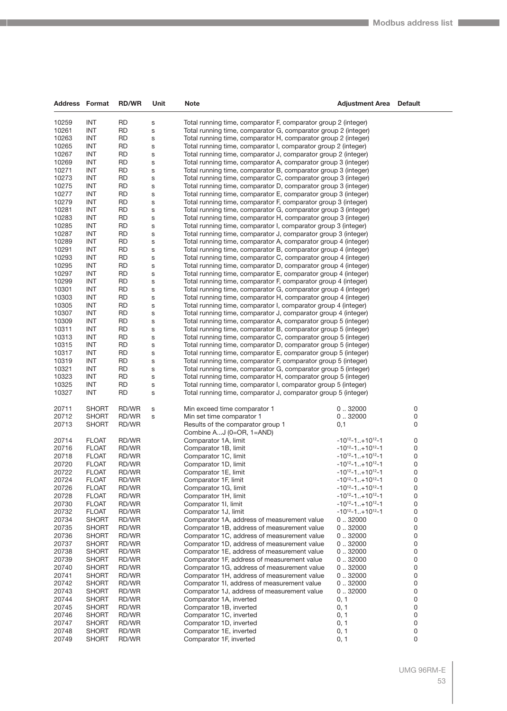| Address Format |              | <b>RD/WR</b> | Unit        | Note                                                           | <b>Adjustment Area</b>               | <b>Default</b> |
|----------------|--------------|--------------|-------------|----------------------------------------------------------------|--------------------------------------|----------------|
| 10259          | INT          | RD           |             | Total running time, comparator F, comparator group 2 (integer) |                                      |                |
| 10261          | INT          | <b>RD</b>    | S<br>S      | Total running time, comparator G, comparator group 2 (integer) |                                      |                |
| 10263          | INT          | RD           |             | Total running time, comparator H, comparator group 2 (integer) |                                      |                |
| 10265          | INT          | RD           | S<br>S      | Total running time, comparator I, comparator group 2 (integer) |                                      |                |
| 10267          | <b>INT</b>   | <b>RD</b>    | S           | Total running time, comparator J, comparator group 2 (integer) |                                      |                |
| 10269          | INT          | RD           | s           | Total running time, comparator A, comparator group 3 (integer) |                                      |                |
| 10271          | INT          | <b>RD</b>    | S           | Total running time, comparator B, comparator group 3 (integer) |                                      |                |
| 10273          | INT          | RD           | S           | Total running time, comparator C, comparator group 3 (integer) |                                      |                |
| 10275          | INT          | <b>RD</b>    | S           | Total running time, comparator D, comparator group 3 (integer) |                                      |                |
| 10277          | <b>INT</b>   | <b>RD</b>    | S           | Total running time, comparator E, comparator group 3 (integer) |                                      |                |
| 10279          | INT          | RD           | s           | Total running time, comparator F, comparator group 3 (integer) |                                      |                |
| 10281          | INT          | <b>RD</b>    | S           | Total running time, comparator G, comparator group 3 (integer) |                                      |                |
| 10283          | INT          | RD           | S           | Total running time, comparator H, comparator group 3 (integer) |                                      |                |
| 10285          | INT          | RD           | S           | Total running time, comparator I, comparator group 3 (integer) |                                      |                |
| 10287          | INT          | <b>RD</b>    | S           | Total running time, comparator J, comparator group 3 (integer) |                                      |                |
| 10289          | INT          | RD           | S           | Total running time, comparator A, comparator group 4 (integer) |                                      |                |
| 10291          | INT          | <b>RD</b>    | S           | Total running time, comparator B, comparator group 4 (integer) |                                      |                |
| 10293          | INT          | RD           | S           | Total running time, comparator C, comparator group 4 (integer) |                                      |                |
| 10295          | INT          | RD           | S           | Total running time, comparator D, comparator group 4 (integer) |                                      |                |
| 10297          | <b>INT</b>   | <b>RD</b>    | S           | Total running time, comparator E, comparator group 4 (integer) |                                      |                |
| 10299          | INT          | RD           | s           | Total running time, comparator F, comparator group 4 (integer) |                                      |                |
| 10301          | INT          | <b>RD</b>    | S           | Total running time, comparator G, comparator group 4 (integer) |                                      |                |
| 10303          | INT          | RD           | S           | Total running time, comparator H, comparator group 4 (integer) |                                      |                |
| 10305          | INT          | RD           | S           | Total running time, comparator I, comparator group 4 (integer) |                                      |                |
| 10307          | INT          | <b>RD</b>    | S           | Total running time, comparator J, comparator group 4 (integer) |                                      |                |
| 10309          | INT          | RD           | S           | Total running time, comparator A, comparator group 5 (integer) |                                      |                |
| 10311          | INT          | <b>RD</b>    | S           | Total running time, comparator B, comparator group 5 (integer) |                                      |                |
| 10313          | INT          | RD           | S           | Total running time, comparator C, comparator group 5 (integer) |                                      |                |
| 10315          | INT          | RD           | S           | Total running time, comparator D, comparator group 5 (integer) |                                      |                |
| 10317          | <b>INT</b>   | <b>RD</b>    | S           | Total running time, comparator E, comparator group 5 (integer) |                                      |                |
| 10319          | INT          | RD           | S           | Total running time, comparator F, comparator group 5 (integer) |                                      |                |
| 10321          | INT          | <b>RD</b>    | S           | Total running time, comparator G, comparator group 5 (integer) |                                      |                |
| 10323          | INT          | RD           | S           | Total running time, comparator H, comparator group 5 (integer) |                                      |                |
| 10325          | INT          | RD           | S           | Total running time, comparator I, comparator group 5 (integer) |                                      |                |
| 10327          | INT          | <b>RD</b>    | S           | Total running time, comparator J, comparator group 5 (integer) |                                      |                |
| 20711          | <b>SHORT</b> | RD/WR        | $\mathbf S$ | Min exceed time comparator 1                                   | 032000                               | 0              |
| 20712          | <b>SHORT</b> | RD/WR        | S           | Min set time comparator 1                                      | 0.32000                              | 0              |
| 20713          | <b>SHORT</b> | RD/WR        |             | Results of the comparator group 1                              | 0,1                                  | 0              |
|                |              |              |             | Combine AJ (0=OR, 1=AND)                                       |                                      |                |
| 20714          | <b>FLOAT</b> | RD/WR        |             | Comparator 1A, limit                                           | $-10^{12} - 1$ +10 <sup>12</sup> -1  | 0              |
| 20716          | <b>FLOAT</b> | RD/WR        |             | Comparator 1B, limit                                           | $-10^{12} - 1$ +10 <sup>12</sup> -1  | 0              |
| 20718          | <b>FLOAT</b> | RD/WR        |             | Comparator 1C, limit                                           | $-10^{12} - 1$ +10 <sup>12</sup> -1  | 0              |
| 20720          | <b>FLOAT</b> | RD/WR        |             | Comparator 1D, limit                                           | $-10^{12} - 1$ +10 <sup>12</sup> -1  | 0              |
| 20722          | <b>FLOAT</b> | RD/WR        |             | Comparator 1E, limit                                           | $-10^{12} - 1$ +10 <sup>12</sup> -1  | 0              |
| 20724          | <b>FLOAT</b> | RD/WR        |             | Comparator 1F, limit                                           | $-10^{12} - 1$ +10 <sup>12</sup> -1  | 0              |
| 20726          | FLOAT        | RD/WR        |             | Comparator 1G, limit                                           | $-10^{12} - 1$ +10 <sup>12</sup> -1  | 0              |
| 20728          | <b>FLOAT</b> | RD/WR        |             | Comparator 1H, limit                                           | $-10^{12} - 1$ +10 <sup>12</sup> -1  | 0              |
| 20730          | <b>FLOAT</b> | RD/WR        |             | Comparator 1I, limit                                           | $-10^{12} - 1$ +10 <sup>12</sup> -1  | 0              |
| 20732          | <b>FLOAT</b> | RD/WR        |             | Comparator 1J, limit                                           | $-10^{12} - 1$ + 10 <sup>12</sup> -1 | 0              |
| 20734          | <b>SHORT</b> | RD/WR        |             | Comparator 1A, address of measurement value                    | 0.32000                              | 0              |
| 20735          | <b>SHORT</b> | RD/WR        |             | Comparator 1B, address of measurement value                    | 0.32000                              | 0              |
| 20736          | <b>SHORT</b> | RD/WR        |             | Comparator 1C, address of measurement value                    | 0.32000                              | 0              |
| 20737          | SHORT        | RD/WR        |             | Comparator 1D, address of measurement value                    | 0.32000                              | 0              |
| 20738          | SHORT        | RD/WR        |             | Comparator 1E, address of measurement value                    | 0.32000                              | 0              |
| 20739          | <b>SHORT</b> | RD/WR        |             | Comparator 1F, address of measurement value                    | 0.32000                              | 0              |
| 20740          | SHORT        | RD/WR        |             | Comparator 1G, address of measurement value                    | 0.32000                              | 0              |
| 20741          | <b>SHORT</b> | RD/WR        |             | Comparator 1H, address of measurement value                    | 0.32000                              | 0              |
| 20742          | SHORT        | RD/WR        |             | Comparator 1I, address of measurement value                    | 0.32000                              | 0              |
| 20743          | SHORT        | RD/WR        |             | Comparator 1J, address of measurement value                    | 0.32000                              | 0              |
| 20744          | SHORT        | RD/WR        |             | Comparator 1A, inverted                                        | 0, 1                                 | 0              |
| 20745          | SHORT        | RD/WR        |             | Comparator 1B, inverted                                        | 0, 1                                 | 0              |
| 20746          | <b>SHORT</b> | RD/WR        |             | Comparator 1C, inverted                                        | 0, 1                                 | 0              |
| 20747          | SHORT        | RD/WR        |             | Comparator 1D, inverted                                        | 0, 1                                 | 0              |
| 20748          | <b>SHORT</b> | RD/WR        |             | Comparator 1E, inverted                                        | 0, 1                                 | 0              |
| 20749          | <b>SHORT</b> | RD/WR        |             | Comparator 1F, inverted                                        | 0, 1                                 | 0              |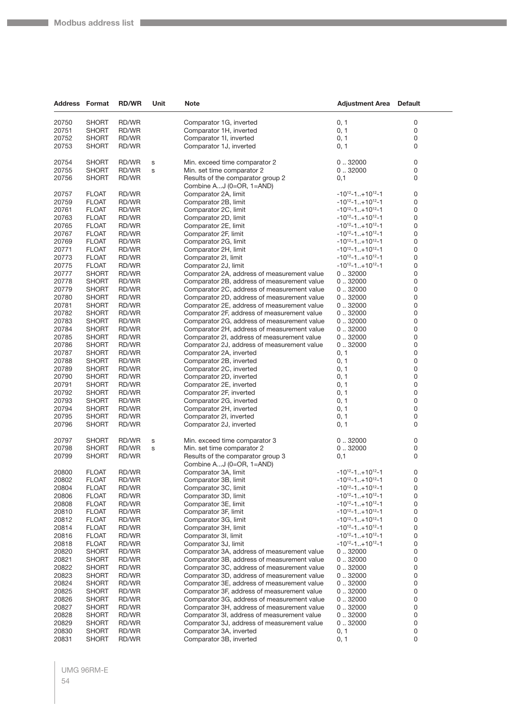**The State** 

| <b>Address Format</b> |                              | <b>RD/WR</b>   | Unit | <b>Note</b>                                                            | <b>Adjustment Area</b>              | <b>Default</b> |
|-----------------------|------------------------------|----------------|------|------------------------------------------------------------------------|-------------------------------------|----------------|
|                       | <b>SHORT</b>                 | RD/WR          |      |                                                                        | 0, 1                                |                |
| 20750                 |                              |                |      | Comparator 1G, inverted                                                |                                     | 0              |
| 20751                 | <b>SHORT</b>                 | RD/WR          |      | Comparator 1H, inverted                                                | 0, 1                                | 0              |
| 20752                 | <b>SHORT</b>                 | RD/WR          |      | Comparator 1I, inverted                                                | 0, 1                                | 0              |
| 20753                 | <b>SHORT</b>                 | RD/WR          |      | Comparator 1J, inverted                                                | 0, 1                                | 0              |
| 20754                 | <b>SHORT</b>                 | RD/WR          | s    | Min. exceed time comparator 2                                          | 0.32000                             | 0              |
| 20755                 | <b>SHORT</b>                 | RD/WR          | s    | Min. set time comparator 2                                             | 0.32000                             | 0              |
| 20756                 | <b>SHORT</b>                 | RD/WR          |      | Results of the comparator group 2                                      | 0,1                                 | 0              |
|                       |                              |                |      | Combine AJ (0=OR, 1=AND)                                               |                                     |                |
| 20757                 | <b>FLOAT</b>                 | RD/WR          |      | Comparator 2A, limit                                                   | $-10^{12} - 1$ +10 <sup>12</sup> -1 | 0              |
| 20759                 | <b>FLOAT</b>                 | RD/WR          |      | Comparator 2B, limit                                                   | $-10^{12} - 1$ +10 <sup>12</sup> -1 | 0              |
| 20761                 | <b>FLOAT</b>                 | RD/WR          |      | Comparator 2C, limit                                                   | $-10^{12} - 1$ +10 <sup>12</sup> -1 | 0              |
| 20763                 | <b>FLOAT</b>                 | RD/WR          |      | Comparator 2D, limit                                                   | $-10^{12} - 1$ +10 <sup>12</sup> -1 | 0              |
| 20765                 | <b>FLOAT</b>                 | RD/WR          |      | Comparator 2E, limit                                                   | $-10^{12} - 1$ +10 <sup>12</sup> -1 | 0              |
| 20767                 | <b>FLOAT</b>                 | RD/WR          |      | Comparator 2F, limit                                                   | $-10^{12} - 1$ +10 <sup>12</sup> -1 | 0              |
| 20769                 | <b>FLOAT</b>                 | RD/WR          |      | Comparator 2G, limit                                                   | $-10^{12} - 1$ +10 <sup>12</sup> -1 | 0              |
| 20771                 | <b>FLOAT</b>                 | RD/WR          |      | Comparator 2H, limit                                                   | $-10^{12} - 1$ +10 <sup>12</sup> -1 | 0              |
| 20773                 | <b>FLOAT</b>                 | RD/WR          |      | Comparator 2I, limit                                                   | $-10^{12} - 1$ +10 <sup>12</sup> -1 | 0              |
| 20775                 | <b>FLOAT</b>                 | RD/WR          |      | Comparator 2J, limit                                                   | $-10^{12} - 1$ +10 <sup>12</sup> -1 | 0              |
| 20777                 | <b>SHORT</b>                 | RD/WR          |      | Comparator 2A, address of measurement value                            | 0.32000                             | 0              |
| 20778                 | <b>SHORT</b>                 | RD/WR          |      | Comparator 2B, address of measurement value                            | 0.32000                             | 0              |
| 20779                 | <b>SHORT</b>                 | RD/WR          |      | Comparator 2C, address of measurement value                            | 0.32000                             | 0              |
| 20780                 | <b>SHORT</b>                 | RD/WR          |      | Comparator 2D, address of measurement value                            | 0.32000                             | 0              |
| 20781                 | <b>SHORT</b>                 | RD/WR          |      | Comparator 2E, address of measurement value                            | 0.32000                             | 0              |
| 20782                 | <b>SHORT</b>                 | RD/WR          |      | Comparator 2F, address of measurement value                            | 0.32000                             | 0              |
| 20783                 | <b>SHORT</b>                 | RD/WR          |      | Comparator 2G, address of measurement value                            | 0.32000                             | 0              |
| 20784                 | <b>SHORT</b>                 | RD/WR          |      | Comparator 2H, address of measurement value                            | 0.32000                             | 0              |
| 20785                 | <b>SHORT</b>                 | RD/WR          |      | Comparator 2I, address of measurement value                            | 0.32000                             | 0              |
| 20786                 | <b>SHORT</b>                 | RD/WR          |      | Comparator 2J, address of measurement value                            | 0.32000                             | 0              |
| 20787                 | <b>SHORT</b>                 | RD/WR          |      | Comparator 2A, inverted                                                | 0, 1                                | 0              |
| 20788                 | <b>SHORT</b>                 | RD/WR          |      | Comparator 2B, inverted                                                | 0, 1                                | 0              |
| 20789                 | <b>SHORT</b>                 | RD/WR          |      | Comparator 2C, inverted                                                | 0, 1                                | 0              |
| 20790                 | <b>SHORT</b>                 | RD/WR          |      | Comparator 2D, inverted                                                | 0, 1                                | 0              |
| 20791                 | <b>SHORT</b>                 | RD/WR          |      | Comparator 2E, inverted                                                | 0, 1                                | 0              |
| 20792                 | <b>SHORT</b>                 | RD/WR          |      | Comparator 2F, inverted                                                | 0, 1                                | 0              |
| 20793                 | <b>SHORT</b>                 | RD/WR          |      | Comparator 2G, inverted                                                | 0, 1                                | 0              |
| 20794                 | <b>SHORT</b>                 | RD/WR          |      | Comparator 2H, inverted                                                | 0, 1                                | 0              |
| 20795                 | <b>SHORT</b>                 | RD/WR          |      | Comparator 2I, inverted                                                | 0, 1                                | 0              |
| 20796                 | <b>SHORT</b>                 | RD/WR          |      | Comparator 2J, inverted                                                | 0, 1                                | 0              |
| 20797                 | <b>SHORT</b>                 | RD/WR          | s    | Min. exceed time comparator 3                                          | 0.32000                             | 0              |
| 20798                 | <b>SHORT</b>                 | RD/WR          | s    | Min. set time comparator 2                                             | 0.32000                             | 0              |
| 20799                 | <b>SHORT</b>                 | RD/WR          |      | Results of the comparator group 3                                      | 0,1                                 | 0              |
|                       |                              |                |      | Combine AJ (0=OR, 1=AND)                                               |                                     |                |
| 20800                 | <b>FLOAT</b>                 | RD/WR          |      | Comparator 3A, limit                                                   | $-10^{12} - 1 + 10^{12} - 1$        | 0              |
| 20802                 | <b>FLOAT</b>                 | RD/WR          |      | Comparator 3B, limit                                                   | $-10^{12} - 1$ +10 <sup>12</sup> -1 | 0              |
| 20804                 | <b>FLOAT</b>                 | RD/WR          |      | Comparator 3C, limit                                                   | $-10^{12} - 1$ +10 <sup>12</sup> -1 | 0              |
| 20806                 | <b>FLOAT</b>                 | RD/WR          |      | Comparator 3D, limit                                                   | $-10^{12} - 1$ +10 <sup>12</sup> -1 | 0              |
| 20808                 | <b>FLOAT</b>                 | RD/WR          |      | Comparator 3E, limit                                                   | $-10^{12} - 1$ +10 <sup>12</sup> -1 | 0              |
| 20810                 | <b>FLOAT</b>                 | RD/WR          |      | Comparator 3F, limit                                                   | $-10^{12} - 1$ +10 <sup>12</sup> -1 | 0              |
| 20812                 | <b>FLOAT</b>                 | RD/WR          |      | Comparator 3G, limit                                                   | $-10^{12} - 1$ +10 <sup>12</sup> -1 | 0              |
| 20814                 | <b>FLOAT</b>                 | RD/WR          |      | Comparator 3H, limit                                                   | $-10^{12} - 1$ +10 <sup>12</sup> -1 | 0              |
| 20816                 | <b>FLOAT</b>                 | RD/WR          |      | Comparator 3I, limit                                                   | $-10^{12} - 1$ +10 <sup>12</sup> -1 | 0              |
| 20818                 | <b>FLOAT</b>                 | RD/WR          |      | Comparator 3J, limit                                                   | $-10^{12} - 1$ +10 <sup>12</sup> -1 | 0              |
| 20820                 | <b>SHORT</b>                 | RD/WR          |      | Comparator 3A, address of measurement value                            | 0.32000                             | 0              |
| 20821                 | <b>SHORT</b>                 | RD/WR          |      | Comparator 3B, address of measurement value                            | 0.32000                             | 0              |
| 20822                 | <b>SHORT</b>                 | RD/WR          |      | Comparator 3C, address of measurement value                            | 0.32000                             | 0              |
| 20823                 | <b>SHORT</b>                 | RD/WR          |      | Comparator 3D, address of measurement value                            | 0.32000                             | 0              |
| 20824                 | <b>SHORT</b>                 | RD/WR          |      | Comparator 3E, address of measurement value                            | 0.32000                             | 0              |
| 20825                 | <b>SHORT</b>                 | RD/WR          |      | Comparator 3F, address of measurement value                            | 0.32000                             | 0              |
| 20826                 | <b>SHORT</b>                 | RD/WR          |      | Comparator 3G, address of measurement value                            | 0.32000                             | 0              |
| 20827                 | <b>SHORT</b>                 | RD/WR          |      | Comparator 3H, address of measurement value                            | 0.32000                             | 0              |
| 20828                 | <b>SHORT</b>                 | RD/WR          |      | Comparator 3I, address of measurement value                            | 0.32000                             | 0              |
| 20829<br>20830        | <b>SHORT</b><br><b>SHORT</b> | RD/WR<br>RD/WR |      | Comparator 3J, address of measurement value<br>Comparator 3A, inverted | 0.32000<br>0, 1                     | 0<br>0         |
| 20831                 | <b>SHORT</b>                 | RD/WR          |      | Comparator 3B, inverted                                                | 0, 1                                | 0              |
|                       |                              |                |      |                                                                        |                                     |                |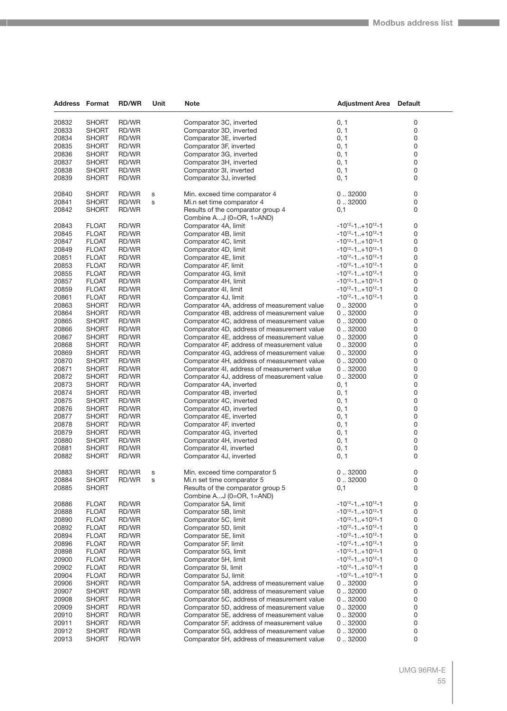| <b>Address Format</b> |                              | <b>RD/WR</b>   | Unit        | Note                                                          | <b>Adjustment Area</b>                                               | <b>Default</b> |
|-----------------------|------------------------------|----------------|-------------|---------------------------------------------------------------|----------------------------------------------------------------------|----------------|
| 20832                 | <b>SHORT</b>                 | RD/WR          |             | Comparator 3C, inverted                                       | 0, 1                                                                 | 0              |
| 20833                 | <b>SHORT</b>                 | RD/WR          |             | Comparator 3D, inverted                                       | 0, 1                                                                 | 0              |
| 20834                 | <b>SHORT</b>                 | RD/WR          |             | Comparator 3E, inverted                                       | 0, 1                                                                 | 0              |
| 20835                 | <b>SHORT</b>                 | RD/WR          |             | Comparator 3F, inverted                                       | 0, 1                                                                 | 0              |
| 20836                 | <b>SHORT</b>                 | RD/WR          |             | Comparator 3G, inverted                                       | 0, 1                                                                 | 0              |
| 20837                 | <b>SHORT</b>                 | RD/WR          |             | Comparator 3H, inverted                                       | 0, 1                                                                 | 0              |
| 20838                 | <b>SHORT</b>                 | RD/WR          |             | Comparator 3I, inverted                                       | 0, 1                                                                 | 0              |
| 20839                 | <b>SHORT</b>                 | RD/WR          |             | Comparator 3J, inverted                                       | 0, 1                                                                 | 0              |
|                       |                              |                |             |                                                               |                                                                      |                |
| 20840                 | <b>SHORT</b>                 | RD/WR          | $\mathbf S$ | Min. exceed time comparator 4                                 | 0.32000                                                              | 0              |
| 20841                 | <b>SHORT</b>                 | RD/WR          | s           | Mi.n set time comparator 4                                    | 0.32000                                                              | 0              |
| 20842                 | <b>SHORT</b>                 | RD/WR          |             | Results of the comparator group 4                             | 0,1                                                                  | 0              |
|                       |                              |                |             | Combine AJ (0=OR, 1=AND)                                      |                                                                      |                |
| 20843                 | <b>FLOAT</b>                 | RD/WR          |             | Comparator 4A, limit                                          | $-10^{12} - 1$ +10 <sup>12</sup> -1<br>$-10^{12} - 1. + 10^{12} - 1$ | 0              |
| 20845                 | <b>FLOAT</b>                 | RD/WR          |             | Comparator 4B, limit                                          | $-10^{12} - 1$ + 10 <sup>12</sup> -1                                 | 0<br>0         |
| 20847<br>20849        | <b>FLOAT</b><br><b>FLOAT</b> | RD/WR<br>RD/WR |             | Comparator 4C, limit<br>Comparator 4D, limit                  | $-10^{12} - 1$ +10 <sup>12</sup> -1                                  | 0              |
| 20851                 | <b>FLOAT</b>                 | RD/WR          |             | Comparator 4E, limit                                          | $-10^{12} - 1$ +10 <sup>12</sup> -1                                  | 0              |
| 20853                 | <b>FLOAT</b>                 | RD/WR          |             | Comparator 4F, limit                                          | $-10^{12} - 1$ +10 <sup>12</sup> -1                                  | 0              |
| 20855                 | <b>FLOAT</b>                 | RD/WR          |             | Comparator 4G, limit                                          | $-10^{12} - 1$ +10 <sup>12</sup> -1                                  | 0              |
| 20857                 | <b>FLOAT</b>                 | RD/WR          |             | Comparator 4H, limit                                          | $-10^{12} - 1$ +10 <sup>12</sup> -1                                  | 0              |
| 20859                 | <b>FLOAT</b>                 | RD/WR          |             | Comparator 4I, limit                                          | $-10^{12} - 1$ +10 <sup>12</sup> -1                                  | 0              |
| 20861                 | <b>FLOAT</b>                 | RD/WR          |             | Comparator 4J, limit                                          | $-10^{12} - 1$ + 10 <sup>12</sup> -1                                 | 0              |
| 20863                 | <b>SHORT</b>                 | RD/WR          |             | Comparator 4A, address of measurement value                   | 0.32000                                                              | 0              |
| 20864                 | <b>SHORT</b>                 | RD/WR          |             | Comparator 4B, address of measurement value                   | 0.32000                                                              | 0              |
| 20865                 | <b>SHORT</b>                 | RD/WR          |             | Comparator 4C, address of measurement value                   | 0.32000                                                              | 0              |
| 20866                 | <b>SHORT</b>                 | RD/WR          |             | Comparator 4D, address of measurement value                   | 0.32000                                                              | 0              |
| 20867                 | <b>SHORT</b>                 | RD/WR          |             | Comparator 4E, address of measurement value                   | 0.32000                                                              | 0              |
| 20868                 | <b>SHORT</b>                 | RD/WR          |             | Comparator 4F, address of measurement value                   | 0.32000                                                              | 0              |
| 20869                 | <b>SHORT</b>                 | RD/WR          |             | Comparator 4G, address of measurement value                   | 0.32000                                                              | 0              |
| 20870                 | <b>SHORT</b>                 | RD/WR          |             | Comparator 4H, address of measurement value                   | 0.32000                                                              | 0              |
| 20871                 | <b>SHORT</b>                 | RD/WR          |             | Comparator 4I, address of measurement value                   | 0.32000                                                              | 0              |
| 20872                 | <b>SHORT</b>                 | RD/WR          |             | Comparator 4J, address of measurement value                   | 0.32000                                                              | 0              |
| 20873                 | <b>SHORT</b>                 | RD/WR          |             | Comparator 4A, inverted                                       | 0, 1                                                                 | 0              |
| 20874                 | <b>SHORT</b>                 | RD/WR          |             | Comparator 4B, inverted                                       | 0, 1                                                                 | 0              |
| 20875                 | <b>SHORT</b>                 | RD/WR          |             | Comparator 4C, inverted                                       | 0, 1                                                                 | 0              |
| 20876                 | <b>SHORT</b>                 | RD/WR          |             | Comparator 4D, inverted                                       | 0, 1                                                                 | 0              |
| 20877                 | <b>SHORT</b>                 | RD/WR          |             | Comparator 4E, inverted                                       | 0, 1                                                                 | 0              |
| 20878                 | <b>SHORT</b>                 | RD/WR          |             | Comparator 4F, inverted                                       | 0, 1                                                                 | 0              |
| 20879                 | <b>SHORT</b>                 | RD/WR          |             | Comparator 4G, inverted<br>Comparator 4H, inverted            | 0, 1                                                                 | 0              |
| 20880<br>20881        | <b>SHORT</b><br>SHORT        | RD/WR<br>RD/WR |             | Comparator 4I, inverted                                       | 0, 1<br>0, 1                                                         | 0<br>0         |
| 20882                 | <b>SHORT</b>                 | RD/WR          |             | Comparator 4J, inverted                                       | 0, 1                                                                 | 0              |
|                       |                              |                |             |                                                               |                                                                      |                |
| 20883                 | <b>SHORT</b>                 | RD/WR          | S           | Min. exceed time comparator 5                                 | 0.32000                                                              | 0              |
| 20884                 | SHORT                        | RD/WR          | S           | Mi.n set time comparator 5                                    | 0.032000                                                             | 0              |
| 20885                 | <b>SHORT</b>                 |                |             | Results of the comparator group 5<br>Combine AJ (0=OR, 1=AND) | 0,1                                                                  | 0              |
| 20886                 | <b>FLOAT</b>                 | RD/WR          |             | Comparator 5A, limit                                          | $-10^{12} - 1$ +10 <sup>12</sup> -1                                  | 0              |
| 20888                 | <b>FLOAT</b>                 | RD/WR          |             | Comparator 5B, limit                                          | $-10^{12} - 1$ +10 <sup>12</sup> -1                                  | 0              |
| 20890                 | <b>FLOAT</b>                 | RD/WR          |             | Comparator 5C, limit                                          | $-10^{12} - 1+10^{12} - 1$                                           | 0              |
| 20892                 | <b>FLOAT</b>                 | RD/WR          |             | Comparator 5D, limit                                          | $-10^{12} - 1$ + 10 <sup>12</sup> -1                                 | 0              |
| 20894                 | <b>FLOAT</b>                 | RD/WR          |             | Comparator 5E, limit                                          | $-10^{12} - 1$ +10 <sup>12</sup> -1                                  | 0              |
| 20896                 | <b>FLOAT</b>                 | RD/WR          |             | Comparator 5F, limit                                          | $-10^{12} - 1$ + 10 <sup>12</sup> -1                                 | 0              |
| 20898                 | FLOAT                        | RD/WR          |             | Comparator 5G, limit                                          | $-10^{12} - 1$ +10 <sup>12</sup> -1                                  | 0              |
| 20900                 | <b>FLOAT</b>                 | RD/WR          |             | Comparator 5H, limit                                          | $-10^{12} - 1$ + 10 <sup>12</sup> -1                                 | 0              |
| 20902                 | <b>FLOAT</b>                 | RD/WR          |             | Comparator 5I, limit                                          | $-10^{12} - 1$ + 10 <sup>12</sup> -1                                 | 0              |
| 20904                 | <b>FLOAT</b>                 | RD/WR          |             | Comparator 5J, limit                                          | $-10^{12} - 1$ + 10 <sup>12</sup> -1                                 | 0              |
| 20906                 | <b>SHORT</b>                 | RD/WR          |             | Comparator 5A, address of measurement value                   | 0.32000                                                              | 0              |
| 20907                 | SHORT                        | RD/WR          |             | Comparator 5B, address of measurement value                   | 0.32000                                                              | 0              |
| 20908                 | SHORT                        | RD/WR          |             | Comparator 5C, address of measurement value                   | 0.032000                                                             | 0              |
| 20909                 | SHORT                        | RD/WR          |             | Comparator 5D, address of measurement value                   | 0.32000                                                              | 0              |
| 20910                 | <b>SHORT</b>                 | RD/WR          |             | Comparator 5E, address of measurement value                   | 0.32000                                                              | 0              |
| 20911                 | <b>SHORT</b>                 | RD/WR          |             | Comparator 5F, address of measurement value                   | 0.32000                                                              | 0              |
| 20912                 | SHORT                        | RD/WR          |             | Comparator 5G, address of measurement value                   | 0.032000                                                             | 0              |
| 20913                 | SHORT                        | RD/WR          |             | Comparator 5H, address of measurement value                   | 0.32000                                                              | 0              |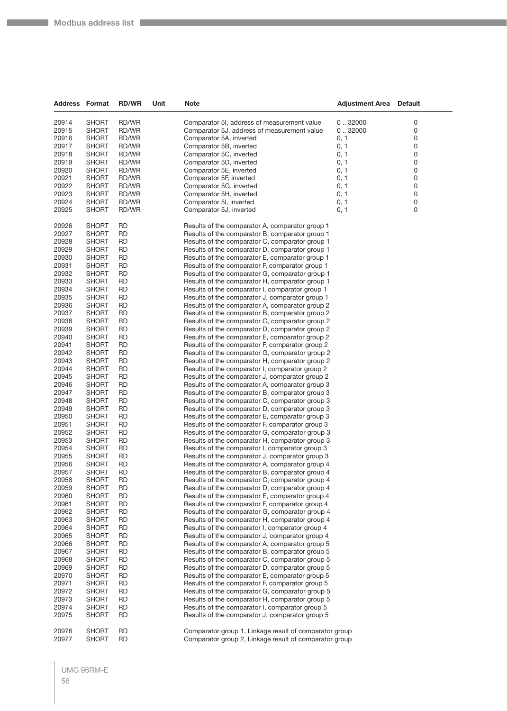| <b>Address Format</b> |              | <b>RD/WR</b> | Unit | Note                                                   | <b>Adjustment Area</b> | <b>Default</b> |
|-----------------------|--------------|--------------|------|--------------------------------------------------------|------------------------|----------------|
|                       |              |              |      |                                                        |                        |                |
| 20914                 | <b>SHORT</b> | RD/WR        |      | Comparator 5I, address of measurement value            | 0.32000                | 0              |
| 20915                 | <b>SHORT</b> | RD/WR        |      | Comparator 5J, address of measurement value            | 0.32000                | 0              |
| 20916                 | <b>SHORT</b> | RD/WR        |      | Comparator 5A, inverted                                | 0, 1                   | 0              |
| 20917                 | <b>SHORT</b> | RD/WR        |      | Comparator 5B, inverted                                | 0, 1                   | 0              |
| 20918                 | <b>SHORT</b> | RD/WR        |      | Comparator 5C, inverted                                | 0, 1                   | 0              |
| 20919                 | <b>SHORT</b> | RD/WR        |      | Comparator 5D, inverted                                | 0, 1                   | 0              |
| 20920                 | <b>SHORT</b> | RD/WR        |      | Comparator 5E, inverted                                | 0, 1                   | 0              |
| 20921                 | <b>SHORT</b> | RD/WR        |      | Comparator 5F, inverted                                | 0, 1                   | 0              |
| 20922                 | <b>SHORT</b> | RD/WR        |      | Comparator 5G, inverted                                | 0, 1                   | 0              |
| 20923                 | <b>SHORT</b> | RD/WR        |      | Comparator 5H, inverted                                | 0, 1                   | 0              |
| 20924                 | <b>SHORT</b> | RD/WR        |      | Comparator 5I, inverted                                | 0, 1                   | 0              |
| 20925                 | <b>SHORT</b> | RD/WR        |      | Comparator 5J, inverted                                | 0, 1                   | 0              |
| 20926                 | <b>SHORT</b> | <b>RD</b>    |      | Results of the comparator A, comparator group 1        |                        |                |
| 20927                 | <b>SHORT</b> | RD           |      | Results of the comparator B, comparator group 1        |                        |                |
| 20928                 | <b>SHORT</b> | RD           |      | Results of the comparator C, comparator group 1        |                        |                |
| 20929                 | <b>SHORT</b> | RD           |      | Results of the comparator D, comparator group 1        |                        |                |
| 20930                 | <b>SHORT</b> | RD           |      | Results of the comparator E, comparator group 1        |                        |                |
| 20931                 | <b>SHORT</b> | <b>RD</b>    |      | Results of the comparator F, comparator group 1        |                        |                |
| 20932                 | <b>SHORT</b> | RD           |      | Results of the comparator G, comparator group 1        |                        |                |
| 20933                 | <b>SHORT</b> | RD           |      | Results of the comparator H, comparator group 1        |                        |                |
| 20934                 | <b>SHORT</b> | RD           |      | Results of the comparator I, comparator group 1        |                        |                |
| 20935                 | <b>SHORT</b> | RD           |      | Results of the comparator J, comparator group 1        |                        |                |
| 20936                 | <b>SHORT</b> | <b>RD</b>    |      | Results of the comparator A, comparator group 2        |                        |                |
| 20937                 | <b>SHORT</b> | RD           |      | Results of the comparator B, comparator group 2        |                        |                |
| 20938                 | <b>SHORT</b> | RD           |      | Results of the comparator C, comparator group 2        |                        |                |
| 20939                 | <b>SHORT</b> | RD           |      | Results of the comparator D, comparator group 2        |                        |                |
| 20940                 | <b>SHORT</b> | RD           |      | Results of the comparator E, comparator group 2        |                        |                |
| 20941                 | <b>SHORT</b> | <b>RD</b>    |      | Results of the comparator F, comparator group 2        |                        |                |
| 20942                 | <b>SHORT</b> | RD           |      | Results of the comparator G, comparator group 2        |                        |                |
| 20943                 | <b>SHORT</b> | RD           |      | Results of the comparator H, comparator group 2        |                        |                |
| 20944                 | <b>SHORT</b> | RD           |      | Results of the comparator I, comparator group 2        |                        |                |
| 20945                 | <b>SHORT</b> | RD           |      | Results of the comparator J, comparator group 2        |                        |                |
| 20946                 | <b>SHORT</b> | <b>RD</b>    |      | Results of the comparator A, comparator group 3        |                        |                |
| 20947                 | <b>SHORT</b> | RD           |      | Results of the comparator B, comparator group 3        |                        |                |
| 20948                 | <b>SHORT</b> | RD           |      | Results of the comparator C, comparator group 3        |                        |                |
| 20949                 | <b>SHORT</b> | RD           |      | Results of the comparator D, comparator group 3        |                        |                |
| 20950                 | <b>SHORT</b> | RD           |      | Results of the comparator E, comparator group 3        |                        |                |
| 20951                 | <b>SHORT</b> | RD           |      | Results of the comparator F, comparator group 3        |                        |                |
| 20952                 | <b>SHORT</b> | RD           |      | Results of the comparator G, comparator group 3        |                        |                |
| 20953                 | <b>SHORT</b> | RD           |      | Results of the comparator H, comparator group 3        |                        |                |
| 20954                 | <b>SHORT</b> | RD           |      | Results of the comparator I, comparator group 3        |                        |                |
| 20955                 | <b>SHORT</b> | <b>RD</b>    |      | Results of the comparator J, comparator group 3        |                        |                |
| 20956                 | <b>SHORT</b> | <b>RD</b>    |      | Results of the comparator A, comparator group 4        |                        |                |
| 20957                 | <b>SHORT</b> | <b>RD</b>    |      | Results of the comparator B, comparator group 4        |                        |                |
| 20958                 | <b>SHORT</b> | RD           |      | Results of the comparator C, comparator group 4        |                        |                |
| 20959                 | <b>SHORT</b> | RD           |      | Results of the comparator D, comparator group 4        |                        |                |
| 20960                 | <b>SHORT</b> | RD           |      | Results of the comparator E, comparator group 4        |                        |                |
| 20961                 | <b>SHORT</b> | RD           |      | Results of the comparator F, comparator group 4        |                        |                |
| 20962                 | <b>SHORT</b> | RD           |      | Results of the comparator G, comparator group 4        |                        |                |
| 20963                 | <b>SHORT</b> | RD           |      | Results of the comparator H, comparator group 4        |                        |                |
| 20964                 | <b>SHORT</b> | RD           |      | Results of the comparator I, comparator group 4        |                        |                |
| 20965                 | <b>SHORT</b> | RD           |      | Results of the comparator J, comparator group 4        |                        |                |
| 20966                 | <b>SHORT</b> | RD           |      | Results of the comparator A, comparator group 5        |                        |                |
| 20967                 | <b>SHORT</b> | RD           |      | Results of the comparator B, comparator group 5        |                        |                |
| 20968                 | <b>SHORT</b> | RD           |      | Results of the comparator C, comparator group 5        |                        |                |
| 20969                 | <b>SHORT</b> | RD           |      | Results of the comparator D, comparator group 5        |                        |                |
| 20970                 | <b>SHORT</b> | RD           |      | Results of the comparator E, comparator group 5        |                        |                |
| 20971                 | <b>SHORT</b> | RD           |      | Results of the comparator F, comparator group 5        |                        |                |
| 20972                 | <b>SHORT</b> | RD           |      | Results of the comparator G, comparator group 5        |                        |                |
| 20973                 | <b>SHORT</b> | RD           |      | Results of the comparator H, comparator group 5        |                        |                |
| 20974                 | <b>SHORT</b> | RD           |      | Results of the comparator I, comparator group 5        |                        |                |
| 20975                 | <b>SHORT</b> | RD           |      | Results of the comparator J, comparator group 5        |                        |                |
| 20976                 | <b>SHORT</b> | RD           |      | Comparator group 1, Linkage result of comparator group |                        |                |
| 20977                 | <b>SHORT</b> | <b>RD</b>    |      | Comparator group 2, Linkage result of comparator group |                        |                |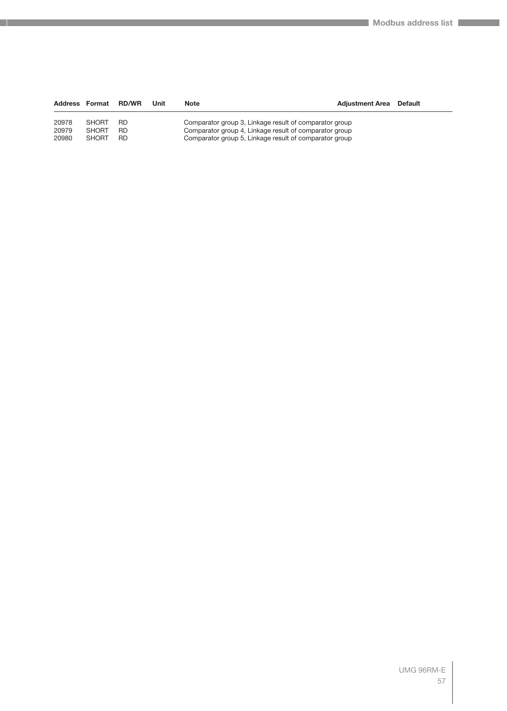| Address Format |              | <b>RD/WR</b> | Unit | <b>Note</b>                                            | <b>Adiustment Area</b> Default |  |
|----------------|--------------|--------------|------|--------------------------------------------------------|--------------------------------|--|
| 20978          | <b>SHORT</b> | RD.          |      | Comparator group 3, Linkage result of comparator group |                                |  |
| 20979          | <b>SHORT</b> | RD.          |      | Comparator group 4, Linkage result of comparator group |                                |  |
| 20980          | <b>SHORT</b> | RD.          |      | Comparator group 5, Linkage result of comparator group |                                |  |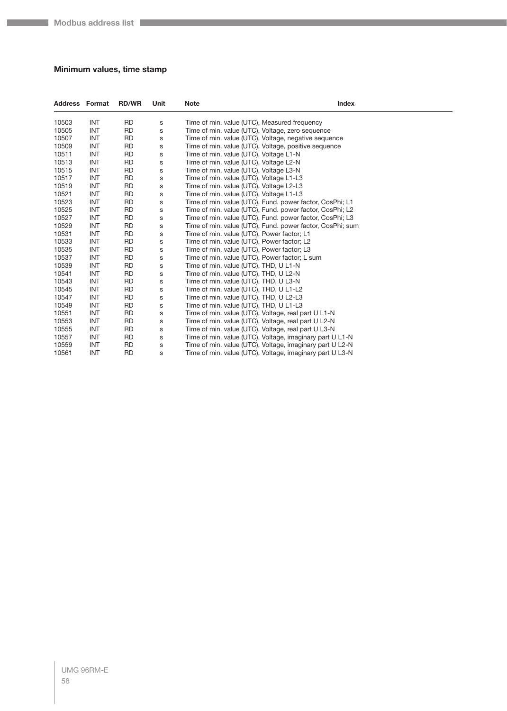#### **Minimum values, time stamp**

| <b>Address Format</b> |            | <b>RD/WR</b> | Unit        | <b>Index</b><br><b>Note</b>                               |  |
|-----------------------|------------|--------------|-------------|-----------------------------------------------------------|--|
| 10503                 | <b>INT</b> | <b>RD</b>    | S           | Time of min. value (UTC), Measured frequency              |  |
| 10505                 | <b>INT</b> | <b>RD</b>    | S           | Time of min. value (UTC), Voltage, zero sequence          |  |
| 10507                 | <b>INT</b> | <b>RD</b>    | s           | Time of min. value (UTC), Voltage, negative sequence      |  |
| 10509                 | <b>INT</b> | <b>RD</b>    | S           | Time of min. value (UTC), Voltage, positive sequence      |  |
| 10511                 | <b>INT</b> | <b>RD</b>    | S           | Time of min. value (UTC), Voltage L1-N                    |  |
| 10513                 | <b>INT</b> | <b>RD</b>    | S           | Time of min. value (UTC), Voltage L2-N                    |  |
| 10515                 | <b>INT</b> | <b>RD</b>    | S           | Time of min. value (UTC), Voltage L3-N                    |  |
| 10517                 | <b>INT</b> | <b>RD</b>    | $\mathsf s$ | Time of min. value (UTC), Voltage L1-L3                   |  |
| 10519                 | INT        | <b>RD</b>    | $\mathsf s$ | Time of min. value (UTC), Voltage L2-L3                   |  |
| 10521                 | <b>INT</b> | <b>RD</b>    | S           | Time of min. value (UTC), Voltage L1-L3                   |  |
| 10523                 | INT        | <b>RD</b>    | S           | Time of min. value (UTC), Fund. power factor, CosPhi; L1  |  |
| 10525                 | <b>INT</b> | <b>RD</b>    | S           | Time of min. value (UTC), Fund. power factor, CosPhi; L2  |  |
| 10527                 | <b>INT</b> | <b>RD</b>    | S           | Time of min. value (UTC), Fund. power factor, CosPhi; L3  |  |
| 10529                 | <b>INT</b> | <b>RD</b>    | S           | Time of min. value (UTC), Fund. power factor, CosPhi; sum |  |
| 10531                 | <b>INT</b> | <b>RD</b>    | $\mathsf s$ | Time of min. value (UTC), Power factor; L1                |  |
| 10533                 | <b>INT</b> | <b>RD</b>    | s           | Time of min. value (UTC), Power factor; L2                |  |
| 10535                 | <b>INT</b> | <b>RD</b>    | S           | Time of min. value (UTC), Power factor; L3                |  |
| 10537                 | <b>INT</b> | <b>RD</b>    | S           | Time of min. value (UTC), Power factor; L sum             |  |
| 10539                 | <b>INT</b> | <b>RD</b>    | S           | Time of min. value (UTC), THD, U L1-N                     |  |
| 10541                 | <b>INT</b> | <b>RD</b>    | S           | Time of min. value (UTC), THD, U L2-N                     |  |
| 10543                 | <b>INT</b> | <b>RD</b>    | s           | Time of min. value (UTC), THD, U L3-N                     |  |
| 10545                 | <b>INT</b> | <b>RD</b>    | s           | Time of min. value (UTC), THD, U L1-L2                    |  |
| 10547                 | <b>INT</b> | <b>RD</b>    | S           | Time of min. value (UTC), THD, U L2-L3                    |  |
| 10549                 | <b>INT</b> | <b>RD</b>    | S           | Time of min. value (UTC), THD, U L1-L3                    |  |
| 10551                 | INT        | <b>RD</b>    | S           | Time of min. value (UTC), Voltage, real part U L1-N       |  |
| 10553                 | <b>INT</b> | <b>RD</b>    | S           | Time of min. value (UTC), Voltage, real part U L2-N       |  |
| 10555                 | <b>INT</b> | <b>RD</b>    | s           | Time of min. value (UTC), Voltage, real part U L3-N       |  |
| 10557                 | <b>INT</b> | <b>RD</b>    | s           | Time of min. value (UTC), Voltage, imaginary part U L1-N  |  |
| 10559                 | INT        | <b>RD</b>    | s           | Time of min. value (UTC), Voltage, imaginary part U L2-N  |  |
| 10561                 | <b>INT</b> | <b>RD</b>    | S           | Time of min. value (UTC), Voltage, imaginary part U L3-N  |  |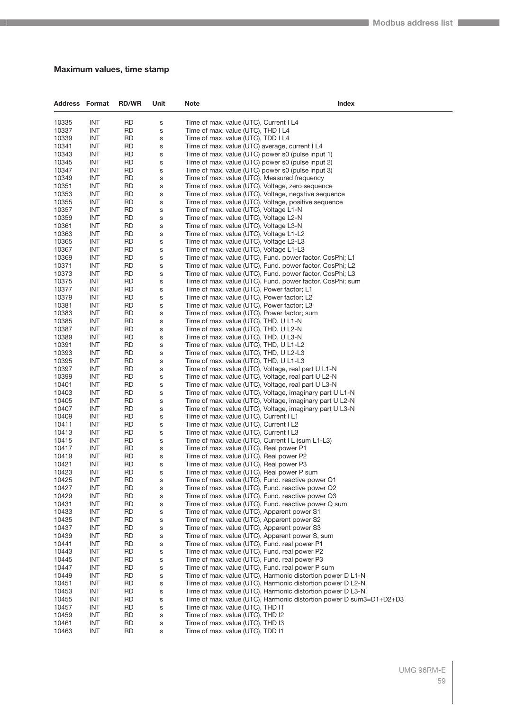#### **Maximum values, time stamp**

| <b>Address Format</b> |                          | <b>RD/WR</b>    | Unit   | Index<br><b>Note</b>                                                                                                     |  |
|-----------------------|--------------------------|-----------------|--------|--------------------------------------------------------------------------------------------------------------------------|--|
| 10335                 | <b>INT</b>               | <b>RD</b>       | s      | Time of max. value (UTC), Current I L4                                                                                   |  |
| 10337                 | <b>INT</b>               | RD              | S      | Time of max. value (UTC), THD I L4                                                                                       |  |
| 10339                 | <b>INT</b>               | <b>RD</b>       | S      | Time of max. value (UTC), TDD I L4                                                                                       |  |
| 10341                 | INT                      | <b>RD</b>       | S      | Time of max. value (UTC) average, current I L4                                                                           |  |
| 10343                 | <b>INT</b>               | <b>RD</b>       | S      | Time of max. value (UTC) power s0 (pulse input 1)                                                                        |  |
| 10345                 | <b>INT</b>               | <b>RD</b>       | S      | Time of max. value (UTC) power s0 (pulse input 2)                                                                        |  |
| 10347                 | <b>INT</b>               | RD              | S      | Time of max. value (UTC) power s0 (pulse input 3)                                                                        |  |
| 10349<br>10351        | <b>INT</b><br>INT        | <b>RD</b><br>RD | S<br>S | Time of max. value (UTC), Measured frequency<br>Time of max. value (UTC), Voltage, zero sequence                         |  |
| 10353                 | <b>INT</b>               | <b>RD</b>       | S      | Time of max. value (UTC), Voltage, negative sequence                                                                     |  |
| 10355                 | <b>INT</b>               | <b>RD</b>       | S      | Time of max. value (UTC), Voltage, positive sequence                                                                     |  |
| 10357                 | <b>INT</b>               | RD              | S      | Time of max. value (UTC), Voltage L1-N                                                                                   |  |
| 10359                 | <b>INT</b>               | <b>RD</b>       | S      | Time of max. value (UTC), Voltage L2-N                                                                                   |  |
| 10361                 | INT                      | RD              | S      | Time of max. value (UTC), Voltage L3-N                                                                                   |  |
| 10363                 | <b>INT</b>               | <b>RD</b>       | S      | Time of max. value (UTC), Voltage L1-L2                                                                                  |  |
| 10365                 | <b>INT</b>               | RD              | S      | Time of max. value (UTC), Voltage L2-L3                                                                                  |  |
| 10367                 | <b>INT</b>               | RD              | s      | Time of max. value (UTC), Voltage L1-L3                                                                                  |  |
| 10369<br>10371        | <b>INT</b><br>INT        | <b>RD</b><br>RD | S<br>S | Time of max. value (UTC), Fund. power factor, CosPhi; L1<br>Time of max. value (UTC), Fund. power factor, CosPhi; L2     |  |
| 10373                 | <b>INT</b>               | <b>RD</b>       | S      | Time of max. value (UTC), Fund. power factor, CosPhi; L3                                                                 |  |
| 10375                 | <b>INT</b>               | RD              | S      | Time of max. value (UTC), Fund. power factor, CosPhi; sum                                                                |  |
| 10377                 | <b>INT</b>               | RD              | s      | Time of max. value (UTC), Power factor; L1                                                                               |  |
| 10379                 | <b>INT</b>               | <b>RD</b>       | S      | Time of max. value (UTC), Power factor; L2                                                                               |  |
| 10381                 | INT                      | RD              | S      | Time of max. value (UTC), Power factor; L3                                                                               |  |
| 10383                 | <b>INT</b>               | <b>RD</b>       | S      | Time of max. value (UTC), Power factor; sum                                                                              |  |
| 10385                 | <b>INT</b>               | RD              | S      | Time of max. value (UTC), THD, U L1-N                                                                                    |  |
| 10387                 | <b>INT</b>               | RD              | S      | Time of max. value (UTC), THD, U L2-N                                                                                    |  |
| 10389                 | <b>INT</b>               | <b>RD</b>       | S      | Time of max. value (UTC), THD, U L3-N                                                                                    |  |
| 10391<br>10393        | INT<br><b>INT</b>        | RD<br><b>RD</b> | S<br>S | Time of max. value (UTC), THD, U L1-L2<br>Time of max. value (UTC), THD, U L2-L3                                         |  |
| 10395                 | <b>INT</b>               | <b>RD</b>       | S      | Time of max. value (UTC), THD, U L1-L3                                                                                   |  |
| 10397                 | <b>INT</b>               | RD              | S      | Time of max. value (UTC), Voltage, real part U L1-N                                                                      |  |
| 10399                 | <b>INT</b>               | <b>RD</b>       | S      | Time of max. value (UTC), Voltage, real part U L2-N                                                                      |  |
| 10401                 | INT                      | RD              | S      | Time of max. value (UTC), Voltage, real part U L3-N                                                                      |  |
| 10403                 | <b>INT</b>               | <b>RD</b>       | S      | Time of max. value (UTC), Voltage, imaginary part U L1-N                                                                 |  |
| 10405                 | <b>INT</b>               | <b>RD</b>       | S      | Time of max. value (UTC), Voltage, imaginary part U L2-N                                                                 |  |
| 10407                 | <b>INT</b>               | RD              | S      | Time of max. value (UTC), Voltage, imaginary part U L3-N                                                                 |  |
| 10409<br>10411        | <b>INT</b>               | <b>RD</b>       | S      | Time of max. value (UTC), Current I L1                                                                                   |  |
| 10413                 | INT<br><b>INT</b>        | RD<br><b>RD</b> | S<br>S | Time of max. value (UTC), Current I L2<br>Time of max. value (UTC), Current I L3                                         |  |
| 10415                 | INT                      | <b>RD</b>       | S      | Time of max. value (UTC), Current I L (sum L1-L3)                                                                        |  |
| 10417                 | <b>INT</b>               | RD              | S      | Time of max. value (UTC), Real power P1                                                                                  |  |
| 10419                 | <b>INT</b>               | <b>RD</b>       | S      | Time of max. value (UTC), Real power P2                                                                                  |  |
| 10421                 | INT                      | <b>RD</b>       | S      | Time of max. value (UTC), Real power P3                                                                                  |  |
| 10423                 | INI                      | <b>RD</b>       | s      | Time of max. value (UTC), Real power P sum                                                                               |  |
| 10425                 | INT                      | RD              | S      | Time of max. value (UTC), Fund. reactive power Q1                                                                        |  |
| 10427                 | INT                      | RD              | s      | Time of max. value (UTC), Fund. reactive power Q2                                                                        |  |
| 10429<br>10431        | <b>INT</b><br><b>INT</b> | <b>RD</b><br>RD | S<br>S | Time of max. value (UTC), Fund. reactive power Q3<br>Time of max. value (UTC), Fund. reactive power Q sum                |  |
| 10433                 | <b>INT</b>               | <b>RD</b>       | S      | Time of max. value (UTC), Apparent power S1                                                                              |  |
| 10435                 | INT                      | RD              | S      | Time of max. value (UTC), Apparent power S2                                                                              |  |
| 10437                 | INT                      | RD              | S      | Time of max. value (UTC), Apparent power S3                                                                              |  |
| 10439                 | <b>INT</b>               | <b>RD</b>       | S      | Time of max. value (UTC), Apparent power S, sum                                                                          |  |
| 10441                 | <b>INT</b>               | RD              | S      | Time of max. value (UTC), Fund. real power P1                                                                            |  |
| 10443                 | <b>INT</b>               | <b>RD</b>       | S      | Time of max. value (UTC), Fund. real power P2                                                                            |  |
| 10445                 | INT                      | RD              | S      | Time of max. value (UTC), Fund. real power P3                                                                            |  |
| 10447                 | INT                      | RD              | S      | Time of max. value (UTC), Fund. real power P sum                                                                         |  |
| 10449<br>10451        | <b>INT</b><br><b>INT</b> | <b>RD</b><br>RD | S      | Time of max. value (UTC), Harmonic distortion power D L1-N<br>Time of max. value (UTC), Harmonic distortion power D L2-N |  |
| 10453                 | <b>INT</b>               | <b>RD</b>       | S<br>S | Time of max. value (UTC), Harmonic distortion power D L3-N                                                               |  |
| 10455                 | INT                      | RD              | S      | Time of max. value (UTC), Harmonic distortion power D sum3=D1+D2+D3                                                      |  |
| 10457                 | INT                      | RD              | S      | Time of max. value (UTC), THD I1                                                                                         |  |
| 10459                 | <b>INT</b>               | RD              | S      | Time of max. value (UTC), THD I2                                                                                         |  |
| 10461                 | <b>INT</b>               | RD              | S      | Time of max. value (UTC), THD I3                                                                                         |  |
| 10463                 | <b>INT</b>               | <b>RD</b>       | S      | Time of max. value (UTC), TDD I1                                                                                         |  |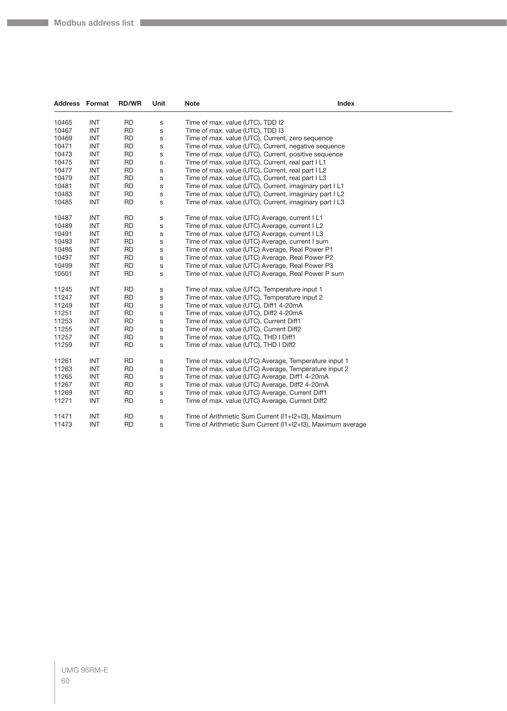| <b>Address</b> | Format     | <b>RD/WR</b> | Unit         | <b>Note</b>                                                | <b>Index</b> |
|----------------|------------|--------------|--------------|------------------------------------------------------------|--------------|
| 10465          | <b>INT</b> | <b>RD</b>    | s            | Time of max. value (UTC), TDD I2                           |              |
| 10467          | <b>INT</b> | <b>RD</b>    | s            | Time of max. value (UTC), TDD I3                           |              |
| 10469          | <b>INT</b> | <b>RD</b>    | s            | Time of max. value (UTC), Current, zero sequence           |              |
| 10471          | <b>INT</b> | <b>RD</b>    | $\mathbf S$  | Time of max. value (UTC), Current, negative sequence       |              |
| 10473          | <b>INT</b> | <b>RD</b>    | $\mathsf{s}$ | Time of max. value (UTC), Current, positive sequence       |              |
| 10475          | <b>INT</b> | <b>RD</b>    | $\mathbb S$  | Time of max. value (UTC), Current, real part I L1          |              |
| 10477          | <b>INT</b> | <b>RD</b>    | s            | Time of max. value (UTC), Current, real part I L2          |              |
| 10479          | <b>INT</b> | <b>RD</b>    | $\mathbf S$  | Time of max. value (UTC), Current, real part I L3          |              |
| 10481          | <b>INT</b> | <b>RD</b>    | $\mathsf{s}$ | Time of max. value (UTC), Current, imaginary part I L1     |              |
| 10483          | <b>INT</b> | <b>RD</b>    | $\mathsf{s}$ | Time of max. value (UTC), Current, imaginary part I L2     |              |
| 10485          | <b>INT</b> | <b>RD</b>    | s            | Time of max. value (UTC), Current, imaginary part I L3     |              |
| 10487          | <b>INT</b> | <b>RD</b>    | s            | Time of max. value (UTC) Average, current I L1             |              |
| 10489          | <b>INT</b> | <b>RD</b>    | s            | Time of max. value (UTC) Average, current I L2             |              |
| 10491          | <b>INT</b> | <b>RD</b>    | $\mathbb S$  | Time of max. value (UTC) Average, current I L3             |              |
| 10493          | <b>INT</b> | <b>RD</b>    | $\mathbb S$  | Time of max. value (UTC) Average, current I sum            |              |
| 10495          | <b>INT</b> | <b>RD</b>    | s            | Time of max. value (UTC) Average, Real Power P1            |              |
| 10497          | <b>INT</b> | <b>RD</b>    | $\mathbb S$  | Time of max. value (UTC) Average, Real Power P2            |              |
| 10499          | <b>INT</b> | <b>RD</b>    | $\mathsf{s}$ | Time of max. value (UTC) Average, Real Power P3            |              |
| 10501          | <b>INT</b> | <b>RD</b>    | $\mathbb S$  | Time of max. value (UTC) Average, Real Power P sum         |              |
| 11245          | <b>INT</b> | <b>RD</b>    | s            | Time of max. value (UTC), Temperature input 1              |              |
| 11247          | <b>INT</b> | <b>RD</b>    | $\mathbb S$  | Time of max. value (UTC), Temperature input 2              |              |
| 11249          | <b>INT</b> | <b>RD</b>    | s            | Time of max. value (UTC), Diff1 4-20mA                     |              |
| 11251          | <b>INT</b> | <b>RD</b>    | $\mathbb S$  | Time of max. value (UTC), Diff2 4-20mA                     |              |
| 11253          | <b>INT</b> | <b>RD</b>    | $\mathbf S$  | Time of max. value (UTC), Current Diff1                    |              |
| 11255          | <b>INT</b> | <b>RD</b>    | $\mathbb S$  | Time of max. value (UTC), Current Diff2                    |              |
| 11257          | <b>INT</b> | <b>RD</b>    | $\mathbb S$  | Time of max. value (UTC), THD I Diff1                      |              |
| 11259          | <b>INT</b> | <b>RD</b>    | s            | Time of max. value (UTC), THD I Diff2                      |              |
| 11261          | <b>INT</b> | <b>RD</b>    | $\mathbf S$  | Time of max. value (UTC) Average, Temperature input 1      |              |
| 11263          | <b>INT</b> | <b>RD</b>    | s            | Time of max. value (UTC) Average, Temperature input 2      |              |
| 11265          | <b>INT</b> | <b>RD</b>    | $\mathbb S$  | Time of max. value (UTC) Average, Diff1 4-20mA             |              |
| 11267          | <b>INT</b> | <b>RD</b>    | $\mathbb S$  | Time of max. value (UTC) Average, Diff2 4-20mA             |              |
| 11269          | <b>INT</b> | <b>RD</b>    | $\mathbb S$  | Time of max. value (UTC) Average, Current Diff1            |              |
| 11271          | <b>INT</b> | <b>RD</b>    | s            | Time of max. value (UTC) Average, Current Diff2            |              |
| 11471          | <b>INT</b> | <b>RD</b>    | $\mathbb S$  | Time of Arithmetic Sum Current (I1+I2+I3), Maximum         |              |
| 11473          | <b>INT</b> | <b>RD</b>    | s            | Time of Arithmetic Sum Current (11+12+13), Maximum average |              |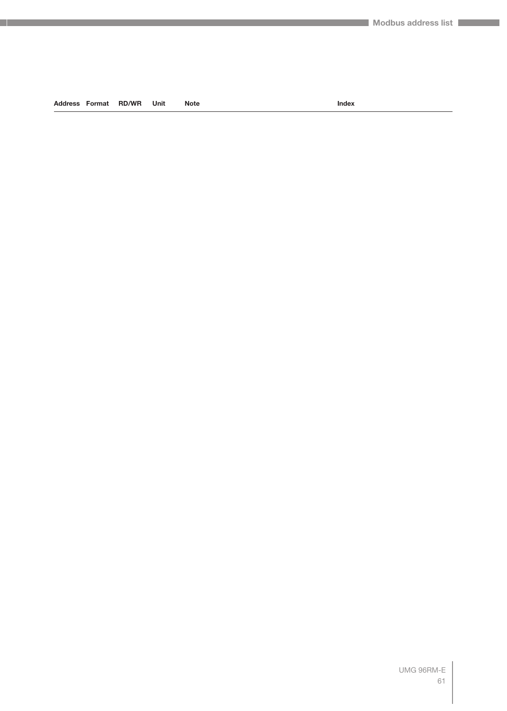#### **Address Format RD/WR Unit Note Index**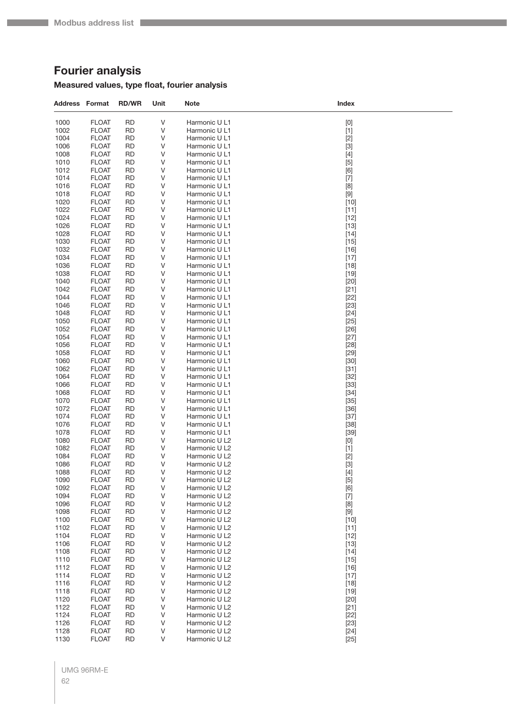# **Fourier analysis**

### **Measured values, type float, fourier analysis**

| <b>Address Format</b> |                              | <b>RD/WR</b>           | Unit   | Note                           | Index            |
|-----------------------|------------------------------|------------------------|--------|--------------------------------|------------------|
| 1000                  | <b>FLOAT</b>                 | <b>RD</b>              | V      | Harmonic U L1                  | $[0]$            |
| 1002                  | <b>FLOAT</b>                 | <b>RD</b>              | V      | Harmonic U L1                  | $[1]$            |
| 1004                  | <b>FLOAT</b>                 | RD                     | ٧      | Harmonic U L1                  | $[2]$            |
| 1006                  | <b>FLOAT</b>                 | <b>RD</b>              | ٧      | Harmonic U L1                  | $[3]$            |
| 1008                  | <b>FLOAT</b>                 | RD                     | ٧      | Harmonic U L1                  | $[4]$            |
| 1010                  | <b>FLOAT</b>                 | <b>RD</b>              | ٧      | Harmonic U L1                  | $[5]$            |
| 1012                  | <b>FLOAT</b>                 | <b>RD</b>              | ٧      | Harmonic U L1                  | [6]              |
| 1014                  | <b>FLOAT</b>                 | <b>RD</b>              | ٧      | Harmonic U L1                  | $[7]$            |
| 1016                  | <b>FLOAT</b>                 | <b>RD</b>              | ٧      | Harmonic U L1                  | [8]              |
| 1018<br>1020          | <b>FLOAT</b><br><b>FLOAT</b> | RD<br><b>RD</b>        | ٧<br>٧ | Harmonic U L1<br>Harmonic U L1 | $[9]$<br>$[10]$  |
| 1022                  | <b>FLOAT</b>                 | <b>RD</b>              | ٧      | Harmonic U L1                  | $[11]$           |
| 1024                  | <b>FLOAT</b>                 | <b>RD</b>              | ٧      | Harmonic U L1                  | $[12]$           |
| 1026                  | <b>FLOAT</b>                 | <b>RD</b>              | ٧      | Harmonic U L1                  | $[13]$           |
| 1028                  | <b>FLOAT</b>                 | RD                     | ٧      | Harmonic U L1                  | $[14]$           |
| 1030                  | <b>FLOAT</b>                 | <b>RD</b>              | ٧      | Harmonic U L1                  | $[15]$           |
| 1032                  | <b>FLOAT</b>                 | <b>RD</b>              | ٧      | Harmonic U L1                  | $[16]$           |
| 1034                  | <b>FLOAT</b>                 | <b>RD</b>              | ٧      | Harmonic U L1                  | $[17]$           |
| 1036                  | <b>FLOAT</b>                 | <b>RD</b>              | ٧      | Harmonic U L1                  | $[18]$           |
| 1038                  | <b>FLOAT</b>                 | RD                     | ٧      | Harmonic U L1                  | $[19]$           |
| 1040                  | <b>FLOAT</b>                 | <b>RD</b>              | V      | Harmonic U L1                  | $[20]$           |
| 1042                  | <b>FLOAT</b>                 | <b>RD</b>              | ٧      | Harmonic U L1<br>Harmonic U L1 | $[21]$           |
| 1044<br>1046          | <b>FLOAT</b><br><b>FLOAT</b> | RD<br><b>RD</b>        | V<br>٧ | Harmonic U L1                  | $[22]$<br>$[23]$ |
| 1048                  | <b>FLOAT</b>                 | RD                     | ٧      | Harmonic U L1                  | $[24]$           |
| 1050                  | <b>FLOAT</b>                 | <b>RD</b>              | V      | Harmonic U L1                  | $[25]$           |
| 1052                  | <b>FLOAT</b>                 | <b>RD</b>              | ٧      | Harmonic U L1                  | $[26]$           |
| 1054                  | <b>FLOAT</b>                 | RD                     | V      | Harmonic U L1                  | $[27]$           |
| 1056                  | <b>FLOAT</b>                 | <b>RD</b>              | ٧      | Harmonic U L1                  | $[28]$           |
| 1058                  | <b>FLOAT</b>                 | RD                     | ٧      | Harmonic U L1                  | $[29]$           |
| 1060                  | <b>FLOAT</b>                 | <b>RD</b>              | V      | Harmonic U L1                  | $[30]$           |
| 1062                  | <b>FLOAT</b>                 | <b>RD</b>              | ٧      | Harmonic U L1                  | $[31]$           |
| 1064                  | <b>FLOAT</b>                 | RD                     | V      | Harmonic U L1                  | $[32]$           |
| 1066                  | <b>FLOAT</b>                 | <b>RD</b>              | ٧      | Harmonic U L1                  | $[33]$           |
| 1068                  | <b>FLOAT</b>                 | RD                     | ٧      | Harmonic U L1                  | $[34]$           |
| 1070<br>1072          | <b>FLOAT</b><br><b>FLOAT</b> | <b>RD</b><br><b>RD</b> | V<br>٧ | Harmonic U L1<br>Harmonic U L1 | $[35]$<br>$[36]$ |
| 1074                  | <b>FLOAT</b>                 | RD                     | ٧      | Harmonic U L1                  | $[37]$           |
| 1076                  | <b>FLOAT</b>                 | <b>RD</b>              | ٧      | Harmonic U L1                  | $[38]$           |
| 1078                  | <b>FLOAT</b>                 | RD                     | ٧      | Harmonic U L1                  | $[39]$           |
| 1080                  | <b>FLOAT</b>                 | <b>RD</b>              | ٧      | Harmonic U L2                  | [0]              |
| 1082                  | <b>FLOAT</b>                 | <b>RD</b>              | ٧      | Harmonic U L2                  | $[1]$            |
| 1084                  | <b>FLOAT</b>                 | <b>RD</b>              | V      | Harmonic U L2                  | $[2]$            |
| 1086                  | <b>FLOAT</b>                 | <b>RD</b>              | ٧      | Harmonic U L2                  | $[3]$            |
| 1088                  | <b>FLOAT</b>                 | <b>RD</b>              | V      | Harmonic U L2                  | $[4]$            |
| 1090                  | <b>FLOAT</b>                 | <b>RD</b>              | ٧      | Harmonic U L2                  | $[5]$            |
| 1092<br>1094          | <b>FLOAT</b><br><b>FLOAT</b> | <b>RD</b><br><b>RD</b> | V      | Harmonic U L2<br>Harmonic U L2 | [6]              |
| 1096                  | <b>FLOAT</b>                 | <b>RD</b>              | ٧<br>V | Harmonic U L2                  | $[7]$<br>[8]     |
| 1098                  | <b>FLOAT</b>                 | <b>RD</b>              | V      | Harmonic U L2                  |                  |
| 1100                  | <b>FLOAT</b>                 | <b>RD</b>              | V      | Harmonic U L2                  | $[10]$           |
| 1102                  | <b>FLOAT</b>                 | <b>RD</b>              | V      | Harmonic U L2                  | $[11]$           |
| 1104                  | <b>FLOAT</b>                 | <b>RD</b>              | V      | Harmonic U L2                  | $[12]$           |
| 1106                  | <b>FLOAT</b>                 | <b>RD</b>              | V      | Harmonic U L2                  | $[13]$           |
| 1108                  | <b>FLOAT</b>                 | <b>RD</b>              | V      | Harmonic U L2                  | $[14]$           |
| 1110                  | <b>FLOAT</b>                 | <b>RD</b>              | V      | Harmonic U L2                  | $[15]$           |
| 1112                  | <b>FLOAT</b>                 | <b>RD</b>              | V      | Harmonic U L2                  | $[16]$           |
| 1114                  | <b>FLOAT</b>                 | <b>RD</b>              | V      | Harmonic U L2                  | $[17]$           |
| 1116                  | <b>FLOAT</b>                 | <b>RD</b>              | V      | Harmonic U L2                  | $[18]$           |
| 1118                  | <b>FLOAT</b><br><b>FLOAT</b> | <b>RD</b><br><b>RD</b> | V      | Harmonic U L2<br>Harmonic U L2 | $[19]$           |
| 1120<br>1122          | <b>FLOAT</b>                 | <b>RD</b>              | V<br>V | Harmonic U L2                  | $[20]$<br>$[21]$ |
| 1124                  | <b>FLOAT</b>                 | RD                     | V      | Harmonic U L2                  | $[22]$           |
| 1126                  | <b>FLOAT</b>                 | <b>RD</b>              | V      | Harmonic U L2                  | $[23]$           |
| 1128                  | <b>FLOAT</b>                 | <b>RD</b>              | V      | Harmonic U L2                  | $[24]$           |
| 1130                  | <b>FLOAT</b>                 | <b>RD</b>              | V      | Harmonic U L2                  | $[25]$           |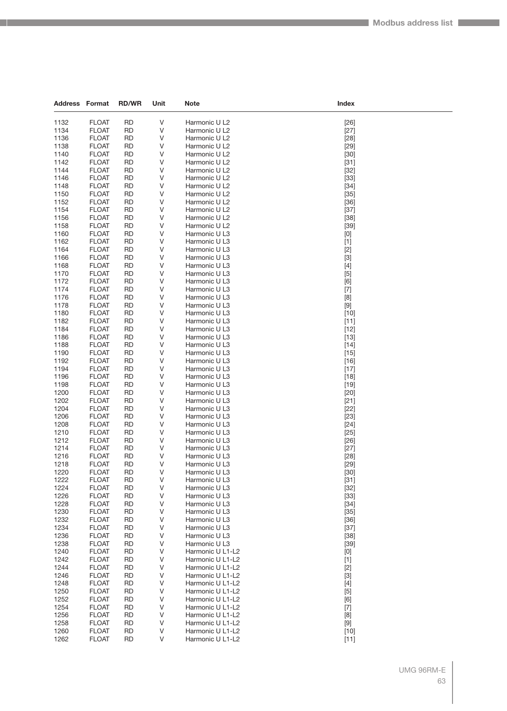| <b>Address Format</b> |                              | <b>RD/WR</b>    | Unit        | Note                           | Index            |
|-----------------------|------------------------------|-----------------|-------------|--------------------------------|------------------|
| 1132                  | <b>FLOAT</b>                 | <b>RD</b>       | V           |                                |                  |
| 1134                  | <b>FLOAT</b>                 | <b>RD</b>       | V           | Harmonic U L2<br>Harmonic U L2 | $[26]$<br>$[27]$ |
| 1136                  | <b>FLOAT</b>                 | <b>RD</b>       | V           | Harmonic U L2                  | $[28]$           |
| 1138                  | <b>FLOAT</b>                 | <b>RD</b>       | V           | Harmonic U L2                  | $[29]$           |
| 1140                  | <b>FLOAT</b>                 | <b>RD</b>       | V           | Harmonic U L2                  | $[30]$           |
| 1142                  | <b>FLOAT</b>                 | <b>RD</b>       | V           | Harmonic U L2                  | $[31]$           |
| 1144                  | <b>FLOAT</b>                 | RD              | V           | Harmonic U L2                  | $[32]$           |
| 1146                  | <b>FLOAT</b>                 | <b>RD</b>       | V           | Harmonic U L2                  | $[33]$           |
| 1148                  | <b>FLOAT</b>                 | <b>RD</b>       | V           | Harmonic U L2                  | $[34]$           |
| 1150                  | <b>FLOAT</b>                 | <b>RD</b>       | V           | Harmonic U L2                  | $[35]$           |
| 1152                  | <b>FLOAT</b>                 | <b>RD</b>       | V           | Harmonic U L2                  | $[36]$           |
| 1154                  | <b>FLOAT</b>                 | RD              | V           | Harmonic U L2                  | $[37]$           |
| 1156                  | <b>FLOAT</b>                 | <b>RD</b>       | V           | Harmonic U L2                  | $[38]$           |
| 1158                  | <b>FLOAT</b>                 | <b>RD</b>       | V           | Harmonic U L2                  | $[39]$           |
| 1160                  | <b>FLOAT</b>                 | <b>RD</b>       | V           | Harmonic U L3                  | [0]              |
| 1162                  | <b>FLOAT</b>                 | <b>RD</b>       | V           | Harmonic U L3                  | $[1]$            |
| 1164<br>1166          | <b>FLOAT</b><br><b>FLOAT</b> | RD<br><b>RD</b> | V<br>V      | Harmonic U L3                  | $[2]$            |
| 1168                  | <b>FLOAT</b>                 | <b>RD</b>       | V           | Harmonic U L3<br>Harmonic U L3 | $[3]$<br>$[4]$   |
| 1170                  | <b>FLOAT</b>                 | <b>RD</b>       | V           | Harmonic U L3                  | $[5]$            |
| 1172                  | <b>FLOAT</b>                 | <b>RD</b>       | V           | Harmonic U L3                  | [6]              |
| 1174                  | <b>FLOAT</b>                 | RD              | V           | Harmonic U L3                  | $[7]$            |
| 1176                  | <b>FLOAT</b>                 | <b>RD</b>       | V           | Harmonic U L3                  | [8]              |
| 1178                  | <b>FLOAT</b>                 | <b>RD</b>       | V           | Harmonic U L3                  | $[9]$            |
| 1180                  | <b>FLOAT</b>                 | <b>RD</b>       | V           | Harmonic U L3                  | $[10]$           |
| 1182                  | <b>FLOAT</b>                 | <b>RD</b>       | V           | Harmonic U L3                  | $[11]$           |
| 1184                  | <b>FLOAT</b>                 | RD              | V           | Harmonic U L3                  | $[12]$           |
| 1186                  | <b>FLOAT</b>                 | <b>RD</b>       | V           | Harmonic U L3                  | $[13]$           |
| 1188                  | <b>FLOAT</b>                 | <b>RD</b>       | V           | Harmonic U L3                  | $[14]$           |
| 1190                  | <b>FLOAT</b>                 | <b>RD</b>       | $\vee$      | Harmonic U L3                  | $[15]$           |
| 1192                  | <b>FLOAT</b>                 | <b>RD</b>       | V           | Harmonic U L3                  | $[16]$           |
| 1194                  | <b>FLOAT</b>                 | RD              | V           | Harmonic U L3                  | $[17]$           |
| 1196                  | <b>FLOAT</b>                 | <b>RD</b>       | V           | Harmonic U L3                  | $[18]$           |
| 1198                  | <b>FLOAT</b>                 | <b>RD</b>       | V           | Harmonic U L3                  | $[19]$           |
| 1200                  | <b>FLOAT</b>                 | <b>RD</b>       | V           | Harmonic U L3                  | $[20]$           |
| 1202<br>1204          | <b>FLOAT</b>                 | <b>RD</b>       | V           | Harmonic U L3                  | $[21]$           |
| 1206                  | <b>FLOAT</b><br><b>FLOAT</b> | RD<br><b>RD</b> | V<br>V      | Harmonic U L3<br>Harmonic U L3 | $[22]$<br>$[23]$ |
| 1208                  | <b>FLOAT</b>                 | <b>RD</b>       | V           | Harmonic U L3                  | $[24]$           |
| 1210                  | <b>FLOAT</b>                 | <b>RD</b>       | V           | Harmonic U L3                  | $[25]$           |
| 1212                  | <b>FLOAT</b>                 | <b>RD</b>       | V           | Harmonic U L3                  | $[26]$           |
| 1214                  | <b>FLOAT</b>                 | RD              | V           | Harmonic U L3                  | $[27]$           |
| 1216                  | <b>FLOAT</b>                 | <b>RD</b>       | V           | Harmonic U L3                  | $[28]$           |
| 1218                  | <b>FLOAT</b>                 | <b>RD</b>       | V           | Harmonic U L3                  | $[29]$           |
| 1220                  | <b>FLOAT</b>                 | <b>RD</b>       | V           | Harmonic U L3                  | $[30]$           |
| 1222                  | <b>FLOAT</b>                 | RD              | V           | Harmonic U L3                  | $[31]$           |
| 1224                  | <b>FLOAT</b>                 | <b>RD</b>       | V           | Harmonic U L3                  | $[32]$           |
| 1226                  | <b>FLOAT</b>                 | <b>RD</b>       | V           | Harmonic U L3                  | $[33]$           |
| 1228                  | <b>FLOAT</b>                 | RD              | V           | Harmonic U L3                  | $[34]$           |
| 1230                  | <b>FLOAT</b>                 | RD              | V           | Harmonic U L3                  | $[35]$           |
| 1232<br>1234          | <b>FLOAT</b>                 | <b>RD</b>       | V           | Harmonic U L3                  | $[36]$           |
| 1236                  | <b>FLOAT</b><br><b>FLOAT</b> | RD<br><b>RD</b> | V<br>V      | Harmonic U L3<br>Harmonic U L3 | $[37]$<br>$[38]$ |
| 1238                  | <b>FLOAT</b>                 | RD              | V           | Harmonic U L3                  | $[39]$           |
| 1240                  | <b>FLOAT</b>                 | RD              | $\mathsf V$ | Harmonic U L1-L2               | [0]              |
| 1242                  | <b>FLOAT</b>                 | <b>RD</b>       | V           | Harmonic U L1-L2               | $[1]$            |
| 1244                  | <b>FLOAT</b>                 | RD              | V           | Harmonic U L1-L2               | $[2]$            |
| 1246                  | <b>FLOAT</b>                 | <b>RD</b>       | V           | Harmonic U L1-L2               | $[3]$            |
| 1248                  | <b>FLOAT</b>                 | <b>RD</b>       | V           | Harmonic U L1-L2               | $[4]$            |
| 1250                  | <b>FLOAT</b>                 | RD              | $\mathsf V$ | Harmonic U L1-L2               | $[5]$            |
| 1252                  | <b>FLOAT</b>                 | <b>RD</b>       | V           | Harmonic U L1-L2               | [6]              |
| 1254                  | <b>FLOAT</b>                 | RD              | V           | Harmonic U L1-L2               | $[7]$            |
| 1256                  | <b>FLOAT</b>                 | <b>RD</b>       | V           | Harmonic U L1-L2               | [8]              |
| 1258                  | <b>FLOAT</b>                 | <b>RD</b>       | V           | Harmonic U L1-L2               | $[9]$            |
| 1260                  | <b>FLOAT</b>                 | RD              | V           | Harmonic U L1-L2               | $[10]$           |
| 1262                  | <b>FLOAT</b>                 | <b>RD</b>       | $\vee$      | Harmonic U L1-L2               | $[11]$           |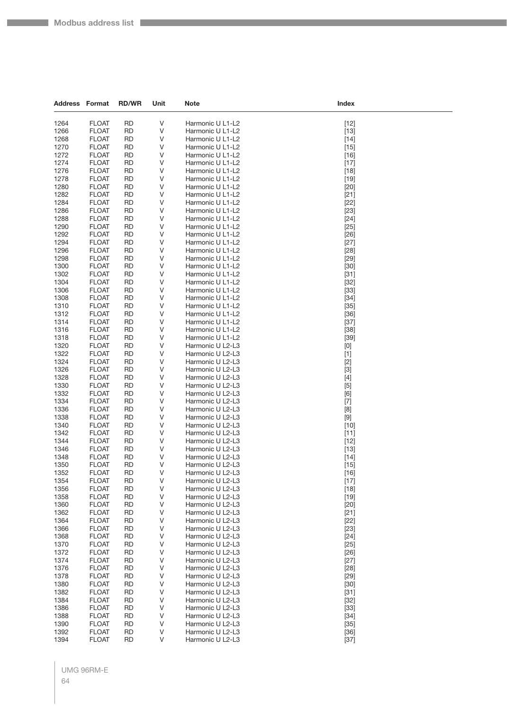| <b>Address Format</b> |                              | <b>RD/WR</b>           | Unit    | <b>Note</b>                          | Index            |
|-----------------------|------------------------------|------------------------|---------|--------------------------------------|------------------|
| 1264                  | <b>FLOAT</b>                 | <b>RD</b>              | V       | Harmonic U L1-L2                     | $[12]$           |
| 1266                  | <b>FLOAT</b>                 | <b>RD</b>              | V       | Harmonic U L1-L2                     | $[13]$           |
| 1268                  | <b>FLOAT</b>                 | <b>RD</b>              | V       | Harmonic U L1-L2                     | $[14]$           |
| 1270                  | <b>FLOAT</b>                 | <b>RD</b>              | V       | Harmonic U L1-L2                     | $[15]$           |
| 1272                  | <b>FLOAT</b>                 | <b>RD</b>              | V       | Harmonic U L1-L2                     | $[16]$           |
| 1274                  | <b>FLOAT</b>                 | <b>RD</b>              | V       | Harmonic U L1-L2                     | $[17]$           |
| 1276                  | <b>FLOAT</b>                 | <b>RD</b>              | V       | Harmonic U L1-L2                     | $[18]$           |
| 1278                  | <b>FLOAT</b>                 | <b>RD</b>              | V       | Harmonic U L1-L2                     | $[19]$           |
| 1280                  | <b>FLOAT</b>                 | <b>RD</b>              | V       | Harmonic U L1-L2                     | $[20]$           |
| 1282                  | <b>FLOAT</b>                 | <b>RD</b>              | V       | Harmonic U L1-L2                     | $[21]$           |
| 1284                  | <b>FLOAT</b>                 | <b>RD</b>              | V       | Harmonic U L1-L2                     | $[22]$           |
| 1286<br>1288          | <b>FLOAT</b><br><b>FLOAT</b> | <b>RD</b><br><b>RD</b> | V<br>V  | Harmonic U L1-L2<br>Harmonic U L1-L2 | $[23]$<br>$[24]$ |
| 1290                  | <b>FLOAT</b>                 | <b>RD</b>              | V       | Harmonic U L1-L2                     | $[25]$           |
| 1292                  | <b>FLOAT</b>                 | <b>RD</b>              | V       | Harmonic U L1-L2                     | $[26]$           |
| 1294                  | <b>FLOAT</b>                 | <b>RD</b>              | V       | Harmonic U L1-L2                     | $[27]$           |
| 1296                  | <b>FLOAT</b>                 | <b>RD</b>              | V       | Harmonic U L1-L2                     | $[28]$           |
| 1298                  | <b>FLOAT</b>                 | <b>RD</b>              | V       | Harmonic U L1-L2                     | $[29]$           |
| 1300                  | <b>FLOAT</b>                 | <b>RD</b>              | V       | Harmonic U L1-L2                     | $[30]$           |
| 1302                  | <b>FLOAT</b>                 | RD                     | V       | Harmonic U L1-L2                     | $[31]$           |
| 1304                  | <b>FLOAT</b>                 | <b>RD</b>              | V       | Harmonic U L1-L2                     | $[32]$           |
| 1306                  | <b>FLOAT</b>                 | <b>RD</b>              | V       | Harmonic U L1-L2                     | $[33]$           |
| 1308                  | <b>FLOAT</b>                 | <b>RD</b>              | V       | Harmonic U L1-L2                     | $[34]$           |
| 1310<br>1312          | <b>FLOAT</b><br><b>FLOAT</b> | <b>RD</b><br><b>RD</b> | V<br>V  | Harmonic U L1-L2<br>Harmonic U L1-L2 | $[35]$<br>$[36]$ |
| 1314                  | <b>FLOAT</b>                 | <b>RD</b>              | V       | Harmonic U L1-L2                     | $[37]$           |
| 1316                  | <b>FLOAT</b>                 | <b>RD</b>              | V       | Harmonic U L1-L2                     | $[38]$           |
| 1318                  | <b>FLOAT</b>                 | <b>RD</b>              | V       | Harmonic U L1-L2                     | $[39]$           |
| 1320                  | <b>FLOAT</b>                 | <b>RD</b>              | V       | Harmonic U L2-L3                     | [0]              |
| 1322                  | <b>FLOAT</b>                 | <b>RD</b>              | V       | Harmonic U L2-L3                     | $[1]$            |
| 1324                  | <b>FLOAT</b>                 | <b>RD</b>              | V       | Harmonic U L2-L3                     | $[2]$            |
| 1326                  | <b>FLOAT</b>                 | <b>RD</b>              | V       | Harmonic U L2-L3                     | $[3]$            |
| 1328                  | <b>FLOAT</b>                 | <b>RD</b>              | V       | Harmonic U L2-L3                     | $[4]$            |
| 1330                  | <b>FLOAT</b>                 | <b>RD</b>              | V       | Harmonic U L2-L3                     | $[5]$            |
| 1332<br>1334          | <b>FLOAT</b><br><b>FLOAT</b> | RD<br><b>RD</b>        | V<br>V  | Harmonic U L2-L3<br>Harmonic U L2-L3 | [6]<br>$[7]$     |
| 1336                  | <b>FLOAT</b>                 | <b>RD</b>              | V       | Harmonic U L2-L3                     | [8]              |
| 1338                  | <b>FLOAT</b>                 | <b>RD</b>              | V       | Harmonic U L2-L3                     | $[9]$            |
| 1340                  | <b>FLOAT</b>                 | <b>RD</b>              | V       | Harmonic U L2-L3                     | $[10]$           |
| 1342                  | <b>FLOAT</b>                 | <b>RD</b>              | V       | Harmonic U L2-L3                     | $[11]$           |
| 1344                  | <b>FLOAT</b>                 | <b>RD</b>              | V       | Harmonic U L2-L3                     | $[12]$           |
| 1346                  | <b>FLOAT</b>                 | RD                     | V       | Harmonic U L2-L3                     | $[13]$           |
| 1348                  | <b>FLOAT</b>                 | <b>RD</b>              | V       | Harmonic U L2-L3                     | $[14]$           |
| 1350                  | <b>FLOAT</b>                 | RD                     | V       | Harmonic U L2-L3                     | $[15]$           |
| 1352<br>1354          | <b>FLOAT</b><br><b>FLOAT</b> | <b>RD</b><br><b>RD</b> | V<br>V  | Harmonic U L2-L3<br>Harmonic U L2-L3 | $[16]$           |
| 1356                  | <b>FLOAT</b>                 | <b>RD</b>              | V       | Harmonic U L2-L3                     | $[17]$<br>$[18]$ |
| 1358                  | <b>FLOAT</b>                 | <b>RD</b>              | V       | Harmonic U L2-L3                     | $[19]$           |
| 1360                  | <b>FLOAT</b>                 | <b>RD</b>              | V       | Harmonic U L2-L3                     | $[20]$           |
| 1362                  | <b>FLOAT</b>                 | <b>RD</b>              | V       | Harmonic U L2-L3                     | $[21]$           |
| 1364                  | <b>FLOAT</b>                 | <b>RD</b>              | V       | Harmonic U L2-L3                     | $[22]$           |
| 1366                  | <b>FLOAT</b>                 | <b>RD</b>              | V       | Harmonic U L2-L3                     | $[23]$           |
| 1368                  | <b>FLOAT</b>                 | <b>RD</b>              | V       | Harmonic U L2-L3                     | $[24]$           |
| 1370                  | <b>FLOAT</b>                 | <b>RD</b>              | V       | Harmonic U L2-L3                     | $[25]$           |
| 1372                  | <b>FLOAT</b>                 | <b>RD</b>              | $\sf V$ | Harmonic U L2-L3                     | $[26]$           |
| 1374<br>1376          | <b>FLOAT</b><br><b>FLOAT</b> | <b>RD</b><br><b>RD</b> | V       | Harmonic U L2-L3<br>Harmonic U L2-L3 | $[27]$           |
| 1378                  | <b>FLOAT</b>                 | <b>RD</b>              | V<br>V  | Harmonic U L2-L3                     | $[28]$<br>$[29]$ |
| 1380                  | <b>FLOAT</b>                 | <b>RD</b>              | V       | Harmonic U L2-L3                     | $[30]$           |
| 1382                  | <b>FLOAT</b>                 | <b>RD</b>              | V       | Harmonic U L2-L3                     | $[31]$           |
| 1384                  | <b>FLOAT</b>                 | <b>RD</b>              | V       | Harmonic U L2-L3                     | $[32]$           |
| 1386                  | <b>FLOAT</b>                 | <b>RD</b>              | V       | Harmonic U L2-L3                     | $[33]$           |
| 1388                  | <b>FLOAT</b>                 | <b>RD</b>              | V       | Harmonic U L2-L3                     | $[34]$           |
| 1390                  | <b>FLOAT</b>                 | <b>RD</b>              | V       | Harmonic U L2-L3                     | $[35]$           |
| 1392                  | <b>FLOAT</b>                 | <b>RD</b>              | V       | Harmonic U L2-L3                     | $[36]$           |
| 1394                  | <b>FLOAT</b>                 | <b>RD</b>              | V       | Harmonic U L2-L3                     | $[37]$           |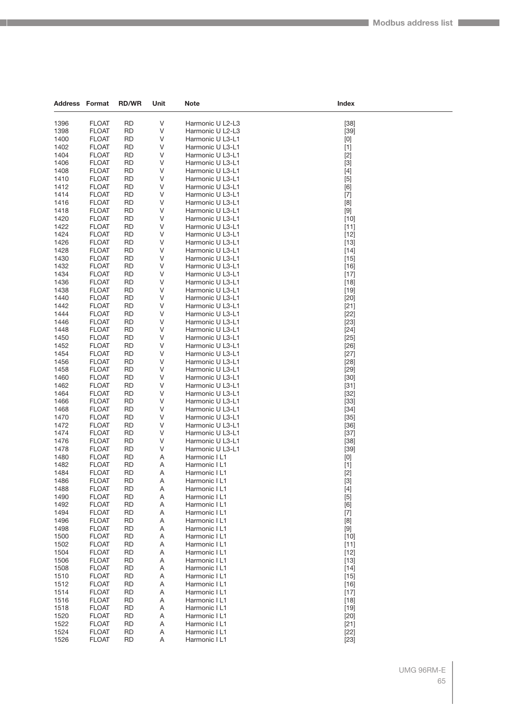| Address Format |                              | <b>RD/WR</b>           | Unit   | <b>Note</b>                          | Index                                                                                                                                                                                                                                                                                                                                                                                                                                                                                                                                                                                              |
|----------------|------------------------------|------------------------|--------|--------------------------------------|----------------------------------------------------------------------------------------------------------------------------------------------------------------------------------------------------------------------------------------------------------------------------------------------------------------------------------------------------------------------------------------------------------------------------------------------------------------------------------------------------------------------------------------------------------------------------------------------------|
|                |                              |                        |        |                                      |                                                                                                                                                                                                                                                                                                                                                                                                                                                                                                                                                                                                    |
| 1396           | <b>FLOAT</b>                 | RD                     | V      | Harmonic U L2-L3                     | $[38]$                                                                                                                                                                                                                                                                                                                                                                                                                                                                                                                                                                                             |
| 1398           | <b>FLOAT</b>                 | <b>RD</b>              | V      | Harmonic U L2-L3                     | $[39]$                                                                                                                                                                                                                                                                                                                                                                                                                                                                                                                                                                                             |
| 1400           | <b>FLOAT</b>                 | <b>RD</b>              | V      | Harmonic U L3-L1                     | [0]                                                                                                                                                                                                                                                                                                                                                                                                                                                                                                                                                                                                |
| 1402<br>1404   | <b>FLOAT</b><br><b>FLOAT</b> | <b>RD</b><br><b>RD</b> | V<br>V | Harmonic U L3-L1<br>Harmonic U L3-L1 | $[1]$                                                                                                                                                                                                                                                                                                                                                                                                                                                                                                                                                                                              |
| 1406           | <b>FLOAT</b>                 | <b>RD</b>              | V      | Harmonic U L3-L1                     | $[2]$<br>$[3]$                                                                                                                                                                                                                                                                                                                                                                                                                                                                                                                                                                                     |
| 1408           | <b>FLOAT</b>                 | RD                     | V      | Harmonic U L3-L1                     | $[4]$                                                                                                                                                                                                                                                                                                                                                                                                                                                                                                                                                                                              |
| 1410           | <b>FLOAT</b>                 | <b>RD</b>              | V      | Harmonic U L3-L1                     | $[5]$                                                                                                                                                                                                                                                                                                                                                                                                                                                                                                                                                                                              |
| 1412           | <b>FLOAT</b>                 | <b>RD</b>              | V      | Harmonic U L3-L1                     | [6]                                                                                                                                                                                                                                                                                                                                                                                                                                                                                                                                                                                                |
| 1414           | <b>FLOAT</b>                 | <b>RD</b>              | V      | Harmonic U L3-L1                     | $[7]$                                                                                                                                                                                                                                                                                                                                                                                                                                                                                                                                                                                              |
| 1416           | <b>FLOAT</b>                 | <b>RD</b>              | V      | Harmonic U L3-L1                     | [8]                                                                                                                                                                                                                                                                                                                                                                                                                                                                                                                                                                                                |
| 1418           | <b>FLOAT</b>                 | <b>RD</b>              | V      | Harmonic U L3-L1                     | $[9]$                                                                                                                                                                                                                                                                                                                                                                                                                                                                                                                                                                                              |
| 1420           | <b>FLOAT</b>                 | <b>RD</b>              | V      | Harmonic U L3-L1                     | $[10]$                                                                                                                                                                                                                                                                                                                                                                                                                                                                                                                                                                                             |
| 1422           | <b>FLOAT</b>                 | <b>RD</b>              | V      | Harmonic U L3-L1                     | $[11]$                                                                                                                                                                                                                                                                                                                                                                                                                                                                                                                                                                                             |
| 1424           | <b>FLOAT</b>                 | <b>RD</b>              | V      | Harmonic U L3-L1                     | $[12]$                                                                                                                                                                                                                                                                                                                                                                                                                                                                                                                                                                                             |
| 1426           | <b>FLOAT</b>                 | <b>RD</b>              | V      | Harmonic U L3-L1                     | $[13]$                                                                                                                                                                                                                                                                                                                                                                                                                                                                                                                                                                                             |
| 1428           | <b>FLOAT</b>                 | <b>RD</b>              | V      | Harmonic U L3-L1                     | $[14]$                                                                                                                                                                                                                                                                                                                                                                                                                                                                                                                                                                                             |
| 1430           | <b>FLOAT</b>                 | <b>RD</b>              | V      | Harmonic U L3-L1                     | $[15]$                                                                                                                                                                                                                                                                                                                                                                                                                                                                                                                                                                                             |
| 1432           | <b>FLOAT</b>                 | <b>RD</b>              | V      | Harmonic U L3-L1                     | $[16]$                                                                                                                                                                                                                                                                                                                                                                                                                                                                                                                                                                                             |
| 1434           | <b>FLOAT</b>                 | <b>RD</b>              | V      | Harmonic U L3-L1                     | $[17]$                                                                                                                                                                                                                                                                                                                                                                                                                                                                                                                                                                                             |
| 1436           | <b>FLOAT</b>                 | <b>RD</b>              | V      | Harmonic U L3-L1                     | $[18]$                                                                                                                                                                                                                                                                                                                                                                                                                                                                                                                                                                                             |
| 1438<br>1440   | <b>FLOAT</b><br><b>FLOAT</b> | <b>RD</b><br><b>RD</b> | V<br>V | Harmonic U L3-L1<br>Harmonic U L3-L1 | $[19]$<br>$[20]$                                                                                                                                                                                                                                                                                                                                                                                                                                                                                                                                                                                   |
| 1442           | <b>FLOAT</b>                 | <b>RD</b>              | V      | Harmonic U L3-L1                     | $[21]$                                                                                                                                                                                                                                                                                                                                                                                                                                                                                                                                                                                             |
| 1444           | <b>FLOAT</b>                 | RD                     | V      | Harmonic U L3-L1                     | $[22]$                                                                                                                                                                                                                                                                                                                                                                                                                                                                                                                                                                                             |
| 1446           | <b>FLOAT</b>                 | <b>RD</b>              | V      | Harmonic U L3-L1                     | $[23]$                                                                                                                                                                                                                                                                                                                                                                                                                                                                                                                                                                                             |
| 1448           | <b>FLOAT</b>                 | <b>RD</b>              | V      | Harmonic U L3-L1                     | $[24]$                                                                                                                                                                                                                                                                                                                                                                                                                                                                                                                                                                                             |
| 1450           | <b>FLOAT</b>                 | <b>RD</b>              | V      | Harmonic U L3-L1                     | $[25]$                                                                                                                                                                                                                                                                                                                                                                                                                                                                                                                                                                                             |
| 1452           | <b>FLOAT</b>                 | <b>RD</b>              | V      | Harmonic U L3-L1                     | $[26]$                                                                                                                                                                                                                                                                                                                                                                                                                                                                                                                                                                                             |
| 1454           | <b>FLOAT</b>                 | <b>RD</b>              | V      | Harmonic U L3-L1                     | $[27]$                                                                                                                                                                                                                                                                                                                                                                                                                                                                                                                                                                                             |
| 1456           | <b>FLOAT</b>                 | <b>RD</b>              | V      | Harmonic U L3-L1                     | $[28]$                                                                                                                                                                                                                                                                                                                                                                                                                                                                                                                                                                                             |
| 1458           | <b>FLOAT</b>                 | <b>RD</b>              | V      | Harmonic U L3-L1                     | $[29]$                                                                                                                                                                                                                                                                                                                                                                                                                                                                                                                                                                                             |
| 1460           | <b>FLOAT</b>                 | <b>RD</b>              | V      | Harmonic U L3-L1                     | $[30]$                                                                                                                                                                                                                                                                                                                                                                                                                                                                                                                                                                                             |
| 1462           | <b>FLOAT</b>                 | <b>RD</b>              | V      | Harmonic U L3-L1                     | $[31]$                                                                                                                                                                                                                                                                                                                                                                                                                                                                                                                                                                                             |
| 1464           | <b>FLOAT</b>                 | <b>RD</b>              | V      | Harmonic U L3-L1                     | $[32]$                                                                                                                                                                                                                                                                                                                                                                                                                                                                                                                                                                                             |
| 1466<br>1468   | <b>FLOAT</b><br><b>FLOAT</b> | <b>RD</b><br><b>RD</b> | V<br>V | Harmonic U L3-L1<br>Harmonic U L3-L1 | $[33]$<br>$[34]$                                                                                                                                                                                                                                                                                                                                                                                                                                                                                                                                                                                   |
| 1470           | <b>FLOAT</b>                 | <b>RD</b>              | V      | Harmonic U L3-L1                     | $[35]$                                                                                                                                                                                                                                                                                                                                                                                                                                                                                                                                                                                             |
| 1472           | <b>FLOAT</b>                 | <b>RD</b>              | V      | Harmonic U L3-L1                     | $[36]$                                                                                                                                                                                                                                                                                                                                                                                                                                                                                                                                                                                             |
| 1474           | <b>FLOAT</b>                 | <b>RD</b>              | V      | Harmonic U L3-L1                     | $[37]$                                                                                                                                                                                                                                                                                                                                                                                                                                                                                                                                                                                             |
| 1476           | <b>FLOAT</b>                 | <b>RD</b>              | V      | Harmonic U L3-L1                     | $[38]$                                                                                                                                                                                                                                                                                                                                                                                                                                                                                                                                                                                             |
| 1478           | <b>FLOAT</b>                 | <b>RD</b>              | V      | Harmonic U L3-L1                     | $[39]$                                                                                                                                                                                                                                                                                                                                                                                                                                                                                                                                                                                             |
| 1480           | <b>FLOAT</b>                 | <b>RD</b>              | Α      | Harmonic I L1                        | $[0] % \begin{center} % \includegraphics[width=\linewidth]{imagesSupplemental_3.png} % \end{center} % \caption { % Our method can be used for the use of the image. % Note that the \emph{DefNet}~\cite{bib66} as a function of the \emph{DefNet}~\cite{bib66} as a function of the \emph{DefNet}~\cite{bib66} as a function of the \emph{DefNet}~\cite{bib66} as a function of the \emph{DefNet}~\cite{bib66} as a function of the \emph{DefNet}~\cite{bib66} as a function of the \emph{DefNet}~\cite{bib66} as a function of the \emph{DefNet}~\cite{bib66} as a function of the \emph{DefNet}$ |
| 1482           | <b>FLOAT</b>                 | RD                     | Α      | Harmonic I L1                        | $[1]$                                                                                                                                                                                                                                                                                                                                                                                                                                                                                                                                                                                              |
| 1484           | <b>FLOAT</b>                 | <b>RD</b>              | A      | Harmonic I L1                        | $[2]$                                                                                                                                                                                                                                                                                                                                                                                                                                                                                                                                                                                              |
| 1486           | <b>FLOAT</b>                 | RD                     | Α      | Harmonic I L1                        | $[3]$                                                                                                                                                                                                                                                                                                                                                                                                                                                                                                                                                                                              |
| 1488           | <b>FLOAT</b>                 | <b>RD</b>              | Α      | Harmonic I L1                        | $[4]$                                                                                                                                                                                                                                                                                                                                                                                                                                                                                                                                                                                              |
| 1490<br>1492   | <b>FLOAT</b><br><b>FLOAT</b> | <b>RD</b><br>RD        | Α<br>Α | Harmonic I L1<br>Harmonic I L1       | $[5]$                                                                                                                                                                                                                                                                                                                                                                                                                                                                                                                                                                                              |
| 1494           | <b>FLOAT</b>                 | <b>RD</b>              | Α      | Harmonic I L1                        | [6]<br>$[7]$                                                                                                                                                                                                                                                                                                                                                                                                                                                                                                                                                                                       |
| 1496           | <b>FLOAT</b>                 | <b>RD</b>              | A      | Harmonic I L1                        | [8]                                                                                                                                                                                                                                                                                                                                                                                                                                                                                                                                                                                                |
| 1498           | <b>FLOAT</b>                 | <b>RD</b>              | Α      | Harmonic I L1                        | $[9]$                                                                                                                                                                                                                                                                                                                                                                                                                                                                                                                                                                                              |
| 1500           | <b>FLOAT</b>                 | <b>RD</b>              | Α      | Harmonic I L1                        | $[10]$                                                                                                                                                                                                                                                                                                                                                                                                                                                                                                                                                                                             |
| 1502           | <b>FLOAT</b>                 | RD                     | Α      | Harmonic I L1                        | $[11]$                                                                                                                                                                                                                                                                                                                                                                                                                                                                                                                                                                                             |
| 1504           | <b>FLOAT</b>                 | <b>RD</b>              | Α      | Harmonic I L1                        | $[12]$                                                                                                                                                                                                                                                                                                                                                                                                                                                                                                                                                                                             |
| 1506           | <b>FLOAT</b>                 | <b>RD</b>              | Α      | Harmonic I L1                        | $[13]$                                                                                                                                                                                                                                                                                                                                                                                                                                                                                                                                                                                             |
| 1508           | <b>FLOAT</b>                 | <b>RD</b>              | Α      | Harmonic I L1                        | $[14]$                                                                                                                                                                                                                                                                                                                                                                                                                                                                                                                                                                                             |
| 1510           | <b>FLOAT</b>                 | <b>RD</b>              | Α      | Harmonic I L1                        | $[15]$                                                                                                                                                                                                                                                                                                                                                                                                                                                                                                                                                                                             |
| 1512           | <b>FLOAT</b>                 | <b>RD</b>              | Α      | Harmonic I L1                        | $[16]$                                                                                                                                                                                                                                                                                                                                                                                                                                                                                                                                                                                             |
| 1514           | <b>FLOAT</b>                 | <b>RD</b>              | Α      | Harmonic I L1                        | $[17]$                                                                                                                                                                                                                                                                                                                                                                                                                                                                                                                                                                                             |
| 1516           | <b>FLOAT</b>                 | <b>RD</b>              | Α      | Harmonic I L1                        | $[18]$                                                                                                                                                                                                                                                                                                                                                                                                                                                                                                                                                                                             |
| 1518<br>1520   | <b>FLOAT</b><br><b>FLOAT</b> | <b>RD</b><br><b>RD</b> | Α<br>Α | Harmonic I L1<br>Harmonic I L1       | $[19]$<br>$[20]$                                                                                                                                                                                                                                                                                                                                                                                                                                                                                                                                                                                   |
| 1522           | <b>FLOAT</b>                 | <b>RD</b>              | Α      | Harmonic I L1                        | $[21]$                                                                                                                                                                                                                                                                                                                                                                                                                                                                                                                                                                                             |
| 1524           | <b>FLOAT</b>                 | <b>RD</b>              | Α      | Harmonic I L1                        | $[22]$                                                                                                                                                                                                                                                                                                                                                                                                                                                                                                                                                                                             |
| 1526           | <b>FLOAT</b>                 | <b>RD</b>              | Α      | Harmonic I L1                        | $[23]$                                                                                                                                                                                                                                                                                                                                                                                                                                                                                                                                                                                             |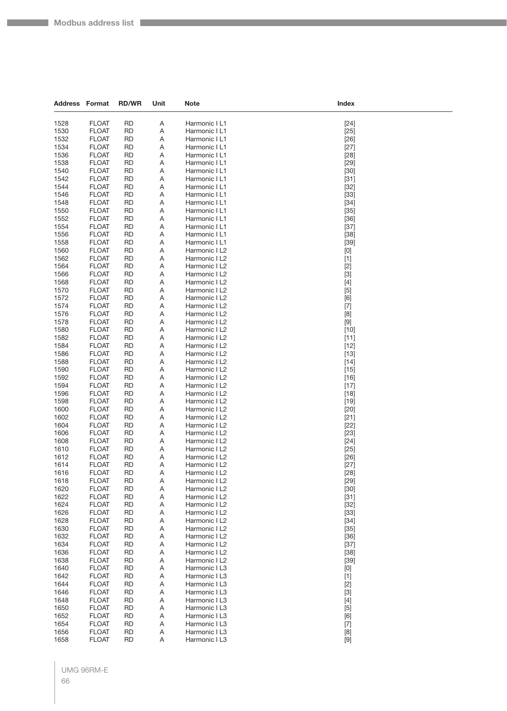| Address Format |                              | <b>RD/WR</b>           | Unit   | <b>Note</b>                    | Index                                                                                                                                                                                                                                |
|----------------|------------------------------|------------------------|--------|--------------------------------|--------------------------------------------------------------------------------------------------------------------------------------------------------------------------------------------------------------------------------------|
|                |                              |                        |        |                                |                                                                                                                                                                                                                                      |
| 1528           | <b>FLOAT</b>                 | <b>RD</b>              | Α      | Harmonic I L1                  | $[24]$                                                                                                                                                                                                                               |
| 1530           | <b>FLOAT</b>                 | RD                     | Α      | Harmonic I L1                  | $[25]$                                                                                                                                                                                                                               |
| 1532<br>1534   | <b>FLOAT</b><br><b>FLOAT</b> | <b>RD</b>              | Α      | Harmonic I L1<br>Harmonic I L1 | $[26]$                                                                                                                                                                                                                               |
| 1536           | <b>FLOAT</b>                 | RD<br><b>RD</b>        | Α<br>Α | Harmonic I L1                  | $[27]$<br>$[28]$                                                                                                                                                                                                                     |
| 1538           | <b>FLOAT</b>                 | <b>RD</b>              | Α      | Harmonic I L1                  | $[29]$                                                                                                                                                                                                                               |
| 1540           | <b>FLOAT</b>                 | RD                     | Α      | Harmonic I L1                  | $[30]$                                                                                                                                                                                                                               |
| 1542           | <b>FLOAT</b>                 | <b>RD</b>              | Α      | Harmonic I L1                  | $[31]$                                                                                                                                                                                                                               |
| 1544           | <b>FLOAT</b>                 | RD                     | Α      | Harmonic I L1                  | $[32]$                                                                                                                                                                                                                               |
| 1546           | <b>FLOAT</b>                 | <b>RD</b>              | Α      | Harmonic I L1                  | $[33]$                                                                                                                                                                                                                               |
| 1548           | <b>FLOAT</b>                 | <b>RD</b>              | Α      | Harmonic I L1                  | $[34]$                                                                                                                                                                                                                               |
| 1550           | <b>FLOAT</b>                 | RD                     | Α      | Harmonic I L1                  | $[35]$                                                                                                                                                                                                                               |
| 1552           | <b>FLOAT</b>                 | <b>RD</b>              | Α      | Harmonic I L1                  | $[36]$                                                                                                                                                                                                                               |
| 1554           | <b>FLOAT</b>                 | RD                     | Α      | Harmonic I L1                  | $[37]$                                                                                                                                                                                                                               |
| 1556           | <b>FLOAT</b>                 | <b>RD</b>              | Α      | Harmonic I L1                  | $[38]$                                                                                                                                                                                                                               |
| 1558           | <b>FLOAT</b>                 | <b>RD</b>              | Α      | Harmonic I L1                  | $[39]$                                                                                                                                                                                                                               |
| 1560           | <b>FLOAT</b>                 | RD                     | Α      | Harmonic I L2                  | [0]                                                                                                                                                                                                                                  |
| 1562           | <b>FLOAT</b>                 | <b>RD</b>              | Α      | Harmonic I L2                  | $[1]$                                                                                                                                                                                                                                |
| 1564           | <b>FLOAT</b>                 | RD                     | Α      | Harmonic I L2                  | $[2]$                                                                                                                                                                                                                                |
| 1566           | <b>FLOAT</b>                 | <b>RD</b>              | Α      | Harmonic I L2                  | $[3]$                                                                                                                                                                                                                                |
| 1568           | <b>FLOAT</b>                 | <b>RD</b>              | Α      | Harmonic I L2                  | $[4]$                                                                                                                                                                                                                                |
| 1570           | <b>FLOAT</b>                 | RD                     | Α      | Harmonic I L2                  | $[5]$                                                                                                                                                                                                                                |
| 1572           | <b>FLOAT</b>                 | <b>RD</b>              | Α      | Harmonic I L2                  | [6]                                                                                                                                                                                                                                  |
| 1574           | <b>FLOAT</b>                 | RD                     | Α      | Harmonic I L2                  | $[7]$                                                                                                                                                                                                                                |
| 1576           | <b>FLOAT</b>                 | <b>RD</b>              | Α      | Harmonic I L2                  | [8]                                                                                                                                                                                                                                  |
| 1578           | <b>FLOAT</b>                 | <b>RD</b>              | Α      | Harmonic I L2                  | $[9] % \begin{center} \includegraphics[width=\linewidth]{imagesSupplemental/Imers.png} \end{center} % \vspace{-1em} \caption{The image shows the number of parameters of the estimators in the left and right.} \label{fig:limall}$  |
| 1580<br>1582   | <b>FLOAT</b><br><b>FLOAT</b> | RD<br><b>RD</b>        | Α<br>Α | Harmonic I L2                  | $[10]$                                                                                                                                                                                                                               |
| 1584           | <b>FLOAT</b>                 | RD                     | Α      | Harmonic I L2<br>Harmonic I L2 | $[11]$<br>$[12]$                                                                                                                                                                                                                     |
| 1586           | <b>FLOAT</b>                 | <b>RD</b>              | Α      | Harmonic I L2                  | $[13]$                                                                                                                                                                                                                               |
| 1588           | <b>FLOAT</b>                 | <b>RD</b>              | Α      | Harmonic I L2                  | $[14]$                                                                                                                                                                                                                               |
| 1590           | <b>FLOAT</b>                 | RD                     | Α      | Harmonic I L2                  | $[15]$                                                                                                                                                                                                                               |
| 1592           | <b>FLOAT</b>                 | <b>RD</b>              | Α      | Harmonic I L2                  | $[16]$                                                                                                                                                                                                                               |
| 1594           | <b>FLOAT</b>                 | RD                     | Α      | Harmonic I L2                  | $[17]$                                                                                                                                                                                                                               |
| 1596           | <b>FLOAT</b>                 | <b>RD</b>              | Α      | Harmonic I L2                  | $[18]$                                                                                                                                                                                                                               |
| 1598           | <b>FLOAT</b>                 | <b>RD</b>              | Α      | Harmonic I L2                  | $[19]$                                                                                                                                                                                                                               |
| 1600           | <b>FLOAT</b>                 | RD                     | Α      | Harmonic I L2                  | $[20]$                                                                                                                                                                                                                               |
| 1602           | <b>FLOAT</b>                 | <b>RD</b>              | Α      | Harmonic I L2                  | $[21]$                                                                                                                                                                                                                               |
| 1604           | <b>FLOAT</b>                 | RD                     | Α      | Harmonic I L2                  | $[22]$                                                                                                                                                                                                                               |
| 1606           | <b>FLOAT</b>                 | <b>RD</b>              | Α      | Harmonic I L2                  | $[23]$                                                                                                                                                                                                                               |
| 1608           | <b>FLOAT</b>                 | <b>RD</b>              | Α      | Harmonic I L2                  | $[24]$                                                                                                                                                                                                                               |
| 1610           | <b>FLOAT</b>                 | RD                     | Α      | Harmonic I L2                  | $[25]$                                                                                                                                                                                                                               |
| 1612           | <b>FLOAT</b>                 | <b>RD</b>              | Α      | Harmonic I L2                  | $[26]$                                                                                                                                                                                                                               |
| 1614           | <b>FLOAT</b>                 | <b>RD</b>              | Α      | Harmonic I L2                  | $[27]$                                                                                                                                                                                                                               |
| 1616           | <b>FLOAI</b>                 | RD                     | Α      | Harmonic I L2                  | [28]                                                                                                                                                                                                                                 |
| 1618           | <b>FLOAT</b>                 | <b>RD</b>              | Α      | Harmonic I L2                  | $[29]$                                                                                                                                                                                                                               |
| 1620           | <b>FLOAT</b>                 | <b>RD</b>              | Α      | Harmonic I L2                  | $[30]$                                                                                                                                                                                                                               |
| 1622<br>1624   | <b>FLOAT</b><br><b>FLOAT</b> | <b>RD</b><br><b>RD</b> | Α      | Harmonic I L2<br>Harmonic I L2 | $[31]$                                                                                                                                                                                                                               |
| 1626           | <b>FLOAT</b>                 | <b>RD</b>              | Α<br>Α | Harmonic I L2                  | $[32]$<br>$[33]$                                                                                                                                                                                                                     |
| 1628           | <b>FLOAT</b>                 | <b>RD</b>              | Α      | Harmonic I L2                  | $[34]$                                                                                                                                                                                                                               |
| 1630           | <b>FLOAT</b>                 | <b>RD</b>              | Α      | Harmonic I L2                  | $[35]$                                                                                                                                                                                                                               |
| 1632           | <b>FLOAT</b>                 | <b>RD</b>              | Α      | Harmonic I L2                  | $[36]$                                                                                                                                                                                                                               |
| 1634           | <b>FLOAT</b>                 | <b>RD</b>              | Α      | Harmonic I L2                  | $[37]$                                                                                                                                                                                                                               |
| 1636           | <b>FLOAT</b>                 | <b>RD</b>              | Α      | Harmonic I L2                  | $[38]$                                                                                                                                                                                                                               |
| 1638           | <b>FLOAT</b>                 | <b>RD</b>              | Α      | Harmonic I L2                  | $[39]$                                                                                                                                                                                                                               |
| 1640           | <b>FLOAT</b>                 | RD                     | Α      | Harmonic I L3                  | [0]                                                                                                                                                                                                                                  |
| 1642           | <b>FLOAT</b>                 | <b>RD</b>              | Α      | Harmonic I L3                  | $[1]$                                                                                                                                                                                                                                |
| 1644           | <b>FLOAT</b>                 | <b>RD</b>              | Α      | Harmonic I L3                  | $[2]$                                                                                                                                                                                                                                |
| 1646           | <b>FLOAT</b>                 | <b>RD</b>              | Α      | Harmonic I L3                  | $[3]$                                                                                                                                                                                                                                |
| 1648           | <b>FLOAT</b>                 | <b>RD</b>              | Α      | Harmonic I L3                  | [4]                                                                                                                                                                                                                                  |
| 1650           | <b>FLOAT</b>                 | RD                     | Α      | Harmonic I L3                  | $[5]$                                                                                                                                                                                                                                |
| 1652           | <b>FLOAT</b>                 | <b>RD</b>              | Α      | Harmonic I L3                  | [6]                                                                                                                                                                                                                                  |
| 1654           | <b>FLOAT</b>                 | <b>RD</b>              | Α      | Harmonic I L3                  | $[7]$                                                                                                                                                                                                                                |
| 1656           | <b>FLOAT</b>                 | <b>RD</b>              | Α      | Harmonic I L3                  | $[8]$                                                                                                                                                                                                                                |
| 1658           | <b>FLOAT</b>                 | <b>RD</b>              | Α      | Harmonic I L3                  | $[9] % \begin{center} \includegraphics[width=\linewidth]{imagesSupplemental/Imers.png} \end{center} % \vspace*{-1em} \caption{The image shows the number of parameters of the estimators in the left and right.} \label{fig:limall}$ |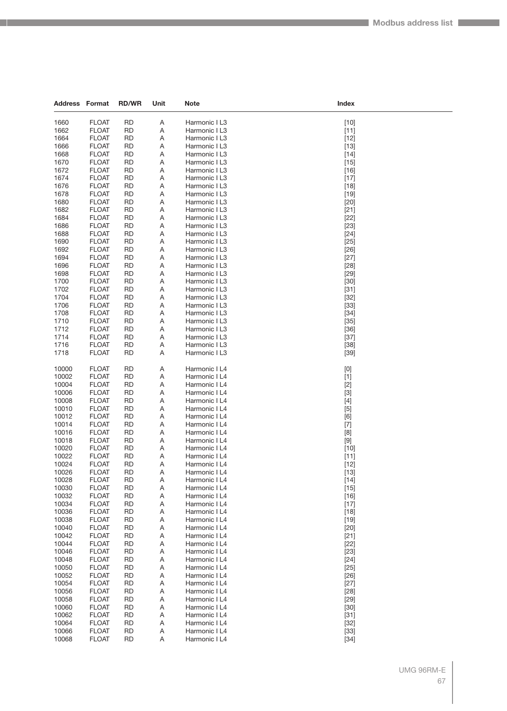| Address        | Format                       | <b>RD/WR</b>           | Unit   | <b>Note</b>                    | Index                                                                                                                                                                                                                                                                                                                                                                                                                                                                                                                                                                                              |
|----------------|------------------------------|------------------------|--------|--------------------------------|----------------------------------------------------------------------------------------------------------------------------------------------------------------------------------------------------------------------------------------------------------------------------------------------------------------------------------------------------------------------------------------------------------------------------------------------------------------------------------------------------------------------------------------------------------------------------------------------------|
|                |                              |                        |        |                                |                                                                                                                                                                                                                                                                                                                                                                                                                                                                                                                                                                                                    |
| 1660           | <b>FLOAT</b>                 | <b>RD</b>              | Α      | Harmonic I L3                  | $[10]$                                                                                                                                                                                                                                                                                                                                                                                                                                                                                                                                                                                             |
| 1662           | <b>FLOAT</b>                 | <b>RD</b>              | A      | Harmonic I L3                  | $[11]$                                                                                                                                                                                                                                                                                                                                                                                                                                                                                                                                                                                             |
| 1664           | <b>FLOAT</b>                 | <b>RD</b>              | Α      | Harmonic I L3                  | $[12]$                                                                                                                                                                                                                                                                                                                                                                                                                                                                                                                                                                                             |
| 1666           | <b>FLOAT</b>                 | <b>RD</b>              | Α      | Harmonic I L3                  | $[13]$                                                                                                                                                                                                                                                                                                                                                                                                                                                                                                                                                                                             |
| 1668           | <b>FLOAT</b>                 | RD                     | Α      | Harmonic I L3                  | $[14]$                                                                                                                                                                                                                                                                                                                                                                                                                                                                                                                                                                                             |
| 1670           | <b>FLOAT</b>                 | RD                     | Α      | Harmonic I L3                  | $[15]$                                                                                                                                                                                                                                                                                                                                                                                                                                                                                                                                                                                             |
| 1672           | <b>FLOAT</b>                 | <b>RD</b>              | Α      | Harmonic I L3                  | $[16]$                                                                                                                                                                                                                                                                                                                                                                                                                                                                                                                                                                                             |
| 1674           | <b>FLOAT</b><br><b>FLOAT</b> | <b>RD</b><br><b>RD</b> | Α      | Harmonic I L3                  | $[17]$                                                                                                                                                                                                                                                                                                                                                                                                                                                                                                                                                                                             |
| 1676<br>1678   | <b>FLOAT</b>                 |                        | Α      | Harmonic I L3<br>Harmonic I L3 | $[18]$                                                                                                                                                                                                                                                                                                                                                                                                                                                                                                                                                                                             |
| 1680           | <b>FLOAT</b>                 | RD<br>RD               | Α<br>Α | Harmonic I L3                  | $[19]$<br>$[20]$                                                                                                                                                                                                                                                                                                                                                                                                                                                                                                                                                                                   |
| 1682           | <b>FLOAT</b>                 | <b>RD</b>              | Α      | Harmonic I L3                  | $[21]$                                                                                                                                                                                                                                                                                                                                                                                                                                                                                                                                                                                             |
| 1684           | <b>FLOAT</b>                 | <b>RD</b>              | Α      | Harmonic I L3                  | $[22]$                                                                                                                                                                                                                                                                                                                                                                                                                                                                                                                                                                                             |
| 1686           | <b>FLOAT</b>                 | <b>RD</b>              | Α      | Harmonic I L3                  | $[23]$                                                                                                                                                                                                                                                                                                                                                                                                                                                                                                                                                                                             |
| 1688           | <b>FLOAT</b>                 | RD                     | Α      | Harmonic I L3                  | $[24]$                                                                                                                                                                                                                                                                                                                                                                                                                                                                                                                                                                                             |
| 1690           | <b>FLOAT</b>                 | RD                     | Α      | Harmonic I L3                  | $[25]$                                                                                                                                                                                                                                                                                                                                                                                                                                                                                                                                                                                             |
| 1692           | <b>FLOAT</b>                 | <b>RD</b>              | Α      | Harmonic I L3                  | $[26]$                                                                                                                                                                                                                                                                                                                                                                                                                                                                                                                                                                                             |
| 1694           | <b>FLOAT</b>                 | <b>RD</b>              | Α      | Harmonic I L3                  | $[27]$                                                                                                                                                                                                                                                                                                                                                                                                                                                                                                                                                                                             |
| 1696           | <b>FLOAT</b>                 | <b>RD</b>              | Α      | Harmonic I L3                  | $[28]$                                                                                                                                                                                                                                                                                                                                                                                                                                                                                                                                                                                             |
| 1698           | <b>FLOAT</b>                 | RD                     | Α      | Harmonic I L3                  | $[29]$                                                                                                                                                                                                                                                                                                                                                                                                                                                                                                                                                                                             |
| 1700           | <b>FLOAT</b>                 | <b>RD</b>              | Α      | Harmonic I L3                  | $[30]$                                                                                                                                                                                                                                                                                                                                                                                                                                                                                                                                                                                             |
| 1702           | <b>FLOAT</b>                 | <b>RD</b>              | Α      | Harmonic I L3                  | $[31]$                                                                                                                                                                                                                                                                                                                                                                                                                                                                                                                                                                                             |
| 1704           | <b>FLOAT</b>                 | <b>RD</b>              | Α      | Harmonic I L3                  | $[32]$                                                                                                                                                                                                                                                                                                                                                                                                                                                                                                                                                                                             |
| 1706           | <b>FLOAT</b>                 | <b>RD</b>              | Α      | Harmonic I L3                  | $[33]$                                                                                                                                                                                                                                                                                                                                                                                                                                                                                                                                                                                             |
| 1708           | <b>FLOAT</b>                 | RD                     | Α      | Harmonic I L3                  | $[34]$                                                                                                                                                                                                                                                                                                                                                                                                                                                                                                                                                                                             |
| 1710           | <b>FLOAT</b>                 | <b>RD</b>              | Α      | Harmonic I L3                  | $[35]$                                                                                                                                                                                                                                                                                                                                                                                                                                                                                                                                                                                             |
| 1712           | <b>FLOAT</b>                 | <b>RD</b>              | Α      | Harmonic I L3                  | $[36]$                                                                                                                                                                                                                                                                                                                                                                                                                                                                                                                                                                                             |
| 1714           | <b>FLOAT</b>                 | <b>RD</b>              | Α      | Harmonic I L3                  | $[37]$                                                                                                                                                                                                                                                                                                                                                                                                                                                                                                                                                                                             |
| 1716           | <b>FLOAT</b>                 | <b>RD</b>              | Α      | Harmonic I L3                  | $[38]$                                                                                                                                                                                                                                                                                                                                                                                                                                                                                                                                                                                             |
| 1718           | <b>FLOAT</b>                 | RD                     | Α      | Harmonic I L3                  | $[39]$                                                                                                                                                                                                                                                                                                                                                                                                                                                                                                                                                                                             |
|                |                              |                        |        |                                |                                                                                                                                                                                                                                                                                                                                                                                                                                                                                                                                                                                                    |
| 10000          | <b>FLOAT</b>                 | RD                     | Α      | Harmonic I L4                  | $[0] % \begin{center} % \includegraphics[width=\linewidth]{imagesSupplemental_3.png} % \end{center} % \caption { % Our method can be used for the use of the image. % Note that the \emph{DefNet}~\cite{bib66} as a function of the \emph{DefNet}~\cite{bib66} as a function of the \emph{DefNet}~\cite{bib66} as a function of the \emph{DefNet}~\cite{bib66} as a function of the \emph{DefNet}~\cite{bib66} as a function of the \emph{DefNet}~\cite{bib66} as a function of the \emph{DefNet}~\cite{bib66} as a function of the \emph{DefNet}~\cite{bib66} as a function of the \emph{DefNet}$ |
| 10002          | <b>FLOAT</b>                 | <b>RD</b>              | Α      | Harmonic I L4                  | $[1]$                                                                                                                                                                                                                                                                                                                                                                                                                                                                                                                                                                                              |
| 10004          | <b>FLOAT</b>                 | <b>RD</b>              | Α      | Harmonic I L4                  | $[2]$                                                                                                                                                                                                                                                                                                                                                                                                                                                                                                                                                                                              |
| 10006<br>10008 | <b>FLOAT</b><br><b>FLOAT</b> | RD<br><b>RD</b>        | Α      | Harmonic I L4                  | $[3]$                                                                                                                                                                                                                                                                                                                                                                                                                                                                                                                                                                                              |
| 10010          | <b>FLOAT</b>                 | <b>RD</b>              | Α<br>Α | Harmonic I L4<br>Harmonic I L4 | $[4]$<br>$[5]$                                                                                                                                                                                                                                                                                                                                                                                                                                                                                                                                                                                     |
| 10012          | <b>FLOAT</b>                 | <b>RD</b>              | Α      | Harmonic I L4                  | [6]                                                                                                                                                                                                                                                                                                                                                                                                                                                                                                                                                                                                |
| 10014          | <b>FLOAT</b>                 | <b>RD</b>              | Α      | Harmonic I L4                  | $[7]$                                                                                                                                                                                                                                                                                                                                                                                                                                                                                                                                                                                              |
| 10016          | <b>FLOAT</b>                 | RD                     | Α      | Harmonic I L4                  | [8]                                                                                                                                                                                                                                                                                                                                                                                                                                                                                                                                                                                                |
| 10018          | <b>FLOAT</b>                 | <b>RD</b>              | Α      | Harmonic I L4                  | $[9]$                                                                                                                                                                                                                                                                                                                                                                                                                                                                                                                                                                                              |
| 10020          | <b>FLOAT</b>                 | RD                     | Α      | Harmonic I L4                  | $[10]$                                                                                                                                                                                                                                                                                                                                                                                                                                                                                                                                                                                             |
| 10022          | <b>FLOAT</b>                 | <b>RD</b>              | Α      | Harmonic I L4                  | $[11]$                                                                                                                                                                                                                                                                                                                                                                                                                                                                                                                                                                                             |
| 10024          | <b>FLOAT</b>                 | <b>RD</b>              | Α      | Harmonic I L4                  | $[12]$                                                                                                                                                                                                                                                                                                                                                                                                                                                                                                                                                                                             |
| 10026          | <b>FLOAT</b>                 | <b>RD</b>              | Α      | Harmonic I L4                  | $[13]$                                                                                                                                                                                                                                                                                                                                                                                                                                                                                                                                                                                             |
| 10028          | <b>FLOAT</b>                 | RD                     | Α      | Harmonic I L4                  | $[14]$                                                                                                                                                                                                                                                                                                                                                                                                                                                                                                                                                                                             |
| 10030          | <b>FLOAT</b>                 | <b>RD</b>              | Α      | Harmonic I L4                  | $[15]$                                                                                                                                                                                                                                                                                                                                                                                                                                                                                                                                                                                             |
| 10032          | <b>FLOAT</b>                 | <b>RD</b>              | Α      | Harmonic I L4                  | $[16]$                                                                                                                                                                                                                                                                                                                                                                                                                                                                                                                                                                                             |
| 10034          | <b>FLOAT</b>                 | <b>RD</b>              | Α      | Harmonic I L4                  | $[17]$                                                                                                                                                                                                                                                                                                                                                                                                                                                                                                                                                                                             |
| 10036          | <b>FLOAT</b>                 | RD                     | Α      | Harmonic I L4                  | $[18]$                                                                                                                                                                                                                                                                                                                                                                                                                                                                                                                                                                                             |
| 10038          | <b>FLOAT</b>                 | <b>RD</b>              | Α      | Harmonic I L4                  | $[19]$                                                                                                                                                                                                                                                                                                                                                                                                                                                                                                                                                                                             |
| 10040          | <b>FLOAT</b>                 | <b>RD</b>              | Α      | Harmonic I L4                  | $[20]$                                                                                                                                                                                                                                                                                                                                                                                                                                                                                                                                                                                             |
| 10042          | <b>FLOAT</b>                 | <b>RD</b>              | Α      | Harmonic I L4                  | $[21]$                                                                                                                                                                                                                                                                                                                                                                                                                                                                                                                                                                                             |
| 10044          | <b>FLOAT</b>                 | <b>RD</b>              | Α      | Harmonic I L4                  | $[22]$                                                                                                                                                                                                                                                                                                                                                                                                                                                                                                                                                                                             |
| 10046          | <b>FLOAT</b>                 | RD                     | Α      | Harmonic I L4                  | $[23]$                                                                                                                                                                                                                                                                                                                                                                                                                                                                                                                                                                                             |
| 10048          | <b>FLOAT</b>                 | <b>RD</b>              | Α      | Harmonic I L4                  | $[24]$                                                                                                                                                                                                                                                                                                                                                                                                                                                                                                                                                                                             |
| 10050          | <b>FLOAT</b>                 | <b>RD</b>              | Α      | Harmonic I L4                  | $[25]$                                                                                                                                                                                                                                                                                                                                                                                                                                                                                                                                                                                             |
| 10052          | <b>FLOAT</b>                 | <b>RD</b>              | Α      | Harmonic I L4                  | $[26]$                                                                                                                                                                                                                                                                                                                                                                                                                                                                                                                                                                                             |
| 10054<br>10056 | <b>FLOAT</b>                 | <b>RD</b>              | Α      | Harmonic I L4                  | $[27]$                                                                                                                                                                                                                                                                                                                                                                                                                                                                                                                                                                                             |
| 10058          | <b>FLOAT</b><br><b>FLOAT</b> | RD<br><b>RD</b>        | Α<br>Α | Harmonic I L4<br>Harmonic I L4 | $[28]$<br>$[29]$                                                                                                                                                                                                                                                                                                                                                                                                                                                                                                                                                                                   |
| 10060          | <b>FLOAT</b>                 | <b>RD</b>              | Α      | Harmonic I L4                  | $[30]$                                                                                                                                                                                                                                                                                                                                                                                                                                                                                                                                                                                             |
| 10062          | <b>FLOAT</b>                 | <b>RD</b>              | Α      | Harmonic I L4                  | $[31]$                                                                                                                                                                                                                                                                                                                                                                                                                                                                                                                                                                                             |
| 10064          | <b>FLOAT</b>                 | <b>RD</b>              | Α      | Harmonic I L4                  | $[32]$                                                                                                                                                                                                                                                                                                                                                                                                                                                                                                                                                                                             |
| 10066          | <b>FLOAT</b>                 | RD                     | Α      | Harmonic I L4                  | $[33]$                                                                                                                                                                                                                                                                                                                                                                                                                                                                                                                                                                                             |
| 10068          | <b>FLOAT</b>                 | <b>RD</b>              | Α      | Harmonic I L4                  | $[34]$                                                                                                                                                                                                                                                                                                                                                                                                                                                                                                                                                                                             |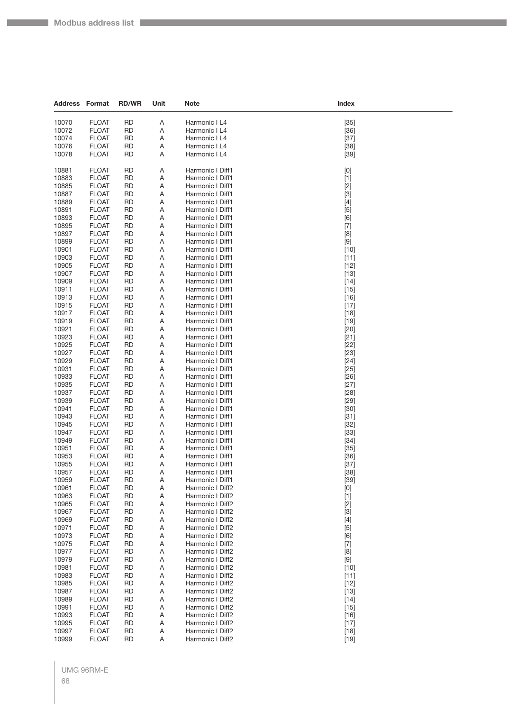| <b>Address Format</b> |                              | <b>RD/WR</b>           | Unit   | <b>Note</b>                          | Index                                                                                                                                                                                                                                                                                                                       |
|-----------------------|------------------------------|------------------------|--------|--------------------------------------|-----------------------------------------------------------------------------------------------------------------------------------------------------------------------------------------------------------------------------------------------------------------------------------------------------------------------------|
| 10070                 | <b>FLOAT</b>                 | RD                     | Α      | Harmonic I L4                        |                                                                                                                                                                                                                                                                                                                             |
| 10072                 | <b>FLOAT</b>                 | <b>RD</b>              | Α      | Harmonic I L4                        | $[35]$<br>$[36]$                                                                                                                                                                                                                                                                                                            |
| 10074                 | <b>FLOAT</b>                 | RD                     | Α      | Harmonic I L4                        | $[37]$                                                                                                                                                                                                                                                                                                                      |
| 10076                 | <b>FLOAT</b>                 | RD                     | Α      | Harmonic I L4                        | $[38]$                                                                                                                                                                                                                                                                                                                      |
| 10078                 | <b>FLOAT</b>                 | RD                     | Α      | Harmonic I L4                        | $[39]$                                                                                                                                                                                                                                                                                                                      |
|                       |                              |                        |        |                                      |                                                                                                                                                                                                                                                                                                                             |
| 10881                 | <b>FLOAT</b>                 | <b>RD</b>              | Α      | Harmonic I Diff1                     | [0]                                                                                                                                                                                                                                                                                                                         |
| 10883                 | <b>FLOAT</b>                 | RD                     | Α      | Harmonic I Diff1                     | $[1]$                                                                                                                                                                                                                                                                                                                       |
| 10885                 | <b>FLOAT</b>                 | RD                     | Α      | Harmonic I Diff1                     | $[2]$                                                                                                                                                                                                                                                                                                                       |
| 10887<br>10889        | <b>FLOAT</b>                 | RD                     | Α      | Harmonic I Diff1                     | $[3]$                                                                                                                                                                                                                                                                                                                       |
| 10891                 | <b>FLOAT</b><br><b>FLOAT</b> | RD<br><b>RD</b>        | Α<br>Α | Harmonic I Diff1<br>Harmonic I Diff1 | $[4]$                                                                                                                                                                                                                                                                                                                       |
| 10893                 | <b>FLOAT</b>                 | RD                     | Α      | Harmonic I Diff1                     | $[5]$<br>[6]                                                                                                                                                                                                                                                                                                                |
| 10895                 | <b>FLOAT</b>                 | RD                     | Α      | Harmonic I Diff1                     | $[7]$                                                                                                                                                                                                                                                                                                                       |
| 10897                 | <b>FLOAT</b>                 | RD                     | Α      | Harmonic I Diff1                     | [8]                                                                                                                                                                                                                                                                                                                         |
| 10899                 | <b>FLOAT</b>                 | RD                     | Α      | Harmonic I Diff1                     | $[9]$                                                                                                                                                                                                                                                                                                                       |
| 10901                 | <b>FLOAT</b>                 | <b>RD</b>              | Α      | Harmonic I Diff1                     | $[10]$                                                                                                                                                                                                                                                                                                                      |
| 10903                 | <b>FLOAT</b>                 | RD                     | Α      | Harmonic I Diff1                     | $[11]$                                                                                                                                                                                                                                                                                                                      |
| 10905                 | <b>FLOAT</b>                 | RD                     | Α      | Harmonic I Diff1                     | $[12]$                                                                                                                                                                                                                                                                                                                      |
| 10907                 | <b>FLOAT</b>                 | <b>RD</b>              | Α      | Harmonic I Diff1                     | $[13]$                                                                                                                                                                                                                                                                                                                      |
| 10909                 | <b>FLOAT</b>                 | <b>RD</b>              | Α      | Harmonic I Diff1                     | $[14]$                                                                                                                                                                                                                                                                                                                      |
| 10911                 | <b>FLOAT</b>                 | RD                     | Α      | Harmonic I Diff1                     | $[15]$                                                                                                                                                                                                                                                                                                                      |
| 10913                 | <b>FLOAT</b>                 | RD                     | Α      | Harmonic I Diff1                     | $[16]$                                                                                                                                                                                                                                                                                                                      |
| 10915                 | <b>FLOAT</b>                 | RD                     | Α      | Harmonic I Diff1                     | $[17]$                                                                                                                                                                                                                                                                                                                      |
| 10917                 | <b>FLOAT</b>                 | RD                     | Α      | Harmonic I Diff1                     | $[18]$                                                                                                                                                                                                                                                                                                                      |
| 10919                 | <b>FLOAT</b>                 | <b>RD</b>              | Α      | Harmonic I Diff1<br>Harmonic I Diff1 | $[19]$                                                                                                                                                                                                                                                                                                                      |
| 10921<br>10923        | <b>FLOAT</b><br><b>FLOAT</b> | RD<br>RD               | Α<br>Α | Harmonic I Diff1                     | $[20]$<br>$[21]$                                                                                                                                                                                                                                                                                                            |
| 10925                 | <b>FLOAT</b>                 | RD                     | Α      | Harmonic I Diff1                     | $[22]$                                                                                                                                                                                                                                                                                                                      |
| 10927                 | <b>FLOAT</b>                 | RD                     | Α      | Harmonic I Diff1                     | $[23]$                                                                                                                                                                                                                                                                                                                      |
| 10929                 | <b>FLOAT</b>                 | <b>RD</b>              | Α      | Harmonic I Diff1                     | $[24]$                                                                                                                                                                                                                                                                                                                      |
| 10931                 | <b>FLOAT</b>                 | RD                     | Α      | Harmonic I Diff1                     | $[25]$                                                                                                                                                                                                                                                                                                                      |
| 10933                 | <b>FLOAT</b>                 | RD                     | Α      | Harmonic I Diff1                     | $[26]$                                                                                                                                                                                                                                                                                                                      |
| 10935                 | <b>FLOAT</b>                 | RD                     | Α      | Harmonic I Diff1                     | $[27]$                                                                                                                                                                                                                                                                                                                      |
| 10937                 | <b>FLOAT</b>                 | RD                     | Α      | Harmonic I Diff1                     | $[28]$                                                                                                                                                                                                                                                                                                                      |
| 10939                 | <b>FLOAT</b>                 | <b>RD</b>              | Α      | Harmonic I Diff1                     | $[29]$                                                                                                                                                                                                                                                                                                                      |
| 10941                 | <b>FLOAT</b>                 | RD                     | Α      | Harmonic I Diff1                     | $[30]$                                                                                                                                                                                                                                                                                                                      |
| 10943                 | <b>FLOAT</b>                 | RD                     | Α      | Harmonic I Diff1                     | $[31]$                                                                                                                                                                                                                                                                                                                      |
| 10945<br>10947        | <b>FLOAT</b><br><b>FLOAT</b> | RD                     | Α      | Harmonic I Diff1<br>Harmonic I Diff1 | $[32]$                                                                                                                                                                                                                                                                                                                      |
| 10949                 | <b>FLOAT</b>                 | RD<br><b>RD</b>        | Α<br>Α | Harmonic I Diff1                     | $[33]$<br>$[34]$                                                                                                                                                                                                                                                                                                            |
| 10951                 | <b>FLOAT</b>                 | <b>RD</b>              | Α      | Harmonic I Diff1                     | $[35]$                                                                                                                                                                                                                                                                                                                      |
| 10953                 | <b>FLOAT</b>                 | RD                     | Α      | Harmonic I Diff1                     | $[36]$                                                                                                                                                                                                                                                                                                                      |
| 10955                 | <b>FLOAT</b>                 | <b>RD</b>              | Α      | Harmonic I Diff1                     | $[37]$                                                                                                                                                                                                                                                                                                                      |
| 10957                 | <b>FLOAT</b>                 | <b>RD</b>              | Α      | Harmonic I Diff1                     | $[38]$                                                                                                                                                                                                                                                                                                                      |
| 10959                 | <b>FLOAT</b>                 | <b>RD</b>              | Α      | Harmonic I Diff1                     | $[39]$                                                                                                                                                                                                                                                                                                                      |
| 10961                 | <b>FLOAT</b>                 | <b>RD</b>              | Α      | Harmonic I Diff2                     | $[0] % \begin{center} % \includegraphics[width=\linewidth]{imagesSupplemental_3.png} % \end{center} % \caption { % Our method can be used for the use of the image. % Note that the \emph{Def}(i) and the \emph{Def}(i) are the same and the \emph{Def}(i) and the \emph{Def}(i) are the same. % } % \label{fig:Defin_3} %$ |
| 10963                 | <b>FLOAT</b>                 | <b>RD</b>              | Α      | Harmonic I Diff2                     | $[1]$                                                                                                                                                                                                                                                                                                                       |
| 10965                 | <b>FLOAT</b>                 | <b>RD</b>              | Α      | Harmonic I Diff2                     | $[2]$                                                                                                                                                                                                                                                                                                                       |
| 10967                 | <b>FLOAT</b>                 | <b>RD</b>              | Α      | Harmonic I Diff2                     | $[3]$                                                                                                                                                                                                                                                                                                                       |
| 10969                 | <b>FLOAT</b>                 | <b>RD</b>              | Α      | Harmonic I Diff2                     | $[4]$                                                                                                                                                                                                                                                                                                                       |
| 10971                 | <b>FLOAT</b>                 | <b>RD</b>              | Α      | Harmonic I Diff2                     | $[5]$                                                                                                                                                                                                                                                                                                                       |
| 10973<br>10975        | <b>FLOAT</b><br><b>FLOAT</b> | <b>RD</b><br><b>RD</b> | Α<br>Α | Harmonic I Diff2<br>Harmonic I Diff2 | [6]                                                                                                                                                                                                                                                                                                                         |
| 10977                 | <b>FLOAT</b>                 | <b>RD</b>              | Α      | Harmonic I Diff2                     | $[7] \centering% \includegraphics[width=1\textwidth]{images/TransY.pdf} \caption{The 3D (top) and the 4D (bottom) of the 3D (bottom) of the 3D (bottom) of the 3D (bottom) of the 3D (bottom) of the 3D (bottom) of the 3D (bottom).} \label{fig:3D}$<br>[8]                                                                |
| 10979                 | <b>FLOAT</b>                 | <b>RD</b>              | Α      | Harmonic I Diff2                     | $[9]$                                                                                                                                                                                                                                                                                                                       |
| 10981                 | <b>FLOAT</b>                 | <b>RD</b>              | Α      | Harmonic I Diff2                     | $[10]$                                                                                                                                                                                                                                                                                                                      |
| 10983                 | <b>FLOAT</b>                 | <b>RD</b>              | Α      | Harmonic I Diff2                     | $[11]$                                                                                                                                                                                                                                                                                                                      |
| 10985                 | <b>FLOAT</b>                 | <b>RD</b>              | Α      | Harmonic I Diff2                     | $[12]$                                                                                                                                                                                                                                                                                                                      |
| 10987                 | <b>FLOAT</b>                 | <b>RD</b>              | Α      | Harmonic I Diff2                     | $[13]$                                                                                                                                                                                                                                                                                                                      |
| 10989                 | <b>FLOAT</b>                 | <b>RD</b>              | Α      | Harmonic I Diff2                     | $[14]$                                                                                                                                                                                                                                                                                                                      |
| 10991                 | <b>FLOAT</b>                 | <b>RD</b>              | Α      | Harmonic I Diff2                     | $[15]$                                                                                                                                                                                                                                                                                                                      |
| 10993                 | <b>FLOAT</b>                 | <b>RD</b>              | Α      | Harmonic I Diff2                     | $[16]$                                                                                                                                                                                                                                                                                                                      |
| 10995                 | <b>FLOAT</b>                 | <b>RD</b>              | Α      | Harmonic I Diff2                     | $[17]$                                                                                                                                                                                                                                                                                                                      |
| 10997<br>10999        | <b>FLOAT</b><br><b>FLOAT</b> | RD<br><b>RD</b>        | Α<br>Α | Harmonic I Diff2<br>Harmonic I Diff2 | $[18]$                                                                                                                                                                                                                                                                                                                      |
|                       |                              |                        |        |                                      | $[19]$                                                                                                                                                                                                                                                                                                                      |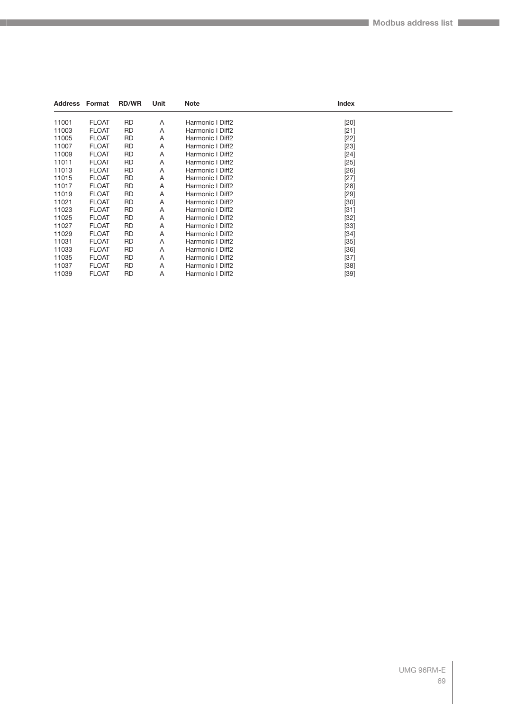| <b>Address Format</b> |              | <b>RD/WR</b> | Unit | <b>Note</b>      | Index  |  |
|-----------------------|--------------|--------------|------|------------------|--------|--|
| 11001                 | <b>FLOAT</b> | <b>RD</b>    | A    | Harmonic I Diff2 | $[20]$ |  |
| 11003                 | <b>FLOAT</b> | <b>RD</b>    | A    | Harmonic I Diff2 | $[21]$ |  |
| 11005                 | <b>FLOAT</b> | <b>RD</b>    | Α    | Harmonic I Diff2 | $[22]$ |  |
| 11007                 | <b>FLOAT</b> | <b>RD</b>    | A    | Harmonic I Diff2 | $[23]$ |  |
| 11009                 | <b>FLOAT</b> | <b>RD</b>    | A    | Harmonic I Diff2 | $[24]$ |  |
| 11011                 | <b>FLOAT</b> | <b>RD</b>    | Α    | Harmonic I Diff2 | $[25]$ |  |
| 11013                 | <b>FLOAT</b> | <b>RD</b>    | Α    | Harmonic I Diff2 | $[26]$ |  |
| 11015                 | <b>FLOAT</b> | <b>RD</b>    | Α    | Harmonic I Diff2 | $[27]$ |  |
| 11017                 | <b>FLOAT</b> | <b>RD</b>    | Α    | Harmonic I Diff2 | $[28]$ |  |
| 11019                 | <b>FLOAT</b> | <b>RD</b>    | A    | Harmonic I Diff2 | $[29]$ |  |
| 11021                 | <b>FLOAT</b> | <b>RD</b>    | Α    | Harmonic I Diff2 | $[30]$ |  |
| 11023                 | <b>FLOAT</b> | <b>RD</b>    | Α    | Harmonic I Diff2 | $[31]$ |  |
| 11025                 | <b>FLOAT</b> | <b>RD</b>    | Α    | Harmonic I Diff2 | $[32]$ |  |
| 11027                 | <b>FLOAT</b> | <b>RD</b>    | Α    | Harmonic I Diff2 | $[33]$ |  |
| 11029                 | <b>FLOAT</b> | <b>RD</b>    | Α    | Harmonic I Diff2 | $[34]$ |  |
| 11031                 | <b>FLOAT</b> | <b>RD</b>    | Α    | Harmonic I Diff2 | $[35]$ |  |
| 11033                 | <b>FLOAT</b> | <b>RD</b>    | Α    | Harmonic I Diff2 | $[36]$ |  |
| 11035                 | <b>FLOAT</b> | <b>RD</b>    | Α    | Harmonic I Diff2 | $[37]$ |  |
| 11037                 | <b>FLOAT</b> | <b>RD</b>    | Α    | Harmonic I Diff2 | $[38]$ |  |
| 11039                 | <b>FLOAT</b> | <b>RD</b>    | A    | Harmonic I Diff2 | $[39]$ |  |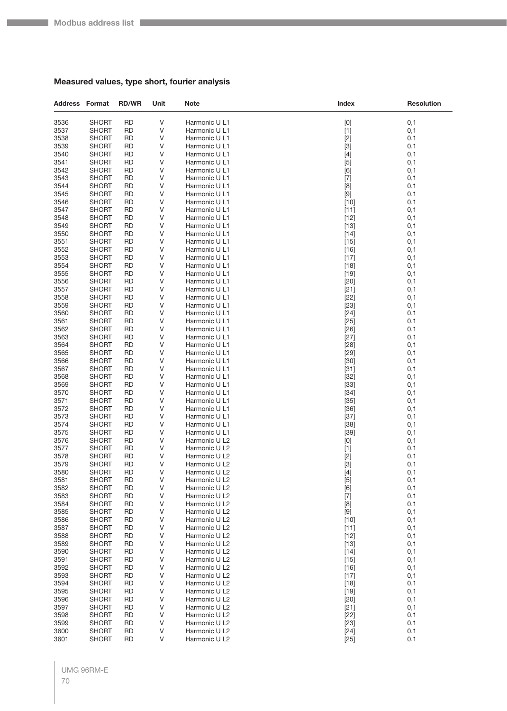П

#### **Measured values, type short, fourier analysis**

| <b>Address Format</b> |                              | <b>RD/WR</b>           | Unit                       | <b>Note</b>                    | Index                       | <b>Resolution</b> |
|-----------------------|------------------------------|------------------------|----------------------------|--------------------------------|-----------------------------|-------------------|
| 3536                  | <b>SHORT</b>                 | <b>RD</b>              | V                          | Harmonic U L1                  | [0]                         | 0,1               |
| 3537                  | <b>SHORT</b>                 | <b>RD</b>              | V                          | Harmonic U L1                  | $[1]$                       | 0,1               |
| 3538                  | <b>SHORT</b>                 | RD                     | V                          | Harmonic U L1                  | $[2]$                       | 0,1               |
| 3539                  | <b>SHORT</b>                 | RD                     | V                          | Harmonic U L1                  | $[3]$                       | 0,1               |
| 3540                  | <b>SHORT</b>                 | <b>RD</b>              | V                          | Harmonic U L1                  | $[4]$                       | 0,1               |
| 3541                  | <b>SHORT</b>                 | RD                     | V                          | Harmonic U L1                  | $[5]$                       | 0,1               |
| 3542                  | <b>SHORT</b>                 | <b>RD</b>              | V                          | Harmonic U L1                  | [6]                         | 0,1               |
| 3543                  | <b>SHORT</b>                 | RD                     | V                          | Harmonic U L1                  | $[7]$                       | 0,1               |
| 3544                  | <b>SHORT</b>                 | RD                     | V                          | Harmonic U L1                  | [8]                         | 0,1               |
| 3545                  | <b>SHORT</b>                 | <b>RD</b>              | V                          | Harmonic U L1                  | $[9]$                       | 0,1               |
| 3546                  | <b>SHORT</b>                 | RD                     | V                          | Harmonic U L1                  | $[10]$                      | 0,1               |
| 3547                  | <b>SHORT</b>                 | <b>RD</b>              | V                          | Harmonic U L1                  | $[11]$                      | 0,1               |
| 3548<br>3549          | <b>SHORT</b>                 | RD                     | V<br>V                     | Harmonic U L1                  | $[12]$                      | 0,1               |
| 3550                  | <b>SHORT</b><br><b>SHORT</b> | RD<br><b>RD</b>        | V                          | Harmonic U L1<br>Harmonic U L1 | $[13]$<br>$[14]$            | 0,1<br>0,1        |
| 3551                  | <b>SHORT</b>                 | RD                     | V                          | Harmonic U L1                  | $[15]$                      | 0,1               |
| 3552                  | <b>SHORT</b>                 | <b>RD</b>              | V                          | Harmonic U L1                  | $[16]$                      | 0,1               |
| 3553                  | <b>SHORT</b>                 | RD                     | V                          | Harmonic U L1                  | $[17]$                      | 0,1               |
| 3554                  | <b>SHORT</b>                 | RD                     | V                          | Harmonic U L1                  | $[18]$                      | 0,1               |
| 3555                  | <b>SHORT</b>                 | <b>RD</b>              | V                          | Harmonic U L1                  | $[19]$                      | 0,1               |
| 3556                  | <b>SHORT</b>                 | RD                     | V                          | Harmonic U L1                  | $[20]$                      | 0,1               |
| 3557                  | <b>SHORT</b>                 | <b>RD</b>              | V                          | Harmonic U L1                  | $[21]$                      | 0,1               |
| 3558                  | <b>SHORT</b>                 | RD                     | V                          | Harmonic U L1                  | $[22]$                      | 0,1               |
| 3559                  | <b>SHORT</b>                 | RD                     | V                          | Harmonic U L1                  | $[23]$                      | 0,1               |
| 3560                  | <b>SHORT</b>                 | <b>RD</b>              | V                          | Harmonic U L1                  | $[24]$                      | 0,1               |
| 3561                  | <b>SHORT</b>                 | RD                     | V                          | Harmonic U L1                  | $[25]$                      | 0,1               |
| 3562                  | <b>SHORT</b>                 | <b>RD</b>              | V                          | Harmonic U L1                  | $[26]$                      | 0,1               |
| 3563                  | <b>SHORT</b>                 | RD                     | V                          | Harmonic U L1                  | $[27]$                      | 0,1               |
| 3564                  | <b>SHORT</b>                 | RD                     | V                          | Harmonic U L1                  | $[28]$                      | 0,1               |
| 3565                  | <b>SHORT</b>                 | <b>RD</b>              | V                          | Harmonic U L1                  | $[29]$                      | 0,1               |
| 3566                  | <b>SHORT</b>                 | RD                     | V                          | Harmonic U L1                  | $[30]$                      | 0,1               |
| 3567                  | <b>SHORT</b>                 | <b>RD</b>              | V                          | Harmonic U L1                  | $[31]$                      | 0,1               |
| 3568<br>3569          | <b>SHORT</b>                 | RD                     | V                          | Harmonic U L1                  | $[32]$                      | 0,1               |
| 3570                  | <b>SHORT</b><br><b>SHORT</b> | RD<br><b>RD</b>        | V<br>V                     | Harmonic U L1<br>Harmonic U L1 | $[33]$<br>$[34]$            | 0,1<br>0,1        |
| 3571                  | <b>SHORT</b>                 | RD                     | V                          | Harmonic U L1                  | $[35]$                      | 0,1               |
| 3572                  | <b>SHORT</b>                 | <b>RD</b>              | V                          | Harmonic U L1                  | $[36]$                      | 0,1               |
| 3573                  | <b>SHORT</b>                 | RD                     | V                          | Harmonic U L1                  | $[37]$                      | 0,1               |
| 3574                  | <b>SHORT</b>                 | RD                     | V                          | Harmonic U L1                  | $[38]$                      | 0,1               |
| 3575                  | <b>SHORT</b>                 | <b>RD</b>              | V                          | Harmonic U L1                  | $[39]$                      | 0,1               |
| 3576                  | <b>SHORT</b>                 | RD                     | V                          | Harmonic U L2                  | [0]                         | 0,1               |
| 3577                  | <b>SHORT</b>                 | <b>RD</b>              | V                          | Harmonic U L2                  | $[1]$                       | 0,1               |
| 3578                  | <b>SHORT</b>                 | <b>RD</b>              | V                          | Harmonic U L2                  | $[2]$                       | 0,1               |
| 3579                  | <b>SHORT</b>                 | <b>RD</b>              | V                          | Harmonic U L2                  | $[3]$                       | 0,1               |
| 3580                  | <b>SHORT</b>                 | <b>RD</b>              | $\mathsf V$                | Harmonic U L2                  | $[4]$                       | 0,1               |
| 3581                  | <b>SHORT</b>                 | <b>RD</b>              | V                          | Harmonic U L2                  | $[5]$                       | 0,1               |
| 3582                  | <b>SHORT</b>                 | <b>RD</b>              | V                          | Harmonic U L2                  | [6]                         | 0,1               |
| 3583                  | <b>SHORT</b>                 | <b>RD</b>              | V                          | Harmonic U L2                  | $[7]$                       | 0,1               |
| 3584<br>3585          | <b>SHORT</b>                 | <b>RD</b><br><b>RD</b> | V<br>$\vee$                | Harmonic U L2<br>Harmonic U L2 | [8]                         | 0,1               |
| 3586                  | <b>SHORT</b><br><b>SHORT</b> | <b>RD</b>              | V                          | Harmonic U L2                  | $\left[ 9\right]$<br>$[10]$ | 0,1<br>0,1        |
| 3587                  | <b>SHORT</b>                 | <b>RD</b>              | V                          | Harmonic U L2                  | $[11]$                      | 0,1               |
| 3588                  | <b>SHORT</b>                 | RD                     | V                          | Harmonic U L2                  | $[12]$                      | 0,1               |
| 3589                  | <b>SHORT</b>                 | <b>RD</b>              | V                          | Harmonic U L2                  | $[13]$                      | 0,1               |
| 3590                  | <b>SHORT</b>                 | <b>RD</b>              | $\vee$                     | Harmonic U L2                  | $[14]$                      | 0,1               |
| 3591                  | <b>SHORT</b>                 | <b>RD</b>              | V                          | Harmonic U L2                  | $[15]$                      | 0,1               |
| 3592                  | <b>SHORT</b>                 | <b>RD</b>              | V                          | Harmonic U L2                  | $[16]$                      | 0,1               |
| 3593                  | <b>SHORT</b>                 | RD                     | V                          | Harmonic U L2                  | $[17]$                      | 0,1               |
| 3594                  | <b>SHORT</b>                 | <b>RD</b>              | V                          | Harmonic U L2                  | $[18]$                      | 0,1               |
| 3595                  | <b>SHORT</b>                 | <b>RD</b>              | $\vee$                     | Harmonic U L2                  | $[19]$                      | 0,1               |
| 3596                  | <b>SHORT</b>                 | <b>RD</b>              | V                          | Harmonic U L2                  | $[20]$                      | 0,1               |
| 3597                  | <b>SHORT</b>                 | RD                     | V                          | Harmonic U L2                  | $[21]$                      | 0,1               |
| 3598                  | <b>SHORT</b>                 | RD                     | V                          | Harmonic U L2                  | $[22]$                      | 0,1               |
| 3599                  | <b>SHORT</b>                 | <b>RD</b>              | V                          | Harmonic U L2                  | $[23]$                      | 0,1               |
| 3600<br>3601          | <b>SHORT</b>                 | <b>RD</b><br><b>RD</b> | $\mathsf V$<br>$\mathsf V$ | Harmonic U L2<br>Harmonic U L2 | $[24]$                      | 0,1               |
|                       | <b>SHORT</b>                 |                        |                            |                                | $[25]$                      | 0,1               |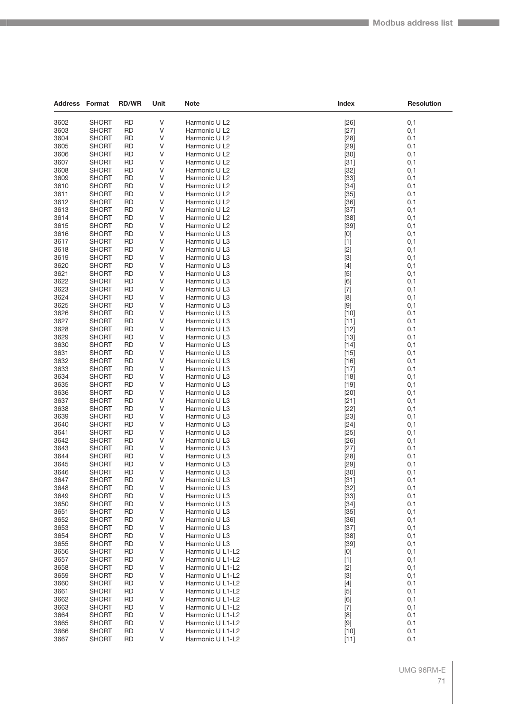| <b>Address Format</b> |                | <b>RD/WR</b>    | Unit   | <b>Note</b>                    | Index                                                                                                                                                                                                                                                                                                                                                                                                                                                                                                                                                                                                                                                                              | <b>Resolution</b> |
|-----------------------|----------------|-----------------|--------|--------------------------------|------------------------------------------------------------------------------------------------------------------------------------------------------------------------------------------------------------------------------------------------------------------------------------------------------------------------------------------------------------------------------------------------------------------------------------------------------------------------------------------------------------------------------------------------------------------------------------------------------------------------------------------------------------------------------------|-------------------|
| 3602                  | <b>SHORT</b>   | <b>RD</b>       | V      | Harmonic U L2                  | $[26]$                                                                                                                                                                                                                                                                                                                                                                                                                                                                                                                                                                                                                                                                             | 0,1               |
| 3603                  | <b>SHORT</b>   | <b>RD</b>       | V      | Harmonic U L2                  | $[27]$                                                                                                                                                                                                                                                                                                                                                                                                                                                                                                                                                                                                                                                                             | 0,1               |
| 3604                  | <b>SHORT</b>   | <b>RD</b>       | V      | Harmonic U L2                  | $[28]$                                                                                                                                                                                                                                                                                                                                                                                                                                                                                                                                                                                                                                                                             | 0,1               |
| 3605                  | <b>SHORT</b>   | <b>RD</b>       | V      | Harmonic U L2                  | $[29]$                                                                                                                                                                                                                                                                                                                                                                                                                                                                                                                                                                                                                                                                             | 0,1               |
| 3606                  | <b>SHORT</b>   | <b>RD</b>       | V      | Harmonic U L2                  | $[30]$                                                                                                                                                                                                                                                                                                                                                                                                                                                                                                                                                                                                                                                                             | 0,1               |
| 3607                  | SHORT          | <b>RD</b>       | V      | Harmonic U L2                  | $[31]$                                                                                                                                                                                                                                                                                                                                                                                                                                                                                                                                                                                                                                                                             | 0,1               |
| 3608                  | SHORT          | <b>RD</b>       | V      | Harmonic U L2                  | $[32]$                                                                                                                                                                                                                                                                                                                                                                                                                                                                                                                                                                                                                                                                             | 0,1               |
| 3609                  | SHORT          | <b>RD</b>       | V      | Harmonic U L2                  | $[33]$                                                                                                                                                                                                                                                                                                                                                                                                                                                                                                                                                                                                                                                                             | 0,1               |
| 3610                  | SHORT          | RD              | V      | Harmonic U L2                  | $[34]$                                                                                                                                                                                                                                                                                                                                                                                                                                                                                                                                                                                                                                                                             | 0,1               |
| 3611                  | <b>SHORT</b>   | <b>RD</b>       | V      | Harmonic U L2                  | $[35]$                                                                                                                                                                                                                                                                                                                                                                                                                                                                                                                                                                                                                                                                             | 0,1               |
| 3612                  | SHORT          | <b>RD</b>       | V      | Harmonic U L2                  | $[36]$                                                                                                                                                                                                                                                                                                                                                                                                                                                                                                                                                                                                                                                                             | 0,1               |
| 3613                  | <b>SHORT</b>   | <b>RD</b>       | V      | Harmonic U L2                  | $[37]$                                                                                                                                                                                                                                                                                                                                                                                                                                                                                                                                                                                                                                                                             | 0,1               |
| 3614                  | <b>SHORT</b>   | <b>RD</b>       | V      | Harmonic U L2                  | $[38]$                                                                                                                                                                                                                                                                                                                                                                                                                                                                                                                                                                                                                                                                             | 0,1               |
| 3615                  | SHORT          | RD              | V      | Harmonic U L2                  | $[39]$                                                                                                                                                                                                                                                                                                                                                                                                                                                                                                                                                                                                                                                                             | 0,1               |
| 3616                  | <b>SHORT</b>   | <b>RD</b>       | V      | Harmonic U L3                  | [0]                                                                                                                                                                                                                                                                                                                                                                                                                                                                                                                                                                                                                                                                                | 0,1               |
| 3617                  | SHORT          | <b>RD</b>       | V      | Harmonic U L3                  | $[1]$                                                                                                                                                                                                                                                                                                                                                                                                                                                                                                                                                                                                                                                                              | 0,1               |
| 3618                  | SHORT          | <b>RD</b>       | V      | Harmonic U L3                  | $[2]$                                                                                                                                                                                                                                                                                                                                                                                                                                                                                                                                                                                                                                                                              | 0,1               |
| 3619                  | SHORT          | <b>RD</b>       | V      | Harmonic U L3                  | $[3]$                                                                                                                                                                                                                                                                                                                                                                                                                                                                                                                                                                                                                                                                              | 0,1               |
| 3620                  | SHORT          | RD              | V      | Harmonic U L3                  | $[4]$                                                                                                                                                                                                                                                                                                                                                                                                                                                                                                                                                                                                                                                                              | 0,1               |
| 3621                  | <b>SHORT</b>   | <b>RD</b>       | V      | Harmonic U L3                  | $[5]$                                                                                                                                                                                                                                                                                                                                                                                                                                                                                                                                                                                                                                                                              | 0,1               |
| 3622                  | <b>SHORT</b>   | <b>RD</b>       | V      | Harmonic U L3                  | [6]                                                                                                                                                                                                                                                                                                                                                                                                                                                                                                                                                                                                                                                                                | 0,1               |
| 3623                  | SHORT          | <b>RD</b>       | V      | Harmonic U L3                  | $[7]$                                                                                                                                                                                                                                                                                                                                                                                                                                                                                                                                                                                                                                                                              | 0,1               |
| 3624                  | <b>SHORT</b>   | <b>RD</b>       | V      | Harmonic U L3                  | [8]                                                                                                                                                                                                                                                                                                                                                                                                                                                                                                                                                                                                                                                                                | 0,1               |
| 3625                  | SHORT          | RD              | V      | Harmonic U L3                  | $[9]$                                                                                                                                                                                                                                                                                                                                                                                                                                                                                                                                                                                                                                                                              | 0,1               |
| 3626                  | <b>SHORT</b>   | <b>RD</b>       | V      | Harmonic U L3                  | $[10]$                                                                                                                                                                                                                                                                                                                                                                                                                                                                                                                                                                                                                                                                             | 0,1               |
| 3627                  | <b>SHORT</b>   | <b>RD</b>       | V      | Harmonic U L3                  | $[11]$                                                                                                                                                                                                                                                                                                                                                                                                                                                                                                                                                                                                                                                                             | 0,1               |
| 3628                  | SHORT          | <b>RD</b>       | V      | Harmonic U L3                  | $[12]$                                                                                                                                                                                                                                                                                                                                                                                                                                                                                                                                                                                                                                                                             | 0,1               |
| 3629                  | SHORT          | <b>RD</b>       | V      | Harmonic U L3                  | $[13]$                                                                                                                                                                                                                                                                                                                                                                                                                                                                                                                                                                                                                                                                             | 0,1               |
| 3630                  | SHORT          | RD              | V      | Harmonic U L3                  | $[14]$                                                                                                                                                                                                                                                                                                                                                                                                                                                                                                                                                                                                                                                                             | 0,1               |
| 3631                  | <b>SHORT</b>   | <b>RD</b>       | V      | Harmonic U L3                  | $[15]$                                                                                                                                                                                                                                                                                                                                                                                                                                                                                                                                                                                                                                                                             | 0,1               |
| 3632                  | <b>SHORT</b>   | <b>RD</b>       | V      | Harmonic U L3                  | $[16]$                                                                                                                                                                                                                                                                                                                                                                                                                                                                                                                                                                                                                                                                             | 0,1               |
| 3633                  | SHORT          | <b>RD</b>       | V      | Harmonic U L3                  | $[17]$                                                                                                                                                                                                                                                                                                                                                                                                                                                                                                                                                                                                                                                                             | 0,1               |
| 3634                  | SHORT          | <b>RD</b>       | V      | Harmonic U L3                  | $[18]$                                                                                                                                                                                                                                                                                                                                                                                                                                                                                                                                                                                                                                                                             | 0,1               |
| 3635                  | SHORT          | RD              | V      | Harmonic U L3                  | $[19]$                                                                                                                                                                                                                                                                                                                                                                                                                                                                                                                                                                                                                                                                             | 0,1               |
| 3636                  | <b>SHORT</b>   | <b>RD</b>       | V      | Harmonic U L3                  | $[20]$                                                                                                                                                                                                                                                                                                                                                                                                                                                                                                                                                                                                                                                                             | 0,1               |
| 3637                  | <b>SHORT</b>   | <b>RD</b>       | V      | Harmonic U L3                  | $[21]$                                                                                                                                                                                                                                                                                                                                                                                                                                                                                                                                                                                                                                                                             | 0,1               |
| 3638                  | SHORT          | <b>RD</b>       | V      | Harmonic U L3                  | $[22]$                                                                                                                                                                                                                                                                                                                                                                                                                                                                                                                                                                                                                                                                             | 0,1               |
| 3639<br>3640          | SHORT<br>SHORT | <b>RD</b><br>RD | V<br>V | Harmonic U L3<br>Harmonic U L3 | $[23]$<br>$[24]$                                                                                                                                                                                                                                                                                                                                                                                                                                                                                                                                                                                                                                                                   | 0,1<br>0,1        |
| 3641                  | <b>SHORT</b>   | <b>RD</b>       | V      | Harmonic U L3                  | $[25]$                                                                                                                                                                                                                                                                                                                                                                                                                                                                                                                                                                                                                                                                             | 0,1               |
| 3642                  | <b>SHORT</b>   | <b>RD</b>       | V      | Harmonic U L3                  | $[26]$                                                                                                                                                                                                                                                                                                                                                                                                                                                                                                                                                                                                                                                                             | 0,1               |
| 3643                  | <b>SHORT</b>   | <b>RD</b>       | V      | Harmonic U L3                  | $[27]$                                                                                                                                                                                                                                                                                                                                                                                                                                                                                                                                                                                                                                                                             | 0,1               |
| 3644                  | <b>SHORT</b>   | <b>RD</b>       | V      | Harmonic U L3                  | [28]                                                                                                                                                                                                                                                                                                                                                                                                                                                                                                                                                                                                                                                                               | 0,1               |
| 3645                  | SHORT          | <b>RD</b>       | V      | Harmonic U L3                  | $[29]$                                                                                                                                                                                                                                                                                                                                                                                                                                                                                                                                                                                                                                                                             | 0,1               |
| 3646                  | <b>SHORT</b>   | <b>RD</b>       | V      | Harmonic U L3                  | $[30]$                                                                                                                                                                                                                                                                                                                                                                                                                                                                                                                                                                                                                                                                             | 0,1               |
| 3647                  | <b>SHORT</b>   | <b>RD</b>       | V      | Harmonic U L3                  | $[31]$                                                                                                                                                                                                                                                                                                                                                                                                                                                                                                                                                                                                                                                                             | 0,1               |
| 3648                  | <b>SHORT</b>   | <b>RD</b>       | V      | Harmonic U L3                  | $[32]$                                                                                                                                                                                                                                                                                                                                                                                                                                                                                                                                                                                                                                                                             | 0,1               |
| 3649                  | <b>SHORT</b>   | <b>RD</b>       | V      | Harmonic U L3                  | $[33]$                                                                                                                                                                                                                                                                                                                                                                                                                                                                                                                                                                                                                                                                             | 0,1               |
| 3650                  | <b>SHORT</b>   | <b>RD</b>       | V      | Harmonic U L3                  | $[34]$                                                                                                                                                                                                                                                                                                                                                                                                                                                                                                                                                                                                                                                                             | 0,1               |
| 3651                  | <b>SHORT</b>   | <b>RD</b>       | V      | Harmonic U L3                  | $[35]$                                                                                                                                                                                                                                                                                                                                                                                                                                                                                                                                                                                                                                                                             | 0,1               |
| 3652                  | SHORT          | <b>RD</b>       | V      | Harmonic U L3                  | $[36]$                                                                                                                                                                                                                                                                                                                                                                                                                                                                                                                                                                                                                                                                             | 0,1               |
| 3653                  | <b>SHORT</b>   | <b>RD</b>       | V      | Harmonic U L3                  | $[37]$                                                                                                                                                                                                                                                                                                                                                                                                                                                                                                                                                                                                                                                                             | 0,1               |
| 3654                  | <b>SHORT</b>   | <b>RD</b>       | V      | Harmonic U L3                  | $[38]$                                                                                                                                                                                                                                                                                                                                                                                                                                                                                                                                                                                                                                                                             | 0,1               |
| 3655                  | <b>SHORT</b>   | <b>RD</b>       | V      | Harmonic U L3                  | $[39]$                                                                                                                                                                                                                                                                                                                                                                                                                                                                                                                                                                                                                                                                             | 0,1               |
| 3656                  | <b>SHORT</b>   | <b>RD</b>       | V      | Harmonic U L1-L2               | $[0] % \begin{center} % \includegraphics[width=\linewidth]{imagesSupplemental_3.png} % \end{center} % \caption { % Our method can be used for the use of the image. % Note that the \emph{Def}(i) and the \emph{Def}(i) are the same as a function of the image. % Note that the \emph{Def}(i) and the \emph{Def}(i) are the same as a function of the image. % Note that the \emph{Def}(i) and the \emph{Def}(i) are the same as a function of the image. % Note that the \emph{Def}(i) and the \emph{Def}(i) are the same as a function of the image. % Note that the \emph{Def}(i) and the \emph{Def}(i) are the same as a function of the image. % Note that the \emph{Def}(i$ | 0,1               |
| 3657                  | SHORT          | <b>RD</b>       | V      | Harmonic U L1-L2               | $[1]$                                                                                                                                                                                                                                                                                                                                                                                                                                                                                                                                                                                                                                                                              | 0,1               |
| 3658                  | <b>SHORT</b>   | <b>RD</b>       | V      | Harmonic U L1-L2               | $[2]$                                                                                                                                                                                                                                                                                                                                                                                                                                                                                                                                                                                                                                                                              | 0,1               |
| 3659                  | <b>SHORT</b>   | <b>RD</b>       | V      | Harmonic U L1-L2               | $[3]$                                                                                                                                                                                                                                                                                                                                                                                                                                                                                                                                                                                                                                                                              | 0,1               |
| 3660                  | <b>SHORT</b>   | <b>RD</b>       | V      | Harmonic U L1-L2               | $[4]$                                                                                                                                                                                                                                                                                                                                                                                                                                                                                                                                                                                                                                                                              | 0,1               |
| 3661                  | <b>SHORT</b>   | <b>RD</b>       | V      | Harmonic U L1-L2               | $[5]$                                                                                                                                                                                                                                                                                                                                                                                                                                                                                                                                                                                                                                                                              | 0,1               |
| 3662                  | SHORT          | <b>RD</b>       | V      | Harmonic U L1-L2               | [6]                                                                                                                                                                                                                                                                                                                                                                                                                                                                                                                                                                                                                                                                                | 0,1               |
| 3663                  | <b>SHORT</b>   | <b>RD</b>       | V      | Harmonic U L1-L2               | $[7]$                                                                                                                                                                                                                                                                                                                                                                                                                                                                                                                                                                                                                                                                              | 0,1               |
| 3664                  | <b>SHORT</b>   | <b>RD</b>       | $\vee$ | Harmonic U L1-L2               | [8]                                                                                                                                                                                                                                                                                                                                                                                                                                                                                                                                                                                                                                                                                | 0,1               |
| 3665                  | <b>SHORT</b>   | <b>RD</b>       | V      | Harmonic U L1-L2               | $[9]$                                                                                                                                                                                                                                                                                                                                                                                                                                                                                                                                                                                                                                                                              | 0,1               |
| 3666                  | <b>SHORT</b>   | <b>RD</b>       | V      | Harmonic U L1-L2               | $[10]$                                                                                                                                                                                                                                                                                                                                                                                                                                                                                                                                                                                                                                                                             | 0,1               |
| 3667                  | <b>SHORT</b>   | <b>RD</b>       | V      | Harmonic U L1-L2               | $[11]$                                                                                                                                                                                                                                                                                                                                                                                                                                                                                                                                                                                                                                                                             | 0,1               |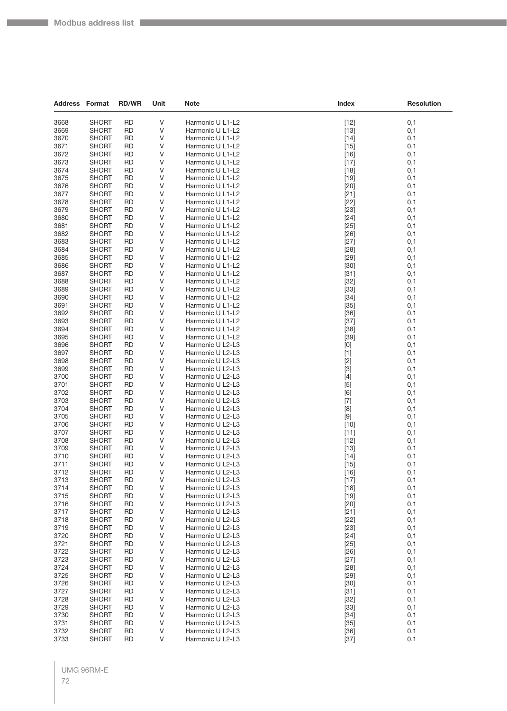Г

| <b>Address Format</b> |                              | <b>RD/WR</b>           | Unit   | Note                                 | Index                                                                                                                                                                                                                                                                                                                                                                                                                                                                                                                                                                                              | <b>Resolution</b> |
|-----------------------|------------------------------|------------------------|--------|--------------------------------------|----------------------------------------------------------------------------------------------------------------------------------------------------------------------------------------------------------------------------------------------------------------------------------------------------------------------------------------------------------------------------------------------------------------------------------------------------------------------------------------------------------------------------------------------------------------------------------------------------|-------------------|
| 3668                  | <b>SHORT</b>                 | <b>RD</b>              | $\vee$ | Harmonic U L1-L2                     | $[12]$                                                                                                                                                                                                                                                                                                                                                                                                                                                                                                                                                                                             | 0,1               |
| 3669                  | <b>SHORT</b>                 | <b>RD</b>              | ٧      | Harmonic U L1-L2                     | $[13]$                                                                                                                                                                                                                                                                                                                                                                                                                                                                                                                                                                                             | 0,1               |
| 3670                  | <b>SHORT</b>                 | <b>RD</b>              | V      | Harmonic U L1-L2                     | $[14]$                                                                                                                                                                                                                                                                                                                                                                                                                                                                                                                                                                                             | 0,1               |
| 3671                  | <b>SHORT</b>                 | RD                     | ٧      | Harmonic U L1-L2                     | $[15]$                                                                                                                                                                                                                                                                                                                                                                                                                                                                                                                                                                                             | 0,1               |
| 3672                  | <b>SHORT</b>                 | <b>RD</b>              | ٧      | Harmonic U L1-L2                     | $[16]$                                                                                                                                                                                                                                                                                                                                                                                                                                                                                                                                                                                             | 0,1               |
| 3673                  | <b>SHORT</b>                 | RD                     | V      | Harmonic U L1-L2                     | $[17]$                                                                                                                                                                                                                                                                                                                                                                                                                                                                                                                                                                                             | 0,1               |
| 3674                  | <b>SHORT</b>                 | <b>RD</b>              | ٧      | Harmonic U L1-L2                     | $[18]$                                                                                                                                                                                                                                                                                                                                                                                                                                                                                                                                                                                             | 0,1               |
| 3675                  | <b>SHORT</b>                 | <b>RD</b>              | V      | Harmonic U L1-L2                     | $[19]$                                                                                                                                                                                                                                                                                                                                                                                                                                                                                                                                                                                             | 0,1               |
| 3676                  | <b>SHORT</b>                 | RD                     | ٧      | Harmonic U L1-L2                     | $[20]$                                                                                                                                                                                                                                                                                                                                                                                                                                                                                                                                                                                             | 0,1               |
| 3677                  | <b>SHORT</b>                 | <b>RD</b>              | ٧<br>V | Harmonic U L1-L2                     | $[21]$                                                                                                                                                                                                                                                                                                                                                                                                                                                                                                                                                                                             | 0,1               |
| 3678<br>3679          | <b>SHORT</b><br><b>SHORT</b> | RD<br>RD               | ٧      | Harmonic U L1-L2<br>Harmonic U L1-L2 | $[22]$<br>$[23]$                                                                                                                                                                                                                                                                                                                                                                                                                                                                                                                                                                                   | 0,1<br>0,1        |
| 3680                  | <b>SHORT</b>                 | <b>RD</b>              | V      | Harmonic U L1-L2                     | $[24]$                                                                                                                                                                                                                                                                                                                                                                                                                                                                                                                                                                                             | 0,1               |
| 3681                  | <b>SHORT</b>                 | RD                     | ٧      | Harmonic U L1-L2                     | $[25]$                                                                                                                                                                                                                                                                                                                                                                                                                                                                                                                                                                                             | 0,1               |
| 3682                  | <b>SHORT</b>                 | <b>RD</b>              | ٧      | Harmonic U L1-L2                     | $[26]$                                                                                                                                                                                                                                                                                                                                                                                                                                                                                                                                                                                             | 0,1               |
| 3683                  | <b>SHORT</b>                 | <b>RD</b>              | V      | Harmonic U L1-L2                     | $[27]$                                                                                                                                                                                                                                                                                                                                                                                                                                                                                                                                                                                             | 0,1               |
| 3684                  | <b>SHORT</b>                 | RD                     | ٧      | Harmonic U L1-L2                     | $[28]$                                                                                                                                                                                                                                                                                                                                                                                                                                                                                                                                                                                             | 0,1               |
| 3685                  | <b>SHORT</b>                 | <b>RD</b>              | V      | Harmonic U L1-L2                     | $[29]$                                                                                                                                                                                                                                                                                                                                                                                                                                                                                                                                                                                             | 0,1               |
| 3686                  | <b>SHORT</b>                 | RD                     | ٧      | Harmonic U L1-L2                     | $[30]$                                                                                                                                                                                                                                                                                                                                                                                                                                                                                                                                                                                             | 0,1               |
| 3687                  | <b>SHORT</b>                 | <b>RD</b>              | ٧      | Harmonic U L1-L2                     | $[31]$                                                                                                                                                                                                                                                                                                                                                                                                                                                                                                                                                                                             | 0,1               |
| 3688                  | <b>SHORT</b>                 | <b>RD</b>              | V      | Harmonic U L1-L2                     | $[32]$                                                                                                                                                                                                                                                                                                                                                                                                                                                                                                                                                                                             | 0,1               |
| 3689                  | <b>SHORT</b>                 | RD                     | ٧      | Harmonic U L1-L2                     | $[33]$                                                                                                                                                                                                                                                                                                                                                                                                                                                                                                                                                                                             | 0,1               |
| 3690                  | <b>SHORT</b>                 | <b>RD</b>              | V      | Harmonic U L1-L2                     | $[34]$                                                                                                                                                                                                                                                                                                                                                                                                                                                                                                                                                                                             | 0,1               |
| 3691                  | <b>SHORT</b>                 | RD                     | ٧      | Harmonic U L1-L2                     | $[35]$                                                                                                                                                                                                                                                                                                                                                                                                                                                                                                                                                                                             | 0,1               |
| 3692<br>3693          | <b>SHORT</b>                 | <b>RD</b>              | ٧<br>V | Harmonic U L1-L2                     | $[36]$                                                                                                                                                                                                                                                                                                                                                                                                                                                                                                                                                                                             | 0,1               |
| 3694                  | <b>SHORT</b><br><b>SHORT</b> | <b>RD</b><br>RD        | ٧      | Harmonic U L1-L2<br>Harmonic U L1-L2 | $[37]$<br>$[38]$                                                                                                                                                                                                                                                                                                                                                                                                                                                                                                                                                                                   | 0,1<br>0,1        |
| 3695                  | <b>SHORT</b>                 | <b>RD</b>              | V      | Harmonic U L1-L2                     | $[39]$                                                                                                                                                                                                                                                                                                                                                                                                                                                                                                                                                                                             | 0,1               |
| 3696                  | <b>SHORT</b>                 | RD                     | ٧      | Harmonic U L2-L3                     | $[0] % \begin{center} % \includegraphics[width=\linewidth]{imagesSupplemental_3.png} % \end{center} % \caption { % Our method can be used for the use of the image. % Note that the \emph{DefNet}~\cite{bib66} as a function of the \emph{DefNet}~\cite{bib66} as a function of the \emph{DefNet}~\cite{bib66} as a function of the \emph{DefNet}~\cite{bib66} as a function of the \emph{DefNet}~\cite{bib66} as a function of the \emph{DefNet}~\cite{bib66} as a function of the \emph{DefNet}~\cite{bib66} as a function of the \emph{DefNet}~\cite{bib66} as a function of the \emph{DefNet}$ | 0,1               |
| 3697                  | <b>SHORT</b>                 | <b>RD</b>              | ٧      | Harmonic U L2-L3                     | $[1]$                                                                                                                                                                                                                                                                                                                                                                                                                                                                                                                                                                                              | 0,1               |
| 3698                  | <b>SHORT</b>                 | <b>RD</b>              | V      | Harmonic U L2-L3                     | $[2]$                                                                                                                                                                                                                                                                                                                                                                                                                                                                                                                                                                                              | 0,1               |
| 3699                  | <b>SHORT</b>                 | RD                     | ٧      | Harmonic U L2-L3                     | $[3]$                                                                                                                                                                                                                                                                                                                                                                                                                                                                                                                                                                                              | 0,1               |
| 3700                  | <b>SHORT</b>                 | <b>RD</b>              | V      | Harmonic U L2-L3                     | $[4]$                                                                                                                                                                                                                                                                                                                                                                                                                                                                                                                                                                                              | 0,1               |
| 3701                  | <b>SHORT</b>                 | RD                     | ٧      | Harmonic U L2-L3                     | $[5]$                                                                                                                                                                                                                                                                                                                                                                                                                                                                                                                                                                                              | 0,1               |
| 3702                  | <b>SHORT</b>                 | <b>RD</b>              | ٧      | Harmonic U L2-L3                     | [6]                                                                                                                                                                                                                                                                                                                                                                                                                                                                                                                                                                                                | 0,1               |
| 3703                  | <b>SHORT</b>                 | <b>RD</b>              | V      | Harmonic U L2-L3                     | $[7]$                                                                                                                                                                                                                                                                                                                                                                                                                                                                                                                                                                                              | 0,1               |
| 3704                  | <b>SHORT</b>                 | RD                     | ٧      | Harmonic U L2-L3                     | [8]                                                                                                                                                                                                                                                                                                                                                                                                                                                                                                                                                                                                | 0,1               |
| 3705<br>3706          | <b>SHORT</b><br><b>SHORT</b> | <b>RD</b>              | V<br>٧ | Harmonic U L2-L3                     | $[9]$                                                                                                                                                                                                                                                                                                                                                                                                                                                                                                                                                                                              | 0,1               |
| 3707                  | <b>SHORT</b>                 | RD<br><b>RD</b>        | ٧      | Harmonic U L2-L3<br>Harmonic U L2-L3 | $[10]$<br>$[11]$                                                                                                                                                                                                                                                                                                                                                                                                                                                                                                                                                                                   | 0,1<br>0,1        |
| 3708                  | <b>SHORT</b>                 | <b>RD</b>              | V      | Harmonic U L2-L3                     | $[12]$                                                                                                                                                                                                                                                                                                                                                                                                                                                                                                                                                                                             | 0,1               |
| 3709                  | <b>SHORT</b>                 | RD                     | ٧      | Harmonic U L2-L3                     | $[13]$                                                                                                                                                                                                                                                                                                                                                                                                                                                                                                                                                                                             | 0,1               |
| 3710                  | <b>SHORT</b>                 | <b>RD</b>              | ٧      | Harmonic U L2-L3                     | $[14]$                                                                                                                                                                                                                                                                                                                                                                                                                                                                                                                                                                                             | 0,1               |
| 3711                  | <b>SHORT</b>                 | <b>RD</b>              | ٧      | Harmonic U L2-L3                     | $[15]$                                                                                                                                                                                                                                                                                                                                                                                                                                                                                                                                                                                             | 0,1               |
| 3712                  | <b>SHORI</b>                 | <b>RD</b>              | V      | Harmonic U L2-L3                     | [16]                                                                                                                                                                                                                                                                                                                                                                                                                                                                                                                                                                                               | 0,1               |
| 3713                  | <b>SHORT</b>                 | <b>RD</b>              | V      | Harmonic U L2-L3                     | $[17]$                                                                                                                                                                                                                                                                                                                                                                                                                                                                                                                                                                                             | 0,1               |
| 3714                  | <b>SHORT</b>                 | <b>RD</b>              | ٧      | Harmonic U L2-L3                     | $[18]$                                                                                                                                                                                                                                                                                                                                                                                                                                                                                                                                                                                             | 0,1               |
| 3715                  | <b>SHORT</b>                 | <b>RD</b>              | V      | Harmonic U L2-L3                     | $[19]$                                                                                                                                                                                                                                                                                                                                                                                                                                                                                                                                                                                             | 0,1               |
| 3716                  | <b>SHORT</b>                 | <b>RD</b>              | V      | Harmonic U L2-L3                     | $[20]$                                                                                                                                                                                                                                                                                                                                                                                                                                                                                                                                                                                             | 0,1               |
| 3717                  | <b>SHORT</b>                 | <b>RD</b>              | V      | Harmonic U L2-L3                     | $[21]$                                                                                                                                                                                                                                                                                                                                                                                                                                                                                                                                                                                             | 0,1               |
| 3718                  | <b>SHORT</b>                 | <b>RD</b>              | $\vee$ | Harmonic U L2-L3<br>Harmonic U L2-L3 | $[22]$                                                                                                                                                                                                                                                                                                                                                                                                                                                                                                                                                                                             | 0,1               |
| 3719<br>3720          | <b>SHORT</b><br><b>SHORT</b> | <b>RD</b><br><b>RD</b> | ٧<br>V | Harmonic U L2-L3                     | $[23]$<br>$[24]$                                                                                                                                                                                                                                                                                                                                                                                                                                                                                                                                                                                   | 0,1<br>0,1        |
| 3721                  | <b>SHORT</b>                 | <b>RD</b>              | V      | Harmonic U L2-L3                     | $[25]$                                                                                                                                                                                                                                                                                                                                                                                                                                                                                                                                                                                             | 0,1               |
| 3722                  | <b>SHORT</b>                 | <b>RD</b>              | V      | Harmonic U L2-L3                     | $[26]$                                                                                                                                                                                                                                                                                                                                                                                                                                                                                                                                                                                             | 0,1               |
| 3723                  | <b>SHORT</b>                 | <b>RD</b>              | $\vee$ | Harmonic U L2-L3                     | $[27]$                                                                                                                                                                                                                                                                                                                                                                                                                                                                                                                                                                                             | 0,1               |
| 3724                  | <b>SHORT</b>                 | <b>RD</b>              | ٧      | Harmonic U L2-L3                     | $[28]$                                                                                                                                                                                                                                                                                                                                                                                                                                                                                                                                                                                             | 0,1               |
| 3725                  | <b>SHORT</b>                 | <b>RD</b>              | V      | Harmonic U L2-L3                     | $[29]$                                                                                                                                                                                                                                                                                                                                                                                                                                                                                                                                                                                             | 0,1               |
| 3726                  | <b>SHORT</b>                 | <b>RD</b>              | V      | Harmonic U L2-L3                     | $[30]$                                                                                                                                                                                                                                                                                                                                                                                                                                                                                                                                                                                             | 0,1               |
| 3727                  | <b>SHORT</b>                 | <b>RD</b>              | V      | Harmonic U L2-L3                     | $[31]$                                                                                                                                                                                                                                                                                                                                                                                                                                                                                                                                                                                             | 0,1               |
| 3728                  | <b>SHORT</b>                 | <b>RD</b>              | $\vee$ | Harmonic U L2-L3                     | $[32]$                                                                                                                                                                                                                                                                                                                                                                                                                                                                                                                                                                                             | 0,1               |
| 3729                  | <b>SHORT</b>                 | RD                     | ٧      | Harmonic U L2-L3                     | $[33]$                                                                                                                                                                                                                                                                                                                                                                                                                                                                                                                                                                                             | 0,1               |
| 3730                  | <b>SHORT</b>                 | <b>RD</b>              | V      | Harmonic U L2-L3                     | $[34]$                                                                                                                                                                                                                                                                                                                                                                                                                                                                                                                                                                                             | 0,1               |
| 3731                  | <b>SHORT</b>                 | <b>RD</b>              | V      | Harmonic U L2-L3                     | $[35]$                                                                                                                                                                                                                                                                                                                                                                                                                                                                                                                                                                                             | 0,1               |
| 3732                  | <b>SHORT</b>                 | <b>RD</b>              | V      | Harmonic U L2-L3                     | $[36]$                                                                                                                                                                                                                                                                                                                                                                                                                                                                                                                                                                                             | 0,1               |
| 3733                  | <b>SHORT</b>                 | <b>RD</b>              | V      | Harmonic U L2-L3                     | $[37]$                                                                                                                                                                                                                                                                                                                                                                                                                                                                                                                                                                                             | 0,1               |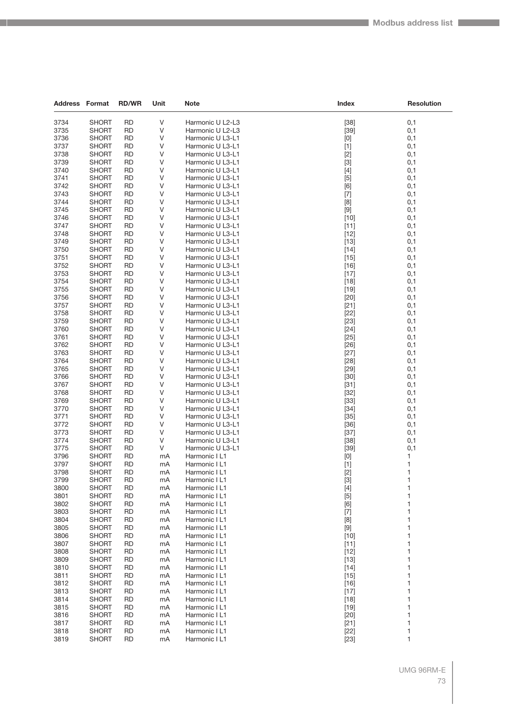| <b>Address Format</b> |                       | <b>RD/WR</b>           | Unit     | Note                           | Index                                  | <b>Resolution</b> |
|-----------------------|-----------------------|------------------------|----------|--------------------------------|----------------------------------------|-------------------|
|                       | <b>SHORT</b>          | <b>RD</b>              | V        | Harmonic U L2-L3               |                                        |                   |
| 3734<br>3735          | <b>SHORT</b>          | <b>RD</b>              | V        | Harmonic U L2-L3               | $[38]$                                 | 0,1<br>0,1        |
| 3736                  | SHORT                 | RD                     | V        | Harmonic U L3-L1               | $[39]$                                 |                   |
| 3737                  | SHORT                 | <b>RD</b>              | V        | Harmonic U L3-L1               | [0]                                    | 0,1<br>0,1        |
| 3738                  | <b>SHORT</b>          | <b>RD</b>              | V        | Harmonic U L3-L1               | $[1]$                                  | 0,1               |
| 3739                  | <b>SHORT</b>          | <b>RD</b>              | V        | Harmonic U L3-L1               | $[2]$<br>$[3]$                         | 0,1               |
| 3740                  | <b>SHORT</b>          | <b>RD</b>              | V        | Harmonic U L3-L1               | $[4]$                                  | 0,1               |
| 3741                  | SHORT                 | RD                     | V        | Harmonic U L3-L1               |                                        |                   |
| 3742                  | <b>SHORT</b>          | RD                     | V        | Harmonic U L3-L1               | $[5]$                                  | 0,1<br>0,1        |
| 3743                  | <b>SHORT</b>          | <b>RD</b>              | V        | Harmonic U L3-L1               | [6]<br>$[7]$                           | 0,1               |
| 3744                  | SHORT                 | RD                     | V        | Harmonic U L3-L1               | [8]                                    | 0,1               |
| 3745                  | <b>SHORT</b>          | <b>RD</b>              | V        | Harmonic U L3-L1               | $[9]$                                  | 0,1               |
| 3746                  | SHORT                 | RD                     | V        | Harmonic U L3-L1               | $[10]$                                 | 0,1               |
| 3747                  | SHORT                 | RD                     | V        | Harmonic U L3-L1               | $[11]$                                 | 0,1               |
| 3748                  | <b>SHORT</b>          | <b>RD</b>              | V        | Harmonic U L3-L1               | $[12]$                                 | 0,1               |
| 3749                  | <b>SHORT</b>          | <b>RD</b>              | V        | Harmonic U L3-L1               | $[13]$                                 | 0,1               |
| 3750                  | <b>SHORT</b>          | <b>RD</b>              | V        | Harmonic U L3-L1               | $[14]$                                 | 0,1               |
| 3751                  | SHORT                 | RD                     | V        | Harmonic U L3-L1               | $[15]$                                 | 0,1               |
| 3752                  | SHORT                 | RD                     | V        | Harmonic U L3-L1               | $[16]$                                 | 0,1               |
| 3753                  | <b>SHORT</b>          | <b>RD</b>              | V        | Harmonic U L3-L1               | $[17]$                                 | 0,1               |
| 3754                  | <b>SHORT</b>          | <b>RD</b>              | V        | Harmonic U L3-L1               | $[18]$                                 | 0,1               |
| 3755                  | <b>SHORT</b>          | <b>RD</b>              | V        | Harmonic U L3-L1               | $[19]$                                 | 0,1               |
| 3756                  | <b>SHORT</b>          | RD                     | V        | Harmonic U L3-L1               | $[20]$                                 | 0,1               |
| 3757                  | SHORT                 | RD                     | V        | Harmonic U L3-L1               | $[21]$                                 | 0,1               |
| 3758                  | <b>SHORT</b>          | <b>RD</b>              | V        | Harmonic U L3-L1               | $[22]$                                 | 0,1               |
| 3759                  | <b>SHORT</b>          | <b>RD</b>              | V        | Harmonic U L3-L1               | $[23]$                                 | 0,1               |
| 3760                  | SHORT                 | <b>RD</b>              | V        | Harmonic U L3-L1               | $[24]$                                 | 0,1               |
| 3761                  | SHORT                 | RD                     | V        | Harmonic U L3-L1               | $[25]$                                 | 0,1               |
| 3762                  | SHORT                 | RD                     | V        | Harmonic U L3-L1               | $[26]$                                 | 0,1               |
| 3763                  | <b>SHORT</b>          | <b>RD</b>              | V        | Harmonic U L3-L1               | $[27]$                                 | 0,1               |
| 3764                  | <b>SHORT</b>          | <b>RD</b>              | V        | Harmonic U L3-L1               | $[28]$                                 | 0,1               |
| 3765                  | SHORT                 | <b>RD</b>              | V        | Harmonic U L3-L1               | $[29]$                                 | 0,1               |
| 3766                  | SHORT                 | RD                     | V        | Harmonic U L3-L1               | $[30]$                                 | 0,1               |
| 3767                  | SHORT                 | RD                     | V        | Harmonic U L3-L1               | $[31]$                                 | 0,1               |
| 3768                  | <b>SHORT</b>          | <b>RD</b>              | V        | Harmonic U L3-L1               | $[32]$                                 | 0,1               |
| 3769                  | <b>SHORT</b>          | <b>RD</b>              | V        | Harmonic U L3-L1               | $[33]$                                 | 0,1               |
| 3770                  | SHORT                 | <b>RD</b>              | V        | Harmonic U L3-L1               | $[34]$                                 | 0,1               |
| 3771                  | SHORT                 | RD                     | V        | Harmonic U L3-L1               | $[35]$                                 | 0,1               |
| 3772                  | SHORT                 | RD                     | V        | Harmonic U L3-L1               | $[36]$                                 | 0,1               |
| 3773                  | <b>SHORT</b>          | <b>RD</b>              | V        | Harmonic U L3-L1               | $[37]$                                 | 0,1               |
| 3774                  | <b>SHORT</b>          | <b>RD</b>              | V        | Harmonic U L3-L1               | $[38]$                                 | 0,1               |
| 3775                  | SHORT                 | <b>RD</b>              | V        | Harmonic U L3-L1               | $[39]$                                 | 0,1               |
| 3796                  | SHORT                 | RD                     | mA       | Harmonic I L1                  | [0]                                    | 1                 |
| 3797                  | SHORT<br><b>SHORT</b> | RD                     | mA       | Harmonic I L1                  | $[1]$                                  | 1<br>1            |
| 3798<br>3799          |                       | <b>RD</b><br><b>RD</b> | mA       | Harmonic I L1                  | $[2]$                                  |                   |
| 3800                  | SHORT<br><b>SHORT</b> | <b>RD</b>              | mA<br>mA | Harmonic I L1<br>Harmonic I L1 | $\begin{bmatrix} 3 \\ 4 \end{bmatrix}$ | 1<br>1            |
| 3801                  | <b>SHORT</b>          | <b>RD</b>              | mA       | Harmonic I L1                  | $[5]$                                  | 1                 |
| 3802                  | <b>SHORT</b>          | <b>RD</b>              | mA       | Harmonic I L1                  | [6]                                    | 1                 |
| 3803                  | SHORT                 | <b>RD</b>              | mA       | Harmonic I L1                  | $[7]$                                  | 1                 |
| 3804                  | <b>SHORT</b>          | <b>RD</b>              | mA       | Harmonic I L1                  | [8]                                    | 1                 |
| 3805                  | <b>SHORT</b>          | <b>RD</b>              | mA       | Harmonic I L1                  | $[9]$                                  | 1                 |
| 3806                  | <b>SHORT</b>          | <b>RD</b>              | mA       | Harmonic I L1                  | $[10]$                                 | 1                 |
| 3807                  | <b>SHORT</b>          | <b>RD</b>              | mA       | Harmonic I L1                  | $[11]$                                 | 1                 |
| 3808                  | <b>SHORT</b>          | <b>RD</b>              | mA       | Harmonic I L1                  | $[12]$                                 | 1                 |
| 3809                  | <b>SHORT</b>          | <b>RD</b>              | mA       | Harmonic I L1                  | $[13]$                                 | 1                 |
| 3810                  | <b>SHORT</b>          | <b>RD</b>              | mA       | Harmonic I L1                  | $[14]$                                 | 1                 |
| 3811                  | SHORT                 | <b>RD</b>              | mA       | Harmonic I L1                  | $[15]$                                 | 1                 |
| 3812                  | <b>SHORT</b>          | <b>RD</b>              | mA       | Harmonic I L1                  | $[16]$                                 | 1                 |
| 3813                  | SHORT                 | <b>RD</b>              | mA       | Harmonic I L1                  | $[17]$                                 | 1                 |
| 3814                  | <b>SHORT</b>          | <b>RD</b>              | mA       | Harmonic I L1                  | $[18]$                                 | 1                 |
| 3815                  | <b>SHORT</b>          | <b>RD</b>              | mA       | Harmonic I L1                  | $[19]$                                 | 1                 |
| 3816                  | SHORT                 | <b>RD</b>              | mA       | Harmonic I L1                  | $[20]$                                 | 1                 |
| 3817                  | <b>SHORT</b>          | <b>RD</b>              | mA       | Harmonic I L1                  | $[21]$                                 | 1                 |
| 3818                  | <b>SHORT</b>          | <b>RD</b>              | mA       | Harmonic I L1                  | $[22]$                                 | 1                 |
| 3819                  | <b>SHORT</b>          | <b>RD</b>              | mA       | Harmonic I L1                  | $[23]$                                 | 1                 |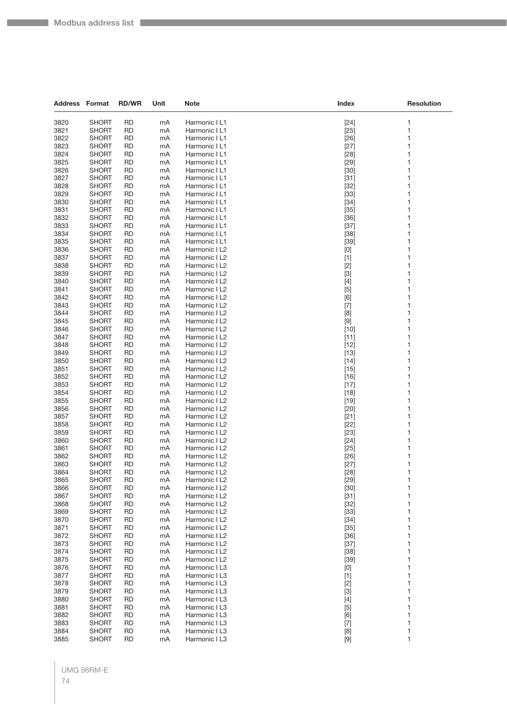| <b>Address Format</b> |                              | <b>RD/WR</b>           | Unit     | Note                           | Index                                                                                                                                                                                                                                                                                                                       | <b>Resolution</b> |
|-----------------------|------------------------------|------------------------|----------|--------------------------------|-----------------------------------------------------------------------------------------------------------------------------------------------------------------------------------------------------------------------------------------------------------------------------------------------------------------------------|-------------------|
| 3820                  | <b>SHORT</b>                 | <b>RD</b>              | mA       | Harmonic I L1                  | $[24]$                                                                                                                                                                                                                                                                                                                      | 1                 |
| 3821                  | <b>SHORT</b>                 | <b>RD</b>              | mA       | Harmonic I L1                  | $[25]$                                                                                                                                                                                                                                                                                                                      | 1                 |
| 3822                  | <b>SHORT</b>                 | <b>RD</b>              | mA       | Harmonic I L1                  | $[26]$                                                                                                                                                                                                                                                                                                                      | 1                 |
| 3823                  | SHORT                        | RD                     | mA       | Harmonic I L1                  | $[27]$                                                                                                                                                                                                                                                                                                                      | 1                 |
| 3824                  | <b>SHORT</b>                 | RD                     | mA       | Harmonic I L1                  | $[28]$                                                                                                                                                                                                                                                                                                                      | 1                 |
| 3825                  | <b>SHORT</b>                 | <b>RD</b>              | mA       | Harmonic I L1                  | $[29]$                                                                                                                                                                                                                                                                                                                      | 1                 |
| 3826                  | <b>SHORT</b>                 | <b>RD</b>              | mA       | Harmonic I L1                  | $[30]$                                                                                                                                                                                                                                                                                                                      | 1                 |
| 3827                  | <b>SHORT</b>                 | <b>RD</b>              | mA       | Harmonic I L1                  | $[31]$                                                                                                                                                                                                                                                                                                                      | 1                 |
| 3828                  | SHORT                        | RD                     | mA       | Harmonic I L1                  | $[32]$                                                                                                                                                                                                                                                                                                                      | 1                 |
| 3829                  | SHORT                        | RD                     | mA       | Harmonic I L1                  | $[33]$                                                                                                                                                                                                                                                                                                                      | 1                 |
| 3830                  | SHORT                        | RD                     | mA       | Harmonic I L1                  | $[34]$                                                                                                                                                                                                                                                                                                                      | 1                 |
| 3831                  | SHORT                        | RD                     | mA       | Harmonic I L1                  | $[35]$                                                                                                                                                                                                                                                                                                                      | 1                 |
| 3832                  | <b>SHORT</b>                 | <b>RD</b>              | mA       | Harmonic I L1                  | $[36]$                                                                                                                                                                                                                                                                                                                      | 1                 |
| 3833<br>3834          | SHORT<br><b>SHORT</b>        | RD                     | mA       | Harmonic I L1<br>Harmonic I L1 | $[37]$                                                                                                                                                                                                                                                                                                                      | 1<br>1            |
| 3835                  | <b>SHORT</b>                 | RD<br><b>RD</b>        | mA<br>mA | Harmonic I L1                  | $[38]$<br>$[39]$                                                                                                                                                                                                                                                                                                            | 1                 |
| 3836                  | SHORT                        | RD                     | mA       | Harmonic I L2                  | $[0] % \begin{center} % \includegraphics[width=\linewidth]{imagesSupplemental_3.png} % \end{center} % \caption { % Our method can be used for the use of the image. % Note that the \emph{Def}(i) and the \emph{Def}(i) are the same and the \emph{Def}(i) and the \emph{Def}(i) are the same. % } % \label{fig:Defin_3} %$ | 1                 |
| 3837                  | SHORT                        | RD                     | mA       | Harmonic I L2                  | $[1]$                                                                                                                                                                                                                                                                                                                       | 1                 |
| 3838                  | SHORT                        | RD                     | mA       | Harmonic I L2                  | $[2]$                                                                                                                                                                                                                                                                                                                       | 1                 |
| 3839                  | SHORT                        | RD                     | mA       | Harmonic I L2                  | $[3]$                                                                                                                                                                                                                                                                                                                       | 1                 |
| 3840                  | SHORT                        | <b>RD</b>              | mA       | Harmonic I L2                  | $[4]$                                                                                                                                                                                                                                                                                                                       | 1                 |
| 3841                  | <b>SHORT</b>                 | RD                     | mA       | Harmonic I L2                  | $[5]$                                                                                                                                                                                                                                                                                                                       | 1                 |
| 3842                  | <b>SHORT</b>                 | <b>RD</b>              | mA       | Harmonic I L2                  | [6]                                                                                                                                                                                                                                                                                                                         | 1                 |
| 3843                  | SHORT                        | RD                     | mA       | Harmonic I L2                  | $[7]$                                                                                                                                                                                                                                                                                                                       | 1                 |
| 3844                  | SHORT                        | RD                     | mA       | Harmonic I L2                  | [8]                                                                                                                                                                                                                                                                                                                         | 1                 |
| 3845                  | <b>SHORT</b>                 | <b>RD</b>              | mA       | Harmonic I L2                  | $[9]$                                                                                                                                                                                                                                                                                                                       | 1                 |
| 3846                  | SHORT                        | RD                     | mA       | Harmonic I L2                  | $[10]$                                                                                                                                                                                                                                                                                                                      | 1                 |
| 3847                  | SHORT                        | RD                     | mA       | Harmonic I L2                  | $[11]$                                                                                                                                                                                                                                                                                                                      | 1                 |
| 3848                  | SHORT                        | RD                     | mA       | Harmonic I L2                  | $[12]$                                                                                                                                                                                                                                                                                                                      | 1<br>1            |
| 3849<br>3850          | SHORT<br>SHORT               | RD<br><b>RD</b>        | mA<br>mA | Harmonic I L2<br>Harmonic I L2 | $[13]$<br>$[14]$                                                                                                                                                                                                                                                                                                            | 1                 |
| 3851                  | SHORT                        | RD                     | mA       | Harmonic I L2                  | $[15]$                                                                                                                                                                                                                                                                                                                      | 1                 |
| 3852                  | SHORT                        | RD                     | mA       | Harmonic I L2                  | $[16]$                                                                                                                                                                                                                                                                                                                      | 1                 |
| 3853                  | SHORT                        | RD                     | mA       | Harmonic I L2                  | $[17]$                                                                                                                                                                                                                                                                                                                      | 1                 |
| 3854                  | SHORT                        | RD                     | mA       | Harmonic I L2                  | $[18]$                                                                                                                                                                                                                                                                                                                      | 1                 |
| 3855                  | <b>SHORT</b>                 | <b>RD</b>              | mA       | Harmonic I L2                  | $[19]$                                                                                                                                                                                                                                                                                                                      | 1                 |
| 3856                  | SHORT                        | RD                     | mA       | Harmonic I L2                  | $[20]$                                                                                                                                                                                                                                                                                                                      | 1                 |
| 3857                  | <b>SHORT</b>                 | RD                     | mA       | Harmonic I L2                  | $[21]$                                                                                                                                                                                                                                                                                                                      | 1                 |
| 3858                  | SHORT                        | RD                     | mA       | Harmonic I L2                  | $[22]$                                                                                                                                                                                                                                                                                                                      | 1                 |
| 3859                  | SHORT                        | RD                     | mA       | Harmonic I L2                  | $[23]$                                                                                                                                                                                                                                                                                                                      | 1                 |
| 3860                  | <b>SHORT</b>                 | <b>RD</b>              | mA       | Harmonic I L2                  | $[24]$                                                                                                                                                                                                                                                                                                                      | 1                 |
| 3861<br>3862          | SHORT<br>SHORT               | RD<br><b>RD</b>        | mA<br>mA | Harmonic I L2<br>Harmonic I L2 | $[25]$<br>$[26]$                                                                                                                                                                                                                                                                                                            | 1<br>1            |
| 3863                  | SHORT                        | RD                     | mA       | Harmonic I L2                  | $[27]$                                                                                                                                                                                                                                                                                                                      | 1                 |
| 3864                  | <b>SHORT</b>                 | <b>RD</b>              | mA       | Harmonic I L2                  | $[28]$                                                                                                                                                                                                                                                                                                                      | 1                 |
| 3865                  | <b>SHORT</b>                 | <b>RD</b>              | mA       | Harmonic I L2                  | $[29]$                                                                                                                                                                                                                                                                                                                      | 1                 |
| 3866                  | <b>SHORT</b>                 | <b>RD</b>              | mA       | Harmonic I L2                  | $[30]$                                                                                                                                                                                                                                                                                                                      | 1                 |
| 3867                  | <b>SHORT</b>                 | <b>RD</b>              | mA       | Harmonic I L2                  | $[31]$                                                                                                                                                                                                                                                                                                                      | 1                 |
| 3868                  | <b>SHORT</b>                 | <b>RD</b>              | mA       | Harmonic I L2                  | $[32]$                                                                                                                                                                                                                                                                                                                      | 1                 |
| 3869                  | <b>SHORT</b>                 | <b>RD</b>              | mA       | Harmonic I L2                  | $[33]$                                                                                                                                                                                                                                                                                                                      | 1                 |
| 3870                  | <b>SHORT</b>                 | <b>RD</b>              | mA       | Harmonic I L2                  | $[34]$                                                                                                                                                                                                                                                                                                                      | 1                 |
| 3871                  | SHORT                        | RD                     | mA       | Harmonic I L2                  | $[35]$                                                                                                                                                                                                                                                                                                                      | 1                 |
| 3872                  | <b>SHORT</b>                 | <b>RD</b>              | mA       | Harmonic I L2                  | $[36]$                                                                                                                                                                                                                                                                                                                      | 1                 |
| 3873<br>3874          | <b>SHORT</b><br><b>SHORT</b> | <b>RD</b><br><b>RD</b> | mA       | Harmonic I L2<br>Harmonic I L2 | $[37]$                                                                                                                                                                                                                                                                                                                      | 1<br>1            |
| 3875                  | <b>SHORT</b>                 | <b>RD</b>              | mA<br>mA | Harmonic I L2                  | $[38]$<br>$[39]$                                                                                                                                                                                                                                                                                                            | 1                 |
| 3876                  | SHORT                        | RD                     | mA       | Harmonic I L3                  | [0]                                                                                                                                                                                                                                                                                                                         | 1                 |
| 3877                  | <b>SHORT</b>                 | <b>RD</b>              | mA       | Harmonic I L3                  | $[1]$                                                                                                                                                                                                                                                                                                                       | 1                 |
| 3878                  | <b>SHORT</b>                 | <b>RD</b>              | mA       | Harmonic I L3                  | $[2]$                                                                                                                                                                                                                                                                                                                       | 1                 |
| 3879                  | <b>SHORT</b>                 | RD                     | mA       | Harmonic I L3                  | $[3]$                                                                                                                                                                                                                                                                                                                       | 1                 |
| 3880                  | <b>SHORT</b>                 | <b>RD</b>              | mA       | Harmonic I L3                  | $[4]$                                                                                                                                                                                                                                                                                                                       | 1                 |
| 3881                  | SHORT                        | RD                     | mA       | Harmonic I L3                  | $[5]$                                                                                                                                                                                                                                                                                                                       | 1                 |
| 3882                  | <b>SHORT</b>                 | <b>RD</b>              | mA       | Harmonic I L3                  | [6]                                                                                                                                                                                                                                                                                                                         | 1                 |
| 3883                  | <b>SHORT</b>                 | <b>RD</b>              | mA       | Harmonic I L3                  | $[7]$                                                                                                                                                                                                                                                                                                                       | 1                 |
| 3884                  | <b>SHORT</b>                 | <b>RD</b>              | mA       | Harmonic I L3                  | [8]                                                                                                                                                                                                                                                                                                                         | 1                 |
| 3885                  | <b>SHORT</b>                 | <b>RD</b>              | mA       | Harmonic I L3                  | $[9]$                                                                                                                                                                                                                                                                                                                       | 1                 |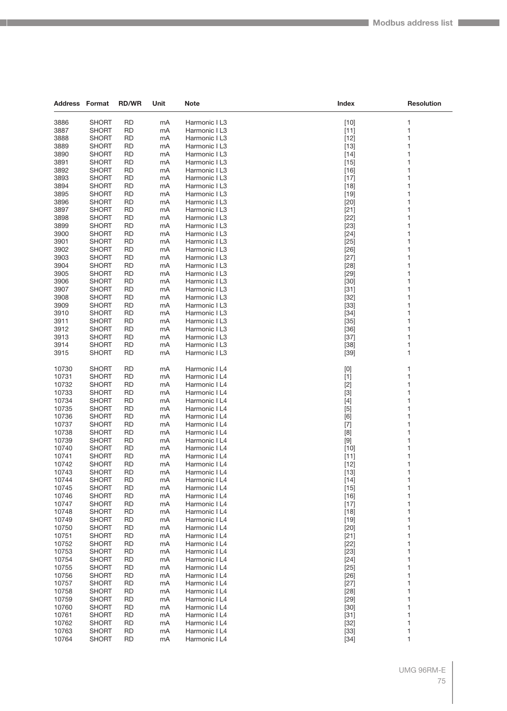| <b>Address Format</b> |                              | <b>RD/WR</b>           | Unit     | Note                           | Index            | <b>Resolution</b> |
|-----------------------|------------------------------|------------------------|----------|--------------------------------|------------------|-------------------|
| 3886                  | <b>SHORT</b>                 | <b>RD</b>              | mA       | Harmonic I L3                  | $[10]$           | 1                 |
| 3887                  | <b>SHORT</b>                 | <b>RD</b>              | mA       | Harmonic I L3                  | $[11]$           | 1                 |
| 3888                  | SHORT                        | <b>RD</b>              | mA       | Harmonic I L3                  | $[12]$           | 1                 |
| 3889                  | SHORT                        | RD                     | mA       | Harmonic I L3                  | $[13]$           | 1                 |
| 3890                  | <b>SHORT</b>                 | <b>RD</b>              | mA       | Harmonic I L3                  | $[14]$           | 1                 |
| 3891                  | SHORT                        | <b>RD</b>              | mA       | Harmonic I L3                  | $[15]$           | 1                 |
| 3892                  | SHORT                        | <b>RD</b>              | mA       | Harmonic I L3                  | $[16]$           | 1                 |
| 3893                  | SHORT                        | <b>RD</b>              | mA       | Harmonic I L3                  | $[17]$           | 1                 |
| 3894                  | SHORT                        | RD                     | mA       | Harmonic I L3                  | $[18]$           | 1                 |
| 3895                  | SHORT                        | <b>RD</b>              | mA       | Harmonic I L3                  | $[19]$           | 1                 |
| 3896                  | SHORT                        | RD                     | mA       | Harmonic I L3                  | $[20]$           | 1                 |
| 3897                  | SHORT                        | <b>RD</b>              | mA       | Harmonic I L3                  | $[21]$           | 1                 |
| 3898                  | SHORT                        | <b>RD</b>              | mA       | Harmonic I L3                  | $[22]$           | 1                 |
| 3899                  | SHORT                        | RD                     | mA       | Harmonic I L3                  | $[23]$           | 1                 |
| 3900                  | <b>SHORT</b>                 | <b>RD</b>              | mA       | Harmonic I L3                  | $[24]$           | 1                 |
| 3901                  | SHORT                        | <b>RD</b>              | mA       | Harmonic I L3                  | $[25]$           | 1                 |
| 3902                  | SHORT                        | <b>RD</b>              | mA       | Harmonic I L3                  | $[26]$           | 1                 |
| 3903                  | SHORT                        | <b>RD</b>              | mA       | Harmonic I L3                  | $[27]$           | 1                 |
| 3904                  | <b>SHORT</b>                 | RD                     | mA       | Harmonic I L3                  | $[28]$           | 1                 |
| 3905                  | <b>SHORT</b>                 | <b>RD</b>              | mA       | Harmonic I L3                  | $[29]$           | 1                 |
| 3906                  | SHORT                        | <b>RD</b>              | mA       | Harmonic I L3                  | $[30]$           | 1                 |
| 3907                  | SHORT                        | RD                     | mA       | Harmonic I L3                  | $[31]$           | 1                 |
| 3908                  | SHORT                        | <b>RD</b>              | mA       | Harmonic I L3                  | $[32]$           | 1                 |
| 3909                  | SHORT                        | RD                     | mA       | Harmonic I L3                  | $[33]$           | 1                 |
| 3910                  | SHORT                        | <b>RD</b>              | mA       | Harmonic I L3                  | $[34]$           | 1                 |
| 3911                  | SHORT                        | <b>RD</b>              | mA       | Harmonic I L3                  | $[35]$           | 1                 |
| 3912                  | SHORT                        | RD                     | mA       | Harmonic I L3                  | $[36]$           | 1                 |
| 3913                  | SHORT                        | <b>RD</b>              | mA       | Harmonic I L3                  | $[37]$           | 1                 |
| 3914                  | SHORT                        | RD                     | mA       | Harmonic I L3                  | $[38]$           | 1                 |
| 3915                  | SHORT                        | <b>RD</b>              | mA       | Harmonic I L3                  | $[39]$           | 1                 |
|                       |                              |                        |          |                                |                  |                   |
| 10730                 | SHORT                        | RD                     | mA       | Harmonic I L4                  | [0]              | 1                 |
| 10731                 | SHORT                        | <b>RD</b>              | mA       | Harmonic I L4                  | $[1]$            | 1                 |
| 10732                 | SHORT                        | RD                     | mA       | Harmonic I L4                  | $[2]$            | 1                 |
| 10733                 | SHORT                        | <b>RD</b>              | mA       | Harmonic I L4                  | $[3]$            | 1                 |
| 10734                 | SHORT                        | RD                     | mA       | Harmonic I L4                  | $[4]$            | 1                 |
| 10735                 | SHORT                        | RD                     | mA       | Harmonic I L4                  | [5]              | 1                 |
| 10736                 | SHORT                        | <b>RD</b>              | mA       | Harmonic I L4                  | [6]              | 1                 |
| 10737                 | SHORT                        | RD                     | mA       | Harmonic I L4                  | $[7]$            | 1                 |
| 10738                 | <b>SHORT</b>                 | <b>RD</b>              | mA       | Harmonic I L4                  | [8]              | 1                 |
| 10739                 | SHORT                        | <b>RD</b>              | mA       | Harmonic I L4                  | $[9]$            | 1                 |
| 10740                 | SHORT                        | RD                     | mA       | Harmonic I L4                  | $[10]$           | 1                 |
| 10741                 | SHORT                        | <b>RD</b>              | mA       | Harmonic I L4                  | [11]             | 1                 |
| 10742                 | <b>SHORT</b>                 | RD                     | mA       | Harmonic I L4                  | $[12]$           | 1                 |
| 10743                 | <b>SHORT</b>                 | <b>RD</b>              | mA       | Harmonic I L4                  | $[13]$           | 1                 |
| 10744<br>10745        | SHORT                        | <b>RD</b><br><b>RD</b> | mA       | Harmonic I L4                  | $[14]$           | 1<br>1            |
| 10746                 | <b>SHORT</b>                 | <b>RD</b>              | mA       | Harmonic I L4                  | $[15]$           | 1                 |
| 10747                 | <b>SHORT</b><br><b>SHORT</b> | <b>RD</b>              | mA       | Harmonic I L4<br>Harmonic I L4 | $[16]$           | 1                 |
| 10748                 | <b>SHORT</b>                 | <b>RD</b>              | mA<br>mA | Harmonic I L4                  | $[17]$<br>$[18]$ | 1                 |
| 10749                 | SHORT                        | <b>RD</b>              | mA       | Harmonic I L4                  | $[19]$           | 1                 |
| 10750                 | <b>SHORT</b>                 | <b>RD</b>              | mA       | Harmonic I L4                  | $[20]$           | 1                 |
| 10751                 | <b>SHORT</b>                 | <b>RD</b>              | mA       | Harmonic I L4                  | $[21]$           | 1                 |
| 10752                 | <b>SHORT</b>                 | <b>RD</b>              | mA       | Harmonic I L4                  | $[22]$           | 1                 |
| 10753                 | <b>SHORT</b>                 | <b>RD</b>              | mA       | Harmonic I L4                  | $[23]$           | 1                 |
| 10754                 | SHORT                        | <b>RD</b>              | mA       | Harmonic I L4                  | $[24]$           | 1                 |
| 10755                 | <b>SHORT</b>                 | <b>RD</b>              | mA       | Harmonic I L4                  | $[25]$           | 1                 |
| 10756                 | <b>SHORT</b>                 | <b>RD</b>              | mA       | Harmonic I L4                  | $[26]$           | 1                 |
| 10757                 | <b>SHORT</b>                 | RD                     | mA       | Harmonic I L4                  | $[27]$           | 1                 |
| 10758                 | <b>SHORT</b>                 | RD                     | mA       | Harmonic I L4                  | $[28]$           | 1                 |
| 10759                 | SHORT                        | <b>RD</b>              | mA       | Harmonic I L4                  | $[29]$           | 1                 |
| 10760                 | <b>SHORT</b>                 | <b>RD</b>              | mA       | Harmonic I L4                  | $[30]$           | 1                 |
| 10761                 | <b>SHORT</b>                 | <b>RD</b>              | mA       | Harmonic I L4                  | $[31]$           | 1                 |
| 10762                 | <b>SHORT</b>                 | RD                     | mA       | Harmonic I L4                  | $[32]$           | 1                 |
| 10763                 | <b>SHORT</b>                 | <b>RD</b>              | mA       | Harmonic I L4                  | $[33]$           | 1                 |
| 10764                 | <b>SHORT</b>                 | <b>RD</b>              | mA       | Harmonic I L4                  | $[34]$           | 1                 |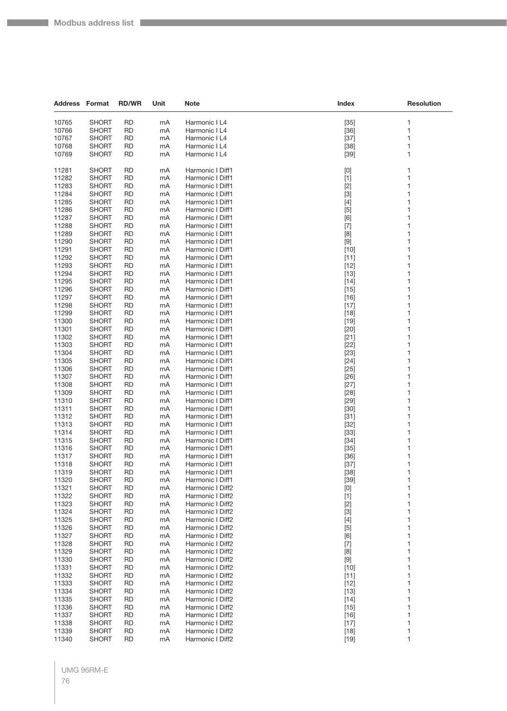**College** 

| <b>Address Format</b> |                              | <b>RD/WR</b>           | Unit     | Note                                 | Index                                                                                                                                                                                                                                                                                                                                 | <b>Resolution</b> |
|-----------------------|------------------------------|------------------------|----------|--------------------------------------|---------------------------------------------------------------------------------------------------------------------------------------------------------------------------------------------------------------------------------------------------------------------------------------------------------------------------------------|-------------------|
| 10765                 | <b>SHORT</b>                 | RD                     | mA       | Harmonic I L4                        | $[35]$                                                                                                                                                                                                                                                                                                                                | 1                 |
| 10766                 | <b>SHORT</b>                 | <b>RD</b>              | mA       | Harmonic I L4                        | $[36]$                                                                                                                                                                                                                                                                                                                                | 1                 |
| 10767                 | SHORT                        | RD                     | mA       | Harmonic I L4                        | $[37]$                                                                                                                                                                                                                                                                                                                                | 1                 |
| 10768                 | <b>SHORT</b>                 | RD                     | mA       | Harmonic I L4                        | $[38]$                                                                                                                                                                                                                                                                                                                                | 1                 |
| 10769                 | <b>SHORT</b>                 | RD                     | mA       | Harmonic I L4                        | $[39]$                                                                                                                                                                                                                                                                                                                                | 1                 |
| 11281                 | SHORT                        | <b>RD</b>              | mA       | Harmonic I Diff1                     | $[0]$                                                                                                                                                                                                                                                                                                                                 | 1                 |
| 11282                 | <b>SHORT</b>                 | RD                     | mA       | Harmonic I Diff1                     | $[1]$                                                                                                                                                                                                                                                                                                                                 | 1                 |
| 11283                 | <b>SHORT</b>                 | RD                     | mA       | Harmonic I Diff1                     | $[2]$                                                                                                                                                                                                                                                                                                                                 | 1                 |
| 11284                 | <b>SHORT</b>                 | RD                     | mA       | Harmonic I Diff1                     | $[3]$                                                                                                                                                                                                                                                                                                                                 | 1                 |
| 11285                 | SHORT                        | RD                     | mA       | Harmonic I Diff1                     | $[4]$                                                                                                                                                                                                                                                                                                                                 | 1                 |
| 11286                 | <b>SHORT</b>                 | RD                     | mA       | Harmonic I Diff1                     | $[5]$                                                                                                                                                                                                                                                                                                                                 | 1                 |
| 11287                 | <b>SHORT</b>                 | RD                     | mA       | Harmonic I Diff1                     | [6]                                                                                                                                                                                                                                                                                                                                   | 1                 |
| 11288                 | <b>SHORT</b>                 | RD                     | mA       | Harmonic I Diff1                     | $[7]$                                                                                                                                                                                                                                                                                                                                 | 1                 |
| 11289                 | <b>SHORT</b>                 | RD                     | mA       | Harmonic I Diff1                     | [8]                                                                                                                                                                                                                                                                                                                                   | 1                 |
| 11290                 | SHORT                        | RD                     | mA       | Harmonic I Diff1                     | $[9]$                                                                                                                                                                                                                                                                                                                                 | 1                 |
| 11291                 | SHORT                        | RD                     | mA       | Harmonic I Diff1                     | $[10]$                                                                                                                                                                                                                                                                                                                                | 1                 |
| 11292                 | <b>SHORT</b>                 | RD                     | mA       | Harmonic I Diff1                     | $[11]$                                                                                                                                                                                                                                                                                                                                | 1                 |
| 11293                 | <b>SHORT</b>                 | RD                     | mA       | Harmonic I Diff1                     | $[12]$                                                                                                                                                                                                                                                                                                                                | 1                 |
| 11294                 | <b>SHORT</b>                 | RD                     | mA       | Harmonic I Diff1<br>Harmonic I Diff1 | $[13]$                                                                                                                                                                                                                                                                                                                                | 1                 |
| 11295<br>11296        | <b>SHORT</b><br><b>SHORT</b> | <b>RD</b><br>RD        | mA<br>mA | Harmonic I Diff1                     | $[14]$<br>$[15]$                                                                                                                                                                                                                                                                                                                      | 1<br>1            |
| 11297                 | <b>SHORT</b>                 | RD                     | mA       | Harmonic I Diff1                     | $[16]$                                                                                                                                                                                                                                                                                                                                | 1                 |
| 11298                 | <b>SHORT</b>                 | RD                     | mA       | Harmonic I Diff1                     | $[17]$                                                                                                                                                                                                                                                                                                                                | 1                 |
| 11299                 | <b>SHORT</b>                 | RD                     | mA       | Harmonic I Diff1                     | $[18]$                                                                                                                                                                                                                                                                                                                                | 1                 |
| 11300                 | <b>SHORT</b>                 | RD                     | mA       | Harmonic I Diff1                     | $[19]$                                                                                                                                                                                                                                                                                                                                | 1                 |
| 11301                 | SHORT                        | RD                     | mA       | Harmonic I Diff1                     | $[20]$                                                                                                                                                                                                                                                                                                                                | 1                 |
| 11302                 | <b>SHORT</b>                 | RD                     | mA       | Harmonic I Diff1                     | $[21]$                                                                                                                                                                                                                                                                                                                                | 1                 |
| 11303                 | <b>SHORT</b>                 | RD                     | mA       | Harmonic I Diff1                     | $[22]$                                                                                                                                                                                                                                                                                                                                | 1                 |
| 11304                 | <b>SHORT</b>                 | RD                     | mA       | Harmonic I Diff1                     | $[23]$                                                                                                                                                                                                                                                                                                                                | 1                 |
| 11305                 | <b>SHORT</b>                 | RD                     | mA       | Harmonic I Diff1                     | $[24]$                                                                                                                                                                                                                                                                                                                                | 1                 |
| 11306                 | <b>SHORT</b>                 | RD                     | mA       | Harmonic I Diff1                     | $[25]$                                                                                                                                                                                                                                                                                                                                | 1                 |
| 11307<br>11308        | SHORT<br><b>SHORT</b>        | RD                     | mA       | Harmonic I Diff1                     | $[26]$                                                                                                                                                                                                                                                                                                                                | 1                 |
| 11309                 | <b>SHORT</b>                 | RD<br>RD               | mA<br>mA | Harmonic I Diff1<br>Harmonic I Diff1 | $[27]$<br>$[28]$                                                                                                                                                                                                                                                                                                                      | 1<br>1            |
| 11310                 | <b>SHORT</b>                 | RD                     | mA       | Harmonic I Diff1                     | $[29]$                                                                                                                                                                                                                                                                                                                                | 1                 |
| 11311                 | SHORT                        | RD                     | mA       | Harmonic I Diff1                     | $[30]$                                                                                                                                                                                                                                                                                                                                | 1                 |
| 11312                 | SHORT                        | RD                     | mA       | Harmonic I Diff1                     | $[31]$                                                                                                                                                                                                                                                                                                                                | 1                 |
| 11313                 | <b>SHORT</b>                 | RD                     | mA       | Harmonic I Diff1                     | $[32]$                                                                                                                                                                                                                                                                                                                                | 1                 |
| 11314                 | SHORT                        | RD                     | mA       | Harmonic I Diff1                     | $[33]$                                                                                                                                                                                                                                                                                                                                | 1                 |
| 11315                 | SHORT                        | RD                     | mA       | Harmonic I Diff1                     | $[34]$                                                                                                                                                                                                                                                                                                                                | 1                 |
| 11316                 | <b>SHORT</b>                 | RD                     | mA       | Harmonic I Diff1                     | $[35]$                                                                                                                                                                                                                                                                                                                                | 1                 |
| 11317                 | SHORT                        | RD                     | mA       | Harmonic I Diff1                     | $[36]$                                                                                                                                                                                                                                                                                                                                | 1                 |
| 11318                 | <b>SHORT</b>                 | RD                     | mA       | Harmonic I Diff1                     | $[37]$                                                                                                                                                                                                                                                                                                                                | 1                 |
| 11319                 | SHORT                        | RD.                    | mA       | Harmonic I Diff1                     | $[38]$                                                                                                                                                                                                                                                                                                                                | 1                 |
| 11320<br>11321        | <b>SHORT</b><br><b>SHORT</b> | <b>RD</b><br><b>RD</b> | mA<br>mA | Harmonic I Diff1<br>Harmonic I Diff2 | $[39]$<br>$[0] % \begin{center} % \includegraphics[width=\linewidth]{imagesSupplemental_3.png} % \end{center} % \caption { % Our method can be used for the use of the image. % Note that the \emph{Def}(i) and the \emph{Def}(i) are the same and the \emph{Def}(i) and the \emph{Def}(i) are the same. % } % \label{fig:Defin_3} %$ | 1<br>1            |
| 11322                 | <b>SHORT</b>                 | <b>RD</b>              | mA       | Harmonic I Diff2                     | $[1]$                                                                                                                                                                                                                                                                                                                                 | 1                 |
| 11323                 | <b>SHORT</b>                 | <b>RD</b>              | mA       | Harmonic I Diff2                     | $[2]$                                                                                                                                                                                                                                                                                                                                 | 1                 |
| 11324                 | <b>SHORT</b>                 | <b>RD</b>              | mA       | Harmonic I Diff2                     | $[3]$                                                                                                                                                                                                                                                                                                                                 | 1                 |
| 11325                 | <b>SHORT</b>                 | RD                     | mA       | Harmonic I Diff2                     | $[4]$                                                                                                                                                                                                                                                                                                                                 | 1                 |
| 11326                 | <b>SHORT</b>                 | RD                     | mA       | Harmonic I Diff2                     | $[5]$                                                                                                                                                                                                                                                                                                                                 | 1                 |
| 11327                 | <b>SHORT</b>                 | <b>RD</b>              | mA       | Harmonic I Diff2                     | [6]                                                                                                                                                                                                                                                                                                                                   | 1                 |
| 11328                 | <b>SHORT</b>                 | <b>RD</b>              | mA       | Harmonic I Diff2                     | $[7]$                                                                                                                                                                                                                                                                                                                                 | 1                 |
| 11329                 | <b>SHORT</b>                 | <b>RD</b>              | mA       | Harmonic I Diff2                     | [8]                                                                                                                                                                                                                                                                                                                                   | 1                 |
| 11330                 | <b>SHORT</b>                 | RD                     | mA       | Harmonic I Diff2                     | $[9]$                                                                                                                                                                                                                                                                                                                                 | 1                 |
| 11331                 | <b>SHORT</b>                 | <b>RD</b>              | mA       | Harmonic I Diff2                     | $[10]$                                                                                                                                                                                                                                                                                                                                | 1                 |
| 11332<br>11333        | <b>SHORT</b><br><b>SHORT</b> | <b>RD</b><br><b>RD</b> | mA       | Harmonic I Diff2<br>Harmonic I Diff2 | $[11]$                                                                                                                                                                                                                                                                                                                                | 1<br>1            |
| 11334                 | <b>SHORT</b>                 | <b>RD</b>              | mA<br>mA | Harmonic I Diff2                     | $[12]$<br>$[13]$                                                                                                                                                                                                                                                                                                                      | 1                 |
| 11335                 | <b>SHORT</b>                 | <b>RD</b>              | mA       | Harmonic I Diff2                     | $[14]$                                                                                                                                                                                                                                                                                                                                | 1                 |
| 11336                 | <b>SHORT</b>                 | <b>RD</b>              | mA       | Harmonic I Diff2                     | $[15]$                                                                                                                                                                                                                                                                                                                                | 1                 |
| 11337                 | <b>SHORT</b>                 | RD                     | mA       | Harmonic I Diff2                     | $[16]$                                                                                                                                                                                                                                                                                                                                | 1                 |
| 11338                 | <b>SHORT</b>                 | <b>RD</b>              | mA       | Harmonic I Diff2                     | $[17]$                                                                                                                                                                                                                                                                                                                                | 1                 |
| 11339                 | <b>SHORT</b>                 | <b>RD</b>              | mA       | Harmonic I Diff2                     | $[18]$                                                                                                                                                                                                                                                                                                                                | 1                 |
| 11340                 | <b>SHORT</b>                 | <b>RD</b>              | mA       | Harmonic I Diff2                     | $[19]$                                                                                                                                                                                                                                                                                                                                | 1                 |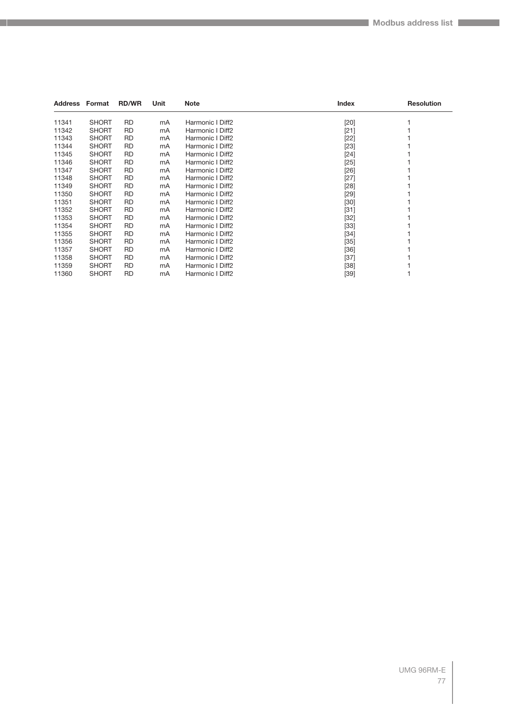| Address Format |              | <b>RD/WR</b> | Unit | <b>Note</b>      | Index  | <b>Resolution</b> |
|----------------|--------------|--------------|------|------------------|--------|-------------------|
| 11341          | <b>SHORT</b> | <b>RD</b>    | mA   | Harmonic I Diff2 | $[20]$ |                   |
| 11342          | <b>SHORT</b> | RD.          | mA   | Harmonic I Diff2 | $[21]$ |                   |
| 11343          | <b>SHORT</b> | <b>RD</b>    | mA   | Harmonic I Diff2 | $[22]$ |                   |
| 11344          | <b>SHORT</b> | <b>RD</b>    | mA   | Harmonic I Diff2 | $[23]$ |                   |
| 11345          | <b>SHORT</b> | <b>RD</b>    | mA   | Harmonic I Diff2 | $[24]$ |                   |
| 11346          | <b>SHORT</b> | <b>RD</b>    | mA   | Harmonic I Diff2 | $[25]$ |                   |
| 11347          | <b>SHORT</b> | <b>RD</b>    | mA   | Harmonic I Diff2 | $[26]$ |                   |
| 11348          | <b>SHORT</b> | <b>RD</b>    | mA   | Harmonic I Diff2 | $[27]$ |                   |
| 11349          | <b>SHORT</b> | <b>RD</b>    | mA   | Harmonic I Diff2 | [28]   |                   |
| 11350          | <b>SHORT</b> | <b>RD</b>    | mA   | Harmonic I Diff2 | $[29]$ |                   |
| 11351          | <b>SHORT</b> | <b>RD</b>    | mA   | Harmonic I Diff2 | $[30]$ |                   |
| 11352          | <b>SHORT</b> | <b>RD</b>    | mA   | Harmonic I Diff2 | $[31]$ |                   |
| 11353          | <b>SHORT</b> | <b>RD</b>    | mA   | Harmonic I Diff2 | $[32]$ |                   |
| 11354          | <b>SHORT</b> | <b>RD</b>    | mA   | Harmonic I Diff2 | $[33]$ |                   |
| 11355          | <b>SHORT</b> | <b>RD</b>    | mA   | Harmonic I Diff2 | $[34]$ |                   |
| 11356          | <b>SHORT</b> | <b>RD</b>    | mA   | Harmonic I Diff2 | $[35]$ |                   |
| 11357          | <b>SHORT</b> | <b>RD</b>    | mA   | Harmonic I Diff2 | $[36]$ |                   |
| 11358          | <b>SHORT</b> | <b>RD</b>    | mA   | Harmonic I Diff2 | $[37]$ |                   |
| 11359          | <b>SHORT</b> | <b>RD</b>    | mA   | Harmonic I Diff2 | $[38]$ |                   |
| 11360          | <b>SHORT</b> | <b>RD</b>    | mA   | Harmonic I Diff2 | $[39]$ |                   |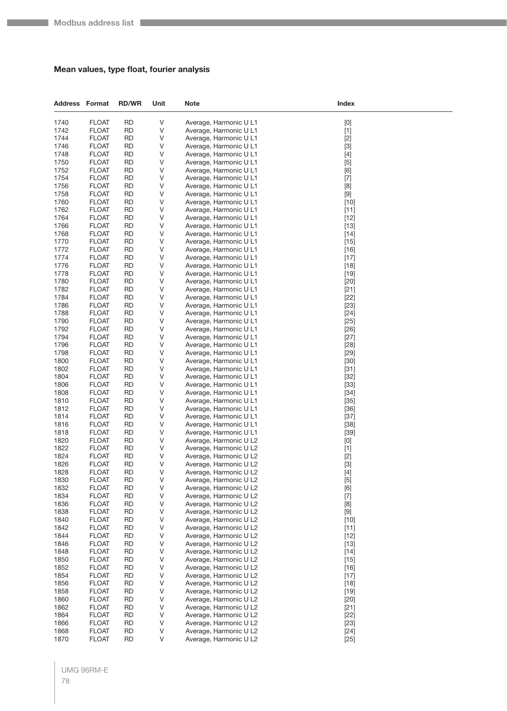## **Mean values, type float, fourier analysis**

| <b>Address Format</b> |                              | <b>RD/WR</b>           | Unit         | <b>Note</b>                                      | <b>Index</b>                                                                                                                                                                                                                                                                                                                |
|-----------------------|------------------------------|------------------------|--------------|--------------------------------------------------|-----------------------------------------------------------------------------------------------------------------------------------------------------------------------------------------------------------------------------------------------------------------------------------------------------------------------------|
| 1740                  | <b>FLOAT</b>                 | <b>RD</b>              | V            | Average, Harmonic U L1                           | $[0]$                                                                                                                                                                                                                                                                                                                       |
| 1742                  | <b>FLOAT</b>                 | <b>RD</b>              | V            | Average, Harmonic U L1                           | $[1]$                                                                                                                                                                                                                                                                                                                       |
| 1744                  | <b>FLOAT</b>                 | <b>RD</b>              | V            | Average, Harmonic U L1                           | $[2]$                                                                                                                                                                                                                                                                                                                       |
| 1746                  | <b>FLOAT</b>                 | <b>RD</b>              | V            | Average, Harmonic U L1                           | $[3]$                                                                                                                                                                                                                                                                                                                       |
| 1748                  | <b>FLOAT</b>                 | <b>RD</b>              | V            | Average, Harmonic U L1                           | $[4]$                                                                                                                                                                                                                                                                                                                       |
| 1750                  | <b>FLOAT</b>                 | <b>RD</b>              | V            | Average, Harmonic U L1                           | $[5]$                                                                                                                                                                                                                                                                                                                       |
| 1752                  | <b>FLOAT</b>                 | <b>RD</b>              | V            | Average, Harmonic U L1                           | [6]                                                                                                                                                                                                                                                                                                                         |
| 1754<br>1756          | <b>FLOAT</b><br><b>FLOAT</b> | <b>RD</b><br><b>RD</b> | V<br>V       | Average, Harmonic U L1<br>Average, Harmonic U L1 | $[7]$<br>$[8] % \includegraphics[width=0.9\columnwidth]{figures/fig_04a.pdf} \caption{Schematic plot of the top of the top of the top of the right.} \label{fig:2} %$                                                                                                                                                       |
| 1758                  | <b>FLOAT</b>                 | RD                     | V            | Average, Harmonic U L1                           | $[9] % \begin{center} \includegraphics[width=\linewidth]{imagesSupplemental/Imers.png} \end{center} % \vspace*{-1em} \caption{The image shows the number of parameters of the estimators in the left and right.} \label{fig:limall}$                                                                                        |
| 1760                  | <b>FLOAT</b>                 | <b>RD</b>              | V            | Average, Harmonic U L1                           | $[10]$                                                                                                                                                                                                                                                                                                                      |
| 1762                  | <b>FLOAT</b>                 | <b>RD</b>              | V            | Average, Harmonic U L1                           | $[11]$                                                                                                                                                                                                                                                                                                                      |
| 1764                  | <b>FLOAT</b>                 | <b>RD</b>              | V            | Average, Harmonic U L1                           | $[12]$                                                                                                                                                                                                                                                                                                                      |
| 1766                  | <b>FLOAT</b>                 | <b>RD</b>              | V            | Average, Harmonic U L1                           | $[13]$                                                                                                                                                                                                                                                                                                                      |
| 1768                  | <b>FLOAT</b>                 | RD                     | V            | Average, Harmonic U L1                           | $[14]$                                                                                                                                                                                                                                                                                                                      |
| 1770                  | <b>FLOAT</b>                 | RD                     | V            | Average, Harmonic U L1                           | $[15]$                                                                                                                                                                                                                                                                                                                      |
| 1772                  | <b>FLOAT</b>                 | <b>RD</b>              | V            | Average, Harmonic U L1                           | $[16]$                                                                                                                                                                                                                                                                                                                      |
| 1774                  | <b>FLOAT</b>                 | <b>RD</b>              | V            | Average, Harmonic U L1                           | $[17]$                                                                                                                                                                                                                                                                                                                      |
| 1776                  | <b>FLOAT</b>                 | <b>RD</b>              | V            | Average, Harmonic U L1                           | $[18]$                                                                                                                                                                                                                                                                                                                      |
| 1778                  | <b>FLOAT</b>                 | RD                     | V            | Average, Harmonic U L1                           | $[19]$                                                                                                                                                                                                                                                                                                                      |
| 1780<br>1782          | <b>FLOAT</b><br><b>FLOAT</b> | <b>RD</b><br><b>RD</b> | V<br>V       | Average, Harmonic U L1<br>Average, Harmonic U L1 | $[20]$<br>$[21]$                                                                                                                                                                                                                                                                                                            |
| 1784                  | <b>FLOAT</b>                 | <b>RD</b>              | V            | Average, Harmonic U L1                           | $[22]$                                                                                                                                                                                                                                                                                                                      |
| 1786                  | <b>FLOAT</b>                 | <b>RD</b>              | V            | Average, Harmonic U L1                           | $[23]$                                                                                                                                                                                                                                                                                                                      |
| 1788                  | <b>FLOAT</b>                 | RD                     | V            | Average, Harmonic U L1                           | $[24]$                                                                                                                                                                                                                                                                                                                      |
| 1790                  | <b>FLOAT</b>                 | <b>RD</b>              | V            | Average, Harmonic U L1                           | $[25]$                                                                                                                                                                                                                                                                                                                      |
| 1792                  | <b>FLOAT</b>                 | <b>RD</b>              | V            | Average, Harmonic U L1                           | $[26]$                                                                                                                                                                                                                                                                                                                      |
| 1794                  | <b>FLOAT</b>                 | <b>RD</b>              | V            | Average, Harmonic U L1                           | $[27]$                                                                                                                                                                                                                                                                                                                      |
| 1796                  | <b>FLOAT</b>                 | <b>RD</b>              | V            | Average, Harmonic U L1                           | $[28]$                                                                                                                                                                                                                                                                                                                      |
| 1798                  | <b>FLOAT</b>                 | RD                     | V            | Average, Harmonic U L1                           | $[29]$                                                                                                                                                                                                                                                                                                                      |
| 1800                  | <b>FLOAT</b>                 | <b>RD</b>              | V            | Average, Harmonic U L1                           | $[30]$                                                                                                                                                                                                                                                                                                                      |
| 1802                  | <b>FLOAT</b>                 | <b>RD</b>              | V            | Average, Harmonic U L1                           | $[31]$                                                                                                                                                                                                                                                                                                                      |
| 1804<br>1806          | <b>FLOAT</b>                 | <b>RD</b><br><b>RD</b> | V            | Average, Harmonic U L1                           | $[32]$                                                                                                                                                                                                                                                                                                                      |
| 1808                  | <b>FLOAT</b><br><b>FLOAT</b> | RD                     | V<br>V       | Average, Harmonic U L1<br>Average, Harmonic U L1 | $[33]$<br>$[34]$                                                                                                                                                                                                                                                                                                            |
| 1810                  | <b>FLOAT</b>                 | <b>RD</b>              | V            | Average, Harmonic U L1                           | $[35]$                                                                                                                                                                                                                                                                                                                      |
| 1812                  | <b>FLOAT</b>                 | <b>RD</b>              | V            | Average, Harmonic U L1                           | $[36]$                                                                                                                                                                                                                                                                                                                      |
| 1814                  | <b>FLOAT</b>                 | <b>RD</b>              | V            | Average, Harmonic U L1                           | $[37]$                                                                                                                                                                                                                                                                                                                      |
| 1816                  | <b>FLOAT</b>                 | <b>RD</b>              | V            | Average, Harmonic U L1                           | $[38]$                                                                                                                                                                                                                                                                                                                      |
| 1818                  | <b>FLOAT</b>                 | RD                     | V            | Average, Harmonic U L1                           | $[39]$                                                                                                                                                                                                                                                                                                                      |
| 1820                  | <b>FLOAT</b>                 | <b>RD</b>              | V            | Average, Harmonic U L2                           | $[0] % \begin{center} % \includegraphics[width=\linewidth]{imagesSupplemental_3.png} % \end{center} % \caption { % Our method can be used for the use of the image. % Note that the \emph{Def}(i) and the \emph{Def}(i) are the same and the \emph{Def}(i) and the \emph{Def}(i) are the same. % } % \label{fig:Defin_3} %$ |
| 1822                  | <b>FLOAT</b>                 | <b>RD</b>              | V            | Average, Harmonic U L2                           | $[1]$                                                                                                                                                                                                                                                                                                                       |
| 1824                  | <b>FLOAT</b>                 | <b>RD</b>              | V            | Average, Harmonic U L2                           | $[2]$                                                                                                                                                                                                                                                                                                                       |
| 1826                  | <b>FLOAT</b>                 | <b>RD</b>              | V            | Average, Harmonic U L2                           | $[3]$                                                                                                                                                                                                                                                                                                                       |
| 1828                  | <b>FLOAT</b>                 | <b>RD</b>              | $\sf V$      | Average, Harmonic U L2                           | $[4]$                                                                                                                                                                                                                                                                                                                       |
| 1830<br>1832          | <b>FLOAT</b><br><b>FLOAT</b> | <b>RD</b><br><b>RD</b> | V<br>V       | Average, Harmonic U L2<br>Average, Harmonic U L2 | $[5]$<br>[6]                                                                                                                                                                                                                                                                                                                |
| 1834                  | <b>FLOAT</b>                 | <b>RD</b>              | V            | Average, Harmonic U L2                           | $[7]$                                                                                                                                                                                                                                                                                                                       |
| 1836                  | <b>FLOAT</b>                 | <b>RD</b>              | V            | Average, Harmonic U L2                           | $[8] % \begin{center} \includegraphics[width=\linewidth]{imagesSupplemental/Imetad2.png} \end{center} % \caption { % Our method shows the proposed method. % } % \label{fig:limsub} %$                                                                                                                                      |
| 1838                  | <b>FLOAT</b>                 | <b>RD</b>              | $\sf V$      | Average, Harmonic U L2                           | $\left[ 9\right]$                                                                                                                                                                                                                                                                                                           |
| 1840                  | <b>FLOAT</b>                 | <b>RD</b>              | V            | Average, Harmonic U L2                           | $[10]$                                                                                                                                                                                                                                                                                                                      |
| 1842                  | <b>FLOAT</b>                 | <b>RD</b>              | V            | Average, Harmonic U L2                           | $[11]$                                                                                                                                                                                                                                                                                                                      |
| 1844                  | <b>FLOAT</b>                 | <b>RD</b>              | V            | Average, Harmonic U L2                           | $[12]$                                                                                                                                                                                                                                                                                                                      |
| 1846                  | <b>FLOAT</b>                 | <b>RD</b>              | V            | Average, Harmonic U L2                           | $[13]$                                                                                                                                                                                                                                                                                                                      |
| 1848                  | <b>FLOAT</b>                 | <b>RD</b>              | V            | Average, Harmonic U L2                           | $[14]$                                                                                                                                                                                                                                                                                                                      |
| 1850                  | <b>FLOAT</b>                 | <b>RD</b>              | V            | Average, Harmonic U L2                           | $[15]$                                                                                                                                                                                                                                                                                                                      |
| 1852                  | <b>FLOAT</b>                 | <b>RD</b>              | V            | Average, Harmonic U L2                           | $[16]$                                                                                                                                                                                                                                                                                                                      |
| 1854                  | <b>FLOAT</b>                 | <b>RD</b>              | V            | Average, Harmonic U L2                           | $[17]$                                                                                                                                                                                                                                                                                                                      |
| 1856<br>1858          | <b>FLOAT</b><br><b>FLOAT</b> | <b>RD</b><br><b>RD</b> | V<br>$\sf V$ | Average, Harmonic U L2                           | $[18]$                                                                                                                                                                                                                                                                                                                      |
| 1860                  | <b>FLOAT</b>                 | <b>RD</b>              | $\sf V$      | Average, Harmonic U L2<br>Average, Harmonic U L2 | $[19]$<br>$[20]$                                                                                                                                                                                                                                                                                                            |
| 1862                  | <b>FLOAT</b>                 | <b>RD</b>              | V            | Average, Harmonic U L2                           | $[21]$                                                                                                                                                                                                                                                                                                                      |
| 1864                  | <b>FLOAT</b>                 | <b>RD</b>              | V            | Average, Harmonic U L2                           | $[22]$                                                                                                                                                                                                                                                                                                                      |
| 1866                  | <b>FLOAT</b>                 | <b>RD</b>              | V            | Average, Harmonic U L2                           | $[23]$                                                                                                                                                                                                                                                                                                                      |
| 1868                  | <b>FLOAT</b>                 | RD                     | $\mathsf V$  | Average, Harmonic U L2                           | $[24]$                                                                                                                                                                                                                                                                                                                      |
| 1870                  | <b>FLOAT</b>                 | <b>RD</b>              | $\mathsf V$  | Average, Harmonic U L2                           | $[25]$                                                                                                                                                                                                                                                                                                                      |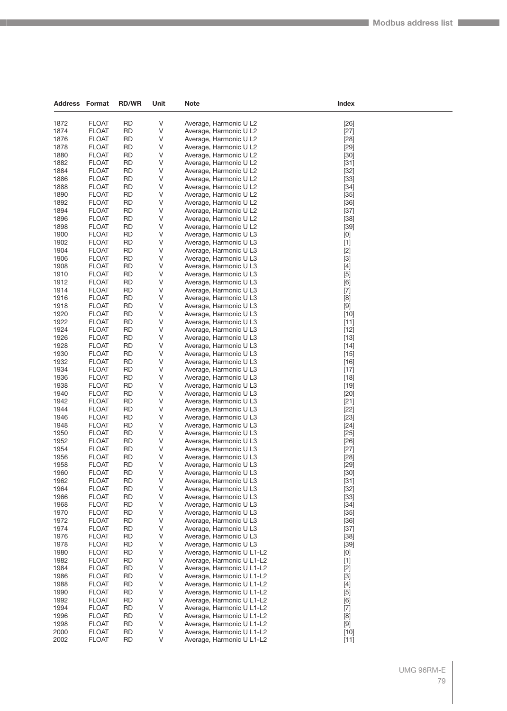| Address      | Format                       | <b>RD/WR</b>           | Unit        | Note                                             | Index            |
|--------------|------------------------------|------------------------|-------------|--------------------------------------------------|------------------|
|              |                              |                        |             |                                                  |                  |
| 1872         | <b>FLOAT</b>                 | <b>RD</b>              | V           | Average, Harmonic U L2                           | $[26]$           |
| 1874         | <b>FLOAT</b>                 | <b>RD</b>              | V           | Average, Harmonic U L2                           | $[27]$           |
| 1876         | <b>FLOAT</b>                 | <b>RD</b>              | V           | Average, Harmonic U L2                           | $[28]$           |
| 1878         | <b>FLOAT</b>                 | <b>RD</b>              | V           | Average, Harmonic U L2                           | $[29]$           |
| 1880         | <b>FLOAT</b>                 | <b>RD</b>              | V           | Average, Harmonic U L2                           | $[30]$           |
| 1882         | <b>FLOAT</b>                 | <b>RD</b>              | V           | Average, Harmonic U L2                           | $[31]$           |
| 1884         | <b>FLOAT</b>                 | RD                     | V           | Average, Harmonic U L2                           | $[32]$           |
| 1886         | <b>FLOAT</b>                 | <b>RD</b>              | V           | Average, Harmonic U L2                           | $[33]$           |
| 1888         | <b>FLOAT</b>                 | <b>RD</b>              | V           | Average, Harmonic U L2                           | $[34]$           |
| 1890<br>1892 | <b>FLOAT</b>                 | <b>RD</b><br><b>RD</b> | V<br>V      | Average, Harmonic U L2<br>Average, Harmonic U L2 | $[35]$           |
| 1894         | <b>FLOAT</b>                 | <b>RD</b>              | V           | Average, Harmonic U L2                           | $[36]$           |
| 1896         | <b>FLOAT</b><br><b>FLOAT</b> | <b>RD</b>              | V           | Average, Harmonic U L2                           | $[37]$<br>$[38]$ |
| 1898         | <b>FLOAT</b>                 | <b>RD</b>              | V           | Average, Harmonic U L2                           | $[39]$           |
| 1900         | <b>FLOAT</b>                 | <b>RD</b>              | V           | Average, Harmonic U L3                           | [0]              |
| 1902         | <b>FLOAT</b>                 | <b>RD</b>              | V           | Average, Harmonic U L3                           | $[1]$            |
| 1904         | <b>FLOAT</b>                 | <b>RD</b>              | V           | Average, Harmonic U L3                           | $[2]$            |
| 1906         | <b>FLOAT</b>                 | <b>RD</b>              | V           | Average, Harmonic U L3                           | $[3]$            |
| 1908         | <b>FLOAT</b>                 | <b>RD</b>              | V           | Average, Harmonic U L3                           | $[4]$            |
| 1910         | <b>FLOAT</b>                 | <b>RD</b>              | V           | Average, Harmonic U L3                           | $[5]$            |
| 1912         | <b>FLOAT</b>                 | <b>RD</b>              | V           | Average, Harmonic U L3                           | [6]              |
| 1914         | <b>FLOAT</b>                 | <b>RD</b>              | V           | Average, Harmonic U L3                           | $[7]$            |
| 1916         | <b>FLOAT</b>                 | <b>RD</b>              | V           | Average, Harmonic U L3                           | [8]              |
| 1918         | <b>FLOAT</b>                 | <b>RD</b>              | V           | Average, Harmonic U L3                           | $[9]$            |
| 1920         | <b>FLOAT</b>                 | <b>RD</b>              | V           | Average, Harmonic U L3                           | $[10]$           |
| 1922         | <b>FLOAT</b>                 | <b>RD</b>              | V           | Average, Harmonic U L3                           | $[11]$           |
| 1924         | <b>FLOAT</b>                 | <b>RD</b>              | V           | Average, Harmonic U L3                           | $[12]$           |
| 1926         | <b>FLOAT</b>                 | <b>RD</b>              | V           | Average, Harmonic U L3                           | $[13]$           |
| 1928         | <b>FLOAT</b>                 | <b>RD</b>              | V           | Average, Harmonic U L3                           | $[14]$           |
| 1930         | <b>FLOAT</b>                 | <b>RD</b>              | V           | Average, Harmonic U L3                           | $[15]$           |
| 1932         | <b>FLOAT</b>                 | <b>RD</b>              | V           | Average, Harmonic U L3                           | $[16]$           |
| 1934         | <b>FLOAT</b>                 | <b>RD</b>              | V           | Average, Harmonic U L3                           | $[17]$           |
| 1936         | <b>FLOAT</b>                 | <b>RD</b>              | V           | Average, Harmonic U L3                           | $[18]$           |
| 1938         | <b>FLOAT</b>                 | <b>RD</b>              | V           | Average, Harmonic U L3                           | $[19]$           |
| 1940         | <b>FLOAT</b>                 | <b>RD</b>              | V           | Average, Harmonic U L3                           | $[20]$           |
| 1942         | <b>FLOAT</b>                 | <b>RD</b>              | V           | Average, Harmonic U L3                           | $[21]$           |
| 1944         | <b>FLOAT</b>                 | <b>RD</b>              | V           | Average, Harmonic U L3                           | $[22]$           |
| 1946         | <b>FLOAT</b>                 | <b>RD</b>              | V           | Average, Harmonic U L3                           | $[23]$           |
| 1948         | <b>FLOAT</b>                 | <b>RD</b>              | V           | Average, Harmonic U L3                           | $[24]$           |
| 1950         | <b>FLOAT</b>                 | <b>RD</b>              | $\vee$      | Average, Harmonic U L3                           | $[25]$           |
| 1952         | <b>FLOAT</b>                 | <b>RD</b>              | V           | Average, Harmonic U L3                           | $[26]$           |
| 1954         | <b>FLOAT</b>                 | <b>RD</b>              | V           | Average, Harmonic U L3                           | $[27]$           |
| 1956         | <b>FLOAT</b>                 | <b>RD</b>              | V           | Average, Harmonic U L3                           | $[28]$           |
| 1958         | <b>FLOAT</b>                 | <b>RD</b>              | V           | Average, Harmonic U L3                           | $[29]$           |
| 1960         | <b>FLOAT</b>                 | <b>RD</b>              | V           | Average, Harmonic U L3                           | $[30]$           |
| 1962         | <b>FLOAT</b>                 | RD                     | V           | Average, Harmonic U L3                           | $[31]$           |
| 1964         | <b>FLOAT</b>                 | <b>RD</b>              | V           | Average, Harmonic U L3                           | $[32]$           |
| 1966         | <b>FLOAT</b>                 | <b>RD</b>              | V           | Average, Harmonic U L3                           | $[33]$           |
| 1968         | <b>FLOAT</b>                 | <b>RD</b>              | V<br>$\vee$ | Average, Harmonic U L3                           | $[34]$           |
| 1970         | <b>FLOAT</b><br><b>FLOAT</b> | <b>RD</b>              | V           | Average, Harmonic U L3<br>Average, Harmonic U L3 | $[35]$           |
| 1972<br>1974 | <b>FLOAT</b>                 | <b>RD</b><br><b>RD</b> | V           | Average, Harmonic U L3                           | $[36]$<br>$[37]$ |
| 1976         | <b>FLOAT</b>                 | <b>RD</b>              | V           | Average, Harmonic U L3                           | $[38]$           |
| 1978         | <b>FLOAT</b>                 | <b>RD</b>              | V           | Average, Harmonic U L3                           |                  |
| 1980         | <b>FLOAT</b>                 | <b>RD</b>              | $\vee$      | Average, Harmonic U L1-L2                        | $[39]$           |
| 1982         | <b>FLOAT</b>                 | <b>RD</b>              | V           | Average, Harmonic U L1-L2                        | [0]<br>$[1]$     |
| 1984         | <b>FLOAT</b>                 | <b>RD</b>              | V           | Average, Harmonic U L1-L2                        | $[2]$            |
| 1986         | <b>FLOAT</b>                 | <b>RD</b>              | V           | Average, Harmonic U L1-L2                        | $[3]$            |
| 1988         | <b>FLOAT</b>                 | <b>RD</b>              | V           | Average, Harmonic U L1-L2                        | $[4]$            |
| 1990         | <b>FLOAT</b>                 | <b>RD</b>              | $\vee$      | Average, Harmonic U L1-L2                        | $[5]$            |
| 1992         | <b>FLOAT</b>                 | <b>RD</b>              | V           | Average, Harmonic U L1-L2                        | [6]              |
| 1994         | <b>FLOAT</b>                 | <b>RD</b>              | V           | Average, Harmonic U L1-L2                        | $[7]$            |
| 1996         | <b>FLOAT</b>                 | <b>RD</b>              | V           | Average, Harmonic U L1-L2                        | [8]              |
| 1998         | <b>FLOAT</b>                 | <b>RD</b>              | V           | Average, Harmonic U L1-L2                        | [9]              |
| 2000         | <b>FLOAT</b>                 | <b>RD</b>              | $\vee$      | Average, Harmonic U L1-L2                        | $[10]$           |
| 2002         | <b>FLOAT</b>                 | <b>RD</b>              | V           | Average, Harmonic U L1-L2                        | $[11]$           |
|              |                              |                        |             |                                                  |                  |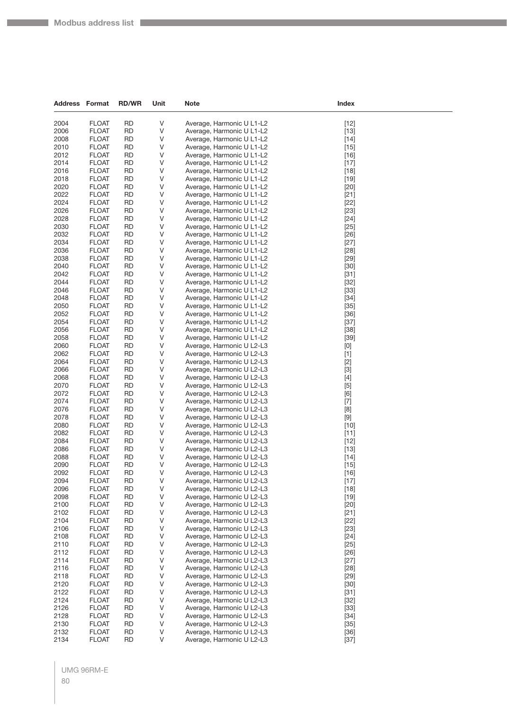**College** 

| <b>Address Format</b> |                              | <b>RD/WR</b>           | Unit    | <b>Note</b>                                            | Index            |
|-----------------------|------------------------------|------------------------|---------|--------------------------------------------------------|------------------|
| 2004                  | <b>FLOAT</b>                 | <b>RD</b>              | V       | Average, Harmonic U L1-L2                              | $[12]$           |
| 2006                  | <b>FLOAT</b>                 | <b>RD</b>              | V       | Average, Harmonic U L1-L2                              | $[13]$           |
| 2008                  | <b>FLOAT</b>                 | <b>RD</b>              | V       | Average, Harmonic U L1-L2                              | $[14]$           |
| 2010                  | <b>FLOAT</b>                 | <b>RD</b>              | V       | Average, Harmonic U L1-L2                              | $[15]$           |
| 2012                  | <b>FLOAT</b>                 | <b>RD</b>              | V       | Average, Harmonic U L1-L2                              | $[16]$           |
| 2014                  | <b>FLOAT</b>                 | <b>RD</b>              | V       | Average, Harmonic U L1-L2                              | $[17]$           |
| 2016                  | <b>FLOAT</b>                 | <b>RD</b>              | V       | Average, Harmonic U L1-L2                              | $[18]$           |
| 2018                  | <b>FLOAT</b>                 | <b>RD</b>              | V       | Average, Harmonic U L1-L2                              | $[19]$           |
| 2020                  | <b>FLOAT</b>                 | <b>RD</b>              | V       | Average, Harmonic U L1-L2                              | $[20]$           |
| 2022                  | <b>FLOAT</b>                 | <b>RD</b>              | V       | Average, Harmonic U L1-L2                              | $[21]$           |
| 2024                  | <b>FLOAT</b>                 | <b>RD</b>              | V       | Average, Harmonic U L1-L2                              | $[22]$           |
| 2026                  | <b>FLOAT</b>                 | <b>RD</b>              | V       | Average, Harmonic U L1-L2                              | $[23]$           |
| 2028                  | <b>FLOAT</b>                 | <b>RD</b>              | V       | Average, Harmonic U L1-L2                              | $[24]$           |
| 2030                  | <b>FLOAT</b>                 | <b>RD</b>              | V       | Average, Harmonic U L1-L2                              | $[25]$           |
| 2032                  | <b>FLOAT</b>                 | RD                     | V       | Average, Harmonic U L1-L2                              | $[26]$           |
| 2034                  | <b>FLOAT</b>                 | <b>RD</b>              | V       | Average, Harmonic U L1-L2                              | $[27]$           |
| 2036                  | <b>FLOAT</b>                 | <b>RD</b>              | V       | Average, Harmonic U L1-L2                              | $[28]$           |
| 2038                  | <b>FLOAT</b>                 | <b>RD</b>              | V       | Average, Harmonic U L1-L2                              | $[29]$           |
| 2040                  | <b>FLOAT</b>                 | <b>RD</b>              | V       | Average, Harmonic U L1-L2                              | $[30]$           |
| 2042                  | <b>FLOAT</b>                 | <b>RD</b>              | V       | Average, Harmonic U L1-L2                              | $[31]$           |
| 2044                  | <b>FLOAT</b>                 | <b>RD</b>              | V       | Average, Harmonic U L1-L2                              | $[32]$           |
| 2046<br>2048          | <b>FLOAT</b>                 | <b>RD</b><br><b>RD</b> | V       | Average, Harmonic U L1-L2                              | $[33]$           |
| 2050                  | <b>FLOAT</b><br><b>FLOAT</b> | <b>RD</b>              | V       | Average, Harmonic U L1-L2                              | $[34]$           |
| 2052                  | <b>FLOAT</b>                 | <b>RD</b>              | V<br>V  | Average, Harmonic U L1-L2<br>Average, Harmonic U L1-L2 | $[35]$<br>$[36]$ |
| 2054                  | <b>FLOAT</b>                 | <b>RD</b>              | V       | Average, Harmonic U L1-L2                              | $[37]$           |
| 2056                  | <b>FLOAT</b>                 | RD                     | V       | Average, Harmonic U L1-L2                              | $[38]$           |
| 2058                  | <b>FLOAT</b>                 | <b>RD</b>              | V       | Average, Harmonic U L1-L2                              | $[39]$           |
| 2060                  | <b>FLOAT</b>                 | <b>RD</b>              | V       | Average, Harmonic U L2-L3                              | [0]              |
| 2062                  | <b>FLOAT</b>                 | <b>RD</b>              | V       | Average, Harmonic U L2-L3                              | $[1]$            |
| 2064                  | <b>FLOAT</b>                 | <b>RD</b>              | V       | Average, Harmonic U L2-L3                              | $[2]$            |
| 2066                  | <b>FLOAT</b>                 | RD                     | V       | Average, Harmonic U L2-L3                              | $[3]$            |
| 2068                  | <b>FLOAT</b>                 | <b>RD</b>              | V       | Average, Harmonic U L2-L3                              | $[4]$            |
| 2070                  | <b>FLOAT</b>                 | <b>RD</b>              | V       | Average, Harmonic U L2-L3                              | $[5]$            |
| 2072                  | <b>FLOAT</b>                 | <b>RD</b>              | V       | Average, Harmonic U L2-L3                              | [6]              |
| 2074                  | <b>FLOAT</b>                 | <b>RD</b>              | V       | Average, Harmonic U L2-L3                              | $[7]$            |
| 2076                  | <b>FLOAT</b>                 | RD                     | V       | Average, Harmonic U L2-L3                              | [8]              |
| 2078                  | <b>FLOAT</b>                 | <b>RD</b>              | V       | Average, Harmonic U L2-L3                              | $[9]$            |
| 2080                  | <b>FLOAT</b>                 | <b>RD</b>              | V       | Average, Harmonic U L2-L3                              | $[10]$           |
| 2082                  | <b>FLOAT</b>                 | <b>RD</b>              | V       | Average, Harmonic U L2-L3                              | $[11]$           |
| 2084                  | <b>FLOAT</b>                 | <b>RD</b>              | V       | Average, Harmonic U L2-L3                              | $[12]$           |
| 2086                  | <b>FLOAT</b>                 | RD                     | V       | Average, Harmonic U L2-L3                              | $[13]$           |
| 2088                  | <b>FLOAT</b>                 | <b>RD</b>              | V       | Average, Harmonic U L2-L3                              | $[14]$           |
| 2090                  | <b>FLOAT</b>                 | <b>RD</b>              | V       | Average, Harmonic U L2-L3                              | $[15]$           |
| 2092                  | <b>FLOAT</b>                 | <b>RD</b>              | ٧       | Average, Harmonic U L2-L3                              | $[16]$           |
| 2094                  | <b>FLOAT</b>                 | <b>RD</b>              | V       | Average, Harmonic U L2-L3                              | $[17]$           |
| 2096                  | <b>FLOAT</b>                 | <b>RD</b>              | V       | Average, Harmonic U L2-L3                              | $[18]$           |
| 2098                  | <b>FLOAT</b>                 | <b>RD</b>              | $\sf V$ | Average, Harmonic U L2-L3                              | $[19]$           |
| 2100                  | <b>FLOAT</b>                 | <b>RD</b>              | V       | Average, Harmonic U L2-L3<br>Average, Harmonic U L2-L3 | $[20]$           |
| 2102<br>2104          | <b>FLOAT</b><br><b>FLOAT</b> | <b>RD</b><br><b>RD</b> | V<br>V  | Average, Harmonic U L2-L3                              | $[21]$           |
| 2106                  | <b>FLOAT</b>                 | <b>RD</b>              | $\sf V$ | Average, Harmonic U L2-L3                              | $[22]$           |
| 2108                  | <b>FLOAT</b>                 | <b>RD</b>              | $\sf V$ | Average, Harmonic U L2-L3                              | $[23]$<br>$[24]$ |
| 2110                  | <b>FLOAT</b>                 | <b>RD</b>              | $\sf V$ | Average, Harmonic U L2-L3                              | $[25]$           |
| 2112                  | <b>FLOAT</b>                 | <b>RD</b>              | $\sf V$ | Average, Harmonic U L2-L3                              | $[26]$           |
| 2114                  | <b>FLOAT</b>                 | <b>RD</b>              | V       | Average, Harmonic U L2-L3                              | $[27]$           |
| 2116                  | <b>FLOAT</b>                 | <b>RD</b>              | $\sf V$ | Average, Harmonic U L2-L3                              | $[28]$           |
| 2118                  | <b>FLOAT</b>                 | <b>RD</b>              | $\vee$  | Average, Harmonic U L2-L3                              | $[29]$           |
| 2120                  | <b>FLOAT</b>                 | <b>RD</b>              | $\sf V$ | Average, Harmonic U L2-L3                              | $[30]$           |
| 2122                  | <b>FLOAT</b>                 | <b>RD</b>              | $\sf V$ | Average, Harmonic U L2-L3                              | $[31]$           |
| 2124                  | <b>FLOAT</b>                 | <b>RD</b>              | V       | Average, Harmonic U L2-L3                              | $[32]$           |
| 2126                  | <b>FLOAT</b>                 | <b>RD</b>              | $\sf V$ | Average, Harmonic U L2-L3                              | $[33]$           |
| 2128                  | <b>FLOAT</b>                 | <b>RD</b>              | $\vee$  | Average, Harmonic U L2-L3                              | $[34]$           |
| 2130                  | <b>FLOAT</b>                 | <b>RD</b>              | $\sf V$ | Average, Harmonic U L2-L3                              | $[35]$           |
| 2132                  | <b>FLOAT</b>                 | <b>RD</b>              | $\sf V$ | Average, Harmonic U L2-L3                              | $[36]$           |
| 2134                  | <b>FLOAT</b>                 | <b>RD</b>              | V       | Average, Harmonic U L2-L3                              | $[37]$           |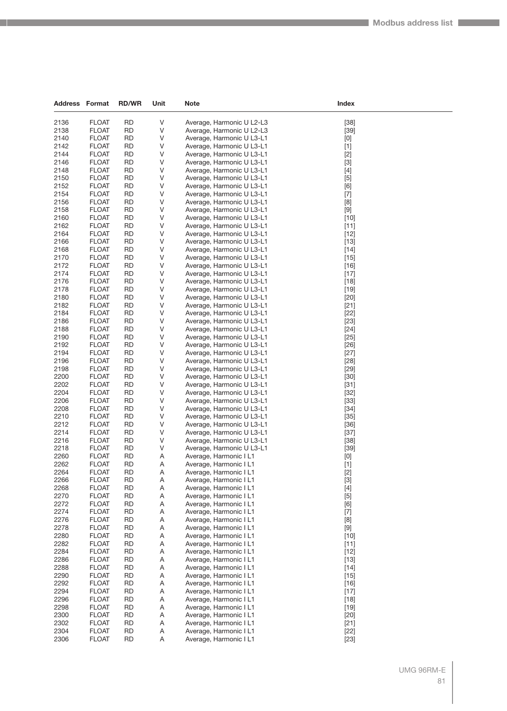| Address Format |                              | <b>RD/WR</b>           | Unit   | Note                                                   | Index                                                                                                                                                                                                                                                                                                                       |  |
|----------------|------------------------------|------------------------|--------|--------------------------------------------------------|-----------------------------------------------------------------------------------------------------------------------------------------------------------------------------------------------------------------------------------------------------------------------------------------------------------------------------|--|
|                |                              |                        |        |                                                        |                                                                                                                                                                                                                                                                                                                             |  |
| 2136<br>2138   | <b>FLOAT</b>                 | <b>RD</b><br><b>RD</b> | V<br>V | Average, Harmonic U L2-L3                              | $[38]$                                                                                                                                                                                                                                                                                                                      |  |
| 2140           | <b>FLOAT</b><br><b>FLOAT</b> | RD                     | V      | Average, Harmonic U L2-L3<br>Average, Harmonic U L3-L1 | $[39]$                                                                                                                                                                                                                                                                                                                      |  |
| 2142           | <b>FLOAT</b>                 | <b>RD</b>              | V      | Average, Harmonic U L3-L1                              | [0]<br>$[1]$                                                                                                                                                                                                                                                                                                                |  |
| 2144           | <b>FLOAT</b>                 | <b>RD</b>              | V      | Average, Harmonic U L3-L1                              | $[2]$                                                                                                                                                                                                                                                                                                                       |  |
| 2146           | <b>FLOAT</b>                 | RD                     | V      | Average, Harmonic U L3-L1                              | $[3]$                                                                                                                                                                                                                                                                                                                       |  |
| 2148           | <b>FLOAT</b>                 | <b>RD</b>              | V      | Average, Harmonic U L3-L1                              | $[4]$                                                                                                                                                                                                                                                                                                                       |  |
| 2150           | <b>FLOAT</b>                 | RD                     | V      | Average, Harmonic U L3-L1                              | $[5]$                                                                                                                                                                                                                                                                                                                       |  |
| 2152           | <b>FLOAT</b>                 | <b>RD</b>              | V      | Average, Harmonic U L3-L1                              | [6]                                                                                                                                                                                                                                                                                                                         |  |
| 2154           | <b>FLOAT</b>                 | <b>RD</b>              | V      | Average, Harmonic U L3-L1                              | $[7]$                                                                                                                                                                                                                                                                                                                       |  |
| 2156           | <b>FLOAT</b>                 | RD                     | V      | Average, Harmonic U L3-L1                              | [8]                                                                                                                                                                                                                                                                                                                         |  |
| 2158           | <b>FLOAT</b>                 | <b>RD</b>              | V      | Average, Harmonic U L3-L1                              | $[9]$                                                                                                                                                                                                                                                                                                                       |  |
| 2160<br>2162   | <b>FLOAT</b>                 | RD<br><b>RD</b>        | V      | Average, Harmonic U L3-L1                              | $[10]$                                                                                                                                                                                                                                                                                                                      |  |
| 2164           | <b>FLOAT</b><br><b>FLOAT</b> | <b>RD</b>              | V<br>V | Average, Harmonic U L3-L1<br>Average, Harmonic U L3-L1 | $[11]$<br>$[12]$                                                                                                                                                                                                                                                                                                            |  |
| 2166           | <b>FLOAT</b>                 | RD                     | V      | Average, Harmonic U L3-L1                              | $[13]$                                                                                                                                                                                                                                                                                                                      |  |
| 2168           | <b>FLOAT</b>                 | <b>RD</b>              | V      | Average, Harmonic U L3-L1                              | $[14]$                                                                                                                                                                                                                                                                                                                      |  |
| 2170           | <b>FLOAT</b>                 | RD                     | V      | Average, Harmonic U L3-L1                              | $[15]$                                                                                                                                                                                                                                                                                                                      |  |
| 2172           | <b>FLOAT</b>                 | <b>RD</b>              | V      | Average, Harmonic U L3-L1                              | $[16]$                                                                                                                                                                                                                                                                                                                      |  |
| 2174           | <b>FLOAT</b>                 | <b>RD</b>              | V      | Average, Harmonic U L3-L1                              | $[17]$                                                                                                                                                                                                                                                                                                                      |  |
| 2176           | <b>FLOAT</b>                 | <b>RD</b>              | V      | Average, Harmonic U L3-L1                              | $[18]$                                                                                                                                                                                                                                                                                                                      |  |
| 2178           | <b>FLOAT</b>                 | <b>RD</b>              | V      | Average, Harmonic U L3-L1                              | $[19]$                                                                                                                                                                                                                                                                                                                      |  |
| 2180           | <b>FLOAT</b>                 | RD                     | V      | Average, Harmonic U L3-L1                              | $[20]$                                                                                                                                                                                                                                                                                                                      |  |
| 2182           | <b>FLOAT</b>                 | <b>RD</b>              | V      | Average, Harmonic U L3-L1                              | $[21]$                                                                                                                                                                                                                                                                                                                      |  |
| 2184           | <b>FLOAT</b>                 | <b>RD</b>              | V      | Average, Harmonic U L3-L1                              | $[22]$                                                                                                                                                                                                                                                                                                                      |  |
| 2186           | <b>FLOAT</b>                 | <b>RD</b>              | V      | Average, Harmonic U L3-L1                              | $[23]$                                                                                                                                                                                                                                                                                                                      |  |
| 2188<br>2190   | <b>FLOAT</b>                 | <b>RD</b>              | V<br>V | Average, Harmonic U L3-L1<br>Average, Harmonic U L3-L1 | $[24]$                                                                                                                                                                                                                                                                                                                      |  |
| 2192           | <b>FLOAT</b><br><b>FLOAT</b> | RD<br><b>RD</b>        | V      | Average, Harmonic U L3-L1                              | $[25]$<br>$[26]$                                                                                                                                                                                                                                                                                                            |  |
| 2194           | <b>FLOAT</b>                 | <b>RD</b>              | V      | Average, Harmonic U L3-L1                              | $[27]$                                                                                                                                                                                                                                                                                                                      |  |
| 2196           | <b>FLOAT</b>                 | <b>RD</b>              | V      | Average, Harmonic U L3-L1                              | $[28]$                                                                                                                                                                                                                                                                                                                      |  |
| 2198           | <b>FLOAT</b>                 | <b>RD</b>              | V      | Average, Harmonic U L3-L1                              | $[29]$                                                                                                                                                                                                                                                                                                                      |  |
| 2200           | <b>FLOAT</b>                 | RD                     | V      | Average, Harmonic U L3-L1                              | $[30]$                                                                                                                                                                                                                                                                                                                      |  |
| 2202           | <b>FLOAT</b>                 | <b>RD</b>              | V      | Average, Harmonic U L3-L1                              | $[31]$                                                                                                                                                                                                                                                                                                                      |  |
| 2204           | <b>FLOAT</b>                 | <b>RD</b>              | V      | Average, Harmonic U L3-L1                              | $[32]$                                                                                                                                                                                                                                                                                                                      |  |
| 2206           | <b>FLOAT</b>                 | <b>RD</b>              | V      | Average, Harmonic U L3-L1                              | $[33]$                                                                                                                                                                                                                                                                                                                      |  |
| 2208           | <b>FLOAT</b>                 | <b>RD</b>              | V      | Average, Harmonic U L3-L1                              | $[34]$                                                                                                                                                                                                                                                                                                                      |  |
| 2210           | <b>FLOAT</b>                 | RD                     | V      | Average, Harmonic U L3-L1                              | $[35]$                                                                                                                                                                                                                                                                                                                      |  |
| 2212<br>2214   | <b>FLOAT</b><br><b>FLOAT</b> | <b>RD</b><br><b>RD</b> | V<br>V | Average, Harmonic U L3-L1<br>Average, Harmonic U L3-L1 | $[36]$<br>$[37]$                                                                                                                                                                                                                                                                                                            |  |
| 2216           | <b>FLOAT</b>                 | <b>RD</b>              | V      | Average, Harmonic U L3-L1                              | $[38]$                                                                                                                                                                                                                                                                                                                      |  |
| 2218           | <b>FLOAT</b>                 | <b>RD</b>              | V      | Average, Harmonic U L3-L1                              | $[39]$                                                                                                                                                                                                                                                                                                                      |  |
| 2260           | <b>FLOAT</b>                 | <b>RD</b>              | Α      | Average, Harmonic I L1                                 | $[0] % \begin{center} % \includegraphics[width=\linewidth]{imagesSupplemental_3.png} % \end{center} % \caption { % Our method can be used for the use of the image. % Note that the \emph{Def}(i) and the \emph{Def}(i) are the same and the \emph{Def}(i) and the \emph{Def}(i) are the same. % } % \label{fig:Defin_3} %$ |  |
| 2262           | <b>FLOAT</b>                 | <b>RD</b>              | Α      | Average, Harmonic I L1                                 | $[1]$                                                                                                                                                                                                                                                                                                                       |  |
| 2264           | <b>FLOAT</b>                 | RD                     | Α      | Average, Harmonic I L1                                 | $[2]$                                                                                                                                                                                                                                                                                                                       |  |
| 2266           | <b>FLOAT</b>                 | <b>RD</b>              | Α      | Average, Harmonic I L1                                 | $[3]$                                                                                                                                                                                                                                                                                                                       |  |
| 2268           | <b>FLOAT</b>                 | <b>RD</b>              | A      | Average, Harmonic I L1                                 | $[4]$                                                                                                                                                                                                                                                                                                                       |  |
| 2270           | <b>FLOAT</b>                 | <b>RD</b>              | Α      | Average, Harmonic I L1                                 | $[5]$                                                                                                                                                                                                                                                                                                                       |  |
| 2272           | <b>FLOAT</b>                 | <b>RD</b>              | Α      | Average, Harmonic I L1                                 | [6]                                                                                                                                                                                                                                                                                                                         |  |
| 2274           | <b>FLOAT</b>                 | RD                     | Α      | Average, Harmonic I L1                                 | $[7]$                                                                                                                                                                                                                                                                                                                       |  |
| 2276<br>2278   | <b>FLOAT</b><br><b>FLOAT</b> | RD<br><b>RD</b>        | Α<br>A | Average, Harmonic I L1<br>Average, Harmonic I L1       | [8]<br>$[9]$                                                                                                                                                                                                                                                                                                                |  |
| 2280           | <b>FLOAT</b>                 | <b>RD</b>              | Α      | Average, Harmonic I L1                                 | $[10]$                                                                                                                                                                                                                                                                                                                      |  |
| 2282           | <b>FLOAT</b>                 | <b>RD</b>              | Α      | Average, Harmonic I L1                                 | $[11]$                                                                                                                                                                                                                                                                                                                      |  |
| 2284           | <b>FLOAT</b>                 | <b>RD</b>              | Α      | Average, Harmonic I L1                                 | $[12]$                                                                                                                                                                                                                                                                                                                      |  |
| 2286           | <b>FLOAT</b>                 | RD                     | Α      | Average, Harmonic I L1                                 | $[13]$                                                                                                                                                                                                                                                                                                                      |  |
| 2288           | <b>FLOAT</b>                 | <b>RD</b>              | A      | Average, Harmonic I L1                                 | $[14]$                                                                                                                                                                                                                                                                                                                      |  |
| 2290           | <b>FLOAT</b>                 | <b>RD</b>              | Α      | Average, Harmonic I L1                                 | $[15]$                                                                                                                                                                                                                                                                                                                      |  |
| 2292           | <b>FLOAT</b>                 | <b>RD</b>              | Α      | Average, Harmonic I L1                                 | $[16]$                                                                                                                                                                                                                                                                                                                      |  |
| 2294           | <b>FLOAT</b>                 | <b>RD</b>              | Α      | Average, Harmonic I L1                                 | $[17]$                                                                                                                                                                                                                                                                                                                      |  |
| 2296           | <b>FLOAT</b>                 | <b>RD</b>              | Α      | Average, Harmonic I L1                                 | $[18]$                                                                                                                                                                                                                                                                                                                      |  |
| 2298           | <b>FLOAT</b>                 | <b>RD</b>              | A      | Average, Harmonic I L1                                 | $[19]$                                                                                                                                                                                                                                                                                                                      |  |
| 2300           | <b>FLOAT</b>                 | RD                     | Α      | Average, Harmonic I L1                                 | $[20]$                                                                                                                                                                                                                                                                                                                      |  |
| 2302           | <b>FLOAT</b>                 | <b>RD</b>              | Α      | Average, Harmonic I L1                                 | $[21]$                                                                                                                                                                                                                                                                                                                      |  |
| 2304           | <b>FLOAT</b>                 | RD                     | Α      | Average, Harmonic I L1                                 | $[22]$                                                                                                                                                                                                                                                                                                                      |  |
| 2306           | <b>FLOAT</b>                 | <b>RD</b>              | A      | Average, Harmonic I L1                                 | $[23]$                                                                                                                                                                                                                                                                                                                      |  |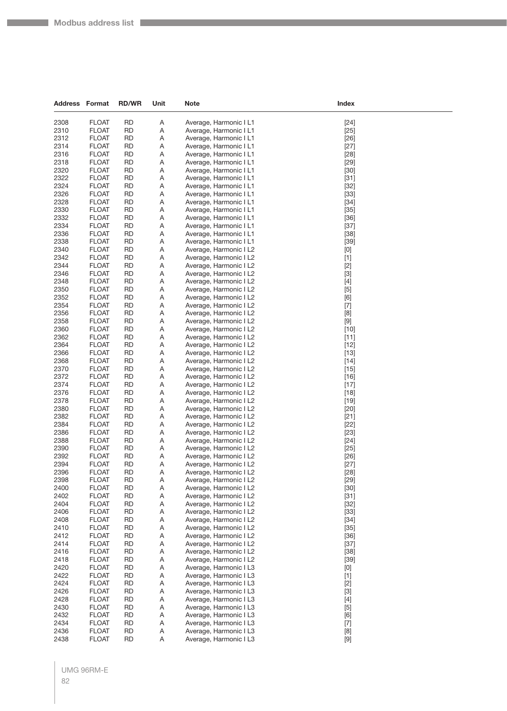| <b>Address Format</b> |                              | <b>RD/WR</b>           | Unit   | <b>Note</b>                                      | Index                                                                                                                                                                                           |
|-----------------------|------------------------------|------------------------|--------|--------------------------------------------------|-------------------------------------------------------------------------------------------------------------------------------------------------------------------------------------------------|
| 2308                  | <b>FLOAT</b>                 | <b>RD</b>              | Α      | Average, Harmonic I L1                           | $[24]$                                                                                                                                                                                          |
| 2310                  | <b>FLOAT</b>                 | <b>RD</b>              | Α      | Average, Harmonic I L1                           | $[25]$                                                                                                                                                                                          |
| 2312                  | <b>FLOAT</b>                 | <b>RD</b>              | Α      | Average, Harmonic I L1                           | $[26]$                                                                                                                                                                                          |
| 2314                  | <b>FLOAT</b>                 | RD                     | Α      | Average, Harmonic I L1                           | $[27]$                                                                                                                                                                                          |
| 2316                  | <b>FLOAT</b>                 | <b>RD</b>              | Α      | Average, Harmonic I L1                           | $[28]$                                                                                                                                                                                          |
| 2318                  | <b>FLOAT</b>                 | RD                     | Α      | Average, Harmonic I L1                           | $[29]$                                                                                                                                                                                          |
| 2320                  | <b>FLOAT</b>                 | <b>RD</b>              | Α      | Average, Harmonic I L1                           | $[30]$                                                                                                                                                                                          |
| 2322                  | <b>FLOAT</b>                 | <b>RD</b>              | Α      | Average, Harmonic I L1                           | $[31]$                                                                                                                                                                                          |
| 2324                  | <b>FLOAT</b>                 | <b>RD</b>              | Α      | Average, Harmonic I L1                           | $[32]$                                                                                                                                                                                          |
| 2326                  | <b>FLOAT</b>                 | <b>RD</b>              | Α      | Average, Harmonic I L1                           | $[33]$                                                                                                                                                                                          |
| 2328                  | <b>FLOAT</b>                 | RD                     | Α      | Average, Harmonic I L1                           | $[34]$                                                                                                                                                                                          |
| 2330                  | <b>FLOAT</b>                 | <b>RD</b>              | Α      | Average, Harmonic I L1                           | $[35]$                                                                                                                                                                                          |
| 2332                  | <b>FLOAT</b>                 | <b>RD</b>              | Α      | Average, Harmonic I L1                           | $[36]$                                                                                                                                                                                          |
| 2334                  | <b>FLOAT</b>                 | <b>RD</b>              | Α      | Average, Harmonic I L1                           | $[37]$                                                                                                                                                                                          |
| 2336                  | <b>FLOAT</b>                 | <b>RD</b>              | Α      | Average, Harmonic I L1                           | $[38]$                                                                                                                                                                                          |
| 2338                  | <b>FLOAT</b>                 | RD                     | Α      | Average, Harmonic I L1                           | $[39]$                                                                                                                                                                                          |
| 2340                  | <b>FLOAT</b>                 | <b>RD</b>              | Α      | Average, Harmonic I L2                           | [0]                                                                                                                                                                                             |
| 2342                  | <b>FLOAT</b>                 | <b>RD</b>              | Α      | Average, Harmonic I L2                           | $[1]$                                                                                                                                                                                           |
| 2344                  | <b>FLOAT</b>                 | <b>RD</b>              | Α      | Average, Harmonic I L2                           | $[2]$                                                                                                                                                                                           |
| 2346                  | <b>FLOAT</b>                 | <b>RD</b>              | Α      | Average, Harmonic I L2                           | $[3]$                                                                                                                                                                                           |
| 2348                  | <b>FLOAT</b>                 | <b>RD</b>              | Α      | Average, Harmonic I L2                           | $[4]$                                                                                                                                                                                           |
| 2350                  | <b>FLOAT</b>                 | <b>RD</b>              | Α      | Average, Harmonic I L2                           | $[5]$                                                                                                                                                                                           |
| 2352<br>2354          | <b>FLOAT</b><br><b>FLOAT</b> | RD<br>RD               | Α<br>Α | Average, Harmonic I L2                           | [6]                                                                                                                                                                                             |
| 2356                  | <b>FLOAT</b>                 | <b>RD</b>              | Α      | Average, Harmonic I L2<br>Average, Harmonic I L2 | $[7]$<br>$[8] % \begin{center} \includegraphics[width=\linewidth]{imagesSupplemental/Imetad2.png} \end{center} % \caption { % Our method shows the proposed method. % } % \label{fig:limsub} %$ |
| 2358                  | <b>FLOAT</b>                 | <b>RD</b>              | Α      | Average, Harmonic I L2                           | $[9]$                                                                                                                                                                                           |
| 2360                  | <b>FLOAT</b>                 | <b>RD</b>              | Α      | Average, Harmonic I L2                           | $[10]$                                                                                                                                                                                          |
| 2362                  | <b>FLOAT</b>                 | RD                     | Α      | Average, Harmonic I L2                           | $[11]$                                                                                                                                                                                          |
| 2364                  | <b>FLOAT</b>                 | RD                     | Α      | Average, Harmonic I L2                           | $[12]$                                                                                                                                                                                          |
| 2366                  | <b>FLOAT</b>                 | <b>RD</b>              | Α      | Average, Harmonic I L2                           | $[13]$                                                                                                                                                                                          |
| 2368                  | <b>FLOAT</b>                 | <b>RD</b>              | Α      | Average, Harmonic I L2                           | $[14]$                                                                                                                                                                                          |
| 2370                  | <b>FLOAT</b>                 | <b>RD</b>              | Α      | Average, Harmonic I L2                           | $[15]$                                                                                                                                                                                          |
| 2372                  | <b>FLOAT</b>                 | RD                     | Α      | Average, Harmonic I L2                           | $[16]$                                                                                                                                                                                          |
| 2374                  | <b>FLOAT</b>                 | RD                     | Α      | Average, Harmonic I L2                           | $[17]$                                                                                                                                                                                          |
| 2376                  | <b>FLOAT</b>                 | <b>RD</b>              | Α      | Average, Harmonic I L2                           | $[18]$                                                                                                                                                                                          |
| 2378                  | <b>FLOAT</b>                 | <b>RD</b>              | Α      | Average, Harmonic I L2                           | $[19]$                                                                                                                                                                                          |
| 2380                  | <b>FLOAT</b>                 | <b>RD</b>              | Α      | Average, Harmonic I L2                           | $[20]$                                                                                                                                                                                          |
| 2382                  | <b>FLOAT</b>                 | RD                     | Α      | Average, Harmonic I L2                           | $[21]$                                                                                                                                                                                          |
| 2384                  | <b>FLOAT</b>                 | RD                     | Α      | Average, Harmonic I L2                           | $[22]$                                                                                                                                                                                          |
| 2386                  | <b>FLOAT</b>                 | <b>RD</b>              | Α      | Average, Harmonic I L2                           | $[23]$                                                                                                                                                                                          |
| 2388                  | <b>FLOAT</b>                 | <b>RD</b>              | Α      | Average, Harmonic I L2                           | $[24]$                                                                                                                                                                                          |
| 2390                  | <b>FLOAT</b>                 | RD                     | Α      | Average, Harmonic I L2                           | $[25]$                                                                                                                                                                                          |
| 2392<br>2394          | <b>FLOAT</b>                 | RD<br><b>RD</b>        | Α      | Average, Harmonic I L2                           | $[26]$                                                                                                                                                                                          |
|                       | <b>FLOAT</b>                 |                        | Α      | Average, Harmonic I L2                           | $[27]$                                                                                                                                                                                          |
| 2396<br>2398          | <b>FLOAT</b><br><b>FLOAT</b> | RD<br><b>RD</b>        | Α<br>Α | Average, Harmonic I L2<br>Average, Harmonic I L2 | $[28]$<br>$[29]$                                                                                                                                                                                |
| 2400                  | <b>FLOAT</b>                 | <b>RD</b>              | Α      | Average, Harmonic I L2                           | $[30]$                                                                                                                                                                                          |
| 2402                  | <b>FLOAT</b>                 | <b>RD</b>              | Α      | Average, Harmonic I L2                           | $[31]$                                                                                                                                                                                          |
| 2404                  | <b>FLOAT</b>                 | <b>RD</b>              | Α      | Average, Harmonic I L2                           | $[32]$                                                                                                                                                                                          |
| 2406                  | <b>FLOAT</b>                 | <b>RD</b>              | Α      | Average, Harmonic I L2                           | $[33]$                                                                                                                                                                                          |
| 2408                  | <b>FLOAT</b>                 | <b>RD</b>              | Α      | Average, Harmonic I L2                           | $[34]$                                                                                                                                                                                          |
| 2410                  | <b>FLOAT</b>                 | <b>RD</b>              | Α      | Average, Harmonic I L2                           | $[35]$                                                                                                                                                                                          |
| 2412                  | <b>FLOAT</b>                 | <b>RD</b>              | Α      | Average, Harmonic I L2                           | $[36]$                                                                                                                                                                                          |
| 2414                  | <b>FLOAT</b>                 | <b>RD</b>              | Α      | Average, Harmonic I L2                           | $[37]$                                                                                                                                                                                          |
| 2416                  | <b>FLOAT</b>                 | <b>RD</b>              | Α      | Average, Harmonic I L2                           | $[38]$                                                                                                                                                                                          |
| 2418                  | <b>FLOAT</b>                 | <b>RD</b>              | Α      | Average, Harmonic I L2                           | $[39]$                                                                                                                                                                                          |
| 2420                  | <b>FLOAT</b>                 | <b>RD</b>              | Α      | Average, Harmonic I L3                           | [0]                                                                                                                                                                                             |
| 2422                  | <b>FLOAT</b>                 | <b>RD</b>              | Α      | Average, Harmonic I L3                           | $[1]$                                                                                                                                                                                           |
| 2424                  | <b>FLOAT</b>                 | <b>RD</b>              | Α      | Average, Harmonic I L3                           | $[2]$                                                                                                                                                                                           |
| 2426                  | <b>FLOAT</b>                 | <b>RD</b>              | Α      | Average, Harmonic I L3                           | $[3]$                                                                                                                                                                                           |
| 2428                  | <b>FLOAT</b>                 | <b>RD</b>              | Α      | Average, Harmonic I L3                           | $[4]$                                                                                                                                                                                           |
| 2430                  | <b>FLOAT</b>                 | <b>RD</b>              | Α      | Average, Harmonic I L3                           | $[5]$                                                                                                                                                                                           |
| 2432                  | <b>FLOAT</b>                 | <b>RD</b>              | Α      | Average, Harmonic I L3                           | [6]                                                                                                                                                                                             |
| 2434<br>2436          | <b>FLOAT</b>                 | <b>RD</b>              | A      | Average, Harmonic I L3<br>Average, Harmonic I L3 | $[7]$                                                                                                                                                                                           |
|                       | <b>FLOAT</b>                 | <b>RD</b><br><b>RD</b> | Α      |                                                  | $[8]$                                                                                                                                                                                           |
| 2438                  | <b>FLOAT</b>                 |                        | Α      | Average, Harmonic I L3                           | $[9]$                                                                                                                                                                                           |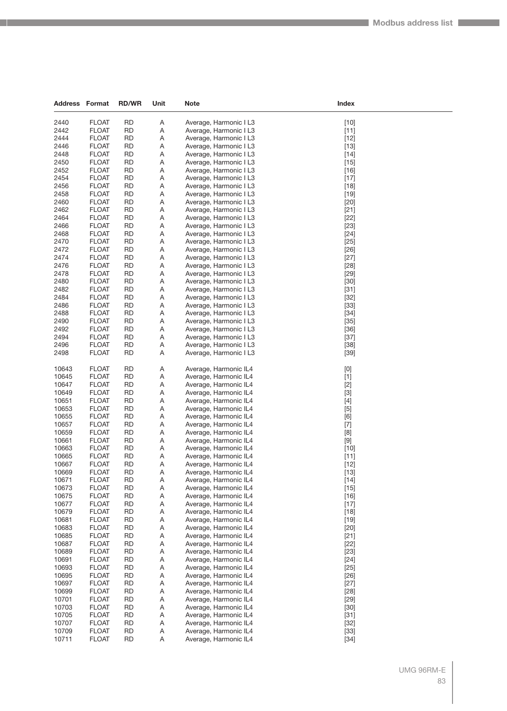| Address        | Format                       | <b>RD/WR</b>           | Unit   | <b>Note</b>                                      | Index                                                                                                                                                                                                                                                                                                                                                                                                                                                                                                                                                                                              |  |
|----------------|------------------------------|------------------------|--------|--------------------------------------------------|----------------------------------------------------------------------------------------------------------------------------------------------------------------------------------------------------------------------------------------------------------------------------------------------------------------------------------------------------------------------------------------------------------------------------------------------------------------------------------------------------------------------------------------------------------------------------------------------------|--|
|                |                              |                        |        |                                                  |                                                                                                                                                                                                                                                                                                                                                                                                                                                                                                                                                                                                    |  |
| 2440           | <b>FLOAT</b>                 | <b>RD</b>              | Α      | Average, Harmonic I L3                           | $[10]$                                                                                                                                                                                                                                                                                                                                                                                                                                                                                                                                                                                             |  |
| 2442<br>2444   | <b>FLOAT</b><br><b>FLOAT</b> | <b>RD</b><br>RD        | Α      | Average, Harmonic I L3<br>Average, Harmonic I L3 | $[11]$<br>$[12]$                                                                                                                                                                                                                                                                                                                                                                                                                                                                                                                                                                                   |  |
| 2446           | <b>FLOAT</b>                 | <b>RD</b>              | Α<br>Α | Average, Harmonic I L3                           | $[13]$                                                                                                                                                                                                                                                                                                                                                                                                                                                                                                                                                                                             |  |
| 2448           | <b>FLOAT</b>                 | <b>RD</b>              | Α      | Average, Harmonic I L3                           | $[14]$                                                                                                                                                                                                                                                                                                                                                                                                                                                                                                                                                                                             |  |
| 2450           | <b>FLOAT</b>                 | RD                     | Α      | Average, Harmonic I L3                           | $[15]$                                                                                                                                                                                                                                                                                                                                                                                                                                                                                                                                                                                             |  |
| 2452           | <b>FLOAT</b>                 | <b>RD</b>              | Α      | Average, Harmonic I L3                           | $[16]$                                                                                                                                                                                                                                                                                                                                                                                                                                                                                                                                                                                             |  |
| 2454           | <b>FLOAT</b>                 | <b>RD</b>              | Α      | Average, Harmonic I L3                           | $[17]$                                                                                                                                                                                                                                                                                                                                                                                                                                                                                                                                                                                             |  |
| 2456           | <b>FLOAT</b>                 | <b>RD</b>              | Α      | Average, Harmonic I L3                           | $[18]$                                                                                                                                                                                                                                                                                                                                                                                                                                                                                                                                                                                             |  |
| 2458           | <b>FLOAT</b>                 | <b>RD</b>              | Α      | Average, Harmonic I L3                           | $[19]$                                                                                                                                                                                                                                                                                                                                                                                                                                                                                                                                                                                             |  |
| 2460           | <b>FLOAT</b>                 | <b>RD</b>              | Α      | Average, Harmonic I L3                           | $[20]$                                                                                                                                                                                                                                                                                                                                                                                                                                                                                                                                                                                             |  |
| 2462           | <b>FLOAT</b>                 | <b>RD</b>              | Α      | Average, Harmonic I L3                           | $[21]$                                                                                                                                                                                                                                                                                                                                                                                                                                                                                                                                                                                             |  |
| 2464           | <b>FLOAT</b>                 | RD                     | Α      | Average, Harmonic I L3                           | $[22]$                                                                                                                                                                                                                                                                                                                                                                                                                                                                                                                                                                                             |  |
| 2466           | <b>FLOAT</b>                 | <b>RD</b>              | Α      | Average, Harmonic I L3                           | $[23]$                                                                                                                                                                                                                                                                                                                                                                                                                                                                                                                                                                                             |  |
| 2468           | <b>FLOAT</b>                 | <b>RD</b>              | Α      | Average, Harmonic I L3                           | $[24]$                                                                                                                                                                                                                                                                                                                                                                                                                                                                                                                                                                                             |  |
| 2470           | <b>FLOAT</b>                 | RD                     | Α      | Average, Harmonic I L3                           | $[25]$                                                                                                                                                                                                                                                                                                                                                                                                                                                                                                                                                                                             |  |
| 2472           | <b>FLOAT</b>                 | <b>RD</b>              | Α      | Average, Harmonic I L3                           | $[26]$                                                                                                                                                                                                                                                                                                                                                                                                                                                                                                                                                                                             |  |
| 2474           | <b>FLOAT</b>                 | RD                     | Α      | Average, Harmonic I L3                           | $[27]$                                                                                                                                                                                                                                                                                                                                                                                                                                                                                                                                                                                             |  |
| 2476           | <b>FLOAT</b>                 | <b>RD</b>              | Α      | Average, Harmonic I L3                           | $[28]$                                                                                                                                                                                                                                                                                                                                                                                                                                                                                                                                                                                             |  |
| 2478           | <b>FLOAT</b>                 | <b>RD</b>              | Α      | Average, Harmonic I L3                           | $[29]$                                                                                                                                                                                                                                                                                                                                                                                                                                                                                                                                                                                             |  |
| 2480           | <b>FLOAT</b>                 | RD                     | Α      | Average, Harmonic I L3                           | $[30]$                                                                                                                                                                                                                                                                                                                                                                                                                                                                                                                                                                                             |  |
| 2482           | <b>FLOAT</b>                 | RD                     | Α      | Average, Harmonic I L3                           | $[31]$                                                                                                                                                                                                                                                                                                                                                                                                                                                                                                                                                                                             |  |
| 2484<br>2486   | <b>FLOAT</b>                 | RD<br><b>RD</b>        | Α      | Average, Harmonic I L3                           | $[32]$                                                                                                                                                                                                                                                                                                                                                                                                                                                                                                                                                                                             |  |
| 2488           | <b>FLOAT</b>                 | <b>RD</b>              | Α<br>Α | Average, Harmonic I L3                           | $[33]$                                                                                                                                                                                                                                                                                                                                                                                                                                                                                                                                                                                             |  |
| 2490           | <b>FLOAT</b><br><b>FLOAT</b> | RD                     | Α      | Average, Harmonic I L3<br>Average, Harmonic I L3 | $[34]$<br>$[35]$                                                                                                                                                                                                                                                                                                                                                                                                                                                                                                                                                                                   |  |
| 2492           | <b>FLOAT</b>                 | RD                     | Α      | Average, Harmonic I L3                           | $[36]$                                                                                                                                                                                                                                                                                                                                                                                                                                                                                                                                                                                             |  |
| 2494           | <b>FLOAT</b>                 | RD                     | Α      | Average, Harmonic I L3                           | $[37]$                                                                                                                                                                                                                                                                                                                                                                                                                                                                                                                                                                                             |  |
| 2496           | <b>FLOAT</b>                 | <b>RD</b>              | Α      | Average, Harmonic I L3                           | $[38]$                                                                                                                                                                                                                                                                                                                                                                                                                                                                                                                                                                                             |  |
| 2498           | <b>FLOAT</b>                 | <b>RD</b>              | Α      | Average, Harmonic I L3                           | $[39]$                                                                                                                                                                                                                                                                                                                                                                                                                                                                                                                                                                                             |  |
|                |                              |                        |        |                                                  |                                                                                                                                                                                                                                                                                                                                                                                                                                                                                                                                                                                                    |  |
| 10643          | <b>FLOAT</b>                 | <b>RD</b>              | Α      | Average, Harmonic IL4                            | $[0] % \begin{center} % \includegraphics[width=\linewidth]{imagesSupplemental_3.png} % \end{center} % \caption { % Our method can be used for the use of the image. % Note that the \emph{DefNet}~\cite{bib66} as a function of the \emph{DefNet}~\cite{bib66} as a function of the \emph{DefNet}~\cite{bib66} as a function of the \emph{DefNet}~\cite{bib66} as a function of the \emph{DefNet}~\cite{bib66} as a function of the \emph{DefNet}~\cite{bib66} as a function of the \emph{DefNet}~\cite{bib66} as a function of the \emph{DefNet}~\cite{bib66} as a function of the \emph{DefNet}$ |  |
| 10645          | <b>FLOAT</b>                 | <b>RD</b>              | Α      | Average, Harmonic IL4                            | $[1]$                                                                                                                                                                                                                                                                                                                                                                                                                                                                                                                                                                                              |  |
| 10647          | <b>FLOAT</b>                 | <b>RD</b>              | Α      | Average, Harmonic IL4                            | $[2]$                                                                                                                                                                                                                                                                                                                                                                                                                                                                                                                                                                                              |  |
| 10649          | <b>FLOAT</b>                 | <b>RD</b>              | Α      | Average, Harmonic IL4                            | $[3]$                                                                                                                                                                                                                                                                                                                                                                                                                                                                                                                                                                                              |  |
| 10651          | <b>FLOAT</b>                 | RD                     | Α      | Average, Harmonic IL4                            | $[4]$                                                                                                                                                                                                                                                                                                                                                                                                                                                                                                                                                                                              |  |
| 10653          | <b>FLOAT</b>                 | RD                     | Α      | Average, Harmonic IL4                            | $[5]$                                                                                                                                                                                                                                                                                                                                                                                                                                                                                                                                                                                              |  |
| 10655          | <b>FLOAT</b>                 | RD                     | Α      | Average, Harmonic IL4                            | [6]                                                                                                                                                                                                                                                                                                                                                                                                                                                                                                                                                                                                |  |
| 10657          | <b>FLOAT</b>                 | RD                     | Α      | Average, Harmonic IL4                            | $[7]$                                                                                                                                                                                                                                                                                                                                                                                                                                                                                                                                                                                              |  |
| 10659          | <b>FLOAT</b>                 | <b>RD</b>              | Α      | Average, Harmonic IL4                            | $[8] % \begin{center} \includegraphics[width=\linewidth]{imagesSupplemental/Imetad2.png} \end{center} % \caption { % Our method shows the proposed method. % } % \label{fig:limsub} %$                                                                                                                                                                                                                                                                                                                                                                                                             |  |
| 10661<br>10663 | <b>FLOAT</b>                 | <b>RD</b><br><b>RD</b> | Α      | Average, Harmonic IL4<br>Average, Harmonic IL4   | $[9]$                                                                                                                                                                                                                                                                                                                                                                                                                                                                                                                                                                                              |  |
| 10665          | <b>FLOAT</b><br><b>FLOAT</b> | <b>RD</b>              | Α<br>Α | Average, Harmonic IL4                            | $[10]$<br>$[11]$                                                                                                                                                                                                                                                                                                                                                                                                                                                                                                                                                                                   |  |
| 10667          | <b>FLOAT</b>                 | <b>RD</b>              | Α      | Average, Harmonic IL4                            | $[12]$                                                                                                                                                                                                                                                                                                                                                                                                                                                                                                                                                                                             |  |
| 10669          | <b>FLOAT</b>                 | <b>RD</b>              | Α      | Average, Harmonic IL4                            | $[13]$                                                                                                                                                                                                                                                                                                                                                                                                                                                                                                                                                                                             |  |
| 10671          | <b>FLOAT</b>                 | RD                     | Α      | Average, Harmonic IL4                            | $[14]$                                                                                                                                                                                                                                                                                                                                                                                                                                                                                                                                                                                             |  |
| 10673          | <b>FLOAT</b>                 | <b>RD</b>              | Α      | Average, Harmonic IL4                            | $[15]$                                                                                                                                                                                                                                                                                                                                                                                                                                                                                                                                                                                             |  |
| 10675          | <b>FLOAT</b>                 | <b>RD</b>              | Α      | Average, Harmonic IL4                            | $[16]$                                                                                                                                                                                                                                                                                                                                                                                                                                                                                                                                                                                             |  |
| 10677          | <b>FLOAT</b>                 | <b>RD</b>              | Α      | Average, Harmonic IL4                            | $[17]$                                                                                                                                                                                                                                                                                                                                                                                                                                                                                                                                                                                             |  |
| 10679          | <b>FLOAT</b>                 | RD                     | Α      | Average, Harmonic IL4                            | $[18]$                                                                                                                                                                                                                                                                                                                                                                                                                                                                                                                                                                                             |  |
| 10681          | <b>FLOAT</b>                 | RD                     | Α      | Average, Harmonic IL4                            | $[19]$                                                                                                                                                                                                                                                                                                                                                                                                                                                                                                                                                                                             |  |
| 10683          | <b>FLOAT</b>                 | <b>RD</b>              | Α      | Average, Harmonic IL4                            | $[20]$                                                                                                                                                                                                                                                                                                                                                                                                                                                                                                                                                                                             |  |
| 10685          | <b>FLOAT</b>                 | <b>RD</b>              | Α      | Average, Harmonic IL4                            | $[21]$                                                                                                                                                                                                                                                                                                                                                                                                                                                                                                                                                                                             |  |
| 10687          | <b>FLOAT</b>                 | <b>RD</b>              | Α      | Average, Harmonic IL4                            | $[22]$                                                                                                                                                                                                                                                                                                                                                                                                                                                                                                                                                                                             |  |
| 10689          | <b>FLOAT</b>                 | RD                     | Α      | Average, Harmonic IL4                            | $[23]$                                                                                                                                                                                                                                                                                                                                                                                                                                                                                                                                                                                             |  |
| 10691          | <b>FLOAT</b>                 | RD                     | Α      | Average, Harmonic IL4                            | $[24]$                                                                                                                                                                                                                                                                                                                                                                                                                                                                                                                                                                                             |  |
| 10693          | <b>FLOAT</b>                 | <b>RD</b>              | Α      | Average, Harmonic IL4                            | $[25]$                                                                                                                                                                                                                                                                                                                                                                                                                                                                                                                                                                                             |  |
| 10695          | <b>FLOAT</b>                 | <b>RD</b>              | Α      | Average, Harmonic IL4                            | $[26]$                                                                                                                                                                                                                                                                                                                                                                                                                                                                                                                                                                                             |  |
| 10697          | <b>FLOAT</b>                 | <b>RD</b>              | Α      | Average, Harmonic IL4                            | $[27]$                                                                                                                                                                                                                                                                                                                                                                                                                                                                                                                                                                                             |  |
| 10699          | <b>FLOAT</b>                 | <b>RD</b>              | Α      | Average, Harmonic IL4                            | $[28]$                                                                                                                                                                                                                                                                                                                                                                                                                                                                                                                                                                                             |  |
| 10701<br>10703 | <b>FLOAT</b><br><b>FLOAT</b> | <b>RD</b><br><b>RD</b> | Α<br>Α | Average, Harmonic IL4<br>Average, Harmonic IL4   | $[29]$<br>$[30]$                                                                                                                                                                                                                                                                                                                                                                                                                                                                                                                                                                                   |  |
| 10705          | <b>FLOAT</b>                 | RD                     | Α      | Average, Harmonic IL4                            | $[31]$                                                                                                                                                                                                                                                                                                                                                                                                                                                                                                                                                                                             |  |
| 10707          | <b>FLOAT</b>                 | <b>RD</b>              | Α      | Average, Harmonic IL4                            | $[32]$                                                                                                                                                                                                                                                                                                                                                                                                                                                                                                                                                                                             |  |
| 10709          | <b>FLOAT</b>                 | RD                     | Α      | Average, Harmonic IL4                            | $[33]$                                                                                                                                                                                                                                                                                                                                                                                                                                                                                                                                                                                             |  |
| 10711          | <b>FLOAT</b>                 | <b>RD</b>              | Α      | Average, Harmonic IL4                            | $[34]$                                                                                                                                                                                                                                                                                                                                                                                                                                                                                                                                                                                             |  |
|                |                              |                        |        |                                                  |                                                                                                                                                                                                                                                                                                                                                                                                                                                                                                                                                                                                    |  |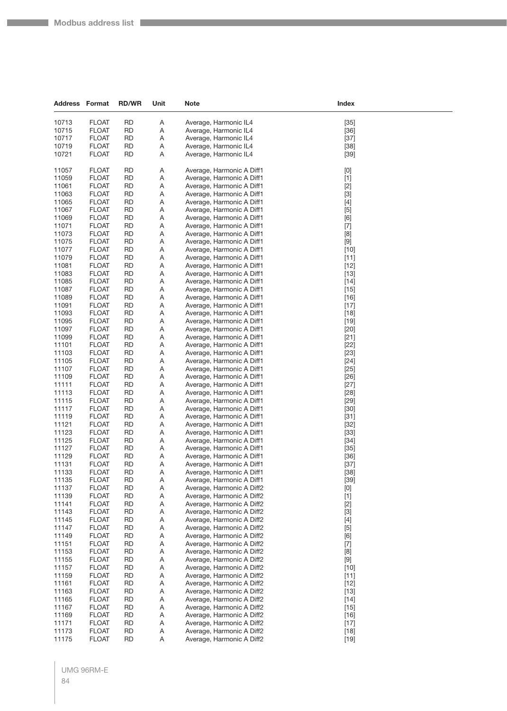| <b>Address Format</b> |                              | <b>RD/WR</b>           | Unit   | <b>Note</b>                                            | Index                                                                                                                                                                                                                                                                                                                       |  |
|-----------------------|------------------------------|------------------------|--------|--------------------------------------------------------|-----------------------------------------------------------------------------------------------------------------------------------------------------------------------------------------------------------------------------------------------------------------------------------------------------------------------------|--|
| 10713                 | <b>FLOAT</b>                 | <b>RD</b>              | Α      | Average, Harmonic IL4                                  | $[35]$                                                                                                                                                                                                                                                                                                                      |  |
| 10715                 | <b>FLOAT</b>                 | <b>RD</b>              | Α      | Average, Harmonic IL4                                  | $[36]$                                                                                                                                                                                                                                                                                                                      |  |
| 10717                 | <b>FLOAT</b>                 | <b>RD</b>              | A      | Average, Harmonic IL4                                  | $[37]$                                                                                                                                                                                                                                                                                                                      |  |
| 10719                 | <b>FLOAT</b>                 | <b>RD</b>              | Α      | Average, Harmonic IL4                                  | $[38]$                                                                                                                                                                                                                                                                                                                      |  |
| 10721                 | <b>FLOAT</b>                 | <b>RD</b>              | Α      | Average, Harmonic IL4                                  | $[39]$                                                                                                                                                                                                                                                                                                                      |  |
|                       |                              |                        |        |                                                        |                                                                                                                                                                                                                                                                                                                             |  |
| 11057                 | <b>FLOAT</b>                 | RD                     | Α      | Average, Harmonic A Diff1                              | [0]                                                                                                                                                                                                                                                                                                                         |  |
| 11059<br>11061        | <b>FLOAT</b><br><b>FLOAT</b> | <b>RD</b><br>RD        | Α<br>Α | Average, Harmonic A Diff1<br>Average, Harmonic A Diff1 | $[1]$                                                                                                                                                                                                                                                                                                                       |  |
| 11063                 | <b>FLOAT</b>                 | <b>RD</b>              | Α      | Average, Harmonic A Diff1                              | $[2]$<br>$[3]$                                                                                                                                                                                                                                                                                                              |  |
| 11065                 | <b>FLOAT</b>                 | <b>RD</b>              | Α      | Average, Harmonic A Diff1                              | $[4]$                                                                                                                                                                                                                                                                                                                       |  |
| 11067                 | <b>FLOAT</b>                 | <b>RD</b>              | Α      | Average, Harmonic A Diff1                              | $[5]$                                                                                                                                                                                                                                                                                                                       |  |
| 11069                 | <b>FLOAT</b>                 | <b>RD</b>              | Α      | Average, Harmonic A Diff1                              | [6]                                                                                                                                                                                                                                                                                                                         |  |
| 11071                 | <b>FLOAT</b>                 | RD                     | Α      | Average, Harmonic A Diff1                              | $[7]$                                                                                                                                                                                                                                                                                                                       |  |
| 11073                 | <b>FLOAT</b>                 | <b>RD</b>              | Α      | Average, Harmonic A Diff1                              | $[8] % \includegraphics[width=0.9\columnwidth]{figures/fig_04a.pdf} \caption{Schematic plot of the top of the top of the top of the right. The left is the number of the top of the right.} \label{fig:2} %$                                                                                                                |  |
| 11075                 | <b>FLOAT</b>                 | <b>RD</b>              | Α      | Average, Harmonic A Diff1                              |                                                                                                                                                                                                                                                                                                                             |  |
| 11077                 | <b>FLOAT</b>                 | RD                     | Α      | Average, Harmonic A Diff1                              | $[10]$                                                                                                                                                                                                                                                                                                                      |  |
| 11079                 | <b>FLOAT</b>                 | <b>RD</b>              | Α      | Average, Harmonic A Diff1                              | $[11]$                                                                                                                                                                                                                                                                                                                      |  |
| 11081                 | <b>FLOAT</b>                 | RD                     | Α      | Average, Harmonic A Diff1                              | $[12]$                                                                                                                                                                                                                                                                                                                      |  |
| 11083                 | <b>FLOAT</b>                 | <b>RD</b>              | Α      | Average, Harmonic A Diff1                              | $[13]$                                                                                                                                                                                                                                                                                                                      |  |
| 11085                 | <b>FLOAT</b>                 | <b>RD</b>              | A      | Average, Harmonic A Diff1                              | $[14]$                                                                                                                                                                                                                                                                                                                      |  |
| 11087                 | <b>FLOAT</b>                 | <b>RD</b>              | Α      | Average, Harmonic A Diff1                              | $[15]$                                                                                                                                                                                                                                                                                                                      |  |
| 11089                 | <b>FLOAT</b>                 | RD                     | Α      | Average, Harmonic A Diff1                              | $[16]$                                                                                                                                                                                                                                                                                                                      |  |
| 11091<br>11093        | <b>FLOAT</b><br><b>FLOAT</b> | <b>RD</b><br><b>RD</b> | Α<br>Α | Average, Harmonic A Diff1<br>Average, Harmonic A Diff1 | $[17]$<br>$[18]$                                                                                                                                                                                                                                                                                                            |  |
| 11095                 | <b>FLOAT</b>                 | <b>RD</b>              | A      | Average, Harmonic A Diff1                              | $[19]$                                                                                                                                                                                                                                                                                                                      |  |
| 11097                 | <b>FLOAT</b>                 | <b>RD</b>              | Α      | Average, Harmonic A Diff1                              | $[20]$                                                                                                                                                                                                                                                                                                                      |  |
| 11099                 | <b>FLOAT</b>                 | <b>RD</b>              | Α      | Average, Harmonic A Diff1                              | $[21]$                                                                                                                                                                                                                                                                                                                      |  |
| 11101                 | <b>FLOAT</b>                 | RD                     | Α      | Average, Harmonic A Diff1                              | $[22]$                                                                                                                                                                                                                                                                                                                      |  |
| 11103                 | <b>FLOAT</b>                 | <b>RD</b>              | Α      | Average, Harmonic A Diff1                              | $[23]$                                                                                                                                                                                                                                                                                                                      |  |
| 11105                 | <b>FLOAT</b>                 | <b>RD</b>              | Α      | Average, Harmonic A Diff1                              | $[24]$                                                                                                                                                                                                                                                                                                                      |  |
| 11107                 | <b>FLOAT</b>                 | RD                     | Α      | Average, Harmonic A Diff1                              | $[25]$                                                                                                                                                                                                                                                                                                                      |  |
| 11109                 | <b>FLOAT</b>                 | RD                     | Α      | Average, Harmonic A Diff1                              | $[26]$                                                                                                                                                                                                                                                                                                                      |  |
| 11111                 | <b>FLOAT</b>                 | RD                     | Α      | Average, Harmonic A Diff1                              | $[27]$                                                                                                                                                                                                                                                                                                                      |  |
| 11113                 | <b>FLOAT</b>                 | <b>RD</b>              | Α      | Average, Harmonic A Diff1                              | $[28]$                                                                                                                                                                                                                                                                                                                      |  |
| 11115                 | <b>FLOAT</b>                 | <b>RD</b>              | A      | Average, Harmonic A Diff1                              | $[29]$                                                                                                                                                                                                                                                                                                                      |  |
| 11117<br>11119        | <b>FLOAT</b><br><b>FLOAT</b> | <b>RD</b><br>RD        | Α<br>Α | Average, Harmonic A Diff1<br>Average, Harmonic A Diff1 | $[30]$<br>$[31]$                                                                                                                                                                                                                                                                                                            |  |
| 11121                 | <b>FLOAT</b>                 | <b>RD</b>              | Α      | Average, Harmonic A Diff1                              | $[32]$                                                                                                                                                                                                                                                                                                                      |  |
| 11123                 | <b>FLOAT</b>                 | <b>RD</b>              | Α      | Average, Harmonic A Diff1                              | $[33]$                                                                                                                                                                                                                                                                                                                      |  |
| 11125                 | <b>FLOAT</b>                 | <b>RD</b>              | Α      | Average, Harmonic A Diff1                              | $[34]$                                                                                                                                                                                                                                                                                                                      |  |
| 11127                 | <b>FLOAT</b>                 | <b>RD</b>              | Α      | Average, Harmonic A Diff1                              | $[35]$                                                                                                                                                                                                                                                                                                                      |  |
| 11129                 | <b>FLOAT</b>                 | <b>RD</b>              | Α      | Average, Harmonic A Diff1                              | $[36]$                                                                                                                                                                                                                                                                                                                      |  |
| 11131                 | <b>FLOAT</b>                 | <b>RD</b>              | Α      | Average, Harmonic A Diff1                              | $[37]$                                                                                                                                                                                                                                                                                                                      |  |
| 11133                 | <b>FLOAT</b>                 | <b>RD</b>              | A      | Average, Harmonic A Diff1                              | $[38]$                                                                                                                                                                                                                                                                                                                      |  |
| 11135                 | <b>FLOAT</b>                 | <b>RD</b>              | Α      | Average, Harmonic A Diff1                              | $[39]$                                                                                                                                                                                                                                                                                                                      |  |
| 11137                 | <b>FLOAT</b>                 | <b>RD</b>              | Α      | Average, Harmonic A Diff2                              | $[0] % \begin{center} % \includegraphics[width=\linewidth]{imagesSupplemental_3.png} % \end{center} % \caption { % Our method can be used for the use of the image. % Note that the \emph{Def}(i) and the \emph{Def}(i) are the same and the \emph{Def}(i) and the \emph{Def}(i) are the same. % } % \label{fig:Defin_3} %$ |  |
| 11139                 | <b>FLOAT</b>                 | <b>RD</b>              | A      | Average, Harmonic A Diff2                              | $[1]$                                                                                                                                                                                                                                                                                                                       |  |
| 11141<br>11143        | <b>FLOAT</b><br><b>FLOAT</b> | <b>RD</b><br><b>RD</b> | Α<br>Α | Average, Harmonic A Diff2<br>Average, Harmonic A Diff2 | $[2]$<br>$[3]$                                                                                                                                                                                                                                                                                                              |  |
| 11145                 | <b>FLOAT</b>                 | <b>RD</b>              | A      | Average, Harmonic A Diff2                              | $[4]$                                                                                                                                                                                                                                                                                                                       |  |
| 11147                 | <b>FLOAT</b>                 | <b>RD</b>              | Α      | Average, Harmonic A Diff2                              | $[5]$                                                                                                                                                                                                                                                                                                                       |  |
| 11149                 | <b>FLOAT</b>                 | <b>RD</b>              | A      | Average, Harmonic A Diff2                              | [6]                                                                                                                                                                                                                                                                                                                         |  |
| 11151                 | <b>FLOAT</b>                 | <b>RD</b>              | Α      | Average, Harmonic A Diff2                              | $[7]$                                                                                                                                                                                                                                                                                                                       |  |
| 11153                 | <b>FLOAT</b>                 | <b>RD</b>              | Α      | Average, Harmonic A Diff2                              | $[8] % \begin{center} \includegraphics[width=\linewidth]{imagesSupplemental/Imetad2.png} \end{center} % \caption { % Our method shows the proposed method. % } % \label{fig:limsub} %$                                                                                                                                      |  |
| 11155                 | <b>FLOAT</b>                 | <b>RD</b>              | A      | Average, Harmonic A Diff2                              |                                                                                                                                                                                                                                                                                                                             |  |
| 11157                 | <b>FLOAT</b>                 | <b>RD</b>              | Α      | Average, Harmonic A Diff2                              | $[10]$                                                                                                                                                                                                                                                                                                                      |  |
| 11159                 | <b>FLOAT</b>                 | <b>RD</b>              | A      | Average, Harmonic A Diff2                              | $[11]$                                                                                                                                                                                                                                                                                                                      |  |
| 11161                 | <b>FLOAT</b>                 | <b>RD</b>              | A      | Average, Harmonic A Diff2                              | $[12]$                                                                                                                                                                                                                                                                                                                      |  |
| 11163                 | <b>FLOAT</b>                 | <b>RD</b>              | Α      | Average, Harmonic A Diff2                              | $[13]$                                                                                                                                                                                                                                                                                                                      |  |
| 11165                 | <b>FLOAT</b>                 | <b>RD</b>              | A      | Average, Harmonic A Diff2                              | $[14]$                                                                                                                                                                                                                                                                                                                      |  |
| 11167                 | <b>FLOAT</b><br><b>FLOAT</b> | <b>RD</b><br><b>RD</b> | Α<br>A | Average, Harmonic A Diff2                              | $[15]$                                                                                                                                                                                                                                                                                                                      |  |
| 11169<br>11171        | <b>FLOAT</b>                 | RD                     | A      | Average, Harmonic A Diff2<br>Average, Harmonic A Diff2 | $[16]$<br>$[17]$                                                                                                                                                                                                                                                                                                            |  |
| 11173                 | <b>FLOAT</b>                 | <b>RD</b>              | Α      | Average, Harmonic A Diff2                              | $[18]$                                                                                                                                                                                                                                                                                                                      |  |
| 11175                 | <b>FLOAT</b>                 | <b>RD</b>              | Α      | Average, Harmonic A Diff2                              | $[19]$                                                                                                                                                                                                                                                                                                                      |  |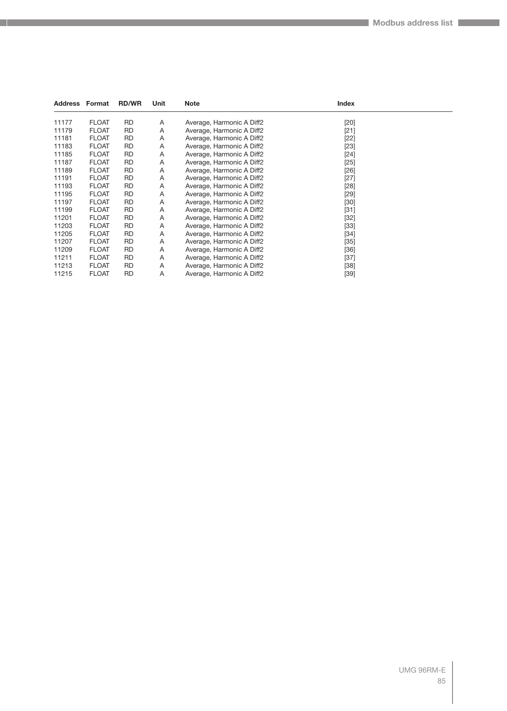| <b>Address Format</b> |              | <b>RD/WR</b> | Unit | <b>Note</b>               | Index  |  |
|-----------------------|--------------|--------------|------|---------------------------|--------|--|
| 11177                 | <b>FLOAT</b> | <b>RD</b>    | Α    | Average, Harmonic A Diff2 | $[20]$ |  |
| 11179                 | <b>FLOAT</b> | <b>RD</b>    | Α    | Average, Harmonic A Diff2 | $[21]$ |  |
| 11181                 | <b>FLOAT</b> | <b>RD</b>    | Α    | Average, Harmonic A Diff2 | $[22]$ |  |
| 11183                 | <b>FLOAT</b> | <b>RD</b>    | Α    | Average, Harmonic A Diff2 | $[23]$ |  |
| 11185                 | <b>FLOAT</b> | <b>RD</b>    | Α    | Average, Harmonic A Diff2 | $[24]$ |  |
| 11187                 | <b>FLOAT</b> | RD.          | Α    | Average, Harmonic A Diff2 | $[25]$ |  |
| 11189                 | <b>FLOAT</b> | <b>RD</b>    | Α    | Average, Harmonic A Diff2 | $[26]$ |  |
| 11191                 | <b>FLOAT</b> | <b>RD</b>    | Α    | Average, Harmonic A Diff2 | $[27]$ |  |
| 11193                 | <b>FLOAT</b> | <b>RD</b>    | Α    | Average, Harmonic A Diff2 | $[28]$ |  |
| 11195                 | <b>FLOAT</b> | <b>RD</b>    | Α    | Average, Harmonic A Diff2 | $[29]$ |  |
| 11197                 | <b>FLOAT</b> | <b>RD</b>    | Α    | Average, Harmonic A Diff2 | $[30]$ |  |
| 11199                 | <b>FLOAT</b> | RD.          | Α    | Average, Harmonic A Diff2 | $[31]$ |  |
| 11201                 | <b>FLOAT</b> | <b>RD</b>    | Α    | Average, Harmonic A Diff2 | $[32]$ |  |
| 11203                 | <b>FLOAT</b> | RD           | Α    | Average, Harmonic A Diff2 | $[33]$ |  |
| 11205                 | <b>FLOAT</b> | <b>RD</b>    | Α    | Average, Harmonic A Diff2 | $[34]$ |  |
| 11207                 | <b>FLOAT</b> | <b>RD</b>    | Α    | Average, Harmonic A Diff2 | $[35]$ |  |
| 11209                 | <b>FLOAT</b> | <b>RD</b>    | Α    | Average, Harmonic A Diff2 | $[36]$ |  |
| 11211                 | <b>FLOAT</b> | <b>RD</b>    | Α    | Average, Harmonic A Diff2 | $[37]$ |  |
| 11213                 | <b>FLOAT</b> | RD           | Α    | Average, Harmonic A Diff2 | $[38]$ |  |
| 11215                 | <b>FLOAT</b> | <b>RD</b>    | Α    | Average, Harmonic A Diff2 | $[39]$ |  |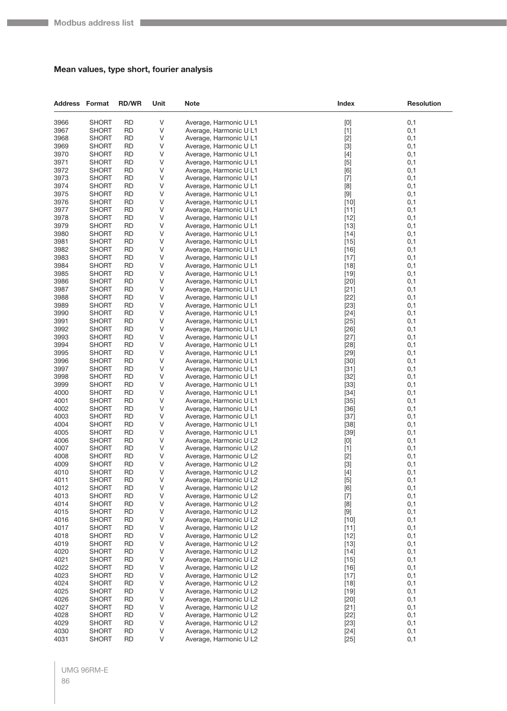## **Mean values, type short, fourier analysis**

| <b>Address Format</b> |                              | <b>RD/WR</b>           | Unit   | <b>Note</b>                                      | Index                                                                                                                                                                                                                                                                                                                                                                                                                                                                                                                                                                                                                                                                                                    | <b>Resolution</b> |
|-----------------------|------------------------------|------------------------|--------|--------------------------------------------------|----------------------------------------------------------------------------------------------------------------------------------------------------------------------------------------------------------------------------------------------------------------------------------------------------------------------------------------------------------------------------------------------------------------------------------------------------------------------------------------------------------------------------------------------------------------------------------------------------------------------------------------------------------------------------------------------------------|-------------------|
| 3966                  | <b>SHORT</b>                 | <b>RD</b>              | V      | Average, Harmonic U L1                           | [0]                                                                                                                                                                                                                                                                                                                                                                                                                                                                                                                                                                                                                                                                                                      | 0,1               |
| 3967                  | <b>SHORT</b>                 | <b>RD</b>              | V      | Average, Harmonic U L1                           | $[1]$                                                                                                                                                                                                                                                                                                                                                                                                                                                                                                                                                                                                                                                                                                    | 0,1               |
| 3968                  | <b>SHORT</b>                 | <b>RD</b>              | V      | Average, Harmonic U L1                           | $[2]$                                                                                                                                                                                                                                                                                                                                                                                                                                                                                                                                                                                                                                                                                                    | 0,1               |
| 3969                  | <b>SHORT</b>                 | RD                     | V      | Average, Harmonic U L1                           | $[3]$                                                                                                                                                                                                                                                                                                                                                                                                                                                                                                                                                                                                                                                                                                    | 0,1               |
| 3970                  | <b>SHORT</b>                 | <b>RD</b>              | V      | Average, Harmonic U L1                           | $[4]$                                                                                                                                                                                                                                                                                                                                                                                                                                                                                                                                                                                                                                                                                                    | 0,1               |
| 3971                  | <b>SHORT</b>                 | <b>RD</b>              | V      | Average, Harmonic U L1                           | $[5]$                                                                                                                                                                                                                                                                                                                                                                                                                                                                                                                                                                                                                                                                                                    | 0,1               |
| 3972                  | <b>SHORT</b>                 | <b>RD</b>              | V      | Average, Harmonic U L1                           | [6]                                                                                                                                                                                                                                                                                                                                                                                                                                                                                                                                                                                                                                                                                                      | 0,1               |
| 3973<br>3974          | <b>SHORT</b><br><b>SHORT</b> | <b>RD</b><br>RD        | ٧<br>V | Average, Harmonic U L1<br>Average, Harmonic U L1 | $[7]$<br>[8]                                                                                                                                                                                                                                                                                                                                                                                                                                                                                                                                                                                                                                                                                             | 0,1<br>0,1        |
| 3975                  | <b>SHORT</b>                 | <b>RD</b>              | V      | Average, Harmonic U L1                           | $[9]$                                                                                                                                                                                                                                                                                                                                                                                                                                                                                                                                                                                                                                                                                                    | 0,1               |
| 3976                  | <b>SHORT</b>                 | <b>RD</b>              | V      | Average, Harmonic U L1                           | $[10]$                                                                                                                                                                                                                                                                                                                                                                                                                                                                                                                                                                                                                                                                                                   | 0,1               |
| 3977                  | <b>SHORT</b>                 | <b>RD</b>              | V      | Average, Harmonic U L1                           | $[11]$                                                                                                                                                                                                                                                                                                                                                                                                                                                                                                                                                                                                                                                                                                   | 0,1               |
| 3978                  | <b>SHORT</b>                 | <b>RD</b>              | V      | Average, Harmonic U L1                           | $[12]$                                                                                                                                                                                                                                                                                                                                                                                                                                                                                                                                                                                                                                                                                                   | 0,1               |
| 3979                  | <b>SHORT</b>                 | RD                     | V      | Average, Harmonic U L1                           | $[13]$                                                                                                                                                                                                                                                                                                                                                                                                                                                                                                                                                                                                                                                                                                   | 0,1               |
| 3980                  | <b>SHORT</b>                 | <b>RD</b>              | V      | Average, Harmonic U L1                           | $[14]$                                                                                                                                                                                                                                                                                                                                                                                                                                                                                                                                                                                                                                                                                                   | 0,1               |
| 3981                  | <b>SHORT</b>                 | <b>RD</b>              | V      | Average, Harmonic U L1                           | $[15]$                                                                                                                                                                                                                                                                                                                                                                                                                                                                                                                                                                                                                                                                                                   | 0,1               |
| 3982                  | <b>SHORT</b>                 | <b>RD</b>              | V      | Average, Harmonic U L1                           | $[16]$                                                                                                                                                                                                                                                                                                                                                                                                                                                                                                                                                                                                                                                                                                   | 0,1               |
| 3983                  | <b>SHORT</b>                 | <b>RD</b>              | ٧      | Average, Harmonic U L1                           | $[17]$                                                                                                                                                                                                                                                                                                                                                                                                                                                                                                                                                                                                                                                                                                   | 0,1               |
| 3984                  | <b>SHORT</b>                 | RD                     | V      | Average, Harmonic U L1                           | $[18]$                                                                                                                                                                                                                                                                                                                                                                                                                                                                                                                                                                                                                                                                                                   | 0,1               |
| 3985                  | <b>SHORT</b>                 | <b>RD</b>              | V      | Average, Harmonic U L1                           | $[19]$                                                                                                                                                                                                                                                                                                                                                                                                                                                                                                                                                                                                                                                                                                   | 0,1               |
| 3986                  | <b>SHORT</b>                 | <b>RD</b>              | V      | Average, Harmonic U L1                           | $[20]$                                                                                                                                                                                                                                                                                                                                                                                                                                                                                                                                                                                                                                                                                                   | 0,1               |
| 3987                  | <b>SHORT</b>                 | <b>RD</b>              | V      | Average, Harmonic U L1                           | $[21]$                                                                                                                                                                                                                                                                                                                                                                                                                                                                                                                                                                                                                                                                                                   | 0,1               |
| 3988                  | <b>SHORT</b>                 | <b>RD</b>              | V      | Average, Harmonic U L1                           | $[22]$                                                                                                                                                                                                                                                                                                                                                                                                                                                                                                                                                                                                                                                                                                   | 0,1               |
| 3989<br>3990          | <b>SHORT</b>                 | RD<br><b>RD</b>        | V<br>V | Average, Harmonic U L1                           | $[23]$                                                                                                                                                                                                                                                                                                                                                                                                                                                                                                                                                                                                                                                                                                   | 0,1<br>0,1        |
| 3991                  | <b>SHORT</b><br><b>SHORT</b> | <b>RD</b>              | V      | Average, Harmonic U L1<br>Average, Harmonic U L1 | $[24]$<br>$[25]$                                                                                                                                                                                                                                                                                                                                                                                                                                                                                                                                                                                                                                                                                         | 0,1               |
| 3992                  | <b>SHORT</b>                 | <b>RD</b>              | V      | Average, Harmonic U L1                           | $[26]$                                                                                                                                                                                                                                                                                                                                                                                                                                                                                                                                                                                                                                                                                                   | 0,1               |
| 3993                  | <b>SHORT</b>                 | <b>RD</b>              | V      | Average, Harmonic U L1                           | $[27]$                                                                                                                                                                                                                                                                                                                                                                                                                                                                                                                                                                                                                                                                                                   | 0,1               |
| 3994                  | <b>SHORT</b>                 | RD                     | V      | Average, Harmonic U L1                           | $[28]$                                                                                                                                                                                                                                                                                                                                                                                                                                                                                                                                                                                                                                                                                                   | 0,1               |
| 3995                  | <b>SHORT</b>                 | <b>RD</b>              | V      | Average, Harmonic U L1                           | $[29]$                                                                                                                                                                                                                                                                                                                                                                                                                                                                                                                                                                                                                                                                                                   | 0,1               |
| 3996                  | <b>SHORT</b>                 | <b>RD</b>              | V      | Average, Harmonic U L1                           | $[30]$                                                                                                                                                                                                                                                                                                                                                                                                                                                                                                                                                                                                                                                                                                   | 0,1               |
| 3997                  | <b>SHORT</b>                 | <b>RD</b>              | V      | Average, Harmonic U L1                           | $[31]$                                                                                                                                                                                                                                                                                                                                                                                                                                                                                                                                                                                                                                                                                                   | 0,1               |
| 3998                  | <b>SHORT</b>                 | <b>RD</b>              | V      | Average, Harmonic U L1                           | $[32]$                                                                                                                                                                                                                                                                                                                                                                                                                                                                                                                                                                                                                                                                                                   | 0,1               |
| 3999                  | <b>SHORT</b>                 | RD                     | V      | Average, Harmonic U L1                           | $[33]$                                                                                                                                                                                                                                                                                                                                                                                                                                                                                                                                                                                                                                                                                                   | 0,1               |
| 4000                  | <b>SHORT</b>                 | <b>RD</b>              | V      | Average, Harmonic U L1                           | $[34]$                                                                                                                                                                                                                                                                                                                                                                                                                                                                                                                                                                                                                                                                                                   | 0,1               |
| 4001                  | <b>SHORT</b>                 | <b>RD</b>              | V      | Average, Harmonic U L1                           | $[35]$                                                                                                                                                                                                                                                                                                                                                                                                                                                                                                                                                                                                                                                                                                   | 0,1               |
| 4002                  | <b>SHORT</b>                 | <b>RD</b>              | V      | Average, Harmonic U L1                           | $[36]$                                                                                                                                                                                                                                                                                                                                                                                                                                                                                                                                                                                                                                                                                                   | 0,1               |
| 4003                  | <b>SHORT</b>                 | <b>RD</b>              | V      | Average, Harmonic U L1                           | $[37]$                                                                                                                                                                                                                                                                                                                                                                                                                                                                                                                                                                                                                                                                                                   | 0,1               |
| 4004<br>4005          | <b>SHORT</b>                 | RD<br><b>RD</b>        | V<br>V | Average, Harmonic U L1                           | $[38]$                                                                                                                                                                                                                                                                                                                                                                                                                                                                                                                                                                                                                                                                                                   | 0,1               |
| 4006                  | <b>SHORT</b><br><b>SHORT</b> | <b>RD</b>              | V      | Average, Harmonic U L1<br>Average, Harmonic U L2 | $[39]$                                                                                                                                                                                                                                                                                                                                                                                                                                                                                                                                                                                                                                                                                                   | 0,1<br>0,1        |
| 4007                  | <b>SHORT</b>                 | <b>RD</b>              | V      | Average, Harmonic U L2                           | $[0] % \begin{center} % \includegraphics[width=\linewidth]{imagesSupplemental_3.png} % \end{center} % \caption { % Our method can be used for the use of the image. % Note that the \emph{DefNet}~\cite{bib30} as the \emph{DefNet}~\cite{bib30} as the \emph{DefNet}~\cite{bib30} as the \emph{DefNet}~\cite{bib30} as the \emph{DefNet}~\cite{bib30} as the \emph{DefNet}~\cite{bib30} as the \emph{DefNet}~\cite{bib30} as the \emph{DefNet}~\cite{bib30} as the \emph{DefNet}~\cite{bib30} as the \emph{DefNet}~\cite{bib30$<br>$[1]$                                                                                                                                                                | 0,1               |
| 4008                  | <b>SHORT</b>                 | <b>RD</b>              | V      | Average, Harmonic U L2                           | $[2]$                                                                                                                                                                                                                                                                                                                                                                                                                                                                                                                                                                                                                                                                                                    | 0,1               |
| 4009                  | <b>SHORT</b>                 | <b>RD</b>              | V      | Average, Harmonic U L2                           | $[3]$                                                                                                                                                                                                                                                                                                                                                                                                                                                                                                                                                                                                                                                                                                    | 0,1               |
| 4010                  | <b>SHORT</b>                 | <b>RD</b>              | V      | Average, Harmonic U L2                           | $[4]$                                                                                                                                                                                                                                                                                                                                                                                                                                                                                                                                                                                                                                                                                                    | 0,1               |
| 4011                  | <b>SHORT</b>                 | <b>RD</b>              | V      | Average, Harmonic U L2                           | $[5]$                                                                                                                                                                                                                                                                                                                                                                                                                                                                                                                                                                                                                                                                                                    | 0,1               |
| 4012                  | <b>SHORT</b>                 | <b>RD</b>              | V      | Average, Harmonic U L2                           | [6]                                                                                                                                                                                                                                                                                                                                                                                                                                                                                                                                                                                                                                                                                                      | 0,1               |
| 4013                  | <b>SHORT</b>                 | <b>RD</b>              | V      | Average, Harmonic U L2                           | $[7]$                                                                                                                                                                                                                                                                                                                                                                                                                                                                                                                                                                                                                                                                                                    | 0,1               |
| 4014                  | <b>SHORT</b>                 | <b>RD</b>              | V      | Average, Harmonic U L2                           | [8]                                                                                                                                                                                                                                                                                                                                                                                                                                                                                                                                                                                                                                                                                                      | 0,1               |
| 4015                  | <b>SHORT</b>                 | <b>RD</b>              | V      | Average, Harmonic U L2                           | $[9] % \begin{center} \includegraphics[width=\linewidth]{imagesSupplemental/Imers.png} \end{center} % \vspace{-1em} \caption{The image shows the number of parameters of the parameter $\mathcal{M}_1$-error of the parameter $\mathcal{M}_2$-error of the parameter $\mathcal{M}_1$-error of the parameter $\mathcal{M}_2$-error of the parameter $\mathcal{M}_1$-error of the parameter $\mathcal{M}_2$-error of the parameter $\mathcal{M}_1$-error of the parameter $\mathcal{M}_2$-error of the parameter $\mathcal{M}_1$-error of the parameter $\mathcal{M}_2$-error of the parameter $\mathcal{M}_1$-error of the parameter $\mathcal{M}_2$-error of the parameter $\mathcal{M}_1$-error of the$ | 0,1               |
| 4016                  | <b>SHORT</b>                 | <b>RD</b>              | V      | Average, Harmonic U L2                           | $[10]$                                                                                                                                                                                                                                                                                                                                                                                                                                                                                                                                                                                                                                                                                                   | 0,1               |
| 4017                  | <b>SHORT</b>                 | <b>RD</b>              | V      | Average, Harmonic U L2                           | $[11]$                                                                                                                                                                                                                                                                                                                                                                                                                                                                                                                                                                                                                                                                                                   | 0,1               |
| 4018<br>4019          | <b>SHORT</b><br><b>SHORT</b> | <b>RD</b><br><b>RD</b> | V<br>V | Average, Harmonic U L2<br>Average, Harmonic U L2 | $[12]$                                                                                                                                                                                                                                                                                                                                                                                                                                                                                                                                                                                                                                                                                                   | 0,1               |
| 4020                  | <b>SHORT</b>                 | <b>RD</b>              | V      | Average, Harmonic U L2                           | $[13]$<br>$[14]$                                                                                                                                                                                                                                                                                                                                                                                                                                                                                                                                                                                                                                                                                         | 0,1<br>0,1        |
| 4021                  | <b>SHORT</b>                 | <b>RD</b>              | V      | Average, Harmonic U L2                           | $[15]$                                                                                                                                                                                                                                                                                                                                                                                                                                                                                                                                                                                                                                                                                                   | 0,1               |
| 4022                  | <b>SHORT</b>                 | <b>RD</b>              | V      | Average, Harmonic U L2                           | $[16]$                                                                                                                                                                                                                                                                                                                                                                                                                                                                                                                                                                                                                                                                                                   | 0,1               |
| 4023                  | <b>SHORT</b>                 | <b>RD</b>              | V      | Average, Harmonic U L2                           | $[17]$                                                                                                                                                                                                                                                                                                                                                                                                                                                                                                                                                                                                                                                                                                   | 0,1               |
| 4024                  | <b>SHORT</b>                 | <b>RD</b>              | V      | Average, Harmonic U L2                           | $[18]$                                                                                                                                                                                                                                                                                                                                                                                                                                                                                                                                                                                                                                                                                                   | 0,1               |
| 4025                  | <b>SHORT</b>                 | <b>RD</b>              | V      | Average, Harmonic U L2                           | $[19]$                                                                                                                                                                                                                                                                                                                                                                                                                                                                                                                                                                                                                                                                                                   | 0,1               |
| 4026                  | <b>SHORT</b>                 | <b>RD</b>              | V      | Average, Harmonic U L2                           | $[20]$                                                                                                                                                                                                                                                                                                                                                                                                                                                                                                                                                                                                                                                                                                   | 0,1               |
| 4027                  | <b>SHORT</b>                 | <b>RD</b>              | V      | Average, Harmonic U L2                           | $[21]$                                                                                                                                                                                                                                                                                                                                                                                                                                                                                                                                                                                                                                                                                                   | 0,1               |
| 4028                  | <b>SHORT</b>                 | <b>RD</b>              | V      | Average, Harmonic U L2                           | $[22]$                                                                                                                                                                                                                                                                                                                                                                                                                                                                                                                                                                                                                                                                                                   | 0,1               |
| 4029                  | <b>SHORT</b>                 | <b>RD</b>              | V      | Average, Harmonic U L2                           | $[23]$                                                                                                                                                                                                                                                                                                                                                                                                                                                                                                                                                                                                                                                                                                   | 0,1               |
| 4030                  | <b>SHORT</b>                 | <b>RD</b>              | V      | Average, Harmonic U L2                           | $[24]$                                                                                                                                                                                                                                                                                                                                                                                                                                                                                                                                                                                                                                                                                                   | 0,1               |
| 4031                  | <b>SHORT</b>                 | <b>RD</b>              | V      | Average, Harmonic U L2                           | $[25]$                                                                                                                                                                                                                                                                                                                                                                                                                                                                                                                                                                                                                                                                                                   | 0,1               |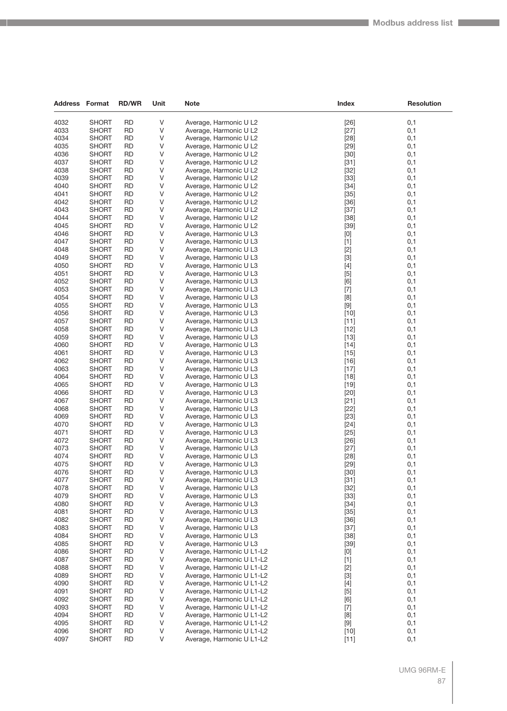| <b>Address Format</b> |              | <b>RD/WR</b> | Unit | Note                      | Index  | <b>Resolution</b> |
|-----------------------|--------------|--------------|------|---------------------------|--------|-------------------|
| 4032                  | <b>SHORT</b> | <b>RD</b>    |      |                           |        |                   |
|                       |              |              | V    | Average, Harmonic U L2    | $[26]$ | 0,1               |
| 4033                  | <b>SHORT</b> | <b>RD</b>    | V    | Average, Harmonic U L2    | $[27]$ | 0,1               |
| 4034                  | <b>SHORT</b> | <b>RD</b>    | V    | Average, Harmonic U L2    | $[28]$ | 0,1               |
| 4035                  | <b>SHORT</b> | <b>RD</b>    | V    | Average, Harmonic U L2    | $[29]$ | 0,1               |
| 4036                  | <b>SHORT</b> | <b>RD</b>    | V    | Average, Harmonic U L2    | $[30]$ | 0,1               |
| 4037                  | <b>SHORT</b> | <b>RD</b>    | V    | Average, Harmonic U L2    | $[31]$ | 0,1               |
| 4038                  | <b>SHORT</b> | <b>RD</b>    | V    | Average, Harmonic U L2    | $[32]$ | 0,1               |
| 4039                  | <b>SHORT</b> | <b>RD</b>    | V    | Average, Harmonic U L2    | $[33]$ | 0,1               |
| 4040                  | <b>SHORT</b> | <b>RD</b>    | V    | Average, Harmonic U L2    | $[34]$ | 0,1               |
| 4041                  | <b>SHORT</b> | <b>RD</b>    | V    | Average, Harmonic U L2    | $[35]$ | 0,1               |
| 4042                  | <b>SHORT</b> | <b>RD</b>    | V    | Average, Harmonic U L2    | $[36]$ | 0,1               |
| 4043                  | <b>SHORT</b> | <b>RD</b>    | V    | Average, Harmonic U L2    | $[37]$ | 0,1               |
| 4044                  | <b>SHORT</b> | <b>RD</b>    | V    | Average, Harmonic U L2    | $[38]$ | 0,1               |
| 4045                  | <b>SHORT</b> | <b>RD</b>    | V    | Average, Harmonic U L2    | $[39]$ | 0,1               |
| 4046                  | <b>SHORT</b> | <b>RD</b>    | V    | Average, Harmonic U L3    | [0]    | 0,1               |
| 4047                  | <b>SHORT</b> | <b>RD</b>    | V    | Average, Harmonic U L3    | $[1]$  | 0,1               |
| 4048                  | <b>SHORT</b> | <b>RD</b>    | V    | Average, Harmonic U L3    | $[2]$  | 0,1               |
| 4049                  | <b>SHORT</b> | <b>RD</b>    | V    | Average, Harmonic U L3    | $[3]$  | 0,1               |
| 4050                  | <b>SHORT</b> | <b>RD</b>    | V    | Average, Harmonic U L3    | $[4]$  | 0,1               |
| 4051                  | <b>SHORT</b> | <b>RD</b>    | V    | Average, Harmonic U L3    | $[5]$  | 0,1               |
| 4052                  | <b>SHORT</b> | <b>RD</b>    | V    | Average, Harmonic U L3    | [6]    | 0,1               |
| 4053                  | <b>SHORT</b> | RD           | V    | Average, Harmonic U L3    | $[7]$  | 0,1               |
| 4054                  | <b>SHORT</b> | <b>RD</b>    | V    | Average, Harmonic U L3    | [8]    | 0,1               |
|                       |              | <b>RD</b>    | V    |                           |        | 0,1               |
| 4055                  | <b>SHORT</b> |              |      | Average, Harmonic U L3    | $[9]$  |                   |
| 4056                  | <b>SHORT</b> | <b>RD</b>    | V    | Average, Harmonic U L3    | $[10]$ | 0,1               |
| 4057                  | <b>SHORT</b> | <b>RD</b>    | V    | Average, Harmonic U L3    | $[11]$ | 0,1               |
| 4058                  | <b>SHORT</b> | RD           | V    | Average, Harmonic U L3    | $[12]$ | 0,1               |
| 4059                  | <b>SHORT</b> | <b>RD</b>    | V    | Average, Harmonic U L3    | $[13]$ | 0,1               |
| 4060                  | <b>SHORT</b> | <b>RD</b>    | V    | Average, Harmonic U L3    | $[14]$ | 0,1               |
| 4061                  | <b>SHORT</b> | <b>RD</b>    | V    | Average, Harmonic U L3    | $[15]$ | 0,1               |
| 4062                  | <b>SHORT</b> | <b>RD</b>    | V    | Average, Harmonic U L3    | $[16]$ | 0,1               |
| 4063                  | <b>SHORT</b> | RD           | V    | Average, Harmonic U L3    | $[17]$ | 0,1               |
| 4064                  | <b>SHORT</b> | <b>RD</b>    | V    | Average, Harmonic U L3    | $[18]$ | 0,1               |
| 4065                  | <b>SHORT</b> | <b>RD</b>    | V    | Average, Harmonic U L3    | $[19]$ | 0,1               |
| 4066                  | <b>SHORT</b> | <b>RD</b>    | V    | Average, Harmonic U L3    | $[20]$ | 0,1               |
| 4067                  | <b>SHORT</b> | <b>RD</b>    | V    | Average, Harmonic U L3    | $[21]$ | 0,1               |
| 4068                  | <b>SHORT</b> | RD           | V    | Average, Harmonic U L3    | $[22]$ | 0,1               |
| 4069                  | <b>SHORT</b> | <b>RD</b>    | V    | Average, Harmonic U L3    | $[23]$ | 0,1               |
| 4070                  | <b>SHORT</b> | <b>RD</b>    | V    | Average, Harmonic U L3    | $[24]$ | 0,1               |
| 4071                  | <b>SHORT</b> | <b>RD</b>    | V    | Average, Harmonic U L3    | $[25]$ | 0,1               |
| 4072                  | <b>SHORT</b> | <b>RD</b>    | V    | Average, Harmonic U L3    | $[26]$ | 0,1               |
| 4073                  | <b>SHORT</b> | RD           | V    | Average, Harmonic U L3    | $[27]$ | 0,1               |
| 4074                  | <b>SHORT</b> | <b>RD</b>    | V    | Average, Harmonic U L3    | $[28]$ | 0,1               |
| 4075                  | SHORT        | <b>RD</b>    | V    | Average, Harmonic U L3    | $[29]$ | 0,1               |
| 4076                  | <b>SHORT</b> | <b>RD</b>    | V    | Average, Harmonic U L3    | $[30]$ | 0,1               |
| 4077                  | SHORT        | <b>RD</b>    | V    | Average, Harmonic U L3    | $[31]$ | 0,1               |
| 4078                  | <b>SHORT</b> | <b>RD</b>    | V    | Average, Harmonic U L3    | $[32]$ | 0,1               |
| 4079                  | <b>SHORT</b> | <b>RD</b>    | V    | Average, Harmonic U L3    | $[33]$ | 0,1               |
| 4080                  | <b>SHORT</b> | <b>RD</b>    | V    | Average, Harmonic U L3    | $[34]$ | 0,1               |
| 4081                  | <b>SHORT</b> | <b>RD</b>    | V    | Average, Harmonic U L3    | $[35]$ | 0,1               |
| 4082                  | <b>SHORT</b> | RD           | V    | Average, Harmonic U L3    | $[36]$ | 0,1               |
| 4083                  | <b>SHORT</b> | <b>RD</b>    | V    | Average, Harmonic U L3    | $[37]$ | 0,1               |
| 4084                  | <b>SHORT</b> | <b>RD</b>    | V    | Average, Harmonic U L3    | $[38]$ | 0,1               |
| 4085                  | <b>SHORT</b> | <b>RD</b>    | V    | Average, Harmonic U L3    | $[39]$ | 0,1               |
| 4086                  | <b>SHORT</b> | RD           | V    | Average, Harmonic U L1-L2 | [0]    | 0,1               |
| 4087                  | SHORT        | RD           | V    | Average, Harmonic U L1-L2 | $[1]$  | 0,1               |
| 4088                  | <b>SHORT</b> | <b>RD</b>    | V    | Average, Harmonic U L1-L2 | $[2]$  | 0,1               |
| 4089                  | <b>SHORT</b> | <b>RD</b>    | V    | Average, Harmonic U L1-L2 | $[3]$  | 0,1               |
|                       |              |              |      |                           |        |                   |
| 4090<br>4091          | <b>SHORT</b> | <b>RD</b>    | V    | Average, Harmonic U L1-L2 | $[4]$  | 0,1               |
|                       | <b>SHORT</b> | RD           | V    | Average, Harmonic U L1-L2 | $[5]$  | 0,1               |
| 4092                  | <b>SHORT</b> | <b>RD</b>    | V    | Average, Harmonic U L1-L2 | [6]    | 0,1               |
| 4093                  | <b>SHORT</b> | <b>RD</b>    | V    | Average, Harmonic U L1-L2 | $[7]$  | 0,1               |
| 4094                  | <b>SHORT</b> | <b>RD</b>    | V    | Average, Harmonic U L1-L2 | [8]    | 0,1               |
| 4095                  | <b>SHORT</b> | <b>RD</b>    | V    | Average, Harmonic U L1-L2 | $[9]$  | 0,1               |
| 4096                  | <b>SHORT</b> | RD           | V    | Average, Harmonic U L1-L2 | $[10]$ | 0,1               |
| 4097                  | <b>SHORT</b> | <b>RD</b>    | V    | Average, Harmonic U L1-L2 | $[11]$ | 0,1               |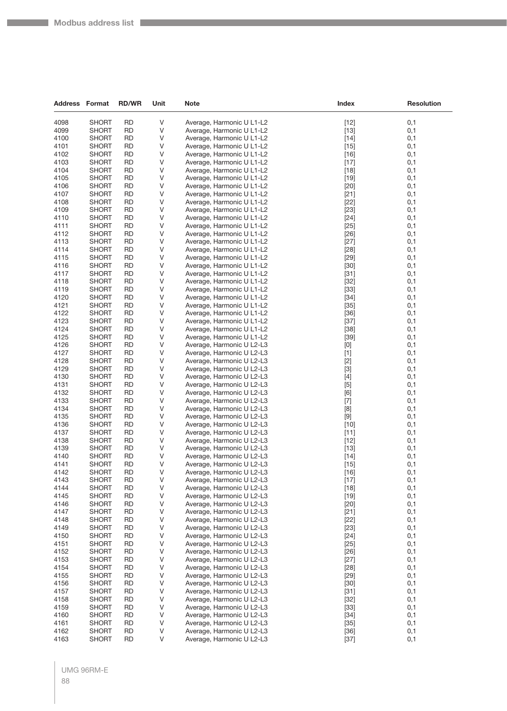**Company** 

| <b>Address Format</b> |                              | <b>RD/WR</b>           | Unit    | <b>Note</b>                                            | <b>Index</b>     | <b>Resolution</b> |
|-----------------------|------------------------------|------------------------|---------|--------------------------------------------------------|------------------|-------------------|
| 4098                  | <b>SHORT</b>                 | <b>RD</b>              | V       | Average, Harmonic U L1-L2                              | $[12]$           | 0,1               |
| 4099                  | <b>SHORT</b>                 | <b>RD</b>              | V       | Average, Harmonic U L1-L2                              | $[13]$           | 0,1               |
| 4100                  | <b>SHORT</b>                 | <b>RD</b>              | V       | Average, Harmonic U L1-L2                              | $[14]$           | 0,1               |
| 4101                  | <b>SHORT</b>                 | <b>RD</b>              | V       | Average, Harmonic U L1-L2                              | $[15]$           | 0,1               |
| 4102                  | <b>SHORT</b>                 | <b>RD</b>              | V       | Average, Harmonic U L1-L2                              | $[16]$           | 0,1               |
| 4103                  | <b>SHORT</b>                 | <b>RD</b>              | V       | Average, Harmonic U L1-L2                              | $[17]$           | 0,1               |
| 4104                  | <b>SHORT</b>                 | <b>RD</b>              | V       | Average, Harmonic U L1-L2                              | $[18]$           | 0,1               |
| 4105                  | <b>SHORT</b>                 | <b>RD</b>              | V       | Average, Harmonic U L1-L2                              | $[19]$           | 0,1               |
| 4106                  | <b>SHORT</b>                 | <b>RD</b>              | V       | Average, Harmonic U L1-L2                              | $[20]$           | 0,1               |
| 4107                  | <b>SHORT</b>                 | <b>RD</b>              | V       | Average, Harmonic U L1-L2                              | $[21]$           | 0,1               |
| 4108                  | <b>SHORT</b>                 | <b>RD</b>              | V       | Average, Harmonic U L1-L2                              | $[22]$           | 0,1               |
| 4109                  | <b>SHORT</b>                 | <b>RD</b>              | V       | Average, Harmonic U L1-L2                              | $[23]$           | 0,1               |
| 4110                  | <b>SHORT</b>                 | <b>RD</b>              | V       | Average, Harmonic U L1-L2                              | $[24]$           | 0,1               |
| 4111                  | <b>SHORT</b>                 | <b>RD</b>              | V       | Average, Harmonic U L1-L2                              | $[25]$           | 0,1               |
| 4112                  | <b>SHORT</b>                 | <b>RD</b>              | V       | Average, Harmonic U L1-L2                              | $[26]$           | 0,1               |
| 4113                  | <b>SHORT</b>                 | RD                     | V       | Average, Harmonic U L1-L2                              | $[27]$           | 0,1               |
| 4114                  | <b>SHORT</b>                 | <b>RD</b>              | V       | Average, Harmonic U L1-L2                              | $[28]$           | 0,1               |
| 4115                  | <b>SHORT</b>                 | <b>RD</b>              | V       | Average, Harmonic U L1-L2                              | $[29]$           | 0,1               |
| 4116                  | <b>SHORT</b>                 | <b>RD</b>              | V       | Average, Harmonic U L1-L2                              | $[30]$           | 0,1               |
| 4117                  | <b>SHORT</b>                 | <b>RD</b>              | V       | Average, Harmonic U L1-L2                              | $[31]$           | 0,1               |
| 4118                  | <b>SHORT</b>                 | <b>RD</b>              | V       | Average, Harmonic U L1-L2                              | $[32]$           | 0,1               |
| 4119                  | <b>SHORT</b>                 | <b>RD</b>              | V       | Average, Harmonic U L1-L2                              | $[33]$           | 0,1               |
| 4120                  | <b>SHORT</b>                 | <b>RD</b>              | V       | Average, Harmonic U L1-L2                              | $[34]$           | 0,1               |
| 4121                  | <b>SHORT</b>                 | <b>RD</b><br><b>RD</b> | V       | Average, Harmonic U L1-L2                              | $[35]$           | 0,1<br>0,1        |
| 4122<br>4123          | <b>SHORT</b><br><b>SHORT</b> | <b>RD</b>              | V<br>V  | Average, Harmonic U L1-L2                              | $[36]$           |                   |
| 4124                  | <b>SHORT</b>                 | <b>RD</b>              | V       | Average, Harmonic U L1-L2<br>Average, Harmonic U L1-L2 | $[37]$<br>$[38]$ | 0,1<br>0,1        |
| 4125                  | <b>SHORT</b>                 | <b>RD</b>              | V       | Average, Harmonic U L1-L2                              | $[39]$           | 0,1               |
| 4126                  | <b>SHORT</b>                 | <b>RD</b>              | V       | Average, Harmonic U L2-L3                              | [0]              | 0,1               |
| 4127                  | <b>SHORT</b>                 | <b>RD</b>              | V       | Average, Harmonic U L2-L3                              | $[1]$            | 0,1               |
| 4128                  | <b>SHORT</b>                 | <b>RD</b>              | V       | Average, Harmonic U L2-L3                              | $[2]$            | 0,1               |
| 4129                  | <b>SHORT</b>                 | <b>RD</b>              | V       | Average, Harmonic U L2-L3                              | $[3]$            | 0,1               |
| 4130                  | <b>SHORT</b>                 | RD                     | V       | Average, Harmonic U L2-L3                              | $[4]$            | 0,1               |
| 4131                  | <b>SHORT</b>                 | <b>RD</b>              | V       | Average, Harmonic U L2-L3                              | $[5]$            | 0,1               |
| 4132                  | <b>SHORT</b>                 | <b>RD</b>              | V       | Average, Harmonic U L2-L3                              | [6]              | 0,1               |
| 4133                  | <b>SHORT</b>                 | <b>RD</b>              | V       | Average, Harmonic U L2-L3                              | $[7]$            | 0,1               |
| 4134                  | <b>SHORT</b>                 | <b>RD</b>              | V       | Average, Harmonic U L2-L3                              | [8]              | 0,1               |
| 4135                  | <b>SHORT</b>                 | <b>RD</b>              | V       | Average, Harmonic U L2-L3                              | $[9]$            | 0,1               |
| 4136                  | <b>SHORT</b>                 | <b>RD</b>              | V       | Average, Harmonic U L2-L3                              | $[10]$           | 0,1               |
| 4137                  | <b>SHORT</b>                 | <b>RD</b>              | V       | Average, Harmonic U L2-L3                              | $[11]$           | 0,1               |
| 4138                  | <b>SHORT</b>                 | <b>RD</b>              | V       | Average, Harmonic U L2-L3                              | $[12]$           | 0,1               |
| 4139                  | <b>SHORT</b>                 | <b>RD</b>              | V       | Average, Harmonic U L2-L3                              | $[13]$           | 0,1               |
| 4140                  | <b>SHORT</b>                 | <b>RD</b>              | V       | Average, Harmonic U L2-L3                              | $[14]$           | 0,1               |
| 4141                  | <b>SHORT</b>                 | <b>RD</b>              | V       | Average, Harmonic U L2-L3                              | $[15]$           | 0,1               |
| 4142                  | <b>SHORT</b>                 | <b>RD</b>              | V       | Average, Harmonic U L2-L3                              | $[16]$           | 0,1               |
| 4143                  | <b>SHORT</b>                 | <b>RD</b>              | $\vee$  | Average, Harmonic U L2-L3                              | $[17]$           | 0,1               |
| 4144                  | <b>SHORT</b>                 | <b>RD</b>              | V       | Average, Harmonic U L2-L3                              | $[18]$           | 0,1               |
| 4145                  | <b>SHORT</b>                 | <b>RD</b>              | $\sf V$ | Average, Harmonic U L2-L3                              | $[19]$           | 0,1               |
| 4146<br>4147          | <b>SHORT</b><br><b>SHORT</b> | <b>RD</b><br><b>RD</b> | V<br>V  | Average, Harmonic U L2-L3<br>Average, Harmonic U L2-L3 | $[20]$<br>$[21]$ | 0,1<br>0,1        |
| 4148                  | <b>SHORT</b>                 | <b>RD</b>              | V       | Average, Harmonic U L2-L3                              | $[22]$           | 0,1               |
| 4149                  | <b>SHORT</b>                 | <b>RD</b>              | V       | Average, Harmonic U L2-L3                              | $[23]$           | 0,1               |
| 4150                  | <b>SHORT</b>                 | <b>RD</b>              | $\sf V$ | Average, Harmonic U L2-L3                              | $[24]$           | 0,1               |
| 4151                  | <b>SHORT</b>                 | <b>RD</b>              | V       | Average, Harmonic U L2-L3                              | $[25]$           | 0,1               |
| 4152                  | <b>SHORT</b>                 | <b>RD</b>              | V       | Average, Harmonic U L2-L3                              | $[26]$           | 0,1               |
| 4153                  | <b>SHORT</b>                 | <b>RD</b>              | V       | Average, Harmonic U L2-L3                              | $[27]$           | 0,1               |
| 4154                  | <b>SHORT</b>                 | <b>RD</b>              | V       | Average, Harmonic U L2-L3                              | $[28]$           | 0,1               |
| 4155                  | <b>SHORT</b>                 | <b>RD</b>              | $\sf V$ | Average, Harmonic U L2-L3                              | $[29]$           | 0,1               |
| 4156                  | <b>SHORT</b>                 | <b>RD</b>              | V       | Average, Harmonic U L2-L3                              | $[30]$           | 0,1               |
| 4157                  | <b>SHORT</b>                 | <b>RD</b>              | V       | Average, Harmonic U L2-L3                              | $[31]$           | 0,1               |
| 4158                  | <b>SHORT</b>                 | <b>RD</b>              | V       | Average, Harmonic U L2-L3                              | $[32]$           | 0,1               |
| 4159                  | <b>SHORT</b>                 | <b>RD</b>              | V       | Average, Harmonic U L2-L3                              | $[33]$           | 0,1               |
| 4160                  | <b>SHORT</b>                 | <b>RD</b>              | $\sf V$ | Average, Harmonic U L2-L3                              | $[34]$           | 0,1               |
| 4161                  | <b>SHORT</b>                 | <b>RD</b>              | V       | Average, Harmonic U L2-L3                              | $[35]$           | 0,1               |
| 4162                  | <b>SHORT</b>                 | <b>RD</b>              | V       | Average, Harmonic U L2-L3                              | $[36]$           | 0,1               |
| 4163                  | <b>SHORT</b>                 | <b>RD</b>              | V       | Average, Harmonic U L2-L3                              | $[37]$           | 0,1               |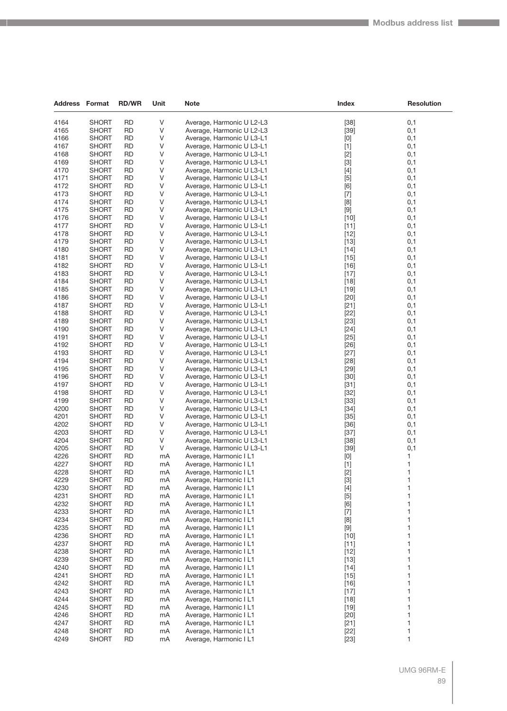| <b>Address Format</b> |              | <b>RD/WR</b> | Unit | Note                      | Index                                                                                                                                                                                                                                                                                                                       | <b>Resolution</b> |
|-----------------------|--------------|--------------|------|---------------------------|-----------------------------------------------------------------------------------------------------------------------------------------------------------------------------------------------------------------------------------------------------------------------------------------------------------------------------|-------------------|
| 4164                  | <b>SHORT</b> | <b>RD</b>    | V    |                           |                                                                                                                                                                                                                                                                                                                             |                   |
| 4165                  | <b>SHORT</b> | <b>RD</b>    | V    | Average, Harmonic U L2-L3 | $[38]$                                                                                                                                                                                                                                                                                                                      | 0,1               |
|                       |              |              |      | Average, Harmonic U L2-L3 | $[39]$                                                                                                                                                                                                                                                                                                                      | 0,1               |
| 4166                  | <b>SHORT</b> | <b>RD</b>    | V    | Average, Harmonic U L3-L1 | [0]                                                                                                                                                                                                                                                                                                                         | 0,1               |
| 4167                  | <b>SHORT</b> | <b>RD</b>    | V    | Average, Harmonic U L3-L1 | $[1]$                                                                                                                                                                                                                                                                                                                       | 0,1               |
| 4168                  | <b>SHORT</b> | <b>RD</b>    | ٧    | Average, Harmonic U L3-L1 | $[2]$                                                                                                                                                                                                                                                                                                                       | 0,1               |
| 4169                  | <b>SHORT</b> | <b>RD</b>    | ٧    | Average, Harmonic U L3-L1 | $[3]$                                                                                                                                                                                                                                                                                                                       | 0,1               |
| 4170                  | <b>SHORT</b> | <b>RD</b>    | ٧    | Average, Harmonic U L3-L1 | $[4]$                                                                                                                                                                                                                                                                                                                       | 0,1               |
| 4171                  | <b>SHORT</b> | <b>RD</b>    | V    | Average, Harmonic U L3-L1 | $[5]$                                                                                                                                                                                                                                                                                                                       | 0,1               |
| 4172                  | <b>SHORT</b> | <b>RD</b>    | ٧    | Average, Harmonic U L3-L1 | [6]                                                                                                                                                                                                                                                                                                                         | 0,1               |
| 4173                  | <b>SHORT</b> | <b>RD</b>    | ٧    | Average, Harmonic U L3-L1 | $[7]$                                                                                                                                                                                                                                                                                                                       | 0,1               |
| 4174                  | <b>SHORT</b> | <b>RD</b>    | ٧    | Average, Harmonic U L3-L1 | [8]                                                                                                                                                                                                                                                                                                                         | 0,1               |
| 4175                  | <b>SHORT</b> | RD           | V    | Average, Harmonic U L3-L1 | $[9]$                                                                                                                                                                                                                                                                                                                       | 0,1               |
| 4176                  | <b>SHORT</b> | <b>RD</b>    | V    | Average, Harmonic U L3-L1 | $[10]$                                                                                                                                                                                                                                                                                                                      | 0,1               |
| 4177                  | <b>SHORT</b> | <b>RD</b>    | V    | Average, Harmonic U L3-L1 | [11]                                                                                                                                                                                                                                                                                                                        | 0,1               |
| 4178                  | <b>SHORT</b> | <b>RD</b>    | ٧    | Average, Harmonic U L3-L1 | $[12]$                                                                                                                                                                                                                                                                                                                      | 0,1               |
| 4179                  | <b>SHORT</b> | <b>RD</b>    | ٧    | Average, Harmonic U L3-L1 | $[13]$                                                                                                                                                                                                                                                                                                                      | 0,1               |
| 4180                  | <b>SHORT</b> | <b>RD</b>    | V    | Average, Harmonic U L3-L1 | $[14]$                                                                                                                                                                                                                                                                                                                      | 0,1               |
| 4181                  | <b>SHORT</b> | <b>RD</b>    | V    | Average, Harmonic U L3-L1 | $[15]$                                                                                                                                                                                                                                                                                                                      | 0,1               |
| 4182                  | <b>SHORT</b> | <b>RD</b>    | V    | Average, Harmonic U L3-L1 | $[16]$                                                                                                                                                                                                                                                                                                                      | 0,1               |
| 4183                  | <b>SHORT</b> | <b>RD</b>    | V    | Average, Harmonic U L3-L1 | $[17]$                                                                                                                                                                                                                                                                                                                      | 0,1               |
| 4184                  | <b>SHORT</b> | <b>RD</b>    | V    | Average, Harmonic U L3-L1 | $[18]$                                                                                                                                                                                                                                                                                                                      | 0,1               |
| 4185                  | <b>SHORT</b> | <b>RD</b>    | V    | Average, Harmonic U L3-L1 | $[19]$                                                                                                                                                                                                                                                                                                                      | 0,1               |
| 4186                  | <b>SHORT</b> | <b>RD</b>    | V    | Average, Harmonic U L3-L1 | $[20]$                                                                                                                                                                                                                                                                                                                      | 0,1               |
| 4187                  | <b>SHORT</b> | <b>RD</b>    | V    | Average, Harmonic U L3-L1 | $[21]$                                                                                                                                                                                                                                                                                                                      | 0,1               |
| 4188                  | <b>SHORT</b> | <b>RD</b>    | ٧    | Average, Harmonic U L3-L1 | $[22]$                                                                                                                                                                                                                                                                                                                      | 0,1               |
| 4189                  | <b>SHORT</b> | <b>RD</b>    | V    | Average, Harmonic U L3-L1 | $[23]$                                                                                                                                                                                                                                                                                                                      | 0,1               |
| 4190                  | <b>SHORT</b> | RD           | V    | Average, Harmonic U L3-L1 | $[24]$                                                                                                                                                                                                                                                                                                                      | 0,1               |
| 4191                  | <b>SHORT</b> | <b>RD</b>    | V    | Average, Harmonic U L3-L1 | $[25]$                                                                                                                                                                                                                                                                                                                      | 0,1               |
| 4192                  | <b>SHORT</b> | <b>RD</b>    | V    | Average, Harmonic U L3-L1 | $[26]$                                                                                                                                                                                                                                                                                                                      | 0,1               |
| 4193                  | <b>SHORT</b> | <b>RD</b>    | ٧    | Average, Harmonic U L3-L1 | $[27]$                                                                                                                                                                                                                                                                                                                      | 0,1               |
| 4194                  | <b>SHORT</b> | <b>RD</b>    | ٧    | Average, Harmonic U L3-L1 | $[28]$                                                                                                                                                                                                                                                                                                                      | 0,1               |
| 4195                  | <b>SHORT</b> | RD           | ٧    | Average, Harmonic U L3-L1 | $[29]$                                                                                                                                                                                                                                                                                                                      | 0,1               |
| 4196                  | <b>SHORT</b> | <b>RD</b>    | V    | Average, Harmonic U L3-L1 | $[30]$                                                                                                                                                                                                                                                                                                                      | 0,1               |
| 4197                  | <b>SHORT</b> | <b>RD</b>    | V    | Average, Harmonic U L3-L1 | $[31]$                                                                                                                                                                                                                                                                                                                      | 0,1               |
| 4198                  | <b>SHORT</b> | <b>RD</b>    | V    | Average, Harmonic U L3-L1 | $[32]$                                                                                                                                                                                                                                                                                                                      | 0,1               |
| 4199                  | <b>SHORT</b> | <b>RD</b>    | V    | Average, Harmonic U L3-L1 | $[33]$                                                                                                                                                                                                                                                                                                                      | 0,1               |
| 4200                  | <b>SHORT</b> | RD           | ٧    | Average, Harmonic U L3-L1 | $[34]$                                                                                                                                                                                                                                                                                                                      | 0,1               |
| 4201                  | <b>SHORT</b> | <b>RD</b>    | V    | Average, Harmonic U L3-L1 | $[35]$                                                                                                                                                                                                                                                                                                                      | 0,1               |
| 4202                  | <b>SHORT</b> | <b>RD</b>    | V    | Average, Harmonic U L3-L1 | $[36]$                                                                                                                                                                                                                                                                                                                      | 0,1               |
| 4203                  | <b>SHORT</b> | <b>RD</b>    | V    | Average, Harmonic U L3-L1 | $[37]$                                                                                                                                                                                                                                                                                                                      | 0,1               |
| 4204                  | <b>SHORT</b> | <b>RD</b>    | V    | Average, Harmonic U L3-L1 | $[38]$                                                                                                                                                                                                                                                                                                                      | 0,1               |
| 4205                  | <b>SHORT</b> | RD           | V    | Average, Harmonic U L3-L1 | $[39]$                                                                                                                                                                                                                                                                                                                      | 0,1               |
| 4226                  | <b>SHORT</b> | <b>RD</b>    | mA   | Average, Harmonic I L1    | $[0] % \begin{center} % \includegraphics[width=\linewidth]{imagesSupplemental_3.png} % \end{center} % \caption { % Our method can be used for the use of the image. % Note that the \emph{Def}(i) and the \emph{Def}(i) are the same and the \emph{Def}(i) and the \emph{Def}(i) are the same. % } % \label{fig:Defin_3} %$ | 1                 |
| 4227                  | SHORT        | <b>RD</b>    | mA   | Average, Harmonic I L1    | $[1]$                                                                                                                                                                                                                                                                                                                       | 1                 |
| 4228                  | <b>SHORT</b> | <b>RD</b>    | mA   | Average, Harmonic I L1    | $[2]$                                                                                                                                                                                                                                                                                                                       | $\mathbf{1}$      |
| 4229                  | SHORT        | <b>RD</b>    | mA   | Average, Harmonic I L1    | $[3]$                                                                                                                                                                                                                                                                                                                       | 1                 |
| 4230                  | <b>SHORT</b> | <b>RD</b>    | mA   | Average, Harmonic I L1    | $[4]$                                                                                                                                                                                                                                                                                                                       | 1                 |
| 4231                  | <b>SHORT</b> | <b>RD</b>    | mA   | Average, Harmonic I L1    | $[5]$                                                                                                                                                                                                                                                                                                                       | 1                 |
| 4232                  | <b>SHORT</b> | <b>RD</b>    | mA   | Average, Harmonic I L1    | [6]                                                                                                                                                                                                                                                                                                                         | 1                 |
| 4233                  | <b>SHORT</b> | <b>RD</b>    | mA   | Average, Harmonic I L1    | $[7]$                                                                                                                                                                                                                                                                                                                       | 1                 |
| 4234                  | <b>SHORT</b> | <b>RD</b>    | mA   | Average, Harmonic I L1    | [8]                                                                                                                                                                                                                                                                                                                         | 1                 |
| 4235                  | <b>SHORT</b> | <b>RD</b>    | mA   | Average, Harmonic I L1    | $[9]$                                                                                                                                                                                                                                                                                                                       | 1                 |
| 4236                  | <b>SHORT</b> | <b>RD</b>    | mA   | Average, Harmonic I L1    | $[10]$                                                                                                                                                                                                                                                                                                                      | 1                 |
| 4237                  | <b>SHORT</b> | <b>RD</b>    | mA   | Average, Harmonic I L1    | $[11]$                                                                                                                                                                                                                                                                                                                      | 1                 |
| 4238                  | <b>SHORT</b> | RD           | mA   | Average, Harmonic I L1    | $[12]$                                                                                                                                                                                                                                                                                                                      | 1                 |
| 4239                  | <b>SHORT</b> | <b>RD</b>    | mA   | Average, Harmonic I L1    | $[13]$                                                                                                                                                                                                                                                                                                                      | 1                 |
| 4240                  | <b>SHORT</b> | <b>RD</b>    | mA   | Average, Harmonic I L1    | $[14]$                                                                                                                                                                                                                                                                                                                      | 1                 |
| 4241                  | <b>SHORT</b> | <b>RD</b>    | mA   | Average, Harmonic I L1    | $[15]$                                                                                                                                                                                                                                                                                                                      | 1                 |
| 4242                  | <b>SHORT</b> | <b>RD</b>    | mA   | Average, Harmonic I L1    | $[16]$                                                                                                                                                                                                                                                                                                                      | 1                 |
| 4243                  | <b>SHORT</b> | RD           | mA   | Average, Harmonic I L1    | $[17]$                                                                                                                                                                                                                                                                                                                      | 1                 |
| 4244                  | <b>SHORT</b> | <b>RD</b>    | mA   | Average, Harmonic I L1    | $[18]$                                                                                                                                                                                                                                                                                                                      | 1                 |
| 4245                  | <b>SHORT</b> | <b>RD</b>    | mA   | Average, Harmonic I L1    | $[19]$                                                                                                                                                                                                                                                                                                                      | 1                 |
| 4246                  | <b>SHORT</b> | <b>RD</b>    | mA   | Average, Harmonic I L1    | $[20]$                                                                                                                                                                                                                                                                                                                      | 1                 |
| 4247                  | <b>SHORT</b> | <b>RD</b>    | mA   | Average, Harmonic I L1    | $[21]$                                                                                                                                                                                                                                                                                                                      | 1                 |
| 4248                  | <b>SHORT</b> | RD           | mA   | Average, Harmonic I L1    | $[22]$                                                                                                                                                                                                                                                                                                                      | 1                 |
| 4249                  | <b>SHORT</b> | <b>RD</b>    | mA   | Average, Harmonic I L1    | $[23]$                                                                                                                                                                                                                                                                                                                      | 1                 |
|                       |              |              |      |                           |                                                                                                                                                                                                                                                                                                                             |                   |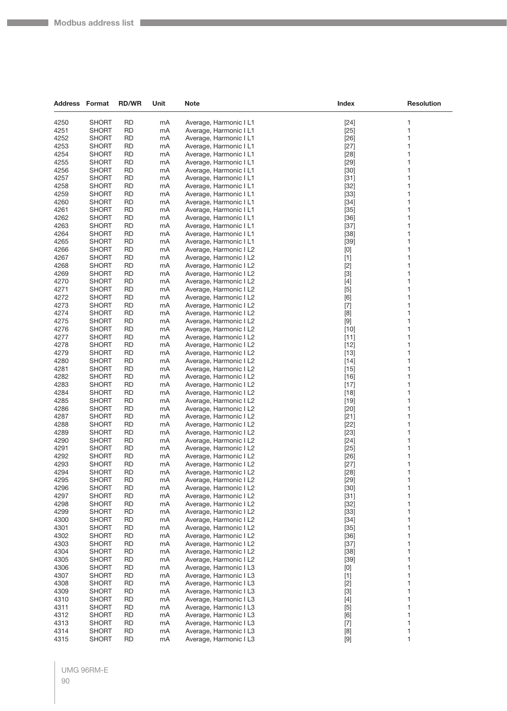| <b>Address Format</b> |                              | <b>RD/WR</b>           | Unit     | <b>Note</b>                                      | Index                                                                                                                                                                                                                                                                                                                                                                                                                                                                                                                                                                                                                                                                                                    | <b>Resolution</b> |
|-----------------------|------------------------------|------------------------|----------|--------------------------------------------------|----------------------------------------------------------------------------------------------------------------------------------------------------------------------------------------------------------------------------------------------------------------------------------------------------------------------------------------------------------------------------------------------------------------------------------------------------------------------------------------------------------------------------------------------------------------------------------------------------------------------------------------------------------------------------------------------------------|-------------------|
| 4250                  | <b>SHORT</b>                 | <b>RD</b>              | mA       | Average, Harmonic I L1                           | $[24]$                                                                                                                                                                                                                                                                                                                                                                                                                                                                                                                                                                                                                                                                                                   | 1                 |
| 4251                  | <b>SHORT</b>                 | <b>RD</b>              | mA       | Average, Harmonic I L1                           | $[25]$                                                                                                                                                                                                                                                                                                                                                                                                                                                                                                                                                                                                                                                                                                   | 1                 |
| 4252                  | <b>SHORT</b>                 | <b>RD</b>              | mA       | Average, Harmonic I L1                           | $[26]$                                                                                                                                                                                                                                                                                                                                                                                                                                                                                                                                                                                                                                                                                                   | 1                 |
| 4253                  | <b>SHORT</b>                 | <b>RD</b>              | mA       | Average, Harmonic I L1                           | $[27]$                                                                                                                                                                                                                                                                                                                                                                                                                                                                                                                                                                                                                                                                                                   | 1                 |
| 4254                  | <b>SHORT</b>                 | <b>RD</b>              | mA       | Average, Harmonic I L1                           | $[28]$                                                                                                                                                                                                                                                                                                                                                                                                                                                                                                                                                                                                                                                                                                   | 1                 |
| 4255                  | <b>SHORT</b>                 | <b>RD</b>              | mA       | Average, Harmonic I L1                           | $[29]$                                                                                                                                                                                                                                                                                                                                                                                                                                                                                                                                                                                                                                                                                                   | 1                 |
| 4256                  | <b>SHORT</b>                 | <b>RD</b>              | mA       | Average, Harmonic I L1                           | $[30]$                                                                                                                                                                                                                                                                                                                                                                                                                                                                                                                                                                                                                                                                                                   | 1                 |
| 4257                  | <b>SHORT</b>                 | <b>RD</b>              | mA       | Average, Harmonic I L1                           | $[31]$                                                                                                                                                                                                                                                                                                                                                                                                                                                                                                                                                                                                                                                                                                   | 1                 |
| 4258                  | <b>SHORT</b>                 | <b>RD</b>              | mA       | Average, Harmonic I L1                           | $[32]$                                                                                                                                                                                                                                                                                                                                                                                                                                                                                                                                                                                                                                                                                                   | 1                 |
| 4259                  | <b>SHORT</b>                 | <b>RD</b>              | mA       | Average, Harmonic I L1                           | $[33]$                                                                                                                                                                                                                                                                                                                                                                                                                                                                                                                                                                                                                                                                                                   | 1                 |
| 4260                  | <b>SHORT</b>                 | <b>RD</b>              | mA       | Average, Harmonic I L1                           | $[34]$                                                                                                                                                                                                                                                                                                                                                                                                                                                                                                                                                                                                                                                                                                   | 1                 |
| 4261                  | <b>SHORT</b>                 | <b>RD</b>              | mA       | Average, Harmonic I L1                           | $[35]$                                                                                                                                                                                                                                                                                                                                                                                                                                                                                                                                                                                                                                                                                                   | 1                 |
| 4262                  | <b>SHORT</b>                 | <b>RD</b>              | mA       | Average, Harmonic I L1                           | $[36]$                                                                                                                                                                                                                                                                                                                                                                                                                                                                                                                                                                                                                                                                                                   | 1                 |
| 4263                  | <b>SHORT</b>                 | <b>RD</b><br><b>RD</b> | mA       | Average, Harmonic I L1<br>Average, Harmonic I L1 | $[37]$                                                                                                                                                                                                                                                                                                                                                                                                                                                                                                                                                                                                                                                                                                   | 1<br>1            |
| 4264<br>4265          | <b>SHORT</b><br><b>SHORT</b> | <b>RD</b>              | mA<br>mA | Average, Harmonic I L1                           | $[38]$<br>$[39]$                                                                                                                                                                                                                                                                                                                                                                                                                                                                                                                                                                                                                                                                                         | 1                 |
| 4266                  | <b>SHORT</b>                 | <b>RD</b>              | mA       | Average, Harmonic I L2                           | $[0] % \begin{center} % \includegraphics[width=\linewidth]{imagesSupplemental_3.png} % \end{center} % \caption { % Our method can be used for the use of the image. % Note that the \emph{DefNet}~\cite{bib66} as a function of the \emph{DefNet}~\cite{bib66} as a function of the \emph{DefNet}~\cite{bib66} as a function of the \emph{DefNet}~\cite{bib66} as a function of the \emph{DefNet}~\cite{bib66} as a function of the \emph{DefNet}~\cite{bib66} as a function of the \emph{DefNet}~\cite{bib66} as a function of the \emph{DefNet}~\cite{bib66} as a function of the \emph{DefNet}$                                                                                                       | 1                 |
| 4267                  | <b>SHORT</b>                 | <b>RD</b>              | mA       | Average, Harmonic I L2                           | $[1]$                                                                                                                                                                                                                                                                                                                                                                                                                                                                                                                                                                                                                                                                                                    | 1                 |
| 4268                  | <b>SHORT</b>                 | <b>RD</b>              | mA       | Average, Harmonic I L2                           | $[2]$                                                                                                                                                                                                                                                                                                                                                                                                                                                                                                                                                                                                                                                                                                    | 1                 |
| 4269                  | <b>SHORT</b>                 | <b>RD</b>              | mA       | Average, Harmonic I L2                           | $[3]$                                                                                                                                                                                                                                                                                                                                                                                                                                                                                                                                                                                                                                                                                                    | 1                 |
| 4270                  | <b>SHORT</b>                 | <b>RD</b>              | mA       | Average, Harmonic I L2                           | $[4]$                                                                                                                                                                                                                                                                                                                                                                                                                                                                                                                                                                                                                                                                                                    | 1                 |
| 4271                  | <b>SHORT</b>                 | <b>RD</b>              | mA       | Average, Harmonic I L2                           | $[5]$                                                                                                                                                                                                                                                                                                                                                                                                                                                                                                                                                                                                                                                                                                    | 1                 |
| 4272                  | <b>SHORT</b>                 | <b>RD</b>              | mA       | Average, Harmonic I L2                           | [6]                                                                                                                                                                                                                                                                                                                                                                                                                                                                                                                                                                                                                                                                                                      | 1                 |
| 4273                  | <b>SHORT</b>                 | <b>RD</b>              | mA       | Average, Harmonic I L2                           | $[7]$                                                                                                                                                                                                                                                                                                                                                                                                                                                                                                                                                                                                                                                                                                    | 1                 |
| 4274                  | <b>SHORT</b>                 | <b>RD</b>              | mA       | Average, Harmonic I L2                           | [8]                                                                                                                                                                                                                                                                                                                                                                                                                                                                                                                                                                                                                                                                                                      | 1                 |
| 4275                  | <b>SHORT</b>                 | <b>RD</b>              | mA       | Average, Harmonic I L2                           | $[9] % \begin{center} \includegraphics[width=\linewidth]{imagesSupplemental/Imers.png} \end{center} % \vspace{-1em} \caption{The image shows the number of parameters of the parameter $\mathcal{M}_1$-error of the parameter $\mathcal{M}_2$-error of the parameter $\mathcal{M}_1$-error of the parameter $\mathcal{M}_2$-error of the parameter $\mathcal{M}_1$-error of the parameter $\mathcal{M}_2$-error of the parameter $\mathcal{M}_1$-error of the parameter $\mathcal{M}_2$-error of the parameter $\mathcal{M}_1$-error of the parameter $\mathcal{M}_2$-error of the parameter $\mathcal{M}_1$-error of the parameter $\mathcal{M}_2$-error of the parameter $\mathcal{M}_1$-error of the$ | 1                 |
| 4276                  | <b>SHORT</b>                 | <b>RD</b>              | mA       | Average, Harmonic I L2                           | $[10]$                                                                                                                                                                                                                                                                                                                                                                                                                                                                                                                                                                                                                                                                                                   | 1                 |
| 4277<br>4278          | <b>SHORT</b><br><b>SHORT</b> | <b>RD</b><br><b>RD</b> | mA<br>mA | Average, Harmonic I L2                           | $[11]$<br>$[12]$                                                                                                                                                                                                                                                                                                                                                                                                                                                                                                                                                                                                                                                                                         | 1<br>1            |
| 4279                  | <b>SHORT</b>                 | <b>RD</b>              | mA       | Average, Harmonic I L2<br>Average, Harmonic I L2 | $[13]$                                                                                                                                                                                                                                                                                                                                                                                                                                                                                                                                                                                                                                                                                                   | 1                 |
| 4280                  | <b>SHORT</b>                 | <b>RD</b>              | mA       | Average, Harmonic I L2                           | $[14]$                                                                                                                                                                                                                                                                                                                                                                                                                                                                                                                                                                                                                                                                                                   | 1                 |
| 4281                  | <b>SHORT</b>                 | <b>RD</b>              | mA       | Average, Harmonic I L2                           | $[15]$                                                                                                                                                                                                                                                                                                                                                                                                                                                                                                                                                                                                                                                                                                   | 1                 |
| 4282                  | <b>SHORT</b>                 | <b>RD</b>              | mA       | Average, Harmonic I L2                           | $[16]$                                                                                                                                                                                                                                                                                                                                                                                                                                                                                                                                                                                                                                                                                                   | 1                 |
| 4283                  | <b>SHORT</b>                 | <b>RD</b>              | mA       | Average, Harmonic I L2                           | $[17]$                                                                                                                                                                                                                                                                                                                                                                                                                                                                                                                                                                                                                                                                                                   | 1                 |
| 4284                  | <b>SHORT</b>                 | <b>RD</b>              | mA       | Average, Harmonic I L2                           | $[18]$                                                                                                                                                                                                                                                                                                                                                                                                                                                                                                                                                                                                                                                                                                   | 1                 |
| 4285                  | <b>SHORT</b>                 | <b>RD</b>              | mA       | Average, Harmonic I L2                           | $[19]$                                                                                                                                                                                                                                                                                                                                                                                                                                                                                                                                                                                                                                                                                                   | 1                 |
| 4286                  | <b>SHORT</b>                 | <b>RD</b>              | mA       | Average, Harmonic I L2                           | $[20]$                                                                                                                                                                                                                                                                                                                                                                                                                                                                                                                                                                                                                                                                                                   | 1                 |
| 4287                  | <b>SHORT</b>                 | <b>RD</b>              | mA       | Average, Harmonic I L2                           | $[21]$                                                                                                                                                                                                                                                                                                                                                                                                                                                                                                                                                                                                                                                                                                   | 1                 |
| 4288                  | <b>SHORT</b>                 | <b>RD</b>              | mA       | Average, Harmonic I L2                           | $[22]$                                                                                                                                                                                                                                                                                                                                                                                                                                                                                                                                                                                                                                                                                                   | 1                 |
| 4289<br>4290          | <b>SHORT</b>                 | <b>RD</b><br><b>RD</b> | mA<br>mA | Average, Harmonic I L2                           | $[23]$                                                                                                                                                                                                                                                                                                                                                                                                                                                                                                                                                                                                                                                                                                   | 1<br>1            |
| 4291                  | <b>SHORT</b><br><b>SHORT</b> | <b>RD</b>              | mA       | Average, Harmonic I L2<br>Average, Harmonic I L2 | $[24]$<br>$[25]$                                                                                                                                                                                                                                                                                                                                                                                                                                                                                                                                                                                                                                                                                         | 1                 |
| 4292                  | <b>SHORT</b>                 | <b>RD</b>              | mA       | Average, Harmonic I L2                           | $[26]$                                                                                                                                                                                                                                                                                                                                                                                                                                                                                                                                                                                                                                                                                                   | 1                 |
| 4293                  | <b>SHORT</b>                 | <b>RD</b>              | mA       | Average, Harmonic I L2                           | $[27]$                                                                                                                                                                                                                                                                                                                                                                                                                                                                                                                                                                                                                                                                                                   | 1                 |
| 4294                  | <b>SHORT</b>                 | <b>RD</b>              | mA       | Average, Harmonic I L2                           | $[28]$                                                                                                                                                                                                                                                                                                                                                                                                                                                                                                                                                                                                                                                                                                   | 1                 |
| 4295                  | <b>SHORT</b>                 | <b>RD</b>              | mA       | Average, Harmonic I L2                           | $[29]$                                                                                                                                                                                                                                                                                                                                                                                                                                                                                                                                                                                                                                                                                                   | 1                 |
| 4296                  | <b>SHORT</b>                 | <b>RD</b>              | mA       | Average, Harmonic I L2                           | $[30]$                                                                                                                                                                                                                                                                                                                                                                                                                                                                                                                                                                                                                                                                                                   | 1                 |
| 4297                  | <b>SHORT</b>                 | <b>RD</b>              | mA       | Average, Harmonic I L2                           | $[31]$                                                                                                                                                                                                                                                                                                                                                                                                                                                                                                                                                                                                                                                                                                   | 1                 |
| 4298                  | <b>SHORT</b>                 | <b>RD</b>              | mA       | Average, Harmonic I L2                           | $[32]$                                                                                                                                                                                                                                                                                                                                                                                                                                                                                                                                                                                                                                                                                                   | 1                 |
| 4299                  | <b>SHORT</b>                 | <b>RD</b>              | mA       | Average, Harmonic I L2                           | $[33]$                                                                                                                                                                                                                                                                                                                                                                                                                                                                                                                                                                                                                                                                                                   | 1                 |
| 4300                  | <b>SHORT</b>                 | <b>RD</b>              | mA       | Average, Harmonic I L2                           | $[34]$                                                                                                                                                                                                                                                                                                                                                                                                                                                                                                                                                                                                                                                                                                   | 1                 |
| 4301<br>4302          | <b>SHORT</b><br><b>SHORT</b> | <b>RD</b><br><b>RD</b> | mA<br>mA | Average, Harmonic I L2<br>Average, Harmonic I L2 | $[35]$<br>$[36]$                                                                                                                                                                                                                                                                                                                                                                                                                                                                                                                                                                                                                                                                                         | 1<br>1            |
| 4303                  | <b>SHORT</b>                 | <b>RD</b>              | mA       | Average, Harmonic I L2                           | $[37]$                                                                                                                                                                                                                                                                                                                                                                                                                                                                                                                                                                                                                                                                                                   | 1                 |
| 4304                  | <b>SHORT</b>                 | <b>RD</b>              | mA       | Average, Harmonic I L2                           | $[38]$                                                                                                                                                                                                                                                                                                                                                                                                                                                                                                                                                                                                                                                                                                   | 1                 |
| 4305                  | <b>SHORT</b>                 | <b>RD</b>              | mA       | Average, Harmonic I L2                           | $[39]$                                                                                                                                                                                                                                                                                                                                                                                                                                                                                                                                                                                                                                                                                                   | 1                 |
| 4306                  | <b>SHORT</b>                 | <b>RD</b>              | mA       | Average, Harmonic I L3                           | $[0] % \begin{center} % \includegraphics[width=\linewidth]{imagesSupplemental_3.png} % \end{center} % \caption { % Our method can be used for the use of the image. % Note that the \emph{DefNet}~\cite{bib66} as a function of the \emph{DefNet}~\cite{bib66} as a function of the \emph{DefNet}~\cite{bib66} as a function of the \emph{DefNet}~\cite{bib66} as a function of the \emph{DefNet}~\cite{bib66} as a function of the \emph{DefNet}~\cite{bib66} as a function of the \emph{DefNet}~\cite{bib66} as a function of the \emph{DefNet}~\cite{bib66} as a function of the \emph{DefNet}$                                                                                                       | 1                 |
| 4307                  | <b>SHORT</b>                 | <b>RD</b>              | mA       | Average, Harmonic I L3                           | $[1]$                                                                                                                                                                                                                                                                                                                                                                                                                                                                                                                                                                                                                                                                                                    | 1                 |
| 4308                  | <b>SHORT</b>                 | <b>RD</b>              | mA       | Average, Harmonic I L3                           | $[2]$                                                                                                                                                                                                                                                                                                                                                                                                                                                                                                                                                                                                                                                                                                    | 1                 |
| 4309                  | <b>SHORT</b>                 | <b>RD</b>              | mA       | Average, Harmonic I L3                           | $[3]$                                                                                                                                                                                                                                                                                                                                                                                                                                                                                                                                                                                                                                                                                                    | 1                 |
| 4310                  | <b>SHORT</b>                 | <b>RD</b>              | mA       | Average, Harmonic I L3                           | $[4]$                                                                                                                                                                                                                                                                                                                                                                                                                                                                                                                                                                                                                                                                                                    | 1                 |
| 4311                  | <b>SHORT</b>                 | <b>RD</b>              | mA       | Average, Harmonic I L3                           | $[5]$                                                                                                                                                                                                                                                                                                                                                                                                                                                                                                                                                                                                                                                                                                    | 1                 |
| 4312                  | <b>SHORT</b>                 | <b>RD</b>              | mA       | Average, Harmonic I L3                           | [6]                                                                                                                                                                                                                                                                                                                                                                                                                                                                                                                                                                                                                                                                                                      | 1                 |
| 4313                  | <b>SHORT</b>                 | <b>RD</b>              | mA       | Average, Harmonic I L3                           | $[7]$                                                                                                                                                                                                                                                                                                                                                                                                                                                                                                                                                                                                                                                                                                    | 1                 |
| 4314                  | <b>SHORT</b>                 | <b>RD</b>              | mA       | Average, Harmonic I L3                           | $[8]$                                                                                                                                                                                                                                                                                                                                                                                                                                                                                                                                                                                                                                                                                                    | 1                 |
| 4315                  | <b>SHORT</b>                 | <b>RD</b>              | mA       | Average, Harmonic I L3                           | $\left[ 9\right]$                                                                                                                                                                                                                                                                                                                                                                                                                                                                                                                                                                                                                                                                                        | 1                 |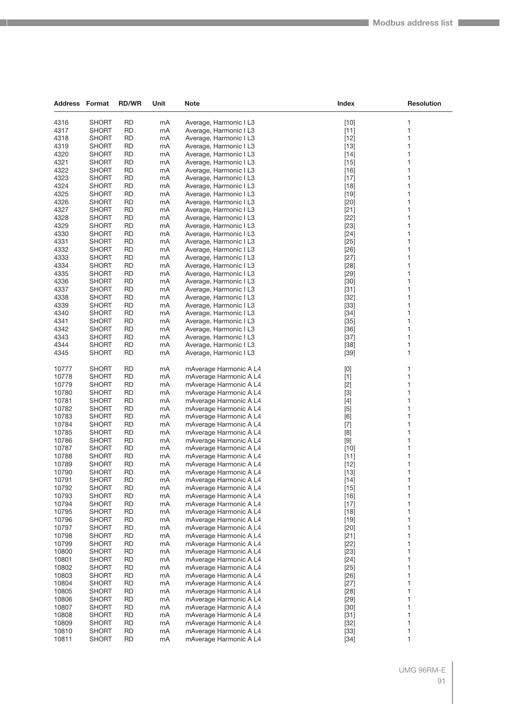| <b>Address Format</b> |                              | <b>RD/WR</b>           | Unit     | Note                                             | Index                                                                                                                                                                                                                                                                                                                       | <b>Resolution</b> |
|-----------------------|------------------------------|------------------------|----------|--------------------------------------------------|-----------------------------------------------------------------------------------------------------------------------------------------------------------------------------------------------------------------------------------------------------------------------------------------------------------------------------|-------------------|
|                       |                              |                        |          |                                                  |                                                                                                                                                                                                                                                                                                                             |                   |
| 4316                  | <b>SHORT</b>                 | <b>RD</b>              | mA       | Average, Harmonic I L3                           | $[10]$                                                                                                                                                                                                                                                                                                                      | 1                 |
| 4317                  | <b>SHORT</b>                 | <b>RD</b>              | mA       | Average, Harmonic I L3                           | $[11]$                                                                                                                                                                                                                                                                                                                      | 1                 |
| 4318                  | <b>SHORT</b>                 | <b>RD</b>              | mA       | Average, Harmonic I L3                           | $[12]$                                                                                                                                                                                                                                                                                                                      | 1                 |
| 4319                  | <b>SHORT</b>                 | <b>RD</b>              | mA       | Average, Harmonic I L3                           | $[13]$                                                                                                                                                                                                                                                                                                                      | 1                 |
| 4320                  | <b>SHORT</b>                 | <b>RD</b>              | mA       | Average, Harmonic I L3                           | $[14]$                                                                                                                                                                                                                                                                                                                      | 1                 |
| 4321                  | <b>SHORT</b>                 | RD                     | mA       | Average, Harmonic I L3                           | $[15]$                                                                                                                                                                                                                                                                                                                      | 1                 |
| 4322                  | <b>SHORT</b>                 | <b>RD</b>              | mA       | Average, Harmonic I L3                           | $[16]$                                                                                                                                                                                                                                                                                                                      | 1                 |
| 4323                  | <b>SHORT</b>                 | <b>RD</b>              | mA       | Average, Harmonic I L3                           | $[17]$                                                                                                                                                                                                                                                                                                                      | 1                 |
| 4324                  | <b>SHORT</b>                 | <b>RD</b>              | mA       | Average, Harmonic I L3                           | $[18]$                                                                                                                                                                                                                                                                                                                      | 1                 |
| 4325                  | <b>SHORT</b>                 | <b>RD</b>              | mA       | Average, Harmonic I L3                           | $[19]$                                                                                                                                                                                                                                                                                                                      | 1                 |
| 4326                  | <b>SHORT</b>                 | RD                     | mA       | Average, Harmonic I L3                           | $[20]$                                                                                                                                                                                                                                                                                                                      | 1                 |
| 4327                  | <b>SHORT</b>                 | <b>RD</b>              | mA       | Average, Harmonic I L3                           | $[21]$                                                                                                                                                                                                                                                                                                                      | 1                 |
| 4328<br>4329          | <b>SHORT</b><br><b>SHORT</b> | <b>RD</b><br><b>RD</b> | mA       | Average, Harmonic I L3                           | $[22]$                                                                                                                                                                                                                                                                                                                      | 1<br>1            |
| 4330                  | <b>SHORT</b>                 | <b>RD</b>              | mA<br>mA | Average, Harmonic I L3<br>Average, Harmonic I L3 | $[23]$<br>$[24]$                                                                                                                                                                                                                                                                                                            | 1                 |
| 4331                  | <b>SHORT</b>                 | RD                     | mA       | Average, Harmonic I L3                           | $[25]$                                                                                                                                                                                                                                                                                                                      | 1                 |
| 4332                  | <b>SHORT</b>                 | <b>RD</b>              | mA       | Average, Harmonic I L3                           | $[26]$                                                                                                                                                                                                                                                                                                                      | 1                 |
| 4333                  | <b>SHORT</b>                 | <b>RD</b>              | mA       | Average, Harmonic I L3                           | $[27]$                                                                                                                                                                                                                                                                                                                      | 1                 |
| 4334                  | <b>SHORT</b>                 | <b>RD</b>              | mA       | Average, Harmonic I L3                           | $[28]$                                                                                                                                                                                                                                                                                                                      | 1                 |
| 4335                  | <b>SHORT</b>                 | <b>RD</b>              | mA       | Average, Harmonic I L3                           | $[29]$                                                                                                                                                                                                                                                                                                                      | 1                 |
| 4336                  | <b>SHORT</b>                 | <b>RD</b>              | mA       | Average, Harmonic I L3                           | $[30]$                                                                                                                                                                                                                                                                                                                      | 1                 |
| 4337                  | <b>SHORT</b>                 | <b>RD</b>              | mA       | Average, Harmonic I L3                           | $[31]$                                                                                                                                                                                                                                                                                                                      | 1                 |
| 4338                  | <b>SHORT</b>                 | <b>RD</b>              | mA       | Average, Harmonic I L3                           | $[32]$                                                                                                                                                                                                                                                                                                                      | 1                 |
| 4339                  | <b>SHORT</b>                 | <b>RD</b>              | mA       | Average, Harmonic I L3                           | $[33]$                                                                                                                                                                                                                                                                                                                      | 1                 |
| 4340                  | <b>SHORT</b>                 | <b>RD</b>              | mA       | Average, Harmonic I L3                           | $[34]$                                                                                                                                                                                                                                                                                                                      | 1                 |
| 4341                  | <b>SHORT</b>                 | <b>RD</b>              | mA       | Average, Harmonic I L3                           | $[35]$                                                                                                                                                                                                                                                                                                                      | 1                 |
| 4342                  | <b>SHORT</b>                 | <b>RD</b>              | mA       | Average, Harmonic I L3                           | $[36]$                                                                                                                                                                                                                                                                                                                      | 1                 |
| 4343                  | <b>SHORT</b>                 | <b>RD</b>              | mA       | Average, Harmonic I L3                           | $[37]$                                                                                                                                                                                                                                                                                                                      | 1                 |
| 4344                  | <b>SHORT</b>                 | <b>RD</b>              | mA       | Average, Harmonic I L3                           | $[38]$                                                                                                                                                                                                                                                                                                                      | 1                 |
| 4345                  | <b>SHORT</b>                 | <b>RD</b>              | mA       | Average, Harmonic I L3                           | $[39]$                                                                                                                                                                                                                                                                                                                      | 1                 |
|                       |                              |                        |          |                                                  |                                                                                                                                                                                                                                                                                                                             |                   |
| 10777                 | <b>SHORT</b>                 | <b>RD</b>              | mA       | mAverage Harmonic A L4                           | $[0] % \begin{center} % \includegraphics[width=\linewidth]{imagesSupplemental_3.png} % \end{center} % \caption { % Our method can be used for the use of the image. % Note that the \emph{Def}(i) and the \emph{Def}(i) are the same and the \emph{Def}(i) and the \emph{Def}(i) are the same. % } % \label{fig:Defin_3} %$ | 1                 |
| 10778                 | <b>SHORT</b>                 | <b>RD</b>              | mA       | mAverage Harmonic A L4                           | $[1]$                                                                                                                                                                                                                                                                                                                       | 1                 |
| 10779                 | <b>SHORT</b>                 | <b>RD</b>              | mA       | mAverage Harmonic A L4                           | $[2]$                                                                                                                                                                                                                                                                                                                       | 1                 |
| 10780                 | <b>SHORT</b>                 | <b>RD</b>              | mA       | mAverage Harmonic A L4                           | $[3]$                                                                                                                                                                                                                                                                                                                       | 1                 |
| 10781                 | <b>SHORT</b>                 | <b>RD</b>              | mA       | mAverage Harmonic A L4                           | $[4]$                                                                                                                                                                                                                                                                                                                       | 1                 |
| 10782                 | <b>SHORT</b>                 | <b>RD</b>              | mA       | mAverage Harmonic A L4                           | $[5]$                                                                                                                                                                                                                                                                                                                       | 1                 |
| 10783                 | <b>SHORT</b>                 | <b>RD</b>              | mA       | mAverage Harmonic A L4                           | [6]                                                                                                                                                                                                                                                                                                                         | 1                 |
| 10784                 | <b>SHORT</b>                 | <b>RD</b>              | mA       | mAverage Harmonic A L4                           | $[7]$                                                                                                                                                                                                                                                                                                                       | 1                 |
| 10785                 | <b>SHORT</b>                 | <b>RD</b>              | mA       | mAverage Harmonic A L4                           | $[8] % \begin{center} \includegraphics[width=\linewidth]{imagesSupplemental/Imetad2D.pdf} \end{center} % \vspace{-1em} \caption{The image shows the number of parameters in the left and right.} \label{fig:limsub}$                                                                                                        | 1                 |
| 10786                 | <b>SHORT</b>                 | <b>RD</b>              | mA       | mAverage Harmonic A L4                           | $[9]$                                                                                                                                                                                                                                                                                                                       | 1                 |
| 10787                 | <b>SHORT</b>                 | <b>RD</b>              | mA       | mAverage Harmonic A L4                           | $[10]$                                                                                                                                                                                                                                                                                                                      | 1                 |
| 10788                 | <b>SHORT</b>                 | <b>RD</b>              | mA       | mAverage Harmonic A L4                           | $[11]$                                                                                                                                                                                                                                                                                                                      | 1                 |
| 10789                 | <b>SHORT</b>                 | <b>RD</b>              | mA       | mAverage Harmonic A L4                           | $[12]$                                                                                                                                                                                                                                                                                                                      | 1                 |
| 10790                 | <b>SHORT</b>                 | <b>RD</b>              | mA       | mAverage Harmonic A L4                           | $[13]$                                                                                                                                                                                                                                                                                                                      | 1                 |
| 10791                 | <b>SHORT</b>                 | <b>RD</b>              | mA       | mAverage Harmonic A L4                           | $[14]$                                                                                                                                                                                                                                                                                                                      | 1                 |
| 10792                 | <b>SHORT</b>                 | <b>RD</b>              | mA       | mAverage Harmonic A L4                           | $[15]$                                                                                                                                                                                                                                                                                                                      | 1                 |
| 10793                 | <b>SHORT</b>                 | <b>RD</b>              | mA       | mAverage Harmonic A L4                           | $[16]$                                                                                                                                                                                                                                                                                                                      | 1                 |
| 10794                 | <b>SHORT</b>                 | <b>RD</b>              | mA       | mAverage Harmonic A L4                           | $[17]$                                                                                                                                                                                                                                                                                                                      | 1                 |
| 10795                 | <b>SHORT</b>                 | RD                     | mA       | mAverage Harmonic A L4                           | $[18]$                                                                                                                                                                                                                                                                                                                      | 1                 |
| 10796                 | <b>SHORT</b>                 | <b>RD</b>              | mA       | mAverage Harmonic A L4                           | $[19]$                                                                                                                                                                                                                                                                                                                      | 1                 |
| 10797                 | <b>SHORT</b>                 | <b>RD</b>              | mA       | mAverage Harmonic A L4                           | $[20]$                                                                                                                                                                                                                                                                                                                      | 1                 |
| 10798                 | <b>SHORT</b>                 | <b>RD</b>              | mA       | mAverage Harmonic A L4                           | $[21]$                                                                                                                                                                                                                                                                                                                      | 1                 |
| 10799                 | <b>SHORT</b>                 | <b>RD</b>              | mA       | mAverage Harmonic A L4                           | $[22]$                                                                                                                                                                                                                                                                                                                      | 1                 |
| 10800                 | <b>SHORT</b>                 | RD                     | mA       | mAverage Harmonic A L4                           | $[23]$                                                                                                                                                                                                                                                                                                                      | 1                 |
| 10801                 | <b>SHORT</b>                 | <b>RD</b>              | mA       | mAverage Harmonic A L4                           | $[24]$                                                                                                                                                                                                                                                                                                                      | 1                 |
| 10802                 | <b>SHORT</b>                 | <b>RD</b>              | mA       | mAverage Harmonic A L4                           | $[25]$                                                                                                                                                                                                                                                                                                                      | 1                 |
| 10803                 | <b>SHORT</b>                 | <b>RD</b>              | mA       | mAverage Harmonic A L4                           | $[26]$                                                                                                                                                                                                                                                                                                                      | 1                 |
| 10804                 | <b>SHORT</b>                 | <b>RD</b>              | mA       | mAverage Harmonic A L4                           | $[27]$                                                                                                                                                                                                                                                                                                                      | 1                 |
| 10805                 | <b>SHORT</b>                 | RD                     | mA       | mAverage Harmonic A L4                           | $[28]$                                                                                                                                                                                                                                                                                                                      | 1                 |
| 10806                 | <b>SHORT</b>                 | <b>RD</b>              | mA       | mAverage Harmonic A L4                           | $[29]$                                                                                                                                                                                                                                                                                                                      | 1                 |
| 10807                 | <b>SHORT</b>                 | <b>RD</b>              | mA       | mAverage Harmonic A L4                           | $[30]$                                                                                                                                                                                                                                                                                                                      | 1                 |
| 10808                 | <b>SHORT</b>                 | <b>RD</b>              | mA       | mAverage Harmonic A L4                           | $[31]$                                                                                                                                                                                                                                                                                                                      | 1                 |
| 10809                 | <b>SHORT</b>                 | <b>RD</b>              | mA       | mAverage Harmonic A L4                           | $[32]$                                                                                                                                                                                                                                                                                                                      | 1                 |
| 10810                 | <b>SHORT</b>                 | RD                     | mA       | mAverage Harmonic A L4                           | $[33]$                                                                                                                                                                                                                                                                                                                      | 1                 |
| 10811                 | <b>SHORT</b>                 | <b>RD</b>              | mA       | mAverage Harmonic A L4                           | $[34]$                                                                                                                                                                                                                                                                                                                      | 1                 |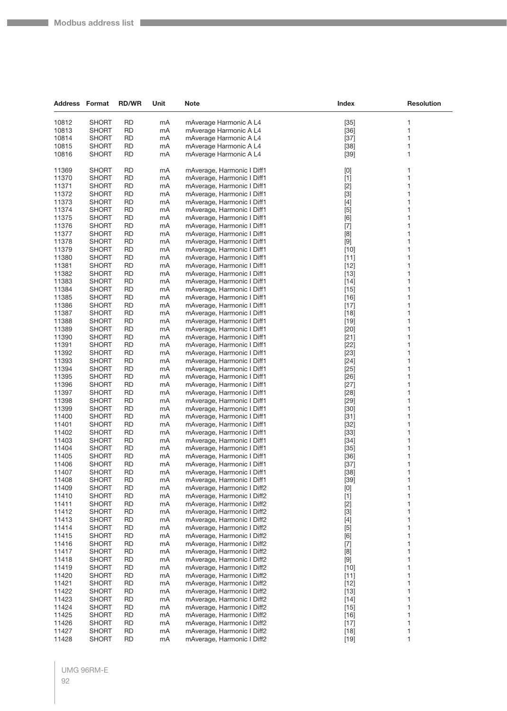| <b>Address Format</b> |                              | <b>RD/WR</b>           | Unit     | <b>Note</b>                                              | Index                                                                                                                                                                                                                                                                                                                                                                                                                                                                                                                                                                                                                                                                                                                                                                                                                                                                                                                                      | <b>Resolution</b> |
|-----------------------|------------------------------|------------------------|----------|----------------------------------------------------------|--------------------------------------------------------------------------------------------------------------------------------------------------------------------------------------------------------------------------------------------------------------------------------------------------------------------------------------------------------------------------------------------------------------------------------------------------------------------------------------------------------------------------------------------------------------------------------------------------------------------------------------------------------------------------------------------------------------------------------------------------------------------------------------------------------------------------------------------------------------------------------------------------------------------------------------------|-------------------|
| 10812                 | <b>SHORT</b>                 | <b>RD</b>              | mA       | mAverage Harmonic A L4                                   | $[35]$                                                                                                                                                                                                                                                                                                                                                                                                                                                                                                                                                                                                                                                                                                                                                                                                                                                                                                                                     | 1                 |
| 10813                 | <b>SHORT</b>                 | <b>RD</b>              | mA       | mAverage Harmonic A L4                                   | $[36]$                                                                                                                                                                                                                                                                                                                                                                                                                                                                                                                                                                                                                                                                                                                                                                                                                                                                                                                                     | 1                 |
| 10814                 | <b>SHORT</b>                 | <b>RD</b>              | mA       | mAverage Harmonic A L4                                   | $[37]$                                                                                                                                                                                                                                                                                                                                                                                                                                                                                                                                                                                                                                                                                                                                                                                                                                                                                                                                     | 1                 |
| 10815                 | <b>SHORT</b>                 | <b>RD</b>              | mA       | mAverage Harmonic A L4                                   | $[38]$                                                                                                                                                                                                                                                                                                                                                                                                                                                                                                                                                                                                                                                                                                                                                                                                                                                                                                                                     | 1                 |
| 10816                 | <b>SHORT</b>                 | <b>RD</b>              | mA       | mAverage Harmonic A L4                                   | $[39]$                                                                                                                                                                                                                                                                                                                                                                                                                                                                                                                                                                                                                                                                                                                                                                                                                                                                                                                                     | 1                 |
| 11369                 | <b>SHORT</b>                 | RD                     | mA       | mAverage, Harmonic I Diff1                               | $[0] % \begin{center} % \includegraphics[width=\linewidth]{imagesSupplemental_3.png} % \end{center} % \caption { % Our method is used for the method. % Note that the \emph{exponent} and \emph{exponent} is used for the \emph{exponent} and \emph{exponent} is used for the \emph{exponent} and \emph{exponent} is used for the \emph{exponent} and \emph{exponent} is used for the \emph{exponent} and \emph{exponent} is used for the \emph{exponent} and \emph{exponent} is used for the \emph{exponent} and \emph{exponent} is used for the \emph{exponent} and \emph{exponent} is used for the \emph{exponent} and \emph{exponent} is used for the$                                                                                                                                                                                                                                                                                 | 1                 |
| 11370                 | <b>SHORT</b>                 | <b>RD</b>              | mA       | mAverage, Harmonic I Diff1                               | $[1]$                                                                                                                                                                                                                                                                                                                                                                                                                                                                                                                                                                                                                                                                                                                                                                                                                                                                                                                                      | 1                 |
| 11371                 | <b>SHORT</b>                 | RD                     | mA       | mAverage, Harmonic I Diff1                               | $[2]$                                                                                                                                                                                                                                                                                                                                                                                                                                                                                                                                                                                                                                                                                                                                                                                                                                                                                                                                      | 1                 |
| 11372                 | <b>SHORT</b>                 | <b>RD</b>              | mA       | mAverage, Harmonic I Diff1                               | $[3]$                                                                                                                                                                                                                                                                                                                                                                                                                                                                                                                                                                                                                                                                                                                                                                                                                                                                                                                                      | 1                 |
| 11373                 | <b>SHORT</b>                 | <b>RD</b>              | mA       | mAverage, Harmonic I Diff1                               | $[4]$                                                                                                                                                                                                                                                                                                                                                                                                                                                                                                                                                                                                                                                                                                                                                                                                                                                                                                                                      | 1                 |
| 11374                 | <b>SHORT</b>                 | <b>RD</b>              | mA       | mAverage, Harmonic I Diff1                               | $[5]$                                                                                                                                                                                                                                                                                                                                                                                                                                                                                                                                                                                                                                                                                                                                                                                                                                                                                                                                      | 1                 |
| 11375<br>11376        | <b>SHORT</b><br><b>SHORT</b> | <b>RD</b><br><b>RD</b> | mA<br>mA | mAverage, Harmonic I Diff1                               | [6]<br>$[7]$                                                                                                                                                                                                                                                                                                                                                                                                                                                                                                                                                                                                                                                                                                                                                                                                                                                                                                                               | 1<br>1            |
| 11377                 | <b>SHORT</b>                 | <b>RD</b>              | mA       | mAverage, Harmonic I Diff1<br>mAverage, Harmonic I Diff1 | $[8] % \begin{center} \includegraphics[width=\linewidth]{imagesSupplemental/Imetad2.png} \end{center} % \caption { % Our method shows the proposed method. % } % \label{fig:limsub} %$                                                                                                                                                                                                                                                                                                                                                                                                                                                                                                                                                                                                                                                                                                                                                     | 1                 |
| 11378                 | <b>SHORT</b>                 | <b>RD</b>              | mA       | mAverage, Harmonic I Diff1                               | $[9] % \begin{center} \includegraphics[width=\linewidth]{imagesSupplemental/Imers.png} \end{center} % \vspace*{-1em} \caption{The image shows the number of parameters of the parameter $\mathcal{M}$ with the number of parameters in the parameter $\mathcal{M}$ and the number of parameters in the parameter $\mathcal{M}$ and the number of parameters in the parameter $\mathcal{M}$ and the number of parameters in the parameter $\mathcal{M}$ and the number of parameters in the parameter $\mathcal{M}$ and the number of parameters in the parameter $\mathcal{M}$ and the number of parameters in the parameter $\mathcal{M}$ and the number of parameters in the parameter $\mathcal{M}$ and the number of parameters in the parameter $\mathcal{M}$ and the number of parameters in the parameter $\mathcal{M}$ and the number of parameters in the parameter $\mathcal{M}$ and the number of parameters in the$            | 1                 |
| 11379                 | <b>SHORT</b>                 | RD                     | mA       | mAverage, Harmonic I Diff1                               | $[10]$                                                                                                                                                                                                                                                                                                                                                                                                                                                                                                                                                                                                                                                                                                                                                                                                                                                                                                                                     | 1                 |
| 11380                 | <b>SHORT</b>                 | <b>RD</b>              | mA       | mAverage, Harmonic I Diff1                               | $[11]$                                                                                                                                                                                                                                                                                                                                                                                                                                                                                                                                                                                                                                                                                                                                                                                                                                                                                                                                     | 1                 |
| 11381                 | <b>SHORT</b>                 | <b>RD</b>              | mA       | mAverage, Harmonic I Diff1                               | $[12]$                                                                                                                                                                                                                                                                                                                                                                                                                                                                                                                                                                                                                                                                                                                                                                                                                                                                                                                                     | 1                 |
| 11382                 | <b>SHORT</b>                 | <b>RD</b>              | mA       | mAverage, Harmonic I Diff1                               | $[13]$                                                                                                                                                                                                                                                                                                                                                                                                                                                                                                                                                                                                                                                                                                                                                                                                                                                                                                                                     | 1                 |
| 11383                 | <b>SHORT</b>                 | <b>RD</b>              | mA       | mAverage, Harmonic I Diff1                               | $[14]$                                                                                                                                                                                                                                                                                                                                                                                                                                                                                                                                                                                                                                                                                                                                                                                                                                                                                                                                     | 1                 |
| 11384                 | <b>SHORT</b>                 | <b>RD</b>              | mA       | mAverage, Harmonic I Diff1                               | $[15]$                                                                                                                                                                                                                                                                                                                                                                                                                                                                                                                                                                                                                                                                                                                                                                                                                                                                                                                                     | 1                 |
| 11385                 | <b>SHORT</b>                 | <b>RD</b>              | mA       | mAverage, Harmonic I Diff1                               | $[16]$                                                                                                                                                                                                                                                                                                                                                                                                                                                                                                                                                                                                                                                                                                                                                                                                                                                                                                                                     | 1                 |
| 11386                 | <b>SHORT</b>                 | RD                     | mA       | mAverage, Harmonic I Diff1                               | $[17]$                                                                                                                                                                                                                                                                                                                                                                                                                                                                                                                                                                                                                                                                                                                                                                                                                                                                                                                                     | 1                 |
| 11387                 | <b>SHORT</b>                 | <b>RD</b>              | mA       | mAverage, Harmonic I Diff1                               | $[18]$                                                                                                                                                                                                                                                                                                                                                                                                                                                                                                                                                                                                                                                                                                                                                                                                                                                                                                                                     | 1                 |
| 11388                 | <b>SHORT</b>                 | <b>RD</b>              | mA       | mAverage, Harmonic I Diff1                               | $[19]$                                                                                                                                                                                                                                                                                                                                                                                                                                                                                                                                                                                                                                                                                                                                                                                                                                                                                                                                     | 1                 |
| 11389                 | <b>SHORT</b>                 | RD                     | mA       | mAverage, Harmonic I Diff1                               | $[20]$                                                                                                                                                                                                                                                                                                                                                                                                                                                                                                                                                                                                                                                                                                                                                                                                                                                                                                                                     | 1                 |
| 11390<br>11391        | <b>SHORT</b><br><b>SHORT</b> | <b>RD</b><br><b>RD</b> | mA<br>mA | mAverage, Harmonic I Diff1<br>mAverage, Harmonic I Diff1 | $[21]$<br>$[22]$                                                                                                                                                                                                                                                                                                                                                                                                                                                                                                                                                                                                                                                                                                                                                                                                                                                                                                                           | 1<br>1            |
| 11392                 | <b>SHORT</b>                 | <b>RD</b>              | mA       | mAverage, Harmonic I Diff1                               | $[23]$                                                                                                                                                                                                                                                                                                                                                                                                                                                                                                                                                                                                                                                                                                                                                                                                                                                                                                                                     | 1                 |
| 11393                 | <b>SHORT</b>                 | <b>RD</b>              | mA       | mAverage, Harmonic I Diff1                               | $[24]$                                                                                                                                                                                                                                                                                                                                                                                                                                                                                                                                                                                                                                                                                                                                                                                                                                                                                                                                     | 1                 |
| 11394                 | <b>SHORT</b>                 | <b>RD</b>              | mA       | mAverage, Harmonic I Diff1                               | $[25]$                                                                                                                                                                                                                                                                                                                                                                                                                                                                                                                                                                                                                                                                                                                                                                                                                                                                                                                                     | 1                 |
| 11395                 | <b>SHORT</b>                 | <b>RD</b>              | mA       | mAverage, Harmonic I Diff1                               | $[26]$                                                                                                                                                                                                                                                                                                                                                                                                                                                                                                                                                                                                                                                                                                                                                                                                                                                                                                                                     | 1                 |
| 11396                 | <b>SHORT</b>                 | RD                     | mA       | mAverage, Harmonic I Diff1                               | $[27]$                                                                                                                                                                                                                                                                                                                                                                                                                                                                                                                                                                                                                                                                                                                                                                                                                                                                                                                                     | 1                 |
| 11397                 | <b>SHORT</b>                 | <b>RD</b>              | mA       | mAverage, Harmonic I Diff1                               | $[28]$                                                                                                                                                                                                                                                                                                                                                                                                                                                                                                                                                                                                                                                                                                                                                                                                                                                                                                                                     | 1                 |
| 11398                 | <b>SHORT</b>                 | <b>RD</b>              | mA       | mAverage, Harmonic I Diff1                               | $[29]$                                                                                                                                                                                                                                                                                                                                                                                                                                                                                                                                                                                                                                                                                                                                                                                                                                                                                                                                     | 1                 |
| 11399                 | <b>SHORT</b>                 | <b>RD</b>              | mA       | mAverage, Harmonic I Diff1                               | $[30]$                                                                                                                                                                                                                                                                                                                                                                                                                                                                                                                                                                                                                                                                                                                                                                                                                                                                                                                                     | 1                 |
| 11400                 | <b>SHORT</b>                 | <b>RD</b>              | mA       | mAverage, Harmonic I Diff1                               | $[31]$                                                                                                                                                                                                                                                                                                                                                                                                                                                                                                                                                                                                                                                                                                                                                                                                                                                                                                                                     | 1                 |
| 11401                 | <b>SHORT</b>                 | RD                     | mA       | mAverage, Harmonic I Diff1                               | $[32]$                                                                                                                                                                                                                                                                                                                                                                                                                                                                                                                                                                                                                                                                                                                                                                                                                                                                                                                                     | 1                 |
| 11402                 | <b>SHORT</b>                 | <b>RD</b><br><b>RD</b> | mA<br>mA | mAverage, Harmonic I Diff1<br>mAverage, Harmonic I Diff1 | $[33]$                                                                                                                                                                                                                                                                                                                                                                                                                                                                                                                                                                                                                                                                                                                                                                                                                                                                                                                                     | 1                 |
| 11403<br>11404        | <b>SHORT</b><br><b>SHORT</b> | RD                     | mA       | mAverage, Harmonic I Diff1                               | $[34]$<br>$[35]$                                                                                                                                                                                                                                                                                                                                                                                                                                                                                                                                                                                                                                                                                                                                                                                                                                                                                                                           | 1<br>1            |
| 11405                 | <b>SHORT</b>                 | <b>RD</b>              | mA       | mAverage, Harmonic I Diff1                               | $[36]$                                                                                                                                                                                                                                                                                                                                                                                                                                                                                                                                                                                                                                                                                                                                                                                                                                                                                                                                     | 1                 |
| 11406                 | <b>SHORT</b>                 | <b>RD</b>              | mA       | mAverage, Harmonic I Diff1                               | $[37]$                                                                                                                                                                                                                                                                                                                                                                                                                                                                                                                                                                                                                                                                                                                                                                                                                                                                                                                                     | 1                 |
| 11407                 | <b>SHORI</b>                 | <b>HD</b>              | mA       | mAverage, Harmonic I Diff1                               | [38]                                                                                                                                                                                                                                                                                                                                                                                                                                                                                                                                                                                                                                                                                                                                                                                                                                                                                                                                       | 1                 |
| 11408                 | <b>SHORT</b>                 | <b>RD</b>              | mA       | mAverage, Harmonic I Diff1                               | $[39]$                                                                                                                                                                                                                                                                                                                                                                                                                                                                                                                                                                                                                                                                                                                                                                                                                                                                                                                                     | 1                 |
| 11409                 | <b>SHORT</b>                 | <b>RD</b>              | mA       | mAverage, Harmonic I Diff2                               | $[0] % \begin{center} % \includegraphics[width=\linewidth]{imagesSupplemental_3.png} % \end{center} % \caption { % Our method can be used for the use of the image. % Note that the \emph{DefNet}~\cite{bib66} as a function of the \emph{DefNet}~\cite{bib66} as a function of the \emph{DefNet}~\cite{bib66} as a function of the \emph{DefNet}~\cite{bib66} as a function of the \emph{DefNet}~\cite{bib66} as a function of the \emph{DefNet}~\cite{bib66} as a function of the \emph{DefNet}~\cite{bib66} as a function of the \emph{DefNet}~\cite{bib66} as a function of the \emph{DefNet}$                                                                                                                                                                                                                                                                                                                                         | 1                 |
| 11410                 | <b>SHORT</b>                 | <b>RD</b>              | mA       | mAverage, Harmonic I Diff2                               | $[1]$                                                                                                                                                                                                                                                                                                                                                                                                                                                                                                                                                                                                                                                                                                                                                                                                                                                                                                                                      | 1                 |
| 11411                 | <b>SHORT</b>                 | <b>RD</b>              | mA       | mAverage, Harmonic I Diff2                               | $[2]$                                                                                                                                                                                                                                                                                                                                                                                                                                                                                                                                                                                                                                                                                                                                                                                                                                                                                                                                      | 1                 |
| 11412                 | <b>SHORT</b>                 | <b>RD</b>              | mA       | mAverage, Harmonic I Diff2                               | $[3]$                                                                                                                                                                                                                                                                                                                                                                                                                                                                                                                                                                                                                                                                                                                                                                                                                                                                                                                                      | 1                 |
| 11413                 | <b>SHORT</b>                 | <b>RD</b>              | mA       | mAverage, Harmonic I Diff2                               | $[4]$                                                                                                                                                                                                                                                                                                                                                                                                                                                                                                                                                                                                                                                                                                                                                                                                                                                                                                                                      | 1                 |
| 11414<br>11415        | <b>SHORT</b><br><b>SHORT</b> | <b>RD</b><br><b>RD</b> | mA<br>mA | mAverage, Harmonic I Diff2<br>mAverage, Harmonic I Diff2 | $[5]$<br>[6]                                                                                                                                                                                                                                                                                                                                                                                                                                                                                                                                                                                                                                                                                                                                                                                                                                                                                                                               | 1<br>1            |
| 11416                 | <b>SHORT</b>                 | <b>RD</b>              | mA       | mAverage, Harmonic I Diff2                               | $[7]$                                                                                                                                                                                                                                                                                                                                                                                                                                                                                                                                                                                                                                                                                                                                                                                                                                                                                                                                      | 1                 |
| 11417                 | <b>SHORT</b>                 | <b>RD</b>              | mA       | mAverage, Harmonic I Diff2                               | [8]                                                                                                                                                                                                                                                                                                                                                                                                                                                                                                                                                                                                                                                                                                                                                                                                                                                                                                                                        | 1                 |
| 11418                 | <b>SHORT</b>                 | <b>RD</b>              | mA       | mAverage, Harmonic I Diff2                               | $[9] % \begin{center} \includegraphics[width=\linewidth]{imagesSupplemental/Imers.png} \end{center} % \vspace*{-1em} \caption{The image shows the number of parameters of the parameter $\mathcal{M}$ with the number of parameters in the parameter $\mathcal{M}$ with the number of parameters in the parameter $\mathcal{M}$ with the number of parameters in the parameter $\mathcal{M}$ with the number of parameters in the parameter $\mathcal{M}$ with the number of parameters in the parameter $\mathcal{M}$ with the number of parameters in the parameter $\mathcal{M}$ with the number of parameters in the parameter $\mathcal{M}$ with the number of parameters in the parameter $\mathcal{M}$ with the number of parameters in the parameter $\mathcal{M}$ with the number of parameters in the parameter $\mathcal{M}$ with the number of parameters in the parameter $\mathcal{M}$ with the number of parameters in the$ | 1                 |
| 11419                 | <b>SHORT</b>                 | <b>RD</b>              | mA       | mAverage, Harmonic I Diff2                               | $[10]$                                                                                                                                                                                                                                                                                                                                                                                                                                                                                                                                                                                                                                                                                                                                                                                                                                                                                                                                     | 1                 |
| 11420                 | <b>SHORT</b>                 | <b>RD</b>              | mA       | mAverage, Harmonic I Diff2                               | $[11]$                                                                                                                                                                                                                                                                                                                                                                                                                                                                                                                                                                                                                                                                                                                                                                                                                                                                                                                                     | 1                 |
| 11421                 | <b>SHORT</b>                 | <b>RD</b>              | mA       | mAverage, Harmonic I Diff2                               | $[12]$                                                                                                                                                                                                                                                                                                                                                                                                                                                                                                                                                                                                                                                                                                                                                                                                                                                                                                                                     | 1                 |
| 11422                 | <b>SHORT</b>                 | <b>RD</b>              | mA       | mAverage, Harmonic I Diff2                               | $[13]$                                                                                                                                                                                                                                                                                                                                                                                                                                                                                                                                                                                                                                                                                                                                                                                                                                                                                                                                     | 1                 |
| 11423                 | <b>SHORT</b>                 | <b>RD</b>              | mA       | mAverage, Harmonic I Diff2                               | $[14]$                                                                                                                                                                                                                                                                                                                                                                                                                                                                                                                                                                                                                                                                                                                                                                                                                                                                                                                                     | 1                 |
| 11424                 | <b>SHORT</b>                 | <b>RD</b>              | mA       | mAverage, Harmonic I Diff2                               | $[15]$                                                                                                                                                                                                                                                                                                                                                                                                                                                                                                                                                                                                                                                                                                                                                                                                                                                                                                                                     | 1                 |
| 11425                 | <b>SHORT</b>                 | <b>RD</b>              | mA       | mAverage, Harmonic I Diff2                               | $[16]$                                                                                                                                                                                                                                                                                                                                                                                                                                                                                                                                                                                                                                                                                                                                                                                                                                                                                                                                     | 1                 |
| 11426                 | <b>SHORT</b>                 | <b>RD</b>              | mA       | mAverage, Harmonic I Diff2                               | $[17]$                                                                                                                                                                                                                                                                                                                                                                                                                                                                                                                                                                                                                                                                                                                                                                                                                                                                                                                                     | 1                 |
| 11427                 | <b>SHORT</b>                 | <b>RD</b>              | mA       | mAverage, Harmonic I Diff2                               | $[18]$                                                                                                                                                                                                                                                                                                                                                                                                                                                                                                                                                                                                                                                                                                                                                                                                                                                                                                                                     | 1                 |
| 11428                 | <b>SHORT</b>                 | <b>RD</b>              | mA       | mAverage, Harmonic I Diff2                               | $[19]$                                                                                                                                                                                                                                                                                                                                                                                                                                                                                                                                                                                                                                                                                                                                                                                                                                                                                                                                     | 1                 |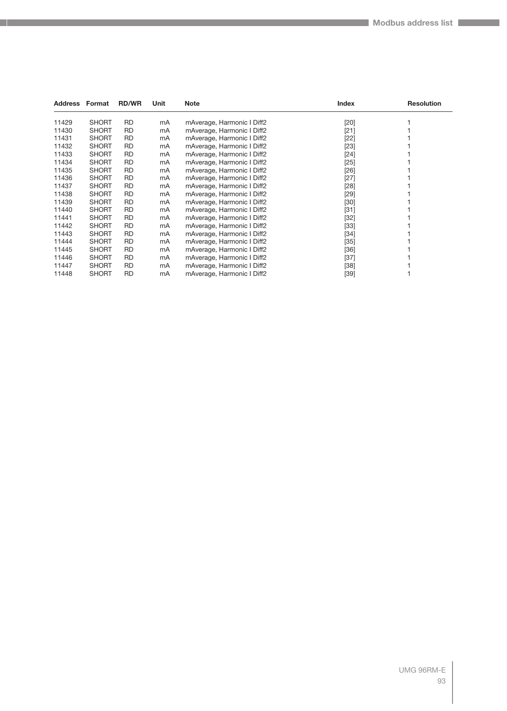| <b>Address Format</b> |              | <b>RD/WR</b> | Unit | <b>Note</b>                | Index  | <b>Resolution</b> |
|-----------------------|--------------|--------------|------|----------------------------|--------|-------------------|
| 11429                 | <b>SHORT</b> | <b>RD</b>    | mA   | mAverage, Harmonic I Diff2 | $[20]$ |                   |
| 11430                 | <b>SHORT</b> | <b>RD</b>    | mA   | mAverage, Harmonic I Diff2 | $[21]$ |                   |
| 11431                 | <b>SHORT</b> | <b>RD</b>    | mA   | mAverage, Harmonic I Diff2 | $[22]$ |                   |
| 11432                 | <b>SHORT</b> | <b>RD</b>    | mA   | mAverage, Harmonic I Diff2 | $[23]$ |                   |
| 11433                 | <b>SHORT</b> | <b>RD</b>    | mA   | mAverage, Harmonic I Diff2 | $[24]$ |                   |
| 11434                 | <b>SHORT</b> | RD           | mA   | mAverage, Harmonic I Diff2 | $[25]$ |                   |
| 11435                 | <b>SHORT</b> | <b>RD</b>    | mA   | mAverage, Harmonic I Diff2 | $[26]$ |                   |
| 11436                 | <b>SHORT</b> | <b>RD</b>    | mA   | mAverage, Harmonic I Diff2 | $[27]$ |                   |
| 11437                 | <b>SHORT</b> | <b>RD</b>    | mA   | mAverage, Harmonic I Diff2 | [28]   |                   |
| 11438                 | <b>SHORT</b> | <b>RD</b>    | mA   | mAverage, Harmonic I Diff2 | $[29]$ |                   |
| 11439                 | <b>SHORT</b> | <b>RD</b>    | mA   | mAverage, Harmonic I Diff2 | $[30]$ |                   |
| 11440                 | <b>SHORT</b> | <b>RD</b>    | mA   | mAverage, Harmonic I Diff2 | $[31]$ |                   |
| 11441                 | <b>SHORT</b> | <b>RD</b>    | mA   | mAverage, Harmonic I Diff2 | $[32]$ |                   |
| 11442                 | <b>SHORT</b> | <b>RD</b>    | mA   | mAverage, Harmonic I Diff2 | $[33]$ |                   |
| 11443                 | <b>SHORT</b> | <b>RD</b>    | mA   | mAverage, Harmonic I Diff2 | $[34]$ |                   |
| 11444                 | <b>SHORT</b> | RD.          | mA   | mAverage, Harmonic I Diff2 | $[35]$ |                   |
| 11445                 | <b>SHORT</b> | <b>RD</b>    | mA   | mAverage, Harmonic I Diff2 | $[36]$ |                   |
| 11446                 | <b>SHORT</b> | <b>RD</b>    | mA   | mAverage, Harmonic I Diff2 | $[37]$ |                   |
| 11447                 | <b>SHORT</b> | <b>RD</b>    | mA   | mAverage, Harmonic I Diff2 | $[38]$ |                   |
| 11448                 | <b>SHORT</b> | <b>RD</b>    | mA   | mAverage, Harmonic I Diff2 | $[39]$ |                   |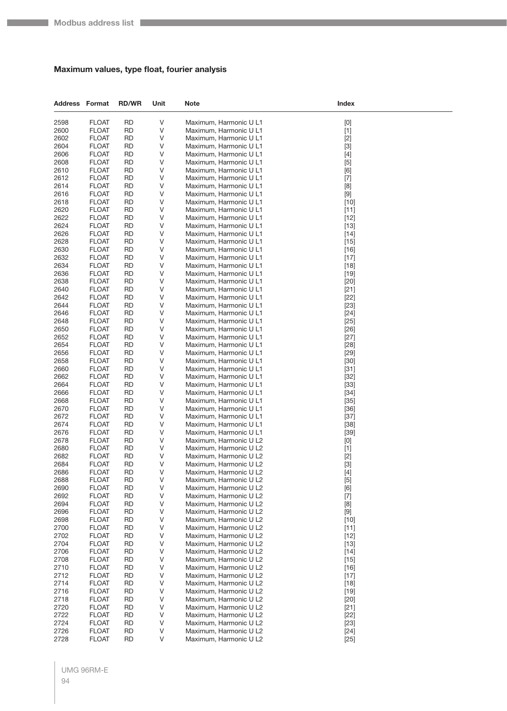## **Maximum values, type float, fourier analysis**

| <b>Address Format</b> |                              | <b>RD/WR</b>           | Unit   | Note                                             | Index                                                                                                                                                                                                                                                                                                                                                                                                                                                                                                                                                                                                                                                                                                                                                                                                                                                                                                                                      |  |
|-----------------------|------------------------------|------------------------|--------|--------------------------------------------------|--------------------------------------------------------------------------------------------------------------------------------------------------------------------------------------------------------------------------------------------------------------------------------------------------------------------------------------------------------------------------------------------------------------------------------------------------------------------------------------------------------------------------------------------------------------------------------------------------------------------------------------------------------------------------------------------------------------------------------------------------------------------------------------------------------------------------------------------------------------------------------------------------------------------------------------------|--|
| 2598                  | <b>FLOAT</b>                 | <b>RD</b>              | V      | Maximum, Harmonic U L1                           | $[0]$                                                                                                                                                                                                                                                                                                                                                                                                                                                                                                                                                                                                                                                                                                                                                                                                                                                                                                                                      |  |
| 2600                  | <b>FLOAT</b>                 | <b>RD</b>              | $\vee$ | Maximum, Harmonic U L1                           | $[1]$                                                                                                                                                                                                                                                                                                                                                                                                                                                                                                                                                                                                                                                                                                                                                                                                                                                                                                                                      |  |
| 2602                  | <b>FLOAT</b>                 | <b>RD</b>              | V      | Maximum, Harmonic U L1                           | $[2]$                                                                                                                                                                                                                                                                                                                                                                                                                                                                                                                                                                                                                                                                                                                                                                                                                                                                                                                                      |  |
| 2604                  | <b>FLOAT</b>                 | <b>RD</b>              | V      | Maximum, Harmonic U L1                           | $[3]$                                                                                                                                                                                                                                                                                                                                                                                                                                                                                                                                                                                                                                                                                                                                                                                                                                                                                                                                      |  |
| 2606                  | <b>FLOAT</b>                 | <b>RD</b>              | V      | Maximum, Harmonic U L1                           | $[4]$                                                                                                                                                                                                                                                                                                                                                                                                                                                                                                                                                                                                                                                                                                                                                                                                                                                                                                                                      |  |
| 2608                  | <b>FLOAT</b>                 | <b>RD</b>              | V      | Maximum, Harmonic U L1                           | $[5]$                                                                                                                                                                                                                                                                                                                                                                                                                                                                                                                                                                                                                                                                                                                                                                                                                                                                                                                                      |  |
| 2610                  | <b>FLOAT</b>                 | <b>RD</b>              | V      | Maximum, Harmonic U L1                           | [6]                                                                                                                                                                                                                                                                                                                                                                                                                                                                                                                                                                                                                                                                                                                                                                                                                                                                                                                                        |  |
| 2612<br>2614          | <b>FLOAT</b><br><b>FLOAT</b> | <b>RD</b><br><b>RD</b> | V<br>V | Maximum, Harmonic U L1<br>Maximum, Harmonic U L1 | $[7]$                                                                                                                                                                                                                                                                                                                                                                                                                                                                                                                                                                                                                                                                                                                                                                                                                                                                                                                                      |  |
| 2616                  | <b>FLOAT</b>                 | <b>RD</b>              | V      | Maximum, Harmonic U L1                           | [8]<br>$[9]$                                                                                                                                                                                                                                                                                                                                                                                                                                                                                                                                                                                                                                                                                                                                                                                                                                                                                                                               |  |
| 2618                  | <b>FLOAT</b>                 | <b>RD</b>              | V      | Maximum, Harmonic U L1                           | $[10]$                                                                                                                                                                                                                                                                                                                                                                                                                                                                                                                                                                                                                                                                                                                                                                                                                                                                                                                                     |  |
| 2620                  | <b>FLOAT</b>                 | <b>RD</b>              | V      | Maximum, Harmonic U L1                           | $[11]$                                                                                                                                                                                                                                                                                                                                                                                                                                                                                                                                                                                                                                                                                                                                                                                                                                                                                                                                     |  |
| 2622                  | <b>FLOAT</b>                 | <b>RD</b>              | V      | Maximum, Harmonic U L1                           | $[12]$                                                                                                                                                                                                                                                                                                                                                                                                                                                                                                                                                                                                                                                                                                                                                                                                                                                                                                                                     |  |
| 2624                  | <b>FLOAT</b>                 | <b>RD</b>              | V      | Maximum, Harmonic U L1                           | $[13]$                                                                                                                                                                                                                                                                                                                                                                                                                                                                                                                                                                                                                                                                                                                                                                                                                                                                                                                                     |  |
| 2626                  | <b>FLOAT</b>                 | <b>RD</b>              | V      | Maximum, Harmonic U L1                           | $[14]$                                                                                                                                                                                                                                                                                                                                                                                                                                                                                                                                                                                                                                                                                                                                                                                                                                                                                                                                     |  |
| 2628                  | <b>FLOAT</b>                 | <b>RD</b>              | V      | Maximum, Harmonic U L1                           | $[15]$                                                                                                                                                                                                                                                                                                                                                                                                                                                                                                                                                                                                                                                                                                                                                                                                                                                                                                                                     |  |
| 2630                  | <b>FLOAT</b>                 | <b>RD</b>              | V      | Maximum, Harmonic U L1                           | $[16]$                                                                                                                                                                                                                                                                                                                                                                                                                                                                                                                                                                                                                                                                                                                                                                                                                                                                                                                                     |  |
| 2632                  | <b>FLOAT</b>                 | <b>RD</b>              | V      | Maximum, Harmonic U L1                           | $[17]$                                                                                                                                                                                                                                                                                                                                                                                                                                                                                                                                                                                                                                                                                                                                                                                                                                                                                                                                     |  |
| 2634                  | <b>FLOAT</b>                 | RD                     | V      | Maximum, Harmonic U L1                           | $[18]$                                                                                                                                                                                                                                                                                                                                                                                                                                                                                                                                                                                                                                                                                                                                                                                                                                                                                                                                     |  |
| 2636                  | <b>FLOAT</b>                 | <b>RD</b>              | V      | Maximum, Harmonic U L1                           | $[19]$                                                                                                                                                                                                                                                                                                                                                                                                                                                                                                                                                                                                                                                                                                                                                                                                                                                                                                                                     |  |
| 2638<br>2640          | <b>FLOAT</b>                 | <b>RD</b><br><b>RD</b> | V<br>V | Maximum, Harmonic U L1                           | $[20]$                                                                                                                                                                                                                                                                                                                                                                                                                                                                                                                                                                                                                                                                                                                                                                                                                                                                                                                                     |  |
| 2642                  | <b>FLOAT</b><br><b>FLOAT</b> | <b>RD</b>              | V      | Maximum, Harmonic U L1<br>Maximum, Harmonic U L1 | $[21]$<br>$[22]$                                                                                                                                                                                                                                                                                                                                                                                                                                                                                                                                                                                                                                                                                                                                                                                                                                                                                                                           |  |
| 2644                  | <b>FLOAT</b>                 | RD                     | V      | Maximum, Harmonic U L1                           | $[23]$                                                                                                                                                                                                                                                                                                                                                                                                                                                                                                                                                                                                                                                                                                                                                                                                                                                                                                                                     |  |
| 2646                  | <b>FLOAT</b>                 | <b>RD</b>              | V      | Maximum, Harmonic U L1                           | $[24]$                                                                                                                                                                                                                                                                                                                                                                                                                                                                                                                                                                                                                                                                                                                                                                                                                                                                                                                                     |  |
| 2648                  | <b>FLOAT</b>                 | <b>RD</b>              | V      | Maximum, Harmonic U L1                           | $[25]$                                                                                                                                                                                                                                                                                                                                                                                                                                                                                                                                                                                                                                                                                                                                                                                                                                                                                                                                     |  |
| 2650                  | <b>FLOAT</b>                 | <b>RD</b>              | V      | Maximum, Harmonic U L1                           | $[26]$                                                                                                                                                                                                                                                                                                                                                                                                                                                                                                                                                                                                                                                                                                                                                                                                                                                                                                                                     |  |
| 2652                  | <b>FLOAT</b>                 | <b>RD</b>              | V      | Maximum, Harmonic U L1                           | $[27]$                                                                                                                                                                                                                                                                                                                                                                                                                                                                                                                                                                                                                                                                                                                                                                                                                                                                                                                                     |  |
| 2654                  | <b>FLOAT</b>                 | RD                     | V      | Maximum, Harmonic U L1                           | $[28]$                                                                                                                                                                                                                                                                                                                                                                                                                                                                                                                                                                                                                                                                                                                                                                                                                                                                                                                                     |  |
| 2656                  | <b>FLOAT</b>                 | <b>RD</b>              | V      | Maximum, Harmonic U L1                           | $[29]$                                                                                                                                                                                                                                                                                                                                                                                                                                                                                                                                                                                                                                                                                                                                                                                                                                                                                                                                     |  |
| 2658                  | <b>FLOAT</b>                 | <b>RD</b>              | V      | Maximum, Harmonic U L1                           | $[30]$                                                                                                                                                                                                                                                                                                                                                                                                                                                                                                                                                                                                                                                                                                                                                                                                                                                                                                                                     |  |
| 2660                  | <b>FLOAT</b>                 | <b>RD</b>              | V      | Maximum, Harmonic U L1                           | $[31]$                                                                                                                                                                                                                                                                                                                                                                                                                                                                                                                                                                                                                                                                                                                                                                                                                                                                                                                                     |  |
| 2662                  | <b>FLOAT</b>                 | <b>RD</b>              | V      | Maximum, Harmonic U L1                           | $[32]$                                                                                                                                                                                                                                                                                                                                                                                                                                                                                                                                                                                                                                                                                                                                                                                                                                                                                                                                     |  |
| 2664<br>2666          | <b>FLOAT</b><br><b>FLOAT</b> | RD<br><b>RD</b>        | V<br>V | Maximum, Harmonic U L1                           | $[33]$                                                                                                                                                                                                                                                                                                                                                                                                                                                                                                                                                                                                                                                                                                                                                                                                                                                                                                                                     |  |
| 2668                  | <b>FLOAT</b>                 | <b>RD</b>              | V      | Maximum, Harmonic U L1<br>Maximum, Harmonic U L1 | $[34]$<br>$[35]$                                                                                                                                                                                                                                                                                                                                                                                                                                                                                                                                                                                                                                                                                                                                                                                                                                                                                                                           |  |
| 2670                  | <b>FLOAT</b>                 | <b>RD</b>              | V      | Maximum, Harmonic U L1                           | $[36]$                                                                                                                                                                                                                                                                                                                                                                                                                                                                                                                                                                                                                                                                                                                                                                                                                                                                                                                                     |  |
| 2672                  | <b>FLOAT</b>                 | <b>RD</b>              | V      | Maximum, Harmonic U L1                           | $[37]$                                                                                                                                                                                                                                                                                                                                                                                                                                                                                                                                                                                                                                                                                                                                                                                                                                                                                                                                     |  |
| 2674                  | <b>FLOAT</b>                 | RD                     | V      | Maximum, Harmonic U L1                           | $[38]$                                                                                                                                                                                                                                                                                                                                                                                                                                                                                                                                                                                                                                                                                                                                                                                                                                                                                                                                     |  |
| 2676                  | <b>FLOAT</b>                 | <b>RD</b>              | V      | Maximum, Harmonic U L1                           | $[39]$                                                                                                                                                                                                                                                                                                                                                                                                                                                                                                                                                                                                                                                                                                                                                                                                                                                                                                                                     |  |
| 2678                  | <b>FLOAT</b>                 | <b>RD</b>              | V      | Maximum, Harmonic U L2                           | $[0]$                                                                                                                                                                                                                                                                                                                                                                                                                                                                                                                                                                                                                                                                                                                                                                                                                                                                                                                                      |  |
| 2680                  | <b>FLOAT</b>                 | RD                     | V      | Maximum, Harmonic U L2                           | $[1]$                                                                                                                                                                                                                                                                                                                                                                                                                                                                                                                                                                                                                                                                                                                                                                                                                                                                                                                                      |  |
| 2682                  | <b>FLOAT</b>                 | <b>RD</b>              | V      | Maximum, Harmonic U L2                           | $[2]$                                                                                                                                                                                                                                                                                                                                                                                                                                                                                                                                                                                                                                                                                                                                                                                                                                                                                                                                      |  |
| 2684                  | <b>FLOAT</b>                 | RD                     | V      | Maximum, Harmonic U L2                           | $[3]$                                                                                                                                                                                                                                                                                                                                                                                                                                                                                                                                                                                                                                                                                                                                                                                                                                                                                                                                      |  |
| 2686                  | <b>FLOAT</b>                 | <b>RD</b>              | V      | Maximum, Harmonic U L2                           | $[4]$                                                                                                                                                                                                                                                                                                                                                                                                                                                                                                                                                                                                                                                                                                                                                                                                                                                                                                                                      |  |
| 2688                  | <b>FLOAT</b>                 | <b>RD</b>              | V      | Maximum, Harmonic U L2                           | $[5]$                                                                                                                                                                                                                                                                                                                                                                                                                                                                                                                                                                                                                                                                                                                                                                                                                                                                                                                                      |  |
| 2690<br>2692          | <b>FLOAT</b><br><b>FLOAT</b> | RD<br><b>RD</b>        | V<br>V | Maximum, Harmonic U L2<br>Maximum, Harmonic U L2 | [6]                                                                                                                                                                                                                                                                                                                                                                                                                                                                                                                                                                                                                                                                                                                                                                                                                                                                                                                                        |  |
| 2694                  | <b>FLOAT</b>                 | <b>RD</b>              | V      | Maximum, Harmonic U L2                           | $[7]$<br>[8]                                                                                                                                                                                                                                                                                                                                                                                                                                                                                                                                                                                                                                                                                                                                                                                                                                                                                                                               |  |
| 2696                  | <b>FLOAT</b>                 | <b>RD</b>              | $\vee$ | Maximum, Harmonic U L2                           | $[9] % \begin{center} \includegraphics[width=\linewidth]{imagesSupplemental/Imers.png} \end{center} % \vspace*{-1em} \caption{The image shows the number of parameters of the parameter $\mathcal{M}$ with the number of parameters in the parameter $\mathcal{M}$ with the number of parameters in the parameter $\mathcal{M}$ with the number of parameters in the parameter $\mathcal{M}$ with the number of parameters in the parameter $\mathcal{M}$ with the number of parameters in the parameter $\mathcal{M}$ with the number of parameters in the parameter $\mathcal{M}$ with the number of parameters in the parameter $\mathcal{M}$ with the number of parameters in the parameter $\mathcal{M}$ with the number of parameters in the parameter $\mathcal{M}$ with the number of parameters in the parameter $\mathcal{M}$ with the number of parameters in the parameter $\mathcal{M}$ with the number of parameters in the$ |  |
| 2698                  | <b>FLOAT</b>                 | RD                     | V      | Maximum, Harmonic U L2                           | $[10]$                                                                                                                                                                                                                                                                                                                                                                                                                                                                                                                                                                                                                                                                                                                                                                                                                                                                                                                                     |  |
| 2700                  | <b>FLOAT</b>                 | RD                     | V      | Maximum, Harmonic U L2                           | $[11]$                                                                                                                                                                                                                                                                                                                                                                                                                                                                                                                                                                                                                                                                                                                                                                                                                                                                                                                                     |  |
| 2702                  | <b>FLOAT</b>                 | <b>RD</b>              | V      | Maximum, Harmonic U L2                           | $[12]$                                                                                                                                                                                                                                                                                                                                                                                                                                                                                                                                                                                                                                                                                                                                                                                                                                                                                                                                     |  |
| 2704                  | <b>FLOAT</b>                 | <b>RD</b>              | V      | Maximum, Harmonic U L2                           | $[13]$                                                                                                                                                                                                                                                                                                                                                                                                                                                                                                                                                                                                                                                                                                                                                                                                                                                                                                                                     |  |
| 2706                  | <b>FLOAT</b>                 | <b>RD</b>              | V      | Maximum, Harmonic U L2                           | $[14]$                                                                                                                                                                                                                                                                                                                                                                                                                                                                                                                                                                                                                                                                                                                                                                                                                                                                                                                                     |  |
| 2708                  | <b>FLOAT</b>                 | <b>RD</b>              | V      | Maximum, Harmonic U L2                           | $[15]$                                                                                                                                                                                                                                                                                                                                                                                                                                                                                                                                                                                                                                                                                                                                                                                                                                                                                                                                     |  |
| 2710                  | <b>FLOAT</b>                 | RD                     | V      | Maximum, Harmonic U L2                           | $[16]$                                                                                                                                                                                                                                                                                                                                                                                                                                                                                                                                                                                                                                                                                                                                                                                                                                                                                                                                     |  |
| 2712                  | <b>FLOAT</b>                 | <b>RD</b>              | V      | Maximum, Harmonic U L2                           | $[17]$                                                                                                                                                                                                                                                                                                                                                                                                                                                                                                                                                                                                                                                                                                                                                                                                                                                                                                                                     |  |
| 2714                  | <b>FLOAT</b>                 | <b>RD</b>              | V      | Maximum, Harmonic U L2                           | $[18]$                                                                                                                                                                                                                                                                                                                                                                                                                                                                                                                                                                                                                                                                                                                                                                                                                                                                                                                                     |  |
| 2716<br>2718          | <b>FLOAT</b><br><b>FLOAT</b> | <b>RD</b><br><b>RD</b> | V<br>V | Maximum, Harmonic U L2<br>Maximum, Harmonic U L2 | $[19]$                                                                                                                                                                                                                                                                                                                                                                                                                                                                                                                                                                                                                                                                                                                                                                                                                                                                                                                                     |  |
| 2720                  | <b>FLOAT</b>                 | RD                     | V      | Maximum, Harmonic U L2                           | $[20]$<br>$[21]$                                                                                                                                                                                                                                                                                                                                                                                                                                                                                                                                                                                                                                                                                                                                                                                                                                                                                                                           |  |
| 2722                  | <b>FLOAT</b>                 | <b>RD</b>              | V      | Maximum, Harmonic U L2                           | $[22]$                                                                                                                                                                                                                                                                                                                                                                                                                                                                                                                                                                                                                                                                                                                                                                                                                                                                                                                                     |  |
| 2724                  | <b>FLOAT</b>                 | <b>RD</b>              | V      | Maximum, Harmonic U L2                           | $[23]$                                                                                                                                                                                                                                                                                                                                                                                                                                                                                                                                                                                                                                                                                                                                                                                                                                                                                                                                     |  |
| 2726                  | <b>FLOAT</b>                 | <b>RD</b>              | V      | Maximum, Harmonic U L2                           | $[24]$                                                                                                                                                                                                                                                                                                                                                                                                                                                                                                                                                                                                                                                                                                                                                                                                                                                                                                                                     |  |
| 2728                  | <b>FLOAT</b>                 | <b>RD</b>              | V      | Maximum, Harmonic U L2                           | $[25]$                                                                                                                                                                                                                                                                                                                                                                                                                                                                                                                                                                                                                                                                                                                                                                                                                                                                                                                                     |  |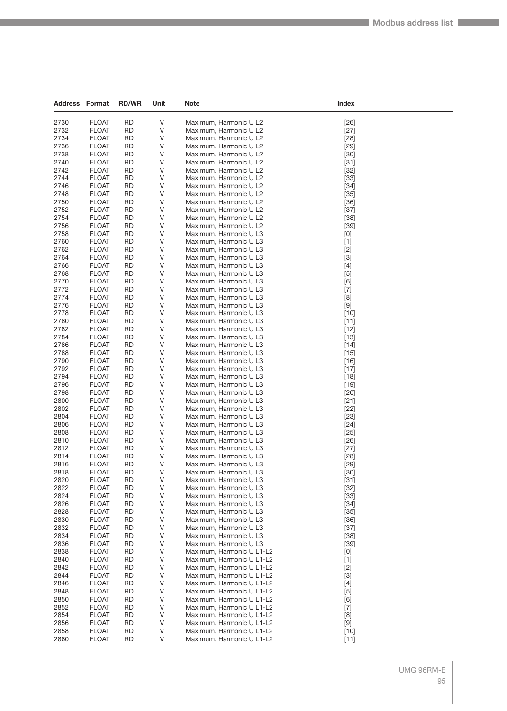| Address      | Format                       | <b>RD/WR</b>           | Unit        | <b>Note</b>                                            | Index            |  |
|--------------|------------------------------|------------------------|-------------|--------------------------------------------------------|------------------|--|
|              |                              |                        |             |                                                        |                  |  |
| 2730<br>2732 | <b>FLOAT</b>                 | <b>RD</b><br><b>RD</b> | V<br>$\vee$ | Maximum, Harmonic U L2<br>Maximum, Harmonic U L2       | $[26]$           |  |
| 2734         | <b>FLOAT</b><br><b>FLOAT</b> | <b>RD</b>              | V           | Maximum, Harmonic U L2                                 | $[27]$<br>$[28]$ |  |
| 2736         | <b>FLOAT</b>                 | <b>RD</b>              | V           | Maximum, Harmonic U L2                                 | $[29]$           |  |
| 2738         | <b>FLOAT</b>                 | <b>RD</b>              | V           | Maximum, Harmonic U L2                                 | $[30]$           |  |
| 2740         | <b>FLOAT</b>                 | <b>RD</b>              | V           | Maximum, Harmonic U L2                                 | $[31]$           |  |
| 2742         | <b>FLOAT</b>                 | <b>RD</b>              | V           | Maximum, Harmonic U L2                                 | $[32]$           |  |
| 2744         | <b>FLOAT</b>                 | <b>RD</b>              | V           | Maximum, Harmonic U L2                                 | $[33]$           |  |
| 2746         | <b>FLOAT</b>                 | <b>RD</b>              | V           | Maximum, Harmonic U L2                                 | $[34]$           |  |
| 2748         | <b>FLOAT</b>                 | <b>RD</b>              | V           | Maximum, Harmonic U L2                                 | $[35]$           |  |
| 2750         | <b>FLOAT</b>                 | <b>RD</b>              | V           | Maximum, Harmonic U L2                                 | $[36]$           |  |
| 2752         | <b>FLOAT</b>                 | <b>RD</b>              | V           | Maximum, Harmonic U L2                                 | $[37]$           |  |
| 2754<br>2756 | <b>FLOAT</b><br><b>FLOAT</b> | <b>RD</b><br><b>RD</b> | V<br>V      | Maximum, Harmonic U L2<br>Maximum, Harmonic U L2       | $[38]$<br>$[39]$ |  |
| 2758         | <b>FLOAT</b>                 | <b>RD</b>              | V           | Maximum, Harmonic U L3                                 | $[0]$            |  |
| 2760         | <b>FLOAT</b>                 | <b>RD</b>              | V           | Maximum, Harmonic U L3                                 | $[1]$            |  |
| 2762         | <b>FLOAT</b>                 | <b>RD</b>              | V           | Maximum, Harmonic U L3                                 | $[2]$            |  |
| 2764         | <b>FLOAT</b>                 | <b>RD</b>              | V           | Maximum, Harmonic U L3                                 | $[3]$            |  |
| 2766         | <b>FLOAT</b>                 | <b>RD</b>              | V           | Maximum, Harmonic U L3                                 | $[4]$            |  |
| 2768         | <b>FLOAT</b>                 | <b>RD</b>              | V           | Maximum, Harmonic U L3                                 | $[5]$            |  |
| 2770         | <b>FLOAT</b>                 | <b>RD</b>              | V           | Maximum, Harmonic U L3                                 | [6]              |  |
| 2772         | <b>FLOAT</b>                 | <b>RD</b>              | V           | Maximum, Harmonic U L3                                 | $[7]$            |  |
| 2774         | <b>FLOAT</b>                 | <b>RD</b>              | V           | Maximum, Harmonic U L3                                 | [8]              |  |
| 2776<br>2778 | <b>FLOAT</b><br><b>FLOAT</b> | <b>RD</b><br><b>RD</b> | V<br>V      | Maximum, Harmonic U L3<br>Maximum, Harmonic U L3       | $[9]$<br>$[10]$  |  |
| 2780         | <b>FLOAT</b>                 | <b>RD</b>              | V           | Maximum, Harmonic U L3                                 | $[11]$           |  |
| 2782         | <b>FLOAT</b>                 | <b>RD</b>              | V           | Maximum, Harmonic U L3                                 | $[12]$           |  |
| 2784         | <b>FLOAT</b>                 | <b>RD</b>              | V           | Maximum, Harmonic U L3                                 | $[13]$           |  |
| 2786         | <b>FLOAT</b>                 | <b>RD</b>              | V           | Maximum, Harmonic U L3                                 | $[14]$           |  |
| 2788         | <b>FLOAT</b>                 | <b>RD</b>              | V           | Maximum, Harmonic U L3                                 | $[15]$           |  |
| 2790         | <b>FLOAT</b>                 | <b>RD</b>              | V           | Maximum, Harmonic U L3                                 | $[16]$           |  |
| 2792         | <b>FLOAT</b>                 | <b>RD</b>              | V           | Maximum, Harmonic U L3                                 | $[17]$           |  |
| 2794         | <b>FLOAT</b>                 | <b>RD</b>              | V           | Maximum, Harmonic U L3                                 | $[18]$           |  |
| 2796         | <b>FLOAT</b>                 | <b>RD</b>              | V           | Maximum, Harmonic U L3                                 | $[19]$           |  |
| 2798<br>2800 | <b>FLOAT</b>                 | <b>RD</b><br><b>RD</b> | V<br>V      | Maximum, Harmonic U L3                                 | $[20]$           |  |
| 2802         | <b>FLOAT</b><br><b>FLOAT</b> | <b>RD</b>              | V           | Maximum, Harmonic U L3<br>Maximum, Harmonic U L3       | $[21]$<br>$[22]$ |  |
| 2804         | <b>FLOAT</b>                 | <b>RD</b>              | V           | Maximum, Harmonic U L3                                 | $[23]$           |  |
| 2806         | <b>FLOAT</b>                 | <b>RD</b>              | V           | Maximum, Harmonic U L3                                 | $[24]$           |  |
| 2808         | <b>FLOAT</b>                 | <b>RD</b>              | V           | Maximum, Harmonic U L3                                 | $[25]$           |  |
| 2810         | <b>FLOAT</b>                 | <b>RD</b>              | V           | Maximum, Harmonic U L3                                 | $[26]$           |  |
| 2812         | <b>FLOAT</b>                 | <b>RD</b>              | V           | Maximum, Harmonic U L3                                 | $[27]$           |  |
| 2814         | <b>FLOAT</b>                 | <b>RD</b>              | V           | Maximum, Harmonic U L3                                 | $[28]$           |  |
| 2816         | <b>FLOAT</b>                 | <b>RD</b>              | V           | Maximum, Harmonic U L3                                 | $[29]$           |  |
| 2818         | <b>FLOAT</b>                 | <b>RD</b>              | V           | Maximum, Harmonic U L3                                 | $[30]$           |  |
| 2820<br>2822 | <b>FLOAT</b><br><b>FLOAT</b> | RD<br><b>RD</b>        | V<br>V      | Maximum, Harmonic U L3<br>Maximum, Harmonic U L3       | $[31]$<br>$[32]$ |  |
| 2824         | <b>FLOAT</b>                 | <b>RD</b>              | V           | Maximum, Harmonic U L3                                 | $[33]$           |  |
| 2826         | <b>FLOAT</b>                 | <b>RD</b>              | V           | Maximum, Harmonic U L3                                 | $[34]$           |  |
| 2828         | <b>FLOAT</b>                 | <b>RD</b>              | $\vee$      | Maximum, Harmonic U L3                                 | $[35]$           |  |
| 2830         | <b>FLOAT</b>                 | RD                     | V           | Maximum, Harmonic U L3                                 | $[36]$           |  |
| 2832         | <b>FLOAT</b>                 | <b>RD</b>              | V           | Maximum, Harmonic U L3                                 | $[37]$           |  |
| 2834         | <b>FLOAT</b>                 | <b>RD</b>              | V           | Maximum, Harmonic U L3                                 | $[38]$           |  |
| 2836         | <b>FLOAT</b>                 | <b>RD</b>              | V           | Maximum, Harmonic U L3                                 | $[39]$           |  |
| 2838         | <b>FLOAT</b>                 | <b>RD</b>              | $\vee$      | Maximum, Harmonic U L1-L2                              | [0]              |  |
| 2840         | <b>FLOAT</b>                 | RD                     | V           | Maximum, Harmonic U L1-L2                              | $[1]$            |  |
| 2842<br>2844 | <b>FLOAT</b><br><b>FLOAT</b> | <b>RD</b><br><b>RD</b> | V<br>V      | Maximum, Harmonic U L1-L2<br>Maximum, Harmonic U L1-L2 | $[2]$<br>$[3]$   |  |
| 2846         | <b>FLOAT</b>                 | <b>RD</b>              | V           | Maximum, Harmonic U L1-L2                              | $[4]$            |  |
| 2848         | <b>FLOAT</b>                 | <b>RD</b>              | V           | Maximum, Harmonic U L1-L2                              | $[5]$            |  |
| 2850         | <b>FLOAT</b>                 | RD                     | V           | Maximum, Harmonic U L1-L2                              | [6]              |  |
| 2852         | <b>FLOAT</b>                 | <b>RD</b>              | V           | Maximum, Harmonic U L1-L2                              | $[7]$            |  |
| 2854         | <b>FLOAT</b>                 | <b>RD</b>              | V           | Maximum, Harmonic U L1-L2                              | [8]              |  |
| 2856         | <b>FLOAT</b>                 | <b>RD</b>              | V           | Maximum, Harmonic U L1-L2                              | $[9]$            |  |
| 2858         | <b>FLOAT</b>                 | RD                     | V           | Maximum, Harmonic U L1-L2                              | $[10]$           |  |
| 2860         | <b>FLOAT</b>                 | <b>RD</b>              | V           | Maximum, Harmonic U L1-L2                              | $[11]$           |  |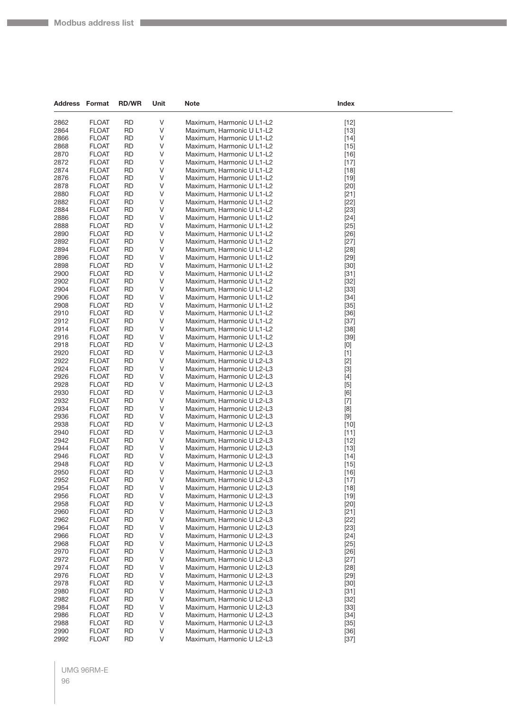| <b>Address Format</b> |                              | <b>RD/WR</b>           | Unit   | Note                                                   | Index                                                                                                                                                                                                                                                                                                                                                                                                                                                                                                                                                                                                                         |  |
|-----------------------|------------------------------|------------------------|--------|--------------------------------------------------------|-------------------------------------------------------------------------------------------------------------------------------------------------------------------------------------------------------------------------------------------------------------------------------------------------------------------------------------------------------------------------------------------------------------------------------------------------------------------------------------------------------------------------------------------------------------------------------------------------------------------------------|--|
| 2862                  | <b>FLOAT</b>                 | <b>RD</b>              | V      | Maximum, Harmonic U L1-L2                              |                                                                                                                                                                                                                                                                                                                                                                                                                                                                                                                                                                                                                               |  |
| 2864                  | <b>FLOAT</b>                 | <b>RD</b>              | V      | Maximum, Harmonic U L1-L2                              | $[12]$<br>$[13]$                                                                                                                                                                                                                                                                                                                                                                                                                                                                                                                                                                                                              |  |
| 2866                  | <b>FLOAT</b>                 | <b>RD</b>              | V      | Maximum, Harmonic U L1-L2                              | $[14]$                                                                                                                                                                                                                                                                                                                                                                                                                                                                                                                                                                                                                        |  |
| 2868                  | <b>FLOAT</b>                 | <b>RD</b>              | V      | Maximum, Harmonic U L1-L2                              | $[15]$                                                                                                                                                                                                                                                                                                                                                                                                                                                                                                                                                                                                                        |  |
| 2870                  | <b>FLOAT</b>                 | <b>RD</b>              | V      | Maximum, Harmonic U L1-L2                              | $[16]$                                                                                                                                                                                                                                                                                                                                                                                                                                                                                                                                                                                                                        |  |
| 2872                  | <b>FLOAT</b>                 | <b>RD</b>              | V      | Maximum, Harmonic U L1-L2                              | $[17]$                                                                                                                                                                                                                                                                                                                                                                                                                                                                                                                                                                                                                        |  |
| 2874                  | <b>FLOAT</b>                 | <b>RD</b>              | V      | Maximum, Harmonic U L1-L2                              | $[18]$                                                                                                                                                                                                                                                                                                                                                                                                                                                                                                                                                                                                                        |  |
| 2876                  | <b>FLOAT</b>                 | <b>RD</b>              | V      | Maximum, Harmonic U L1-L2                              | $[19]$                                                                                                                                                                                                                                                                                                                                                                                                                                                                                                                                                                                                                        |  |
| 2878                  | <b>FLOAT</b>                 | <b>RD</b>              | V      | Maximum, Harmonic U L1-L2                              | $[20]$                                                                                                                                                                                                                                                                                                                                                                                                                                                                                                                                                                                                                        |  |
| 2880                  | <b>FLOAT</b>                 | <b>RD</b>              | V      | Maximum, Harmonic U L1-L2                              | $[21]$                                                                                                                                                                                                                                                                                                                                                                                                                                                                                                                                                                                                                        |  |
| 2882                  | <b>FLOAT</b>                 | <b>RD</b>              | V      | Maximum, Harmonic U L1-L2                              | $[22]$                                                                                                                                                                                                                                                                                                                                                                                                                                                                                                                                                                                                                        |  |
| 2884                  | <b>FLOAT</b>                 | <b>RD</b>              | V      | Maximum, Harmonic U L1-L2                              | $[23]$                                                                                                                                                                                                                                                                                                                                                                                                                                                                                                                                                                                                                        |  |
| 2886                  | <b>FLOAT</b>                 | <b>RD</b>              | V      | Maximum, Harmonic U L1-L2                              | $[24]$                                                                                                                                                                                                                                                                                                                                                                                                                                                                                                                                                                                                                        |  |
| 2888                  | <b>FLOAT</b>                 | <b>RD</b>              | V      | Maximum, Harmonic U L1-L2                              | $[25]$                                                                                                                                                                                                                                                                                                                                                                                                                                                                                                                                                                                                                        |  |
| 2890                  | <b>FLOAT</b>                 | <b>RD</b>              | V      | Maximum, Harmonic U L1-L2                              | $[26]$                                                                                                                                                                                                                                                                                                                                                                                                                                                                                                                                                                                                                        |  |
| 2892                  | <b>FLOAT</b>                 | <b>RD</b>              | V      | Maximum, Harmonic U L1-L2                              | $[27]$                                                                                                                                                                                                                                                                                                                                                                                                                                                                                                                                                                                                                        |  |
| 2894                  | <b>FLOAT</b>                 | <b>RD</b>              | V      | Maximum, Harmonic U L1-L2                              | $[28]$                                                                                                                                                                                                                                                                                                                                                                                                                                                                                                                                                                                                                        |  |
| 2896                  | <b>FLOAT</b>                 | <b>RD</b>              | V      | Maximum, Harmonic U L1-L2                              | $[29]$                                                                                                                                                                                                                                                                                                                                                                                                                                                                                                                                                                                                                        |  |
| 2898                  | <b>FLOAT</b>                 | <b>RD</b>              | V      | Maximum, Harmonic U L1-L2                              | $[30]$                                                                                                                                                                                                                                                                                                                                                                                                                                                                                                                                                                                                                        |  |
| 2900                  | <b>FLOAT</b>                 | <b>RD</b>              | V      | Maximum, Harmonic U L1-L2                              | $[31]$                                                                                                                                                                                                                                                                                                                                                                                                                                                                                                                                                                                                                        |  |
| 2902                  | <b>FLOAT</b>                 | <b>RD</b>              | V      | Maximum, Harmonic U L1-L2                              | $[32]$                                                                                                                                                                                                                                                                                                                                                                                                                                                                                                                                                                                                                        |  |
| 2904                  | <b>FLOAT</b>                 | <b>RD</b>              | V      | Maximum, Harmonic U L1-L2                              | $[33]$                                                                                                                                                                                                                                                                                                                                                                                                                                                                                                                                                                                                                        |  |
| 2906                  | <b>FLOAT</b>                 | <b>RD</b>              | V      | Maximum, Harmonic U L1-L2                              | $[34]$                                                                                                                                                                                                                                                                                                                                                                                                                                                                                                                                                                                                                        |  |
| 2908                  | <b>FLOAT</b>                 | <b>RD</b>              | V      | Maximum, Harmonic U L1-L2                              | $[35]$                                                                                                                                                                                                                                                                                                                                                                                                                                                                                                                                                                                                                        |  |
| 2910                  | <b>FLOAT</b>                 | <b>RD</b>              | V      | Maximum, Harmonic U L1-L2                              | $[36]$                                                                                                                                                                                                                                                                                                                                                                                                                                                                                                                                                                                                                        |  |
| 2912                  | <b>FLOAT</b>                 | <b>RD</b>              | V      | Maximum, Harmonic U L1-L2                              | $[37]$                                                                                                                                                                                                                                                                                                                                                                                                                                                                                                                                                                                                                        |  |
| 2914                  | <b>FLOAT</b>                 | <b>RD</b>              | V      | Maximum, Harmonic U L1-L2                              | $[38]$                                                                                                                                                                                                                                                                                                                                                                                                                                                                                                                                                                                                                        |  |
| 2916                  | <b>FLOAT</b>                 | <b>RD</b>              | V      | Maximum, Harmonic U L1-L2                              | $[39]$                                                                                                                                                                                                                                                                                                                                                                                                                                                                                                                                                                                                                        |  |
| 2918                  | <b>FLOAT</b>                 | <b>RD</b>              | V      | Maximum, Harmonic U L2-L3                              | [0]                                                                                                                                                                                                                                                                                                                                                                                                                                                                                                                                                                                                                           |  |
| 2920                  | <b>FLOAT</b>                 | <b>RD</b>              | V      | Maximum, Harmonic U L2-L3                              | $[1]$                                                                                                                                                                                                                                                                                                                                                                                                                                                                                                                                                                                                                         |  |
| 2922                  | <b>FLOAT</b>                 | <b>RD</b>              | V      | Maximum, Harmonic U L2-L3                              | $[2]$                                                                                                                                                                                                                                                                                                                                                                                                                                                                                                                                                                                                                         |  |
| 2924                  | <b>FLOAT</b>                 | <b>RD</b>              | V      | Maximum, Harmonic U L2-L3                              | $[3]$                                                                                                                                                                                                                                                                                                                                                                                                                                                                                                                                                                                                                         |  |
| 2926                  | <b>FLOAT</b>                 | <b>RD</b>              | V      | Maximum, Harmonic U L2-L3                              | $[4] % \begin{center} \includegraphics[width=\linewidth]{imagesSupplemental/Imetad-Architecture.png} \end{center} \caption{The image shows the image shows a single number of three different times, and the image shows a single number of three different times, and the image shows a single number of three different times.} \label{fig:limal}$                                                                                                                                                                                                                                                                          |  |
| 2928                  | <b>FLOAT</b>                 | <b>RD</b>              | V      | Maximum, Harmonic U L2-L3                              | $[5]$                                                                                                                                                                                                                                                                                                                                                                                                                                                                                                                                                                                                                         |  |
| 2930<br>2932          | <b>FLOAT</b><br><b>FLOAT</b> | <b>RD</b><br><b>RD</b> | V<br>V | Maximum, Harmonic U L2-L3                              | [6]                                                                                                                                                                                                                                                                                                                                                                                                                                                                                                                                                                                                                           |  |
| 2934                  | <b>FLOAT</b>                 | <b>RD</b>              | V      | Maximum, Harmonic U L2-L3<br>Maximum, Harmonic U L2-L3 | $[7] % \begin{minipage}[b]{0.4\linewidth} \centering \includegraphics[width=\textwidth]{figs/fig_4.pdf} \caption{The figure shows the number of times on the left and right.} \label{fig:fig_4} \end{minipage} \vspace{0.05in} \begin{minipage}[b]{0.45\linewidth} \centering \includegraphics[width=\textwidth]{figs/fig_4.pdf} \caption{The figure shows the number of times on the right.} \label{fig:fig_4} \end{minipage} \vspace{0.05in} \begin{minipage}[b]{0.45in} \centering \includegraphics[width=\textwidth]{figs/fig_4.pdf} \caption{The figure shows the number of times on the right.} \label{fig:fig_4} \end$ |  |
| 2936                  | <b>FLOAT</b>                 | <b>RD</b>              | V      | Maximum, Harmonic U L2-L3                              | [8]<br>[9]                                                                                                                                                                                                                                                                                                                                                                                                                                                                                                                                                                                                                    |  |
| 2938                  | <b>FLOAT</b>                 | <b>RD</b>              | V      | Maximum, Harmonic U L2-L3                              | $[10]$                                                                                                                                                                                                                                                                                                                                                                                                                                                                                                                                                                                                                        |  |
| 2940                  | <b>FLOAT</b>                 | <b>RD</b>              | V      | Maximum, Harmonic U L2-L3                              | $[11]$                                                                                                                                                                                                                                                                                                                                                                                                                                                                                                                                                                                                                        |  |
| 2942                  | <b>FLOAT</b>                 | <b>RD</b>              | V      | Maximum, Harmonic U L2-L3                              | $[12]$                                                                                                                                                                                                                                                                                                                                                                                                                                                                                                                                                                                                                        |  |
| 2944                  | <b>FLOAT</b>                 | <b>RD</b>              | V      | Maximum, Harmonic U L2-L3                              | $[13]$                                                                                                                                                                                                                                                                                                                                                                                                                                                                                                                                                                                                                        |  |
| 2946                  | <b>FLOAT</b>                 | <b>RD</b>              | V      | Maximum, Harmonic U L2-L3                              | $[14]$                                                                                                                                                                                                                                                                                                                                                                                                                                                                                                                                                                                                                        |  |
| 2948                  | <b>FLOAT</b>                 | <b>RD</b>              | V      | Maximum, Harmonic U L2-L3                              | $[15]$                                                                                                                                                                                                                                                                                                                                                                                                                                                                                                                                                                                                                        |  |
| 2950                  | <b>FLOAT</b>                 | <b>RD</b>              | V      | Maximum, Harmonic U L2-L3                              | $[16]$                                                                                                                                                                                                                                                                                                                                                                                                                                                                                                                                                                                                                        |  |
| 2952                  | <b>FLOAT</b>                 | <b>RD</b>              | V      | Maximum, Harmonic U L2-L3                              | $[17]$                                                                                                                                                                                                                                                                                                                                                                                                                                                                                                                                                                                                                        |  |
| 2954                  | <b>FLOAT</b>                 | <b>RD</b>              | V      | Maximum, Harmonic U L2-L3                              | $[18]$                                                                                                                                                                                                                                                                                                                                                                                                                                                                                                                                                                                                                        |  |
| 2956                  | <b>FLOAT</b>                 | <b>RD</b>              | V      | Maximum, Harmonic U L2-L3                              | $[19]$                                                                                                                                                                                                                                                                                                                                                                                                                                                                                                                                                                                                                        |  |
| 2958                  | <b>FLOAT</b>                 | <b>RD</b>              | V      | Maximum, Harmonic U L2-L3                              | $[20]$                                                                                                                                                                                                                                                                                                                                                                                                                                                                                                                                                                                                                        |  |
| 2960                  | <b>FLOAT</b>                 | <b>RD</b>              | V      | Maximum, Harmonic U L2-L3                              | $[21]$                                                                                                                                                                                                                                                                                                                                                                                                                                                                                                                                                                                                                        |  |
| 2962                  | <b>FLOAT</b>                 | <b>RD</b>              | V      | Maximum, Harmonic U L2-L3                              | $[22]$                                                                                                                                                                                                                                                                                                                                                                                                                                                                                                                                                                                                                        |  |
| 2964                  | <b>FLOAT</b>                 | <b>RD</b>              | V      | Maximum, Harmonic U L2-L3                              | $[23]$                                                                                                                                                                                                                                                                                                                                                                                                                                                                                                                                                                                                                        |  |
| 2966                  | <b>FLOAT</b>                 | <b>RD</b>              | V      | Maximum, Harmonic U L2-L3                              | $[24]$                                                                                                                                                                                                                                                                                                                                                                                                                                                                                                                                                                                                                        |  |
| 2968                  | <b>FLOAT</b>                 | <b>RD</b>              | V      | Maximum, Harmonic U L2-L3                              | $[25]$                                                                                                                                                                                                                                                                                                                                                                                                                                                                                                                                                                                                                        |  |
| 2970                  | <b>FLOAT</b>                 | <b>RD</b>              | V      | Maximum, Harmonic U L2-L3                              | $[26]$                                                                                                                                                                                                                                                                                                                                                                                                                                                                                                                                                                                                                        |  |
| 2972                  | <b>FLOAT</b>                 | <b>RD</b>              | V      | Maximum, Harmonic U L2-L3                              | $[27]$                                                                                                                                                                                                                                                                                                                                                                                                                                                                                                                                                                                                                        |  |
| 2974                  | <b>FLOAT</b>                 | <b>RD</b>              | V      | Maximum, Harmonic U L2-L3                              | $[28]$                                                                                                                                                                                                                                                                                                                                                                                                                                                                                                                                                                                                                        |  |
| 2976                  | <b>FLOAT</b>                 | <b>RD</b>              | V      | Maximum, Harmonic U L2-L3                              | $[29]$                                                                                                                                                                                                                                                                                                                                                                                                                                                                                                                                                                                                                        |  |
| 2978                  | <b>FLOAT</b>                 | <b>RD</b>              | V      | Maximum, Harmonic U L2-L3                              | $[30]$                                                                                                                                                                                                                                                                                                                                                                                                                                                                                                                                                                                                                        |  |
| 2980                  | <b>FLOAT</b>                 | <b>RD</b>              | V      | Maximum, Harmonic U L2-L3                              | $[31]$                                                                                                                                                                                                                                                                                                                                                                                                                                                                                                                                                                                                                        |  |
| 2982                  | <b>FLOAT</b>                 | <b>RD</b>              | V      | Maximum, Harmonic U L2-L3                              | $[32]$                                                                                                                                                                                                                                                                                                                                                                                                                                                                                                                                                                                                                        |  |
| 2984                  | <b>FLOAT</b>                 | <b>RD</b>              | V      | Maximum, Harmonic U L2-L3                              | $[33]$                                                                                                                                                                                                                                                                                                                                                                                                                                                                                                                                                                                                                        |  |
| 2986                  | <b>FLOAT</b>                 | <b>RD</b>              | V      | Maximum, Harmonic U L2-L3                              | $[34]$                                                                                                                                                                                                                                                                                                                                                                                                                                                                                                                                                                                                                        |  |
| 2988                  | <b>FLOAT</b>                 | <b>RD</b>              | V      | Maximum, Harmonic U L2-L3                              | $[35]$                                                                                                                                                                                                                                                                                                                                                                                                                                                                                                                                                                                                                        |  |
| 2990                  | <b>FLOAT</b>                 | <b>RD</b>              | V      | Maximum, Harmonic U L2-L3                              | $[36]$                                                                                                                                                                                                                                                                                                                                                                                                                                                                                                                                                                                                                        |  |
| 2992                  | <b>FLOAT</b>                 | <b>RD</b>              | V      | Maximum, Harmonic U L2-L3                              | $[37]$                                                                                                                                                                                                                                                                                                                                                                                                                                                                                                                                                                                                                        |  |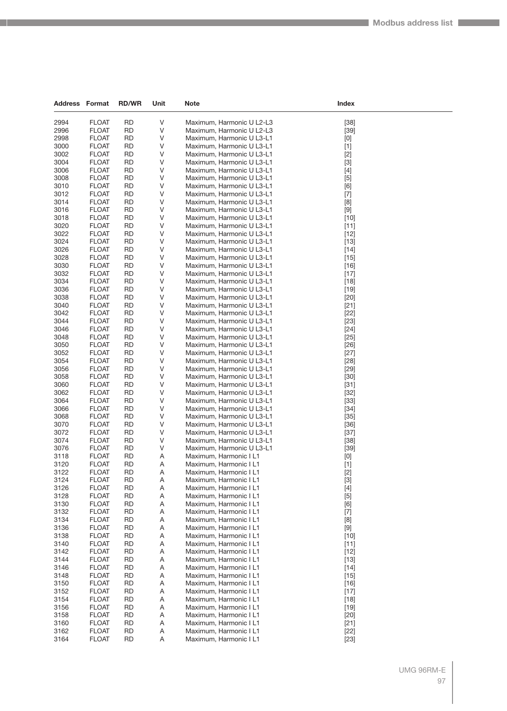| Address Format |                              | <b>RD/WR</b>           | Unit   | Note                                                   | Index                                                                                                                                                                                                                                                                                                                                                |  |
|----------------|------------------------------|------------------------|--------|--------------------------------------------------------|------------------------------------------------------------------------------------------------------------------------------------------------------------------------------------------------------------------------------------------------------------------------------------------------------------------------------------------------------|--|
|                |                              |                        |        |                                                        |                                                                                                                                                                                                                                                                                                                                                      |  |
| 2994<br>2996   | <b>FLOAT</b><br><b>FLOAT</b> | <b>RD</b><br><b>RD</b> | V<br>V | Maximum, Harmonic U L2-L3<br>Maximum, Harmonic U L2-L3 | $[38]$<br>$[39]$                                                                                                                                                                                                                                                                                                                                     |  |
| 2998           | <b>FLOAT</b>                 | RD                     | V      | Maximum, Harmonic U L3-L1                              | [0]                                                                                                                                                                                                                                                                                                                                                  |  |
| 3000           | <b>FLOAT</b>                 | <b>RD</b>              | V      | Maximum, Harmonic U L3-L1                              | $[1]$                                                                                                                                                                                                                                                                                                                                                |  |
| 3002           | <b>FLOAT</b>                 | <b>RD</b>              | V      | Maximum, Harmonic U L3-L1                              | $[2]$                                                                                                                                                                                                                                                                                                                                                |  |
| 3004           | <b>FLOAT</b>                 | RD                     | V      | Maximum, Harmonic U L3-L1                              | $[3]$                                                                                                                                                                                                                                                                                                                                                |  |
| 3006           | <b>FLOAT</b>                 | <b>RD</b>              | V      | Maximum, Harmonic U L3-L1                              | $[4] % \begin{center} \includegraphics[width=\linewidth]{imagesSupplemental/Imetad-Architecture.png} \end{center} \caption{The image shows the image shows a single number of three different times, and the image shows a single number of three different times, and the image shows a single number of three different times.} \label{fig:limal}$ |  |
| 3008           | <b>FLOAT</b>                 | <b>RD</b>              | V      | Maximum, Harmonic U L3-L1                              | $[5]$                                                                                                                                                                                                                                                                                                                                                |  |
| 3010           | <b>FLOAT</b>                 | <b>RD</b>              | V      | Maximum, Harmonic U L3-L1                              | [6]                                                                                                                                                                                                                                                                                                                                                  |  |
| 3012           | <b>FLOAT</b>                 | <b>RD</b>              | V      | Maximum, Harmonic U L3-L1                              | $[7]$                                                                                                                                                                                                                                                                                                                                                |  |
| 3014           | <b>FLOAT</b>                 | RD                     | V      | Maximum, Harmonic U L3-L1                              | [8]                                                                                                                                                                                                                                                                                                                                                  |  |
| 3016           | <b>FLOAT</b>                 | <b>RD</b>              | V      | Maximum, Harmonic U L3-L1                              | $[9]$                                                                                                                                                                                                                                                                                                                                                |  |
| 3018<br>3020   | <b>FLOAT</b><br><b>FLOAT</b> | <b>RD</b><br><b>RD</b> | V<br>V | Maximum, Harmonic U L3-L1                              | $[10]$                                                                                                                                                                                                                                                                                                                                               |  |
| 3022           | <b>FLOAT</b>                 | <b>RD</b>              | V      | Maximum, Harmonic U L3-L1<br>Maximum, Harmonic U L3-L1 | $[11]$<br>$[12]$                                                                                                                                                                                                                                                                                                                                     |  |
| 3024           | <b>FLOAT</b>                 | RD                     | V      | Maximum, Harmonic U L3-L1                              | $[13]$                                                                                                                                                                                                                                                                                                                                               |  |
| 3026           | <b>FLOAT</b>                 | <b>RD</b>              | V      | Maximum, Harmonic U L3-L1                              | $[14]$                                                                                                                                                                                                                                                                                                                                               |  |
| 3028           | <b>FLOAT</b>                 | <b>RD</b>              | V      | Maximum, Harmonic U L3-L1                              | $[15]$                                                                                                                                                                                                                                                                                                                                               |  |
| 3030           | <b>FLOAT</b>                 | <b>RD</b>              | V      | Maximum, Harmonic U L3-L1                              | $[16]$                                                                                                                                                                                                                                                                                                                                               |  |
| 3032           | <b>FLOAT</b>                 | <b>RD</b>              | V      | Maximum, Harmonic U L3-L1                              | $[17]$                                                                                                                                                                                                                                                                                                                                               |  |
| 3034           | <b>FLOAT</b>                 | <b>RD</b>              | V      | Maximum, Harmonic U L3-L1                              | $[18]$                                                                                                                                                                                                                                                                                                                                               |  |
| 3036           | <b>FLOAT</b>                 | <b>RD</b>              | V      | Maximum, Harmonic U L3-L1                              | $[19]$                                                                                                                                                                                                                                                                                                                                               |  |
| 3038           | <b>FLOAT</b>                 | <b>RD</b>              | V      | Maximum, Harmonic U L3-L1                              | $[20]$                                                                                                                                                                                                                                                                                                                                               |  |
| 3040           | <b>FLOAT</b>                 | <b>RD</b>              | V      | Maximum, Harmonic U L3-L1                              | $[21]$                                                                                                                                                                                                                                                                                                                                               |  |
| 3042           | <b>FLOAT</b>                 | <b>RD</b>              | V      | Maximum, Harmonic U L3-L1                              | $[22]$                                                                                                                                                                                                                                                                                                                                               |  |
| 3044           | <b>FLOAT</b>                 | <b>RD</b>              | V      | Maximum, Harmonic U L3-L1                              | $[23]$                                                                                                                                                                                                                                                                                                                                               |  |
| 3046           | <b>FLOAT</b>                 | <b>RD</b>              | V      | Maximum, Harmonic U L3-L1                              | $[24]$                                                                                                                                                                                                                                                                                                                                               |  |
| 3048<br>3050   | <b>FLOAT</b><br><b>FLOAT</b> | <b>RD</b><br><b>RD</b> | V<br>V | Maximum, Harmonic U L3-L1<br>Maximum, Harmonic U L3-L1 | [25]<br>$[26]$                                                                                                                                                                                                                                                                                                                                       |  |
| 3052           | <b>FLOAT</b>                 | <b>RD</b>              | V      | Maximum, Harmonic U L3-L1                              | $[27]$                                                                                                                                                                                                                                                                                                                                               |  |
| 3054           | <b>FLOAT</b>                 | <b>RD</b>              | V      | Maximum, Harmonic U L3-L1                              | $[28]$                                                                                                                                                                                                                                                                                                                                               |  |
| 3056           | <b>FLOAT</b>                 | <b>RD</b>              | V      | Maximum, Harmonic U L3-L1                              | $[29]$                                                                                                                                                                                                                                                                                                                                               |  |
| 3058           | <b>FLOAT</b>                 | <b>RD</b>              | V      | Maximum, Harmonic U L3-L1                              | $[30]$                                                                                                                                                                                                                                                                                                                                               |  |
| 3060           | <b>FLOAT</b>                 | <b>RD</b>              | V      | Maximum, Harmonic U L3-L1                              | $[31]$                                                                                                                                                                                                                                                                                                                                               |  |
| 3062           | <b>FLOAT</b>                 | <b>RD</b>              | V      | Maximum, Harmonic U L3-L1                              | $[32]$                                                                                                                                                                                                                                                                                                                                               |  |
| 3064           | <b>FLOAT</b>                 | <b>RD</b>              | V      | Maximum, Harmonic U L3-L1                              | $[33]$                                                                                                                                                                                                                                                                                                                                               |  |
| 3066           | <b>FLOAT</b>                 | <b>RD</b>              | V      | Maximum, Harmonic U L3-L1                              | $[34]$                                                                                                                                                                                                                                                                                                                                               |  |
| 3068           | <b>FLOAT</b>                 | <b>RD</b>              | V      | Maximum, Harmonic U L3-L1                              | $[35]$                                                                                                                                                                                                                                                                                                                                               |  |
| 3070           | <b>FLOAT</b>                 | <b>RD</b>              | V      | Maximum, Harmonic U L3-L1                              | $[36]$                                                                                                                                                                                                                                                                                                                                               |  |
| 3072           | <b>FLOAT</b>                 | <b>RD</b>              | V      | Maximum, Harmonic U L3-L1                              | $[37]$                                                                                                                                                                                                                                                                                                                                               |  |
| 3074<br>3076   | <b>FLOAT</b><br><b>FLOAT</b> | <b>RD</b><br><b>RD</b> | V<br>V | Maximum, Harmonic U L3-L1<br>Maximum, Harmonic U L3-L1 | $[38]$<br>$[39]$                                                                                                                                                                                                                                                                                                                                     |  |
| 3118           | <b>FLOAT</b>                 | <b>RD</b>              | Α      | Maximum, Harmonic I L1                                 | [0]                                                                                                                                                                                                                                                                                                                                                  |  |
| 3120           | <b>FLOAT</b>                 | <b>RD</b>              | Α      | Maximum, Harmonic I L1                                 | $[1]$                                                                                                                                                                                                                                                                                                                                                |  |
| 3122           | <b>FLOAT</b>                 | <b>RD</b>              | Α      | Maximum, Harmonic I L1                                 | $[2]$                                                                                                                                                                                                                                                                                                                                                |  |
| 3124           | <b>FLOAT</b>                 | RD                     | Α      | Maximum, Harmonic I L1                                 | $[3]$                                                                                                                                                                                                                                                                                                                                                |  |
| 3126           | <b>FLOAT</b>                 | <b>RD</b>              | A      | Maximum, Harmonic I L1                                 | $[4]$                                                                                                                                                                                                                                                                                                                                                |  |
| 3128           | <b>FLOAT</b>                 | <b>RD</b>              | Α      | Maximum, Harmonic I L1                                 | $[5]$                                                                                                                                                                                                                                                                                                                                                |  |
| 3130           | <b>FLOAT</b>                 | <b>RD</b>              | Α      | Maximum, Harmonic I L1                                 | [6]                                                                                                                                                                                                                                                                                                                                                  |  |
| 3132           | <b>FLOAT</b>                 | RD                     | Α      | Maximum, Harmonic I L1                                 | $[7]$                                                                                                                                                                                                                                                                                                                                                |  |
| 3134           | <b>FLOAT</b>                 | RD                     | Α      | Maximum, Harmonic I L1                                 | [8]                                                                                                                                                                                                                                                                                                                                                  |  |
| 3136           | <b>FLOAT</b>                 | RD                     | A      | Maximum, Harmonic I L1                                 | $[9]$                                                                                                                                                                                                                                                                                                                                                |  |
| 3138           | <b>FLOAT</b>                 | <b>RD</b>              | A      | Maximum, Harmonic I L1                                 | $[10]$                                                                                                                                                                                                                                                                                                                                               |  |
| 3140<br>3142   | <b>FLOAT</b>                 | <b>RD</b>              | Α      | Maximum, Harmonic I L1                                 | $[11]$                                                                                                                                                                                                                                                                                                                                               |  |
| 3144           | <b>FLOAT</b><br><b>FLOAT</b> | <b>RD</b><br>RD        | Α<br>Α | Maximum, Harmonic I L1<br>Maximum, Harmonic I L1       | $[12]$<br>$[13]$                                                                                                                                                                                                                                                                                                                                     |  |
| 3146           | <b>FLOAT</b>                 | RD                     | A      | Maximum, Harmonic I L1                                 | $[14]$                                                                                                                                                                                                                                                                                                                                               |  |
| 3148           | <b>FLOAT</b>                 | <b>RD</b>              | A      | Maximum, Harmonic I L1                                 | $[15]$                                                                                                                                                                                                                                                                                                                                               |  |
| 3150           | <b>FLOAT</b>                 | RD                     | Α      | Maximum, Harmonic I L1                                 | $[16]$                                                                                                                                                                                                                                                                                                                                               |  |
| 3152           | <b>FLOAT</b>                 | RD                     | Α      | Maximum, Harmonic I L1                                 | $[17]$                                                                                                                                                                                                                                                                                                                                               |  |
| 3154           | <b>FLOAT</b>                 | RD                     | Α      | Maximum, Harmonic I L1                                 | $[18]$                                                                                                                                                                                                                                                                                                                                               |  |
| 3156           | <b>FLOAT</b>                 | <b>RD</b>              | A      | Maximum, Harmonic I L1                                 | $[19]$                                                                                                                                                                                                                                                                                                                                               |  |
| 3158           | <b>FLOAT</b>                 | <b>RD</b>              | A      | Maximum, Harmonic I L1                                 | $[20]$                                                                                                                                                                                                                                                                                                                                               |  |
| 3160           | <b>FLOAT</b>                 | RD                     | Α      | Maximum, Harmonic I L1                                 | $[21]$                                                                                                                                                                                                                                                                                                                                               |  |
| 3162           | <b>FLOAT</b>                 | RD                     | Α      | Maximum, Harmonic I L1                                 | $[22]$                                                                                                                                                                                                                                                                                                                                               |  |
| 3164           | <b>FLOAT</b>                 | RD                     | Α      | Maximum, Harmonic I L1                                 | $[23]$                                                                                                                                                                                                                                                                                                                                               |  |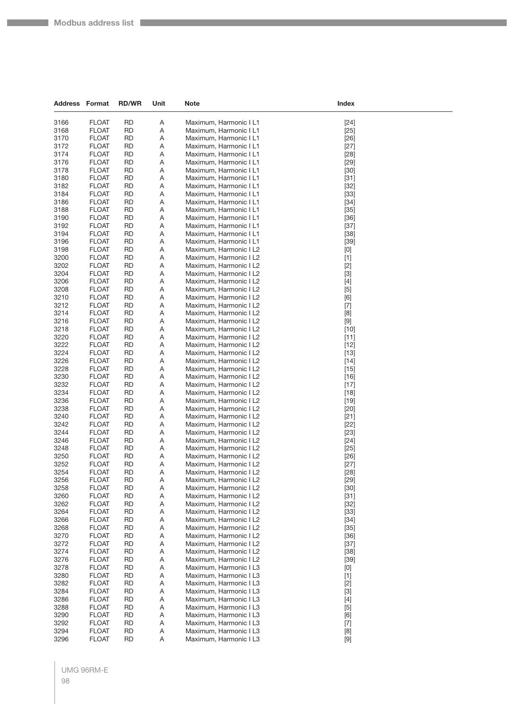| <b>Address Format</b> |                              | <b>RD/WR</b>           | Unit   | <b>Note</b>                                      | Index            |
|-----------------------|------------------------------|------------------------|--------|--------------------------------------------------|------------------|
| 3166                  | <b>FLOAT</b>                 | <b>RD</b>              | Α      | Maximum, Harmonic I L1                           | $[24]$           |
| 3168                  | <b>FLOAT</b>                 | <b>RD</b>              | Α      | Maximum, Harmonic I L1                           | $[25]$           |
| 3170                  | <b>FLOAT</b>                 | <b>RD</b>              | Α      | Maximum, Harmonic I L1                           | $[26]$           |
| 3172                  | <b>FLOAT</b>                 | RD                     | Α      | Maximum, Harmonic I L1                           | $[27]$           |
| 3174                  | <b>FLOAT</b>                 | <b>RD</b>              | Α      | Maximum, Harmonic I L1                           | $[28]$           |
| 3176                  | <b>FLOAT</b>                 | <b>RD</b>              | Α      | Maximum, Harmonic I L1                           | $[29]$           |
| 3178                  | <b>FLOAT</b>                 | <b>RD</b>              | Α      | Maximum, Harmonic I L1                           | $[30]$           |
| 3180                  | <b>FLOAT</b>                 | <b>RD</b>              | Α      | Maximum, Harmonic I L1                           | $[31]$           |
| 3182                  | <b>FLOAT</b>                 | RD                     | Α      | Maximum, Harmonic I L1                           | $[32]$           |
| 3184                  | <b>FLOAT</b>                 | <b>RD</b>              | Α      | Maximum, Harmonic I L1                           | $[33]$           |
| 3186                  | <b>FLOAT</b>                 | <b>RD</b>              | Α      | Maximum, Harmonic I L1                           | $[34]$           |
| 3188                  | <b>FLOAT</b>                 | <b>RD</b>              | Α      | Maximum, Harmonic I L1                           | $[35]$           |
| 3190                  | <b>FLOAT</b>                 | <b>RD</b>              | Α      | Maximum, Harmonic I L1                           | $[36]$           |
| 3192<br>3194          | <b>FLOAT</b><br><b>FLOAT</b> | RD<br><b>RD</b>        | Α<br>Α | Maximum, Harmonic I L1                           | $[37]$           |
| 3196                  | <b>FLOAT</b>                 | <b>RD</b>              | Α      | Maximum, Harmonic I L1<br>Maximum, Harmonic I L1 | $[38]$<br>$[39]$ |
| 3198                  | <b>FLOAT</b>                 | <b>RD</b>              | Α      | Maximum, Harmonic I L2                           | [0]              |
| 3200                  | <b>FLOAT</b>                 | <b>RD</b>              | Α      | Maximum, Harmonic I L2                           | $[1]$            |
| 3202                  | <b>FLOAT</b>                 | RD                     | Α      | Maximum, Harmonic I L2                           | $[2]$            |
| 3204                  | <b>FLOAT</b>                 | <b>RD</b>              | Α      | Maximum, Harmonic I L2                           | $[3]$            |
| 3206                  | <b>FLOAT</b>                 | RD                     | Α      | Maximum, Harmonic I L2                           | $[4]$            |
| 3208                  | <b>FLOAT</b>                 | <b>RD</b>              | Α      | Maximum, Harmonic I L2                           | $[5]$            |
| 3210                  | <b>FLOAT</b>                 | <b>RD</b>              | Α      | Maximum, Harmonic I L2                           | [6]              |
| 3212                  | <b>FLOAT</b>                 | RD                     | Α      | Maximum, Harmonic I L2                           | $[7]$            |
| 3214                  | <b>FLOAT</b>                 | <b>RD</b>              | Α      | Maximum, Harmonic I L2                           | [8]              |
| 3216                  | <b>FLOAT</b>                 | <b>RD</b>              | Α      | Maximum, Harmonic I L2                           | $[9]$            |
| 3218                  | <b>FLOAT</b>                 | RD                     | Α      | Maximum, Harmonic I L2                           | $[10]$           |
| 3220                  | <b>FLOAT</b>                 | <b>RD</b>              | Α      | Maximum, Harmonic I L2                           | $[11]$           |
| 3222<br>3224          | <b>FLOAT</b><br><b>FLOAT</b> | RD<br><b>RD</b>        | Α<br>Α | Maximum, Harmonic I L2                           | $[12]$<br>$[13]$ |
| 3226                  | <b>FLOAT</b>                 | RD                     | Α      | Maximum, Harmonic I L2<br>Maximum, Harmonic I L2 | $[14]$           |
| 3228                  | <b>FLOAT</b>                 | RD                     | Α      | Maximum, Harmonic I L2                           | $[15]$           |
| 3230                  | <b>FLOAT</b>                 | <b>RD</b>              | Α      | Maximum, Harmonic I L2                           | $[16]$           |
| 3232                  | <b>FLOAT</b>                 | RD                     | Α      | Maximum, Harmonic I L2                           | $[17]$           |
| 3234                  | <b>FLOAT</b>                 | <b>RD</b>              | Α      | Maximum, Harmonic I L2                           | $[18]$           |
| 3236                  | <b>FLOAT</b>                 | RD                     | Α      | Maximum, Harmonic I L2                           | $[19]$           |
| 3238                  | <b>FLOAT</b>                 | RD                     | Α      | Maximum, Harmonic I L2                           | $[20]$           |
| 3240                  | <b>FLOAT</b>                 | <b>RD</b>              | Α      | Maximum, Harmonic I L2                           | $[21]$           |
| 3242                  | <b>FLOAT</b>                 | RD                     | Α      | Maximum, Harmonic I L2                           | $[22]$           |
| 3244                  | <b>FLOAT</b>                 | <b>RD</b>              | Α      | Maximum, Harmonic I L2                           | $[23]$           |
| 3246<br>3248          | <b>FLOAT</b><br><b>FLOAT</b> | <b>RD</b><br>RD        | Α<br>Α | Maximum, Harmonic I L2<br>Maximum, Harmonic I L2 | $[24]$           |
| 3250                  | <b>FLOAT</b>                 | <b>RD</b>              | Α      | Maximum, Harmonic I L2                           | $[25]$<br>$[26]$ |
| 3252                  | <b>FLOAT</b>                 | RD                     | Α      | Maximum, Harmonic I L2                           | $[27]$           |
| 3254                  | <b>FLOAT</b>                 | RD                     | A      | Maximum, Harmonic I L2                           | [28]             |
| 3256                  | <b>FLOAT</b>                 | <b>RD</b>              | Α      | Maximum, Harmonic I L2                           | $[29]$           |
| 3258                  | <b>FLOAT</b>                 | <b>RD</b>              | Α      | Maximum, Harmonic I L2                           | $[30]$           |
| 3260                  | <b>FLOAT</b>                 | <b>RD</b>              | Α      | Maximum, Harmonic I L2                           | $[31]$           |
| 3262                  | <b>FLOAT</b>                 | <b>RD</b>              | Α      | Maximum, Harmonic I L2                           | $[32]$           |
| 3264                  | <b>FLOAT</b>                 | <b>RD</b>              | Α      | Maximum, Harmonic I L2                           | $[33]$           |
| 3266                  | <b>FLOAT</b>                 | <b>RD</b>              | Α      | Maximum, Harmonic I L2                           | $[34]$           |
| 3268                  | <b>FLOAT</b>                 | <b>RD</b>              | Α      | Maximum, Harmonic I L2                           | $[35]$           |
| 3270                  | <b>FLOAT</b>                 | <b>RD</b>              | Α      | Maximum, Harmonic I L2                           | $[36]$           |
| 3272<br>3274          | <b>FLOAT</b><br><b>FLOAT</b> | <b>RD</b><br><b>RD</b> | Α<br>Α | Maximum, Harmonic I L2<br>Maximum, Harmonic I L2 | $[37]$<br>$[38]$ |
| 3276                  | <b>FLOAT</b>                 | <b>RD</b>              | Α      | Maximum, Harmonic I L2                           |                  |
| 3278                  | <b>FLOAT</b>                 | <b>RD</b>              | Α      | Maximum, Harmonic I L3                           | $[39]$<br>[0]    |
| 3280                  | <b>FLOAT</b>                 | <b>RD</b>              | Α      | Maximum, Harmonic I L3                           | $[1]$            |
| 3282                  | <b>FLOAT</b>                 | <b>RD</b>              | Α      | Maximum, Harmonic I L3                           | $[2]$            |
| 3284                  | <b>FLOAT</b>                 | <b>RD</b>              | Α      | Maximum, Harmonic I L3                           | $[3]$            |
| 3286                  | <b>FLOAT</b>                 | <b>RD</b>              | Α      | Maximum, Harmonic I L3                           | $[4]$            |
| 3288                  | <b>FLOAT</b>                 | <b>RD</b>              | Α      | Maximum, Harmonic I L3                           | $[5]$            |
| 3290                  | <b>FLOAT</b>                 | <b>RD</b>              | Α      | Maximum, Harmonic I L3                           | [6]              |
| 3292                  | <b>FLOAT</b>                 | <b>RD</b>              | Α      | Maximum, Harmonic I L3                           | $[7]$            |
| 3294                  | <b>FLOAT</b>                 | <b>RD</b>              | Α      | Maximum, Harmonic I L3                           | $[8]$            |
| 3296                  | <b>FLOAT</b>                 | <b>RD</b>              | Α      | Maximum, Harmonic I L3                           | $[9]$            |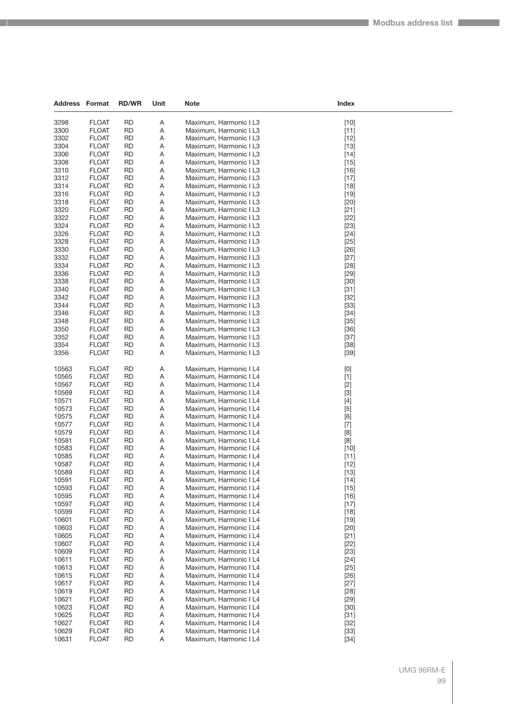| Address        | Format                       | <b>RD/WR</b>           | Unit   | <b>Note</b>                                      | Index                                                                                                                                                                                                                                                                                                                                                                                                                                                                                                                                                                                              |  |
|----------------|------------------------------|------------------------|--------|--------------------------------------------------|----------------------------------------------------------------------------------------------------------------------------------------------------------------------------------------------------------------------------------------------------------------------------------------------------------------------------------------------------------------------------------------------------------------------------------------------------------------------------------------------------------------------------------------------------------------------------------------------------|--|
|                |                              |                        |        |                                                  |                                                                                                                                                                                                                                                                                                                                                                                                                                                                                                                                                                                                    |  |
| 3298<br>3300   | <b>FLOAT</b>                 | <b>RD</b><br><b>RD</b> | Α<br>Α | Maximum, Harmonic I L3<br>Maximum, Harmonic I L3 | $[10]$                                                                                                                                                                                                                                                                                                                                                                                                                                                                                                                                                                                             |  |
| 3302           | <b>FLOAT</b><br><b>FLOAT</b> | <b>RD</b>              | Α      | Maximum, Harmonic I L3                           | $[11]$<br>$[12]$                                                                                                                                                                                                                                                                                                                                                                                                                                                                                                                                                                                   |  |
| 3304           | <b>FLOAT</b>                 | <b>RD</b>              | Α      | Maximum, Harmonic I L3                           | $[13]$                                                                                                                                                                                                                                                                                                                                                                                                                                                                                                                                                                                             |  |
| 3306           | <b>FLOAT</b>                 | <b>RD</b>              | Α      | Maximum, Harmonic I L3                           | $[14]$                                                                                                                                                                                                                                                                                                                                                                                                                                                                                                                                                                                             |  |
| 3308           | <b>FLOAT</b>                 | RD                     | Α      | Maximum, Harmonic I L3                           | $[15]$                                                                                                                                                                                                                                                                                                                                                                                                                                                                                                                                                                                             |  |
| 3310           | <b>FLOAT</b>                 | <b>RD</b>              | Α      | Maximum, Harmonic I L3                           | $[16]$                                                                                                                                                                                                                                                                                                                                                                                                                                                                                                                                                                                             |  |
| 3312           | <b>FLOAT</b>                 | <b>RD</b>              | Α      | Maximum, Harmonic I L3                           | $[17]$                                                                                                                                                                                                                                                                                                                                                                                                                                                                                                                                                                                             |  |
| 3314           | <b>FLOAT</b>                 | <b>RD</b>              | Α      | Maximum, Harmonic I L3                           | $[18]$                                                                                                                                                                                                                                                                                                                                                                                                                                                                                                                                                                                             |  |
| 3316           | <b>FLOAT</b>                 | <b>RD</b>              | Α      | Maximum, Harmonic I L3                           | $[19]$                                                                                                                                                                                                                                                                                                                                                                                                                                                                                                                                                                                             |  |
| 3318           | <b>FLOAT</b>                 | RD                     | Α      | Maximum, Harmonic I L3                           | $[20]$                                                                                                                                                                                                                                                                                                                                                                                                                                                                                                                                                                                             |  |
| 3320           | <b>FLOAT</b>                 | <b>RD</b>              | Α      | Maximum, Harmonic I L3                           | $[21]$                                                                                                                                                                                                                                                                                                                                                                                                                                                                                                                                                                                             |  |
| 3322           | <b>FLOAT</b>                 | <b>RD</b>              | Α      | Maximum, Harmonic I L3                           | $[22]$                                                                                                                                                                                                                                                                                                                                                                                                                                                                                                                                                                                             |  |
| 3324           | <b>FLOAT</b>                 | <b>RD</b>              | Α      | Maximum, Harmonic I L3                           | $[23]$                                                                                                                                                                                                                                                                                                                                                                                                                                                                                                                                                                                             |  |
| 3326           | <b>FLOAT</b>                 | <b>RD</b>              | Α      | Maximum, Harmonic I L3                           | $[24]$                                                                                                                                                                                                                                                                                                                                                                                                                                                                                                                                                                                             |  |
| 3328           | <b>FLOAT</b>                 | RD                     | Α      | Maximum, Harmonic I L3                           | $[25]$                                                                                                                                                                                                                                                                                                                                                                                                                                                                                                                                                                                             |  |
| 3330           | <b>FLOAT</b>                 | <b>RD</b>              | Α      | Maximum, Harmonic I L3                           | $[26]$                                                                                                                                                                                                                                                                                                                                                                                                                                                                                                                                                                                             |  |
| 3332           | <b>FLOAT</b>                 | <b>RD</b>              | Α      | Maximum, Harmonic I L3                           | $[27]$                                                                                                                                                                                                                                                                                                                                                                                                                                                                                                                                                                                             |  |
| 3334           | <b>FLOAT</b>                 | <b>RD</b>              | Α      | Maximum, Harmonic I L3                           | $[28]$                                                                                                                                                                                                                                                                                                                                                                                                                                                                                                                                                                                             |  |
| 3336           | <b>FLOAT</b>                 | <b>RD</b>              | Α      | Maximum, Harmonic I L3                           | $[29]$                                                                                                                                                                                                                                                                                                                                                                                                                                                                                                                                                                                             |  |
| 3338           | <b>FLOAT</b>                 | <b>RD</b>              | Α      | Maximum, Harmonic I L3                           | $[30]$                                                                                                                                                                                                                                                                                                                                                                                                                                                                                                                                                                                             |  |
| 3340           | <b>FLOAT</b>                 | <b>RD</b>              | Α      | Maximum, Harmonic I L3                           | $[31]$                                                                                                                                                                                                                                                                                                                                                                                                                                                                                                                                                                                             |  |
| 3342           | <b>FLOAT</b>                 | <b>RD</b>              | Α      | Maximum, Harmonic I L3                           | $[32]$                                                                                                                                                                                                                                                                                                                                                                                                                                                                                                                                                                                             |  |
| 3344           | <b>FLOAT</b>                 | <b>RD</b>              | Α      | Maximum, Harmonic I L3                           | $[33]$                                                                                                                                                                                                                                                                                                                                                                                                                                                                                                                                                                                             |  |
| 3346<br>3348   | <b>FLOAT</b>                 | <b>RD</b><br><b>RD</b> | Α      | Maximum, Harmonic I L3<br>Maximum, Harmonic I L3 | $[34]$                                                                                                                                                                                                                                                                                                                                                                                                                                                                                                                                                                                             |  |
| 3350           | <b>FLOAT</b><br><b>FLOAT</b> | <b>RD</b>              | Α<br>Α | Maximum, Harmonic I L3                           | $[35]$<br>$[36]$                                                                                                                                                                                                                                                                                                                                                                                                                                                                                                                                                                                   |  |
| 3352           | <b>FLOAT</b>                 | <b>RD</b>              | Α      | Maximum, Harmonic I L3                           | $[37]$                                                                                                                                                                                                                                                                                                                                                                                                                                                                                                                                                                                             |  |
| 3354           | <b>FLOAT</b>                 | <b>RD</b>              | Α      | Maximum, Harmonic I L3                           | $[38]$                                                                                                                                                                                                                                                                                                                                                                                                                                                                                                                                                                                             |  |
| 3356           | <b>FLOAT</b>                 | <b>RD</b>              | Α      | Maximum, Harmonic I L3                           | $[39]$                                                                                                                                                                                                                                                                                                                                                                                                                                                                                                                                                                                             |  |
|                |                              |                        |        |                                                  |                                                                                                                                                                                                                                                                                                                                                                                                                                                                                                                                                                                                    |  |
| 10563          | <b>FLOAT</b>                 | <b>RD</b>              | Α      | Maximum, Harmonic I L4                           | $[0] % \begin{center} % \includegraphics[width=\linewidth]{imagesSupplemental_3.png} % \end{center} % \caption { % Our method can be used for the use of the image. % Note that the \emph{DefNet}~\cite{bib66} as a function of the \emph{DefNet}~\cite{bib66} as a function of the \emph{DefNet}~\cite{bib66} as a function of the \emph{DefNet}~\cite{bib66} as a function of the \emph{DefNet}~\cite{bib66} as a function of the \emph{DefNet}~\cite{bib66} as a function of the \emph{DefNet}~\cite{bib66} as a function of the \emph{DefNet}~\cite{bib66} as a function of the \emph{DefNet}$ |  |
| 10565          | <b>FLOAT</b>                 | <b>RD</b>              | Α      | Maximum, Harmonic I L4                           | $[1]$                                                                                                                                                                                                                                                                                                                                                                                                                                                                                                                                                                                              |  |
| 10567          | <b>FLOAT</b>                 | <b>RD</b>              | Α      | Maximum, Harmonic I L4                           | $[2]$                                                                                                                                                                                                                                                                                                                                                                                                                                                                                                                                                                                              |  |
| 10569          | <b>FLOAT</b>                 | <b>RD</b>              | Α      | Maximum, Harmonic I L4                           | $[3]$                                                                                                                                                                                                                                                                                                                                                                                                                                                                                                                                                                                              |  |
| 10571          | <b>FLOAT</b>                 | <b>RD</b>              | Α      | Maximum, Harmonic I L4                           | $[4]$                                                                                                                                                                                                                                                                                                                                                                                                                                                                                                                                                                                              |  |
| 10573          | <b>FLOAT</b>                 | <b>RD</b>              | Α      | Maximum, Harmonic I L4                           | $[5]$                                                                                                                                                                                                                                                                                                                                                                                                                                                                                                                                                                                              |  |
| 10575          | <b>FLOAT</b>                 | RD                     | Α      | Maximum, Harmonic I L4                           | [6]                                                                                                                                                                                                                                                                                                                                                                                                                                                                                                                                                                                                |  |
| 10577          | <b>FLOAT</b>                 | <b>RD</b>              | Α      | Maximum, Harmonic I L4                           | $[7]$                                                                                                                                                                                                                                                                                                                                                                                                                                                                                                                                                                                              |  |
| 10579          | <b>FLOAT</b>                 | <b>RD</b>              | Α      | Maximum, Harmonic I L4                           | [8]                                                                                                                                                                                                                                                                                                                                                                                                                                                                                                                                                                                                |  |
| 10581          | <b>FLOAT</b>                 | <b>RD</b>              | Α      | Maximum, Harmonic I L4                           | [8]                                                                                                                                                                                                                                                                                                                                                                                                                                                                                                                                                                                                |  |
| 10583          | <b>FLOAT</b>                 | <b>RD</b>              | Α      | Maximum, Harmonic I L4                           | $[10]$                                                                                                                                                                                                                                                                                                                                                                                                                                                                                                                                                                                             |  |
| 10585          | <b>FLOAT</b><br><b>FLOAT</b> | <b>RD</b><br><b>RD</b> | Α      | Maximum, Harmonic I L4                           | $[11]$                                                                                                                                                                                                                                                                                                                                                                                                                                                                                                                                                                                             |  |
| 10587<br>10589 | <b>FLOAT</b>                 | <b>RD</b>              | Α<br>Α | Maximum, Harmonic I L4                           | $[12]$                                                                                                                                                                                                                                                                                                                                                                                                                                                                                                                                                                                             |  |
| 10591          | <b>FLOAT</b>                 | RD                     | A      | Maximum, Harmonic I L4<br>Maximum, Harmonic I L4 | $[13]$<br>$[14]$                                                                                                                                                                                                                                                                                                                                                                                                                                                                                                                                                                                   |  |
| 10593          | <b>FLOAT</b>                 | <b>RD</b>              | Α      | Maximum, Harmonic I L4                           | $[15]$                                                                                                                                                                                                                                                                                                                                                                                                                                                                                                                                                                                             |  |
| 10595          | <b>FLOAT</b>                 | <b>RD</b>              | Α      | Maximum, Harmonic I L4                           | $[16]$                                                                                                                                                                                                                                                                                                                                                                                                                                                                                                                                                                                             |  |
| 10597          | <b>FLOAT</b>                 | <b>RD</b>              | Α      | Maximum, Harmonic I L4                           | $[17]$                                                                                                                                                                                                                                                                                                                                                                                                                                                                                                                                                                                             |  |
| 10599          | <b>FLOAT</b>                 | <b>RD</b>              | Α      | Maximum, Harmonic I L4                           | $[18]$                                                                                                                                                                                                                                                                                                                                                                                                                                                                                                                                                                                             |  |
| 10601          | <b>FLOAT</b>                 | <b>RD</b>              | Α      | Maximum, Harmonic I L4                           | $[19]$                                                                                                                                                                                                                                                                                                                                                                                                                                                                                                                                                                                             |  |
| 10603          | <b>FLOAT</b>                 | <b>RD</b>              | Α      | Maximum, Harmonic I L4                           | $[20]$                                                                                                                                                                                                                                                                                                                                                                                                                                                                                                                                                                                             |  |
| 10605          | <b>FLOAT</b>                 | <b>RD</b>              | Α      | Maximum, Harmonic I L4                           | $[21]$                                                                                                                                                                                                                                                                                                                                                                                                                                                                                                                                                                                             |  |
| 10607          | <b>FLOAT</b>                 | <b>RD</b>              | Α      | Maximum, Harmonic I L4                           | $[22]$                                                                                                                                                                                                                                                                                                                                                                                                                                                                                                                                                                                             |  |
| 10609          | <b>FLOAT</b>                 | RD                     | Α      | Maximum, Harmonic I L4                           | $[23]$                                                                                                                                                                                                                                                                                                                                                                                                                                                                                                                                                                                             |  |
| 10611          | <b>FLOAT</b>                 | RD                     | Α      | Maximum, Harmonic I L4                           | $[24]$                                                                                                                                                                                                                                                                                                                                                                                                                                                                                                                                                                                             |  |
| 10613          | <b>FLOAT</b>                 | <b>RD</b>              | Α      | Maximum, Harmonic I L4                           | $[25]$                                                                                                                                                                                                                                                                                                                                                                                                                                                                                                                                                                                             |  |
| 10615          | <b>FLOAT</b>                 | RD                     | Α      | Maximum, Harmonic I L4                           | $[26]$                                                                                                                                                                                                                                                                                                                                                                                                                                                                                                                                                                                             |  |
| 10617          | <b>FLOAT</b>                 | <b>RD</b>              | Α      | Maximum, Harmonic I L4                           | $[27]$                                                                                                                                                                                                                                                                                                                                                                                                                                                                                                                                                                                             |  |
| 10619          | <b>FLOAT</b>                 | <b>RD</b>              | Α      | Maximum, Harmonic I L4                           | $[28]$                                                                                                                                                                                                                                                                                                                                                                                                                                                                                                                                                                                             |  |
| 10621          | <b>FLOAT</b>                 | <b>RD</b>              | Α      | Maximum, Harmonic I L4                           | $[29]$                                                                                                                                                                                                                                                                                                                                                                                                                                                                                                                                                                                             |  |
| 10623          | <b>FLOAT</b>                 | <b>RD</b>              | Α      | Maximum, Harmonic I L4                           | $[30]$                                                                                                                                                                                                                                                                                                                                                                                                                                                                                                                                                                                             |  |
| 10625          | <b>FLOAT</b>                 | <b>RD</b>              | Α      | Maximum, Harmonic I L4                           | $[31]$                                                                                                                                                                                                                                                                                                                                                                                                                                                                                                                                                                                             |  |
| 10627<br>10629 | <b>FLOAT</b>                 | <b>RD</b>              | Α      | Maximum, Harmonic I L4                           | $[32]$                                                                                                                                                                                                                                                                                                                                                                                                                                                                                                                                                                                             |  |
|                | <b>FLOAT</b><br><b>FLOAT</b> | RD<br><b>RD</b>        | Α      | Maximum, Harmonic I L4<br>Maximum, Harmonic I L4 | $[33]$                                                                                                                                                                                                                                                                                                                                                                                                                                                                                                                                                                                             |  |
| 10631          |                              |                        | Α      |                                                  | $[34]$                                                                                                                                                                                                                                                                                                                                                                                                                                                                                                                                                                                             |  |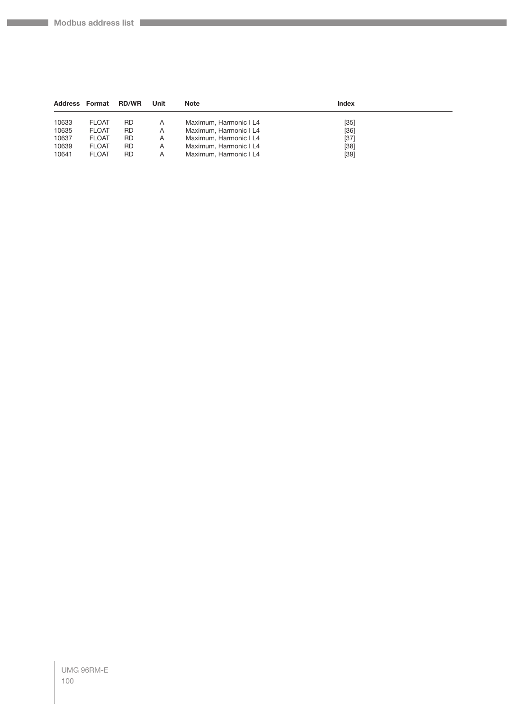**Company** 

| <b>Address Format</b> |              | <b>RD/WR</b> | Unit | <b>Note</b>            | Index  |  |
|-----------------------|--------------|--------------|------|------------------------|--------|--|
| 10633                 | <b>FLOAT</b> | RD           | Α    | Maximum, Harmonic I L4 | $[35]$ |  |
| 10635                 | <b>FLOAT</b> | RD           | A    | Maximum, Harmonic I L4 | $[36]$ |  |
| 10637                 | <b>FLOAT</b> | RD           | A    | Maximum, Harmonic I L4 | $[37]$ |  |
| 10639                 | <b>FLOAT</b> | RD           | A    | Maximum, Harmonic I L4 | $[38]$ |  |
| 10641                 | <b>FLOAT</b> | RD           | Α    | Maximum, Harmonic I L4 | $[39]$ |  |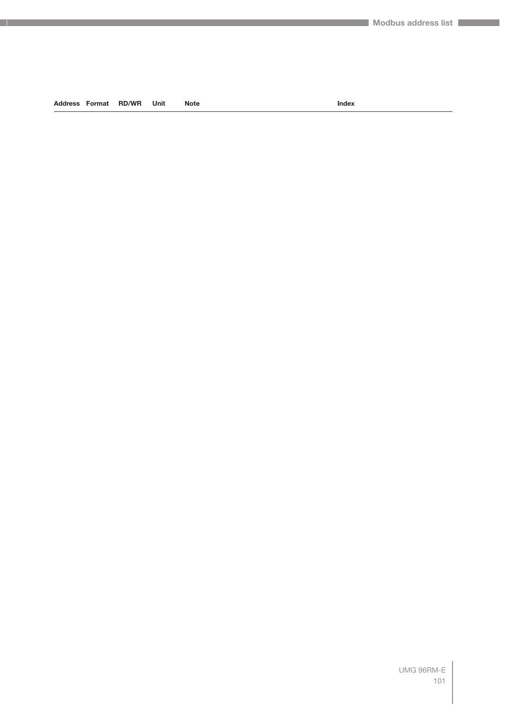**Address Format RD/WR Unit Note Index**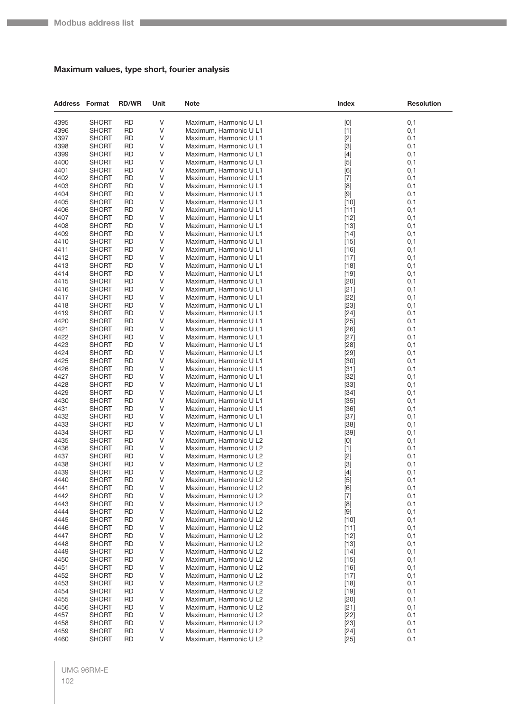## **Maximum values, type short, fourier analysis**

| <b>Address Format</b> |                              | <b>RD/WR</b>           | Unit    | <b>Note</b>                                      | Index                                                                                                                                                                                                                                                                                                                                                                                                                                                                                                                                                                                              | <b>Resolution</b> |
|-----------------------|------------------------------|------------------------|---------|--------------------------------------------------|----------------------------------------------------------------------------------------------------------------------------------------------------------------------------------------------------------------------------------------------------------------------------------------------------------------------------------------------------------------------------------------------------------------------------------------------------------------------------------------------------------------------------------------------------------------------------------------------------|-------------------|
| 4395                  | <b>SHORT</b>                 | <b>RD</b>              | V       | Maximum, Harmonic U L1                           | $[0] % \begin{center} % \includegraphics[width=\linewidth]{imagesSupplemental_3.png} % \end{center} % \caption { % Our method can be used for the use of the image. % Note that the \emph{DefNet}~\cite{bib66} as a function of the \emph{DefNet}~\cite{bib66} as a function of the \emph{DefNet}~\cite{bib66} as a function of the \emph{DefNet}~\cite{bib66} as a function of the \emph{DefNet}~\cite{bib66} as a function of the \emph{DefNet}~\cite{bib66} as a function of the \emph{DefNet}~\cite{bib66} as a function of the \emph{DefNet}~\cite{bib66} as a function of the \emph{DefNet}$ | 0,1               |
| 4396                  | <b>SHORT</b>                 | <b>RD</b>              | V       | Maximum, Harmonic U L1                           | $[1]$                                                                                                                                                                                                                                                                                                                                                                                                                                                                                                                                                                                              | 0,1               |
| 4397                  | <b>SHORT</b>                 | <b>RD</b>              | V       | Maximum, Harmonic U L1                           | $[2]$                                                                                                                                                                                                                                                                                                                                                                                                                                                                                                                                                                                              | 0,1               |
| 4398                  | <b>SHORT</b>                 | RD                     | V       | Maximum, Harmonic U L1                           | $[3]$                                                                                                                                                                                                                                                                                                                                                                                                                                                                                                                                                                                              | 0,1               |
| 4399                  | <b>SHORT</b>                 | <b>RD</b>              | V       | Maximum, Harmonic U L1                           | $[4]$                                                                                                                                                                                                                                                                                                                                                                                                                                                                                                                                                                                              | 0,1               |
| 4400                  | <b>SHORT</b>                 | <b>RD</b>              | V       | Maximum, Harmonic U L1                           | $[5]$                                                                                                                                                                                                                                                                                                                                                                                                                                                                                                                                                                                              | 0,1               |
| 4401                  | <b>SHORT</b>                 | <b>RD</b>              | V       | Maximum, Harmonic U L1                           | [6]                                                                                                                                                                                                                                                                                                                                                                                                                                                                                                                                                                                                | 0,1               |
| 4402<br>4403          | <b>SHORT</b>                 | <b>RD</b><br><b>RD</b> | V<br>V  | Maximum, Harmonic U L1                           | $[7]$                                                                                                                                                                                                                                                                                                                                                                                                                                                                                                                                                                                              | 0,1               |
| 4404                  | <b>SHORT</b><br><b>SHORT</b> | <b>RD</b>              | V       | Maximum, Harmonic U L1<br>Maximum, Harmonic U L1 | [8]<br>$[9]$                                                                                                                                                                                                                                                                                                                                                                                                                                                                                                                                                                                       | 0,1<br>0,1        |
| 4405                  | <b>SHORT</b>                 | <b>RD</b>              | V       | Maximum, Harmonic U L1                           | $[10]$                                                                                                                                                                                                                                                                                                                                                                                                                                                                                                                                                                                             | 0,1               |
| 4406                  | <b>SHORT</b>                 | <b>RD</b>              | V       | Maximum, Harmonic U L1                           | $[11]$                                                                                                                                                                                                                                                                                                                                                                                                                                                                                                                                                                                             | 0,1               |
| 4407                  | <b>SHORT</b>                 | <b>RD</b>              | V       | Maximum, Harmonic U L1                           | $[12]$                                                                                                                                                                                                                                                                                                                                                                                                                                                                                                                                                                                             | 0,1               |
| 4408                  | <b>SHORT</b>                 | <b>RD</b>              | V       | Maximum, Harmonic U L1                           | $[13]$                                                                                                                                                                                                                                                                                                                                                                                                                                                                                                                                                                                             | 0,1               |
| 4409                  | <b>SHORT</b>                 | <b>RD</b>              | V       | Maximum, Harmonic U L1                           | $[14]$                                                                                                                                                                                                                                                                                                                                                                                                                                                                                                                                                                                             | 0,1               |
| 4410                  | <b>SHORT</b>                 | <b>RD</b>              | V       | Maximum, Harmonic U L1                           | $[15]$                                                                                                                                                                                                                                                                                                                                                                                                                                                                                                                                                                                             | 0,1               |
| 4411                  | <b>SHORT</b>                 | <b>RD</b>              | V       | Maximum, Harmonic U L1                           | $[16]$                                                                                                                                                                                                                                                                                                                                                                                                                                                                                                                                                                                             | 0,1               |
| 4412                  | <b>SHORT</b>                 | <b>RD</b>              | V       | Maximum, Harmonic U L1                           | $[17]$                                                                                                                                                                                                                                                                                                                                                                                                                                                                                                                                                                                             | 0,1               |
| 4413                  | <b>SHORT</b>                 | RD                     | V       | Maximum, Harmonic U L1                           | $[18]$                                                                                                                                                                                                                                                                                                                                                                                                                                                                                                                                                                                             | 0,1               |
| 4414                  | <b>SHORT</b>                 | <b>RD</b>              | V       | Maximum, Harmonic U L1                           | $[19]$                                                                                                                                                                                                                                                                                                                                                                                                                                                                                                                                                                                             | 0,1               |
| 4415                  | <b>SHORT</b>                 | <b>RD</b>              | V       | Maximum, Harmonic U L1                           | $[20]$                                                                                                                                                                                                                                                                                                                                                                                                                                                                                                                                                                                             | 0,1               |
| 4416                  | <b>SHORT</b>                 | <b>RD</b>              | V       | Maximum, Harmonic U L1                           | $[21]$                                                                                                                                                                                                                                                                                                                                                                                                                                                                                                                                                                                             | 0,1               |
| 4417                  | <b>SHORT</b>                 | <b>RD</b>              | V       | Maximum, Harmonic U L1                           | $[22]$                                                                                                                                                                                                                                                                                                                                                                                                                                                                                                                                                                                             | 0,1               |
| 4418                  | <b>SHORT</b>                 | RD                     | V       | Maximum, Harmonic U L1                           | $[23]$                                                                                                                                                                                                                                                                                                                                                                                                                                                                                                                                                                                             | 0,1               |
| 4419                  | <b>SHORT</b>                 | <b>RD</b>              | V       | Maximum, Harmonic U L1                           | $[24]$                                                                                                                                                                                                                                                                                                                                                                                                                                                                                                                                                                                             | 0,1               |
| 4420<br>4421          | <b>SHORT</b><br><b>SHORT</b> | <b>RD</b><br><b>RD</b> | V<br>V  | Maximum, Harmonic U L1<br>Maximum, Harmonic U L1 | $[25]$<br>$[26]$                                                                                                                                                                                                                                                                                                                                                                                                                                                                                                                                                                                   | 0,1<br>0,1        |
| 4422                  | <b>SHORT</b>                 | <b>RD</b>              | V       | Maximum, Harmonic U L1                           | $[27]$                                                                                                                                                                                                                                                                                                                                                                                                                                                                                                                                                                                             | 0,1               |
| 4423                  | <b>SHORT</b>                 | RD                     | V       | Maximum, Harmonic U L1                           | $[28]$                                                                                                                                                                                                                                                                                                                                                                                                                                                                                                                                                                                             | 0,1               |
| 4424                  | <b>SHORT</b>                 | <b>RD</b>              | V       | Maximum, Harmonic U L1                           | $[29]$                                                                                                                                                                                                                                                                                                                                                                                                                                                                                                                                                                                             | 0,1               |
| 4425                  | <b>SHORT</b>                 | <b>RD</b>              | V       | Maximum, Harmonic U L1                           | $[30]$                                                                                                                                                                                                                                                                                                                                                                                                                                                                                                                                                                                             | 0,1               |
| 4426                  | <b>SHORT</b>                 | <b>RD</b>              | V       | Maximum, Harmonic U L1                           | $[31]$                                                                                                                                                                                                                                                                                                                                                                                                                                                                                                                                                                                             | 0,1               |
| 4427                  | <b>SHORT</b>                 | <b>RD</b>              | V       | Maximum, Harmonic U L1                           | $[32]$                                                                                                                                                                                                                                                                                                                                                                                                                                                                                                                                                                                             | 0,1               |
| 4428                  | <b>SHORT</b>                 | RD                     | V       | Maximum, Harmonic U L1                           | $[33]$                                                                                                                                                                                                                                                                                                                                                                                                                                                                                                                                                                                             | 0,1               |
| 4429                  | <b>SHORT</b>                 | <b>RD</b>              | V       | Maximum, Harmonic U L1                           | $[34]$                                                                                                                                                                                                                                                                                                                                                                                                                                                                                                                                                                                             | 0,1               |
| 4430                  | <b>SHORT</b>                 | <b>RD</b>              | V       | Maximum, Harmonic U L1                           | $[35]$                                                                                                                                                                                                                                                                                                                                                                                                                                                                                                                                                                                             | 0,1               |
| 4431                  | <b>SHORT</b>                 | <b>RD</b>              | V       | Maximum, Harmonic U L1                           | $[36]$                                                                                                                                                                                                                                                                                                                                                                                                                                                                                                                                                                                             | 0,1               |
| 4432                  | <b>SHORT</b>                 | <b>RD</b>              | V       | Maximum, Harmonic U L1                           | $[37]$                                                                                                                                                                                                                                                                                                                                                                                                                                                                                                                                                                                             | 0,1               |
| 4433                  | <b>SHORT</b>                 | RD                     | V       | Maximum, Harmonic U L1                           | $[38]$                                                                                                                                                                                                                                                                                                                                                                                                                                                                                                                                                                                             | 0,1               |
| 4434                  | <b>SHORT</b>                 | <b>RD</b><br><b>RD</b> | V<br>V  | Maximum, Harmonic U L1                           | $[39]$                                                                                                                                                                                                                                                                                                                                                                                                                                                                                                                                                                                             | 0,1<br>0,1        |
| 4435<br>4436          | <b>SHORT</b><br><b>SHORT</b> | <b>RD</b>              | V       | Maximum, Harmonic U L2<br>Maximum, Harmonic U L2 | $[0]$<br>$[1]$                                                                                                                                                                                                                                                                                                                                                                                                                                                                                                                                                                                     | 0,1               |
| 4437                  | <b>SHORT</b>                 | <b>RD</b>              | V       | Maximum, Harmonic U L2                           | $[2]$                                                                                                                                                                                                                                                                                                                                                                                                                                                                                                                                                                                              | 0,1               |
| 4438                  | <b>SHORT</b>                 | RD                     | V       | Maximum, Harmonic U L2                           | $[3]$                                                                                                                                                                                                                                                                                                                                                                                                                                                                                                                                                                                              | 0,1               |
| 4439                  | <b>SHORT</b>                 | <b>RD</b>              | V       | Maximum, Harmonic U L2                           | $[4]$                                                                                                                                                                                                                                                                                                                                                                                                                                                                                                                                                                                              | 0,1               |
| 4440                  | <b>SHORT</b>                 | <b>RD</b>              | V       | Maximum, Harmonic U L2                           | $[5]$                                                                                                                                                                                                                                                                                                                                                                                                                                                                                                                                                                                              | 0,1               |
| 4441                  | <b>SHORT</b>                 | <b>RD</b>              | V       | Maximum, Harmonic U L2                           | [6]                                                                                                                                                                                                                                                                                                                                                                                                                                                                                                                                                                                                | 0,1               |
| 4442                  | <b>SHORT</b>                 | <b>RD</b>              | V       | Maximum, Harmonic U L2                           | $[7]$                                                                                                                                                                                                                                                                                                                                                                                                                                                                                                                                                                                              | 0,1               |
| 4443                  | <b>SHORT</b>                 | <b>RD</b>              | V       | Maximum, Harmonic U L2                           | [8]                                                                                                                                                                                                                                                                                                                                                                                                                                                                                                                                                                                                | 0,1               |
| 4444                  | <b>SHORT</b>                 | <b>RD</b>              | V       | Maximum, Harmonic U L2                           | $\left[ 9\right]$                                                                                                                                                                                                                                                                                                                                                                                                                                                                                                                                                                                  | 0,1               |
| 4445                  | <b>SHORT</b>                 | <b>RD</b>              | V       | Maximum, Harmonic U L2                           | $[10]$                                                                                                                                                                                                                                                                                                                                                                                                                                                                                                                                                                                             | 0,1               |
| 4446                  | <b>SHORT</b>                 | RD                     | V       | Maximum, Harmonic U L2                           | $[11]$                                                                                                                                                                                                                                                                                                                                                                                                                                                                                                                                                                                             | 0,1               |
| 4447                  | <b>SHORT</b>                 | <b>RD</b>              | V       | Maximum, Harmonic U L2                           | $[12]$                                                                                                                                                                                                                                                                                                                                                                                                                                                                                                                                                                                             | 0,1               |
| 4448<br>4449          | <b>SHORT</b><br><b>SHORT</b> | <b>RD</b><br><b>RD</b> | V<br>V  | Maximum, Harmonic U L2<br>Maximum, Harmonic U L2 | $[13]$<br>$[14]$                                                                                                                                                                                                                                                                                                                                                                                                                                                                                                                                                                                   | 0,1<br>0,1        |
| 4450                  | <b>SHORT</b>                 | <b>RD</b>              | V       | Maximum, Harmonic U L2                           | $[15]$                                                                                                                                                                                                                                                                                                                                                                                                                                                                                                                                                                                             | 0,1               |
| 4451                  | <b>SHORT</b>                 | RD                     | V       | Maximum, Harmonic U L2                           | $[16]$                                                                                                                                                                                                                                                                                                                                                                                                                                                                                                                                                                                             | 0,1               |
| 4452                  | <b>SHORT</b>                 | <b>RD</b>              | V       | Maximum, Harmonic U L2                           | $[17]$                                                                                                                                                                                                                                                                                                                                                                                                                                                                                                                                                                                             | 0,1               |
| 4453                  | <b>SHORT</b>                 | <b>RD</b>              | V       | Maximum, Harmonic U L2                           | $[18]$                                                                                                                                                                                                                                                                                                                                                                                                                                                                                                                                                                                             | 0,1               |
| 4454                  | <b>SHORT</b>                 | <b>RD</b>              | V       | Maximum, Harmonic U L2                           | $[19]$                                                                                                                                                                                                                                                                                                                                                                                                                                                                                                                                                                                             | 0,1               |
| 4455                  | <b>SHORT</b>                 | <b>RD</b>              | V       | Maximum, Harmonic U L2                           | $[20]$                                                                                                                                                                                                                                                                                                                                                                                                                                                                                                                                                                                             | 0,1               |
| 4456                  | <b>SHORT</b>                 | <b>RD</b>              | V       | Maximum, Harmonic U L2                           | $[21]$                                                                                                                                                                                                                                                                                                                                                                                                                                                                                                                                                                                             | 0,1               |
| 4457                  | <b>SHORT</b>                 | <b>RD</b>              | V       | Maximum, Harmonic U L2                           | $[22]$                                                                                                                                                                                                                                                                                                                                                                                                                                                                                                                                                                                             | 0,1               |
| 4458                  | <b>SHORT</b>                 | <b>RD</b>              | $\sf V$ | Maximum, Harmonic U L2                           | $[23]$                                                                                                                                                                                                                                                                                                                                                                                                                                                                                                                                                                                             | 0,1               |
| 4459                  | <b>SHORT</b>                 | <b>RD</b>              | V       | Maximum, Harmonic U L2                           | $[24]$                                                                                                                                                                                                                                                                                                                                                                                                                                                                                                                                                                                             | 0,1               |
| 4460                  | <b>SHORT</b>                 | <b>RD</b>              | V       | Maximum, Harmonic U L2                           | $[25]$                                                                                                                                                                                                                                                                                                                                                                                                                                                                                                                                                                                             | 0,1               |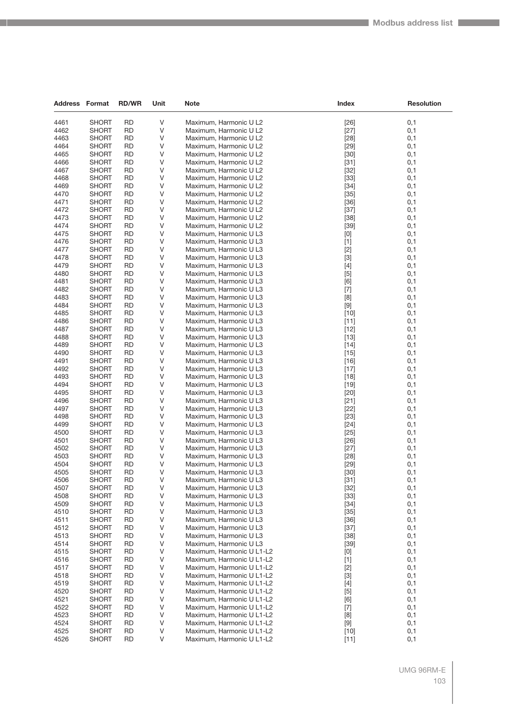| <b>Address Format</b> |              | <b>RD/WR</b> | Unit | <b>Note</b>                                      | Index                                                                                                                                                                                                                                                                    | Resolution |
|-----------------------|--------------|--------------|------|--------------------------------------------------|--------------------------------------------------------------------------------------------------------------------------------------------------------------------------------------------------------------------------------------------------------------------------|------------|
| 4461                  | <b>SHORT</b> | <b>RD</b>    | V    | Maximum, Harmonic U L2                           | $[26]$                                                                                                                                                                                                                                                                   | 0,1        |
| 4462                  | <b>SHORT</b> | <b>RD</b>    | V    | Maximum, Harmonic U L2                           |                                                                                                                                                                                                                                                                          |            |
| 4463                  | <b>SHORT</b> | <b>RD</b>    | V    |                                                  | $[27]$<br>[28]                                                                                                                                                                                                                                                           | 0,1<br>0,1 |
| 4464                  | SHORT        | <b>RD</b>    | V    | Maximum, Harmonic U L2<br>Maximum, Harmonic U L2 | $[29]$                                                                                                                                                                                                                                                                   | 0,1        |
| 4465                  | <b>SHORT</b> | <b>RD</b>    | V    | Maximum, Harmonic U L2                           | $[30]$                                                                                                                                                                                                                                                                   | 0,1        |
| 4466                  | <b>SHORT</b> | <b>RD</b>    | V    | Maximum, Harmonic U L2                           | $[31]$                                                                                                                                                                                                                                                                   | 0,1        |
| 4467                  | SHORT        | <b>RD</b>    | V    | Maximum, Harmonic U L2                           | $[32]$                                                                                                                                                                                                                                                                   | 0,1        |
| 4468                  | <b>SHORT</b> | <b>RD</b>    | V    |                                                  | $[33]$                                                                                                                                                                                                                                                                   | 0,1        |
| 4469                  | <b>SHORT</b> | <b>RD</b>    | V    | Maximum, Harmonic U L2<br>Maximum, Harmonic U L2 | $[34]$                                                                                                                                                                                                                                                                   | 0,1        |
| 4470                  | SHORT        | <b>RD</b>    | V    | Maximum, Harmonic U L2                           | $[35]$                                                                                                                                                                                                                                                                   | 0,1        |
| 4471                  | SHORT        | <b>RD</b>    | V    | Maximum, Harmonic U L2                           | $[36]$                                                                                                                                                                                                                                                                   | 0,1        |
| 4472                  | SHORT        | <b>RD</b>    | V    | Maximum, Harmonic U L2                           | $[37]$                                                                                                                                                                                                                                                                   | 0,1        |
| 4473                  | <b>SHORT</b> | <b>RD</b>    | V    | Maximum, Harmonic U L2                           | $[38]$                                                                                                                                                                                                                                                                   | 0,1        |
| 4474                  | <b>SHORT</b> | <b>RD</b>    | V    | Maximum, Harmonic U L2                           | $[39]$                                                                                                                                                                                                                                                                   | 0,1        |
| 4475                  | SHORT        | <b>RD</b>    | V    | Maximum, Harmonic U L3                           |                                                                                                                                                                                                                                                                          | 0,1        |
| 4476                  | SHORT        | <b>RD</b>    | V    | Maximum, Harmonic U L3                           | [0]<br>$[1]$                                                                                                                                                                                                                                                             | 0,1        |
| 4477                  |              | <b>RD</b>    | V    |                                                  |                                                                                                                                                                                                                                                                          |            |
|                       | SHORT        |              |      | Maximum, Harmonic U L3                           | $[2]$                                                                                                                                                                                                                                                                    | 0,1        |
| 4478                  | <b>SHORT</b> | <b>RD</b>    | V    | Maximum, Harmonic U L3                           | $[3]$                                                                                                                                                                                                                                                                    | 0,1        |
| 4479                  | SHORT        | <b>RD</b>    | V    | Maximum, Harmonic U L3                           | $[4]$                                                                                                                                                                                                                                                                    | 0,1        |
| 4480                  | SHORT        | <b>RD</b>    | V    | Maximum, Harmonic U L3                           | $[5]$                                                                                                                                                                                                                                                                    | 0,1        |
| 4481                  | SHORT        | <b>RD</b>    | V    | Maximum, Harmonic U L3                           | [6]                                                                                                                                                                                                                                                                      | 0,1        |
| 4482                  | SHORT        | <b>RD</b>    | V    | Maximum, Harmonic U L3                           | $[7]$                                                                                                                                                                                                                                                                    | 0,1        |
| 4483                  | <b>SHORT</b> | <b>RD</b>    | V    | Maximum, Harmonic U L3                           | [8]                                                                                                                                                                                                                                                                      | 0,1        |
| 4484                  | SHORT        | <b>RD</b>    | V    | Maximum, Harmonic U L3                           | $[9]$                                                                                                                                                                                                                                                                    | 0,1        |
| 4485                  | SHORT        | <b>RD</b>    | V    | Maximum, Harmonic U L3                           | $[10]$                                                                                                                                                                                                                                                                   | 0,1        |
| 4486                  | SHORT        | <b>RD</b>    | V    | Maximum, Harmonic U L3                           | $[11]$                                                                                                                                                                                                                                                                   | 0,1        |
| 4487                  | SHORT        | <b>RD</b>    | V    | Maximum, Harmonic U L3                           | $[12]$                                                                                                                                                                                                                                                                   | 0,1        |
| 4488                  | <b>SHORT</b> | <b>RD</b>    | V    | Maximum, Harmonic U L3                           | $[13]$                                                                                                                                                                                                                                                                   | 0,1        |
| 4489                  | SHORT        | <b>RD</b>    | V    | Maximum, Harmonic U L3                           | $[14]$                                                                                                                                                                                                                                                                   | 0,1        |
| 4490                  | SHORT        | <b>RD</b>    | V    | Maximum, Harmonic U L3                           | $[15]$                                                                                                                                                                                                                                                                   | 0,1        |
| 4491                  | SHORT        | <b>RD</b>    | V    | Maximum, Harmonic U L3                           | [16]                                                                                                                                                                                                                                                                     | 0,1        |
| 4492                  | SHORT        | <b>RD</b>    | V    | Maximum, Harmonic U L3                           | $[17]$                                                                                                                                                                                                                                                                   | 0,1        |
| 4493                  | <b>SHORT</b> | <b>RD</b>    | V    | Maximum, Harmonic U L3                           | $[18]$                                                                                                                                                                                                                                                                   | 0,1        |
| 4494                  | SHORT        | <b>RD</b>    | V    | Maximum, Harmonic U L3                           | $[19]$                                                                                                                                                                                                                                                                   | 0,1        |
| 4495                  | SHORT        | <b>RD</b>    | V    | Maximum, Harmonic U L3                           | $[20]$                                                                                                                                                                                                                                                                   | 0,1        |
| 4496                  | SHORT        | <b>RD</b>    | V    | Maximum, Harmonic U L3                           | $[21]$                                                                                                                                                                                                                                                                   | 0,1        |
| 4497                  | SHORT        | <b>RD</b>    | V    | Maximum, Harmonic U L3                           | $[22]$                                                                                                                                                                                                                                                                   | 0,1        |
| 4498                  | <b>SHORT</b> | <b>RD</b>    | V    | Maximum, Harmonic U L3                           | $[23]$                                                                                                                                                                                                                                                                   | 0,1        |
| 4499                  | <b>SHORT</b> | <b>RD</b>    | V    | Maximum, Harmonic U L3                           | $[24]$                                                                                                                                                                                                                                                                   | 0,1        |
| 4500                  | SHORT        | <b>RD</b>    | V    | Maximum, Harmonic U L3                           | $[25]$                                                                                                                                                                                                                                                                   | 0,1        |
| 4501                  | SHORT        | <b>RD</b>    | V    | Maximum, Harmonic U L3                           | [26]                                                                                                                                                                                                                                                                     | 0,1        |
| 4502                  | <b>SHORT</b> | <b>RD</b>    | V    | Maximum, Harmonic U L3                           | $[27]$                                                                                                                                                                                                                                                                   | 0,1        |
| 4503                  | <b>SHORT</b> | <b>RD</b>    | V    | Maximum, Harmonic U L3                           | [28]                                                                                                                                                                                                                                                                     | 0,1        |
| 4504                  | <b>SHORT</b> | <b>RD</b>    | V    | Maximum, Harmonic U L3                           | $[29]$                                                                                                                                                                                                                                                                   | 0,1        |
| 4505                  | <b>SHORT</b> | <b>RD</b>    | V    | Maximum, Harmonic U L3                           | $[30]$                                                                                                                                                                                                                                                                   | 0,1        |
| 4506                  | SHORT        | <b>RD</b>    | V    | Maximum, Harmonic U L3                           | $[31]$                                                                                                                                                                                                                                                                   | 0,1        |
| 4507                  | <b>SHORT</b> | <b>RD</b>    | V    | Maximum, Harmonic U L3                           | $[32]$                                                                                                                                                                                                                                                                   | 0,1        |
| 4508                  | <b>SHORT</b> | <b>RD</b>    | V    | Maximum, Harmonic U L3                           | $[33]$                                                                                                                                                                                                                                                                   | 0,1        |
| 4509                  | <b>SHORT</b> | <b>RD</b>    | V    | Maximum, Harmonic U L3                           | $[34]$                                                                                                                                                                                                                                                                   | 0,1        |
| 4510                  | <b>SHORT</b> | RD           | V    | Maximum, Harmonic U L3                           | $[35]$                                                                                                                                                                                                                                                                   | 0,1        |
| 4511                  | SHORT        | <b>RD</b>    | V    | Maximum, Harmonic U L3                           | $[36]$                                                                                                                                                                                                                                                                   | 0,1        |
| 4512                  | <b>SHORT</b> | RD           | V    | Maximum, Harmonic U L3                           | $[37]$                                                                                                                                                                                                                                                                   | 0,1        |
| 4513                  | <b>SHORT</b> | <b>RD</b>    | V    | Maximum, Harmonic U L3                           | $[38]$                                                                                                                                                                                                                                                                   | 0,1        |
| 4514                  | SHORT        | <b>RD</b>    | V    | Maximum, Harmonic U L3                           | $[39]$                                                                                                                                                                                                                                                                   | 0,1        |
| 4515                  | <b>SHORT</b> | RD           | V    | Maximum, Harmonic U L1-L2                        | [0]                                                                                                                                                                                                                                                                      | 0,1        |
| 4516                  | SHORT        | <b>RD</b>    | V    | Maximum, Harmonic U L1-L2                        | $[1]$                                                                                                                                                                                                                                                                    | 0,1        |
| 4517                  | <b>SHORT</b> | RD           | V    | Maximum, Harmonic U L1-L2                        | $[2]$                                                                                                                                                                                                                                                                    | 0,1        |
| 4518                  | <b>SHORT</b> | <b>RD</b>    | V    | Maximum, Harmonic U L1-L2                        | $[3]$                                                                                                                                                                                                                                                                    | 0,1        |
| 4519                  | SHORT        | <b>RD</b>    | V    | Maximum, Harmonic U L1-L2                        | $[4] % \begin{center} \includegraphics[width=\linewidth]{imagesSupplemental/Imetad-Architecture.png} \end{center} \caption{The image shows the method of the method of the method. The left-hand side is the right side (in the left) of the method.} \label{fig:limal}$ | 0,1        |
| 4520                  | <b>SHORT</b> | RD           | V    | Maximum, Harmonic U L1-L2                        | $[5]$                                                                                                                                                                                                                                                                    | 0,1        |
| 4521                  | SHORT        | <b>RD</b>    | V    | Maximum, Harmonic U L1-L2                        | [6]                                                                                                                                                                                                                                                                      | 0,1        |
| 4522                  | <b>SHORT</b> | RD           | V    | Maximum, Harmonic U L1-L2                        | $[7]$                                                                                                                                                                                                                                                                    | 0,1        |
| 4523                  | <b>SHORT</b> | <b>RD</b>    | V    | Maximum, Harmonic U L1-L2                        | [8]                                                                                                                                                                                                                                                                      | 0,1        |
| 4524                  | SHORT        | <b>RD</b>    | V    | Maximum, Harmonic U L1-L2                        | $[9]$                                                                                                                                                                                                                                                                    | 0,1        |
| 4525                  | <b>SHORT</b> | RD           | V    | Maximum, Harmonic U L1-L2                        | $[10]$                                                                                                                                                                                                                                                                   | 0,1        |
| 4526                  | <b>SHORT</b> | <b>RD</b>    | V    | Maximum, Harmonic U L1-L2                        | $[11]$                                                                                                                                                                                                                                                                   | 0,1        |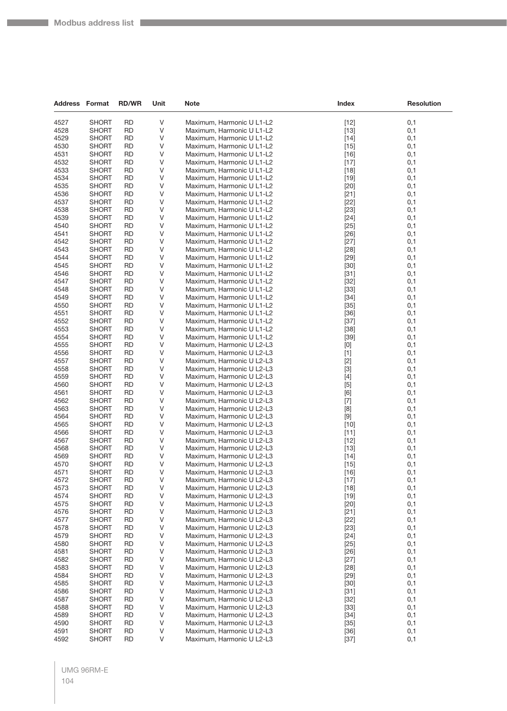| <b>Address Format</b> |                              | <b>RD/WR</b>           | Unit   | <b>Note</b>                                            | Index            | <b>Resolution</b> |
|-----------------------|------------------------------|------------------------|--------|--------------------------------------------------------|------------------|-------------------|
| 4527                  | <b>SHORT</b>                 | <b>RD</b>              | $\vee$ | Maximum, Harmonic U L1-L2                              | $[12]$           | 0,1               |
| 4528                  | <b>SHORT</b>                 | <b>RD</b>              | V      | Maximum, Harmonic U L1-L2                              | $[13]$           | 0,1               |
| 4529                  | <b>SHORT</b>                 | <b>RD</b>              | V      | Maximum, Harmonic U L1-L2                              | $[14]$           | 0,1               |
| 4530                  | <b>SHORT</b>                 | <b>RD</b>              | V      | Maximum, Harmonic U L1-L2                              | $[15]$           | 0,1               |
| 4531                  | <b>SHORT</b>                 | <b>RD</b>              | V      | Maximum, Harmonic U L1-L2                              | $[16]$           | 0,1               |
| 4532                  | <b>SHORT</b>                 | <b>RD</b>              | $\vee$ | Maximum, Harmonic U L1-L2                              | $[17]$           | 0,1               |
| 4533                  | <b>SHORT</b>                 | <b>RD</b>              | V      | Maximum, Harmonic U L1-L2                              | $[18]$           | 0,1               |
| 4534                  | <b>SHORT</b>                 | <b>RD</b>              | V      | Maximum, Harmonic U L1-L2                              | $[19]$           | 0,1               |
| 4535                  | <b>SHORT</b>                 | <b>RD</b>              | V      | Maximum, Harmonic U L1-L2                              | $[20]$           | 0,1               |
| 4536                  | <b>SHORT</b>                 | <b>RD</b>              | V      | Maximum, Harmonic U L1-L2                              | $[21]$           | 0,1               |
| 4537                  | <b>SHORT</b>                 | <b>RD</b>              | V      | Maximum, Harmonic U L1-L2                              | $[22]$           | 0,1               |
| 4538                  | <b>SHORT</b>                 | <b>RD</b>              | V      | Maximum, Harmonic U L1-L2                              | $[23]$           | 0,1               |
| 4539                  | <b>SHORT</b>                 | <b>RD</b>              | V      | Maximum, Harmonic U L1-L2                              | $[24]$           | 0,1               |
| 4540                  | <b>SHORT</b>                 | <b>RD</b>              | V      | Maximum, Harmonic U L1-L2                              | $[25]$           | 0,1               |
| 4541                  | <b>SHORT</b>                 | <b>RD</b>              | V      | Maximum, Harmonic U L1-L2                              | [26]             | 0,1               |
| 4542                  | <b>SHORT</b>                 | <b>RD</b>              | $\vee$ | Maximum, Harmonic U L1-L2                              | $[27]$           | 0,1               |
| 4543<br>4544          | <b>SHORT</b><br><b>SHORT</b> | <b>RD</b><br><b>RD</b> | V<br>V | Maximum, Harmonic U L1-L2                              | $[28]$<br>$[29]$ | 0,1<br>0,1        |
| 4545                  | <b>SHORT</b>                 | <b>RD</b>              | V      | Maximum, Harmonic U L1-L2<br>Maximum, Harmonic U L1-L2 | $[30]$           | 0,1               |
| 4546                  | <b>SHORT</b>                 | <b>RD</b>              | V      | Maximum, Harmonic U L1-L2                              | $[31]$           | 0,1               |
| 4547                  | <b>SHORT</b>                 | <b>RD</b>              | V      | Maximum, Harmonic U L1-L2                              | $[32]$           | 0,1               |
| 4548                  | <b>SHORT</b>                 | <b>RD</b>              | V      | Maximum, Harmonic U L1-L2                              | $[33]$           | 0,1               |
| 4549                  | <b>SHORT</b>                 | <b>RD</b>              | V      | Maximum, Harmonic U L1-L2                              | $[34]$           | 0,1               |
| 4550                  | <b>SHORT</b>                 | <b>RD</b>              | V      | Maximum, Harmonic U L1-L2                              | $[35]$           | 0,1               |
| 4551                  | <b>SHORT</b>                 | <b>RD</b>              | V      | Maximum, Harmonic U L1-L2                              | $[36]$           | 0,1               |
| 4552                  | <b>SHORT</b>                 | <b>RD</b>              | V      | Maximum, Harmonic U L1-L2                              | $[37]$           | 0,1               |
| 4553                  | <b>SHORT</b>                 | <b>RD</b>              | V      | Maximum, Harmonic U L1-L2                              | $[38]$           | 0,1               |
| 4554                  | <b>SHORT</b>                 | <b>RD</b>              | V      | Maximum, Harmonic U L1-L2                              | $[39]$           | 0,1               |
| 4555                  | <b>SHORT</b>                 | <b>RD</b>              | V      | Maximum, Harmonic U L2-L3                              | [0]              | 0,1               |
| 4556                  | <b>SHORT</b>                 | <b>RD</b>              | V      | Maximum, Harmonic U L2-L3                              | $[1]$            | 0,1               |
| 4557                  | <b>SHORT</b>                 | <b>RD</b>              | V      | Maximum, Harmonic U L2-L3                              | $[2]$            | 0,1               |
| 4558                  | <b>SHORT</b>                 | RD                     | V      | Maximum, Harmonic U L2-L3                              | $[3]$            | 0,1               |
| 4559                  | <b>SHORT</b>                 | <b>RD</b>              | V      | Maximum, Harmonic U L2-L3                              | $[4]$            | 0,1               |
| 4560                  | <b>SHORT</b>                 | <b>RD</b>              | V      | Maximum, Harmonic U L2-L3                              | $[5]$            | 0,1               |
| 4561                  | <b>SHORT</b>                 | <b>RD</b>              | V      | Maximum, Harmonic U L2-L3                              | [6]              | 0,1               |
| 4562<br>4563          | <b>SHORT</b>                 | <b>RD</b><br><b>RD</b> | V<br>V | Maximum, Harmonic U L2-L3                              | $[7]$            | 0,1<br>0,1        |
| 4564                  | <b>SHORT</b><br><b>SHORT</b> | <b>RD</b>              | V      | Maximum, Harmonic U L2-L3<br>Maximum, Harmonic U L2-L3 | [8]<br>$[9]$     | 0,1               |
| 4565                  | <b>SHORT</b>                 | RD                     | V      | Maximum, Harmonic U L2-L3                              | $[10]$           | 0,1               |
| 4566                  | <b>SHORT</b>                 | <b>RD</b>              | V      | Maximum, Harmonic U L2-L3                              | $[11]$           | 0,1               |
| 4567                  | <b>SHORT</b>                 | <b>RD</b>              | V      | Maximum, Harmonic U L2-L3                              | $[12]$           | 0,1               |
| 4568                  | <b>SHORT</b>                 | RD                     | V      | Maximum, Harmonic U L2-L3                              | $[13]$           | 0,1               |
| 4569                  | <b>SHORT</b>                 | <b>RD</b>              | V      | Maximum, Harmonic U L2-L3                              | $[14]$           | 0,1               |
| 4570                  | <b>SHORT</b>                 | <b>RD</b>              | V      | Maximum, Harmonic U L2-L3                              | $[15]$           | 0,1               |
| 4571                  | <b>SHORI</b>                 | <b>RD</b>              | V      | Maximum, Harmonic U L2-L3                              | [16]             | 0,1               |
| 4572                  | <b>SHORT</b>                 | <b>RD</b>              | V      | Maximum, Harmonic U L2-L3                              | $[17]$           | 0,1               |
| 4573                  | <b>SHORT</b>                 | <b>RD</b>              | V      | Maximum, Harmonic U L2-L3                              | $[18]$           | 0,1               |
| 4574                  | <b>SHORT</b>                 | <b>RD</b>              | V      | Maximum, Harmonic U L2-L3                              | $[19]$           | 0,1               |
| 4575                  | <b>SHORT</b>                 | <b>RD</b>              | V      | Maximum, Harmonic U L2-L3                              | $[20]$           | 0,1               |
| 4576                  | <b>SHORT</b>                 | <b>RD</b>              | V      | Maximum, Harmonic U L2-L3                              | $[21]$           | 0,1               |
| 4577                  | <b>SHORT</b>                 | RD                     | V      | Maximum, Harmonic U L2-L3                              | $[22]$           | 0,1               |
| 4578                  | <b>SHORT</b><br><b>SHORT</b> | RD                     | V      | Maximum, Harmonic U L2-L3                              | $[23]$           | 0,1               |
| 4579<br>4580          | <b>SHORT</b>                 | <b>RD</b><br><b>RD</b> | V<br>V | Maximum, Harmonic U L2-L3<br>Maximum. Harmonic U L2-L3 | $[24]$           | 0,1               |
| 4581                  | <b>SHORT</b>                 | <b>RD</b>              | V      | Maximum, Harmonic U L2-L3                              | $[25]$<br>$[26]$ | 0,1<br>0,1        |
| 4582                  | <b>SHORT</b>                 | <b>RD</b>              | V      | Maximum, Harmonic U L2-L3                              | $[27]$           | 0,1               |
| 4583                  | <b>SHORT</b>                 | RD                     | V      | Maximum, Harmonic U L2-L3                              | $[28]$           | 0,1               |
| 4584                  | <b>SHORT</b>                 | <b>RD</b>              | V      | Maximum, Harmonic U L2-L3                              | $[29]$           | 0,1               |
| 4585                  | <b>SHORT</b>                 | <b>RD</b>              | V      | Maximum, Harmonic U L2-L3                              | $[30]$           | 0,1               |
| 4586                  | <b>SHORT</b>                 | <b>RD</b>              | V      | Maximum, Harmonic U L2-L3                              | $[31]$           | 0,1               |
| 4587                  | <b>SHORT</b>                 | RD                     | V      | Maximum, Harmonic U L2-L3                              | $[32]$           | 0,1               |
| 4588                  | <b>SHORT</b>                 | RD                     | V      | Maximum, Harmonic U L2-L3                              | $[33]$           | 0,1               |
| 4589                  | <b>SHORT</b>                 | <b>RD</b>              | V      | Maximum, Harmonic U L2-L3                              | $[34]$           | 0,1               |
| 4590                  | <b>SHORT</b>                 | <b>RD</b>              | V      | Maximum, Harmonic U L2-L3                              | $[35]$           | 0,1               |
| 4591                  | <b>SHORT</b>                 | <b>RD</b>              | V      | Maximum, Harmonic U L2-L3                              | $[36]$           | 0,1               |
| 4592                  | <b>SHORT</b>                 | <b>RD</b>              | V      | Maximum, Harmonic U L2-L3                              | $[37]$           | 0,1               |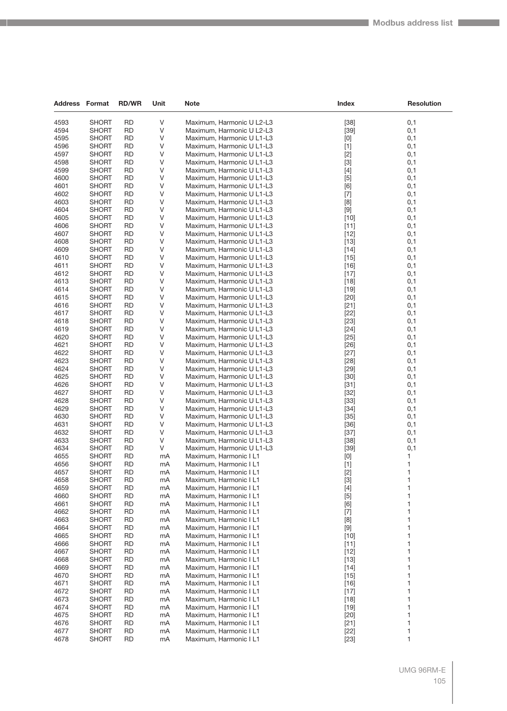| <b>Address Format</b> |                              | <b>RD/WR</b>    | Unit     | <b>Note</b>                                            | Index                                                                                                                                                                                                                                                                                                                                                                                                                                                                                                                                                                                              | <b>Resolution</b> |
|-----------------------|------------------------------|-----------------|----------|--------------------------------------------------------|----------------------------------------------------------------------------------------------------------------------------------------------------------------------------------------------------------------------------------------------------------------------------------------------------------------------------------------------------------------------------------------------------------------------------------------------------------------------------------------------------------------------------------------------------------------------------------------------------|-------------------|
| 4593                  | <b>SHORT</b>                 | <b>RD</b>       | ٧        | Maximum, Harmonic U L2-L3                              | $[38]$                                                                                                                                                                                                                                                                                                                                                                                                                                                                                                                                                                                             | 0,1               |
| 4594                  | <b>SHORT</b>                 | <b>RD</b>       | V        | Maximum, Harmonic U L2-L3                              | $[39]$                                                                                                                                                                                                                                                                                                                                                                                                                                                                                                                                                                                             | 0,1               |
| 4595                  | <b>SHORT</b>                 | <b>RD</b>       | V        | Maximum, Harmonic U L1-L3                              | [0]                                                                                                                                                                                                                                                                                                                                                                                                                                                                                                                                                                                                | 0,1               |
| 4596                  | <b>SHORT</b>                 | <b>RD</b>       | V        | Maximum, Harmonic U L1-L3                              | $[1]$                                                                                                                                                                                                                                                                                                                                                                                                                                                                                                                                                                                              | 0,1               |
| 4597                  | <b>SHORT</b>                 | <b>RD</b>       | V        | Maximum, Harmonic U L1-L3                              | $[2]$                                                                                                                                                                                                                                                                                                                                                                                                                                                                                                                                                                                              | 0,1               |
| 4598                  | <b>SHORT</b>                 | <b>RD</b>       | ٧        | Maximum, Harmonic U L1-L3                              | $[3]$                                                                                                                                                                                                                                                                                                                                                                                                                                                                                                                                                                                              | 0,1               |
| 4599                  | <b>SHORT</b>                 | <b>RD</b>       | V        | Maximum, Harmonic U L1-L3                              | $[4]$                                                                                                                                                                                                                                                                                                                                                                                                                                                                                                                                                                                              | 0,1               |
| 4600                  | <b>SHORT</b>                 | <b>RD</b>       | V        | Maximum, Harmonic U L1-L3                              | $[5]$                                                                                                                                                                                                                                                                                                                                                                                                                                                                                                                                                                                              | 0,1               |
| 4601                  | <b>SHORT</b>                 | <b>RD</b>       | ٧        | Maximum, Harmonic U L1-L3                              | [6]                                                                                                                                                                                                                                                                                                                                                                                                                                                                                                                                                                                                | 0,1               |
| 4602                  | <b>SHORT</b>                 | <b>RD</b>       | V        | Maximum, Harmonic U L1-L3                              | $[7]$                                                                                                                                                                                                                                                                                                                                                                                                                                                                                                                                                                                              | 0,1               |
| 4603                  | <b>SHORT</b>                 | <b>RD</b>       | ٧        | Maximum, Harmonic U L1-L3                              | [8]                                                                                                                                                                                                                                                                                                                                                                                                                                                                                                                                                                                                | 0,1               |
| 4604                  | <b>SHORT</b>                 | <b>RD</b>       | V        | Maximum, Harmonic U L1-L3                              | $[9]$                                                                                                                                                                                                                                                                                                                                                                                                                                                                                                                                                                                              | 0,1               |
| 4605                  | <b>SHORT</b>                 | <b>RD</b>       | V        | Maximum, Harmonic U L1-L3                              | $[10]$                                                                                                                                                                                                                                                                                                                                                                                                                                                                                                                                                                                             | 0,1               |
| 4606                  | SHORT                        | <b>RD</b>       | ٧        | Maximum, Harmonic U L1-L3                              | $[11]$                                                                                                                                                                                                                                                                                                                                                                                                                                                                                                                                                                                             | 0,1               |
| 4607                  | SHORT                        | <b>RD</b>       | V        | Maximum, Harmonic U L1-L3                              | $[12]$                                                                                                                                                                                                                                                                                                                                                                                                                                                                                                                                                                                             | 0,1               |
| 4608                  | <b>SHORT</b>                 | <b>RD</b>       | ٧        | Maximum, Harmonic U L1-L3                              | $[13]$                                                                                                                                                                                                                                                                                                                                                                                                                                                                                                                                                                                             | 0,1               |
| 4609                  | <b>SHORT</b>                 | <b>RD</b>       | V        | Maximum, Harmonic U L1-L3                              | $[14]$                                                                                                                                                                                                                                                                                                                                                                                                                                                                                                                                                                                             | 0,1               |
| 4610                  | <b>SHORT</b>                 | <b>RD</b>       | V        | Maximum, Harmonic U L1-L3                              | $[15]$                                                                                                                                                                                                                                                                                                                                                                                                                                                                                                                                                                                             | 0,1               |
| 4611                  | SHORT                        | <b>RD</b>       | V        | Maximum, Harmonic U L1-L3                              | $[16]$                                                                                                                                                                                                                                                                                                                                                                                                                                                                                                                                                                                             | 0,1               |
| 4612                  | <b>SHORT</b>                 | <b>RD</b>       | V        | Maximum, Harmonic U L1-L3                              | $[17]$                                                                                                                                                                                                                                                                                                                                                                                                                                                                                                                                                                                             | 0,1               |
| 4613                  | SHORT                        | <b>RD</b>       | ٧        | Maximum, Harmonic U L1-L3                              | $[18]$                                                                                                                                                                                                                                                                                                                                                                                                                                                                                                                                                                                             | 0,1               |
| 4614                  | <b>SHORT</b>                 | RD              | V        | Maximum, Harmonic U L1-L3                              | $[19]$                                                                                                                                                                                                                                                                                                                                                                                                                                                                                                                                                                                             | 0,1               |
| 4615                  | <b>SHORT</b>                 | <b>RD</b>       | V        | Maximum, Harmonic U L1-L3                              | $[20]$                                                                                                                                                                                                                                                                                                                                                                                                                                                                                                                                                                                             | 0,1               |
| 4616                  | SHORT                        | <b>RD</b>       | V        | Maximum, Harmonic U L1-L3                              | $[21]$                                                                                                                                                                                                                                                                                                                                                                                                                                                                                                                                                                                             | 0,1               |
| 4617                  | SHORT                        | <b>RD</b>       | V        | Maximum, Harmonic U L1-L3                              | $[22]$                                                                                                                                                                                                                                                                                                                                                                                                                                                                                                                                                                                             | 0,1               |
| 4618<br>4619          | SHORT<br><b>SHORT</b>        | <b>RD</b><br>RD | ٧<br>V   | Maximum, Harmonic U L1-L3<br>Maximum, Harmonic U L1-L3 | $[23]$<br>$[24]$                                                                                                                                                                                                                                                                                                                                                                                                                                                                                                                                                                                   | 0,1<br>0,1        |
| 4620                  | <b>SHORT</b>                 | <b>RD</b>       | V        | Maximum, Harmonic U L1-L3                              | $[25]$                                                                                                                                                                                                                                                                                                                                                                                                                                                                                                                                                                                             | 0,1               |
| 4621                  | SHORT                        | <b>RD</b>       | V        | Maximum, Harmonic U L1-L3                              | $[26]$                                                                                                                                                                                                                                                                                                                                                                                                                                                                                                                                                                                             | 0,1               |
| 4622                  | <b>SHORT</b>                 | <b>RD</b>       | V        | Maximum, Harmonic U L1-L3                              | $[27]$                                                                                                                                                                                                                                                                                                                                                                                                                                                                                                                                                                                             | 0,1               |
| 4623                  | SHORT                        | <b>RD</b>       | V        | Maximum, Harmonic U L1-L3                              | $[28]$                                                                                                                                                                                                                                                                                                                                                                                                                                                                                                                                                                                             | 0,1               |
| 4624                  | <b>SHORT</b>                 | RD              | V        | Maximum, Harmonic U L1-L3                              | $[29]$                                                                                                                                                                                                                                                                                                                                                                                                                                                                                                                                                                                             | 0,1               |
| 4625                  | <b>SHORT</b>                 | <b>RD</b>       | V        | Maximum, Harmonic U L1-L3                              | $[30]$                                                                                                                                                                                                                                                                                                                                                                                                                                                                                                                                                                                             | 0,1               |
| 4626                  | SHORT                        | <b>RD</b>       | ٧        | Maximum, Harmonic U L1-L3                              | $[31]$                                                                                                                                                                                                                                                                                                                                                                                                                                                                                                                                                                                             | 0,1               |
| 4627                  | <b>SHORT</b>                 | <b>RD</b>       | V        | Maximum, Harmonic U L1-L3                              | $[32]$                                                                                                                                                                                                                                                                                                                                                                                                                                                                                                                                                                                             | 0,1               |
| 4628                  | SHORT                        | <b>RD</b>       | ٧        | Maximum, Harmonic U L1-L3                              | $[33]$                                                                                                                                                                                                                                                                                                                                                                                                                                                                                                                                                                                             | 0,1               |
| 4629                  | <b>SHORT</b>                 | <b>RD</b>       | V        | Maximum, Harmonic U L1-L3                              | $[34]$                                                                                                                                                                                                                                                                                                                                                                                                                                                                                                                                                                                             | 0,1               |
| 4630                  | <b>SHORT</b>                 | <b>RD</b>       | V        | Maximum, Harmonic U L1-L3                              | $[35]$                                                                                                                                                                                                                                                                                                                                                                                                                                                                                                                                                                                             | 0,1               |
| 4631                  | <b>SHORT</b>                 | <b>RD</b>       | V        | Maximum, Harmonic U L1-L3                              | $[36]$                                                                                                                                                                                                                                                                                                                                                                                                                                                                                                                                                                                             | 0,1               |
| 4632                  | <b>SHORT</b>                 | <b>RD</b>       | V        | Maximum, Harmonic U L1-L3                              | $[37]$                                                                                                                                                                                                                                                                                                                                                                                                                                                                                                                                                                                             | 0,1               |
| 4633                  | <b>SHORT</b>                 | <b>RD</b>       | V        | Maximum, Harmonic U L1-L3                              | $[38]$                                                                                                                                                                                                                                                                                                                                                                                                                                                                                                                                                                                             | 0,1               |
| 4634                  | <b>SHORT</b>                 | RD              | V        | Maximum, Harmonic U L1-L3                              | $[39]$                                                                                                                                                                                                                                                                                                                                                                                                                                                                                                                                                                                             | 0,1               |
| 4655                  | <b>SHORT</b>                 | <b>RD</b>       | mA       | Maximum, Harmonic I L1                                 | $[0] % \begin{center} % \includegraphics[width=\linewidth]{imagesSupplemental_3.png} % \end{center} % \caption { % Our method can be used for the use of the image. % Note that the \emph{DefNet}~\cite{bib66} as a function of the \emph{DefNet}~\cite{bib66} as a function of the \emph{DefNet}~\cite{bib66} as a function of the \emph{DefNet}~\cite{bib66} as a function of the \emph{DefNet}~\cite{bib66} as a function of the \emph{DefNet}~\cite{bib66} as a function of the \emph{DefNet}~\cite{bib66} as a function of the \emph{DefNet}~\cite{bib66} as a function of the \emph{DefNet}$ | 1                 |
| 4656                  | <b>SHORT</b>                 | <b>RD</b>       | mA       | Maximum, Harmonic I L1                                 | $[1]$                                                                                                                                                                                                                                                                                                                                                                                                                                                                                                                                                                                              | $\mathbf{1}$      |
| 4657                  | <b>SHORT</b>                 | RD              | mA       | Maximum, Harmonic I L1                                 | $[2]$                                                                                                                                                                                                                                                                                                                                                                                                                                                                                                                                                                                              | $\mathbf{1}$      |
| 4658                  | SHORT                        | <b>RD</b>       | mA       | Maximum, Harmonic I L1                                 | $[3]$                                                                                                                                                                                                                                                                                                                                                                                                                                                                                                                                                                                              | 1<br>1            |
| 4659<br>4660          | <b>SHORT</b><br><b>SHORT</b> | RD<br><b>RD</b> | mA<br>mA | Maximum, Harmonic I L1<br>Maximum, Harmonic I L1       | $[4]$                                                                                                                                                                                                                                                                                                                                                                                                                                                                                                                                                                                              | 1                 |
| 4661                  | SHORT                        | <b>RD</b>       | mA       | Maximum, Harmonic I L1                                 | $[5]$<br>[6]                                                                                                                                                                                                                                                                                                                                                                                                                                                                                                                                                                                       | 1                 |
| 4662                  | <b>SHORT</b>                 | RD              | mA       | Maximum, Harmonic I L1                                 | $[7]$                                                                                                                                                                                                                                                                                                                                                                                                                                                                                                                                                                                              | 1                 |
| 4663                  | SHORT                        | RD              | mA       | Maximum, Harmonic I L1                                 | [8]                                                                                                                                                                                                                                                                                                                                                                                                                                                                                                                                                                                                | 1                 |
| 4664                  | <b>SHORT</b>                 | <b>RD</b>       | mA       | Maximum, Harmonic I L1                                 | $[9]$                                                                                                                                                                                                                                                                                                                                                                                                                                                                                                                                                                                              | 1                 |
| 4665                  | <b>SHORT</b>                 | <b>RD</b>       | mA       | Maximum, Harmonic I L1                                 | $[10]$                                                                                                                                                                                                                                                                                                                                                                                                                                                                                                                                                                                             | 1                 |
| 4666                  | SHORT                        | RD              | mA       | Maximum, Harmonic I L1                                 | $[11]$                                                                                                                                                                                                                                                                                                                                                                                                                                                                                                                                                                                             | 1                 |
| 4667                  | <b>SHORT</b>                 | RD              | mA       | Maximum, Harmonic I L1                                 | $[12]$                                                                                                                                                                                                                                                                                                                                                                                                                                                                                                                                                                                             | 1                 |
| 4668                  | <b>SHORT</b>                 | <b>RD</b>       | mA       | Maximum, Harmonic I L1                                 | $[13]$                                                                                                                                                                                                                                                                                                                                                                                                                                                                                                                                                                                             | 1                 |
| 4669                  | <b>SHORT</b>                 | <b>RD</b>       | mA       | Maximum, Harmonic I L1                                 | $[14]$                                                                                                                                                                                                                                                                                                                                                                                                                                                                                                                                                                                             | 1                 |
| 4670                  | <b>SHORT</b>                 | <b>RD</b>       | mA       | Maximum, Harmonic I L1                                 | $[15]$                                                                                                                                                                                                                                                                                                                                                                                                                                                                                                                                                                                             | 1                 |
| 4671                  | SHORT                        | RD              | mA       | Maximum, Harmonic I L1                                 | $[16]$                                                                                                                                                                                                                                                                                                                                                                                                                                                                                                                                                                                             | 1                 |
| 4672                  | <b>SHORT</b>                 | RD              | mA       | Maximum, Harmonic I L1                                 | $[17]$                                                                                                                                                                                                                                                                                                                                                                                                                                                                                                                                                                                             | 1                 |
| 4673                  | SHORT                        | <b>RD</b>       | mA       | Maximum, Harmonic I L1                                 | $[18]$                                                                                                                                                                                                                                                                                                                                                                                                                                                                                                                                                                                             | 1                 |
| 4674                  | <b>SHORT</b>                 | <b>RD</b>       | mA       | Maximum, Harmonic I L1                                 | $[19]$                                                                                                                                                                                                                                                                                                                                                                                                                                                                                                                                                                                             | 1                 |
| 4675                  | <b>SHORT</b>                 | <b>RD</b>       | mA       | Maximum, Harmonic I L1                                 | $[20]$                                                                                                                                                                                                                                                                                                                                                                                                                                                                                                                                                                                             | 1                 |
| 4676                  | SHORT                        | <b>RD</b>       | mA       | Maximum, Harmonic I L1                                 | $[21]$                                                                                                                                                                                                                                                                                                                                                                                                                                                                                                                                                                                             | 1                 |
| 4677                  | <b>SHORT</b>                 | RD              | mA       | Maximum, Harmonic I L1                                 | $[22]$                                                                                                                                                                                                                                                                                                                                                                                                                                                                                                                                                                                             | 1                 |
| 4678                  | <b>SHORT</b>                 | <b>RD</b>       | mA       | Maximum, Harmonic I L1                                 | $[23]$                                                                                                                                                                                                                                                                                                                                                                                                                                                                                                                                                                                             | 1                 |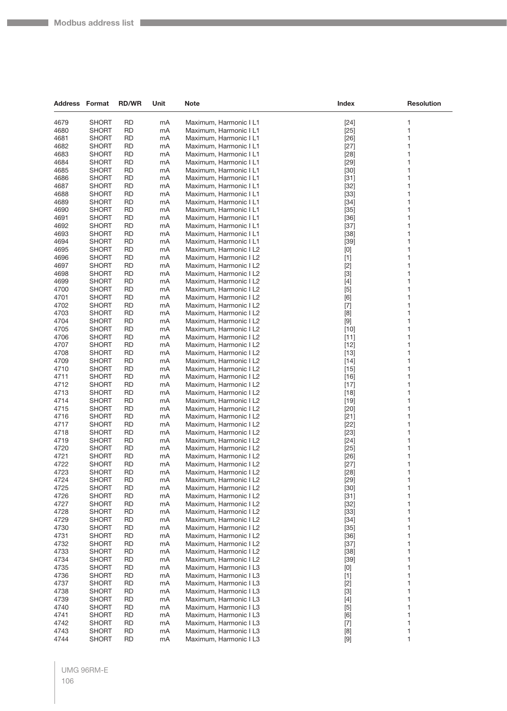| <b>Address Format</b> |                              | <b>RD/WR</b>           | Unit     | <b>Note</b>                                      | Index                                                                                                                                                                                                                                                                                                                                                                                                                                                                                                                                                                                                                                                                                                                                                 | <b>Resolution</b> |
|-----------------------|------------------------------|------------------------|----------|--------------------------------------------------|-------------------------------------------------------------------------------------------------------------------------------------------------------------------------------------------------------------------------------------------------------------------------------------------------------------------------------------------------------------------------------------------------------------------------------------------------------------------------------------------------------------------------------------------------------------------------------------------------------------------------------------------------------------------------------------------------------------------------------------------------------|-------------------|
| 4679                  | <b>SHORT</b>                 | <b>RD</b>              | mA       | Maximum, Harmonic I L1                           | $[24]$                                                                                                                                                                                                                                                                                                                                                                                                                                                                                                                                                                                                                                                                                                                                                | 1                 |
| 4680                  | <b>SHORT</b>                 | RD                     | mA       | Maximum, Harmonic I L1                           | $[25]$                                                                                                                                                                                                                                                                                                                                                                                                                                                                                                                                                                                                                                                                                                                                                | 1                 |
| 4681                  | SHORT                        | <b>RD</b>              | mA       | Maximum, Harmonic I L1                           | $[26]$                                                                                                                                                                                                                                                                                                                                                                                                                                                                                                                                                                                                                                                                                                                                                | 1                 |
| 4682                  | SHORT                        | RD                     | mA       | Maximum, Harmonic I L1                           | $[27]$                                                                                                                                                                                                                                                                                                                                                                                                                                                                                                                                                                                                                                                                                                                                                | 1                 |
| 4683                  | SHORT                        | RD                     | mA       | Maximum, Harmonic I L1                           | $[28]$                                                                                                                                                                                                                                                                                                                                                                                                                                                                                                                                                                                                                                                                                                                                                | 1                 |
| 4684                  | <b>SHORT</b>                 | <b>RD</b>              | mA       | Maximum, Harmonic I L1                           | $[29]$                                                                                                                                                                                                                                                                                                                                                                                                                                                                                                                                                                                                                                                                                                                                                | 1                 |
| 4685                  | <b>SHORT</b>                 | RD                     | mA       | Maximum, Harmonic I L1                           | $[30]$                                                                                                                                                                                                                                                                                                                                                                                                                                                                                                                                                                                                                                                                                                                                                | 1                 |
| 4686                  | <b>SHORT</b>                 | <b>RD</b>              | mA       | Maximum, Harmonic I L1                           | $[31]$                                                                                                                                                                                                                                                                                                                                                                                                                                                                                                                                                                                                                                                                                                                                                | 1                 |
| 4687                  | <b>SHORT</b>                 | <b>RD</b>              | mA       | Maximum, Harmonic I L1                           | $[32]$                                                                                                                                                                                                                                                                                                                                                                                                                                                                                                                                                                                                                                                                                                                                                | 1                 |
| 4688                  | SHORT                        | RD                     | mA       | Maximum, Harmonic I L1                           | $[33]$                                                                                                                                                                                                                                                                                                                                                                                                                                                                                                                                                                                                                                                                                                                                                | 1                 |
| 4689                  | <b>SHORT</b>                 | <b>RD</b>              | mA       | Maximum, Harmonic I L1                           | $[34]$                                                                                                                                                                                                                                                                                                                                                                                                                                                                                                                                                                                                                                                                                                                                                | 1                 |
| 4690                  | <b>SHORT</b>                 | RD                     | mA       | Maximum, Harmonic I L1                           | $[35]$                                                                                                                                                                                                                                                                                                                                                                                                                                                                                                                                                                                                                                                                                                                                                | 1                 |
| 4691                  | SHORT                        | <b>RD</b>              | mA       | Maximum, Harmonic I L1                           | $[36]$                                                                                                                                                                                                                                                                                                                                                                                                                                                                                                                                                                                                                                                                                                                                                | 1                 |
| 4692                  | <b>SHORT</b>                 | <b>RD</b>              | mA       | Maximum, Harmonic I L1                           | $[37]$                                                                                                                                                                                                                                                                                                                                                                                                                                                                                                                                                                                                                                                                                                                                                | 1                 |
| 4693                  | SHORT                        | RD                     | mA       | Maximum, Harmonic I L1                           | $[38]$                                                                                                                                                                                                                                                                                                                                                                                                                                                                                                                                                                                                                                                                                                                                                | 1                 |
| 4694                  | SHORT                        | RD                     | mA       | Maximum, Harmonic I L1                           | $[39]$                                                                                                                                                                                                                                                                                                                                                                                                                                                                                                                                                                                                                                                                                                                                                | 1                 |
| 4695                  | <b>SHORT</b>                 | RD                     | mA       | Maximum, Harmonic I L2                           | $[0] % \begin{center} % \includegraphics[width=\linewidth]{imagesSupplemental_3.png} % \end{center} % \caption { % Our method can be used for the use of the image. % Note that the \emph{DefNet}~\cite{bib30} as the \emph{DefNet}~\cite{bib30} as the \emph{DefNet}~\cite{bib30} as the \emph{DefNet}~\cite{bib30} as the \emph{DefNet}~\cite{bib30} as the \emph{DefNet}~\cite{bib30} as the \emph{DefNet}~\cite{bib30} as the \emph{DefNet}~\cite{bib30} as the \emph{DefNet}~\cite{bib30} as the \emph{DefNet}~\cite{bib30$                                                                                                                                                                                                                      | 1                 |
| 4696                  | <b>SHORT</b>                 | <b>RD</b>              | mA       | Maximum, Harmonic I L2                           | $[1]$                                                                                                                                                                                                                                                                                                                                                                                                                                                                                                                                                                                                                                                                                                                                                 | 1                 |
| 4697                  | <b>SHORT</b>                 | RD                     | mA       | Maximum, Harmonic I L2                           | $[2]$                                                                                                                                                                                                                                                                                                                                                                                                                                                                                                                                                                                                                                                                                                                                                 | 1                 |
| 4698                  | SHORT                        | RD                     | mA       | Maximum, Harmonic I L2                           | $[3]$                                                                                                                                                                                                                                                                                                                                                                                                                                                                                                                                                                                                                                                                                                                                                 | 1                 |
| 4699                  | <b>SHORT</b>                 | <b>RD</b>              | mA       | Maximum, Harmonic I L2                           | $[4]$                                                                                                                                                                                                                                                                                                                                                                                                                                                                                                                                                                                                                                                                                                                                                 | 1                 |
| 4700<br>4701          | <b>SHORT</b>                 | RD<br><b>RD</b>        | mA       | Maximum, Harmonic I L2<br>Maximum, Harmonic I L2 | $[5]$                                                                                                                                                                                                                                                                                                                                                                                                                                                                                                                                                                                                                                                                                                                                                 | 1<br>1            |
| 4702                  | <b>SHORT</b><br><b>SHORT</b> | RD                     | mA<br>mA | Maximum, Harmonic I L2                           | [6]                                                                                                                                                                                                                                                                                                                                                                                                                                                                                                                                                                                                                                                                                                                                                   | 1                 |
| 4703                  | SHORT                        | RD                     | mA       | Maximum, Harmonic I L2                           | $[7]$                                                                                                                                                                                                                                                                                                                                                                                                                                                                                                                                                                                                                                                                                                                                                 | 1                 |
| 4704                  | SHORT                        | <b>RD</b>              | mA       | Maximum, Harmonic I L2                           | [8]<br>$[9]$                                                                                                                                                                                                                                                                                                                                                                                                                                                                                                                                                                                                                                                                                                                                          | 1                 |
| 4705                  | <b>SHORT</b>                 | RD                     | mA       | Maximum, Harmonic I L2                           | $[10]$                                                                                                                                                                                                                                                                                                                                                                                                                                                                                                                                                                                                                                                                                                                                                | 1                 |
| 4706                  | <b>SHORT</b>                 | <b>RD</b>              | mA       | Maximum, Harmonic I L2                           | $[11]$                                                                                                                                                                                                                                                                                                                                                                                                                                                                                                                                                                                                                                                                                                                                                | 1                 |
| 4707                  | SHORT                        | RD                     | mA       | Maximum, Harmonic I L2                           | $[12]$                                                                                                                                                                                                                                                                                                                                                                                                                                                                                                                                                                                                                                                                                                                                                | 1                 |
| 4708                  | SHORT                        | RD                     | mA       | Maximum, Harmonic I L2                           | $[13]$                                                                                                                                                                                                                                                                                                                                                                                                                                                                                                                                                                                                                                                                                                                                                | 1                 |
| 4709                  | SHORT                        | <b>RD</b>              | mA       | Maximum, Harmonic I L2                           | $[14]$                                                                                                                                                                                                                                                                                                                                                                                                                                                                                                                                                                                                                                                                                                                                                | 1                 |
| 4710                  | <b>SHORT</b>                 | RD                     | mA       | Maximum, Harmonic I L2                           | $[15]$                                                                                                                                                                                                                                                                                                                                                                                                                                                                                                                                                                                                                                                                                                                                                | 1                 |
| 4711                  | <b>SHORT</b>                 | <b>RD</b>              | mA       | Maximum, Harmonic I L2                           | $[16]$                                                                                                                                                                                                                                                                                                                                                                                                                                                                                                                                                                                                                                                                                                                                                | 1                 |
| 4712                  | <b>SHORT</b>                 | RD                     | mA       | Maximum, Harmonic I L2                           | $[17]$                                                                                                                                                                                                                                                                                                                                                                                                                                                                                                                                                                                                                                                                                                                                                | 1                 |
| 4713                  | <b>SHORT</b>                 | RD                     | mA       | Maximum, Harmonic I L2                           | $[18]$                                                                                                                                                                                                                                                                                                                                                                                                                                                                                                                                                                                                                                                                                                                                                | 1                 |
| 4714                  | <b>SHORT</b>                 | <b>RD</b>              | mA       | Maximum, Harmonic I L2                           | $[19]$                                                                                                                                                                                                                                                                                                                                                                                                                                                                                                                                                                                                                                                                                                                                                | 1                 |
| 4715                  | <b>SHORT</b>                 | RD                     | mA       | Maximum, Harmonic I L2                           | $[20]$                                                                                                                                                                                                                                                                                                                                                                                                                                                                                                                                                                                                                                                                                                                                                | 1                 |
| 4716                  | <b>SHORT</b>                 | <b>RD</b>              | mA       | Maximum, Harmonic I L2                           | $[21]$                                                                                                                                                                                                                                                                                                                                                                                                                                                                                                                                                                                                                                                                                                                                                | 1                 |
| 4717                  | <b>SHORT</b>                 | RD                     | mA       | Maximum, Harmonic I L2                           | $[22]$                                                                                                                                                                                                                                                                                                                                                                                                                                                                                                                                                                                                                                                                                                                                                | 1                 |
| 4718                  | <b>SHORT</b>                 | RD                     | mA       | Maximum, Harmonic I L2                           | $[23]$                                                                                                                                                                                                                                                                                                                                                                                                                                                                                                                                                                                                                                                                                                                                                | 1                 |
| 4719                  | <b>SHORT</b>                 | <b>RD</b>              | mA       | Maximum, Harmonic I L2                           | $[24]$                                                                                                                                                                                                                                                                                                                                                                                                                                                                                                                                                                                                                                                                                                                                                | 1                 |
| 4720                  | <b>SHORT</b>                 | RD                     | mA       | Maximum, Harmonic I L2                           | $[25]$                                                                                                                                                                                                                                                                                                                                                                                                                                                                                                                                                                                                                                                                                                                                                | 1                 |
| 4721                  | SHORT                        | <b>RD</b>              | mA       | Maximum, Harmonic I L2                           | $[26]$                                                                                                                                                                                                                                                                                                                                                                                                                                                                                                                                                                                                                                                                                                                                                | 1                 |
| 4722                  | SHORT                        | RD                     | mA       | Maximum, Harmonic I L2                           | $[27]$                                                                                                                                                                                                                                                                                                                                                                                                                                                                                                                                                                                                                                                                                                                                                | 1                 |
| 4723                  | <b>SHORT</b>                 | <b>RD</b>              | mA       | Maximum, Harmonic I L2                           | $[28]$                                                                                                                                                                                                                                                                                                                                                                                                                                                                                                                                                                                                                                                                                                                                                | 1                 |
| 4724                  | <b>SHORT</b>                 | <b>RD</b>              | mA       | Maximum, Harmonic I L2                           | $[29]$                                                                                                                                                                                                                                                                                                                                                                                                                                                                                                                                                                                                                                                                                                                                                | 1<br>1            |
| 4725<br>4726          | <b>SHORT</b><br><b>SHORT</b> | <b>RD</b>              | mA       | Maximum, Harmonic I L2                           | $[30]$                                                                                                                                                                                                                                                                                                                                                                                                                                                                                                                                                                                                                                                                                                                                                | 1                 |
| 4727                  | <b>SHORT</b>                 | <b>RD</b><br><b>RD</b> | mA<br>mA | Maximum, Harmonic I L2<br>Maximum. Harmonic I L2 | $[31]$                                                                                                                                                                                                                                                                                                                                                                                                                                                                                                                                                                                                                                                                                                                                                | 1                 |
| 4728                  | <b>SHORT</b>                 | <b>RD</b>              | mA       | Maximum, Harmonic I L2                           | $[32]$<br>$[33]$                                                                                                                                                                                                                                                                                                                                                                                                                                                                                                                                                                                                                                                                                                                                      | 1                 |
| 4729                  | <b>SHORT</b>                 | <b>RD</b>              | mA       | Maximum, Harmonic I L2                           | $[34]$                                                                                                                                                                                                                                                                                                                                                                                                                                                                                                                                                                                                                                                                                                                                                | 1                 |
| 4730                  | <b>SHORT</b>                 | <b>RD</b>              | mA       | Maximum, Harmonic I L2                           | $[35]$                                                                                                                                                                                                                                                                                                                                                                                                                                                                                                                                                                                                                                                                                                                                                | 1                 |
| 4731                  | <b>SHORT</b>                 | <b>RD</b>              | mA       | Maximum, Harmonic I L2                           | $[36]$                                                                                                                                                                                                                                                                                                                                                                                                                                                                                                                                                                                                                                                                                                                                                | 1                 |
| 4732                  | <b>SHORT</b>                 | <b>RD</b>              | mA       | Maximum, Harmonic I L2                           | $[37]$                                                                                                                                                                                                                                                                                                                                                                                                                                                                                                                                                                                                                                                                                                                                                | 1                 |
| 4733                  | <b>SHORT</b>                 | <b>RD</b>              | mA       | Maximum, Harmonic I L2                           | $[38]$                                                                                                                                                                                                                                                                                                                                                                                                                                                                                                                                                                                                                                                                                                                                                | 1                 |
| 4734                  | <b>SHORT</b>                 | <b>RD</b>              | mA       | Maximum, Harmonic I L2                           | $[39]$                                                                                                                                                                                                                                                                                                                                                                                                                                                                                                                                                                                                                                                                                                                                                | 1                 |
| 4735                  | <b>SHORT</b>                 | RD                     | mA       | Maximum, Harmonic I L3                           | $[0] % \begin{center} % \includegraphics[width=\linewidth]{imagesSupplemental_3.png} % \end{center} % \caption { % Our method is used for the method. % Note that the \emph{exponent} is used for the method. % Note that the \emph{exponent} is used for the method. % Note that the \emph{exponent} is used for the method. % Note that the \emph{exponent} is used for the method. % Note that the \emph{exponent} is used for the method. % Note that the \emph{exportector} is used for the method. % Note that the \emph{exportector} is used for the method. % Note that the \emph{exportector} is used for the method. % Note that the \emph{exportector} is used for the method. % Note that the \emph{exportector} is used for the method.$ | 1                 |
| 4736                  | <b>SHORT</b>                 | <b>RD</b>              | mA       | Maximum, Harmonic I L3                           | $[1]$                                                                                                                                                                                                                                                                                                                                                                                                                                                                                                                                                                                                                                                                                                                                                 | 1                 |
| 4737                  | <b>SHORT</b>                 | <b>RD</b>              | mA       | Maximum, Harmonic I L3                           | $[2]$                                                                                                                                                                                                                                                                                                                                                                                                                                                                                                                                                                                                                                                                                                                                                 | 1                 |
| 4738                  | <b>SHORT</b>                 | <b>RD</b>              | mA       | Maximum, Harmonic I L3                           | $[3]$                                                                                                                                                                                                                                                                                                                                                                                                                                                                                                                                                                                                                                                                                                                                                 | 1                 |
| 4739                  | <b>SHORT</b>                 | <b>RD</b>              | mA       | Maximum, Harmonic I L3                           | $[4]$                                                                                                                                                                                                                                                                                                                                                                                                                                                                                                                                                                                                                                                                                                                                                 | 1                 |
| 4740                  | <b>SHORT</b>                 | RD                     | mA       | Maximum, Harmonic I L3                           | $[5]$                                                                                                                                                                                                                                                                                                                                                                                                                                                                                                                                                                                                                                                                                                                                                 | 1                 |
| 4741                  | <b>SHORT</b>                 | <b>RD</b>              | mA       | Maximum, Harmonic I L3                           | [6]                                                                                                                                                                                                                                                                                                                                                                                                                                                                                                                                                                                                                                                                                                                                                   | 1                 |
| 4742                  | <b>SHORT</b>                 | <b>RD</b>              | mA       | Maximum, Harmonic I L3                           | $[7]$                                                                                                                                                                                                                                                                                                                                                                                                                                                                                                                                                                                                                                                                                                                                                 | 1                 |
| 4743                  | <b>SHORT</b>                 | <b>RD</b>              | mA       | Maximum, Harmonic I L3                           | [8]                                                                                                                                                                                                                                                                                                                                                                                                                                                                                                                                                                                                                                                                                                                                                   | 1                 |
| 4744                  | <b>SHORT</b>                 | <b>RD</b>              | mA       | Maximum, Harmonic I L3                           | $[9]$                                                                                                                                                                                                                                                                                                                                                                                                                                                                                                                                                                                                                                                                                                                                                 | 1                 |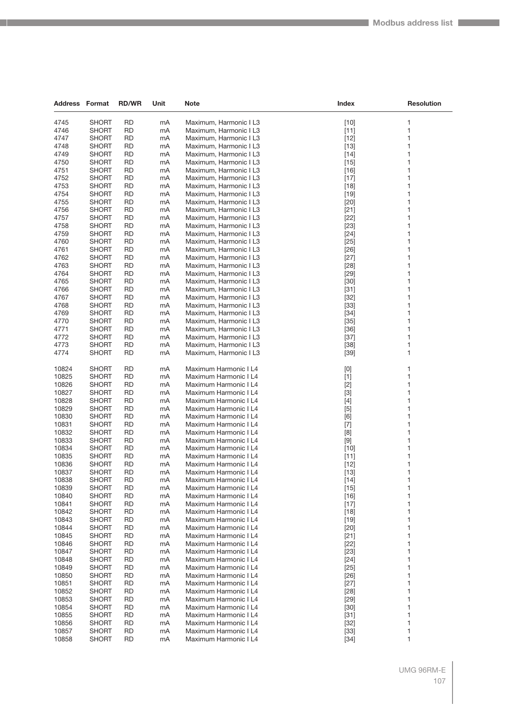| <b>Address Format</b> |                              | <b>RD/WR</b>           | Unit     | Note                                             | Index            | <b>Resolution</b> |
|-----------------------|------------------------------|------------------------|----------|--------------------------------------------------|------------------|-------------------|
|                       |                              |                        |          |                                                  |                  |                   |
| 4745<br>4746          | <b>SHORT</b><br><b>SHORT</b> | <b>RD</b><br><b>RD</b> | mA       | Maximum, Harmonic I L3<br>Maximum, Harmonic I L3 | $[10]$           | 1                 |
| 4747                  | SHORT                        | <b>RD</b>              | mA<br>mA | Maximum, Harmonic I L3                           | $[11]$<br>$[12]$ | 1<br>1            |
| 4748                  | SHORT                        | RD                     | mA       | Maximum, Harmonic I L3                           | $[13]$           | 1                 |
| 4749                  | <b>SHORT</b>                 | <b>RD</b>              | mA       | Maximum, Harmonic I L3                           | $[14]$           | 1                 |
| 4750                  | SHORT                        | RD                     | mA       | Maximum, Harmonic I L3                           | $[15]$           | 1                 |
| 4751                  | SHORT                        | <b>RD</b>              | mA       | Maximum, Harmonic I L3                           | $[16]$           | 1                 |
| 4752                  | SHORT                        | <b>RD</b>              | mA       | Maximum, Harmonic I L3                           | $[17]$           | 1                 |
| 4753                  | SHORT                        | RD                     | mA       | Maximum, Harmonic I L3                           | $[18]$           | 1                 |
| 4754                  | SHORT                        | <b>RD</b>              | mA       | Maximum, Harmonic I L3                           | $[19]$           | 1                 |
| 4755                  | SHORT                        | RD                     | mA       | Maximum, Harmonic I L3                           | $[20]$           | 1                 |
| 4756                  | SHORT                        | <b>RD</b>              | mA       | Maximum, Harmonic I L3                           | $[21]$           | 1                 |
| 4757                  | SHORT                        | <b>RD</b>              | mA       | Maximum, Harmonic I L3                           | $[22]$           | 1                 |
| 4758                  | SHORT                        | RD                     | mA       | Maximum, Harmonic I L3                           | $[23]$           | 1                 |
| 4759                  | SHORT                        | <b>RD</b>              | mA       | Maximum, Harmonic I L3                           | $[24]$           | 1                 |
| 4760                  | SHORT                        | <b>RD</b>              | mA       | Maximum, Harmonic I L3                           | $[25]$           | 1                 |
| 4761                  | SHORT                        | <b>RD</b>              | mA       | Maximum, Harmonic I L3                           | $[26]$           | 1                 |
| 4762                  | SHORT                        | <b>RD</b>              | mA       | Maximum, Harmonic I L3                           | $[27]$           | 1                 |
| 4763                  | <b>SHORT</b>                 | RD                     | mA       | Maximum, Harmonic I L3                           | $[28]$           | 1                 |
| 4764                  | SHORT                        | <b>RD</b>              | mA       | Maximum, Harmonic I L3                           | $[29]$           | 1                 |
| 4765                  | <b>SHORT</b>                 | <b>RD</b>              | mA       | Maximum, Harmonic I L3                           | $[30]$           | 1                 |
| 4766                  | SHORT                        | <b>RD</b>              | mA       | Maximum, Harmonic I L3                           | $[31]$           | 1                 |
| 4767                  | SHORT                        | <b>RD</b>              | mA       | Maximum, Harmonic I L3                           | $[32]$           | 1                 |
| 4768                  | SHORT                        | RD                     | mA       | Maximum, Harmonic I L3                           | $[33]$           | 1                 |
| 4769                  | SHORT                        | <b>RD</b>              | mA       | Maximum, Harmonic I L3                           | $[34]$           | 1                 |
| 4770                  | <b>SHORT</b>                 | RD                     | mA       | Maximum, Harmonic I L3                           | $[35]$           | 1                 |
| 4771                  | <b>SHORT</b>                 | RD                     | mA       | Maximum, Harmonic I L3                           | $[36]$           | 1                 |
| 4772                  | SHORT                        | <b>RD</b>              | mA       | Maximum, Harmonic I L3                           | $[37]$           | 1                 |
| 4773                  | SHORT                        | RD                     | mA       | Maximum, Harmonic I L3                           | $[38]$           | 1                 |
| 4774                  | SHORT                        | <b>RD</b>              | mA       | Maximum, Harmonic I L3                           | $[39]$           | 1                 |
| 10824                 | <b>SHORT</b>                 | RD                     | mA       | Maximum Harmonic I L4                            | [0]              | 1                 |
| 10825                 | SHORT                        | <b>RD</b>              | mA       | Maximum Harmonic I L4                            | $[1]$            | 1                 |
| 10826                 | <b>SHORT</b>                 | RD                     | mA       | Maximum Harmonic I L4                            | $[2]$            | 1                 |
| 10827                 | <b>SHORT</b>                 | <b>RD</b>              | mA       | Maximum Harmonic I L4                            | $[3]$            | 1                 |
| 10828                 | <b>SHORT</b>                 | <b>RD</b>              | mA       | Maximum Harmonic I L4                            | $[4]$            | 1                 |
| 10829                 | <b>SHORT</b>                 | RD                     | mA       | Maximum Harmonic I L4                            | $[5]$            | 1                 |
| 10830                 | SHORT                        | RD                     | mA       | Maximum Harmonic I L4                            | [6]              | 1                 |
| 10831                 | <b>SHORT</b>                 | RD                     | mA       | Maximum Harmonic I L4                            | $[7]$            | 1                 |
| 10832                 | <b>SHORT</b>                 | <b>RD</b>              | mA       | Maximum Harmonic I L4                            | [8]              | 1                 |
| 10833                 | <b>SHORT</b>                 | RD                     | mA       | Maximum Harmonic I L4                            | $[9]$            | 1                 |
| 10834                 | <b>SHORT</b>                 | RD                     | mA       | Maximum Harmonic I L4                            | $[10]$           | 1                 |
| 10835                 | SHORT                        | <b>RD</b>              | mA       | Maximum Harmonic I L4                            | [11]             | 1                 |
| 10836                 | SHORT                        | RD                     | mA       | Maximum Harmonic I L4                            | $[12]$           | 1                 |
| 10837                 | <b>SHORT</b>                 | <b>RD</b>              | mA       | Maximum Harmonic I L4                            | $[13]$           | 1                 |
| 10838                 | SHORT                        | RD                     | mA       | Maximum Harmonic I L4                            | $[14]$           | 1                 |
| 10839                 | <b>SHORT</b>                 | <b>RD</b>              | mA       | Maximum Harmonic I L4                            | $[15]$           | 1                 |
| 10840                 | SHORT                        | <b>RD</b>              | mA       | Maximum Harmonic I L4                            | $[16]$           | 1                 |
| 10841<br>10842        | SHORT                        | RD<br><b>RD</b>        | mA       | Maximum Harmonic I L4                            | $[17]$           | 1<br>1            |
| 10843                 | <b>SHORT</b><br><b>SHORT</b> | RD                     | mA<br>mA | Maximum Harmonic I L4<br>Maximum Harmonic I L4   | $[18]$<br>$[19]$ | 1                 |
| 10844                 | <b>SHORT</b>                 | <b>RD</b>              | mA       | Maximum Harmonic I L4                            | $[20]$           | 1                 |
| 10845                 | SHORT                        | RD                     | mA       | Maximum Harmonic I L4                            | $[21]$           | 1                 |
| 10846                 | SHORT                        | RD                     | mA       | Maximum Harmonic I L4                            | $[22]$           | 1                 |
| 10847                 | <b>SHORT</b>                 | RD                     | mA       | Maximum Harmonic I L4                            | $[23]$           | 1                 |
| 10848                 | <b>SHORT</b>                 | RD                     | mA       | Maximum Harmonic I L4                            | $[24]$           | 1                 |
| 10849                 | <b>SHORT</b>                 | RD                     | mA       | Maximum Harmonic I L4                            | $[25]$           | 1                 |
| 10850                 | SHORT                        | <b>RD</b>              | mA       | Maximum Harmonic I L4                            | $[26]$           | 1                 |
| 10851                 | SHORT                        | RD                     | mA       | Maximum Harmonic I L4                            | $[27]$           | 1                 |
| 10852                 | SHORT                        | RD                     | mA       | Maximum Harmonic I L4                            | $[28]$           | 1                 |
| 10853                 | <b>SHORT</b>                 | RD                     | mA       | Maximum Harmonic I L4                            | $[29]$           | 1                 |
| 10854                 | SHORT                        | <b>RD</b>              | mA       | Maximum Harmonic I L4                            | $[30]$           | 1                 |
| 10855                 | SHORT                        | RD                     | mA       | Maximum Harmonic I L4                            | $[31]$           | 1                 |
| 10856                 | SHORT                        | RD                     | mA       | Maximum Harmonic I L4                            | $[32]$           | 1                 |
| 10857                 | <b>SHORT</b>                 | RD                     | mA       | Maximum Harmonic I L4                            | $[33]$           | 1                 |
| 10858                 | <b>SHORT</b>                 | <b>RD</b>              | mA       | Maximum Harmonic I L4                            | $[34]$           | 1                 |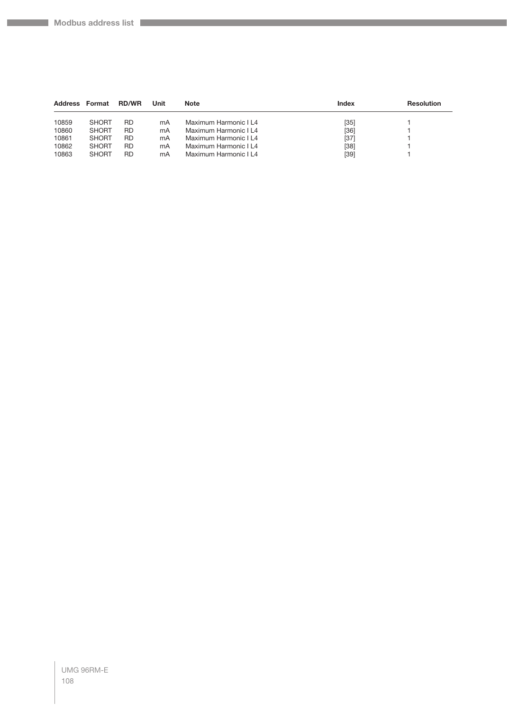$\mathcal{L}^{\mathcal{L}}$ 

| <b>Address</b> | Format       | <b>RD/WR</b> | Unit | <b>Note</b>           | <b>Index</b> | <b>Resolution</b> |
|----------------|--------------|--------------|------|-----------------------|--------------|-------------------|
| 10859          | <b>SHORT</b> | RD           | mA   | Maximum Harmonic I L4 | $[35]$       |                   |
| 10860          | <b>SHORT</b> | RD           | mA   | Maximum Harmonic I L4 | [36]         |                   |
| 10861          | <b>SHORT</b> | RD           | mA   | Maximum Harmonic I L4 | $[37]$       |                   |
| 10862          | <b>SHORT</b> | RD           | mA   | Maximum Harmonic I L4 | $[38]$       |                   |
| 10863          | <b>SHORT</b> | RD           | mA   | Maximum Harmonic I L4 | $[39]$       |                   |